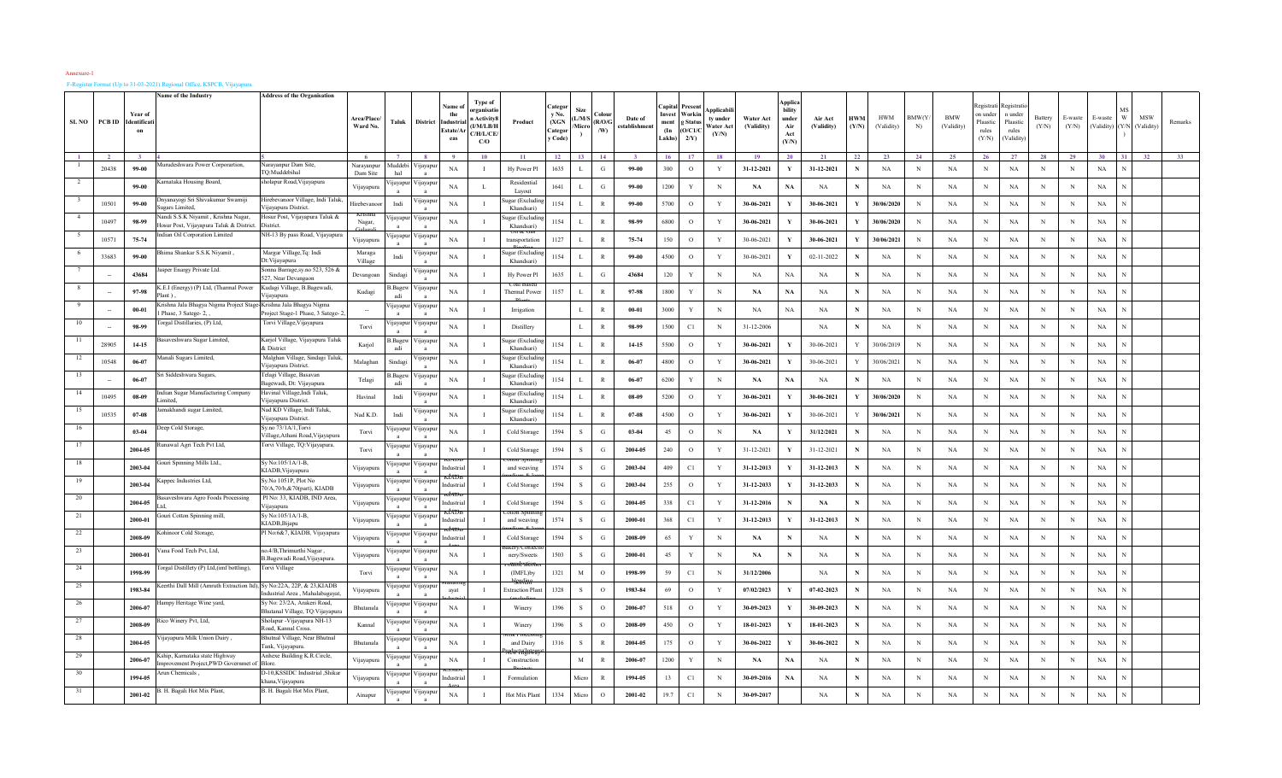## F-Register Format (Up to 31-03-2021) Regional Office, KSPCB, Vijayapura

|       |        | Year of           | Name of the Industry                                                            | <b>Address of the Organisation</b>                                               |                           |                            |                            | Name of<br>the              | Type of<br>organisati                    |                             | Categor<br>v No             | Siz            | ∩ale            |                          | apita<br>Invest                   | Presen<br>Workin         | <b>\pplicabi</b>              |                         | <b>Applics</b><br><b>bility</b> |                       |                     |                          |                    |                          | Registrati<br>n under      | Registrat<br>n under            |                  |                  |                                       |     |     |         |
|-------|--------|-------------------|---------------------------------------------------------------------------------|----------------------------------------------------------------------------------|---------------------------|----------------------------|----------------------------|-----------------------------|------------------------------------------|-----------------------------|-----------------------------|----------------|-----------------|--------------------------|-----------------------------------|--------------------------|-------------------------------|-------------------------|---------------------------------|-----------------------|---------------------|--------------------------|--------------------|--------------------------|----------------------------|---------------------------------|------------------|------------------|---------------------------------------|-----|-----|---------|
| SL NO | PCB ID | Identificat<br>on |                                                                                 |                                                                                  | Area/Place/<br>Ward No.   | Taluk                      | <b>District</b>            | Industr<br>Estate/Aı<br>eas | Activity<br>(I/M/LB/I<br>C/H/L/CE<br>C/O | Product                     | (XGN)<br>Categor<br>y Code) | L/M/S<br>Micro | (R/O/C)<br>/ W) | Date of<br>establishment | ment<br>$(\mathbf{In})$<br>Lakhs) | g Status<br>O/C1/<br>2/Y | ty under<br>Vater Ac<br>(Y/N) | Water Act<br>(Validity) | under<br>Air<br>Act<br>(Y/N)    | Air Act<br>(Validity) | <b>HWM</b><br>(Y/N) | <b>HWM</b><br>(Validity) | <b>BMW(Y</b><br>N) | <b>BMW</b><br>(Validity) | Plaastic<br>rules<br>(Y/N) | Plaastic<br>rules<br>(Validity) | Battery<br>(Y/N) | E-waste<br>(Y/N) | E-waste<br>(Validity) (Y/N (Validity) | W   | MSW | Remarks |
|       |        |                   |                                                                                 |                                                                                  |                           |                            |                            |                             | 10                                       | -11                         | 12                          | 13             | 14              |                          | - 16                              |                          | 18                            | 19                      | 20                              | 21                    | 22                  | 23                       | 24                 | 25                       | -26                        | 27                              | 28               | 29               | $30^{\circ}$                          | 31. |     |         |
|       | 20438  | 99-00             | <b>Aurudeshwara Power Corporartion,</b>                                         | Varayanpur Dam Site,<br>Q:Muddebihal                                             | Narayanpur<br>Dam Site    | Muddebi<br>hal             | 'ijayap                    | NA                          |                                          | Hy Power Pl                 | 1635                        |                | G               | 99-00                    | 300                               | $\circ$                  | Y                             | 31-12-2021              |                                 | 31-12-2021            | $\mathbf N$         | NA                       | $\mathbf N$        | $_{\rm NA}$              | N                          | NA                              | N                | N                | NA                                    |     |     |         |
|       |        | 99-00             | arnataka Housing Board,                                                         | nolapur Road, Vijayapura                                                         | Vijayapura                | <b>I</b> ayapu             | 'ijayapı                   | NA                          | л.                                       | Residential<br>Lavout       | 1641                        |                | G               | 99-00                    | 1200                              | Y                        | N                             | NA                      | NA                              | NA                    | N                   | NA                       | $_{\rm N}$         | $_{\rm NA}$              | N                          | NA                              | N                | N                | $_{\rm NA}$                           |     |     |         |
|       | 10501  | 99-00             | Inyanayogi Sri Shivakumar Swamiji<br>igars Limited.                             | Iirebevanoor Village, Indi Taluk,<br>ijayapura District                          | Hirebevanoo               | Indi                       | 'ijayap                    | NA                          |                                          | agar (Excludi<br>Khandsari  | 1154                        | $\mathbf{L}$   | $\mathbb{R}$    | 99-00                    | 5700                              | $\circ$                  | Y                             | 30-06-2021              | Y                               | 30-06-2021            | Y                   | 30/06/2020               | $_{\rm N}$         | NA                       | N                          | NA                              | N                | N                | NA                                    |     |     |         |
|       | 10497  | 98-99             | landi S.S.K Niyamit, Krishna Nagar,<br>Iosur Post, Vijayapura Taluk & District. | Iosur Post, Vijayapura Taluk &<br><i>district</i>                                | Nagar,                    | yayap                      | 'ijayapı<br>$\mathbf{a}$   | NA                          |                                          | agar (Excludi<br>Khandsari) | 1154                        | $\mathbf{L}$   | $\mathbb{R}$    | 98-99                    | 6800                              | $\circ$                  | Y                             | 30-06-2021              | Y                               | 30-06-2021            | V                   | 30/06/2020               | N                  | NA                       | N                          | NA                              | N                | N                | NA                                    |     |     |         |
|       | 10571  | 75-74             | ndian Oil Corporation Limited                                                   | VH-13 By pass Road, Vijayapura                                                   | Vijayapura                | <b>1</b> ayapur            | √ijayapu                   | NA                          |                                          | лач<br>transportation       | 1127                        | $\mathbf{L}$   | $\mathbb{R}$    | 75-74                    | 150                               | $\circ$                  | Y                             | 30-06-2021              |                                 | 30-06-2021            | Y                   | 30/06/2021               | $_{\rm N}$         | NA                       | N                          | NA                              | N                | N                | NA                                    |     |     |         |
|       | 33683  | 99-00             | hima Shankar S.S.K Niyamit,                                                     | Margar Village, Tq: Indi<br>t:Viiavapura                                         | Maraga<br>$_{\rm Vilage}$ | Indi                       | 'ijayap                    | NA                          |                                          | ugar (Excludi<br>Khandsari) | 1154                        |                | R               | 99-00                    | 4500                              | $\circ$                  | Y                             | 30-06-2021              | Y                               | $02 - 11 - 2022$      | N                   | NA                       | N                  | NA                       | N                          | $_{\rm NA}$                     | N                | N                | NA                                    |     |     |         |
|       |        | 43684             | sper Enargy Private Ltd.                                                        | onna Barrage, sy.no 523, 526 &<br>527, Near Devangaon                            | Devangoan                 | Sindas                     | 'ijayapı                   | NA                          |                                          | Hy Power Pl                 | 1635                        |                | G               | 43684                    | 120                               | Y                        | N                             | NA                      | <b>NA</b>                       | NA                    |                     | NA                       | N                  | NA                       | N                          | NA                              |                  | N                | NA                                    |     |     |         |
|       |        | 97-98             | K.E.I (Energy) (P) Ltd, (Tharmal Power<br>lant)                                 | Kudagi Village, B.Bagewadi,<br>ijayapura                                         | Kudagi                    | .Bage<br>adi               | 'ijayap                    | NA                          |                                          | Thermal Power               | 1157                        | $\mathbf{L}$   | $\mathbb{R}$    | 97-98                    | 1800                              | Y                        | N                             | NA                      | NA                              | NA                    | N                   | NA                       | $\mathbf N$        | NA                       | N                          | NA                              | N                | N                | NA                                    |     |     |         |
|       |        | $00 - 01$         | rishna Jala Bhagya Nigma Project Stage<br>Phase, 3 Satege- 2, ,                 | Krishna Jala Bhagya Nigma<br>oject Stage-1 Phase, 3 Satege-1                     |                           | 1 jayapi                   | 'ijayapı                   | NA                          |                                          | Irrigation                  |                             |                | $\mathbb{R}$    | $00 - 01$                | 3000                              | Y                        | N                             | NA                      | NA                              | NA                    | N                   | NA                       | $\mathbf N$        | NA                       | N                          | NA                              | $\mathbf N$      | N                | NA                                    |     |     |         |
|       |        | 98-99             | orgal Distillaries, (P) Ltd,                                                    | Torvi Village, Vijayapura                                                        | Torvi                     | ijayapu                    | 'ijayap                    | NA                          |                                          | Distillery                  |                             | <b>I</b> .     | $\,$ R          | 98-99                    | 1500                              | C1                       | N                             | 31-12-2006              |                                 | NA                    | N                   | NA                       | $_{\rm N}$         | NA                       | N                          | NA                              | N                | N                | NA                                    |     |     |         |
| 11    | 28905  | 14-15             | asaveshwara Sugar Limited,                                                      | Karjol Village, Vijayapura Taluk<br>& District                                   | Karjol                    | 3. Bagew<br>adi            | 'ijayapı<br>$\overline{a}$ | NA                          |                                          | ugar (Excludi<br>Khandsari) | 1154                        | $\mathbf{L}$   | $\mathbb{R}$    | 14-15                    | 5500                              | $\circ$                  | Y                             | 30-06-2021              | Y                               | 30-06-2021            |                     | 30/06/2019               | $\mathbf N$        | $_{\rm NA}$              | N                          | NA                              | $\mathbf N$      | N                | NA                                    |     |     |         |
|       | 10548  | 06-07             | Aanali Sugars Limited,                                                          | Malghan Village, Sindagi Taluk,<br>'ijayapura District.                          | Malaghan                  | Sindagi                    | ijayap                     | NA                          |                                          | ıgar (Excludi<br>Khandsari) | 1154                        | <b>L</b>       | $\mathbb{R}$    | 06-07                    | 4800                              | $\circ$                  | Y                             | 30-06-2021              | Y                               | 30-06-2021            | Y                   | 30/06/2021               | $_{\rm N}$         | NA                       | N                          | NA                              | N                | N                | NA                                    |     |     |         |
|       |        | $06-07$           | ri Siddeshwara Sugars.                                                          | 'elagi Village, Basavan<br>Bagewadi, Dt: Vijayapura                              | Telagi                    | . Bage<br>adi              | 'ijayap                    | NA                          |                                          | ugar (Excludi<br>Khandsari) | 1154                        | <b>I</b> .     | R               | $06-07$                  | 6200                              | Y                        | N                             | NA                      | NA                              | NA                    | $\mathbf N$         | NA                       | N                  | NA                       | N                          | $_{\rm NA}$                     | N                | N                | NA                                    |     |     |         |
|       | 10495  | $08 - 09$         | ndian Sugar Manufacturing Company<br>imited.                                    | Iavinal Village,Indi Taluk,<br>ijayapura District                                | Havinal                   | Indi                       | 'ijayapı                   | NA                          |                                          | lugar (Excludi<br>Khandsari | 1154                        | $\mathbf{L}$   | $\mathbb{R}$    | 08-09                    | 5200                              | $\circ$                  | Y                             | 30-06-2021              |                                 | 30-06-2021            | Y                   | 30/06/2020               | $_{\rm N}$         | $_{\rm NA}$              | N                          | NA                              | N                | N                | NA                                    |     |     |         |
|       | 10535  | $07 - 08$         | makhandi sugar Limited,                                                         | Vad KD Village, Indi Taluk,<br>ijayapura District                                | Nad K.D.                  | Indi                       | 'ijayapı                   | NA                          |                                          | ıgar (Excludi<br>Khandsari  | 1154                        |                | $\mathbb{R}$    | $07 - 08$                | 4500                              | $\circ$                  | Y                             | 30-06-2021              |                                 | 30-06-2021            |                     | 30/06/2021               | $\,$ N             | NA                       | N                          | NA                              | $_{\rm N}$       | N                | NA                                    |     |     |         |
|       |        | $03 - 04$         | eep Cold Storage,                                                               | y.no 73/1A/1,Torvi<br>'illage, Athani Road, Vijayapura                           | Torvi                     | <b>I</b> ayapu             | ∕ijayapı                   | NA                          |                                          | Cold Storage                | 1594                        |                | G               | $03 - 04$                | 45                                | $\circ$                  | N                             | NA                      |                                 | 31/12/2021            | N                   | NA                       | $_{\rm N}$         | NA                       | N                          | NA                              | N                | N                | NA                                    |     |     |         |
|       |        | 2004-05           | unawal Agri Tech Pvt Ltd,                                                       | Forvi Village, TQ:Vijayapura.                                                    | Torvi                     | ijayapı                    | 'ijayap                    | NA                          |                                          | Cold Storage                | 1594                        | -S             | G               | $2004 - 05$              | 240                               | $\circ$                  | Y                             | 31-12-2021              | Y                               | 31-12-2021            | $\mathbf N$         | NA                       | N                  | NA                       | N                          | NA                              | N                | N                | NA                                    |     |     |         |
|       |        | 2003-04           | iouri Spinning Mills Ltd.,                                                      | y No:105/1A/1-B,<br>KIADB, Vijayapura                                            | Vijayapura                | ijayapur                   | 'ijayapu<br>$\mathbf{a}$   | dustria                     |                                          | and weaving                 | 1574                        | -S             | G               | 2003-04                  | 409                               | C1                       | Y                             | 31-12-2013              | Y                               | 31-12-2013            | N                   | NA                       | N                  | $_{\rm NA}$              | N                          | $_{\rm NA}$                     | N                | N                | NA                                    |     |     |         |
|       |        | 2003-04           | appec Industries Ltd,                                                           | Sy.No 1051P, Plot No<br>70/A,70/b,&70(part), KIADB                               | Vijayapura                | <b>I</b> ayapu             | 'ijayapi                   |                             |                                          | Cold Storage                | 1594                        | <sub>S</sub>   | G               | 2003-04                  | 255                               | $\circ$                  | Y                             | 31-12-2033              |                                 | 31-12-2033            | N                   | NA                       | N                  | NA                       | N                          | <b>NA</b>                       | N                | N                | NA                                    |     |     |         |
| 20    |        | 2004-05           | asaveshwara Agro Foods Processing                                               | Pl No: 33, KIADB, IND Area,<br>ijayapura                                         | Vijayapura                | ijayapı                    | 'ijayap                    | ustris                      |                                          | Cold Storage                | 1594                        |                | G               | 2004-05                  | 338                               | C1                       | Y                             | 31-12-2016              | N                               | NA                    | N                   | NA                       | $\mathbf N$        | NA                       | N                          | $_{\rm NA}$                     | N                | N                | NA                                    |     |     |         |
|       |        | 2000-01           | iouri Cotton Spinning mill,                                                     | y No:105/1A/1-B,<br>KIADB,Bijapu                                                 | Vijayapura                | <b>I</b> ayapu             | ijayap                     |                             |                                          | and weaving                 | 1574                        | <sub>S</sub>   | G               | 2000-01                  | 368                               | C1                       | Y                             | 31-12-2013              | Y                               | 31-12-2013            | N                   | NA                       | $_{\rm N}$         | $_{\rm NA}$              | N                          | NA                              | N                | N                | NA                                    |     |     |         |
|       |        | 2008-09           | Cohinoor Cold Storage,                                                          | 1 No:6&7, KIADB, Vijayapura                                                      | Vijayapura                | ijayapu                    | 'ijayapı                   |                             |                                          | Cold Storage                | 1594                        | $\mathcal{S}$  | G               | 2008-09                  | 65                                | Y                        | N                             | NA                      | N                               | NA                    | N                   | NA                       | $\mathbb N$        | NA                       | N                          | NA                              | N                | $_{\rm N}$       | NA                                    |     |     |         |
|       |        | 2000-01           | 'ana Food Tech Pvt, Ltd,                                                        | o.4/B,Thrimurthi Nagar,<br>Bagewadi Road, Vijayapura.                            | Vijayapura                | <b>I</b> ayapu             | ∕ijayapı                   | NA                          |                                          | nerv/Sweets                 | 1503                        |                | G               | 2000-01                  | 45                                | Y                        | N                             | <b>NA</b>               | $\mathbf N$                     | NA                    | N                   | NA                       | N                  | <b>NA</b>                |                            | NA                              | N                | N                | $_{\rm NA}$                           |     |     |         |
|       |        | 1998-99           | orgal Distillety (P) Ltd, (imf bottling),                                       | `orvi Village                                                                    | Torvi                     | ijayapı                    | 'ijayap                    | NA                          |                                          | (IMFL)by                    | 1321                        | $\mathbf M$    | $\circ$         | 1998-99                  | 59                                | C1                       | N                             | 31/12/2006              |                                 | NA                    | $\mathbf N$         | NA                       | N                  | NA                       | N                          | NA                              | N                | N                | NA                                    |     |     |         |
| 25    |        | 1983-84           | Leerthi Dall Mill (Amruth Extraction ltd), Sy No:22A, 22P, & 23, KIADB          | dustrial Area, Mahalabagayat                                                     | Vijayapura                | ijayapur                   | 'ijayapı                   | avat                        |                                          | <b>Extraction Plan</b>      | 1328                        | -S             | $\circ$         | 1983-84                  | 69                                | $\circ$                  | Y                             | 07/02/2023              |                                 | 07-02-2023            | N                   | NA                       | N                  | NA                       | N                          | NA                              | N                | N                | NA                                    |     |     |         |
| 26    |        | 2006-07           | ampy Heritage Wine yard,                                                        | Sy No: 23/2A, Arakeri Road,<br>Bhutanal Village, TQ:Vijayapura                   | Bhutanala                 | ijayapı                    | 'ijayapı                   | NA                          |                                          | Winery                      | 1396                        | -S             | $\circ$         | 2006-07                  | 518                               | $\circ$                  | Y                             | 30-09-2023              |                                 | 30-09-2023            | N                   | NA                       | N                  | NA                       | N                          | NA                              | $_{\rm N}$       | N                | NA                                    |     |     |         |
| -27   |        | 2008-09           | ico Winery Pvt, Ltd,<br>ijayapura Milk Union Dairy                              | holapur -Vijayapura NH-13<br>oad, Kannal Cross.<br>Bhutnal Village, Near Bhutnal | Kannal                    | ŋayapu                     | 'ijayap                    | NA                          |                                          | Winery                      | 1396                        |                | $\Omega$        | 2008-09                  | 450                               | $\circ$                  | Y                             | 18-01-2023              | Y                               | 18-01-2023            | $\mathbf N$         | NA                       | $_{\rm N}$         | $_{\rm NA}$              | N                          | NA                              | N                | N                | $_{\rm NA}$                           |     |     |         |
|       |        | 2004-05           | ship, Kamataka state Highway.                                                   | 'ank, Vijayapura.<br>Anhexe Building K.R.Circle,                                 | Bhutanal                  | nayapt                     | 'ijayap                    | NA                          |                                          | and Dairy                   | 1316                        | <sub>S</sub>   | $\mathbb{R}$    | 2004-05                  | 175                               | $\circ$                  | Y                             | 30-06-2022              |                                 | 30-06-2022            |                     | NA                       | $_{\rm N}$         | $_{\rm NA}$              | N                          | NA                              | N                | N                | NA                                    |     |     |         |
|       |        | 2006-07           | mprovement Project, PWD Governmet of Blore.<br>Arun Chemicals,                  | Shikar, Shikar<br>Shikar                                                         | Vijayapura                | ijayapı                    | 'ijayap                    | NA                          |                                          | Construction                |                             | M              | $\mathbb{R}$    | 2006-07                  | 1200                              | $\mathbf{Y}$             | $\mathbf N$                   | NA                      | $_{\rm NA}$                     | NA                    | N                   | NA                       | $_{\rm N}$         | $_{\rm NA}$              | N                          | NA                              | N                | N                | NA                                    |     |     |         |
|       |        | 1994-05           | 3. H. Bagali Hot Mix Plant,                                                     | ana, Vijayapura<br>3. H. Bagali Hot Mix Plant,                                   | Vijayapura                | <b>I</b> ayapur<br>ijayapı | Vijayapu<br>'ijayap        | ustria                      |                                          | Formulation                 |                             | Micro          | $\mathbb{R}$    | 1994-05                  | 13                                | C1                       | N                             | 30-09-2016              | NA                              | NA                    |                     | NA                       | N                  | $_{\rm NA}$              | N                          | NA                              | N                | N                | $_{\rm NA}$                           |     |     |         |
|       |        | 2001-02           |                                                                                 |                                                                                  | Ainapur                   |                            |                            | NA                          |                                          | Hot Mix Plant               | 1334                        | Micro          | $\circ$         | 2001-02                  | 19.7                              | C1                       | N                             | 30-09-2017              |                                 | NA                    | N                   | NA                       | N                  | <b>NA</b>                |                            | $_{\rm NA}$                     | N                | N                | $_{\rm NA}$                           |     |     |         |

Annexure-1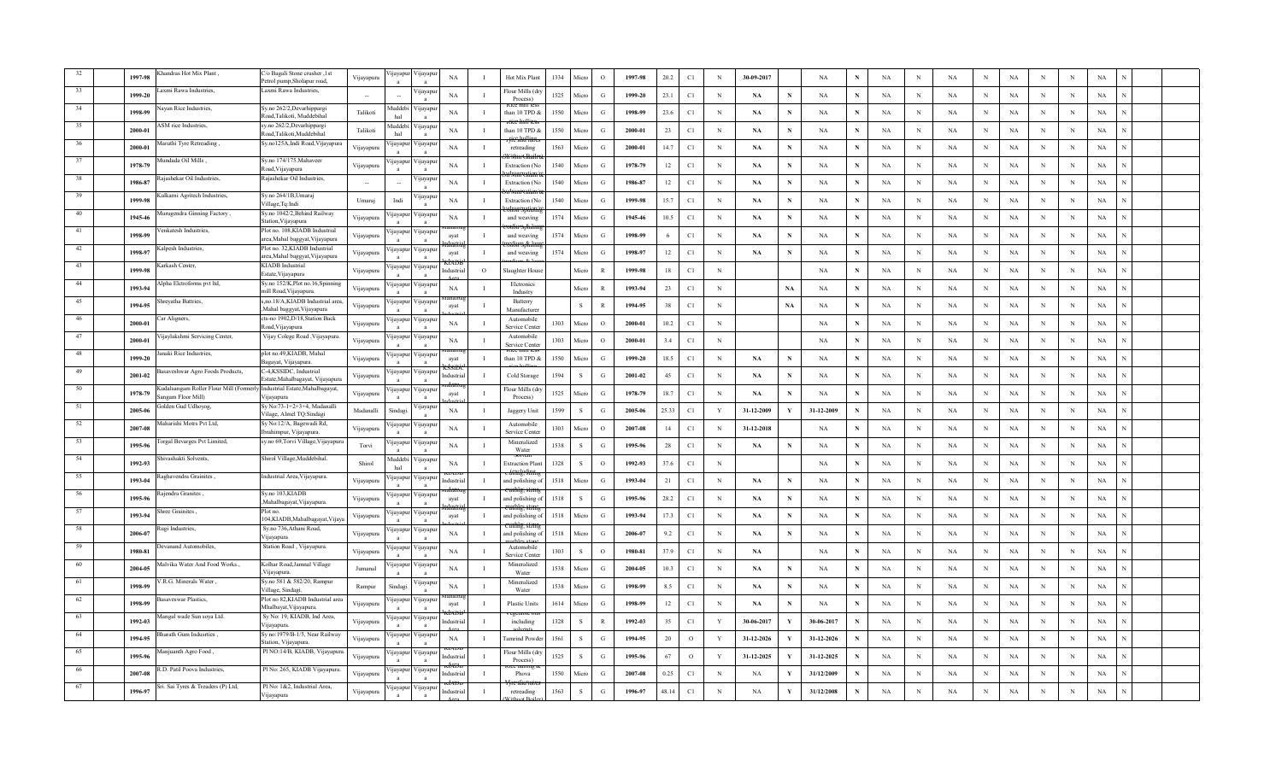|    | 1997-98 | handras Hot Mix Plant                                                                       | o Bagali Stone crusher, 1st<br>etrol pump, Sholapur road,         | Vijayapura     | jayap                    | 'ijayapı                    | NA          | $\mathbf{I}$   | Hot Mix Plant                | 1334 | Micro        | $\Omega$      | 1997-98 | 20.2   | C1            | $_{\rm N}$   | 30-09-2017 |              | NA         |             | <b>NA</b>   | $_{\rm N}$   | <b>NA</b>   | N            | NA          |   | N          | NA          |  |
|----|---------|---------------------------------------------------------------------------------------------|-------------------------------------------------------------------|----------------|--------------------------|-----------------------------|-------------|----------------|------------------------------|------|--------------|---------------|---------|--------|---------------|--------------|------------|--------------|------------|-------------|-------------|--------------|-------------|--------------|-------------|---|------------|-------------|--|
|    | 1999-20 | axmi Rawa Industries.                                                                       | Laxmi Rawa Industries.                                            | $\sim$         |                          | 'ijayapu                    | NA          | $\mathbf{I}$   | Flour Mills (di<br>Process)  | 1525 | Micro        | G             | 1999-20 | 23.1   | C1            | $_{\rm N}$   | <b>NA</b>  | $\mathbf N$  | NA         | N           | NA          | $_{\rm N}$   | NA          | N            | NA          | N | N          | NA          |  |
|    | 1998-99 | ayan Rice Industries,                                                                       | Sy.no 262/2, Devarhippargi<br>Road,Talikoti, Muddebihal           | Talikoti       | <b>Iuddeb</b><br>hal     | ijayapu                     | NA          | -1             | than 10 TPD &                | 1550 | Micro        | G             | 1998-99 | 23.6   | $\mathbb{C}1$ | $\mathbb N$  | NA         | $\mathbf N$  | NA         | N           | NA          | $\mathbb N$  | NA          | N            | NA          | N | N          | NA          |  |
|    | 2000-01 | SM rice Industries,                                                                         | sy.no 262/2,Devarhippargi<br>Road,Talikoti,Muddebihal             | Talikoti       | <b>Iuddeb</b><br>hal     | ijayapu                     | NA          | $\mathbf I$    | than 10 TPD &                | 1550 | Micro        | G             | 2000-01 | 23     | C1            | $_{\rm N}$   | <b>NA</b>  | N            | NA         | N           | NA          | $\mathbf N$  | NA          | N            | NA          | N | N          | NA          |  |
|    | 2000-01 | 1aruthi Tyre Retreading,                                                                    | Sy.no125A,Indi Road,Vijayapura                                    | Vijayapura     | ijayapı                  | /ijayapu                    | NA          | л.             | retreading                   | 1563 | Micro        | $\mathcal{G}$ | 2000-01 | 14.7   | C1            | $_{\rm N}$   | <b>NA</b>  | N            | NA         | N           | NA          | $_{\rm N}$   | <b>NA</b>   | N            | NA          | N | $_{\rm N}$ | NA          |  |
|    | 1978-79 | fundada Oil Mills.                                                                          | Sy.no 174/175. Mahaveer<br>load, Vijayapura                       | Vijayapura     | ijayapı                  | ∕ijayapı<br>$\mathbf{a}$    | <b>NA</b>   | $\mathbf{I}$   | Extraction (N                | 1540 | Micro        | G             | 1978-79 | 12     | C1            | N            | NA         | N            | NA         | N           | NA          | $_{\rm N}$   | NA          | N            | $_{\rm NA}$ | N | $_{\rm N}$ | NA          |  |
|    | 1986-87 | ajashekar Oil Industries,                                                                   | Rajashekar Oil Industries,                                        | <b>Section</b> |                          | 'ijayapu                    | NA          | $\mathbf{I}$   | <b>Extraction</b> (No        | 1540 | Micro        | $\mathcal{G}$ | 1986-87 | 12     | $\mathbb{C}1$ | $_{\rm N}$   | NA         | N            | NA         | N           | NA          | $\mathbf N$  | $_{\rm NA}$ | N            | $_{\rm NA}$ | N | N          | $_{\rm NA}$ |  |
|    | 1999-98 | Culkarni Agritech Industries,                                                               | Sy.no 264/1B, Umaraj<br>Village, Tq: Indi                         | Umaraj         | Indi                     | √ijayapur                   | <b>NA</b>   | $\mathbf{I}$   | Extraction (N                | 1540 | Micro        | G             | 1999-98 | 15.7   | C1            | $_{\rm N}$   | <b>NA</b>  | N            | NA         | N           | <b>NA</b>   | $_{\rm N}$   | NA          | N            | NA          | N | N          | NA          |  |
|    | 1945-46 | <b>furugendra Ginning Factory</b> ,                                                         | Sy.no 1042/2, Behind Railway<br>Station, Vijayapura               | Vijayapura     | ijayapu                  | ∕ijayapuı                   | NA          | $\blacksquare$ | and weaving                  | 1574 | Micro        | G             | 1945-46 | 10.5   | C1            | $_{\rm N}$   | NA         | N            | NA         |             | NA          | $_{\rm N}$   | NA          | N            | NA          | N | N          | NA          |  |
| 41 | 1998-99 | 'enkatesh Industries.                                                                       | Plot no. 108, KIADB Industrial<br>area, Mahal baggyat, Vijayapura | Vijayapura     | ijayapu<br>$\mathbf{a}$  | ∕ ijayapu<br>$\mathbf{a}$   | ayat        | $\blacksquare$ | and weaving                  | 1574 | Micro        | G             | 1998-99 | 6      | $\mathbb{C}1$ | $\,$ N       | NA         | - N          | NA         | N           | NA          | $\mathbf N$  | NA          | $_{\rm N}$   | $_{\rm NA}$ | N | N          | NA          |  |
| 42 | 1998-97 | alpesh Industries,                                                                          | Plot no. 32, KIADB Industrial<br>irea,Mahal baggyat,Vijayapura    | Vijayapura     | ijayapu                  | 'ijayapu                    | ayat        | -1             | and weaving                  | 1574 | Micro        | G             | 1998-97 | 12     | C1            | $_{\rm N}$   | NA         | N            | NA         | $\mathbf N$ | NA          | $\mathbf N$  | NA          | $_{\rm N}$   | $_{\rm NA}$ | N | $_{\rm N}$ | NA          |  |
| 43 | 1999-98 | arkash Center,                                                                              | <b>KIADB</b> Industrial<br>Estate, Vijayapura                     | Vijayapura     | yayapu                   | √ıjayapur                   | Industria   | $\circ$        | laughter Hous                |      | Micro        | $\mathbb{R}$  | 1999-98 | 18     | C1            | $_{\rm N}$   |            |              | NA         | $\mathbf N$ | NA          | $\mathbf N$  | NA          | $_{\rm N}$   | NA          | N | N          | NA          |  |
| 44 | 1993-94 | lpha Eletroforms pvt ltd,                                                                   | Sy.no 152/K, Plot no.16, Spinning<br>mill Road, Vijayapura.       | Vijayapura     | ijayapu                  | ∕ ijayapuı<br>$\mathbf{a}$  | NA          | л.             | Eletronics<br>Industry       |      | Micro        | $\mathbb{R}$  | 1993-94 | 23     | C1            | $_{\rm N}$   |            | <b>NA</b>    | NA         | $\mathbf N$ | NA          | $_{\rm N}$   | NA          | N            | NA          | N | N          | NA          |  |
| 45 | 1994-95 | hreyatha Battries,                                                                          | s,no.18/A,KIADB Industrial area<br>Mahal baggyat, Vijayapura      | Vijayapura     | ijayapu<br>$\mathbf{a}$  | √ijayapu<br>$\mathbf{a}$    | ayat        | $\mathbf{I}$   | Batterry<br>Manufacture      |      | ${\bf S}$    | $\mathbb{R}$  | 1994-95 | $38\,$ | C1            | $_{\rm N}$   |            | NA           | NA         | $\mathbf N$ | $_{\rm NA}$ | $\,$ N       | $_{\rm NA}$ | N            | $_{\rm NA}$ | N | N          | $_{\rm NA}$ |  |
| 46 | 2000-01 | ar Aligners,                                                                                | cts-no 1902, D/18, Station Back<br>Road, Vijayapura               | Vijayapura     | yayapu                   | 'ijayapu                    | NA          | $\mathbf{I}$   | Automobile<br>Service Center | 1303 | Micro        | $\circ$       | 2000-01 | 10.2   | C1            | $_{\rm N}$   |            |              | NA         | $\mathbf N$ | NA          | $\mathbf N$  | NA          | N            | NA          | N | N          | NA          |  |
| 47 | 2000-01 | ijaylakshmi Servicing Center,                                                               | Vijay Colege Road , Vijayapura.                                   | Vijayapura     | ijayapu                  | ∕ ijayapuı                  | NA          | $\mathbf{I}$   | Automobile<br>Service Cente  | 1303 | Micro        | $\circ$       | 2000-01 | 3.4    | C1            | $_{\rm N}$   |            |              | NA         | N           | <b>NA</b>   | $_{\rm N}$   | <b>NA</b>   | N            | NA          |   | N          | NA          |  |
|    | 1999-20 | anaki Rice Industries.                                                                      | plot no.49,KIADB, Mahal<br>Bagayat, Vijayapura.                   | Vijayapura     | ijayap                   | 'ijayapu                    | ayat        | $\mathbf{I}$   | than 10 TPD &                | 1550 | Micro        | G             | 1999-20 | 18.5   | C1            | $_{\rm N}$   | <b>NA</b>  | - N          | NA         | N           | NA          | $\mathbf N$  | NA          | N            | NA          | N | N          | NA          |  |
|    | 2001-02 | asaveshwar Agro Foods Products,                                                             | C-4,KSSIDC, Industrial<br>Estate,Mahalbagayat, Vijayapura         | Vijayapura     | ijayapu                  | √ijayapur                   | Industria   | - T            | Cold Storage                 | 1594 | ${\bf S}$    | G             | 2001-02 | $45\,$ | $\mathbb{C}1$ | $\,$ N       | NA         | $\mathbf N$  | NA         | N           | NA          | $\,$ N       | $_{\rm NA}$ | $_{\rm N}$   | NA          | N | $_{\rm N}$ | NA          |  |
|    | 1978-79 | adalsangam Roller Flour Mill (Formerly Industrial Estate, Mahalbagayat,<br>ngam Floor Mill) | Vijayapura                                                        | Vijayapura     | <b>q</b> ayapu           | <b>yayapu</b>               | ayat        | $\mathbf I$    | lour Mills (dr<br>Process)   | 1525 | Micro        | G             | 1978-79 | 18.7   | C1            | $_{\rm N}$   | NA         |              | NA         | N           | NA          | $\mathbf N$  | NA          | $_{\rm N}$   | NA          | N | N          | NA          |  |
|    | 2005-06 | olden Gud Udhoyog,                                                                          | Sv No:73-1+2+3+4, Madanalli<br>'ilage, Almel TQ:Sindagi           | Madanalli      | Sindagi                  | ijayapu                     | <b>NA</b>   | $\mathbf{I}$   | Jaggery Unit                 | 1599 | <sub>S</sub> | $\mathcal{G}$ | 2005-06 | 25.33  | C1            | Y            | 31-12-2009 |              | 31-12-2009 | N           | NA          | $_{\rm N}$   | <b>NA</b>   | N            | NA          | N | N          | NA          |  |
|    | 2007-08 | Maharishi Motrs Pvt Ltd,                                                                    | Sy No:12/A, Bagewadi Rd,<br>brahimpur, Vijavapura.                | Vijayapura     | ijayapu                  | ∕ ijayapuı                  | $_{\rm NA}$ | л.             | Automobile<br>Service Cente  | 1303 | Micro        | $\circ$       | 2007-08 | 14     | C1            | $_{\rm N}$   | 31-12-2018 |              | NA         | N           | NA          | N            | $_{\rm NA}$ | N            | NA          | N | N          | NA          |  |
|    | 1995-96 | orgal Bevarges Pvt Limited,                                                                 | sy.no 69,Torvi Village,Vijayapur                                  | Torvi          | ijayapuı                 | 'ijayapu                    | $_{\rm NA}$ | $\mathbf{I}$   | Mineralized<br>Water         | 1538 | S            | G             | 1995-96 | 28     | C1            | $_{\rm N}$   | NA         | N            | NA         | N           | NA          | $\mathbb N$  | $_{\rm NA}$ | N            | $_{\rm NA}$ | N | N          | NA          |  |
| 54 | 1992-93 | hivashakti Solvents,                                                                        | Shirol Village, Muddebihal                                        | Shirol         | Auddebi<br>hal           | 'ijayapur                   | <b>NA</b>   | $\mathbf{I}$   | Extraction Pla               | 1328 | <sub>S</sub> | $\circ$       | 1992-93 | 37.6   | C1            | $_{\rm N}$   |            |              | NA         | N           | NA          | $_{\rm N}$   | NA          | N            | NA          | N | N          | NA          |  |
| 55 | 1993-04 | aghavendra Grainites.                                                                       | Industrial Area, Vijayapura.                                      | Vijayapura     | ijayapu                  | ∕ ijayapuı<br>a             | Industria   | $\blacksquare$ | and polishing o              | 1518 | Micro        | G             | 1993-04 | 21     | C1            | $_{\rm N}$   | NA         |              | NA         |             | NA          | $_{\rm N}$   | NA          | N            | NA          | N | N          | NA          |  |
| 56 | 1995-96 | ajendra Granites.                                                                           | Sy.no 103, KIADB<br>Mahalbagayat, Vijayapura.                     | Vijayapura     | ijayapu                  | 'ijayapı<br>$\mathbf{a}$    | ayat        | -1             | and polishing                | 1518 | S            | $\mathbf G$   | 1995-96 | 28.2   | $\mathbb{C}1$ | $\,$ N       | NA         | N            | NA         | N           | NA          | N            | NA          | N            | $_{\rm NA}$ | N | N          | $_{\rm NA}$ |  |
| 57 | 1993-94 | nree Grainites,                                                                             | Plot no.<br>04,KIADB,Mahalbagayat,Vijay                           | Vijayapura     | jayapu                   | ijayapı                     | ayat        | $\mathbf I$    | and polishing                | 1518 | Micro        | G             | 1993-94 | 17.3   | C1            | $_{\rm N}$   | <b>NA</b>  | N            | NA         | $\mathbf N$ | NA          | $_{\rm N}$   | NA          | $_{\rm N}$   | NA          | N | N          | NA          |  |
| 58 | 2006-07 | ugi Industries,                                                                             | Sy.no 736, Athani Road,<br>Vijayapura                             | Vijayapura     | ijayapu                  | √ijayapur                   | NA          | -1             | and polishing o              | 1518 | Micro        | G             | 2006-07 | 9.2    | C1            | $\mathbb N$  | NA         | N            | NA         | $\mathbf N$ | NA          | $\mathbf N$  | NA          | $_{\rm N}$   | NA          | N | N          | NA          |  |
| 59 | 1980-81 | vanand Automobiles,                                                                         | Station Road, Vijayapura.                                         | Vijayapura     | ijayapu<br>$\mathbf{a}$  | ∕ ijayapuı<br>$\mathbf{a}$  | NA          | л.             | Automobile<br>Service Cente  | 1303 | S            | $\circ$       | 1980-81 | 37.9   | C1            | $_{\rm N}$   | <b>NA</b>  |              | NA         | $\mathbf N$ | NA          | $_{\rm N}$   | NA          | N            | NA          | N | N          | NA          |  |
| 60 | 2004-05 | falvika Water And Food Works.,                                                              | Kolhar Road, Jamnal Village<br>Vijayapura.                        | Jumana         | ijayapu                  | ∕ ijayapu<br>$\overline{a}$ | NA          |                | Mineralized<br>Water         | 1538 | Micro        | G             | 2004-05 | 10.3   | C1            | $\,$ N       | <b>NA</b>  | N            | NA         | N           | NA          | $\mathbf N$  | $_{\rm NA}$ | N            | $_{\rm NA}$ | N | N          | NA          |  |
| 61 | 1998-99 | .R.G. Minerals Water,                                                                       | Sy.no 581 & 582/20, Rampur<br>Village, Sindagi                    | Rampur         | Sindagi                  | ijayapu                     | <b>NA</b>   | $\mathbf{I}$   | Mineralized<br>Water         | 1538 | Micro        | G             | 1998-99 | 8.5    | C1            | $_{\rm N}$   | <b>NA</b>  | N            | NA         | $\mathbf N$ | NA          | $_{\rm N}$   | NA          | N            | NA          | N | N          | NA          |  |
|    | 1998-99 | saveswar Plastics,                                                                          | Plot no 82, KIADB Industrial area<br>Mhalbayat, Vijayapura.       | Vijayapura     | yayapı                   | 'ijayapu                    | avat        | $\blacksquare$ | <b>Plastic Units</b>         | 1614 | Micro        | G             | 1998-99 | 12     | C1            | $_{\rm N}$   | NA         | N            | NA         | N           | NA          | $\mathbf N$  | NA          | N            | NA          | N | N          | NA          |  |
|    | 1992-03 | fangal wade Sun soya Ltd.                                                                   | Sy No: 19, KIADB, Ind Area,<br>viiavapura                         | Vijayapura     | ijayap                   | ∕ijayapı<br>$\mathbf{a}$    | Industria   | $\mathbf I$    | including                    | 1328 | $\,$ S       | $\mathbb{R}$  | 1992-03 | 35     | $\mathbb{C}1$ | $\mathbf Y$  | 30-06-2017 | Y            | 30-06-2017 | N           | NA          | $\, {\rm N}$ | $_{\rm NA}$ | $\mathbf N$  | $_{\rm NA}$ | N | N          | NA          |  |
|    | 1994-95 | harath Gum Indusrties.                                                                      | Sy no:1979/B-1/5, Near Railway<br>Station, Vijayapura             | Vijayapura     | yayapu                   | 'ijayapu                    | <b>NA</b>   | $\mathbf{I}$   | amrind Powd                  | 1561 | <sub>S</sub> | G             | 1994-95 | 20     | $\,$ O        | Y            | 31-12-2026 |              | 31-12-2026 | N           | NA          | $\,$ N       | $_{\rm NA}$ | N            | NA          | N | $_{\rm N}$ | NA          |  |
|    | 1995-96 | fanjuanth Agro Food,                                                                        | Pl NO:14/B, KIADB, Vijayapura                                     | Vijayapura     | ijayapu                  | 'ijayapur                   | dustria     | $\mathbf I$    | lour Mills (dr<br>Process)   | 1525 | <sub>S</sub> | G             | 1995-96 | 67     | $\circ$       | Y            | 31-12-2025 |              | 31-12-2025 | N           | <b>NA</b>   | N            | NA          | N            | NA          | N | N          | NA          |  |
|    | 2007-08 | .D. Patil Poova Industries,                                                                 | Pl No: 265, KIADB Vijayapura                                      | Vijayapura     | yayapu                   | √ijayapu                    | ıdustria    |                | Phova                        | 1550 | Micro        | G             | 2007-08 | 0.25   | C1            | $_{\rm N}$   | <b>NA</b>  |              | 31/12/2009 | N           | NA          | N            | NA          | N            | NA          | N | N          | NA          |  |
|    | 1996-97 | Sri. Sai Tyres & Treaders (P) Ltd,                                                          | Pl No: 1&2, Industrial Area,<br>Vijayapura                        | Vijayapura     | 'ijayapu<br>$\mathbf{a}$ | Vijayapu<br>$\overline{a}$  | ndustria    | $\mathbf{I}$   | retreading                   | 1563 | ${\bf S}$    | ${\bf G}$     | 1996-97 | 48.14  | C1            | $\mathbf{N}$ | NA         | $\mathbf{v}$ | 31/12/2008 | N           | $_{\rm NA}$ | N            | <b>NA</b>   | $\mathbf{N}$ | $_{\rm NA}$ | N | N          | $_{\rm NA}$ |  |
|    |         |                                                                                             |                                                                   |                |                          |                             |             |                |                              |      |              |               |         |        |               |              |            |              |            |             |             |              |             |              |             |   |            |             |  |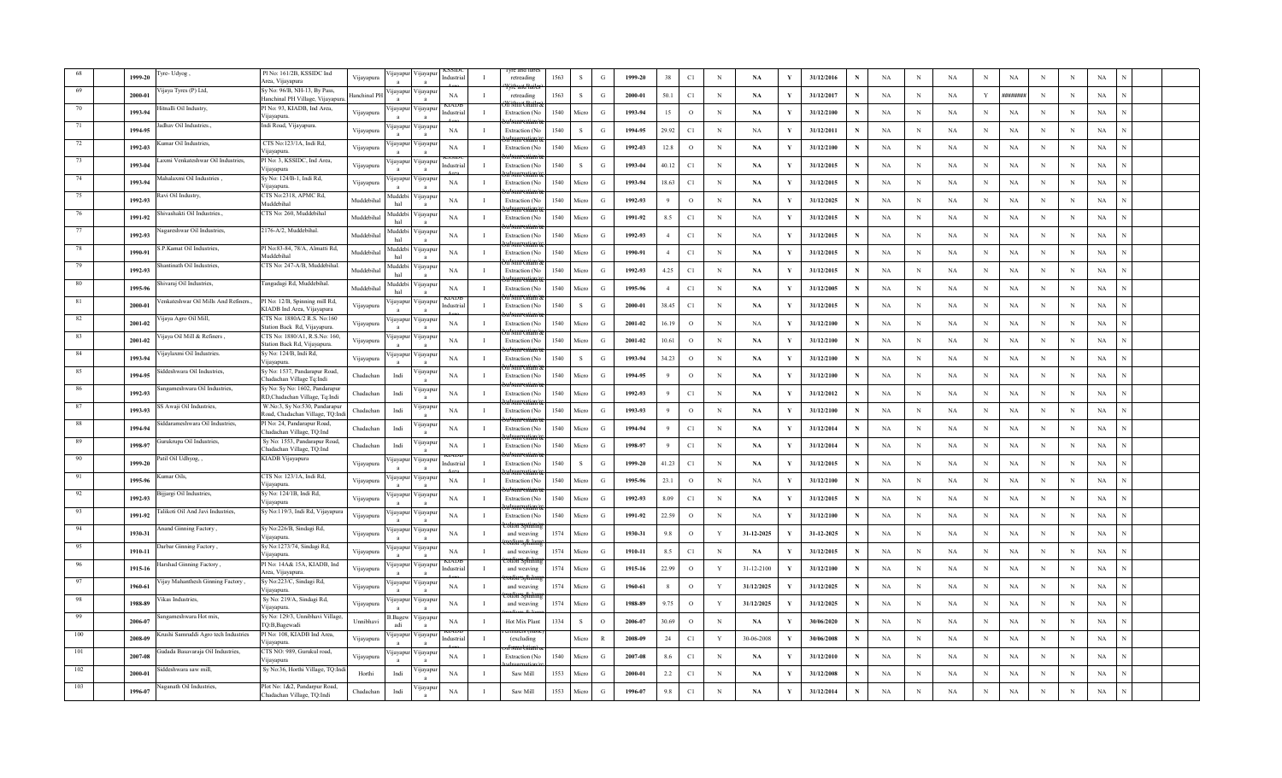|      | 1999-20 | re-Udyog,                            | Pl No: 161/2B, KSSIDC Ind<br>Area, Vijayapura                        | Vijayapura          | 'ijayapuı<br>/ijayapı<br>ndustri<br>$\mathbf{a}$                              | retreading            | 1563 | -S           | $\mathcal{G}$ | 1999-20 | 38             | C1           | $\mathbf N$  | $\mathbf{NA}$ | V   | 31/12/2016 |              | $_{\rm NA}$ | N           | $_{\rm NA}$ |             | $_{\rm NA}$ |            |              | $_{\rm NA}$ |  |  |
|------|---------|--------------------------------------|----------------------------------------------------------------------|---------------------|-------------------------------------------------------------------------------|-----------------------|------|--------------|---------------|---------|----------------|--------------|--------------|---------------|-----|------------|--------------|-------------|-------------|-------------|-------------|-------------|------------|--------------|-------------|--|--|
|      | 2000-01 | ijaya Tyres (P) Ltd,                 | Sy No: 96/B, NH-13, By Pass,<br>Hanchinal PH Village, Vijayapura.    | <b>Hanchinal PI</b> | ijayapu<br>'ijayapı<br>NA<br>$\mathbf{I}$                                     | retreading            | 1563 | S            | G             | 2000-01 | 50.1           | C1           | $_{\rm N}$   | NA            | Y   | 31/12/2017 | N            | NA          | N           | NA          | Y           | ########    | N          | N            | NA          |  |  |
|      | 1993-94 | itnalli Oil Industry,                | Pl No: 93, KIADB, Ind Area,<br>Vijayapura                            | Vijayapura          | ijayapu<br><b>1</b> avapu<br>ndustria<br>-1                                   | Extraction (No        | 1540 | Micro        | G             | 1993-94 | 15             | $\circ$      | N            | NA            |     | 31/12/2100 |              | NA          | N           | NA          | N           | NA          | N          | N            | NA          |  |  |
|      | 1994-95 | dhav Oil Industries.,                | Indi Road, Vijayapura.                                               | Vijayapura          | <i>u</i> ayapur<br>/11ayapu<br>NA                                             | Extraction (N         | 1540 | S            | G             | 1994-95 | 29.92          | C1           | $\,$ N       | NA            |     | 31/12/2011 | N            | NA          | N           | NA          | N           | $_{\rm NA}$ | N          | N            | NA          |  |  |
|      | 1992-03 | mar Oil Industries,                  | CTS No:123/1A, Indi Rd,<br>/ijayapura                                | Vijayapura          | /ijayapu<br>yayapı<br><b>NA</b><br>$\mathbf{I}$                               | Extraction (No        | 1540 | Micro        | $\mathcal{G}$ | 1992-03 | 12.8           | $\mathbf{o}$ | N            | <b>NA</b>     | Y   | 31/12/2100 | N            | <b>NA</b>   | N           | NA          | N           | $_{\rm NA}$ | N          | N            | $_{\rm NA}$ |  |  |
|      | 1993-04 | .axmi Venkateshwar Oil Industries.   | Pl No: 3, KSSIDC, Ind Area,<br>ijayapura                             | Vijayapura          | ijayapu<br>/ijayapı<br>Industria                                              | <b>Extraction</b> (No | 1540 | <sub>S</sub> | G             | 1993-04 | 40.12          | C1           | $_{\rm N}$   | NA            |     | 31/12/2015 | N            | NA          | N           | NA          | N           | $_{\rm NA}$ | N          | $\mathbb{N}$ | NA          |  |  |
|      | 1993-94 | lahalaxmi Oil Industries             | Sy No: 124/B-1, Indi Rd,<br>Vijayapura                               | Vijayapura          | /ijayapur<br><b>1</b> ayapu<br>NA<br>$\mathbf{I}$                             | <b>Extraction</b> (No | 1540 | Micro        | G             | 1993-94 | 18.63          | C1           | $_{\rm N}$   | NA            |     | 31/12/2015 | N            | NA          | N           | NA          | N           | NA          | N          | N            | NA          |  |  |
|      | 1992-93 | avi Oil Industry,                    | CTS No:2318, APMC Rd,<br>Muddebihal                                  | Muddebiha           | Auddebi<br>/ijayapuı<br>NA                                                    | <b>Extraction</b> (N  | 1540 | Micro        | G             | 1992-93 | 9              | $\circ$      | $_{\rm N}$   | <b>NA</b>     |     | 31/12/2025 | N            | NA          | N           | NA          | $_{\rm N}$  | $_{\rm NA}$ | N          | N            | $_{\rm NA}$ |  |  |
| 76   | 1991-92 | iivashakti Oil Industries.,          | TS No: 260, Muddebihal                                               | Muddebiha           | <b>fuddeb</b><br>/ijayapu<br><b>NA</b><br>$\mathbf{I}$<br>hal<br>$\mathbf{a}$ | Extraction (N         | 1540 | Micro        | $\mathcal{G}$ | 1991-92 | 8.5            | C1           | $\mathbf N$  | NA            | V   | 31/12/2015 | N            | NA          | N           | $_{\rm NA}$ | N           | $_{\rm NA}$ | N          | N            | NA          |  |  |
| -77  | 1992-93 | agareshwar Oil Industries            | 2176-A/2, Muddebihal.                                                | Muddebiha           | Iuddeb<br>'ijayapu<br>NA<br>$\mathbf{I}$<br>hal                               | <b>Extraction</b> (No | 1540 | Micro        | G             | 1992-93 | $\overline{4}$ | C1           | $_{\rm N}$   | NA            |     | 31/12/2015 | N            | NA          | N           | NA          | N           | NA          | N          | N            | NA          |  |  |
| - 78 | 1990-91 | P.Kamat Oil Industries,              | Pl No:83-84, 78/A, Almatti Rd,<br>Muddebihal                         | Muddebiha           | uddebi<br>ijayapur<br>NA<br>hal                                               | Extraction (No        | 1540 | Micro        | G             | 1990-91 | $\overline{4}$ | C1           | $_{\rm N}$   | NA            |     | 31/12/2015 | N            | NA          | N           | NA          | N           | NA          | N          | N            | NA          |  |  |
| 79   | 1992-93 | antinath Oil Industries,             | CTS No: 247-A/B, Muddebihal.                                         | Muddebiha           | <b>Iuddeb</b><br>ijayapu<br>NA<br>hal                                         | Extraction (N         | 1540 | Micro        | $\mathcal{G}$ | 1992-93 | 4.25           | C1           | $_{\rm N}$   | <b>NA</b>     |     | 31/12/2015 | N            | NA          | N           | NA          | N           | $_{\rm NA}$ | N          | N            | $_{\rm NA}$ |  |  |
| 80   | 1995-96 | nivaraj Oil Industries,              | Tangadagi Rd, Muddebihal.                                            | Muddebihal          | Auddeb<br>/ijayapı<br>NA<br>$\mathbf{I}$<br>hal<br>$\mathbf{a}$               | Extraction (No        | 1540 | Micro        | G             | 1995-96 | $\overline{4}$ | C1           | N            | <b>NA</b>     | Y   | 31/12/2005 | $\mathbf N$  | NA          | N           | $_{\rm NA}$ | N           | NA          | N          | N            | NA          |  |  |
| - 81 | 2000-01 | enkateshwar Oil Mills And Refiners., | Pl No: 12/B, Spinning mill Rd,<br>KIADB Ind Area, Vijayapura         | Vijayapura          | 'ijayapı<br>ijayapı<br>ndustria<br>$\mathbf{I}$<br>$\mathbf{a}$               | Extraction (No        | 1540 | <sub>S</sub> | G             | 2000-01 | 38.45          | C1           | $_{\rm N}$   | NA            |     | 31/12/2015 | $\mathbf N$  | NA          | N           | NA          | N           | NA          | N          | N            | NA          |  |  |
| -82  | 2001-02 | ijaya Agro Oil Mill,                 | CTS No: 1880A/2 R.S. No:160<br>Station Back Rd, Vijayapura.          | Vijayapura          | /ijayapu<br><b>1</b> jayapu<br>NA<br>$\mathbf I$                              | Extraction (No        | 1540 | Micro        | G             | 2001-02 | 16.19          | $\circ$      | $_{\rm N}$   | NA            |     | 31/12/2100 | N            | NA          | N           | NA          | N           | NA          | N          | N            | NA          |  |  |
|      | 2001-02 | ijaya Oil Mill & Refiners            | CTS No: 1880/A1, R.S.No: 160,<br>Station Back Rd, Vijayapura.        | Vijayapura          | ijayapı<br>yayapı<br>NA<br>-1<br>$\mathbf{a}$                                 | Extraction (N         | 1540 | Micro        | G             | 2001-02 | 10.61          | $\circ$      | $_{\rm N}$   | NA            | V   | 31/12/2100 | N            | NA          | N           | NA          | $_{\rm N}$  | $_{\rm NA}$ | N          | N            | $_{\rm NA}$ |  |  |
|      | 1993-94 | ijaylaxmi Oil Industries.            | Sy No: 124/B, Indi Rd,<br>Viiavapura                                 | Vijayapura          | ijayapu<br>yayap<br>NA<br>$\mathbf{I}$                                        | Extraction (No        | 1540 | S            | G             | 1993-94 | 34.23          | $\mathbf{o}$ | $_{\rm N}$   | NA            | - Y | 31/12/2100 |              | NA          | $\,$ N      | NA          | $_{\rm N}$  | NA          | $_{\rm N}$ | $_{\rm N}$   | NA          |  |  |
|      | 1994-95 | ddeshwara Oil Industries.            | Sy No: 1537, Pandarapur Road,<br>Chadachan Village Tq:Indi           | Chadachar           | ijayapur<br>Indi<br>NA<br>л.                                                  | Extraction (No        | 1540 | Micro        | G             | 1994-95 | 9              | $\circ$      | N            | NA            |     | 31/12/2100 | N            | NA          | N           | NA          | N           | NA          | N          | N            | NA          |  |  |
|      | 1992-93 | ngameshwara Oil Industries,          | Sy No: Sy No: 1602, Pandarapur<br>RD,Chadachan Village, Tq:Indi      | Chadachar           | <b>navapu</b><br>NA<br>Indi                                                   | <b>Extraction</b> (No | 1540 | Micro        | G             | 1992-93 | 9              | C1           | $_{\rm N}$   | NA            |     | 31/12/2012 | N            | NA          | N           | NA          | N           | NA          | N          | N            | $_{\rm NA}$ |  |  |
|      | 1993-93 | S Awaji Oil Industries,              | W.No:3, Sy No:530, Pandarapur<br>oad, Chadachan Village, TQ:Inc      | Chadachar           | <b>yayap</b><br>NA<br>Indi<br>$\mathbf{I}$                                    | Extraction (No        | 1540 | Micro        | G             | 1993-93 | $\mathbf Q$    | $\circ$      | $_{\rm N}$   | <b>NA</b>     | V   | 31/12/2100 | $\mathbf N$  | NA          | N           | $_{\rm NA}$ | N           | $_{\rm NA}$ | $_{\rm N}$ | N            | $_{\rm NA}$ |  |  |
|      | 1994-94 | iddarameshwara Oil Industries.       | <sup>2</sup> I No: 24, Pandarapur Road,<br>Chadachan Village, TQ:Ind | Chadachar           | ijayapı<br><b>NA</b><br>Indi                                                  | Extraction (No        | 1540 | Micro        | G             | 1994-94 | $\mathbf{Q}$   | C1           | $\mathbf N$  | <b>NA</b>     |     | 31/12/2014 | N            | NA          | N           | $_{\rm NA}$ | N           | $_{\rm NA}$ | N          | $_{\rm N}$   | NA          |  |  |
|      | 1998-97 | iurukrupa Oil Industries,            | Sy No: 1553, Pandarapur Road,<br>Chadachan Village, TQ:Ind           | Chadachar           | /ijayapuı<br>NA<br>Indi<br>$\blacksquare$                                     | <b>Extraction</b> (No | 1540 | Micro        | G             | 1998-97 | 9              | C1           | $_{\rm N}$   | NA            |     | 31/12/2014 | N            | NA          | N           | NA          | N           | $_{\rm NA}$ | N          | $_{\rm N}$   | NA          |  |  |
|      | 1999-20 | Patil Oil Udhyog,,                   | KIADB Vijayapura                                                     | Vijayapura          | Vijayapu<br>ijayapu<br>adustria                                               | Extraction (N         | 1540 | <sub>S</sub> | G             | 1999-20 | 41.23          | C1           | $_{\rm N}$   | NA            |     | 31/12/2015 | N            | NA          | N           | NA          | N           | NA          | N          | $_{\rm N}$   | NA          |  |  |
|      | 1995-96 | ımar Oils,                           | TS No: 123/1A, Indi Rd,<br>/ijayapura                                | Vijayapura          | ijayap<br><b>1jayapt</b><br>$_{\rm NA}$<br>л.                                 | Extraction (N         | 1540 | Micro        | $\mathbf G$   | 1995-96 | 23.1           | $\mathbf{o}$ | $_{\rm N}$   | NA            | Y   | 31/12/2100 | N            | NA          | N           | $_{\rm NA}$ | $_{\rm N}$  | $_{\rm NA}$ | N          | N            | $_{\rm NA}$ |  |  |
| 92   | 1992-93 | ijargi Oil Industries,               | Sy No: 124/1B, Indi Rd,<br>Viiavapura                                | Vijayapura          | ijayapu<br>yayapı<br><b>NA</b><br>$\mathbf{I}$                                | Extraction (No        | 1540 | Micro        | G             | 1992-93 | 8.09           | C1           | $\mathbf N$  | NA            | Y   | 31/12/2015 | N            | NA          | N           | NA          | $_{\rm N}$  | NA          | N          | $_{\rm N}$   | NA          |  |  |
| - 93 | 1991-92 | alikoti Oil And Javi Industries,     | Sy No:119/3, Indi Rd, Vijayapura                                     | Vijayapura          | /ijayapu<br>ijayapui<br>NA                                                    | Extraction (No        | 1540 | Micro        | G             | 1991-92 | 22.59          | $\circ$      | $_{\rm N}$   | NA            |     | 31/12/2100 | N            | NA          | N           | NA          | $_{\rm N}$  | NA          | $_{\rm N}$ | $_{\rm N}$   | NA          |  |  |
|      | 1930-31 | nand Ginning Factory.                | Sy No:226/B, Sindagi Rd,<br>/ijayapura.                              | Vijayapura          | /ijayapu<br><b>1</b> jayapu<br>NA<br>Ι.                                       | and weaving           | 1574 | Micro        | G             | 1930-31 | $9.8\,$        | $\circ$      | Y            | 31-12-2025    | Y   | 31-12-2025 | N            | NA          | N           | NA          | N           | NA          | N          | N            | NA          |  |  |
|      | 1910-11 | arbar Ginning Factory,               | Sy No:1273/74, Sindagi Rd,<br>Vijayapura                             | Vijayapura          | Vijayapu<br>ijayapı<br>$_{\rm NA}$<br>л.<br>$\mathbf{a}$                      | and weaving           | 1574 | Micro        | $\mathcal{G}$ | 1910-11 | $8.5\,$        | C1           | $_{\rm N}$   | NA            | Y   | 31/12/2015 | N            | NA          | $\mathbf N$ | $_{\rm NA}$ | N           | $_{\rm NA}$ | N          | N            | $_{\rm NA}$ |  |  |
|      | 1915-16 | arshad Ginning Factory               | Pl No: 14A& 15A, KIADB, Ind<br>Area, Vijayapura.                     | Vijayapura          | ijayapı<br>/ijayapı<br>adustria<br>$\mathbf{I}$<br>$\overline{a}$             | and weaving           | 1574 | Micro        | G             | 1915-16 | 22.99          | $\,$ O       | $\mathbf{Y}$ | 31-12-2100    |     | 31/12/2100 | N            | NA          | $\mathbf N$ | $_{\rm NA}$ | $\mathbf N$ | $_{\rm NA}$ | N          | N            | NA          |  |  |
|      | 1960-61 | ijay Mahanthesh Ginning Factory,     | Sy No:223/C, Sindagi Rd,<br>Vijayapura                               | Vijayapura          | /ijayapı<br>ijayapu<br>NA<br>$\mathbf{I}$                                     | and weaving           | 1574 | Micro        | G             | 1960-61 | 8              | $\circ$      | Y            | 31/12/2025    |     | 31/12/2025 | N            | NA          | N           | NA          | $_{\rm N}$  | NA          | N          | N            | NA          |  |  |
|      | 1988-89 | ikas Industries                      | Sy No: 219/A, Sindagi Rd,<br>Vijayapura                              | Vijayapura          | ijayapu<br>ijayapı<br>NA<br>$\mathbf{I}$                                      | and weaving           | 1574 | Micro        | G             | 1988-89 | 9.75           | $\circ$      | Y            | 31/12/2025    |     | 31/12/2025 | N            | NA          | N           | NA          | $_{\rm N}$  | NA          | N          | N            | $_{\rm NA}$ |  |  |
|      | 2006-02 | angameshwara Hot mix,                | Sy No: 129/3, Unnibhavi Village,<br>TQ:B,Bagewadi                    | Unnibhavi           | .Bagev<br>/ijayapı<br>NA<br>$\mathbf{I}$<br>adi                               | Hot Mix Plant         | 1334 | $\,$ s       | $\circ$       | 2006-07 | 30.69          | $\,$ O       | $\,$ N       | <b>NA</b>     |     | 30/06/2020 | N            | NA          | $\,$ N      | NA          | $\,$ N      | NA          | N          | N            | $_{\rm NA}$ |  |  |
|      | 2008-09 | rushi Samruddi Agro tech Industries  | Pl No: 108, KIADB Ind Area,<br>ijayapura                             | Vijayapura          | <b>Ijayapt</b><br>1 jayapu<br>ıdustri.                                        | (excluding            |      | Micro        | $\mathbb{R}$  | 2008-09 | 24             | C1           | Y            | 30-06-2008    |     | 30/06/2008 |              | NA          | N           | NA          | N           | NA          | N          | N            | NA          |  |  |
|      | 2007-08 | udada Basavaraja Oil Industries,     | CTS NO: 989, Gurukul road,<br>ijayapura                              | Vijayapura          | ijayapu<br>'ijayapu<br><b>NA</b>                                              | Extraction (N         | 1540 | Micro        | G             | 2007-08 | $8.6\,$        | C1           | $_{\rm N}$   | NA            |     | 31/12/2010 | N            | <b>NA</b>   | N           | NA          | N           | NA          | N          | N            | $_{\rm NA}$ |  |  |
|      | 2000-01 | ddeshwara saw mill,                  | Sy No:36, Horthi Village, TQ:Ind                                     | Horthi              | <b>Ilayapt</b><br><b>NA</b><br>Indi                                           | Saw Mill              | 1553 | Micro        | G             | 2000-01 | $2.2\,$        | C1           | $_{\rm N}$   | <b>NA</b>     |     | 31/12/2008 | N            | NA          | N           | NA          | N           | NA          | N          | N            | $_{\rm NA}$ |  |  |
|      | 1996-07 | Vaganath Oil Industries.             | Plot No: 1&2. Pandamur Road.<br>Chadachan Village, TQ:Indi           | Chadachar           | ijayapu<br>NA<br>Indi<br>$\mathbf{a}$                                         | Saw Mill              | 1553 | Micro        | $\mathcal{G}$ | 1996-07 | 9.8            | C1           | $\mathbf{N}$ | NA            | Y   | 31/12/2014 | $\mathbf{N}$ | $_{\rm NA}$ | N           | $_{\rm NA}$ | N           | $_{\rm NA}$ | N          | N            | $_{\rm NA}$ |  |  |
|      |         |                                      |                                                                      |                     |                                                                               |                       |      |              |               |         |                |              |              |               |     |            |              |             |             |             |             |             |            |              |             |  |  |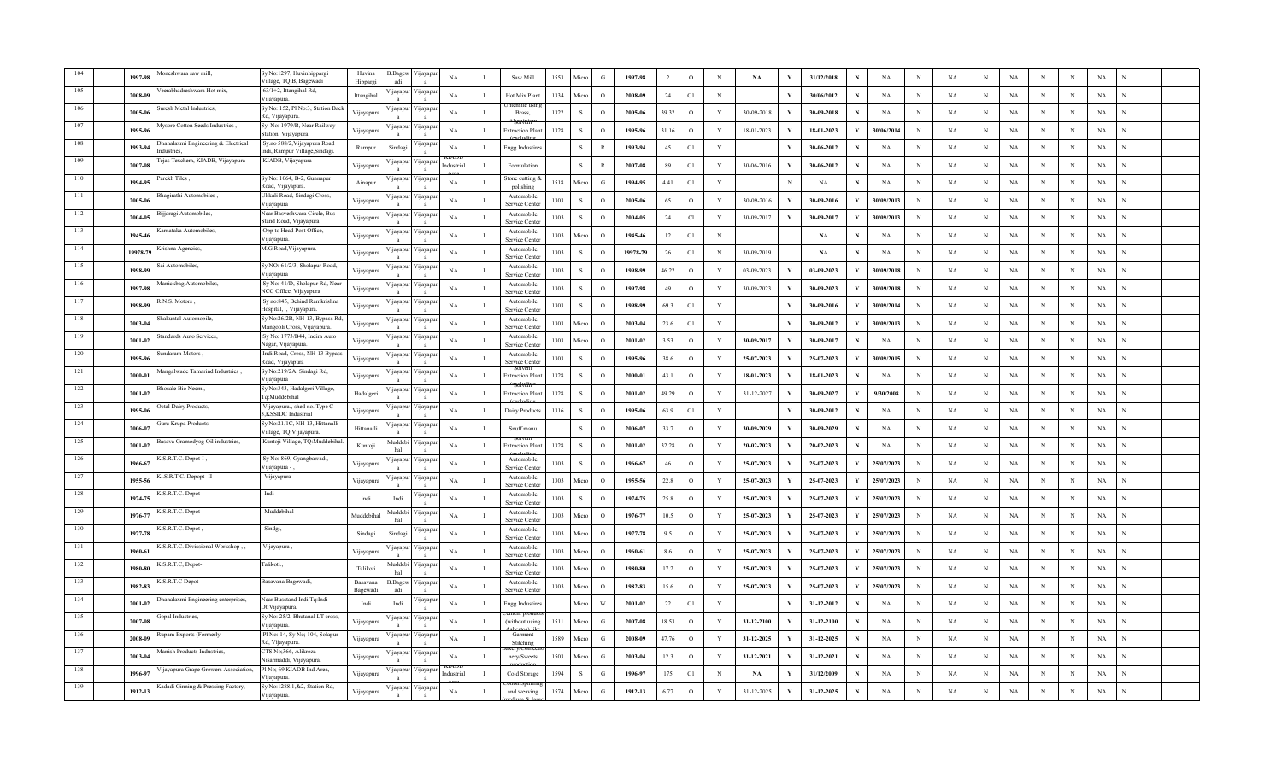|     | 1997-98  | oneshwara saw mill.                             | Sy No:1297, Huvinhippargi<br>Village, TQ:B, Bagewadi          | Huvina<br>Hippargi   | .Bagev<br>adi         | 'ijayapu<br>$\mathbf{a}$  | $_{\rm NA}$ | $\mathbf{I}$   | Saw Mill                    | 1553 | Micro        | $\mathcal{G}$ | 1997-98  |        | $\mathbf{o}$ | $\mathbf N$  | $\mathbf{NA}$ | V            | 31/12/2018 |              | $_{\rm NA}$ | $\,$ N      | $_{\rm NA}$ |            | $_{\rm NA}$ |             | N          | $_{\rm NA}$ |  |
|-----|----------|-------------------------------------------------|---------------------------------------------------------------|----------------------|-----------------------|---------------------------|-------------|----------------|-----------------------------|------|--------------|---------------|----------|--------|--------------|--------------|---------------|--------------|------------|--------------|-------------|-------------|-------------|------------|-------------|-------------|------------|-------------|--|
|     | 2008-09  | erabhadreshwara Hot mix.                        | $63/1 + 2$ , Ittangihal Rd,<br>Vijayapura                     | Ittangihal           | jayap                 | 'ijayapı                  | NA          | $\mathbf{I}$   | Hot Mix Plan                | 1334 | Micro        | $\Omega$      | 2008-09  | 24     | C1           | $_{\rm N}$   |               | $\mathbf{v}$ | 30/06/2012 | N            | NA          | $\mathbf N$ | NA          | N          | NA          | N           | N          | NA          |  |
|     | 2005-06  | resh Metal Industries,                          | Sy No: 152, Pl No:3, Station Back<br>Rd, Vijayapura.          | Vijayapura           | <b>qayapu</b>         | ijayapu                   | NA          | -1             | Brass,                      | 1322 | S            | $\circ$       | 2005-06  | 39.32  | $\circ$      | Y            | 30-09-2018    |              | 30-09-2018 |              | NA          | N           | NA          | N          | NA          | N           | N          | NA          |  |
|     | 1995-96  | Aysore Cotton Seeds Industries,                 | Sy No: 1979/B, Near Railway<br>Station, Vijayapura            | Vijayapura           | <b>q</b> ayapt        | <i>y</i> ayapu            | NA          | л.             | Extraction Plan             | 1328 | $\mathbf{s}$ | $\Omega$      | 1995-96  | 31.16  | $\circ$      | Y            | 18-01-2023    |              | 18-01-2023 |              | 30/06/2014  | $\mathbf N$ | NA          | N          | NA          | N           | $_{\rm N}$ | NA          |  |
|     | 1993-94  | hanalaxmi Engineering & Electrical<br>dustries. | Sy.no 588/2, Vijayapura Road<br>ndi, Rampur Village, Sindagi. | Rampur               | Sindag                | yayapı<br>$\mathbf{a}$    | NA          | $\mathbf{I}$   | Engg Industire              |      | $\mathbf{s}$ | $\mathbf{R}$  | 1993-94  | 45     | C1           | $\mathbf{Y}$ |               | V            | 30-06-2012 | $\mathbf N$  | <b>NA</b>   | $\mathbf N$ | <b>NA</b>   | N          | NA          | N           | N          | NA          |  |
|     | 2007-08  | ejas Texchem, KIADB, Vijayapura                 | KIADB, Vijayapura                                             | Vijayapura           | ijayapu               | 'ijayapı                  | Industria   |                | Formulation                 |      | $\,$ S       | $\mathbb{R}$  | 2007-08  | 89     | C1           | Y            | 30-06-2016    |              | 30-06-2012 | N            | NA          | N           | NA          | N          | NA          | N           | N          | NA          |  |
|     | 1994-95  | arekh Tiles,                                    | Sy No: 1064, B-2, Gunnapur<br>load, Vijayapura.               | Ainapur              | <b>1</b> jayapu       | ∕ijayapur                 | NA          | $\blacksquare$ | stone cutting<br>polishing  | 1518 | Micro        | G             | 1994-95  | 4.41   | C1           | Y            |               | N            | NA         | N            | NA          | N           | NA          | N          | NA          | N           | N          | NA          |  |
| 111 | 2005-06  | agirathi Automobiles,                           | Ukkali Road, Sindagi Cross,<br>ijayapura                      | Vijayapura           | ijayapu               | √ijayapuı                 | $_{\rm NA}$ |                | Automobile<br>Service Cente | 1303 | -S           | $\Omega$      | 2005-06  | 65     | $\mathbf{o}$ | Y            | 30-09-2016    |              | 30-09-2016 | Y            | 30/09/2013  | N           | NA          | N          | NA          | N           | N          | NA          |  |
| 112 | 2004-05  | ijjaragi Automobiles,                           | Near Basveshwara Circle, Bus<br>Stand Road, Vijayapura.       | Vijayapura           | ijayapı               | ∕ ijayapu<br>$\mathbf{a}$ | NA          | $\mathbf{I}$   | Automobile<br>Service Cente | 1303 | <sub>S</sub> | $\circ$       | 2004-05  | 24     | Cl           | $\mathbf{Y}$ | 30-09-2017    | $\mathbf{v}$ | 30-09-2017 | Y            | 30/09/2013  | $_{\rm N}$  | NA          | N          | $_{\rm NA}$ | N           | N          | $_{\rm NA}$ |  |
| 113 | 1945-46  | arnataka Automobiles,                           | Opp to Head Post Office<br>Vijayapura                         | Vijayapura           | jayapu                | ijayapur                  | NA          | -1             | Automobile<br>Service Cente | 1303 | Micro        | $\circ$       | 1945-46  | 12     | C1           | N            |               |              | NA         | N            | NA          | N           | NA          | N          | NA          | N           | N          | NA          |  |
| 114 | 19978-79 | rishna Agencies,                                | M.G.Road, Vijayapura.                                         | Vijayapura           | yayapu                | 'ijayapu                  | NA          | $\mathbf I$    | Automobile<br>Service Cente | 1303 | s            | $\circ$       | 19978-79 | 26     | C1           | $\,$ N       | 30-09-2019    |              | NA         | N            | NA          | $_{\rm N}$  | $_{\rm NA}$ | N          | $_{\rm NA}$ | N           | N          | $_{\rm NA}$ |  |
| 115 | 1998-99  | ai Automobiles.                                 | Sy NO: 61/2/3, Sholapur Road,<br>Vijayapura                   | Vijayapura           | yayapı                | √ijayapuı                 | NA          | $\mathbf{I}$   | Automobile<br>Service Cente | 1303 | s            | $\Omega$      | 1998-99  | 46.22  | $\circ$      | Y            | 03-09-2023    |              | 03-09-2023 | $\mathbf Y$  | 30/09/2018  | $_{\rm N}$  | <b>NA</b>   | N          | NA          | N           | N          | NA          |  |
| 116 | 1997-98  | fanickbag Automobiles,                          | Sy No: 41/D, Sholapur Rd, Near<br>NCC Office, Vijayapura      | Vijayapura           | ijayapuı              | ∕ ijayapu<br>$\mathbf{a}$ | NA          | $\mathbf{I}$   | Automobile<br>Service Cente | 1303 | $\mathbf S$  | $\Omega$      | 1997-98  | 49     | $\circ$      | $\mathbf{Y}$ | 30-09-2023    |              | 30-09-2023 | $\mathbf{Y}$ | 30/09/2018  | $\mathbf N$ | NA          | N          | $_{\rm NA}$ | N           | N          | NA          |  |
| 117 | 1998-99  | N.S. Motors                                     | Sy no:845, Behind Ramkrishna<br>Hospital, , Vijayapura.       | Vijayapura           | yayapı                | 'ijayapı                  | NA          | $\mathbf{I}$   | Automobile<br>Service Cente | 1303 | <sub>S</sub> | $\circ$       | 1998-99  | 69.3   | C1           | Y            |               | Y            | 30-09-2016 | $\mathbf{Y}$ | 30/09/2014  | $\mathbf N$ | NA          | N          | NA          | N           | N          | NA          |  |
| 118 | 2003-04  | hakuntal Automobile,                            | Sy No:26/2B, NH-13, Bypass Rd<br>Mangooli Cross, Vijayapura   | Vijayapura           | <b>1jayapu</b>        | 'ijayapu                  | NA          | $\mathbf{I}$   | Automobile<br>Service Cente | 1303 | Micro        | $\Omega$      | 2003-04  | 23.6   | C1           | $\mathbf{Y}$ |               | Y            | 30-09-2012 | Y            | 30/09/2013  | $\mathbf N$ | NA          | N          | NA          |             | N          | NA          |  |
| 119 | 2001-02  | andards Auto Services.                          | Sy No: 1773/B44, Indira Auto<br>Nagar, Vijayapura.            | Vijayapura           | yayap                 | 'ijayapu                  | $_{\rm NA}$ | $\mathbf{I}$   | Automobile<br>Service Cente | 1303 | Micro        | $\circ$       | 2001-02  | 3.53   | $\,$ O       | $\mathbf{Y}$ | 30-09-2017    |              | 30-09-2017 |              | NA          | $\,$ N      | NA          | N          | $_{\rm NA}$ | N           | N          | $_{\rm NA}$ |  |
| 120 | 1995-96  | ndaram Motors,                                  | Indi Road, Cross, NH-13 Bypass<br>Road, Vijayapura            | Vijayapura           | jayapu                | ijayapu                   | NA          | $\mathbf{I}$   | Automobile<br>Service Cente | 1303 | S            | $\circ$       | 1995-96  | 38.6   | $\circ$      | $\mathbf Y$  | $25-07-2023$  |              | 25-07-2023 | Y            | 30/09/2015  | $\,$ N      | $_{\rm NA}$ | $_{\rm N}$ | NA          | N           | N          | NA          |  |
| 121 | 2000-01  | angalwade Tamarind Industries,                  | Sy No:219/2A, Sindagi Rd,<br>Vijayapura                       | Vijayapura           | <b>q</b> ayapu        | <i>y</i> ayapu            | NA          | $\mathbf I$    | xtraction Plar              | 1328 | <sub>S</sub> | $\circ$       | 2000-01  | 43.1   | $\circ$      | Y            | 18-01-2023    |              | 18-01-2023 | N            | NA          | N           | NA          | N          | NA          | N           | N          | NA          |  |
| 122 | 2001-02  | osale Bio Neem,                                 | Sy No:343, Hadalgeri Village,<br>`a:Muddebihal                | Hadalgeri            | <b>1jayapu</b>        | 'ijayapu                  | <b>NA</b>   | $\mathbf{I}$   | Extraction Plan             | 1328 | s            | $\Omega$      | 2001-02  | 49.29  | $\circ$      | Y            | 31-12-2027    |              | 30-09-2027 | Y            | 9/30/2008   | $_{\rm N}$  | <b>NA</b>   | N          | NA          | N           | N          | NA          |  |
| 123 | 1995-06  | ctal Dairy Products,                            | Vijayapura., shed no. Type C-<br>,KSSIDC Industrial           | Vijayapura           | ijayapı               | ∕ ijayapuı                | NA          | $\mathbf{I}$   | Dairy Products              | 1316 | <sub>S</sub> | $\Omega$      | 1995-06  | 63.9   | C1           | Y            |               | Y            | 30-09-2012 | N            | NA          | $_{\rm N}$  | NA          | N          | $_{\rm NA}$ | N           | N          | NA          |  |
| 124 | 2006-07  | iuru Krupa Products.                            | Sy No:21/1C, NH-13, Hittanalli<br>Village, TQ: Vijayapura     | Hittanalli           | ijayapu               | 'ijayapı                  | NA          | $\mathbf{I}$   | Snuff manu                  |      | S            | $\Omega$      | 2006-07  | 33.7   | $\circ$      | Y            | 30-09-2029    |              | 30-09-2029 | N            | NA          | N           | NA          | N          | NA          | N           | N          | NA          |  |
| 125 | 2001-02  | asava Gramodyog Oil industries,                 | Kuntoji Village, TQ:Muddebiha                                 | Kuntoji              | Auddebi<br>hal        | 'ijayapu                  | NA          | $\mathbf{I}$   | <b>Extraction Plan</b>      | 1328 | S            | $\Omega$      | 2001-02  | 32.28  | $\circ$      | Y            | 20-02-2023    |              | 20-02-2023 | N            | NA          | $\mathbf N$ | NA          | N          | $_{\rm NA}$ | N           | $_{\rm N}$ | NA          |  |
| 126 | 1966-67  | .S.R.T.C. Depot-I,                              | Sy No: 869, Gyangbawadi,<br>/ijayapura -                      | Vijayapura           | ijayapu               | 'ijayapur                 | <b>NA</b>   | $\mathbf{I}$   | Automobile<br>Service Cente | 1303 | $\mathbf{s}$ | $\Omega$      | 1966-67  | 46     | $\circ$      | Y            | 25-07-2023    |              | 25-07-2023 | Y            | 25/07/2023  | $_{\rm N}$  | NA          | N          | NA          | N           | N          | NA          |  |
| 127 | 1955-56  | S.R.T.C. Depopt- II                             | Vijayapura                                                    | Vijayapura           | ijayap                | 'ijayapu<br>$\mathbf{a}$  | $_{\rm NA}$ | $\mathbf{I}$   | Automobile<br>Service Cente | 1303 | Micro        | $\Omega$      | 1955-56  | 22.8   | $\circ$      | Y            | 25-07-2023    |              | 25-07-2023 | $\mathbf Y$  | 25/07/2023  | $\mathbf N$ | NA          | N          | $_{\rm NA}$ | $\mathbf N$ | N          | NA          |  |
| 128 | 1974-75  | S.R.T.C. Depot                                  | Indi                                                          | indi                 | Indi                  | ijayapuı                  | NA          | $\mathbf I$    | Automobile<br>Service Cente | 1303 | S            | $\circ$       | 1974-75  | 25.8   | $\circ$      | Y            | 25-07-2023    |              | 25-07-2023 | Y            | 25/07/2023  | N           | NA          | N          | NA          | N           | N          | NA          |  |
| 129 | 1976-77  | .S.R.T.C. Depot                                 | Muddebihal                                                    | Muddebiha            | <b>Iuddebi</b><br>hal | ijayapur                  | NA          | $\mathbf{I}$   | Automobile<br>Service Cente | 1303 | Micro        | $\Omega$      | 1976-77  | 10.5   | $\circ$      | Y            | 25-07-2023    |              | 25-07-2023 | $\mathbf Y$  | 25/07/2023  | $\mathbf N$ | NA          | N          | $_{\rm NA}$ | N           | N          | $_{\rm NA}$ |  |
| 130 | 1977-78  | .S.R.T.C. Depot,                                | Sindgi,                                                       | Sindagi              | Sindagi               | ijayapı                   | <b>NA</b>   | $\mathbf{I}$   | Automobile<br>Service Cente | 1303 | Micro        | $\Omega$      | 1977-78  | 9.5    | $\circ$      | Y            | 25-07-2023    |              | 25-07-2023 | Y            | 25/07/2023  | $_{\rm N}$  | NA          | N          | NA          | N           | N          | NA          |  |
| 131 | 1960-61  | .S.R.T.C. Divissional Workshop,                 | , Vijayapura                                                  | Vijayapura           | ijayapu               | 'ijayapu<br>$\mathbf{a}$  | NA          | $\blacksquare$ | Automobile<br>Service Cente | 1303 | Micro        | $\Omega$      | 1960-61  | 8.6    | $\circ$      | $\mathbf{Y}$ | 25-07-2023    |              | 25-07-2023 | Y            | 25/07/2023  | $\mathbf N$ | NA          | N          | $_{\rm NA}$ | $\mathbf N$ | N          | NA          |  |
| 132 | 1980-80  | S.R.T.C, Depot-                                 | Talikoti.,                                                    | Talikoti             | <b>Iuddeb</b><br>hal  | ijayapu<br>$\mathbf{a}$   | NA          | $\blacksquare$ | Automobile<br>Service Cente | 1303 | Micro        | $\circ$       | 1980-80  | 17.2   | $\circ$      | $\mathbf{Y}$ | 25-07-2023    |              | 25-07-2023 | Y            | 25/07/2023  | $\mathbf N$ | NA          | N          | NA          | N           | N          | NA          |  |
| 133 | 1982-83  | S.R.T.C Depot-                                  | Basavana Bagewadi,                                            | Basavana<br>Bagewadi | Bage<br>adi           | 'ijayapu                  | NA          | $\mathbf{I}$   | Automobile<br>Service Cente | 1303 | Micro        | $\Omega$      | 1982-83  | 15.6   | $\circ$      | Y            | 25-07-2023    |              | 25-07-2023 | Y            | 25/07/2023  | $_{\rm N}$  | <b>NA</b>   | N          | NA          | N           | N          | NA          |  |
| 134 | 2001-02  | hanalaxmi Engineering enterprises,              | Near Busstand Indi, Tq: Indi<br>Dt: Vijayapura.               | Indi                 | Indi                  | ijayapu<br>$\mathbf{a}$   | NA          | $\mathbf{I}$   | <b>Engg Industire</b>       |      | Micro        | W             | 2001-02  | $22\,$ | C1           | $\mathbf{Y}$ |               | Y            | 31-12-2012 |              | NA          | $\mathbf N$ | NA          | N          | NA          | N           | N          | NA          |  |
|     | 2007-08  | opal Industries.                                | Sy No: 25/2, Bhutanal LT cross,<br>Vijayapura                 | Vijayapura           | ijayapu               | ijayapu                   | NA          | -1             | (without usin               | 1511 | Micro        | G             | 2007-08  | 18.53  | $\circ$      | $\mathbf Y$  | 31-12-2100    |              | 31-12-2100 | N            | NA          | $\mathbb N$ | NA          | N          | NA          | N           | N          | NA          |  |
|     | 2008-09  | apam Exports (Formerly:                         | Pl No: 14, Sy No; 104, Solapur<br>Rd, Vijayapura.             | Vijayapura           | <b>1</b> jayapu       | √ijayapu                  | NA          | $\mathbf{I}$   | Garment<br>Stitching        | 1589 | Micro        | G             | 2008-09  | 47.76  | $\circ$      | Y            | 31-12-2025    |              | 31-12-2025 | N            | NA          | N           | NA          | N          | NA          | N           | N          | NA          |  |
|     | 2003-04  | anish Products Industries,                      | CTS No;366, Alikroza<br>lisarmaddi, Vijayapura                | Vijayapura           | ijayapu               | 'ijayapu                  | NA          |                | nerv/Sweets                 | 1503 | Micro        | G             | 2003-04  | 12.3   | $\circ$      | Y            | 31-12-2021    |              | 31-12-2021 |              | <b>NA</b>   | N           | <b>NA</b>   |            | NA          | $\mathbf N$ | N          | NA          |  |
|     | 1996-97  | ijayapura Grape Growers Association,            | Pl No; 69 KIADB Ind Area,<br>ijayapura                        | Vijayapura           | ijayap                | √ijayapu<br>$\mathbf{a}$  | ndustria    | $\blacksquare$ | Cold Storage                | 1594 | -S           | G             | 1996-97  | 175    | C1           | N            | NA            |              | 31/12/2009 | N            | NA          | N           | NA          | N          | $_{\rm NA}$ | $\mathbf N$ | N          | NA          |  |
|     | 1912-13  | Kadadi Ginning & Pressing Factory,              | Sy No:1288.1,&2, Station Rd,<br>Vijayapura                    | Vijayapura           | <b>1jayapu</b>        | 'ijayapu                  | NA          |                | and weaving                 | 1574 | Micro        | G             | 1912-13  | 6.77   | $\circ$      | Y            | 31-12-2025    | Y            | 31-12-2025 | $\mathbf N$  | $_{\rm NA}$ | N           | NA          |            | $_{\rm NA}$ | N           | N          | $_{\rm NA}$ |  |
|     |          |                                                 |                                                               |                      |                       |                           |             |                |                             |      |              |               |          |        |              |              |               |              |            |              |             |             |             |            |             |             |            |             |  |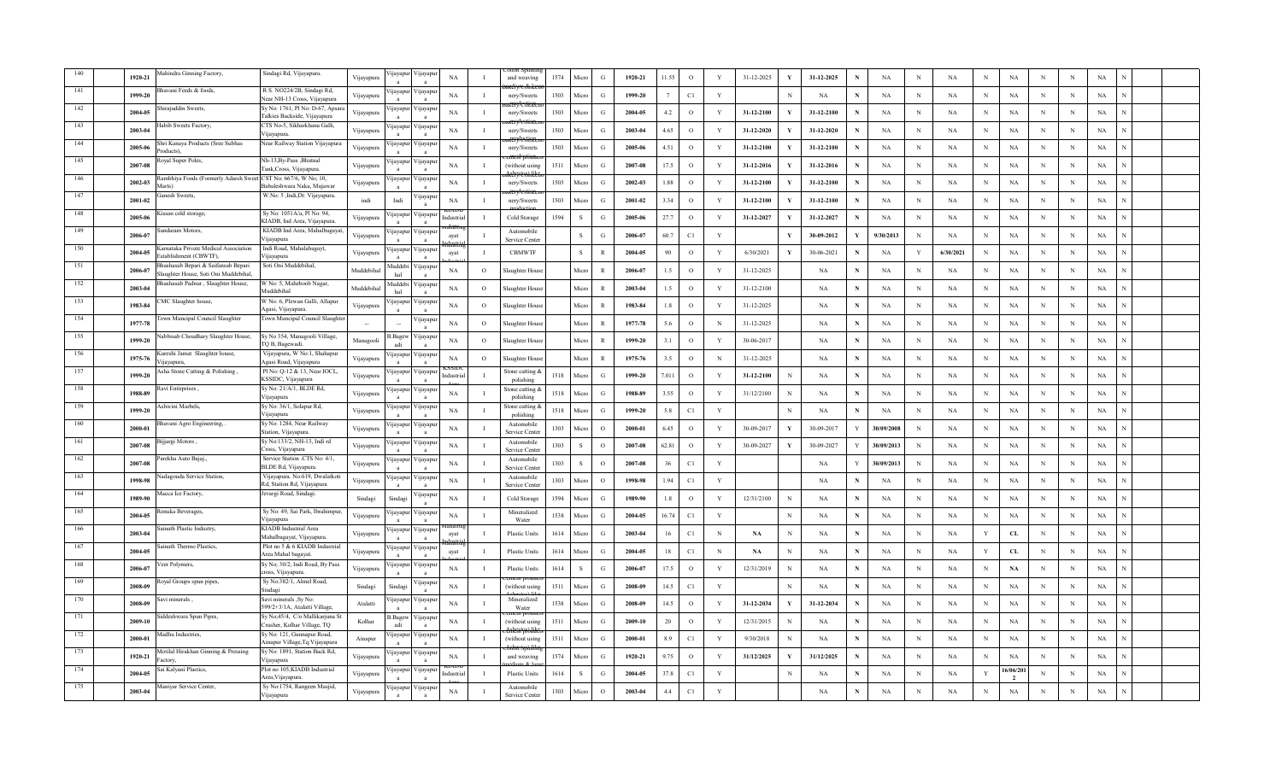|     | 1920-21 | lahindra Ginning Factory,                                                   | Sindagi Rd, Vijayapura.                                          | Vijayapura | jayapu                   | ijayapu                    | $_{\rm NA}$ | - T            | and weaving                  | 1574 | Micro        | G             | 1920-21 | 11.55 | $\mathbf{o}$ | $\mathbf Y$  | 31-12-2025 | 31-12-2025      |             | NA         | $\, {\rm N}$ | $_{\rm NA}$ | N           | $_{\rm NA}$                 | N            | $_{\rm N}$ | NA          |  |
|-----|---------|-----------------------------------------------------------------------------|------------------------------------------------------------------|------------|--------------------------|----------------------------|-------------|----------------|------------------------------|------|--------------|---------------|---------|-------|--------------|--------------|------------|-----------------|-------------|------------|--------------|-------------|-------------|-----------------------------|--------------|------------|-------------|--|
|     | 1999-20 | avani Feeds & foods,                                                        | R S. NO224/2B, Sindagi Rd,<br>Vear NH-13 Cross, Vijayapura       | Vijayapura | <b>q</b> ayapt           | <b>yayapu</b>              | NA          | $\mathbf I$    | nery/Sweets                  | 1503 | Micro        | G             | 1999-20 |       | C1           | $\mathbf Y$  |            | N<br>NA         | N           | NA         | N            | NA          | N           | NA                          | N            | N          | NA          |  |
|     | 2004-05 | irajuddin Sweets,                                                           | Sy No: 1761, Pl No: D-67, Apsar.<br>Falkies Backside, Vijayapura | Vijayapura | ijayapu                  | √ijayapu                   | <b>NA</b>   | $\mathbf I$    | nery/Sweets                  | 1503 | Micro        | G             | 2004-05 | 4.2   | $\circ$      | Y            | 31-12-2100 | 31-12-2100      | N           | NA         | N            | NA          | N           | NA                          | N            | N          | NA          |  |
|     | 2003-04 | labib Sweets Factory,                                                       | CTS No-5, Sikharkhana Galli,<br>Vijayapura.                      | Vijayapura | ijayapu                  | 'ijayapu                   | NA          | $\mathbf{I}$   | nery/Sweets                  | 1503 | Micro        | G             | 2003-04 | 4.65  | $\circ$      | Y            | 31-12-2020 | 31-12-2020      | N           | <b>NA</b>  | $_{\rm N}$   | NA          | N           | $_{\rm NA}$                 | N            | N          | NA          |  |
|     | 2005-06 | Shri Kanaya Products (Sree Subhas<br>roducts).                              | Vear Railway Station Vijayapura                                  | Vijayapura | ijayapu                  | 'ijayapı                   | <b>NA</b>   | $\mathbf{I}$   | nery/Sweets                  | 1503 | Micro        | G             | 2005-06 | 4.51  | $\mathbf{o}$ | Y            | 31-12-2100 | 31-12-2100      | N           | NA         | $\mathbf N$  | NA          | N           | $_{\rm NA}$                 | N            | N          | NA          |  |
| 145 | 2007-08 | oyal Super Poles,                                                           | Nh-13, By-Pass, Bhutnal<br>Fank,Cross, Vijayapura                | Vijayapura | ijayapu                  | /ijayapu                   | <b>NA</b>   | $\mathbf{I}$   | (without usin                | 1511 | Micro        | G             | 2007-08 | 17.5  | $\circ$      | Y            | 31-12-2016 | 31-12-2016      | N           | <b>NA</b>  | $_{\rm N}$   | NA          | N           | NA                          | N            | N          | NA          |  |
|     | 2002-03 | tambhiya Foods (Formerly Adarsh Sweet CST No: 667/6, W No; 10,<br>Marts)    | Babaleshwara Naka, Mujawar                                       | Vijayapura | ijayapu                  | 'ijayapu                   | <b>NA</b>   | $\mathbf I$    | nery/Sweets                  | 1503 | Micro        | G             | 2002-03 | 1.88  | $\circ$      | Y            | 31-12-2100 | 31-12-2100      |             | <b>NA</b>  | $_{\rm N}$   | NA          | N           | NA                          | N            | N          | NA          |  |
| 147 | 2001-02 | anesh Sweets,                                                               | W.No: 5 ,Indi,Dt: Vijayapura.                                    | indi       | Indi                     | ijayapu<br>$\mathbf{a}$    | NA          | $\mathbf{I}$   | nery/Sweets                  | 1503 | Micro        | $\mathbf G$   | 2001-02 | 3.34  | $\circ$      | $\mathbf{Y}$ | 31-12-2100 | 31-12-2100<br>V | N           | NA         | $\,$ N       | $_{\rm NA}$ | $\mathbf N$ | $_{\rm NA}$                 | N            | N          | $_{\rm NA}$ |  |
| 148 | 2005-06 | issan cold storage                                                          | Sy No: 1051A/a, Pl No: 94,<br>KIADB, Ind Area, Vijayapura        | Vijayapura | yayapı                   | ijayapu<br>$\mathbf{a}$    | ndustria    | $\mathbf{I}$   | Cold Storage                 | 1594 | S            | G             | 2005-06 | 27.7  | $\circ$      | Y            | 31-12-2027 | 31-12-2027      | N           | NA         | $\mathbf N$  | NA          | $_{\rm N}$  | NA                          | N            | N          | NA          |  |
| 149 | 2006-07 | andaram Motors,                                                             | KIADB Ind Area, Mahalbagayat<br>Vijayapura                       | Vijayapura | ijayapu                  | 'ijayapu                   | ayat        | $\mathbf I$    | Automobile<br>Service Cente  |      | <sub>S</sub> | G             | 2006-07 | 60.7  | C1           | Y            |            | 30-09-2012      | Y           | 9/30/2013  | $_{\rm N}$   | NA          | $_{\rm N}$  | NA                          | N            | N          | NA          |  |
| 150 | 2004-05 | arnataka Private Medical Association<br>stablishment (CBWTF),               | Indi Road, Mahalabagayt,<br>ijayapura                            | Vijayapura | yayapı                   | 'ijayapu                   | avat        | Ι.             | <b>CBMWTF</b>                |      | S            | $\mathbb{R}$  | 2004-05 | 90    | $\circ$      | Y            | 6/30/2021  | 30-06-2021<br>Y | N           | NA         | Y            | 6/30/2021   | N           | NA                          | N            | N          | NA          |  |
| 151 | 2006-07 | 3hashasab Bepari & Saifansab Bepari<br>Slaughter House, Soti Oni Muddebihal | Soti Oni Muddebihal.                                             | Muddebihal | <b>Iuddeb</b><br>hal     | 'ijayapu<br>$\overline{a}$ | <b>NA</b>   | $\Omega$       | Slaughter Hous               |      | Micro        | $\mathbb{R}$  | 2006-07 | 1.5   | $\circ$      | Y            | 31-12-2025 | NA              | $\mathbf N$ | NA         | $_{\rm N}$   | NA          | N           | $_{\rm NA}$                 | N            | $_{\rm N}$ | NA          |  |
| 152 | 2003-04 | shashasab Padnur, Slaughter House,                                          | V No: 5, Maheboob Nagar,<br>Muddebihal                           | Muddebiha  | <b>fuddeb</b><br>hal     | ijayapu                    | NA          | $\circ$        | Slaughter Hous               |      | Micro        | $\mathbb{R}$  | 2003-04 | 1.5   | $\circ$      | Y            | 31-12-2100 | NA              | $\mathbf N$ | NA         | $\mathbf N$  | NA          | N           | $_{\rm NA}$                 | $\mathbf N$  | N          | NA          |  |
| 153 | 1983-84 | MC Slaughter house,                                                         | W No: 6, Plewan Galli, Allapur<br>Agasi, Vijayapura.             | Vijayapura | ijayapu                  | 'ijayapu                   | NA          | $\circ$        | laughter Hous                |      | Micro        | $\mathbb{R}$  | 1983-84 | 1.8   | $\circ$      | Y            | 31-12-2025 | NA              | N           | NA         | $\mathbf N$  | NA          | N           | NA                          | N            | N          | NA          |  |
| 154 | 1977-78 | own Muncipal Council Slaughter                                              | <b>Town Muncipal Council Slaughte</b>                            |            | $\overline{\phantom{a}}$ | ijayapu                    | $_{\rm NA}$ | $\overline{O}$ | Slaughter Hous               |      | Micro        | $\mathbb{R}$  | 1977-78 | 5.6   | $\mathbf{o}$ | $\,$ N       | 31-12-2025 | NA              | N           | NA         | $\mathbb N$  | NA          | $\mathbf N$ | NA                          | N            | N          | NA          |  |
| 155 | 1999-20 | abbisab Choudhary Slaughter House,                                          | Sy No 354, Managooli Village,<br>TQ B, Bagewadi.                 | Managooli  | 3. Bagey<br>adi          | 'ijayapı<br>$\mathbf{a}$   | <b>NA</b>   | $\circ$        | Slaughter Hou                |      | Micro        | $\mathbb{R}$  | 1999-20 | 3.1   | $\,$ O       | Y            | 30-06-2017 | NA              | N           | NA         | $\,$ N       | $_{\rm NA}$ | N           | NA                          | N            | N          | NA          |  |
|     | 1975-76 | ureshi Jamat Slaughter house,<br>ijayapura.                                 | Vijayapura, W No:1, Shahapur<br>Agasi Road, Vijayapura           | Vijayapura | ijayapu                  | 'ijayapu                   | NA          | $\circ$        | laughter Hous                |      | Micro        | $\mathbb{R}$  | 1975-76 | 3.5   | $\circ$      | N            | 31-12-2025 | NA              | N           | NA         | N            | NA          | N           | NA                          | N            | N          | NA          |  |
|     | 1999-20 | sha Stone Cutting & Polishing,                                              | Pl No: Q-12 & 13, Near IOCL,<br>KSSIDC, Vijayapura               | Vijayapura | ijayapu                  | ∕ijayapu                   | adustria    | Ι.             | stone cutting &<br>polishing | 1518 | Micro        | G             | 1999-20 | 7.011 | $\circ$      | Y            | 31-12-2100 | NA<br>N         | N           | NA         | N            | NA          | N           | NA                          | N            | N          | NA          |  |
|     | 1988-89 | avi Entirprises,                                                            | Sy No: 21/A/1, BLDE Rd,<br>Vijayapura                            | Vijayapura | yayapı                   | ∕ ijayapuı                 | $_{\rm NA}$ | л.             | stone cutting.<br>polishing  | 1518 | Micro        | $\mathcal{G}$ | 1988-89 | 3.55  | $\circ$      | $\mathbf{Y}$ | 31/12/2100 | NA<br>N         | N           | NA         | $\mathbf N$  | $_{\rm NA}$ | N           | NA                          | N            | $_{\rm N}$ | $_{\rm NA}$ |  |
|     | 1999-20 | Ashwini Marbels.                                                            | Sy No: 36/1, Solapur Rd,<br>Vijayapura                           | Vijayapura | ijayapu                  | ∕ijayapı<br>$\mathbf{a}$   | NA          | $\mathbf{I}$   | stone cutting<br>polishing   | 1518 | Micro        | G             | 1999-20 | 5.8   | C1           | $\mathbf{Y}$ |            | N<br>NA         | N           | NA         | $_{\rm N}$   | NA          | N           | NA                          | $\mathbf N$  | N          | $_{\rm NA}$ |  |
| 160 | 2000-01 | 3havani Agro Engineering, .                                                 | Sy No: 1284, Near Railway<br>štation, Vijayapura.                | Vijayapura | <b>1</b> jayapu          | 'ijayapu                   | NA          |                | Automobile<br>Service Cente  | 1303 | Micro        | $\circ$       | 2000-01 | 6.45  | $\circ$      | Y            | 30-09-2017 | 30-09-2017      | Y           | 30/09/2008 | $_{\rm N}$   | NA          | N           | NA                          | N            | N          | NA          |  |
| 161 | 2007-08 | ijjargi Motors,                                                             | Sy No:133/2, NH-13, Indi rd<br>`ross, Vijayapura                 | Vijayapura | ijayapu                  | 'ijayapur                  | NA          | $\mathbf I$    | Automobile<br>Service Cente  | 1303 | $\,$ S       | $\circ$       | 2007-08 | 62.81 | $\mathbf{o}$ | Y            | 30-09-2027 | 30-09-2027<br>Y | Y           | 30/09/2013 | $_{\rm N}$   | $_{\rm NA}$ | N           | $_{\rm NA}$                 | N            | N          | $_{\rm NA}$ |  |
| 162 | 2007-08 | arekha Auto Bajaj.,                                                         | Service Station .CTS No: 4/1.<br>BLDE Rd, Vijayapura.            | Vijayapura | jayapu                   | 'ijayapu<br>$\overline{a}$ | $_{\rm NA}$ | $\blacksquare$ | Automobil<br>Service Cente   | 1303 | S            | $\circ$       | 2007-08 | 36    | C1           | $\mathbf{Y}$ |            | NA              | Y           | 30/09/2013 | $_{\rm N}$   | $_{\rm NA}$ | N           | $_{\rm NA}$                 | N            | N          | $_{\rm NA}$ |  |
| 163 | 1998-98 | adagouda Service Station,                                                   | Vijayapura. No:619, Dwalatkoti<br>Rd, Station Rd, Vijayapura     | Vijayapura | ijayapu                  | ijayapu                    | NA          | $\mathbf I$    | Automobile<br>Service Cente  | 1303 | Micro        | $\circ$       | 1998-98 | 1.94  | C1           | $\mathbf Y$  |            | NA              | N           | NA         | N            | NA          | $_{\rm N}$  | NA                          | N            | N          | NA          |  |
| 164 | 1989-90 | lacca Ice Factory,                                                          | Jevargi Road, Sindagi.                                           | Sindagi    | Sindagi                  | <b>Ilayapur</b>            | NA          | -1             | Cold Storage                 | 1594 | Micro        | G             | 1989-90 | 1.8   | $\circ$      | Y            | 12/31/2100 | NA              | $\mathbf N$ | NA         | $_{\rm N}$   | NA          | N           | NA                          | N            | N          | NA          |  |
| 165 | 2004-05 | nuka Beverages,                                                             | Sy No: 49, Sai Park, Ibrahimpur,<br>Vijayapura                   | Vijayapura | yayapı<br>$\mathbf{a}$   | 'ijayapuı<br>$\mathbf{a}$  | <b>NA</b>   | $\blacksquare$ | Mineralized<br>Water         | 1538 | Micro        | $\mathcal{G}$ | 2004-05 | 16.74 | C1           | $\mathbf Y$  |            | NA<br>N         | ${\bf N}$   | NA         | $_{\rm N}$   | $_{\rm NA}$ | N           | $_{\rm NA}$                 | <sup>N</sup> | N          | $_{\rm NA}$ |  |
| 166 | 2003-04 | ainath Plastic Industry.                                                    | KIADB Industrial Area<br>Mahalbagayat, Vijayapura.               | Vijayapura | ijayapu<br>$\mathbf{a}$  | ∕ijayapı<br>$\mathbf{a}$   | avat        | $\mathbf{I}$   | <b>Plastic Units</b>         | 1614 | Micro        | $\mathcal{G}$ | 2003-04 | 16    | C1           | N            | NA         | NA<br>N         | $\mathbf N$ | NA         | $_{\rm N}$   | NA          | Y           | CL                          | $\mathbf N$  | N          | NA          |  |
| 167 | 2004-05 | ainath Thermo Plastics.                                                     | Plot no 5 & 6 KIADB Industrial<br>Area Mahal bagayat.            | Vijayapura | <b>1jayapu</b>           | 'ijayapu                   | ayat        | $\mathbf{I}$   | <b>Plastic Units</b>         | 1614 | Micro        | G             | 2004-05 | 18    | C1           | $_{\rm N}$   | NA         | NA<br>N         | N           | NA         | N            | NA          | Y           | ${\rm CL}$                  | N            | N          | NA          |  |
|     | 2006-07 | eer Polymers,                                                               | Sy No; 30/2, Indi Road, By Pass<br>cross, Vijayapura.            | Vijayapura | <b>1jayapu</b>           | ∕ijayapu                   | $_{\rm NA}$ | $\mathbf I$    | <b>Plastic Units</b>         | 1614 | s            | G             | 2006-07 | 17.5  | $\circ$      | Y            | 12/31/2019 | N<br>NA         | N           | NA         | $\,$ N       | NA          | N           | NA                          | N            | N          | $_{\rm NA}$ |  |
|     | 2008-09 | oyal Groups spun pipes.                                                     | Sy No:382/1, Almel Road,<br>Sindagi                              | Sindagi    | Sindagi                  | ijayapu<br>$\mathbf{a}$    | $_{\rm NA}$ | $\mathbf{I}$   | (without usin                | 1511 | Micro        | G             | 2008-09 | 14.5  | C1           | $\mathbf{Y}$ |            | NA<br>N         | N           | NA         | $\,$ N       | NA          | N           | NA                          | N            | N          | NA          |  |
|     | 2008-09 | avi minerals                                                                | Savi minerals , Sy No:<br>599/2+3/1A, Atalatti Village,          | Atalatti   | ijayapu                  | ijayapu                    | NA          | $\mathbf I$    | Mineralized<br>Water         | 1538 | Micro        | G             | 2008-09 | 14.5  | $\circ$      | Y            | 31-12-2034 | 31-12-2034      | N           | NA         | N            | NA          | N           | NA                          | N            | N          | NA          |  |
|     | 2009-10 | ddeshwara Spun Pipes,                                                       | Sy No;45/4, C/o Mallikarjuna St<br>`rusher, Kolhar Village, TQ   | Kolhar     | .Bagev<br>نامو           | ijayapu                    | NA          | -1             | without usin                 | 1511 | Micro        | G             | 2009-10 | 20    | $\circ$      | Y            | 12/31/2015 | NA              | N           | NA         | N            | NA          | N           | NA                          | N            | N          | NA          |  |
|     | 2000-01 | Aadhu Industries,                                                           | Sy No: 121, Gunnapur Road,<br>Ainapur Village,Tq:Vijayapura      | Ainapur    | ijayapı                  | ∕ijayapu                   | NA          | л.             | (without using               | 1511 | Micro        | $\mathcal{G}$ | 2000-01 | 8.9   | C1           | Y            | 9/30/2018  | NA              |             | NA         | N            | NA          | N           | NA                          | N            | $_{\rm N}$ | $_{\rm NA}$ |  |
|     | 1920-21 | Aotilal Hirakhan Ginning & Pressing<br>actory                               | Sy No: 1891, Station Back Rd,<br>ijayapura                       | Vijayapura | yayapı                   | 'ijayapu                   | NA          | $\mathbf{I}$   | and weaving                  | 1574 | Micro        | $\mathcal{G}$ | 1920-21 | 9.75  | $\circ$      | $\mathbf{Y}$ | 31/12/2025 | 31/12/2025<br>V | N           | NA         | $_{\rm N}$   | $_{\rm NA}$ | N           | NA                          | N            | $_{\rm N}$ | $_{\rm NA}$ |  |
|     | 2004-05 | ai Kalyani Plastics                                                         | lot no 105, KIADB Industrial<br>Area, Viiavapura.                | Vijayapura | ijayapu                  | 'ijayapı                   | Industria   |                | Plastic Units                | 1614 | S            | G             | 2004-05 | 37.8  | C1           | Y            |            | N<br>NA         |             | NA         | N            | NA          | Y           | 16/06/201<br>$\overline{2}$ |              | N          | NA          |  |
|     | 2003-04 | Maniyar Service Center,                                                     | Sy No:1754, Rangeen Masjid,<br>Vijayapura                        | Vijayapura | ijayapu                  | √ijayapur                  | NA          |                | Automobile<br>Service Cente  | 1303 | Micro        | $\circ$       | 2003-04 | 4.4   | C1           | Y            |            | NA              |             | <b>NA</b>  | N            | NA          |             | NA                          |              | N          | NA          |  |
|     |         |                                                                             |                                                                  |            |                          |                            |             |                |                              |      |              |               |         |       |              |              |            |                 |             |            |              |             |             |                             |              |            |             |  |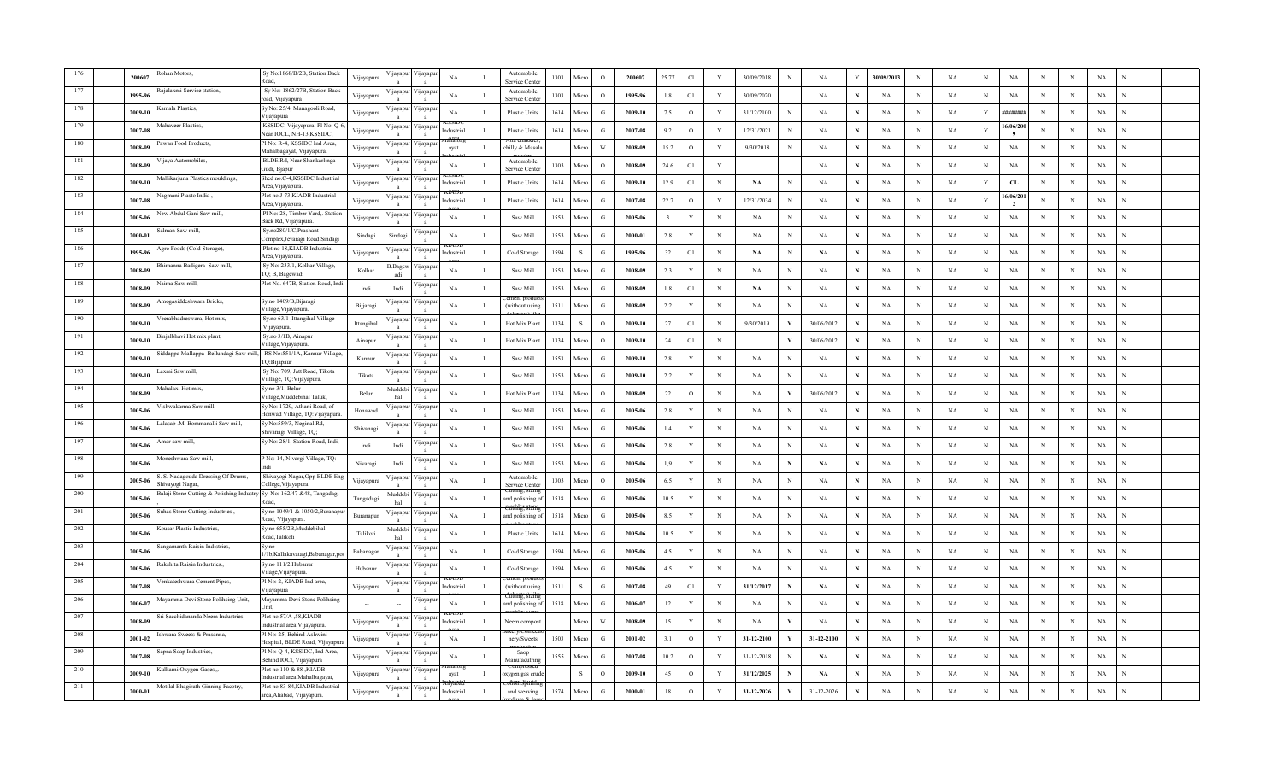|     | 200607  | whan Motors,                                                           | Sy No:1868/B/2B, Station Back<br>heo R                        | Vijayapura | navapu                    | 'ijayaj                  | NA          |              | Automobil<br>Service Cente  | 1303 | Micro        | $\Omega$      | 200607  | 25.77   | Cl            |             | 30/09/2018    |              | NA            |   | 30/09/2013  | N | NA          | N            | <b>NA</b>       |             | N          | $_{\rm NA}$ |  |  |
|-----|---------|------------------------------------------------------------------------|---------------------------------------------------------------|------------|---------------------------|--------------------------|-------------|--------------|-----------------------------|------|--------------|---------------|---------|---------|---------------|-------------|---------------|--------------|---------------|---|-------------|---|-------------|--------------|-----------------|-------------|------------|-------------|--|--|
|     | 1995-96 | ajalaxmi Service station.                                              | Sy No: 1862/27B, Station Back<br>road, Vijayapura             | Vijayapura | ijayapur                  | ∕ijayapı                 | NA          |              | Automobile<br>Service Cente | 1303 | Micro        | $\circ$       | 1995-96 | 1.8     | C1            | Y           | 30/09/2020    |              | <b>NA</b>     | N | NA          | N | <b>NA</b>   | N            | NA              | N           | N          | NA          |  |  |
|     | 2009-10 | amala Plastics,                                                        | Sy No: 25/4, Managooli Road,<br>Viiavapura                    | Vijayapura | ijayapur                  | ∕ijayapı                 | NA          |              | Plastic Units               | 1614 | Micro        | G             | 2009-10 | 7.5     | $\circ$       | Y           | 31/12/2100    |              | <b>NA</b>     |   | NA          | N | NA          | Y            | <b>########</b> | N           | $_{\rm N}$ | NA          |  |  |
|     | 2007-08 | fahaveer Plastics,                                                     | KSSIDC, Vijayapura, Pl No: Q-6,<br>Near IOCL, NH-13.KSSIDC    | Vijayapura | ijayapu                   | ∕ijayap                  |             |              | Plastic Units               | 1614 | Micn         | G             | 2007-08 | 9.2     | $\circ$       | Y           | 12/31/2021    |              | NA            |   | NA          | N | NA          | Y            | 16/06/200       | N           | N          | NA          |  |  |
|     | 2008-09 | awan Food Products,                                                    | Pl No: R-4, KSSIDC Ind Area,<br>Mahalbagayat, Vijayapura.     | Vijayapura | ijavapur                  | ∕ijayar                  | avat        |              | chilly & Masal              |      | Micro        | W             | 2008-09 | 15.2    | $\circ$       | Y           | 9/30/2018     | N            | <b>NA</b>     | N | NA          | N | <b>NA</b>   | N            | NA              | N           | N          | NA          |  |  |
|     | 2008-09 | 'ijaya Automobiles,                                                    | BLDE Rd, Near Shankarlinga<br>Gudi, Bjapur                    | Vijayapura | ijayapur                  | Vijayap                  | NA          |              | Automobile<br>Service Cente | 1303 | Micro        | $\Omega$      | 2008-09 | 24.6    | C1            | Y           |               |              | NA            | N | <b>NA</b>   | N | NA          | $_{\rm N}$   | <b>NA</b>       | N           | N          | NA          |  |  |
| 182 | 2009-10 | Aallikarjuna Plastics mouldings,                                       | Shed no.C-4,KSSIDC Industrial<br>Area, Viiavapura.            | Vijayapura | ijayapur                  | 'ijayapı                 | ıdustris    |              | <b>Plastic Units</b>        | 1614 | Micro        | G             | 2009-10 | 12.9    | $\mathbb{C}1$ | $\mathbf N$ | NA            | N            | NA            | N | NA          | N | NA          | $\mathbf{Y}$ | CL              | N           | N          | $_{\rm NA}$ |  |  |
| 183 | 2007-08 | agmani Plasto India,                                                   | Plot no J-73, KIADB Industrial<br>Area, Vijayapura.           | Vijayapura | <i>u</i> ayapur           | ∕ ijayapi                | dustri      |              | Plastic Units               | 1614 | Micro        | G             | 2007-08 | 22.7    | $\circ$       | Y           | 12/31/2034    | N            | <b>NA</b>     |   | NA          | N | <b>NA</b>   | Y            | 16/06/201       | N           | N          | NA          |  |  |
| 184 | 2005-06 | ew Abdul Gani Saw mill,                                                | Pl No: 28, Timber Yard,. Station<br>Back Rd, Vijayapura.      | Vijayapura | ijavapur                  | 'ijayap                  | NA          |              | Saw Mill                    | 1553 | Micro        | G             | 2005-06 |         | Y             | N           | NA            | N            | <b>NA</b>     |   | NA          | N | <b>NA</b>   | N            | <b>NA</b>       | N           | N          | NA          |  |  |
| 185 | 2000-01 | ılman Saw mill.                                                        | Sy.no280/1/C,Prashant<br>Complex, Jevaragi Road, Sindagi      | Sindagi    | Sindagi                   | 'ijayap                  | NA          | л            | Saw Mill                    | 1553 | Micro        | G             | 2000-01 | 2.8     | $\mathbf Y$   | $_{\rm N}$  | NA            | $\mathbf N$  | NA            | N | NA          | N | NA          | $\,$ N       | $_{\rm NA}$     | N           | N          | NA          |  |  |
| 186 | 1995-96 | gro Foods (Cold Storage),                                              | Plot no 18, KIADB Industrial<br>Area, Vijayapura.             | Vijayapura | <b>I</b> ayapur           | цауар                    | ıdustri     |              | Cold Storage                | 1594 | -S           | G             | 1995-96 | 32      | C1            | $_{\rm N}$  | $\mathbf{NA}$ | N            | $\mathbf{NA}$ |   | NA          | N | $_{\rm NA}$ | $_{\rm N}$   | <b>NA</b>       | $\mathbf N$ | N          | NA          |  |  |
| 187 | 2008-09 | imanna Badigera Saw mill,                                              | Sy No: 233/1, Kolhar Village,<br>TQ; B, Bagewadi              | Kolhar     | Bagew                     | 'ijayap                  | NA          |              | Saw Mill                    | 1553 | Micro        | G             | 2008-09 | 2.3     | Y             | $_{\rm N}$  | NA            | N            | NA            | N | NA          | N | NA          | N            | NA              | N           | N          | NA          |  |  |
| 188 | 2008-09 | aima Saw mill,                                                         | Plot No. 647B, Station Road, Indi                             | indi       | Indi                      | 'ijaya                   | NA          |              | Saw Mill                    | 1553 | Micn         | G             | 2008-09 | 1.8     | C1            | $_{\rm N}$  | <b>NA</b>     | N            | NA            | N | NA          | N | <b>NA</b>   | $_{\rm N}$   | NA              | N           | N          | NA          |  |  |
| 189 | 2008-09 | mogasiddeshwara Bricks,                                                | Sy.no 1409/B,Bijaragi<br>Village, Vijayapura.                 | Bijjaragi  | ijayapu                   | ∕ijayapı<br>$\mathbf{a}$ | $_{\rm NA}$ | $\mathbf I$  | (without using              | 1511 | Micro        | G             | 2008-09 | $2.2\,$ | Y             | $\mathbf N$ | NA            | N            | NA            | N | NA          | N | NA          | $_{\rm N}$   | NA              | N           | N          | $_{\rm NA}$ |  |  |
| 190 | 2009-10 | eerabhadreswara, Hot mix,                                              | Sy.no 63/1 ,Ittangihal Village<br>Vijayapura.                 | Ittangihal | ŋayapu                    | 'ijayap                  | NA          |              | Hot Mix Plant               | 1334 | <sub>S</sub> | $\circ$       | 2009-10 | 27      | C1            | N           | 9/30/2019     |              | 30/06/2012    | N | NA          | N | NA          | N            | $_{\rm NA}$     | N           | N          | NA          |  |  |
| 191 | 2009-10 | injalbhavi Hot mix plant,                                              | Sy.no 3/1B, Ainapur<br>Village, Vijayapura.                   | Ainapur    | ijayapur                  | 'ijayap                  | NA          |              | Hot Mix Plant               | 1334 | Micro        | $\circ$       | 2009-10 | 24      | C1            | N           |               | Y            | 30/06/2012    | N | NA          | N | NA          | N            | <b>NA</b>       | N           | N          | NA          |  |  |
| 192 | 2009-10 | iddappa Mallappa Bellundagi Saw mill, RS No:551/1A, Kannur Village,    | TQ:Bijapaur                                                   | Kannur     | ijayapu                   | 'ijayar                  | NA          |              | Saw Mill                    | 1553 | Micro        | G             | 2009-10 | 2.8     | Y             | N           | NA            | N            | <b>NA</b>     | N | NA          | N | <b>NA</b>   | $_{\rm N}$   | NA              | N           | N          | NA          |  |  |
|     | 2009-10 | axmi Saw mill,                                                         | Sy No: 709, Jatt Road, Tikota<br>Viillage, TQ: Vijayapura.    | Tikota     | ijayapur                  | цауар                    | NA          |              | Saw Mill                    | 1553 | Micro        | G             | 2009-10 | $2.2\,$ | Y             | $\,$ N      | NA            | N            | NA            |   | NA          | N | NA          | $\,$ N       | NA              | N           | $\,$ N     | NA          |  |  |
|     | 2008-09 | ahalaxi Hot mix,                                                       | Sy.no 3/1, Belui<br>Village, Muddebihal Taluk.                | Belu       | <b>fuddebi</b><br>hal     | 'цауар                   | NA          |              | Hot Mix Plar                | 1334 | Micro        | $\circ$       | 2008-09 | 22      | $\circ$       | $_{\rm N}$  | NA            |              | 30/06/2012    | N | NA          | N | <b>NA</b>   | N            | NA              | N           | N          | NA          |  |  |
|     | 2005-06 | ishwakarma Saw mill,                                                   | y No: 1729, Athani Road, of<br>Ionwad Village, TQ:Vijayapura. | Honawad    | ijayapur                  | ∕ijayap                  | NA          |              | Saw Mill                    | 1553 | Micro        | G             | 2005-06 | 2.8     | Y             | $_{\rm N}$  | <b>NA</b>     |              | <b>NA</b>     | N | NA          | N | <b>NA</b>   | N            | <b>NA</b>       | N           | N          | NA          |  |  |
|     | 2005-06 | Lalasab .M. Bommanalli Saw mill,                                       | Sy No:559/3, Neginal Rd,<br>Shivanagi Village, TQ;            | Shivanagi  | ijayapu                   | ∕ijaya <sub>l</sub>      | NA          |              | Saw Mill                    | 1553 | Micro        | G             | 2005-06 | 1.4     | Y             | $_{\rm N}$  | NA            | N            | NA            | N | NA          | N | NA          | $_{\rm N}$   | NA              | N           | N          | NA          |  |  |
|     | 2005-06 | mar saw mill,                                                          | Sy No: 28/1, Station Road, Indi,                              | indi       | Indi                      | <b>yayap</b>             | NA          |              | Saw Mill                    | 1553 | Micro        | G             | 2005-06 | 2.8     | Y             | $\mathbf N$ | NA            | N            | NA            | N | NA          | N | NA          | $\, {\rm N}$ | <b>NA</b>       | N           | N          | NA          |  |  |
|     | 2005-06 | Aoneshwara Saw mill,                                                   | P No: 14, Nivargi Village, TQ:                                | Nivaragi   | Indi                      | 'ijayapi                 | NA          |              | Saw Mill                    | 1553 | Micro        | G             | 2005-06 | 1.9     | Y             | N           | NA            | N            | $\mathbf{NA}$ |   | NA          | N | <b>NA</b>   | N            | <b>NA</b>       | N           | N          | NA          |  |  |
| 199 | 2005-06 | S. Nadagouda Dressing Of Drums,<br>iivayogi Nagar                      | Shivayogi Nagar, Opp BLDE Eng<br>College, Vijayapura.         | Vijayapura | ijayapur                  | 'ijayapı                 | NA          |              | Automobile<br>Service Cente | 1303 | Micro        | $\Omega$      | 2005-06 | 6.5     | Y             | N           | <b>NA</b>     |              | NA            |   | NA          |   | <b>NA</b>   | N            | <b>NA</b>       | N           | N          | NA          |  |  |
| 200 | 2005-06 | alaji Stone Cutting & Polishing Industry Sy. No: 162/47 &48, Tangadagi | koad                                                          | Tangadagi  | Auddebi<br>hal            | 'ijayapı                 | $_{\rm NA}$ |              | and polishing               | 1518 | Micro        | G             | 2005-06 | 10.5    | Y             | $\mathbf N$ | NA            |              | NA            |   | NA          | N | NA          | $\,$ N       | NA              | N           | N          | $_{\rm NA}$ |  |  |
| 201 | 2005-06 | uhas Stone Cutting Industries,                                         | Sy.no 1049/1 & 1050/2, Buranapu<br>Road, Vijayapura           | Buranapur  | ı jayapu                  | 'ijayapı                 | NA          |              | and polishing               | 1518 | Micro        | $\mathcal{G}$ | 2005-06 | 8.5     | Y             | $_{\rm N}$  | NA            | N            | NA            |   | NA          | N | <b>NA</b>   | N            | $_{\rm NA}$     | N           | N          | NA          |  |  |
| 202 | 2005-06 | ousar Plastic Industries,                                              | Sy.no 655/2B, Muddebihal<br>Road, Talikoti                    | Talikoti   | Auddebi<br>hal            | ∕ijayap                  | NA          |              | <b>Plastic Units</b>        | 1614 | Micro        | G             | 2005-06 | 10.5    | Y             | $_{\rm N}$  | NA            | N            | NA            | N | NA          | N | NA          | N            | NA              | N           | $_{\rm N}$ | NA          |  |  |
| 203 | 2005-06 | ngamanth Raisin Indistries,                                            | Sy.no<br>/1b, Kallakavatagi, Babanagar, pos                   | Babanagar  | ijayapu                   | √ijayap                  | NA          | - 1          | Cold Storage                | 1594 | Micro        | G             | 2005-06 | 4.5     | Y             | $_{\rm N}$  | <b>NA</b>     | N            | NA            | N | NA          | N | <b>NA</b>   | $_{\rm N}$   | NA              | N           | N          | NA          |  |  |
| 204 | 2005-06 | akshita Raisin Industries.                                             | Sy.no 111/2 Hubanur<br>Vilage, Vijayapura.                    | Hubanu     | ijayapu                   | ∕ijayar                  | NA          |              | Cold Storage                | 1594 | Micro        | G             | 2005-06 | 4.5     | v             | $\mathbf N$ | NA            | N            | NA            | N | NA          | N | $_{\rm NA}$ | $\mathbf N$  | <b>NA</b>       | $\mathbf N$ | N          | NA          |  |  |
| 205 | 2007-08 | enkateshwara Cement Pipes,                                             | Pl No: 2, KIADB Ind area,<br>Vijayapura                       | Vijayapura | ijayapur                  | 'ijayapı                 | dustri      |              | (without using              | 1511 | <sub>S</sub> | G             | 2007-08 | 49      | C1            | Y           | 31/12/2017    | N            | $\mathbf{NA}$ | N | NA          | N | <b>NA</b>   | N            | NA              | N           | N          | NA          |  |  |
|     | 2006-07 | ayamma Devi Stone Polihsing Unit,                                      | Mayamma Devi Stone Polihsing                                  |            |                           | 'ijayap                  | NA          | $\mathbf{I}$ | and polishing o             | 1518 | Micro        | G             | 2006-07 | 12      | Y             | $_{\rm N}$  | NA            | N            | <b>NA</b>     | N | NA          | N | <b>NA</b>   | $_{\rm N}$   | NA              | N           | N          | NA          |  |  |
|     | 2008-09 | ri Sacchidananda Neem Industries,                                      | Plot no.57/A ,58,KIADB<br>Industrial area. Vijavapura.        | Vijayapura | ijayapur                  | ∕ijayapı                 | ndustria    | п            | Neem compos                 |      | Micro        | W             | 2008-09 | 15      | Y             | $_{\rm N}$  | NA            | Y            | NA            | N | NA          | N | NA          | $\,$ N       | NA              | N           | $_{\rm N}$ | NA          |  |  |
|     | 2001-02 | hwara Sweets & Prasanna,                                               | Pl No: 25, Behind Ashwini<br>Hospital, BLDE Road, Vijayapura  | Vijayapura | ijayapur                  | ∕ijayap                  | NA          |              | nery/Sweets                 | 1503 | Micn         | G             | 2001-02 | 3.1     | $\circ$       | Y           | 31-12-2100    |              | 31-12-2100    | N | NA          | N | NA          | N            | NA              | N           | $\,$ N     | NA          |  |  |
|     | 2007-08 | apna Soap Industries,                                                  | Pl No: Q-4, KSSIDC, Ind Area,<br>Behind IOCl, Vijayapura      | Vijayapura | ijayapur                  | ∕ ijayapı                | NA          |              | Saop<br>Manufacutrir        | 1555 | Micro        | G             | 2007-08 | 10.2    | $\circ$       | Y           | 31-12-2018    |              | NA            | N | NA          | N | NA          | N            | NA              | N           | N          | NA          |  |  |
|     | 2009-10 | ulkarni Oxygen Gases,,.                                                | Plot no.110 & 88, KIADB<br>ndustrial area,Mahalbagayat,       | Vijayapura | ijayapur                  | ∕ijayap                  | avat        |              | oxygen gas crue             |      | -S           | $\circ$       | 2009-10 | 45      | $\circ$       | Y           | 31/12/2025    |              | NA            |   | <b>NA</b>   | N | NA          | N            | <b>NA</b>       | N           | N          | NA          |  |  |
|     | 2000-01 | Motilal Bhagirath Ginning Facotry,                                     | Plot no.83-84, KIADB Industrial<br>area, Aliabad, Vijayapura. | Vijayapura | 'ijayapur<br>$\mathbf{a}$ | Vijayapı<br>$\mathbf{a}$ | ndustria    | - 1          | and weaving                 | 1574 | Micro        | G             | 2000-01 | 18      | $\mathcal{O}$ | Y           | 31-12-2026    | $\mathbf{v}$ | 31-12-2026    |   | $_{\rm NA}$ | N | $_{\rm NA}$ | $\mathbf N$  | NA              | N           | N          | $_{\rm NA}$ |  |  |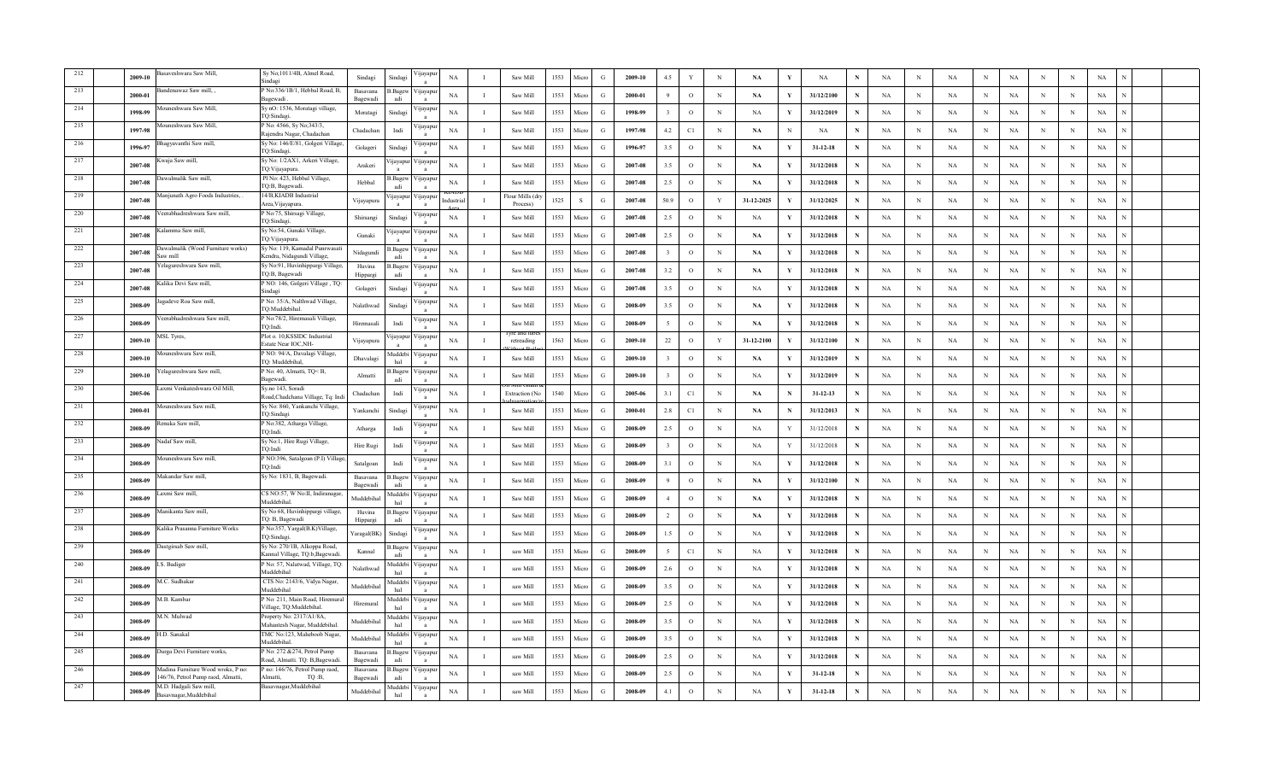|       | 2009-10 | isaveshwara Saw Mill,                                                  | Sy No;1011/4B, Almel Road,<br>indagi                           | Sindagi              | Sindagi               | 'ijayapı                 | NA          |              | Saw Mill                   | 1553 | Micro        | G             | 2009-10 | 4.5            | Y             | $_{\rm N}$   | NA         | $\mathbf{v}$ | $_{\rm NA}$    |   | NA          | $\mathbf N$ | $_{\rm NA}$ | N            | <b>NA</b>   | N | $\,$ N     | $_{\rm NA}$ |  |  |
|-------|---------|------------------------------------------------------------------------|----------------------------------------------------------------|----------------------|-----------------------|--------------------------|-------------|--------------|----------------------------|------|--------------|---------------|---------|----------------|---------------|--------------|------------|--------------|----------------|---|-------------|-------------|-------------|--------------|-------------|---|------------|-------------|--|--|
| 213   | 2000-01 | andenawaz Saw mill,                                                    | P No:336/1B/1, Hebbal Road, B,<br>Bagewadi                     | Basayana<br>Bagewad  | B.Bagew<br>adi        | цауар                    | NA          |              | Saw Mill                   | 1553 | Micn         | G             | 2000-01 |                | $\circ$       | $_{\rm N}$   | NA         | Y            | 31/12/2100     | N | NA          | N           | NA          | N            | NA          | N | N          | NA          |  |  |
| 214   | 1998-99 | ouneshwara Saw Mill,                                                   | Sy nO: 1536, Moratagi village,<br>TQ:Sindagi                   | Moratagi             | Sindagi               | ∕ ijayapı                | NA          |              | Saw Mill                   | 1553 | Micro        | G             | 1998-99 |                | $\circ$       | $_{\rm N}$   | NA         | Y            | 31/12/2019     | N | NA          | N           | NA          | N            | NA          | N | N          | NA          |  |  |
| 215   | 1997-98 | ouneshwara Saw Mill,                                                   | P No: 4566, Sy No;343/3,<br>Rajendra Nagar, Chadachan          | Chadachan            | Indi                  | 'ijayap                  | NA          | л            | Saw Mill                   | 1553 | Micro        | G             | 1997-98 | 4.2            | C1            | $\mathbf N$  | <b>NA</b>  | N            | <b>NA</b>      | N | $_{\rm NA}$ | N           | NA          | $_{\rm N}$   | $_{\rm NA}$ | N | N          | $_{\rm NA}$ |  |  |
| 216   | 1996-97 | hagyavanthi Saw mill,                                                  | Sy No: 146/E/81, Golgeri Village<br>TQ:Sindagi.                | Golageri             | Sindag                | 'ijayap                  | NA          |              | Saw Mill                   | 1553 | Micro        | G             | 1996-97 | 3.5            | $\circ$       | $_{\rm N}$   | <b>NA</b>  | Y            | $31 - 12 - 18$ | N | NA          | N           | NA          | $\, {\rm N}$ | <b>NA</b>   | N | N          | $_{\rm NA}$ |  |  |
| 217   | 2007-08 | Kwaja Saw mill,                                                        | Sy No: 1/2AX1, Arkeri Village,<br>TQ:Vijayapura                | Arakeri              | ijayapu               | 'ijayapı                 | NA          |              | Saw Mill                   | 1553 | Micro        | G             | 2007-08 | 3.5            | $\circ$       | N            | <b>NA</b>  | Y            | 31/12/2018     |   | NA          | N           | <b>NA</b>   | N            | NA          | N | N          | NA          |  |  |
| 218   | 2007-08 | awalmalik Saw mill,                                                    | Pl No: 423, Hebbal Village,<br>TQ:B, Bagewadi.                 | Hebbal               | Bagew                 | 'ijayapı                 | NA          |              | Saw Mill                   | 1553 | Micro        | G             | 2007-08 | 2.5            | $\circ$       | $_{\rm N}$   | NA         |              | 31/12/2018     |   | NA          | N           | NA          | $_{\rm N}$   | NA          | N | N          | NA          |  |  |
| 219   | 2007-08 | lanjunath Agro Foods Industries,                                       | 14/B,KIADB Industrial<br>Area, Vijayapura.                     | Vijayapura           | ijayapu               | ∕ijayapı                 | ndustri:    | - 1          | Flour Mills (d<br>Process) | 1525 | $\mathbf{s}$ | G             | 2007-08 | 50.9           | $\circ$       | $\mathbf{Y}$ | 31-12-2025 | $\mathbf{v}$ | 31/12/2025     | N | $_{\rm NA}$ | N           | NA          | $\,$ N       | $_{\rm NA}$ | N | $\,$ N     | $_{\rm NA}$ |  |  |
| 220   | 2007-08 | eerabhadreshwara Saw mill.                                             | P No:75, Shirsagi Village,<br>TQ:Sindagi.                      | Shirsangi            | Sindagi               | yayap                    | NA          |              | Saw Mill                   | 1553 | Micro        | G             | 2007-08 | 2.5            | $\circ$       | N            | NA         | Y            | 31/12/2018     | N | NA          | N           | NA          | $\mathbf N$  | <b>NA</b>   | N | $\;$ N     | NA          |  |  |
| 221   | 2007-08 | alamma Saw mill,                                                       | Sy No:54, Gunaki Village,<br>TQ:Vijayapura                     | Gunaki               | ijayapur              | / navapt                 | NA          |              | Saw Mill                   | 1553 | Micro        | G             | 2007-08 | 2.5            | $\circ$       | $_{\rm N}$   | NA         | Y            | 31/12/2018     | N | NA          | N           | NA          | $_{\rm N}$   | NA          | N | N          | NA          |  |  |
| 222   | 2007-08 | awalmalik (Wood Furniture works)<br>ıw mill                            | Sy No: 119, Kamadal Punrwasati<br>Kendra, Nidagundi Village,   | Nidagundi            | 3.Bagew<br>adi        | ∕ijayapı                 | NA          | - 1          | Saw Mill                   | 1553 | Micro        | G             | 2007-08 | $\mathcal{R}$  | $\circ$       | $_{\rm N}$   | NA         | Y            | 31/12/2018     | N | NA          | N           | NA          | $_{\rm N}$   | $_{\rm NA}$ | N | N          | NA          |  |  |
| 223   | 2007-08 | elagureshwara Saw mill,                                                | Sy No:91, Huvinhippargi Village,<br>TQ:B, Bagewadi             | Huvina<br>Hippargi   | 3. Bagew<br>adi       | Vijayapı<br>$\mathbf{a}$ | NA          | $\mathbf{I}$ | Saw Mill                   | 1553 | Micro        | G             | 2007-08 | 3.2            | $\circ$       | N            | <b>NA</b>  | Y            | 31/12/2018     | N | NA          | N           | <b>NA</b>   | $_{\rm N}$   | $_{\rm NA}$ | N | N          | NA          |  |  |
| 224   | 2007-08 | alika Devi Saw mill.                                                   | NO: 146, Golgeri Village, TQ:<br><i>indagi</i>                 | Golageri             | Sindagi               | 'ijayapi                 | NA          |              | Saw Mill                   | 1553 | Micro        | G             | 2007-08 | 3.5            | $\circ$       | $_{\rm N}$   | NA         | Y            | 31/12/2018     | N | NA          | N           | NA          | $_{\rm N}$   | <b>NA</b>   | N | N          | NA          |  |  |
| 225   | 2008-09 | gadeve Roa Saw mill,                                                   | P No: 35/A, Nalthwad Village,<br>TO:Muddebihal                 | Nalathwad            | Sindagi               | 'ijayapi                 | NA          |              | $\operatorname{Saw}$ Mill  | 1553 | Micro        | G             | 2008-09 | 3.5            | $\circ$       | $_{\rm N}$   | NA         | Y            | 31/12/2018     | N | NA          | N           | NA          | $_{\rm N}$   | NA          | N | N          | NA          |  |  |
| 226   | 2008-09 | eerabhadreshwara Saw mill,                                             | P No:78/2, Hiremasali Village,<br>TQ:Indi.                     | Hiremasali           | Indi                  | <b>yayap</b>             | $_{\rm NA}$ | п            | Saw Mill                   | 1553 | Micro        | G             | 2008-09 |                | $\mathcal{O}$ | $\,$ N       | NA         | Y            | 31/12/2018     | N | NA          | N           | NA          | $\,$ N       | NA          | N | $\,$ N     | $_{\rm NA}$ |  |  |
| 227   | 2009-10 | ISL Tyres,                                                             | Plot o. 10.KSSIDC Industrial<br>Estate Near IOC, NH-           | Vijayapura           | ijayapu               | ∕ijayapı                 | NA          | л            | retreading                 | 1563 | Micro        | G             | 2009-10 | $22\,$         | $\mathbf{o}$  | Y            | 31-12-2100 | Y            | 31/12/2100     |   | NA          | N           | NA          | $_{\rm N}$   | NA          | N | $\,$ N     | NA          |  |  |
| 228   | 2009-10 | Iouneshwara Saw mill,                                                  | P NO: 94/A, Davalagi Village,<br>TO: Muddebihal.               | Dhavalagi            | Auddebi<br>hal        | ∕ ijayapı                | NA          | -1           | Saw Mill                   | 1553 | Micn         | G             | 2009-10 |                | $\circ$       | N            | NA         |              | 31/12/2019     |   | NA          | N           | NA          | N            | <b>NA</b>   | N | N          | NA          |  |  |
| 229   | 2009-10 | elagureshwara Saw mill,                                                | P No: 40, Almatti, TQ <b,<br><b>Bagewadi</b></b,<br>           | Almatti              | B.Bagew               | ∕ijayapı                 | NA          |              | Saw Mill                   | 1553 | Micro        | G             | 2009-10 |                | $\circ$       | $_{\rm N}$   | NA         | Y            | 31/12/2019     | N | NA          | N           | NA          | N            | NA          | N | N          | NA          |  |  |
| 230   | 2005-06 | .axmi Venkateshwara Oil Mill,                                          | Sy.no 143, Soradi<br>load, Chadchana Village, Tq: Ind          | Chadachan            | Indi                  | 'ijayap                  | NA          | - 1          | Extraction (N              | 1540 | Micro        | G             | 2005-06 | 3.1            | $\mathbb{C}1$ | $\mathbf N$  | <b>NA</b>  | $\mathbf N$  | $31 - 12 - 13$ | N | NA          | N           | NA          | $_{\rm N}$   | $_{\rm NA}$ | N | N          | $_{\rm NA}$ |  |  |
| 231   | 2000-01 | Aouneshwara Saw mill.                                                  | Sy No: 860, Yankanchi Village,<br>TQ:Sindagi                   | Yankanchi            | Sindas                | 'ijayapı                 | NA          |              | $\operatorname{Saw}$ Mill  | 1553 | Micro        | G             | 2000-01 | 2.8            | C1            | $\mathbf N$  | <b>NA</b>  | $\mathbf N$  | 31/12/2013     | N | NA          | N           | NA          | $\mathbf N$  | <b>NA</b>   | N | N          | $_{\rm NA}$ |  |  |
| 232   | 2008-09 | lenuka Saw mill,                                                       | P No:382, Atharga Village,<br>TO-Indi                          | Atharga              | Indi                  | 'ijayapi                 | NA          |              | Saw Mill                   | 1553 | Micro        | G             | 2008-09 | 2.5            | $\circ$       | N            | NA         | Y            | 31/12/2018     |   | NA          | N           | NA          | $\mathbf N$  | <b>NA</b>   | N | N          | NA          |  |  |
| 233   | 2008-09 | ladaf Saw mill,                                                        | Sy No:1, Hire Rugi Village,<br>TQ:Indi                         | Hire Rugi            | Indi                  | 'ijayapı                 | $_{\rm NA}$ |              | Saw Mill                   | 1553 | Micro        | G             | 2008-09 |                | $\mathcal{O}$ | N            | NA         | Y            | 31/12/2018     |   | NA          | N           | NA          | $\mathbf N$  | NA          | N | N          | $_{\rm NA}$ |  |  |
| 234   | 2008-09 | ouneshwara Saw mill.                                                   | P NO:396, Satalgoan (P.I) Village<br>TO:Indi                   | Satalgoan            | Indi                  | 'ijayapı                 | NA          | - 1          | Saw Mill                   | 1553 | Micro        | G             | 2008-09 | 3.1            | $\circ$       | $\mathbf N$  | NA         | Y            | 31/12/2018     | N | NA          | N           | NA          | $_{\rm N}$   | $_{\rm NA}$ | N | $_{\rm N}$ | $_{\rm NA}$ |  |  |
| 235   | 2008-09 | Iakandar Saw mill                                                      | Sy No: 1831, B, Bagewadi.                                      | Basavana<br>Bagewad  | Bagew<br>adi          | 'ijayapı                 | NA          | п            | Saw Mill                   | 1553 | Micro        | G             | 2008-09 | Q              | $\circ$       | $_{\rm N}$   | NA         | Y            | 31/12/2100     | N | NA          | N           | NA          | $\mathbf N$  | NA          | N | $\,$ N     | NA          |  |  |
| 236   | 2008-09 | axmi Saw mill,                                                         | CS NO:57, W No:II, Indiranagar,<br>Muddebihal                  | Muddebihal           | <b>fuddebi</b><br>hal | / navapt                 | NA          |              | Saw Mill                   | 1553 | Micro        | G             | 2008-09 |                | $\circ$       | $_{\rm N}$   | NA         | Y            | 31/12/2018     | N | NA          | N           | NA          | N            | NA          | N | N          | NA          |  |  |
| 237   | 2008-09 | anikanta Saw mill,                                                     | Sy No 68, Huvinhippargi village,<br>TQ: B, Bagewadi            | Huvina<br>Hipparg    | B.Bagew<br>adi        | ∕ijayapı<br>$\mathbf{a}$ | NA          |              | Saw Mill                   | 1553 | Micro        | G             | 2008-09 | $\overline{2}$ | $\circ$       | $\mathbf N$  | <b>NA</b>  | Y            | 31/12/2018     | N | NA          | N           | <b>NA</b>   | $_{\rm N}$   | $_{\rm NA}$ | N | N          | NA          |  |  |
| 238   | 2008-09 | alika Prasanna Furniture Works                                         | P No:357, Yargal(B.K)Village,<br>TQ:Sindagi                    | Yaragal(BK)          | Sindagi               | 'ijayapı                 | NA          | - 1          | Saw Mill                   | 1553 | Micro        | G             | 2008-09 | 1.5            | $\circ$       | N            | NA         | Y            | 31/12/2018     | N | NA          | N           | <b>NA</b>   | $_{\rm N}$   | $_{\rm NA}$ | N | N          | NA          |  |  |
| 239   | 2008-09 | astgirsab Saw mill,                                                    | Sy No: 270/1B, Alkoppa Road,<br>Kannal Village, TQ:b,Bagewadi. | Kannal               | Bagew<br>adi          | 'ijayapı                 | NA          |              | saw Mill                   | 1553 | Micro        | G             | 2008-09 | $\sim$         | C1            | $_{\rm N}$   | NA         | Y            | 31/12/2018     | N | NA          | N           | NA          | $_{\rm N}$   | <b>NA</b>   | N | N          | NA          |  |  |
| 240   | 2008-09 | S. Badiger                                                             | P No: 57, Nalatwad, Village, TQ:<br>Muddebihal                 | Nalathwad            | Auddebi<br>hal        | ∕ ijayapı                | NA          |              | saw Mill                   | 1553 | Micro        | G             | 2008-09 | 2.6            | $\mathcal{O}$ | N            | NA         |              | 31/12/2018     |   | $_{\rm NA}$ | N           | NA          | N            | NA          | N | N          | $_{\rm NA}$ |  |  |
| 241   | 2008-09 | I.C. Sudhakar                                                          | CTS No: 2143/6, Vidya Nagar,<br>Muddebihal                     | Muddebihal           | Auddebi<br>hal        | 'ijayapı<br>$\mathbf{a}$ | $_{\rm NA}$ | $\mathbf{I}$ | saw Mill                   | 1553 | Micro        | G             | 2008-09 | 3.5            | $\circ$       | N            | NA         | Y            | 31/12/2018     | N | $_{\rm NA}$ | N           | NA          | $\,$ N       | $_{\rm NA}$ | N | N          | $_{\rm NA}$ |  |  |
| 242   | 2008-09 | I.B. Kambar                                                            | P No: 211, Main Road, Hiremura<br>Village, TQ:Muddebihal.      | Hiremural            | Auddeb<br>hal         | 'ijayapı                 | NA          |              | saw Mill                   | 1553 | Micro        | G             | 2008-09 | 2.5            | $\circ$       | N            | NA         | Y            | 31/12/2018     |   | NA          | N           | NA          | N            | <b>NA</b>   | N | N          | NA          |  |  |
| - 243 | 2008-09 | I.N. Mulwad                                                            | Property No: 2317/A1/8A,<br>Mahantesh Nagar, Muddebihal.       | Muddebihal           | <b>Iuddebi</b><br>hal | ∕ ijayapı                | NA          |              | saw Mill                   | 1553 | Micro        | G             | 2008-09 | 3.5            | $\circ$       | N            | NA         |              | 31/12/2018     |   | NA          | N           | NA          | N            | NA          | N | N          | NA          |  |  |
| 244   | 2008-09 | I.D. Sanakal                                                           | TMC No:123, Maheboob Nagar,<br>Muddebihal                      | Muddebihal           | Muddebi<br>hal        | ∕ijayapı                 | $_{\rm NA}$ |              | saw Mill                   | 1553 | Micro        | $\mathcal{G}$ | 2008-09 | 3.5            | $\circ$       | $_{\rm N}$   | NA         | Y            | 31/12/2018     | N | NA          | N           | NA          | $_{\rm N}$   | NA          | N | N          | $_{\rm NA}$ |  |  |
| 245   | 2008-09 | Jurga Devi Furniture works,                                            | P No: 272 & 274, Petrol Pump<br>load, Almatti. TQ: B, Bagewadi | Basayana<br>Bagewadi | Bagew<br>adi          | ∕ijayapı                 | NA          | $\mathbf{I}$ | saw Mill                   | 1553 | Micro        | G             | 2008-09 | 2.5            | $\circ$       | $\mathbf N$  | <b>NA</b>  | $\mathbf{v}$ | 31/12/2018     | N | NA          | N           | <b>NA</b>   | $_{\rm N}$   | $_{\rm NA}$ | N | N          | NA          |  |  |
|       | 2008-09 | Aadina Furniture Wood wroks. P no<br>46/76, Petrol Pump raod, Almatti, | no: 146/76, Petrol Pump raod,<br>TO:B.<br>Almatti.             | Basavan<br>Bagewadi  | Bagev<br>adi          | ijayap                   | <b>NA</b>   |              | saw Mill                   | 1553 | Micro        | G             | 2008-09 | 2.5            | $\circ$       | N            | NA         | Y            | $31 - 12 - 18$ |   | NA          | N           | NA          | $_{\rm N}$   | <b>NA</b>   | N | N          | NA          |  |  |
| 247   | 2008-09 | M.D. Hadgali Saw mill,<br>Basavnagar,Muddebihal                        | Basavnagar, Muddebihal                                         | Muddebiha            | Auddebi<br>hal        | 'ijayapı                 | NA          |              | saw Mill                   | 1553 | Micro        | G             | 2008-09 | 4.1            | $\circ$       | N            | NA         | $\mathbf Y$  | $31 - 12 - 18$ |   | NA          | N           | NA          | N            | <b>NA</b>   | N | N          | $_{\rm NA}$ |  |  |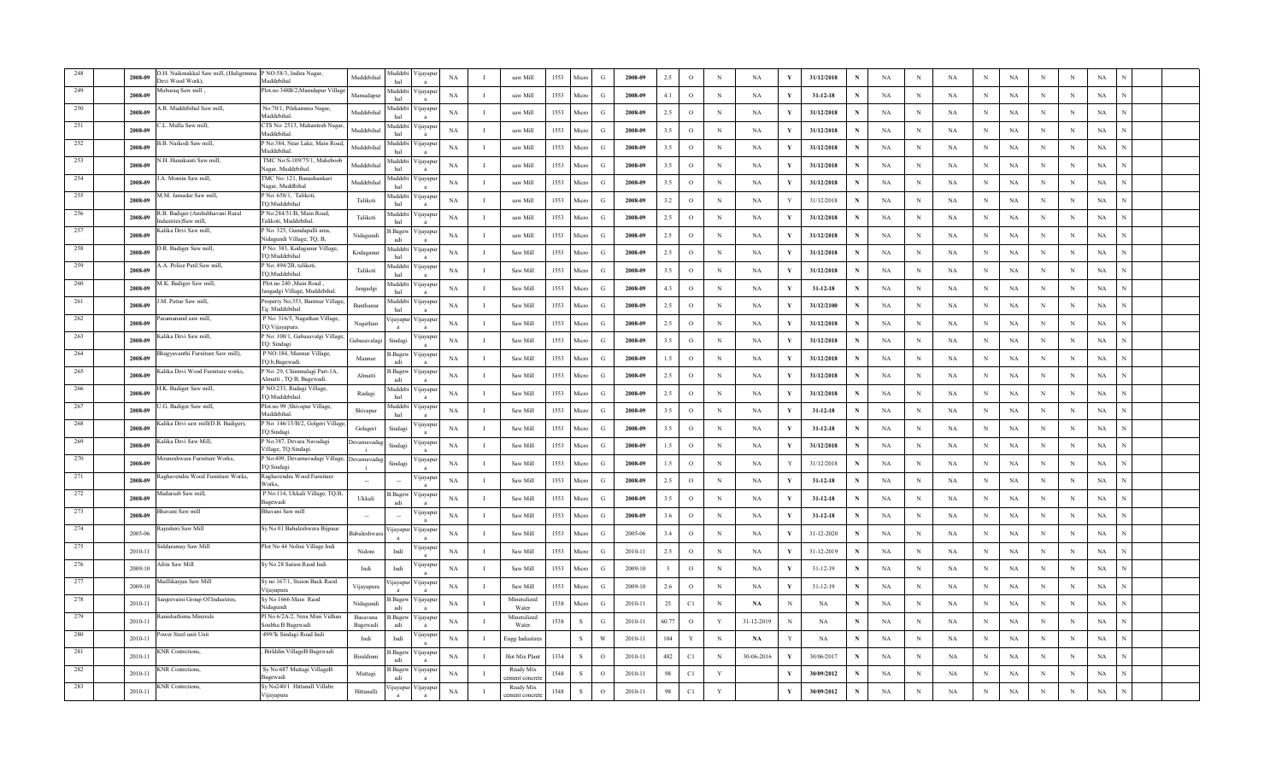|     | O.H. Naikmakkal Saw mill, (Huligem<br>2008-09<br>Jevi Wood Work),       | P NO:58/3, Indira Nagar,<br>Muddebiha                                | Muddebihal          | <b>Iuddeb</b><br>hal  | 'ijayapı                 | NA          |                | saw Mill                   | 1553 | Micro        | G             | 2008-09 | 2.5   | $\circ$ | N           | NA         | V   | 31/12/2018     |   | NA          | $_{\rm N}$ | NA        | $_{\rm N}$  | $_{\rm NA}$ | N | $_{\rm N}$ | $_{\rm NA}$ |  |
|-----|-------------------------------------------------------------------------|----------------------------------------------------------------------|---------------------|-----------------------|--------------------------|-------------|----------------|----------------------------|------|--------------|---------------|---------|-------|---------|-------------|------------|-----|----------------|---|-------------|------------|-----------|-------------|-------------|---|------------|-------------|--|
|     | ubaraq Saw mill,<br>2008-09                                             | Plot.no 348B/2,Mamdapur Villag                                       | Mamadapur           | <b>Iuddeb</b><br>hal  | цауар                    | NA          |                | saw Mill                   | 1553 | Micn         | G             | 2008-09 | 4.1   | $\circ$ | N           | NA         |     | $31 - 12 - 18$ |   | NA          | N          | NA        | N           | <b>NA</b>   | N | N          | NA          |  |
|     | R. Muddebihal Saw mill,<br>2008-09                                      | No:70/1, Pilekamma Nagar,<br>Muddebihal                              | Muddebiha           | <b>fuddebi</b>        | ∕ ijayapı                | NA          |                | saw Mill                   | 1553 | Micro        | G             | 2008-09 | 2.5   | $\circ$ | $_{\rm N}$  | NA         |     | 31/12/2018     |   | NA          | N          | NA        | N           | NA          | N | N          | NA          |  |
| 251 | L. Mulla Saw mill,<br>2008-09                                           | TS No: 2513, Mahantesh Nagar<br>Auddebiha <sup>®</sup>               | Muddebiha           | <b>Iuddeb</b><br>hal  | 'ijayapı                 | NA          |                | saw Mill                   | 1553 | Micro        | G             | 2008-09 | 3.5   | $\circ$ | N           | <b>NA</b>  | Y   | 31/12/2018     |   | NA          | N          | NA        | N           | <b>NA</b>   | N | N          | NA          |  |
| 252 | 3.B. Naikodi Saw mill<br>2008-09                                        | No:384, Near Lake, Main Road<br>Auddebihal.                          | Muddebiha           | Auddeb<br>hal         | 'ijayapı                 | $_{\rm NA}$ |                | saw Mill                   | 1553 | Micro        | G             | 2008-09 | 3.5   | $\circ$ | N           | NA         | V   | 31/12/2018     |   | NA          | N          | NA        | $_{\rm N}$  | $_{\rm NA}$ | N | $\,$ N     | $_{\rm NA}$ |  |
| 253 | V.H. Hunakunti Saw mill.<br>2008-09                                     | TMC No:S-109/75/1, Maheboo<br>Vagar. Muddebihal                      | Muddebiha           | Auddebi<br>hal        | 'ijayapı                 | NA          |                | saw Mill                   | 1553 | Micro        | G             | 2008-09 | 3.5   | $\circ$ | N           | NA         |     | 31/12/2018     |   | NA          | N          | <b>NA</b> | $_{\rm N}$  | NA          | N | N          | NA          |  |
| 254 | A. Momin Saw mill,<br>2008-09                                           | IMC No: 121, Banashankari<br>Jagar, Muddbihal                        | Muddebiha           | <b>fuddebi</b>        | 'ijayapı                 | NA          |                | saw Mill                   | 1553 | Micro        | G             | 2008-09 | 3.5   | $\circ$ | N           | NA         |     | 31/12/2018     |   | NA          | N          | NA        | $_{\rm N}$  | NA          | N | N          | NA          |  |
| 255 | M.M. Jamadar Saw mill,<br>2008-09                                       | No: 658/1, Talikoti,<br>Q:Muddebihal                                 | Talikoti            | <b>fuddeb</b><br>hal  | 'ijayapı                 | NA          |                | saw Mill                   | 1553 | Micro        | G             | 2008-09 | 3.2   | $\circ$ | N           | NA         |     | 31/12/2018     |   | NA          | N          | <b>NA</b> | $_{\rm N}$  | NA          | N | N          | $_{\rm NA}$ |  |
| 256 | <b>R.B. Badiger</b> (Ambabhavani Rural<br>2008-09<br>dustries)Saw mill. | <sup>2</sup> No:284/31/B, Main Road,<br><b>Falikoti</b> , Muddebihal | Talikoti            | <b>fuddeb</b><br>hal  | 'ijayapı                 | NA          |                | saw Mill                   | 1553 | Micro        | G             | 2008-09 | 2.5   | $\circ$ | $_{\rm N}$  | NA         |     | 31/12/2018     |   | NA          | N          | NA        | $\,$ N      | <b>NA</b>   | N | $\,$ N     | $_{\rm NA}$ |  |
| 257 | Kalika Devi Saw mill,<br>2008-09                                        | P No: 325, Gumdapalli area,<br>Nidagundi Village, TQ; B,             | Nidagundi           | Bagev.<br>adi         | 'ijayapu                 | NA          |                | saw Mill                   | 1553 | Micro        | G             | 2008-09 | 2.5   | $\circ$ | N           | NA         |     | 31/12/2018     |   | NA          | N          | <b>NA</b> | N           | NA          | N | N          | NA          |  |
| 258 | .R. Badiger Saw mill,<br>2008-09                                        | P No: 383, Kodaganur Village,<br>TQ:Muddebihal                       | Kodaganur           | <b>fuddebi</b><br>hal | 'ijayapı                 | NA          |                | Saw Mill                   | 1553 | Micro        | G             | 2008-09 | 2.5   | $\circ$ | N           | <b>NA</b>  |     | 31/12/2018     | N | NA          | N          | NA        | $_{\rm N}$  | NA          | N | N          | NA          |  |
| 259 | .A. Police Patil Saw mill,<br>2008-09                                   | No: 494/2B, talikoti,<br>TQ;Muddebihal                               | Talikoti            | <b>Iuddebi</b><br>hal | 'ijayapı<br>$\mathbf{a}$ | NA          | л.             | Saw Mill                   | 1553 | Micro        | G             | 2008-09 | 3.5   | $\circ$ | $\,$ N      | <b>NA</b>  | V   | 31/12/2018     | N | NA          | N          | <b>NA</b> | N           | $_{\rm NA}$ | N | N          | $_{\rm NA}$ |  |
| 260 | I.K. Badiger Saw mill,<br>2008-09                                       | Plot.no.240 Main Road<br>angadgi Village, Muddebihal.                | Jangadgi            | <b>Iuddeb</b><br>hal  | 'ijayapı                 | $_{\rm NA}$ |                | Saw Mill                   | 1553 | Micro        | G             | 2008-09 | 4.3   | $\circ$ | $\mathbf N$ | <b>NA</b>  | - V | $31 - 12 - 18$ | N | NA          | N          | NA        | $\,$ N      | $_{\rm NA}$ | N | N          | $_{\rm NA}$ |  |
| 261 | .M. Pattar Saw mill,<br>2008-09                                         | Property No;353, Bantnur Village<br>'a: Muddebihal                   | Banthanu            | <b>fuddebi</b><br>hal | 'ijayapı                 | NA          |                | Saw Mill                   | 1553 | Micro        | G             | 2008-09 | 2.5   | $\circ$ | N           | NA         |     | 31/12/2100     | N | NA          | N          | <b>NA</b> | N           | NA          | N | N          | NA          |  |
| 262 | ramanand saw mill,<br>2008-09                                           | P No: 316/5, Nagathan Village,<br>IQ:Vijayapura.                     | Nagathan            | ijayapu               | 'ijayapı                 | NA          | $\mathbf{I}$   | Saw Mill                   | 1553 | Micro        | G             | 2008-09 | 2.5   | $\circ$ | N           | <b>NA</b>  | Y   | 31/12/2018     | N | NA          | N          | NA        | $_{\rm N}$  | NA          | N | N          | NA          |  |
| 263 | .alika Devi Saw mill<br>2008-09                                         | P No: 100/1, Gabasavalgi Village<br>TQ: Sindagi                      | Gabasavalaş         | Sindag                | 'ijayapı                 | NA          | 1              | Saw Mill                   | 1553 | Micro        | G             | 2008-09 | 3.5   | $\circ$ | $_{\rm N}$  | NA         | Y   | 31/12/2018     |   | NA          | N          | NA        | $_{\rm N}$  | NA          | N | $_{\rm N}$ | NA          |  |
| 264 | Bhagyavanthi Furniture Saw mill),<br>2008-09                            | P NO:184, Mannur Village,<br>iO:b,Bagewadi                           | Mannur              | .Bagev<br>adi         | 'ijayapı                 | NA          |                | Saw Mill                   | 1553 | Micn         | G             | 2008-09 | 1.5   | $\circ$ | N           | <b>NA</b>  |     | 31/12/2018     |   | NA          | N          | NA        | $_{\rm N}$  | NA          | N | N          | NA          |  |
| 265 | Kalika Devi Wood Furniture works,<br>2008-09                            | P No: 29, Chimmalagi Part-1A,<br>Almatti , TQ:B, Bagewadi.           | Almatti             | .Bagey                | <b>yayap</b>             | NA          |                | Saw Mill                   | 1553 | Micro        | G             | 2008-09 | 2.5   | $\circ$ | $_{\rm N}$  | NA         |     | 31/12/2018     |   | NA          | N          | <b>NA</b> | N           | NA          | N | N          | NA          |  |
| 266 | I.K. Badiger Saw mill,<br>2008-09                                       | NO:233, Rudagi Village,<br>TQ:Muddebihal.                            | Rudagi              | <b>Iuddeb</b>         | 'ijayapı                 | NA          | -1             | Saw Mill                   | 1553 | Micro        | G             | 2008-09 | 2.5   | $\circ$ | N           | <b>NA</b>  | Y   | 31/12/2018     | N | NA          | N          | <b>NA</b> | N           | NA          | N | N          | NA          |  |
| 267 | .G. Badiger Saw mill,<br>2008-09                                        | Plot.no 99 ,Shivapur Village,<br>Muddebihal.                         | Shivapur            | Auddeb<br>hal         | 'ijayap                  | $_{\rm NA}$ |                | Saw Mill                   | 1553 | Micro        | G             | 2008-09 | 3.5   | $\circ$ | N           | NA         | Y   | $31 - 12 - 18$ | N | NA          | N          | NA        | $\mathbf N$ | $_{\rm NA}$ | N | N          | NA          |  |
| 268 | Kalika Devi saw mill(D.B. Badiger),<br>2008-09                          | No: 146/15/B/2, Golgeri Villag<br>O:Sindagi                          | Golageri            | Sindas                | 'ijayapı                 | NA          |                | Saw Mill                   | 1553 | Micro        | G             | 2008-09 | 3.5   | $\circ$ | N           | NA         | V   | $31 - 12 - 18$ |   | NA          | N          | NA        | N           | NA          | N | N          | NA          |  |
| 269 | alika Devi Saw Mill,<br>2008-09                                         | P No:387, Devara Navadagi<br>Village, TQ:Sindagi.                    | )evarnavada         |                       | 'ijayapı                 | NA          | $\mathbf{I}$   | Saw Mill                   | 1553 | Micro        | G             | 2008-09 | 1.5   | $\circ$ | N           | NA         | Y   | 31/12/2018     | N | NA          | N          | <b>NA</b> | $_{\rm N}$  | NA          | N | N          | NA          |  |
| 270 | ouneshwara Furniture Works,<br>2008-09                                  | No:409, Devarnavadagi Village,<br>rQ:Sindagi                         | <b>Devarnavada</b>  | Sindagi               | 'ijayapı                 | NA          | $\mathbf{I}$   | Saw Mill                   | 1553 | Micro        | G             | 2008-09 | 1.5   | $\circ$ | N           | NA         |     | 31/12/2018     |   | NA          | N          | <b>NA</b> | $_{\rm N}$  | NA          | N | N          | NA          |  |
| 271 | aghavendra Wood Furniture Works.<br>2008-09                             | Raghavendra Wood Furniture<br>Works,                                 |                     |                       | 'ijayapı<br>$\mathbf{a}$ | $_{\rm NA}$ | $\blacksquare$ | Saw Mill                   | 1553 | Micro        | G             | 2008-09 | 2.5   | $\circ$ | N           | NA         | V   | $31 - 12 - 18$ |   | NA          | N          | NA        | $\,$ N      | <b>NA</b>   | N | $\,$ N     | $_{\rm NA}$ |  |
| 272 | fadarsab Saw mill,<br>2008-09                                           | P No:114, Ukkali Village, TQ:B,<br>Bagewadi                          | Ukkali              | 3.Bagev<br>adi        | 'ijayapı                 | NA          |                | Saw Mill                   | 1553 | Micro        | G             | 2008-09 | 3.5   | $\circ$ | N           | NA         |     | $31 - 12 - 18$ | N | NA          | N          | NA        | N           | $_{\rm NA}$ | N | N          | NA          |  |
| 273 | avani Saw mill<br>2008-09                                               | Bhavani Saw mill                                                     |                     |                       | 'ijayap                  | NA          |                | Saw Mill                   | 1553 | Micro        | G             | 2008-09 | 3.6   | $\circ$ | N           | <b>NA</b>  |     | $31 - 12 - 18$ | N | NA          | N          | <b>NA</b> | $_{\rm N}$  | NA          | N | N          | NA          |  |
| 274 | tajesheri Saw Mill<br>2005-06                                           | Sy No 01 Babaleshwera Bijpaur                                        | Babaleshwar         | ijayapu               | ∕ijayapı<br>$\mathbf{a}$ | NA          |                | Saw Mill                   | 1553 | Micro        | G             | 2005-06 | 3.4   | $\circ$ | $_{\rm N}$  | <b>NA</b>  | Y   | 31-12-2020     | N | NA          | N          | <b>NA</b> | $_{\rm N}$  | NA          | N | N          | NA          |  |
| 275 | iddaramay Saw Mill<br>2010-11                                           | Plot No 44 Nolini Village Indi                                       | Nidoni              | Indi                  | 'ijayap                  | $_{\rm NA}$ |                | Saw Mill                   | 1553 | Micro        | G             | 2010-11 | 2.5   | $\circ$ | $\mathbf N$ | NA         | V   | 31-12-2019     | N | NA          | N          | NA        | $\mathbf N$ | $_{\rm NA}$ | N | N          | NA          |  |
| 276 | frin Saw Mill.<br>2009-10                                               | Sy No 28 Sation Raod Indi                                            | Indi                | Indi                  | <b>yayap</b>             | NA          |                | Saw Mill                   | 1553 | Micro        | G             | 2009-10 |       | $\circ$ | N           | NA         | Y   | $31 - 12 - 19$ | N | NA          | N          | NA        | N           | $_{\rm NA}$ | N | N          | NA          |  |
| 277 | faillikarjun Saw Mill<br>2009-10                                        | Sy no 167/1, Staion Back Raod<br>ijayapura                           | Vijayapura          | ijayapu               | 'ijayapı                 | NA          |                | Saw Mill                   | 1553 | Micro        | G             | 2009-10 | 2.6   | $\circ$ | N           | <b>NA</b>  |     | $31 - 12 - 19$ | N | NA          | N          | <b>NA</b> | N           | <b>NA</b>   | N | N          | NA          |  |
| 278 | njeevaini Group Of Industires,<br>2010-11                               | Sy No 1666 Main Raod<br>Vidagundi                                    | Nidagundi           | .Bagew<br>adi         | 'ijayapı<br>$\mathbf{a}$ | NA          |                | Mineralize<br>Water        | 1538 | Micro        | G             | 2010-11 | 25    | C1      | $_{\rm N}$  | NA         | N   | NA             | N | NA          | N          | NA        | $_{\rm N}$  | NA          | N | $\,$ N     | NA          |  |
| 279 | iishathima Minerals<br>2010-11                                          | Pl No 6/2A/2, Nera Mini Vidhan<br>Soubha B Bagewadi                  | Basavana<br>Bagewad | .Bagev<br>adi         | 'ijayapı                 | NA          | -1             | Mineralized<br>Water       | 1538 | $\mathbf{s}$ | G             | 2010-11 | 60.77 | $\circ$ | Y           | 31-12-2019 | N   | $_{\rm NA}$    | N | NA          | N          | NA        | $_{\rm N}$  | NA          | N | $\,$ N     | NA          |  |
| 280 | wer Steel unit Unit<br>2010-11                                          | 499/!k Sindagi Road Indi                                             | Indi                | Indi                  | цауар                    | NA          |                | ingg Industire             |      |              | W             | 2010-11 | 104   | Y       | $_{\rm N}$  | NA         |     | NA             |   | NA          | N          | NA        | N           | $_{\rm NA}$ | N | N          | NA          |  |
| 281 | NR Contretions,<br>2010-11                                              | Birlddin VillageB Bagewadi                                           | Biraldinni          | Bagev.                | 'ijayap                  | NA          |                | Hot Mix Plant              | 1334 |              | $\circ$       | 2010-11 | 482   | C1      | N           | 30-06-2016 |     | 30/06/2017     |   | NA          | N          | <b>NA</b> | N           | <b>NA</b>   | N | N          | NA          |  |
| 282 | <b>KNR</b> Contretions.<br>$2010 - 11$                                  | Sy No 687 Muttagi VillageB<br><b>Bagewadi</b>                        | Muttagi             | .Bagev<br>adi         | 'ijayap                  | NA          |                | Ready Mi<br>ement concret  | 1548 |              | $\Omega$      | 2010-11 | 98    | C1      | Y           |            | V   | 30/09/2012     | N | NA          | N          | NA        | N           | NA          | N | N          | $_{\rm NA}$ |  |
|     | <b>KNR</b> Contretions,<br>2010-11                                      | y No240/1 Hittanall Villabe<br>Vijayapura                            | Hittanalli          | ijayapu               | 'ijayapı                 | $_{\rm NA}$ |                | Ready Mix<br>ement concret | 1548 | <sub>S</sub> | $\mathcal{O}$ | 2010-11 | 98    | C1      |             |            | V   | 30/09/2012     |   | $_{\rm NA}$ |            | <b>NA</b> | N           | <b>NA</b>   | N | N          | NA          |  |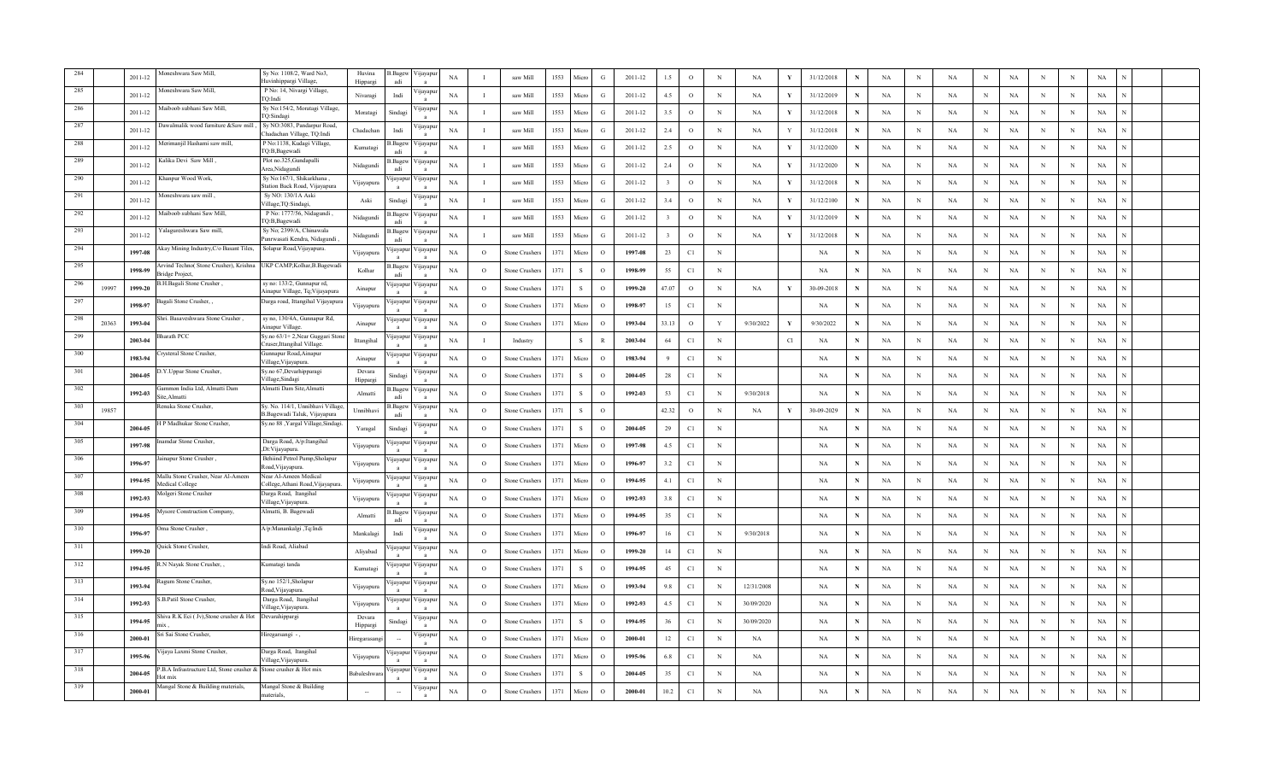|      |       | 2011-12     | foneshwara Saw Mill,                                                       | Sv No: 1108/2. Ward No3<br>Huvinhippargi Village,                 | Huvina<br>Hippargi | 3.Bagew<br>adi  | ∕ijayapı     | NA          |          | saw Mill             | 1553 | Micro        | G             | 2011-12 | 1.5   | $\circ$       | N           | NA<br>Y                   | 31/12/2018  |   | NA          | $\mathbf N$  | $_{\rm NA}$ | $_{\rm N}$  | NA          | N          | $\,$ N      | $_{\rm NA}$ |  |
|------|-------|-------------|----------------------------------------------------------------------------|-------------------------------------------------------------------|--------------------|-----------------|--------------|-------------|----------|----------------------|------|--------------|---------------|---------|-------|---------------|-------------|---------------------------|-------------|---|-------------|--------------|-------------|-------------|-------------|------------|-------------|-------------|--|
|      |       | 2011-12     | Ioneshwara Saw Mill.                                                       | P No: 14, Nivargi Village,<br>TO:Indi                             | Nivaragi           | Indi            | цауар        | NA          |          | saw Mill             | 1553 | Micn         | G             | 2011-12 | 4.5   | $\circ$       | N           | NA<br>Y                   | 31/12/2019  | N | NA          | N            | NA          | N           | NA          | N          | N           | NA          |  |
|      |       | 2011-12     | Aaiboob subhani Saw Mill,                                                  | Sy No:154/2, Moratagi Village,<br>TQ:Sindagi                      | Moratagi           | Sindag          | 'ijayap      | NA          |          | saw Mill             | 1553 | Micro        | G             | 2011-12 | 3.5   | $\circ$       | $_{\rm N}$  | NA<br>Y                   | 31/12/2018  |   | NA          | N            | NA          | $_{\rm N}$  | NA          | N          | N           | NA          |  |
| 287  |       | 2011-12     | Dawalmalik wood furniture &Saw mill                                        | Sy NO:3083, Pandarpur Road,<br>hadachan Village, TQ:Indi          | Chadachan          | Indi            | 'ijayap      | NA          |          | saw Mill             | 1553 | Micro        | G             | 2011-12 | 2.4   | $\circ$       | $_{\rm N}$  | <b>NA</b><br>Y            | 31/12/2018  | N | NA          | N            | <b>NA</b>   | $_{\rm N}$  | <b>NA</b>   | N          | N           | NA          |  |
| -288 |       | 2011-12     | Merimanjil Hashami saw mill,                                               | P No:1138, Kudagi Village,<br>TQ:B,Bagewadi                       | Kumatagi           | 3.Bage          | √ijayap      | NA          |          | saw Mill             | 1553 | Micro        | G             | 2011-12 | 2.5   | $\circ$       | $\mathbf N$ | NA<br>V.                  | 31/12/2020  | N | NA          | N            | NA          | $\,$ N      | <b>NA</b>   | N          | N           | $_{\rm NA}$ |  |
| 289  |       | 2011-12     | Kalika Devi Saw Mill                                                       | Plot no.325, Gundapalli<br>Area, Nidagundi                        | Nidagundi          | Bagew<br>adi    | 'ijayapı     | NA          |          | saw Mill             | 1553 | Micro        | G             | 2011-12 | 2.4   | $\circ$       | N           | <b>NA</b><br>$\mathbf{v}$ | 31/12/2020  |   | NA          | N            | <b>NA</b>   | N           | NA          | N          | N           | NA          |  |
| 290  |       | 2011-12     | Khanpur Wood Work,                                                         | Sy No:167/1, Shikarkhana,<br>Station Back Road, Vijayapura        | Vijayapura         | ijayapu         | 'ijayapı     | NA          |          | saw Mill             | 1553 | Micro        | G             | 2011-12 |       | $\circ$       | $_{\rm N}$  | NA<br>Y                   | 31/12/2018  |   | NA          | N            | NA          | $_{\rm N}$  | NA          | N          | N           | NA          |  |
| 291  |       | $2011 - 12$ | , Aoneshwara saw mill                                                      | Sy NO: 130/1A Aski<br>Village, TQ: Sindagi,                       | Aski               | Sindagi         | 'ijayapı     | NA          | л        | saw Mill             | 1553 | Micro        | G             | 2011-12 | 3.4   | $\circ$       | $\mathbf N$ | NA<br>Y                   | 31/12/2100  | N | $_{\rm NA}$ | N            | NA          | $\,$ N      | $_{\rm NA}$ | N          | N           | $_{\rm NA}$ |  |
| 292  |       | 2011-12     | Aaiboob subhani Saw Mill.                                                  | P No: 1777/56, Nidagundi,<br>TQ:B,Bagewadi                        | Nidagundi          | 3. Bagew<br>adi | 'ijayapı     | NA          | - 1      | saw Mill             | 1553 | Micro        | G             | 2011-12 |       | $\circ$       | $_{\rm N}$  | NA<br>Y                   | 31/12/2019  | N | NA          | N            | NA          | $\,$ N      | <b>NA</b>   | N          | $\,$ N      | $_{\rm NA}$ |  |
| 293  |       | 2011-12     | alagureshwara Saw mill,                                                    | Sy No; 2399/A, Chinawala<br>Punrwasati Kendra, Nidagundi          | Nidagundi          | Bagew<br>adi    | ∕ ijayapu    | NA          |          | saw Mill             | 1553 | Micro        | G             | 2011-12 |       | $\circ$       | $_{\rm N}$  | NA<br>Y                   | 31/12/2018  | N | NA          | N            | NA          | N           | NA          | $_{\rm N}$ | N           | NA          |  |
| 294  |       | 1997-08     | kay Mining Industry, C/o Basant Tiles,                                     | Solapur Road, Vijayapura.                                         | Vijayapura         | ijayapur        | ∕ijayap      | NA          | $\circ$  | Stone Crusher        | 1371 | Micro        | $\circ$       | 1997-08 | 23    | C1            | $_{\rm N}$  |                           | NA          | N | NA          | N            | <b>NA</b>   | $_{\rm N}$  | NA          | N          | N           | NA          |  |
| 295  |       | 1998-99     | Arvind Techno( Stone Crusher), Krishna<br>ridge Project,                   | UKP CAMP, Kolhar, B. Bagewadi                                     | Kolhar             | 3. Bagew<br>adi | √ijayap      | NA          | $\circ$  | <b>Stone Crusher</b> | 1371 | s            | $\circ$       | 1998-99 | 55    | C1            | $\,$ N      |                           | NA          | N | $_{\rm NA}$ | $_{\rm N}$   | NA          | $\,$ N      | $_{\rm NA}$ | N          | N           | $_{\rm NA}$ |  |
| 296  | 19997 | 1999-20     | 3.H.Bagali Stone Crusher,                                                  | sy no: 133/2, Gunnapur rd,<br>Ainapur Village, Tq;Vijayapura      | Ainapur            | ijayapu         | 'ijayap      | $_{\rm NA}$ | $\Omega$ | Stone Crusher.       | 1371 | $\mathbf{s}$ | $\Omega$      | 1999-20 | 47.07 | $\circ$       | $\mathbf N$ | NA<br>Y                   | 30-09-2018  | N | NA          | N            | $_{\rm NA}$ | $\mathbf N$ | <b>NA</b>   | N          | N           | $_{\rm NA}$ |  |
| 297  |       | 1998-97     | Bagali Stone Crusher,                                                      | Darga road, Ittangihal Vijayapura                                 | Vijayapura         | ijayapur        | ijayap       | NA          | $\circ$  | Stone Crushers       | 1371 | Micro        | $\circ$       | 1998-97 | 15    | C1            | $_{\rm N}$  |                           | $_{\rm NA}$ | N | NA          | N            | NA          | $_{\rm N}$  | NA          | N          | N           | NA          |  |
| 298  | 20363 | 1993-04     | hri. Basaveshwara Stone Crusher,                                           | sy no, 130/4A, Gunnapur Rd,<br><b>Ainapur Village.</b>            | Ainapur            | ijayapur        | 'ijayapı     | NA          | $\circ$  | <b>Stone Crusher</b> | 1371 | Micro        | $\circ$       | 1993-04 | 33.13 | $\circ$       | Y           | 9/30/2022                 | 9/30/2022   | N | NA          | N            | <b>NA</b>   | $_{\rm N}$  | <b>NA</b>   | N          | N           | NA          |  |
| 299  |       | 2003-04     | harath PCC                                                                 | Sy.no 63/1+2, Near Guggari Stone<br>Cruser, Ittangihal Village.   | Ittangihal         | ijayapur        | ∕ijayapı     | NA          | п        | Industry             |      | ${\bf S}$    | $\mathbb{R}$  | 2003-04 | 64    | $\mathbb{C}1$ | $\mathbb N$ | Cl                        | <b>NA</b>   | N | NA          | N            | NA          | $_{\rm N}$  | NA          | N          | $\,$ N      | NA          |  |
| 300  |       | 1983-94     | rysteral Stone Crusher,                                                    | Gunnapur Road, Ainapur<br>Village, Vijayapura.                    | Ainapur            | <i>u</i> ayapur | / цауар      | NA          | $\circ$  | Stone Crusher.       | 1371 | Micro        | $\Omega$      | 1983-94 | Q     | $\mathbb{C}1$ | ${\bf N}$   |                           | <b>NA</b>   | N | NA          | $\mathbb{N}$ | NA          | $\,$ N      | NA          | N          | $\,$ N      | NA          |  |
|      |       | 2004-05     | Y.Uppar Stone Crusher,                                                     | Sy.no 67, Devarhipparagi<br>Village, Sindagi                      | Devara<br>Hipparg  | Sindag          | цауар        | NA          | $\circ$  | Stone Crusher        | 1371 | <sub>S</sub> | $\circ$       | 2004-05 | 28    | C1            | N           |                           | $_{\rm NA}$ | N | NA          | N            | NA          | N           | NA          | N          | N           | NA          |  |
|      |       | 1992-03     | ammon India Ltd, Almatti Dam<br>ite, Almatt                                | Almatti Dam Site, Almatti                                         | Almatti            | 3. Bagew        | ∕ijayap      | NA          | $\circ$  | Stone Crusher        | 1371 | -S           | $\Omega$      | 1992-03 | 53    | C1            | N           | 9/30/2018                 | <b>NA</b>   | N | NA          | N            | <b>NA</b>   | N           | <b>NA</b>   | N          | N           | NA          |  |
| 303  | 19857 |             | Renuka Stone Crusher.                                                      | Sy. No. 114/1, Unnibhavi Village,<br>B.Bagewadi Taluk, Vijayapura | Unnibhavi          | 3.Bagew<br>adi  | √ijayap      | $_{\rm NA}$ | $\circ$  | Stone Crusher:       | 1371 | s            | $\Omega$      |         | 42.32 | $\circ$       | $\mathbf N$ | NA<br>Y                   | 30-09-2029  | N | NA          | N            | NA          | $\,$ N      | NA          | N          | $\mathbf N$ | $_{\rm NA}$ |  |
| -304 |       | 2004-05     | H P Madhukar Stone Crusher.                                                | Sy.no 88, Yargal Village, Sindagi                                 | Yaragal            | Sindagi         | 'ijayap      | NA          | $\circ$  | Stone Crusher        | 1371 | -S           | $\Omega$      | 2004-05 | 29    | C1            | $_{\rm N}$  |                           | NA          |   | NA          | N            | NA          | N           | <b>NA</b>   | N          | N           | NA          |  |
| 305  |       | 1997-98     | amdar Stone Crusher                                                        | Darga Road, A/p:Itangihal<br>,Dt:Vijayapura.                      | Vijayapura         | <i>u</i> ayapur | <b>yayap</b> | NA          | $\circ$  | Stone Crusher        | 1371 | Micro        | $\circ$       | 1997-98 | 4.5   | C1            | $_{\rm N}$  |                           | <b>NA</b>   |   | NA          | N            | <b>NA</b>   | $_{\rm N}$  | NA          | N          | N           | NA          |  |
| 306  |       | 1996-97     | , inapur Stone Crusher                                                     | Behiind Petrol Pump, Sholapur<br>Road, Vijayapura.                | Vijayapura         | ijayapu         | 'ijayapı     | NA          | $\circ$  | Stone Crusher        | 1371 | Micro        | $\circ$       | 1996-97 | 3.2   | C1            | N           |                           | NA          |   | NA          | N            | <b>NA</b>   | $_{\rm N}$  | NA          | N          | N           | NA          |  |
| 307  |       | 1994-95     | fallu Stone Crusher, Near Al-Ameen<br><b>Iedical College</b>               | Near Al-Ameen Medical<br>College, Athani Road, Vijayapura.        | Vijayapura         | ijayapu         | 'ijayap      | $_{\rm NA}$ | $\circ$  | Stone Crusher        | 1371 | Micro        | $\circ$       | 1994-95 | 4.1   | $\mathbb{C}1$ | N           |                           | NA          | N | NA          | N            | NA          | $\,$ N      | NA          | N          | $\,$ N      | $_{\rm NA}$ |  |
| 308  |       | 1992-93     | Iolgeri Stone Crusher                                                      | Darga Road, Itangihal<br>Village, Vijayapura.                     | Vijayapura         | ijayapu         | цауар        | NA          | $\circ$  | Stone Crusher        | 1371 | Micro        | $\circ$       | 1992-93 | $3.8$ | C1            | $_{\rm N}$  |                           | $_{\rm NA}$ |   | NA          | N            | NA          | N           | $_{\rm NA}$ | N          | N           | NA          |  |
| 309  |       | 1994-95     | ysore Construction Company,                                                | Almatti, B. Bagewadi                                              | Almatti            | Bagew           | /ijayap      | NA          | $\circ$  | Stone Crusher        | 1371 | Micro        | $\circ$       | 1994-95 | 35    | C1            | $_{\rm N}$  |                           | NA          | N | NA          | N            | <b>NA</b>   | $_{\rm N}$  | NA          | N          | N           | NA          |  |
| 310  |       | 1996-97     | ma Stone Crusher.                                                          | A/p:Manankalgi ,Tq:Indi                                           | Mankalagi          | Indi            | 'ijayar      | NA          | $\circ$  | <b>Stone Crusher</b> | 1371 | Micro        | $\circ$       | 1996-97 | 16    | C1            | $_{\rm N}$  | 9/30/2018                 | NA          | N | NA          | N            | NA          | $_{\rm N}$  | NA          | N          | N           | NA          |  |
| 311  |       | 1999-20     | uick Stone Crusher,                                                        | Indi Road, Aliabad                                                | Aliyabad           | ijayapu         | 'ijayapı     | $_{\rm NA}$ | $\circ$  | Stone Crusher        | 1371 | Micro        | $\circ$       | 1999-20 | 14    | $\mathbb{C}1$ | $\mathbf N$ |                           | $_{\rm NA}$ | N | NA          | N            | NA          | $\,$ N      | NA          | N          | N           | $_{\rm NA}$ |  |
| 312  |       | 1994-95     | .N Nayak Stone Crusher, ,                                                  | Kumatagi tanda                                                    | Kumatagi           | ijayapu         | 'ijayap      | NA          | $\circ$  | Stone Crusher.       | 1371 | S            | $\circ$       | 1994-95 | 45    | $\mathbb{C}1$ | $_{\rm N}$  |                           | $_{\rm NA}$ |   | NA          | N            | NA          | N           | $_{\rm NA}$ | N          | N           | NA          |  |
| 313  |       | 1993-94     | agum Stone Crusher,                                                        | Sy.no 152/1, Sholapur<br>Road, Vijayapura.                        | Vijayapura         | iiavapur        | 'ijayap      | NA          | $\circ$  | Stone Crusher        | 1371 | Micro        | $\circ$       | 1993-94 | 9.8   | C1            | $_{\rm N}$  | 12/31/2008                | <b>NA</b>   | N | NA          | N            | <b>NA</b>   | $_{\rm N}$  | NA          | N          | N           | NA          |  |
| 314  |       | 1992-93     | B.Patil Stone Crusher.                                                     | Darga Road, Itangihal<br>Village, Vijayapura.                     | Vijayapura         | ijayapur        | ∕ijayapı     | NA          | $\circ$  | Stone Crusher        | 1371 | Micro        | $\Omega$      | 1992-93 | 4.5   | C1            | $\mathbb N$ | 30/09/2020                | NA          | N | NA          | N            | NA          | N           | $_{\rm NA}$ | N          | N           | NA          |  |
| 315  |       | 1994-95     | hiva R.K Eci (Jv), Stone crusher & Hot Devarahippargi                      |                                                                   | Devara<br>Hippargi | Sindagi         | цауар        | NA          | $\circ$  | Stone Crusher        | 1371 | $\mathbf{s}$ | $\circ$       | 1994-95 | 36    | $\mathbb{C}1$ | ${\bf N}$   | 30/09/2020                | NA          | N | NA          | N            | NA          | $\,$ N      | $_{\rm NA}$ | N          | $\,$ N      | NA          |  |
|      |       | 2000-01     | ri Sai Stone Crusher,                                                      | Hiregarsangi -,                                                   | Hiregarasang       |                 | 'ijayap      | NA          | $\circ$  | Stone Crusher        | 1371 | Micro        | $\circ$       | 2000-01 | 12    | C1            | $_{\rm N}$  | NA                        | NA          |   | NA          | N            | <b>NA</b>   | N           | $_{\rm NA}$ | $_{\rm N}$ | N           | NA          |  |
|      |       | 1995-96     | ijaya Laxmi Stone Crusher,                                                 | Darga Road, Itangihal<br>/illage, Vijayapura.                     | Vijayapura         | ijavapur        | ∕ijayap      | NA          | $\circ$  | stone Crusher        | 1371 | Micro        | $\Omega$      | 1995-96 | 6.8   | C1            | $_{\rm N}$  | NA                        | NA          |   | NA          | N            | <b>NA</b>   | N           | <b>NA</b>   | N          | N           | NA          |  |
|      |       | 2004-05     | B.A Infrastructure Ltd, Stone crusher & Stone crusher & Hot mix<br>Iot mix |                                                                   | Babaleshwar        | ijayapur        | √ijayap      | NA          | $\Omega$ | Stone Crusher        | 1371 | -S           | $\Omega$      | 2004-05 | 35    | C1            | N           | NA                        | NA          |   | NA          | N            | NA          | $_{\rm N}$  | <b>NA</b>   | N          | N           | $_{\rm NA}$ |  |
|      |       | 2000-01     | Mangal Stone & Building materials,                                         | Mangal Stone & Building<br>naterials.                             |                    |                 | 'ijayapı     | $_{\rm NA}$ | $\circ$  | Stone Crusher        | 1371 | Micro        | $\mathcal{O}$ | 2000-01 | 10.2  | $\mathbb{C}1$ | N           | NA                        | NA          |   | NA          | N            | NA          | N           | <b>NA</b>   | N          | N           | $_{\rm NA}$ |  |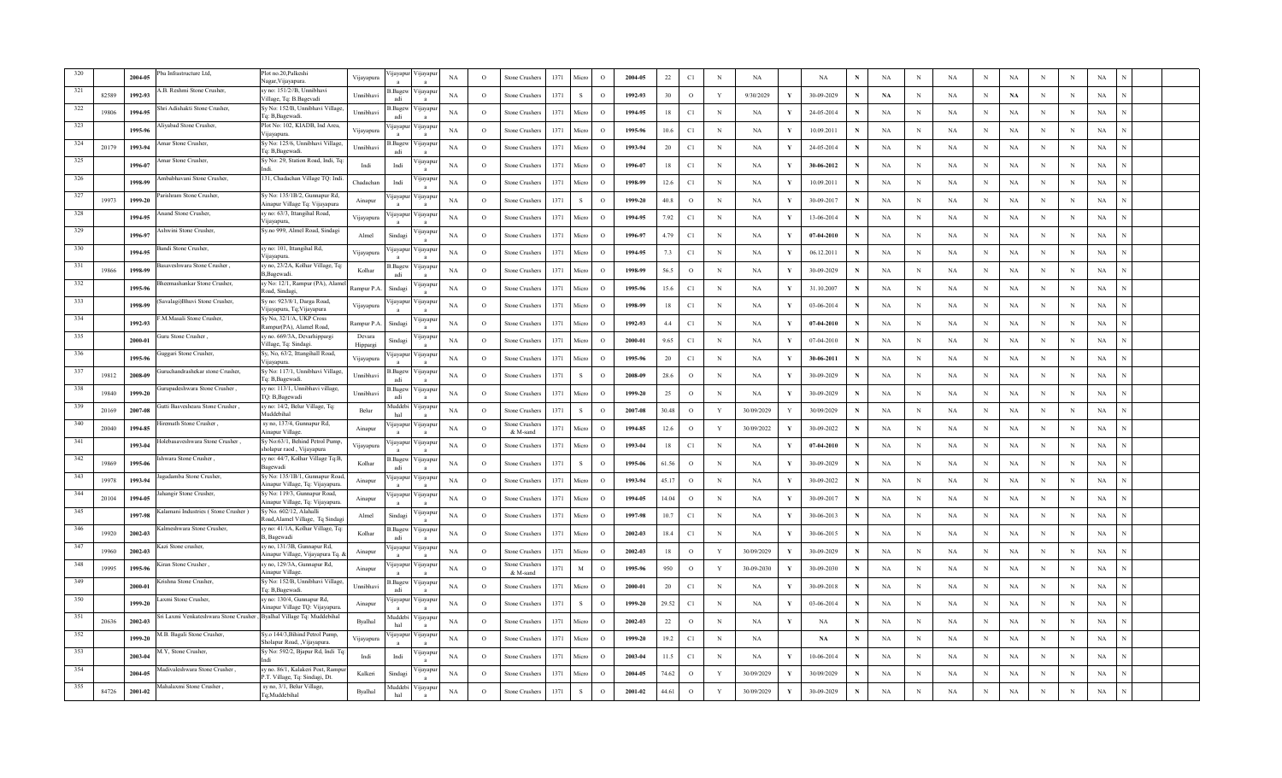|     |       | 2004-05 | ba Infrastructure Ltd,                                               | Plot no.20, Palkeshi<br>Nagar, Vijayapura.                          | Vijayapura         | ijayapur        | ∕ijayapı                 | NA          | $\Omega$     | Stone Crusher            | 1371 | Micn         | $\Omega$ | 2004-05 | 22     | C1            | N           | NA         |              | $_{\rm NA}$ |             | $_{\rm NA}$ | N | NA          | $\mathbf N$ | NA          | N           | N           | $_{\rm NA}$ |  |
|-----|-------|---------|----------------------------------------------------------------------|---------------------------------------------------------------------|--------------------|-----------------|--------------------------|-------------|--------------|--------------------------|------|--------------|----------|---------|--------|---------------|-------------|------------|--------------|-------------|-------------|-------------|---|-------------|-------------|-------------|-------------|-------------|-------------|--|
| 321 | 82589 | 1992-93 | .B. Reshmi Stone Crusher                                             | sv no: 151/2//B. Unnibhavi<br>Village, Tq: B.Bagevadi               | Unnibhavi          | Bagev<br>adi    | 'ijayapı                 | NA          | $\circ$      | Stone Crusher            | 1371 | -S           | $\Omega$ | 1992-93 | 30     | $\circ$       | Y           | 9/30/2029  | v            | 30-09-2029  | N           | NA          | N | NA          | $_{\rm N}$  | NA          | N           | N           | NA          |  |
| 322 | 19806 | 1994-95 | ıri Adishakti Stone Crusher                                          | Sy No: 152/B, Unnibhavi Village,<br>Fq: B,Bagewadi                  | Unnibhavi          | Bagew<br>adi    | цауар                    | NA          | $\circ$      | Stone Crusher            | 1371 | Micn         | $\circ$  | 1994-95 | 18     | C1            | N           | NA         |              | 24-05-2014  |             | NA          | N | NA          | N           | <b>NA</b>   | N           | N           | NA          |  |
| 323 |       | 1995-96 | liyabad Stone Crusher,                                               | Plot No: 102, KIADB, Ind Area,<br>/ijayapura                        | Vijayapura         | <i>u</i> ayapur | ∕ ijayap                 | NA          | $\circ$      | stone Crusher            | 1371 | Micro        | $\circ$  | 1995-96 | 10.6   | C1            | N           | NA         |              | 10.09.2011  | N           | NA          | N | NA          | N           | <b>NA</b>   | N           | N           | $_{\rm NA}$ |  |
| 324 | 20179 | 1993-94 | mar Stone Crusher.                                                   | Sy No: 125/6, Unnibhavi Village,<br>Tq: B, Bagewadi.                | Unnibhavi          | 3.Bage<br>adi   | √ijayap                  | NA          | $\Omega$     | Stone Crusher            | 1371 | Mierc        | $\Omega$ | 1993-94 | 20     | C1            | N           | <b>NA</b>  | Y            | 24-05-2014  | N           | <b>NA</b>   | N | NA          | $\mathbf N$ | <b>NA</b>   | N           | N           | $_{\rm NA}$ |  |
| 325 |       | 1996-07 | mar Stone Crusher.                                                   | Sy No: 29, Station Road, Indi, Tq:                                  | Indi               | Indi            | ijayap                   | <b>NA</b>   | $\circ$      | Stone Crusher            | 1371 | Micro        | $\Omega$ | 1996-07 | 18     | C1            | N           | NA         | Y            | 30-06-2012  | N           | NA          | N | NA          | N           | <b>NA</b>   | $\mathbf N$ | N           | NA          |  |
| 326 |       | 1998-99 | Ambabhavani Stone Crusher,                                           | 131, Chadachan Village TQ: Indi                                     | Chadachar          | Indi            | 'ijayapı                 | NA          | $\circ$      | Stone Crusher            | 1371 | Micro        | $\circ$  | 1998-99 | 12.6   | C1            | N           | NA         | Y            | 10.09.2011  | N           | NA          | N | NA          | N           | <b>NA</b>   | N           | N           | NA          |  |
| 327 | 19973 | 1999-20 | Parishram Stone Crusher,                                             | Sy No: 135/1B/2, Gunnapur Rd,<br>Ainapur Village Tq: Vijayapura     | Ainapur            | ijayapur        | 'ijayapı                 | NA          | $\circ$      | Stone Crusher            | 1371 |              | $\circ$  | 1999-20 | 40.8   | $\circ$       | N           | NA         |              | 30-09-2017  |             | <b>NA</b>   |   | $_{\rm NA}$ | N           | <b>NA</b>   | N           | N           | $_{\rm NA}$ |  |
| 328 |       | 1994-95 | nand Stone Crusher.                                                  | sy no: 63/3, Ittangihal Road,<br>Vijayapura,                        | Vijayapura         | ijavapu         | 'ijayapı                 | NA          | $\circ$      | Stone Crusher            | 1371 | Micro        | $\Omega$ | 1994-95 | 7.92   | C1            | $\mathbf N$ | NA         | Y            | 13-06-2014  | N           | NA          | N | NA          | $_{\rm N}$  | $_{\rm NA}$ | N           | N           | $_{\rm NA}$ |  |
| 329 |       | 1996-97 | shwini Stone Crusher.                                                | Sy.no 999, Almel Road, Sindagi                                      | Almel              | Sindagi         | ijayap                   | NA          | $\circ$      | Stone Crusher            | 1371 | Micro        | $\Omega$ | 1996-97 | 4.79   | C1            | N           | NA         | Y            | 07-04-2010  | N           | NA          | N | NA          | $_{\rm N}$  | <b>NA</b>   | N           | N           | NA          |  |
| 330 |       | 1994-95 | andi Stone Crusher,                                                  | sy no: 101, Ittangihal Rd,<br>/ijayapura                            | Vijayapura         | <i>u</i> ayapur | цауар                    | NA          | $\circ$      | Stone Crusher            | 1371 | Micro        | $\circ$  | 1994-95 | 7.3    | C1            | $_{\rm N}$  | NA         | Y            | 06.12.2011  | N           | NA          | N | NA          | $_{\rm N}$  | NA          | N           | N           | NA          |  |
| 331 | 19866 | 1998-99 | asaveshwara Stone Crusher,                                           | sy no, 23/2A, Kolhar Village, Tq:<br>B,Bagewadi.                    | Kolhar             | 3. Bagew<br>adi | 'ijayar                  | $_{\rm NA}$ | $\mathcal O$ | stone Crusher            | 1371 | Micro        | $\Omega$ | 1998-99 | 56.5   | $\circ$       | $_{\rm N}$  | NA         | Y            | 30-09-2029  | N           | NA          | N | NA          | $_{\rm N}$  | NA          | N           | N           | $_{\rm NA}$ |  |
| 332 |       | 1995-96 | ieemashankar Stone Crusher.                                          | sv No: 12/1, Rampur (PA), Alam<br>Road, Sindagi,                    | Rampur P.A         | Sindagi         | 'ijayap                  | NA          | $\Omega$     | <b>Stone Crusher</b>     | 1371 | Micro        | $\Omega$ | 1995-96 | 15.6   | $\mathbb{C}1$ | $\mathbf N$ | <b>NA</b>  | Y            | 31.10.2007  | $\mathbf N$ | NA          | N | $_{\rm NA}$ | $_{\rm N}$  | NA          | N           | N           | $_{\rm NA}$ |  |
| 333 |       | 1998-99 | Savalagi) Bhuvi Stone Crusher,                                       | Sy no: 923/8/1, Darga Road,<br>Vijayapura, Tq;Vijayapura            | Vijayapura         | ijayapu         | 'ijayap                  | NA          | $\circ$      | Stone Crusher:           | 1371 | Micro        | $\Omega$ | 1998-99 | 18     | C1            | N           | NA         | Y            | 03-06-2014  | N           | NA          | N | NA          | $_{\rm N}$  | <b>NA</b>   | N           | N           | NA          |  |
| 334 |       | 1992-93 | M.Masali Stone Crusher,                                              | Sy No, 32/1/A, UKP Cross<br>Rampur(PA), Alamel Road,                | Rampur P.A         | Sindag          | 'ijayap                  | NA          | $\circ$      | <b>Stone Crushers</b>    | 1371 | Micro        | $\circ$  | 1992-93 | 4.4    | C1            | N           | NA         | Y            | 07-04-2010  | N           | <b>NA</b>   | N | $_{\rm NA}$ | $_{\rm N}$  | <b>NA</b>   | N           | N           | NA          |  |
| 335 |       | 2000-01 | uru Stone Crusher                                                    | sy no. 669/3A, Devarhippargi<br>Village, Tq: Sindagi.               | Devara<br>Hippargi | Sindagi         | <b>yayap</b>             | NA          | $\circ$      | Stone Crusher            | 1371 | Micro        | $\circ$  | 2000-01 | 9.65   | $\mathbb{C}1$ | $_{\rm N}$  | NA         | Y            | 07-04-2010  | N           | NA          | N | NA          | N           | NA          | N           | $\mathbf N$ | NA          |  |
|     |       | 1995-96 | uggari Stone Crusher,                                                | Sy, No, 63/2, Ittangihall Road,<br>Viiavapura.                      | Vijayapura         | ijayapu         | 'ijayapı                 | NA          | $\circ$      | Stone Crusher            | 1371 | Micro        | $\Omega$ | 1995-96 | 20     | $\mathbb{C}1$ | $_{\rm N}$  | NA         | Y            | 30-06-2011  | N           | NA          | N | $_{\rm NA}$ | $_{\rm N}$  | NA          | N           | N           | NA          |  |
|     | 19812 | 2008-09 | uruchandrashekar stone Crusher.                                      | Sy No: 117/1, Unnibhavi Village<br>Tq: B, Bagewadi.                 | Unnibhay           | Bagev<br>adi    | 'цауар                   | NA          | $\circ$      | Stone Crushe             | 1371 | -S           | $\Omega$ | 2008-09 | 28.6   | $\circ$       | N           | NA         | Y            | 30-09-2029  |             | NA          | N | NA          | $_{\rm N}$  | <b>NA</b>   | N           | N           | NA          |  |
| 338 | 19840 | 1999-20 | urupadeshwara Stone Crusher,                                         | sy no: 113/1, Unnibhavi village,<br>TQ: B,Bagewadi                  | Unnibhavi          | .Bagev          | 'ijayap                  | NA          | $\circ$      | stone Crusher            | 1371 | Micro        | $\circ$  | 1999-20 | 25     | $\circ$       | $_{\rm N}$  | NA         |              | 30-09-2029  | N           | NA          | N | NA          | N           | <b>NA</b>   | N           | N           | NA          |  |
|     | 20169 | 2007-08 | utti Basvesheara Stone Crusher,                                      | sy no: 14/2, Belur Village, Tq:<br><b>Auddebihal</b>                | Belur              | Auddeb<br>hal   | 'ijayap                  | NA          | $\circ$      | Stone Crusher            | 1371 | $\mathbf{s}$ | $\Omega$ | 2007-08 | 30.48  | $\circ$       | Y           | 30/09/2029 |              | 30/09/2029  | N           | <b>NA</b>   | N | <b>NA</b>   | N           | NA          | N           | N           | $_{\rm NA}$ |  |
| 340 | 20040 | 1994-85 | iremath Stone Crusher.                                               | sy no, 137/4, Gunnapur Rd,<br>Ainapur Village.                      | Ainapur            | ijayapı         | 'ijayapı                 | NA          | $\Omega$     | Stone Crushe<br>& M-sand | 1371 | Micro        | $\Omega$ | 1994-85 | 12.6   | $\circ$       | Y           | 30/09/2022 | V            | 30-09-2022  | N           | <b>NA</b>   | N | $_{\rm NA}$ | $\mathbf N$ | <b>NA</b>   | N           | N           | $_{\rm NA}$ |  |
|     |       | 1993-04 | olebasaveshwara Stone Crusher,                                       | Sy No:63/1, Behind Petrol Pump,<br>holapur raod , Vijayapura        | Vijayapura         | ijayapur        | 'цауар                   | NA          | $\circ$      | Stone Crusher            | 1371 | Micro        | $\circ$  | 1993-04 | 18     | C1            | N           | NA         | Y            | 07-04-2010  | N           | NA          | N | NA          | $_{\rm N}$  | <b>NA</b>   | N           | N           | NA          |  |
| 342 | 19869 | 1995-06 | shwara Stone Crusher                                                 | sy no: 44/7, Kolhar Village Tq:B,<br>Bagewadi                       | Kolhar             | Bagew           | 'ijayapı                 | NA          | $\circ$      | Stone Crusher:           | 1371 | -S           | $\circ$  | 1995-06 | 1.56   | $\circ$       | N           | NA         | Y            | 30-09-2029  |             | <b>NA</b>   | N | $_{\rm NA}$ | $_{\rm N}$  | <b>NA</b>   | N           | N           | NA          |  |
| 343 | 19978 | 1993-94 | gadamba Stone Crusher,                                               | Sy No: 135/1B/1, Gunnapur Road,<br>Ainapur Village, Tq: Vijayapura. | Ainapur            | ijayapu         | 'ijayapı                 | NA          | $\Omega$     | Stone Crusher            | 1371 | Micro        | $\Omega$ | 1993-94 | 45.17  | $\circ$       | N           | <b>NA</b>  | $\mathbf{v}$ | 30-09-2022  | N           | $_{\rm NA}$ | N | NA          | $\mathbf N$ | NA          | N           | N           | $_{\rm NA}$ |  |
| 344 | 20104 | 1994-05 | hangir Stone Crusher,                                                | Sy No: 119/3, Gunnapur Road,<br>Ainapur Village, Tq: Vijayapura.    | Ainapur            | ijayapı         | 'ijayap                  | NA          | $\circ$      | Stone Crusher            | 1371 | Micro        | $\Omega$ | 1994-05 | 14.04  | $\circ$       | N           | NA         | Y            | 30-09-2017  | N           | NA          | N | NA          | N           | <b>NA</b>   | N           | $\,$ N      | NA          |  |
| 345 |       | 1997-98 | alamani Industries (Stone Crusher)                                   | Sy No. 602/12, Alahalli<br>Road,Alamel Village, Tq Sindag           | Almel              | Sindagi         | цауар                    | NA          | $\circ$      | Stone Crusher            | 1371 | Micro        | $\circ$  | 1997-98 | 10.7   | C1            | $_{\rm N}$  | NA         | Y            | 30-06-2013  | N           | NA          | N | <b>NA</b>   | N           | NA          | N           | N           | NA          |  |
| 346 | 19920 | 2002-03 | Imeshwara Stone Crusher,                                             | sy no: 41/1A, Kolhar Village, Tq:<br>B, Bagewadi                    | Kolhar             | 3.Bagew<br>adi  | 'ijayap                  | NA          | $\circ$      | stone Crusher            | 1371 | Micro        | $\circ$  | 2002-03 | 18.4   | C1            | $_{\rm N}$  | NA         |              | 30-06-2015  | N           | NA          | N | NA          | N           | NA          | N           | N           | NA          |  |
| 347 | 19960 | 2002-03 | azi Stone crusher,                                                   | sy no, 131/3B, Gunnapur Rd,<br>Ainapur Village, Vijayapura Tq.      | Ainapur            | ijayapu         | ∕ijayar                  | NA          | $\Omega$     | Stone Crusher            | 1371 | Mierc        | $\Omega$ | 2002-03 | 18     | $\circ$       | Y           | 30/09/2029 | V            | 30-09-2029  | N           | <b>NA</b>   | N | <b>NA</b>   | $_{\rm N}$  | $_{\rm NA}$ | N           | N           | $_{\rm NA}$ |  |
| 348 | 19995 | 1995-96 | iran Stone Crusher.                                                  | sy no, 129/3A, Gunnapur Rd,<br>Ainapur Village                      | Ainapur            | ijayapu         | 'ijayar                  | NA          | $\Omega$     | stone Crushe<br>& M-sand | 1371 | $_{\rm M}$   | $\Omega$ | 1995-96 | 950    | $\circ$       | Y           | 30-09-2030 |              | 30-09-2030  | N           | NA          | N | NA          | N           | <b>NA</b>   | $\mathbf N$ | N           | NA          |  |
| 349 |       | 2000-01 | rishna Stone Crusher,                                                | Sy No: 152/B, Unnibhavi Village,<br>Tq: B, Bagewadi.                | Unnibhavi          | Bagew<br>adi    | 'ijayap                  | NA          | $\circ$      | Stone Crusher            | 1371 | Micro        | $\circ$  | 2000-01 | 20     | C1            | N           | NA         |              | 30-09-2018  | N           | NA          | N | NA          | N           | NA          | N           | N           | NA          |  |
|     |       | 1999-20 | axmi Stone Crusher,                                                  | sy no: 130/4, Gunnapur Rd,<br>Ainapur Village TQ: Vijayapura.       | Ainapur            | ijayapu         | 'ijayapı                 | NA          | $\circ$      | Stone Crusher            | 1371 | <sub>S</sub> | $\circ$  | 1999-20 | 29.52  | C1            | $_{\rm N}$  | NA         | Y            | 03-06-2014  | N           | NA          | N | NA          | $_{\rm N}$  | NA          | N           | N           | NA          |  |
|     | 20636 | 2002-03 | ri Laxmi Venkateshwara Stone Crusher, Byalhal Village Tq: Muddebihal |                                                                     | Byalhal            | Auddeb<br>hal   | 'ijayap                  | $_{\rm NA}$ | $\circ$      | Stone Crusher            | 1371 | Micro        | $\Omega$ | 2002-03 | $22\,$ | $\circ$       | $_{\rm N}$  | NA         | Y            | NA          | N           | NA          | N | NA          | $_{\rm N}$  | $_{\rm NA}$ | $\mathbf N$ | N           | NA          |  |
| 352 |       | 1999-20 | I.B. Bagali Stone Crusher,                                           | Sy.o 144/3, Bihind Petrol Pump,<br>Sholapur Road, , Vijayapura      | Vijayapura         | <b>1jayapu</b>  | цауар                    | NA          | $\circ$      | Stone Crusher            | 1371 | Micr         | $\Omega$ | 1999-20 | 19.2   | C1            | N           | NA         |              | <b>NA</b>   |             | NA          | N | NA          | N           | <b>NA</b>   | N           | N           | NA          |  |
|     |       | 2003-04 | 1.Y, Stone Crusher.                                                  | Sy No: 592/2, Bjapur Rd, Indi Tq:                                   | Indi               | Indi            | 'ijayap                  | NA          | $\circ$      | stone Crusher            | 1371 | Micro        | $\circ$  | 2003-04 | 11.5   | C1            | $_{\rm N}$  | NA         |              | 10-06-2014  | N           | NA          | N | NA          | N           | <b>NA</b>   | N           | $_{\rm N}$  | NA          |  |
|     |       | 2004-05 | adivaleshwara Stone Crusher,                                         | sy no. 86/1, Kalakeri Post, Rampu<br>P.T. Village, Tq: Sindagi, Dt. | Kalkeri            | Sindag          | <b>Ilaya</b>             | NA          | $\circ$      | stone Crusher            | 1371 | Micro        | $\circ$  | 2004-05 | 74.62  | $\circ$       | Y           | 30/09/2029 | Y            | 30/09/2029  | N           | <b>NA</b>   | N | NA          | N           | <b>NA</b>   | N           | N           | NA          |  |
|     | 84726 | 2001-02 | Mahalaxmi Stone Crusher.                                             | sy no, 3/1, Belur Village,<br>Tq;Muddebihal                         | Byalhal            | Muddebi<br>hal  | ∕ijayapı<br>$\mathbf{a}$ | $_{\rm NA}$ | $\Omega$     | Stone Crusher            | 1371 | $\mathbf{s}$ | $\Omega$ | 2001-02 | 44.61  | $\circ$       | Y           | 30/09/2029 | $\mathbf{v}$ | 30-09-2029  |             | $_{\rm NA}$ | N | $_{\rm NA}$ | $_{\rm N}$  | NA          | N           | N           | $_{\rm NA}$ |  |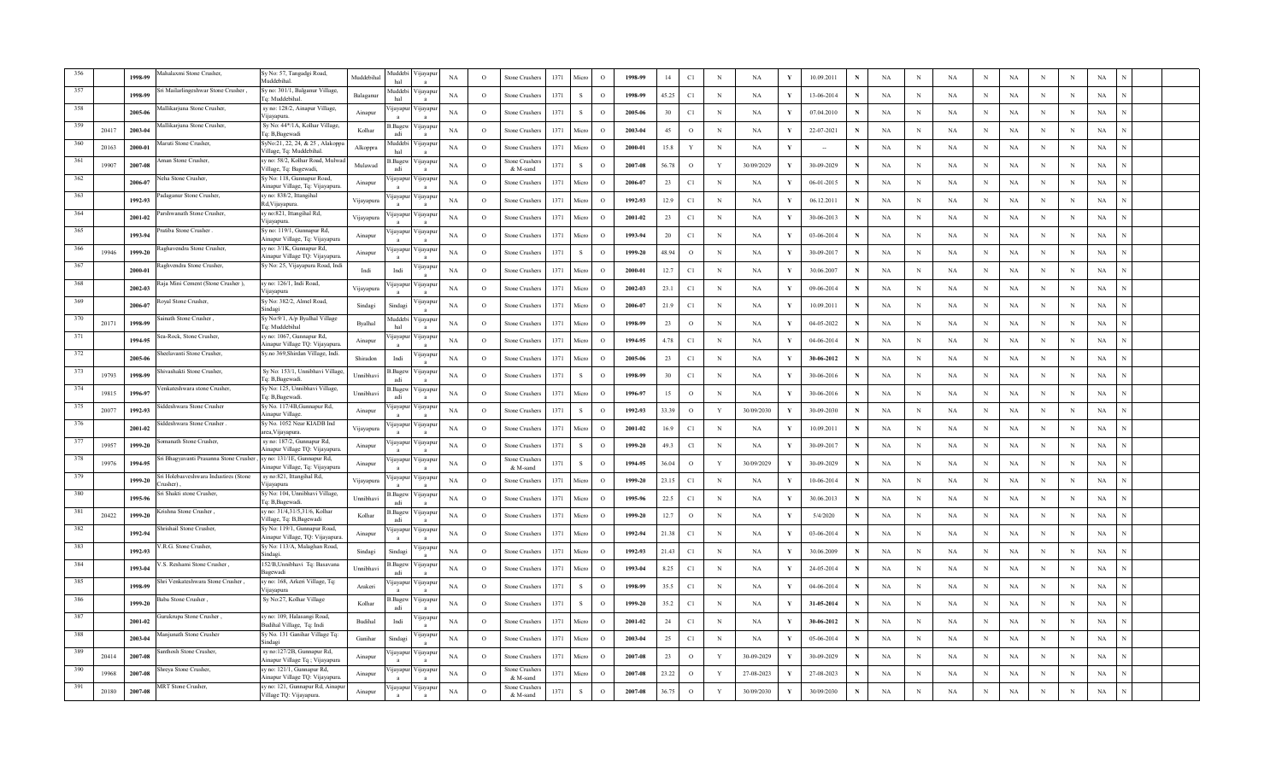|       |       | 1998-99     | ahalaxmi Stone Crusher                         | Sy No: 57, Tangadgi Road,<br>Muddebihal                         | Muddebihal | uddel<br>hal             | <b>yayap</b>               | NA          | $\circ$  | <b>Stone Crushers</b>     | 1371 | Micro        | $\Omega$      | 1998-99 | 14     | C1            | $_{\rm N}$   | NA         |     | 10.09.2011 |             | <b>NA</b> | $_{\rm N}$  | <b>NA</b>   | N | NA          |             |   | NA          |  |
|-------|-------|-------------|------------------------------------------------|-----------------------------------------------------------------|------------|--------------------------|----------------------------|-------------|----------|---------------------------|------|--------------|---------------|---------|--------|---------------|--------------|------------|-----|------------|-------------|-----------|-------------|-------------|---|-------------|-------------|---|-------------|--|
|       |       | 1998-99     | i Mailarlingeshwar Stone Crusher               | Sy no: 301/1, Balganur Village,<br>Tq: Muddebihal               | Balaganur  | <b>Iuddebi</b><br>hal    | /ijayap                    | NA          | $\circ$  | Stone Crusher             | 1371 | S            | $\circ$       | 1998-99 | 45.25  | C1            | $_{\rm N}$   | NA         | - Y | 13-06-2014 |             | NA        | $_{\rm N}$  | NA          | N | NA          | $\mathbf N$ | N | NA          |  |
|       |       | 2005-00     | allikarjuna Stone Crusher                      | sy no: 128/2, Ainapur Village,<br>Vijavapura.                   | Ainapur    | ijayapu                  | /ijayap                    | NA          | $\circ$  | Stone Crusher.            | 1371 | S            | $\Omega$      | 2005-06 | 30     | C1            | $_{\rm N}$   | NA         |     | 07.04.2010 |             | NA        | $\mathbb N$ | NA          | N | NA          | N           | N | NA          |  |
|       | 20417 | 2003-04     | Aallikarjuna Stone Crusher,                    | Sy No: 44*/1A, Kolhar Village,<br>Tq: B,Bagewadi                | Kolhar     | 3.Bagev<br>adi           | /ijayap                    | NA          | $\circ$  | Stone Crusher             | 1371 | Micre        | $\circ$       | 2003-04 | 45     | $\circ$       | $_{\rm N}$   | NA         |     | 22-07-2021 |             | NA        | $_{\rm N}$  | NA          | N | NA          | N           | N | NA          |  |
|       | 20163 | 2000-01     | Iaruti Stone Crusher,                          | SyNo:21, 22, 24, & 25, Alakoppa<br>Village, Tq: Muddebihal      | Alkoppra   | <b>Iuddebi</b><br>hal    | /iiavan                    | NA          | $\circ$  | Stone Crusher             | 1371 | Micro        | $\Omega$      | 2000-01 | 15.8   | Y             | $_{\rm N}$   | NA         |     |            |             | NA        | $_{\rm N}$  | <b>NA</b>   |   | NA          | $\mathbf N$ | N | NA          |  |
| 361   | 19907 | 2007-08     | man Stone Crusher.                             | sy no: 58/2, Kolhar Road, Mulwa<br>Village, Tq: Bagewadi,       | Mulawad    | .Bagew<br>adi            | Vijayap<br>$\mathbf{a}$    | NA          | $\Omega$ | Stone Crusher<br>& M-sand | 1371 | $\mathbf{s}$ | $\Omega$      | 2007-08 | 56.78  | $\circ$       | $\mathbf{Y}$ | 30/09/2029 | v   | 30-09-2029 | N           | NA        | $_{\rm N}$  | NA          | N | NA          | $\mathbf N$ | N | NA          |  |
| 362   |       | 2006-02     | leha Stone Crusher,                            | Sy No: 118, Gunnapur Road,<br>Ainapur Village, Tq: Vijayapura.  | Ainapur    | ijayapu                  | ijayap                     | NA          | $\Omega$ | Stone Crusher             | 1371 | Micro        | $\Omega$      | 2006-07 | 23     | C1            | N            | NA         |     | 06-01-2015 | N           | NA        | $_{\rm N}$  | <b>NA</b>   | N | $_{\rm NA}$ | N           | N | NA          |  |
| 363   |       | 1992-93     | adaganur Stone Crusher,                        | sy no: 838/2, Ittangihal<br>Rd, Vijayapura.                     | Vijayapura | <i>u</i> ayapur          | /1jayapt                   | NA          | $\circ$  | Stone Crusher.            | 1371 | Micro        | $\circ$       | 1992-93 | 12.9   | C1            | $_{\rm N}$   | NA         |     | 06.12.2011 | N           | NA        | $_{\rm N}$  | NA          | N | NA          | $\mathbf N$ | N | NA          |  |
|       |       | 2001-02     | arshwanath Stone Crusher,                      | sy no:821, Ittangihal Rd,<br>Vijayapura.                        | Vijayapura | ijayapur                 | /ijayap                    | NA          | $\circ$  | <b>Stone Crusher</b>      | 1371 | Micro        | $\Omega$      | 2001-02 | 23     | C1            | $_{\rm N}$   | NA         |     | 30-06-2013 | N           | NA        | N           | NA          | N | NA          | $\mathbf N$ | N | NA          |  |
| 365   |       | 1993-94     | ratiba Stone Crusher .                         | Sy no: 119/1, Gunnapur Rd,<br>Ainapur Village, Tq: Vijayapura   | Ainapur    | ijayapu                  | /ijayap<br>$\mathbf{a}$    | NA          | $\circ$  | Stone Crusher             | 1371 | Micro        | $\Omega$      | 1993-94 | 20     | $\rm C1$      | $_{\rm N}$   | NA         | - Y | 03-06-2014 | $\mathbf N$ | NA        | $_{\rm N}$  | $_{\rm NA}$ | N | NA          | N           | N | NA          |  |
| 366   | 19946 | 1999-20     | aghavendra Stone Crusher,                      | sy no: 3/1K, Gunnapur Rd,<br>Ainapur Village TQ: Vijayapura.    | Ainapur    | <b>1</b> ayapu           | <b>1</b> ayapt             | NA          | $\circ$  | Stone Crusher:            | 1371 | S            | $\mathcal{O}$ | 1999-20 | 48.94  | $\circ$       | $_{\rm N}$   | NA         |     | 30-09-2017 | $\mathbf N$ | NA        | $_{\rm N}$  | $_{\rm NA}$ | N | NA          | N           | N | NA          |  |
| 367   |       | 2000-01     | aghvendra Stone Crusher,                       | Sy No: 25, Vijayapura Road, Indi                                | Indi       | Indi                     | navap                      | NA          | $\circ$  | Stone Crushers            | 1371 | Micro        | $\circ$       | 2000-01 | 12.7   | C1            | $_{\rm N}$   | NA         |     | 30.06.2007 | N           | NA        | $_{\rm N}$  | NA          | N | NA          |             | N | NA          |  |
| 368   |       | 2002-03     | aja Mini Cement (Stone Crusher),               | sy no: 126/1, Indi Road,<br>/ijayapura                          | Vijayapura | ijayapui                 | /ijayar                    | NA          | $\circ$  | Stone Crusher             | 1371 | Micro        | $\Omega$      | 2002-03 | 23.1   | C1            | $_{\rm N}$   | NA         |     | 09-06-2014 | N           | NA        | $_{\rm N}$  | <b>NA</b>   | N | NA          |             | N | NA          |  |
| 369   |       | 2006-02     | oyal Stone Crusher,                            | Sy No: 382/2, Almel Road,<br>indagi                             | Sindagi    | Sindag                   | ijayap<br>$\mathbf{a}$     | $_{\rm NA}$ | $\circ$  | Stone Crusher.            | 1371 | Micro        | $\circ$       | 2006-07 | 21.9   | $\mathbb{C}1$ | $\mathbf N$  | NA         |     | 10.09.2011 | $\mathbf N$ | NA        | N           | NA          | N | $_{\rm NA}$ |             | N | NA          |  |
| 370   | 20171 | 1998-99     | inath Stone Crusher                            | Sy No:9/1, A/p Byalhal Village<br>la: Muddebihal                | Byalhal    | uddeb<br>hal             | <b>nayap</b>               | NA          | $\circ$  | Stone Crushers            | 1371 | Micro        | $\circ$       | 1998-99 | 23     | $\circ$       | $_{\rm N}$   | NA         |     | 04-05-2022 | $\mathbf N$ | NA        | $\mathbf N$ | NA          | N | $_{\rm NA}$ | N           | N | NA          |  |
| 371   |       | 1994-95     | ea-Rock, Stone Crusher,                        | sy no: 1067, Gunnapur Rd,<br>Ainapur Village TQ: Vijayapura.    | Ainapur    | ijayapui                 | ijayap                     | NA          | $\circ$  | Stone Crusher             | 1371 | Micro        | $\Omega$      | 1994-95 | 4.78   | C1            | $_{\rm N}$   | NA         |     | 04-06-2014 | N           | NA        | N           | NA          | N | NA          |             | N | NA          |  |
| 372   |       | 2005-06     | ieelavanti Stone Crusher.                      | Sy.no 369, Shirdan Village, Indi.                               | Shiradon   | Indi                     | ijayap                     | NA          | $\circ$  | Stone Crusher             | 1371 | Micro        | $\circ$       | 2005-06 | 23     | C1            | $_{\rm N}$   | NA         |     | 30-06-2012 | N           | NA        | $_{\rm N}$  | NA          | N | NA          | $\mathbf N$ | N | NA          |  |
| - 373 | 19793 | 1998-99     | iivashakti Stone Crusher,                      | Sy No: 153/1, Unnibhavi Village<br>Tq: B,Bagewadi.              | Unnibhavi  | 3.Bagev<br>adi           | ijayapı                    | NA          | $\circ$  | Stone Crusher.            | 1371 | $\,$ s       | $\Omega$      | 1998-99 | 30     | C1            | $\mathbf N$  | NA         | - Y | 30-06-2016 | N           | NA        | $\,$ N      | <b>NA</b>   | N | NA          | N           | N | NA          |  |
| 374   | 19815 | 1996-97     | enkateshwara stone Crusher,                    | Sy No: 125, Unnibhavi Village,<br>Ta: B.Bagewadi.               | Unnibhavi  | Bagev.<br>adi            | пауар                      | NA          | $\circ$  | Stone Crusher             | 1371 | Micro        | $\circ$       | 1996-97 | 15     | $\circ$       | $_{\rm N}$   | NA         |     | 30-06-2016 | N           | NA        | $_{\rm N}$  | NA          | N | NA          | N           | N | NA          |  |
| 375   | 20077 | 1992-93     | ddeshwara Stone Crusher                        | Sy No. 117/4B, Gunnapur Rd,<br>inapur Village.                  | Ainapur    | ijayapui                 | /ijayap                    | NA          | $\circ$  | Stone Crusher             | 1371 | -S           | $\Omega$      | 1992-93 | 33.39  | $\circ$       | Y            | 30/09/2030 | Y   | 30-09-2030 | N           | NA        | $_{\rm N}$  | <b>NA</b>   |   | NA          | $\mathbf N$ | N | NA          |  |
|       |       | 2001-02     | iddeshwara Stone Crusher                       | Sy No. 1052 Near KIADB Ind<br>area. Viiavapura.                 | Vijayapura | ijayapu                  | /ijayap                    | NA          | $\circ$  | Stone Crusher             | 1371 | Micro        | $\Omega$      | 2001-02 | 16.9   | C1            | $_{\rm N}$   | NA         | Y   | 10.09.2011 | N           | NA        | $_{\rm N}$  | NA          | N | NA          | N           | N | NA          |  |
|       | 19957 | 1999-20     | omanath Stone Crusher.                         | sy no: 187/2, Gunnapur Rd,<br>Ainapur Village TQ: Vijayapura    | Ainapur    | ijayapu                  | ijayap                     | NA          | $\circ$  | Stone Crusher.            | 1371 | S            | $\Omega$      | 1999-20 | 49.3   | Cl            | $_{\rm N}$   | NA         | Y   | 30-09-2017 | N           | NA        | $_{\rm N}$  | NA          | N | NA          | $\mathbf N$ | N | NA          |  |
|       | 19976 | 1994-95     | ri Bhagyavanti Prasanna Stone Crusher          | sy no: 131/1E, Gunnapur Rd,<br>Ainapur Village, Tq: Vijayapura  | Ainapur    | '1jayapur                | / цауарь                   | NA          | $\circ$  | Stone Crusher<br>& M-sand | 1371 | S            | $\circ$       | 1994-95 | 36.04  | $\circ$       | Y            | 30/09/2029 | Y   | 30-09-2029 | N           | NA        | $_{\rm N}$  | NA          | N | NA          | $\mathbf N$ | N | NA          |  |
| 379   |       | 1999-20     | i Holebasveshwara Industires (Stone<br>rusher) | sy no:821, Ittangihal Rd,<br>Vijayapura                         | Vijayapura | ijayapur                 | /ijayap                    | NA          | $\circ$  | <b>Stone Crusher</b>      | 1371 | Micro        | $\Omega$      | 1999-20 | 23.15  | C1            | $_{\rm N}$   | NA         | Y   | 10-06-2014 | N           | NA        | N           | NA          |   | NA          |             | N | NA          |  |
| 380   |       | 1995-96     | i Shakti stone Crusher.                        | Sy No: 104, Unnibhavi Village,<br>Tq: B, Bagewadi.              | Unnibhavi  | .Bagew<br>adi            | /ijayap                    | $_{\rm NA}$ | $\circ$  | Stone Crusher             | 1371 | Micro        | $\circ$       | 1995-96 | 22.5   | C1            | N            | NA         |     | 30.06.2013 | N           | NA        | N           | <b>NA</b>   | N | $_{\rm NA}$ | N           | N | $_{\rm NA}$ |  |
| 381   | 20422 | 1999-20     | rishna Stone Crusher,                          | sy no: 31/4,31/5,31/6, Kolhar<br>Village, Tq: B, Bagewadi       | Kolhar     | .Bage<br>adi             | <b>yayap</b>               | NA          | $\circ$  | Stone Crusher.            | 1371 | Micro        | $\circ$       | 1999-20 | 12.7   | $\circ$       | $_{\rm N}$   | NA         |     | 5/4/2020   | N           | NA        | $_{\rm N}$  | NA          | N | NA          |             | N | NA          |  |
| 382   |       | 1992-94     | ishail Stone Crusher,                          | Sy No: 119/1, Gunnapur Road,<br>Ainapur Village, TQ: Vijayapura | Ainapur    | ijavapur                 | Vijayap                    | NA          | $\circ$  | Stone Crusher:            | 1371 | Micro        | $\circ$       | 1992-94 | 21.38  | C1            | $_{\rm N}$   | NA         | Y   | 03-06-2014 | N           | NA        | $_{\rm N}$  | NA          | N | NA          | N           | N | NA          |  |
| 383   |       | 1992-93     | R.G. Stone Crusher,                            | Sy No: 113/A, Malaghan Road,<br>indagi                          | Sindagi    | Sindagi                  | ijayap                     | NA          | $\circ$  | Stone Crusher.            | 1371 | Micro        | $\circ$       | 1992-93 | 21.43  | C1            | $_{\rm N}$   | NA         | Y   | 30.06.2009 | N           | NA        | $_{\rm N}$  | NA          | N | NA          | N           | N | NA          |  |
| 384   |       | 1993-04     | S. Reshami Stone Crusher                       | 152/B, Unnibhavi Tq: Basavana<br>Bagewadi                       | Unnibhavi  | .Bagev<br>adi            | /ijayap                    | NA          | $\Omega$ | Stone Crusher.            | 1371 | Micro        | $\Omega$      | 1993-04 | 8.25   | C1            | $\mathbf N$  | NA         |     | 24-05-2014 | N           | NA        | $\mathbf N$ | <b>NA</b>   | N | $_{\rm NA}$ | N           | N | NA          |  |
| 385   |       | 1998-99     | hri Venkateshwara Stone Crusher,               | sy no: 168, Arkeri Village, Tq:<br>Vijayapura                   | Arakeri    | 'ijayapu                 | /ijayap                    | NA          | $\circ$  | Stone Crusher:            | 1371 | S            | $\circ$       | 1998-99 | 35.5   | C1            | $_{\rm N}$   | NA         |     | 04-06-2014 | N           | NA        | $_{\rm N}$  | NA          | N | NA          | $\mathbf N$ | N | NA          |  |
|       |       | 1999-20     | aba Stone Crusher                              | Sy No:27, Kolhar Village                                        | Kolhar     | .Bagew<br>adi            | ijayap                     | NA          | $\circ$  | Stone Crusher.            | 1371 | S            | $\circ$       | 1999-20 | 35.2   | C1            | $_{\rm N}$   | NA         | Y   | 31-05-2014 |             | NA        | $\mathbf N$ | NA          | N | NA          | $\mathbf N$ | N | NA          |  |
|       |       | $2001 - 02$ | urukrupa Stone Crusher                         | sv no: 109. Halasangi Road.<br>Budihal Village, Tq: Indi        | Budihal    | Indi                     | ijayap                     | $_{\rm NA}$ | $\circ$  | Stone Crusher.            | 1371 | Micro        | $\circ$       | 2001-02 | 24     | C1            | $\,$ N       | NA         | Y   | 30-06-2012 |             | NA        | $\,$ N      | NA          | N | NA          | N           | N | NA          |  |
|       |       | $2003 - 04$ | aniunath Stone Crusher                         | Sy No. 131 Ganihar Village Tq:<br>Sindagi                       | Ganihar    | Sindag                   | <b>yayap</b>               | NA          | $\circ$  | Stone Crusher             | 1371 | Micro        | $\Omega$      | 2003-04 | $25\,$ | C1            | $_{\rm N}$   | NA         |     | 05-06-2014 | N           | NA        | $\,$ N      | NA          | N | NA          | N           | N | NA          |  |
|       | 20414 | 2007-08     | inthosh Stone Crusher,                         | sy no:127/2B, Gunnapur Rd,<br>Ainapur Village Tq ; Vijayapura   | Ainapur    | цауарш                   | /цауар                     | NA          | $\circ$  | Stone Crusher             | 1371 | Micro        | $\circ$       | 2007-08 | 23     | $\circ$       | Y            | 30-09-2029 |     | 30-09-2029 | N           | NA        | N           | NA          | N | NA          | N           | N | NA          |  |
|       | 19968 | 2007-08     | treya Stone Crusher,                           | sy no: 121/1, Gunnapur Rd,<br>Ainapur Village TQ: Vijayapura.   | Ainapur    | ijayapur                 | <b>Hayap</b>               | NA          | $\circ$  | štone Crusher<br>& M-sand | 1371 | Micro        | $\Omega$      | 2007-08 | 23.22  | $\circ$       | Y            | 27-08-2023 |     | 27-08-2023 | N           | NA        | N           | NA          |   | NA          | N           | N | NA          |  |
|       | 20180 | 2007-08     | MRT Stone Crusher.                             | sy no: 121. Gunnapur Rd. Ainapu<br>Village TQ: Vijayapura.      | Ainapur    | /ijayapu<br>$\mathbf{a}$ | /ijayapı<br>$\overline{a}$ | $_{\rm NA}$ | $\circ$  | Stone Crusher<br>& M-sand | 1371 | $\,$ S       | $\Omega$      | 2007-08 | 36.75  | $\circ$       | $\mathbf Y$  | 30/09/2030 | Y   | 30/09/2030 | N           | NA        | N           | NA          |   | $_{\rm NA}$ | N           | N | $_{\rm NA}$ |  |
|       |       |             |                                                |                                                                 |            |                          |                            |             |          |                           |      |              |               |         |        |               |              |            |     |            |             |           |             |             |   |             |             |   |             |  |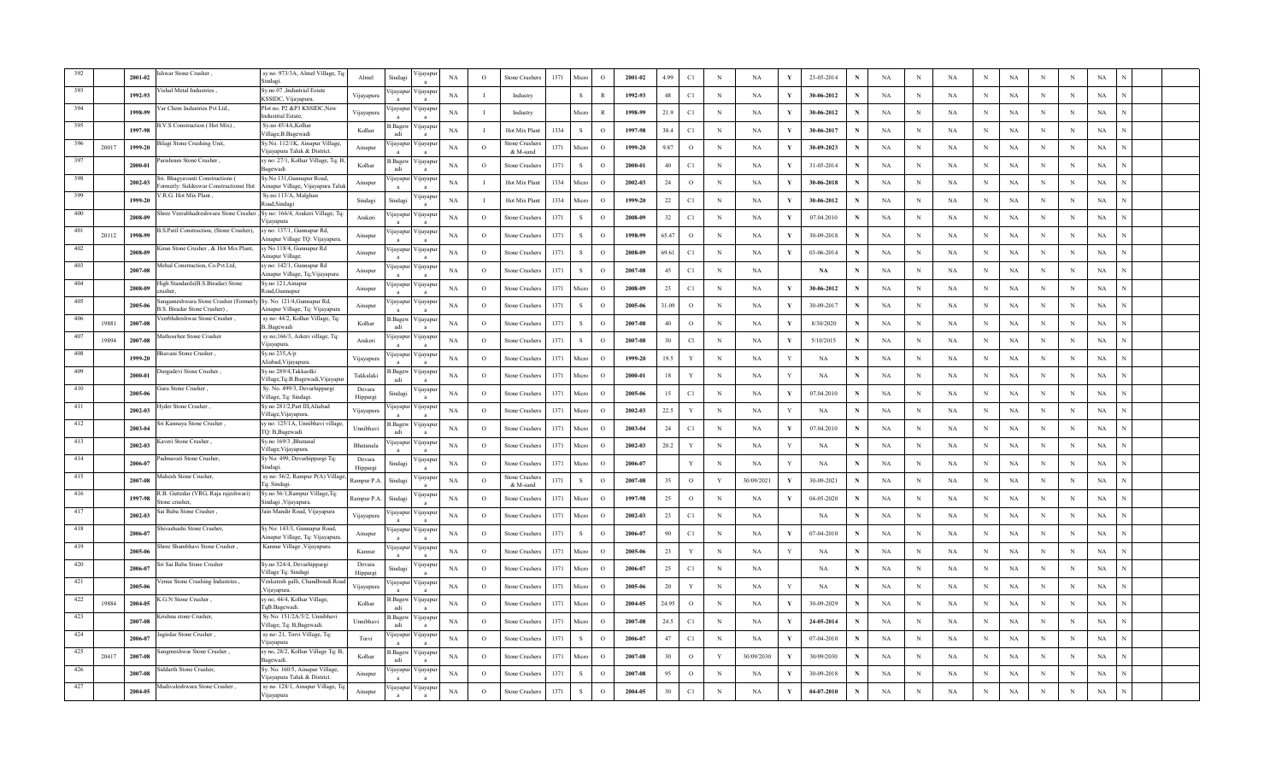|      |       | 2001-02 | hwar Stone Crusher.                                                      | sy no. 973/3A, Almel Village, To<br>indagi                     | Almel              | Sindagi               | 'ijayapı                 | NA          | $\circ$      | Stone Crushers            | 1371 | Micro         | $\circ$       | 2001-02 | 4.99  | $\mathbb{C}1$ | $\mathbf N$ | NA         | V | 23-05-2014    |             | NA          | N          | NA        | N           | $_{\rm NA}$ | N          | $\mathbf N$ | $_{\rm NA}$ |  |
|------|-------|---------|--------------------------------------------------------------------------|----------------------------------------------------------------|--------------------|-----------------------|--------------------------|-------------|--------------|---------------------------|------|---------------|---------------|---------|-------|---------------|-------------|------------|---|---------------|-------------|-------------|------------|-----------|-------------|-------------|------------|-------------|-------------|--|
|      |       | 1992-93 | shal Metal Industries                                                    | Sy.no 07 ,Industrial Estate<br>KSSIDC, Vijayapura.             | Vijayapura         | <b>1</b> ayapu        | цауар                    | NA          | 1            | Industry                  |      | -S            | $\mathbb{R}$  | 1992-93 | 48    | C1            | $_{\rm N}$  | NA         | Y | 30-06-2012    |             | NA          | N          | NA        | N           | <b>NA</b>   | N          | N           | NA          |  |
|      |       | 1998-99 | ar Chem Industries Pvt Ltd.,                                             | Plot no. P2 &P3 KSSIDC,New<br>ndustrial Estate                 | Vijayapura         | ijayapur              | ∕ijayapı                 | NA          | 1            | Industry                  |      | Micro         | $\mathbb{R}$  | 1998-99 | 21.9  | C1            | $_{\rm N}$  | NA         |   | 30-06-2012    |             | NA          | N          | NA        | N           | NA          | N          | N           | NA          |  |
|      |       | 1997-98 | V.S Construction (Hot Mix),                                              | Sy.no 45/4A,Kolhar<br>'illage, B. Bagewadi                     | Kolhar             | .Bagev<br>adi         | ∕ijayapı                 | NA          | $\mathbf I$  | Hot Mix Plant             | 1334 | -S            | $\circ$       | 1997-98 | 38.4  | C1            | N           | <b>NA</b>  | Y | 30-06-2017    | N           | NA          | N          | NA        | N           | NA          | N          | N           | NA          |  |
|      | 20017 | 1999-20 | Bilagi Stone Crushing Unit,                                              | v.No. 112/1K, Ainapur Village<br>ijayapura Taluk & District.   | Ainapur            | ijayap                | 'ijayapı                 | $_{\rm NA}$ | $\circ$      | Stone Crusher<br>& M-sand | 1371 | Micro         | $\Omega$      | 1999-20 | 9.87  | $\circ$       | $\mathbf N$ | NA         | V | 30-09-2023    | N           | NA          | N          | NA        | $_{\rm N}$  | $_{\rm NA}$ | N          | $\,$ N      | $_{\rm NA}$ |  |
| 397  |       | 2000-01 | arishram Stone Crusher,                                                  | y no: 27/1, Kolhar Village, Tq: I<br><b>Bagewadi</b>           | Kolhar             | Bagev.<br>adi         | 'ijayapı                 | NA          | $\circ$      | <b>Stone Crusher</b>      | 1371 | -S            | $\circ$       | 2000-01 | 40    | C1            | N           | NA         | Y | 31-05-2014    |             | NA          | N          | <b>NA</b> | $_{\rm N}$  | NA          | N          | N           | NA          |  |
| 398  |       | 2002-03 | Sri. Bhagyavanti Constructions (<br>ormerly: Siddeswar Constructions(Hot | y.No 131, Gunnapur Road,<br>inapur Village, Vijayapura Talu    | Ainapur            | ijayapu               | 'ijayapı                 | NA          |              | Hot Mix Plant             | 1334 | Micro         | $\circ$       | 2002-03 | 24    | $\circ$       | N           | NA         |   | 30-06-2018    |             | NA          | N          | NA        | $_{\rm N}$  | NA          | N          | N           | NA          |  |
| 399  |       | 1999-20 | /.R.G. Hot Mix Plant,                                                    | Sy.no 113/A, Malghan<br>oad,Sindagi                            | Sindagi            | Sindagi               | 'ijayapı                 | NA          | $\mathbf{I}$ | Hot Mix Plant             | 1334 | Micro         | $\circ$       | 1999-20 | 22    | C1            | N           | NA         | Y | 30-06-2012    | N           | NA          | N          | <b>NA</b> | $_{\rm N}$  | NA          | N          | N           | $_{\rm NA}$ |  |
| 400  |       | 2008-09 | hree Veerabhadreshwara Stone Crusher                                     | Sy no: 166/4, Arakeri Village, Tq<br>iiavapura                 | Arakeri            | ijayapu               | 'ijayapı                 | $_{\rm NA}$ | $\circ$      | Stone Crusher             | 1371 | -S            | $\circ$       | 2008-09 | 32    | C1            | $_{\rm N}$  | NA         | V | 07.04.2010    | N           | NA          | N          | NA        | $\,$ N      | <b>NA</b>   | N          | $\;$ N      | $_{\rm NA}$ |  |
| 401  | 20112 | 1998-99 | 3.S.Patil Construction, (Stone Crusher),                                 | y no: 137/1, Gunnapur Rd,<br>Ainapur Village TQ: Vijayapura    | Ainapur            | <i>u</i> ayapu        | 'ijayapı                 | NA          | $\circ$      | Stone Crusher             | 1371 |               | $\circ$       | 1998-99 | 65.47 | $\circ$       | $_{\rm N}$  | NA         |   | 30-09-2018    | N           | NA          | N          | NA        | N           | NA          | N          | N           | NA          |  |
| 402  |       | 2008-09 | iran Stone Crusher, & Hot Mix Plant,                                     | y No 118/4, Gunnapur Rd<br>inapur Village                      | Ainapur            | ijayapu               | √ijayapı                 | NA          | $\circ$      | <b>Stone Crushers</b>     | 1371 |               | $\circ$       | 2008-09 | 69.61 | C1            | $_{\rm N}$  | <b>NA</b>  | Y | 03-06-2014    | N           | NA          | N          | NA        | $_{\rm N}$  | NA          | N          | N           | NA          |  |
| 403  |       | 2007-08 | [ehul Construction, Co.Pvt.Ltd.                                          | y no: 142/1, Gunnapur Rd<br>Ainapur Village, Tq; Vijayapura    | Ainapur            | ijayapu               | ∕ijayapı<br>$\mathbf{a}$ | NA          | $\circ$      | Stone Crusher             | 1371 | - 8           | $\circ$       | 2007-08 | 45    | C1            | $\,$ N      | <b>NA</b>  |   | $\mathbf{NA}$ | N           | $_{\rm NA}$ | $_{\rm N}$ | <b>NA</b> | $_{\rm N}$  | $_{\rm NA}$ | N          | N           | $_{\rm NA}$ |  |
| 404  |       | 2008-09 | ligh Standards(B.S.Biradar) Stone<br>rusher                              | Sy.no 121, Ainapur<br>toad, Gunnapur                           | Ainapur            | ijayapu               | ∕ijayapı                 | $_{\rm NA}$ | $\circ$      | Stone Crushers            | 1371 | Micro         | $\circ$       | 2008-09 | 23    | $\mathbb{C}1$ | N           | <b>NA</b>  | V | 30-06-2012    | N           | NA          | N          | NA        | $\,$ N      | $_{\rm NA}$ | N          | N           | $_{\rm NA}$ |  |
| 405  |       | 2005-06 | angameshwara Stone Crusher (Formerly<br>3.S. Biradar Stone Crusher)      | Sy. No. 121/4, Gunnapur Rd,<br>Ainapur Village, Tq: Vijayapura | Ainapur            | ijayapuı              | 'ijayapı                 | NA          | $\circ$      | Stone Crushers            | 1371 | -S            | $\circ$       | 2005-06 | 31.09 | $\circ$       | N           | NA         | Y | 30-09-2017    | N           | NA          | N          | <b>NA</b> | N           | NA          | N          | N           | NA          |  |
| 406  | 19881 | 2007-08 | eerbhdreshwar Stone Crusher,                                             | sy no: 44/2, Kolhar Village, Tq:<br>3, Bagewadi                | Kolhar             | s.Bagew<br>adi        | 'ijayapı                 | NA          | $\circ$      | Stone Crusher             | 1371 | -S            | $\circ$       | 2007-08 | 40    | $\circ$       | $_{\rm N}$  | <b>NA</b>  | Y | 8/30/2020     | N           | NA          | N          | <b>NA</b> | $_{\rm N}$  | NA          | N          | N           | NA          |  |
| -407 | 19894 | 2007-08 | Aathosrhee Stone Crusher                                                 | sy no;166/3, Arkeri village, Tq:<br>viiavapura                 | Arakeri            | ijayapı               | 'ijayapı                 | NA          | $\circ$      | Stone Crusher             | 1371 | -S            | $\circ$       | 2007-08 | 30    | $_{\rm Cl}$   | $_{\rm N}$  | NA         | Y | 5/10/2015     | N           | NA          | N          | NA        | $_{\rm N}$  | NA          | N          | $_{\rm N}$  | NA          |  |
| 408  |       | 1999-20 | Bhavani Stone Crusher,                                                   | Sy.no 235,A/p<br>Aliabad, Vijayapura                           | Vijayapura         | ijayapu               | 'ijayapı                 | NA          | $\circ$      | Stone Crusher             | 1371 | Micn          | $\circ$       | 1999-20 | 19.5  | Y             | $_{\rm N}$  | <b>NA</b>  |   | NA            | N           | NA          | N          | NA        | ${\bf N}$   | NA          | N          | N           | NA          |  |
| 409  |       | 2000-01 | , Jurgadevi Stone Crusher                                                | Sy.no 289/4, Takkaolki<br>Village,Tq:B.Bagewadi,Vijayapu       | Takkalaki          | Bagev.<br>adi         | <b>yayap</b>             | NA          | $\circ$      | Stone Crusher             | 1371 | Micro         | $\circ$       | 2000-01 | 18    | Y             | $_{\rm N}$  | NA         | Y | NA            | N           | NA          | N          | <b>NA</b> | N           | NA          | N          | N           | NA          |  |
| 410  |       | 2005-06 | uru Stone Crusher,                                                       | Sy. No. 499/3, Devarhippargi<br>Village, Tq: Sindagi.          | Devara<br>Hippargi | indag                 | 'ijayapı                 | NA          | $\circ$      | <b>Stone Crushers</b>     | 1371 | Micro         | $\circ$       | 2005-06 | 15    | C1            | $_{\rm N}$  | <b>NA</b>  | Y | 07.04.2010    | N           | NA          | N          | <b>NA</b> | N           | NA          | N          | N           | NA          |  |
| 411  |       | 2002-03 | vder Stone Crusher.                                                      | Sy.no 281/2, Part III, Aliabad<br>illage, Vijayapura.          | Vijayapura         | ijayap                | ∕ijayapı                 | NA          | $\circ$      | Stone Crushers            | 1371 | Micro         | $\circ$       | 2002-03 | 22.5  | $\mathbf{Y}$  | $\mathbf N$ | NA         | v | NA            | N           | NA          | N          | NA        | $_{\rm N}$  | $_{\rm NA}$ | N          | N           | NA          |  |
| 412  |       | 2003-04 | ri Kannaya Stone Crusher,                                                | y no: 125/1A, Unnibhavi village<br>i'O: B,Bagewadi             | Unnibhav.          | 3.Bagev<br>adi        | 'ijayapı                 | NA          | $\circ$      | Stone Crusher             | 1371 | Micro         | $\circ$       | 2003-04 | 24    | C1            | N           | NA         | Y | 07.04.2010    | N           | NA          | N          | NA        | $\mathbf N$ | NA          | N          | N           | NA          |  |
| 413  |       | 2002-03 | averi Stone Crusher,                                                     | Sy.no 169/3 ,Bhutanal<br>Village, Vijayapura.                  | Bhutanala          | <b>1</b> avapu        | 'ijayapı                 | NA          | $\circ$      | Stone Crusher             | 1371 | Micro         | $\circ$       | 2002-03 | 20.2  | Y             | N           | NA         | Y | NA            | N           | NA          | N          | <b>NA</b> | $_{\rm N}$  | NA          | N          | N           | NA          |  |
| 414  |       | 2006-07 | dmavati Stone Crusher,                                                   | Sy No: 499, Devarhippargi Tq:<br>indagi.                       | Devara<br>Hippargi | Sindagi               | 'ijayapı                 | NA          | $\circ$      | Stone Crushers            | 1371 | Micro         | $\circ$       | 2006-07 |       | Y             | N           | NA         |   | NA            |             | NA          | N          | NA        | $_{\rm N}$  | NA          | N          | N           | NA          |  |
| 415  |       | 2007-08 | Aahesh Stone Crusher.                                                    | sy no: 56/2, Rampur P(A) Village<br>la: Sindagi                | Rampur P.A         | Sindag                | 'ijayapı<br>$\mathbf{a}$ | $_{\rm NA}$ | $\circ$      | Stone Crusher<br>& M-sand | 1371 | $\mathcal{S}$ | $\circ$       | 2007-08 | 35    | $\circ$       | Y           | 30/09/2021 | V | 30-09-2021    | N           | NA          | N          | NA        | $\,$ N      | NA          | N          | $\,$ N      | $_{\rm NA}$ |  |
| 416  |       | 1997-98 | R.B. Guttedar (VRG, Raja rajeshwari)<br>stone crusher                    | Sy.no 56/1, Rampur Village, Tq:<br>Sindagi ,Vijayapura.        | Rampur P.A         | Sindagi               | 'ijayapı                 | NA          | $\circ$      | Stone Crushers            | 1371 | Micro         | $\circ$       | 1997-98 | 25    | $\circ$       | N           | NA         | Y | 04-05-2020    | N           | NA          | N          | NA        | N           | $_{\rm NA}$ | N          | N           | $_{\rm NA}$ |  |
| 417  |       | 2002-03 | i Baba Stone Crusher,                                                    | ain Mandir Road, Vijayapura                                    | Vijayapura         | 1 <sub>l</sub> ayapur | 'ijayapı                 | NA          | $\circ$      | <b>Stone Crushers</b>     | 1371 | Micro         | $\circ$       | 2002-03 | 23    | C1            | $_{\rm N}$  | <b>NA</b>  |   | NA            | N           | NA          | N          | NA        | $_{\rm N}$  | NA          | N          | N           | NA          |  |
| 418  |       | 2006-07 | hivashashi Stone Crusher.                                                | Sy No: 143/3, Gunnapur Road,<br>inapur Village, Tq: Vijayapura | Ainapur            | ijayapu               | ∕ijayapı<br>$\mathbf{a}$ | NA          | $\circ$      | <b>Stone Crushers</b>     | 1371 | -S            | $\circ$       | 2006-07 | 90    | C1            | $_{\rm N}$  | NA         | Y | 07-04-2010    | $\mathbf N$ | NA          | N          | NA        | $_{\rm N}$  | NA          | N          | N           | NA          |  |
| 419  |       | 2005-06 | hree Shambhavi Stone Crusher.                                            | Kannur Village , Vijayapura.                                   | Kannur             | ijayapu               | 'ijayapı                 | NA          | $\circ$      | Stone Crusher             | 1371 | Micro         | $\circ$       | 2005-06 | 23    | Y             | $\,$ N      | NA         |   | NA            | N           | NA          | N          | NA        | $_{\rm N}$  | $_{\rm NA}$ | N          | $\,$ N      | NA          |  |
| 420  |       | 2006-07 | ri Sai Baba Stone Crusher                                                | Sy.no 524/4, Devarhippargi<br>Village Tq: Sindagi              | Devara<br>Hippargi | indag                 | 'ijayapi                 | NA          | $\circ$      | Stone Crushers            | 1371 | Micro         | $\circ$       | 2006-07 | 25    | $\mathbb{C}1$ | N           | NA         |   | $_{\rm NA}$   | N           | NA          | N          | NA        | N           | $_{\rm NA}$ | N          | N           | NA          |  |
| 421  |       | 2005-06 | enus Stone Crushing Industries.,                                         | Veskatesh galli, Chandboudi Roa<br>Vijayapura.                 | Vijayapura         | ijayapu               | 'ijayapı                 | NA          | $\circ$      | Stone Crushers            | 1371 | Micro         | $\circ$       | 2005-06 | 20    | Y             | N           | NA         |   | NA            | N           | NA          | N          | <b>NA</b> | N           | <b>NA</b>   | N          | N           | NA          |  |
| 422  | 19884 | 2004-05 | .G.N Stone Crusher.                                                      | y no, 44/4, Kolhar Village,<br>lqB.Bagewadi.                   | Kolhar             | .Bagew<br>adi         | 'ijayapı<br>$\mathbf{a}$ | NA          | $\circ$      | Stone Crusher             | 1371 | Micro         | $\circ$       | 2004-05 | 24.95 | $\circ$       | $_{\rm N}$  | NA         | Y | 30-09-2029    | N           | NA          | $_{\rm N}$ | NA        | $_{\rm N}$  | $_{\rm NA}$ | N          | $\,$ N      | NA          |  |
| 423  |       | 2007-08 | rishna stone Crusher,                                                    | Sy No: 151/2A/5/2, Unnibhavi<br>Village, Tg: B.Bagewadi        | Unnibhav.          | .Bagev<br>adi         | 'ijayapı                 | NA          | $\circ$      | Stone Crusher             | 1371 | Micr          | $\circ$       | 2007-08 | 24.5  | C1            | $\,$ N      | <b>NA</b>  | Y | 24-05-2014    | N           | NA          | N          | NA        | $_{\rm N}$  | NA          | $_{\rm N}$ | $\,$ N      | NA          |  |
| 424  |       | 2006-07 | girdar Stone Crusher,                                                    | sy no: 21, Torvi Village, Tq:<br>iiavapura                     | Torvi              | <b>1</b> ayapur       | ∕ ijayapi                | NA          | $\circ$      | Stone Crusher             | 1371 |               | $\circ$       | 2006-07 | 47    | C1            | $_{\rm N}$  | NA         |   | 07-04-2010    |             | NA          | N          | <b>NA</b> | N           | $_{\rm NA}$ | $_{\rm N}$ | N           | NA          |  |
| 425  | 20417 | 2007-08 | ngmeshwar Stone Crusher                                                  | y no, 28/2, Kolhar Village Tq: B<br>agewadi                    | Kolhar             | .Bagew<br>adi         | 'ijayap                  | NA          | $\circ$      | Stone Crusher             | 1371 | Micro         | $\circ$       | 2007-08 | 30    | $\circ$       | Y           | 30/09/2030 |   | 30/09/2030    | N           | NA          | N          | <b>NA</b> | N           | <b>NA</b>   | N          | N           | NA          |  |
| 426  |       | 2007-08 | Siddarth Stone Crusher.                                                  | y. No. 160/5, Ainapur Village,<br>ijayapura Taluk & District.  | Ainapur            | ijayap                | 'ijayap                  | NA          | $\circ$      | <b>Stone Crusher</b>      | 1371 | -S            | $\Omega$      | 2007-08 | 95    | $\circ$       | N           | NA         | Y | 30-09-2018    | N           | NA          | N          | NA        | N           | NA          | N          | N           | NA          |  |
| 427  |       | 2004-05 | , Madivaleshwara Stone Crusher                                           | sy no. 128/1, Ainapur Village, 7<br>Vijayapura                 | Ainapur            | ijayapu               | 'ijayapu                 | $_{\rm NA}$ | $\mathbf{o}$ | Stone Crushers            | 1371 | S             | $\mathcal{O}$ | 2004-05 | 30    | $\mathbb{C}1$ | N           | NA         | Y | 04-07-2010    |             | $_{\rm NA}$ | N          | NA        | N           | NA          | N          | N           | NA          |  |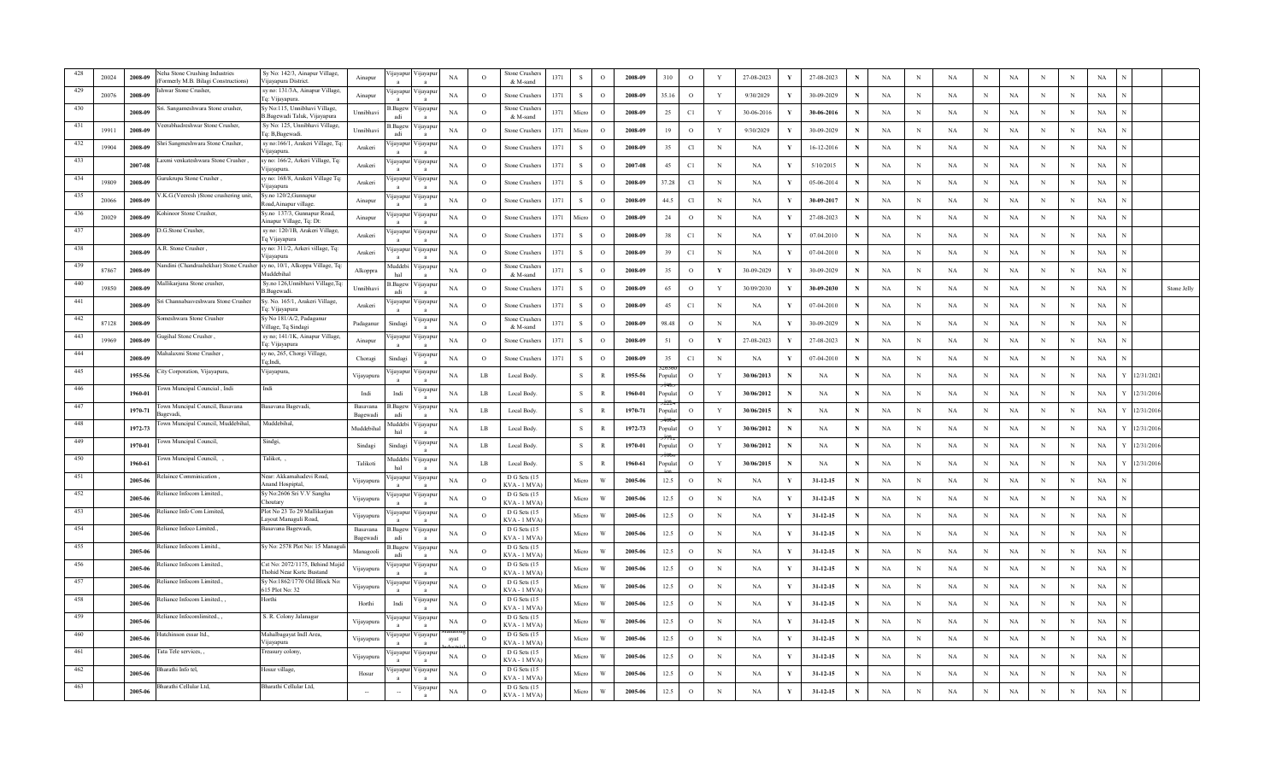|     | 20024 | 2008-09 | eha Stone Crushing Industries<br>Formerly M.B. Bilagi Constructions)    | Sy No: 142/3, Ainapur Village,<br>Vijayapura District.        | Ainapur              | ijayapur        | ∕ijayapı           | NA          | $\Omega$       | Stone Crushe<br>& M-sand    | 1371 | $\mathbf{s}$ | $\circ$      | 2008-09 | 310     | $\circ$       | Y            | 27-08-2023 | V            | 27-08-2023     | N | $_{\rm NA}$ | N            | NA          | $\mathbf N$ | NA          | N           | N           | $_{\rm NA}$ |           |             |
|-----|-------|---------|-------------------------------------------------------------------------|---------------------------------------------------------------|----------------------|-----------------|--------------------|-------------|----------------|-----------------------------|------|--------------|--------------|---------|---------|---------------|--------------|------------|--------------|----------------|---|-------------|--------------|-------------|-------------|-------------|-------------|-------------|-------------|-----------|-------------|
| 429 | 20076 | 2008-09 | hwar Stone Crusher.                                                     | sy no: 131/3A, Ainapur Village,<br>Tq: Vijayapura.            | Ainapur              | ijayapu         | 'ijayapı           | <b>NA</b>   | $\circ$        | Stone Crusher               | 1371 | -S           | $\Omega$     | 2008-09 | 35.16   | $\circ$       | Y            | 9/30/2029  | Y            | 30-09-2029     | N | NA          | N            | NA          | $_{\rm N}$  | NA          | N           | $\,$ N      | NA          |           |             |
| 430 |       | 2008-09 | ri. Sangameshwara Stone crusher,                                        | Sy No:115, Unnibhavi Village,<br>B.Bagewadi Taluk, Vijayapura | Unnibhavi            | Bagew<br>adi    | ∕ ijayapı          | NA          | $\circ$        | stone Crusher<br>& M-sand   | 1371 | Micn         | $\circ$      | 2008-09 | 25      | C1            | Y            | 30-06-2016 |              | 30-06-2016     |   | NA          | N            | NA          | N           | NA          | N           | N           | NA          |           |             |
| 431 | 19911 | 2008-09 | eerabhadreshwar Stone Crusher,                                          | Sy No: 125, Unnibhavi Village,<br>q: B,Bagewadi.              | Unnibhavi            | Bagew<br>adi    | / цауар            | NA          | $\Omega$       | stone Crusher               | 1371 | Micro        | $\Omega$     | 2008-09 | 19      | $\circ$       | Y            | 9/30/2029  |              | 30-09-2029     | N | NA          | N            | NA          | $_{\rm N}$  | NA          | $_{\rm N}$  | N           | $_{\rm NA}$ |           |             |
| 432 | 19904 | 2008-09 | Shri Sangmeshwara Stone Crusher.                                        | sy no:166/1, Arakeri Village, Tq:<br>Vijayapura.              | Arakeri              | ijayapur        | ∕ijayapı           | NA          | $\Omega$       | Stone Crusher               | 1371 | -S           | $\Omega$     | 2008-09 | 35      | Cl            | $\mathbf N$  | NA         | Y            | 16-12-2016     | N | NA          | N            | NA          | $_{\rm N}$  | $_{\rm NA}$ | N           | N           | NA          |           |             |
| 433 |       | 2007-08 | .axmi venkateshwara Stone Crusher                                       | sy no: 166/2, Arkeri Village, Tq:<br>Vijayapura.              | Arakeri              | ijayapur        | 'ijayapı           | NA          | $\circ$        | Stone Crusher               | 1371 | <sub>S</sub> | $\circ$      | 2007-08 | 45      | C1            | N            | NA         | Y            | 5/10/2015      | N | NA          | N            | NA          | $_{\rm N}$  | <b>NA</b>   | N           | N           | NA          |           |             |
| 434 | 19809 | 2008-09 | Gurukrupa Stone Crusher                                                 | sy no: 168/8, Arakeri Village Tq:<br>Vijayapura               | Arakeri              | ijayapur        | ∕ijayapı           | NA          | $\circ$        | Stone Crushers              | 1371 | S            | $\circ$      | 2008-09 | 37.28   | Cl            | $_{\rm N}$   | NA         | Y            | 05-06-2014     | N | NA          | $\mathbf N$  | NA          | N           | $_{\rm NA}$ | $_{\rm N}$  | N           | NA          |           |             |
| 435 | 20066 | 2008-09 | /.K.G.(Veeresh )Stone crushering unit,                                  | Sy.no 120/2, Gunnapur<br>Road,Ainapur village                 | Ainapur              | ijayapur        | ∕ijayapı           | NA          | $\circ$        | Stone Crusher               | 1371 | -S           | $\Omega$     | 2008-09 | 44.5    | Cl            | N            | NA         | Y            | 30-09-2017     | N | NA          | N            | <b>NA</b>   | N           | <b>NA</b>   | N           | N           | NA          |           |             |
| 436 | 20029 | 2008-09 | Cohinoor Stone Crusher.                                                 | Sy.no 137/3, Gunnapur Road,<br>Ainapur Village, Tq: Dt:       | Ainapur              | ijayapur        | ∕ijayapı           | NA          | $\circ$        | Stone Crushers              | 1371 | Micro        | $\Omega$     | 2008-09 | 24      | $\circ$       | $_{\rm N}$   | NA         | Y            | 27-08-2023     | N | NA          | N            | NA          | $\,$ N      | $_{\rm NA}$ | N           | $\,$ N      | $_{\rm NA}$ |           |             |
| 437 |       | 2008-09 | .G.Stone Crusher,                                                       | sy no: 120/1B, Arakeri Village,<br>Tq Vijayapura              | Arakeri              | ijayapur        | <i>y</i> ayapt     | NA          | $\circ$        | Stone Crusher.              | 1371 | s            | $\circ$      | 2008-09 | 38      | $\mathbb{C}1$ | N            | NA         | Y            | 07.04.2010     | N | NA          | N            | NA          | N           | NA          | N           | N           | NA          |           |             |
| 438 |       | 2008-09 | .R. Stone Crusher.                                                      | sy no: 311/2, Arkeri village, Tq:<br>/ijayapura               | Arakeri              | <i>u</i> ayapur | / цауар            | NA          | $\circ$        | Stone Crusher               | 1371 | -S           | $\Omega$     | 2008-09 | 39      | C1            | $_{\rm N}$   | NA         | Y            | 07-04-2010     | N | NA          | N            | <b>NA</b>   | $_{\rm N}$  | NA          | N           | N           | NA          |           |             |
| 439 | 87867 | 2008-09 | andini (Chandrashekhar) Stone Crusher sy no, 10/1, Alkoppa Village, Tq: | <b>Auddebihal</b>                                             | Alkoppra             | Muddebi<br>hal  | ∕ijayapı           | NA          | $\circ$        | Stone Crusher<br>& M-sand   | 1371 | -S           | $\circ$      | 2008-09 | 35      | $\circ$       | $\mathbf Y$  | 30-09-2029 | Y            | 30-09-2029     | N | NA          | $_{\rm N}$   | <b>NA</b>   | $_{\rm N}$  | NA          | $_{\rm N}$  | N           | NA          |           |             |
| 440 | 19850 | 2008-09 | Iallikarjuna Stone crusher.                                             | Sy.no 126, Unnibhavi Village, Tq:<br>B.Bagewadi.              | Unnibhavi            | B.Bagew<br>adi  | ∕ijayapı           | NA          | $\circ$        | Stone Crusher.              | 1371 | S            | $\circ$      | 2008-09 | 65      | $\circ$       | Y            | 30/09/2030 | Y            | 30-09-2030     | N | NA          | N            | $_{\rm NA}$ | $_{\rm N}$  | <b>NA</b>   | N           | N           | NA          |           | Stone Jelly |
| 441 |       | 2008-09 | ri Channabasveshwara Stone Crusher                                      | Sy. No. 165/1, Arakeri Village,<br>Fq: Vijayapura             | Arakeri              | ijayapu         | 'ijayapı           | NA          | $\circ$        | Stone Crusher.              | 1371 | S            | $\circ$      | 2008-09 | 45      | $\mathbb{C}1$ | $_{\rm N}$   | NA         | Y            | 07-04-2010     | N | NA          | $_{\rm N}$   | $_{\rm NA}$ | $_{\rm N}$  | $_{\rm NA}$ | N           | N           | NA          |           |             |
| 442 | 87128 | 2008-09 | omeshwara Stone Crusher                                                 | Sy No 181/A/2, Padaganur<br>Village, Tq Sindagi               | Padaganur            | Sindagi         | 'ijayapı           | NA          | $\circ$        | Stone Crusher<br>& M-sand   | 1371 | -S           | $\circ$      | 2008-09 | 98.48   | $\circ$       | $_{\rm N}$   | NA         | Y            | 30-09-2029     | N | NA          | N            | NA          | $_{\rm N}$  | NA          | N           | N           | NA          |           |             |
| 443 | 19969 | 2008-09 | ugihal Stone Crusher.                                                   | sy no; 141/1K, Ainapur Village<br>Tq: Vijayapura              | Ainapur              | ijayapu         | ∕ijayapı           | NA          | $\circ$        | Stone Crusher               | 1371 | -S           | $\Omega$     | 2008-09 | 51      | $\circ$       | $\mathbf{Y}$ | 27-08-2023 | Y            | 27-08-2023     | N | NA          | N            | NA          | $_{\rm N}$  | NA          | N           | $_{\rm N}$  | NA          |           |             |
| 444 |       | 2008-09 | , Iahalaxmi Stone Crusher                                               | sy no, 265, Chorgi Village,<br>Ta:Indi.                       | Choragi              | Sindagi         | 'ijayapı           | NA          | $\circ$        | Stone Crusher               | 1371 | $\mathbf{s}$ | $\Omega$     | 2008-09 | 35      | $\mathbb{C}1$ | $\,$ N       | NA         |              | 07-04-2010     | N | NA          | N            | $_{\rm NA}$ | $\,$ N      | NA          | N           | $_{\rm N}$  | NA          |           |             |
| 445 |       | 1955-56 | ity Corporation, Vijayapura,                                            | Vijayapura,                                                   | Vijayapura           | <i>u</i> ayapur | ∕ цауар            | NA          | $_{LB}$        | Local Body.                 |      | $\,$ S $\,$  | $\mathbb{R}$ | 1955-56 | opula   | $\circ$       | Y            | 30/06/2013 |              | <b>NA</b>      | N | NA          | N            | <b>NA</b>   | $_{\rm N}$  | NA          | N           | N           | NA          | 2/31/202  |             |
|     |       | 1960-01 | own Muncipal Councial, Indi                                             | Indi                                                          | Indi                 | Indi            | 'ijayar            | NA          | $_{LB}$        | Local Body.                 |      | S            | $\mathbb{R}$ | 1960-01 | opula   | $\circ$       | Y            | 30/06/2012 | N            | NA             | N | NA          | N            | <b>NA</b>   | $_{\rm N}$  | NA          | N           | N           | NA          | 2/31/201  |             |
| 447 |       | 1970-71 | own Muncipal Council, Basavana<br>agevadi.                              | Basavana Bagevadi,                                            | Basavana<br>Bagewadi | 3. Bagew<br>adi | √ijayap            | NA          | $_{\rm LB}$    | Local Body.                 |      | $\,$ S $\,$  | $\mathbb{R}$ | 1970-71 | 'opula  | $\circ$       | Y            | 30/06/2015 | N            | NA             | N | NA          | N            | NA          | $\,$ N      | NA          | N           | N           | $_{\rm NA}$ | 2/31/201  |             |
| 448 |       | 1972-73 | own Muncipal Council, Muddebihal,                                       | Muddebihal                                                    | Muddebiha            | Auddebi<br>hal  | 'ijayapı           | NA          | $_{LB}$        | Local Body.                 |      | $\,$ S $\,$  | $\mathbb{R}$ | 1972-73 | opulat  | $\circ$       | Y            | 30/06/2012 | N            | <b>NA</b>      |   | NA          | N            | <b>NA</b>   | $_{\rm N}$  | $_{\rm NA}$ | N           | N           | NA          | 2/31/2016 |             |
| 449 |       | 1970-01 | own Muncipal Council,                                                   | šindgi,                                                       | Sindagi              | Sindagi         | 'ijayapı           | NA          | $_{LB}$        | Local Body.                 |      | ${\bf S}$    | $\mathbb{R}$ | 1970-01 | 'opulat | $\circ$       | Y            | 30/06/2012 | N            | NA             |   | NA          | N            | NA          | $_{\rm N}$  | NA          | N           | N           | NA          | 2/31/201  |             |
| 450 |       | 1960-61 | own Muncipal Council,                                                   | Talikot, ,                                                    | Talikoti             | Muddebi<br>hal  | 'ijayapı           | $_{\rm NA}$ | $_{\rm LB}$    | Local Body.                 |      | ${\bf S}$    | $\mathbb{R}$ | 1960-61 | 'opula  | $\circ$       | Y            | 30/06/2015 | N            | NA             | N | $_{\rm NA}$ | N            | NA          | $\,$ N      | $_{\rm NA}$ | N           | $\,$ N      | $_{\rm NA}$ | 2/31/201  |             |
| 451 |       | 2005-06 | elaince Comminication.                                                  | Near: Akkamahadevi Road.<br>Anand Hospiptal.                  | Vijayapura           | ijayapu         | ∕ijayapı           | $_{\rm NA}$ | $\circ$        | D G Sets (15<br>KVA - 1 MVA |      | Micro        | W            | 2005-06 | 12.5    | $\circ$       | $_{\rm N}$   | NA         | Y            | $31 - 12 - 15$ | N | NA          | N            | NA          | $_{\rm N}$  | <b>NA</b>   | N           | $\mathbf N$ | $_{\rm NA}$ |           |             |
| 452 |       | 2005-06 | eliance Infocom Limited.,                                               | Sy No:2606 Sri V.V Sangha<br>Choutary                         | Vijayapura           | ijayapur        | /ijayapu           | NA          | $\circ$        | D G Sets (15<br>KVA - 1 MVA |      | Micro        | W            | 2005-06 | 12.5    | $\circ$       | N            | NA         | Y            | $31 - 12 - 15$ | N | NA          | N            | NA          | $_{\rm N}$  | NA          | N           | N           | NA          |           |             |
| 453 |       | 2005-06 | eliance Info Com Limited,                                               | Plot No 23 To 29 Mallikarjun<br>Layout Managuli Road,         | Vijayapura           | ijayapur        | Vijayapı           | NA          | $\circ$        | D G Sets (15<br>KVA - 1 MVA |      | Micro        | W            | 2005-06 | 12.5    | $\circ$       | $_{\rm N}$   | NA         | Y            | $31 - 12 - 15$ | N | NA          | N            | <b>NA</b>   | $_{\rm N}$  | NA          | N           | N           | NA          |           |             |
| 454 |       | 2005-06 | eliance Infoco Limited                                                  | Basavana Bagewadi,                                            | Basavana<br>Bagewadi | 3.Bagew<br>adi  | Vijayapı           | NA          | $\circ$        | D G Sets (15<br>KVA - 1 MVA |      | Micro        | W            | 2005-06 | 12.5    | $\circ$       | N            | NA         | Y            | $31 - 12 - 15$ | N | $_{\rm NA}$ | N            | NA          | $\,$ N      | $_{\rm NA}$ | N           | N           | $_{\rm NA}$ |           |             |
| 455 |       | 2005-06 | eliance Infocom Limitd                                                  | Sy No: 2578 Plot No: 15 Managu                                | Managooli            | B.Bagew<br>adi  | ∕ijayapı           | NA          | $\Omega$       | D G Sets (15<br>KVA - 1 MVA |      | Micro        | W            | 2005-06 | 12.5    | $\circ$       | $\mathbf N$  | NA         | Y            | $31 - 12 - 15$ | N | NA          | N            | NA          | $\,$ N      | <b>NA</b>   | N           | N           | NA          |           |             |
| 456 |       | 2005-06 | eliance Infocom Limited.,                                               | Cst No: 2072/1175, Behind Maji<br>hohid Near Ksrte Bustand    | Vijayapura           | <i>u</i> ayapur | 'ijayapı           | NA          | $\circ$        | D G Sets (15<br>KVA - 1 MVA |      | Micro        | W            | 2005-06 | 12.5    | $\circ$       | N            | NA         | Y            | $31 - 12 - 15$ | N | NA          | N            | $_{\rm NA}$ | $_{\rm N}$  | NA          | N           | N           | NA          |           |             |
| 457 |       | 2005-06 | eliance Infocom Limited.,                                               | Sy No:1862/1770 Old Block No:<br>615 Plot No: 32              | Vijayapura           | ijayapur        | ∕ijayapı           | NA          | $\circ$        | D G Sets (15<br>KVA - 1 MVA |      | Micro        | W            | 2005-06 | 12.5    | $\circ$       | $\mathbf N$  | <b>NA</b>  | V            | $31 - 12 - 15$ | N | NA          | N            | <b>NA</b>   | $_{\rm N}$  | NA          | N           | $\mathbf N$ | $_{\rm NA}$ |           |             |
|     |       | 2005-06 | eliance Infocom Limited                                                 | Horthi                                                        | Horthi               | Indi            | 'ijayapı           | NA          | $\overline{O}$ | D G Sets (15<br>KVA-1 MVA   |      | Micro        | W            | 2005-06 | 12.5    | $\circ$       | $\,$ N       | NA         | Y            | 31-12-15       | N | NA          | $\mathbb{N}$ | NA          | $\,$ N      | NA          | $\mathbb N$ | $\,$ N      | NA          |           |             |
|     |       | 2005-06 | Reliance Infocomlimited., ,                                             | S. R. Colony Jalanagar                                        | Vijayapura           | ijayapur        | ∕ ijayapı          | NA          | $\circ$        | D G Sets (15<br>KVA - 1 MVA |      | Micro        | W            | 2005-06 | 12.5    | $\circ$       | N            | NA         |              | $31 - 12 - 15$ |   | NA          | N            | NA          | N           | <b>NA</b>   | N           | N           | NA          |           |             |
|     |       | 2005-06 | lutchinson essar ltd.,                                                  | Mahalbagayat Indl Area,<br>/ijayapura                         | Vijayapura           |                 | 'ijayapur Vijayapı | ayat        | $\circ$        | D G Sets (15<br>CVA - 1 MVA |      | Micro        | W            | 2005-06 | 12.5    | $\mathcal{O}$ | $\mathbf N$  | NA         | Y            | $31 - 12 - 15$ | N | NA          | N            | NA          | N           | NA          | N           | $\mathbf N$ | $_{\rm NA}$ |           |             |
|     |       | 2005-06 | fata Tele services                                                      | Freasury colony,                                              | Vijayapura           | ijayapur        | √ijayap            | NA          | $\Omega$       | D G Sets (15<br>KVA - 1 MVA |      | Mierc        | W            | 2005-06 | 12.5    | $\circ$       | $\mathbf N$  | NA         | $\mathbf{v}$ | $31 - 12 - 15$ | N | NA          | N            | <b>NA</b>   | $_{\rm N}$  | $_{\rm NA}$ | N           | N           | NA          |           |             |
|     |       | 2005-06 | harathi Info tel                                                        | Hosur village,                                                | Hosur                | ijayapu         | 'ijayapı           | <b>NA</b>   | $\Omega$       | D G Sets (15<br>KVA - 1 MVA |      | Micro        | W            | 2005-06 | 12.5    | $\circ$       | N            | NA         | Y            | $31 - 12 - 15$ | N | NA          | N            | NA          | $_{\rm N}$  | <b>NA</b>   | N           | N           | NA          |           |             |
|     |       | 2005-06 | Bharathi Cellular Ltd,                                                  | Bharathi Cellular Ltd,                                        |                      |                 | 'ijayapı           | NA          | $\circ$        | D G Sets (15<br>KVA - 1 MVA |      | Micro        | W            | 2005-06 | 12.5    | $\circ$       | N            | NA         | $\mathbf Y$  | $31 - 12 - 15$ |   | NA          | N            | $_{\rm NA}$ | N           | <b>NA</b>   | N           | N           | $_{\rm NA}$ |           |             |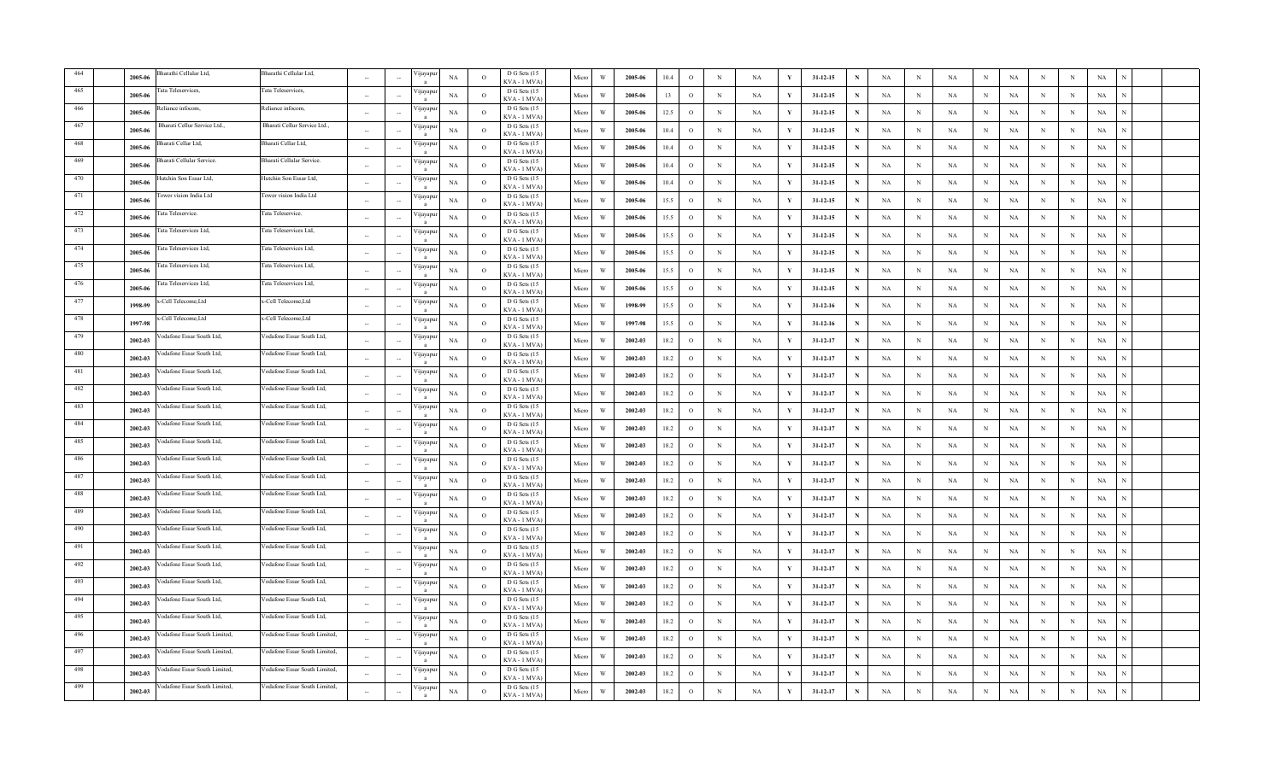|      | 2005-06 | harathi Cellular Ltd,         | Bharathi Cellular Ltd,        | $\sim$                   | ∕ijayapı       | NA          | $\circ$        | D G Sets (15<br>KVA-1 MVA    | Micro | W                       | 2005-06 | 10.4 | $\circ$       | $\,$ N      | NA        | Y            | $31 - 12 - 15$ | N | NA          | $_{\rm N}$ | NA          | $_{\rm N}$   | $_{\rm NA}$ | $_{\rm N}$ | $\,$ N     | $_{\rm NA}$ |  |
|------|---------|-------------------------------|-------------------------------|--------------------------|----------------|-------------|----------------|------------------------------|-------|-------------------------|---------|------|---------------|-------------|-----------|--------------|----------------|---|-------------|------------|-------------|--------------|-------------|------------|------------|-------------|--|
|      | 2005-06 | ata Teleservices,             | Tata Teleservices,            | $\sim$                   | цауар          | NA          | $\circ$        | D G Sets (15<br>KVA-1 MVA    | Micro | W                       | 2005-06 | 13   | $\circ$       | $\mathbb N$ | NA        | Y            | $31 - 12 - 15$ |   | NA          | N          | NA          | N            | NA          | N          | N          | NA          |  |
|      | 2005-06 | eliance infocom,              | Reliance infocom,             | $\sim$                   | ∕ijayapı       | NA          | $\circ$        | D G Sets (15<br>KVA - 1 MVA  | Micro | W                       | 2005-06 | 12.5 | $\circ$       | $_{\rm N}$  | NA        | Y            | $31 - 12 - 15$ | N | NA          | N          | NA          | N            | NA          | N          | $_{\rm N}$ | NA          |  |
|      | 2005-06 | 3harati Cellur Service Ltd.,  | Bharati Cellur Service Ltd.,  |                          | ∕ijayapı       | NA          | $\Omega$       | D G Sets (15<br>KVA - 1 MVA  | Micro | W                       | 2005-06 | 10.4 | $\circ$       | $_{\rm N}$  | NA        | $\mathbf{v}$ | $31 - 12 - 15$ | N | $_{\rm NA}$ | N          | NA          | $_{\rm N}$   | $_{\rm NA}$ | N          | N          | $_{\rm NA}$ |  |
| 468  | 2005-06 | harati Cellar Ltd.            | Bharati Cellar Ltd.           |                          | 'ijayapı       | NA          | $\Omega$       | D G Sets (15<br>KVA - 1 MVA  | Micro | W                       | 2005-06 | 10.4 | $\circ$       | $_{\rm N}$  | NA        | Y            | $31 - 12 - 15$ | N | NA          | N          | NA          | $_{\rm N}$   | <b>NA</b>   | N          | $\,$ N     | $_{\rm NA}$ |  |
| 469  | 2005-06 | Bharati Cellular Service.     | Bharati Cellular Service.     |                          | ∕ijayapı       | NA          | $\circ$        | D G Sets (15<br>KVA - 1 MVA  | Micro | W                       | 2005-06 | 10.4 | $\circ$       | $_{\rm N}$  | NA        | Y            | $31 - 12 - 15$ |   | NA          | N          | <b>NA</b>   | $_{\rm N}$   | NA          | N          | N          | NA          |  |
| 470  | 2005-06 | lutchin Son Essar Ltd,        | Hutchin Son Essar Ltd,        |                          | 'ijayapı       | NA          | $\circ$        | D G Sets (15<br>KVA - 1 MVA  | Micro | $\ensuremath{\text{W}}$ | 2005-06 | 10.4 | $\mathcal{O}$ | $\mathbf N$ | NA        | Y            | $31 - 12 - 15$ |   | $_{\rm NA}$ | N          | $_{\rm NA}$ | $\,$ N       | $_{\rm NA}$ | N          | N          | $_{\rm NA}$ |  |
| 471  | 2005-06 | ower vision India Ltd         | Tower vision India Ltd        | $\sim$                   | ∕ijayapı       | $_{\rm NA}$ | $\circ$        | D G Sets (15<br>KVA-1 MVA    | Micro | W                       | 2005-06 | 15.5 | $\circ$       | $_{\rm N}$  | NA        | Y            | $31 - 12 - 15$ | N | NA          | N          | NA          | $\,$ N       | $_{\rm NA}$ | $_{\rm N}$ | ${\bf N}$  | $_{\rm NA}$ |  |
| 472  | 2005-06 | fata Teleservice.             | Tata Teleservice.             | $\sim$                   | 'ijayapı       | NA          | $\overline{O}$ | D G Sets (15<br>KVA-1 MVA    | Micro | W                       | 2005-06 | 15.5 | $\circ$       | $\mathbb N$ | NA        | Y            | $31 - 12 - 15$ | N | NA          | N          | NA          | N            | NA          | N          | $\,$ N     | NA          |  |
| 473  | 2005-06 | fata Teleservices Ltd,        | Tata Teleservices Ltd,        | $\sim$                   | 'ijayapu       | NA          | $\circ$        | D G Sets (15<br>KVA - 1 MVA  | Micro | W                       | 2005-06 | 15.5 | $\circ$       | $_{\rm N}$  | NA        | Y            | $31 - 12 - 15$ | N | NA          | N          | NA          | $_{\rm N}$   | NA          | N          | N          | NA          |  |
| 474  | 2005-06 | ata Teleservices Ltd.         | Tata Teleservices Ltd,        | <b>A</b>                 | 'ijayapı       | $_{\rm NA}$ | $\Omega$       | D G Sets (15<br>KVA - 1 MVA  | Micro | W                       | 2005-06 | 15.5 | $\circ$       | $\,$ N      | NA        | Y            | $31 - 12 - 15$ | N | NA          | N          | NA          | $\,$ N       | $_{\rm NA}$ | N          | $_{\rm N}$ | $_{\rm NA}$ |  |
| 475  | 2005-06 | Tata Teleservices Ltd.        | Tata Teleservices Ltd,        | $\sim$                   | 'ijayapı       | NA          | $\circ$        | D G Sets (15<br>KVA-1 MVA    | Micro | W                       | 2005-06 | 15.5 | $\circ$       | $_{\rm N}$  | NA        | Y            | $31 - 12 - 15$ | N | NA          | $_{\rm N}$ | NA          | $\,$ N       | $_{\rm NA}$ | N          | $\,$ N     | $_{\rm NA}$ |  |
| 476  | 2005-06 | lata Teleservices Ltd,        | Tata Teleservices Ltd,        |                          | 'ijayapı       | NA          | $\Omega$       | D G Sets (15<br>KVA - 1 MVA  | Micro | W                       | 2005-06 | 15.5 | $\circ$       | $_{\rm N}$  | NA        | Y            | $31 - 12 - 15$ | N | NA          | N          | NA          | $_{\rm N}$   | <b>NA</b>   | N          | N          | NA          |  |
| 477  | 1998-99 | -Cell Telecome, Ltd           | x-Cell Telecome, Ltd          | $\overline{\phantom{a}}$ | 'ijayapı       | $_{\rm NA}$ | $\circ$        | D G Sets (15<br>KVA-1 MVA    | Micro | $\ensuremath{\text{W}}$ | 1998-99 | 15.5 | $\circ$       | $\,$ N      | NA        | Y            | $31 - 12 - 16$ | N | NA          | $_{\rm N}$ | NA          | $\,$ N       | NA          | N          | N          | $_{\rm NA}$ |  |
| 478  | 1997-98 | -Cell Telecome, Ltd           | x-Cell Telecome, Ltd          | $\sim$                   | 'ijayapı       | NA          | $\circ$        | D G Sets (15<br>KVA-1 MVA)   | Micro | W                       | 1997-98 | 15.5 | $\circ$       | $\,$ N      | NA        | Y            | $31 - 12 - 16$ | N | NA          | $_{\rm N}$ | NA          | $_{\rm N}$   | $_{\rm NA}$ | N          | $\,$ N     | $_{\rm NA}$ |  |
| 479  | 2002-03 | odafone Essar South Ltd       | Vodafone Essar South Ltd,     | $\sim$                   | 'ijayapı       | NA          | $\overline{O}$ | D G Sets (15<br>KVA - 1 MVA  | Micro | W                       | 2002-03 | 18.2 | $\circ$       | $\mathbb N$ | NA        | Y            | 31-12-17       | N | NA          | N          | NA          | $_{\rm N}$   | NA          | N          | $\,$ N     | NA          |  |
| 480  | 2002-03 | odafone Essar South Ltd,      | Vodafone Essar South Ltd,     | $\overline{\phantom{a}}$ | <i>y</i> ayapt | NA          | $\overline{O}$ | D G Sets (15<br>KVA - 1 MVA  | Micro | $\ensuremath{\text{W}}$ | 2002-03 | 18.2 | $\circ$       | $\mathbb N$ | NA        | Y            | 31-12-17       | N | NA          | $_{\rm N}$ | NA          | $_{\rm N}$   | $_{\rm NA}$ | $_{\rm N}$ | $\,$ N     | NA          |  |
| 481  | 2002-03 | odafone Essar South Ltd,      | Vodafone Essar South Ltd,     | $\sim$                   | ∕ijayapı       | NA          | $\circ$        | D G Sets (15<br>KVA - 1 MVA  | Micro | W                       | 2002-03 | 18.2 | $\circ$       | $_{\rm N}$  | <b>NA</b> | Y            | $31 - 12 - 17$ | N | NA          | $_{\rm N}$ | <b>NA</b>   | $_{\rm N}$   | NA          | $_{\rm N}$ | N          | NA          |  |
| 482  | 2002-03 | 'odafone Essar South Ltd.     | Vodafone Essar South Ltd.     | ÷.                       | √ijayap        | NA          | $\Omega$       | D G Sets (15<br>KVA - 1 MVA  | Micro | W                       | 2002-03 | 18.2 | $\circ$       | N           | NA        | Y            | $31 - 12 - 17$ | N | NA          | N          | NA          | $_{\rm N}$   | $_{\rm NA}$ | N          | $\,$ N     | $_{\rm NA}$ |  |
| 483  | 2002-03 | /odafone Essar South Ltd,     | Vodafone Essar South Ltd,     |                          | 'ijayapı       | NA          | $\circ$        | D G Sets (15<br>KVA - 1 MVA  | Micro | W                       | 2002-03 | 18.2 | $\circ$       | $_{\rm N}$  | NA        | Y            | $31 - 12 - 17$ | N | NA          | N          | NA          | $_{\rm N}$   | NA          | N          | N          | NA          |  |
| 484  | 2002-03 | 'odafone Essar South Ltd,     | /odafone Essar South Ltd,     |                          | 'ijayapı       | $_{\rm NA}$ | $\Omega$       | D G Sets (15<br>KVA-1 MVA    | Micro | W                       | 2002-03 | 18.2 | $\circ$       | $\mathbf N$ | NA        | Y            | $31 - 12 - 17$ |   | NA          | N          | NA          | $\,$ N       | NA          | N          | N          | $_{\rm NA}$ |  |
| 485  | 2002-03 | odafone Essar South Ltd.      | /odafone Essar South Ltd.     | $\sim$                   | ∕ijayapı       | NA          | $\circ$        | D G Sets (15<br>KVA-1 MVA    | Micro | W                       | 2002-03 | 18.2 | $\circ$       | $\,$ N      | NA        | Y            | $31 - 12 - 17$ | N | NA          | N          | <b>NA</b>   | $\mathbf N$  | NA          | N          | $\,$ N     | $_{\rm NA}$ |  |
| 486  | 2002-03 | odafone Essar South Ltd.      | Vodafone Essar South Ltd.     | $\sim$                   | 'ijayapu       | $_{\rm NA}$ | $\overline{O}$ | D G Sets (15<br>KVA - 1 MVA  | Micro | W                       | 2002-03 | 18.2 | $\circ$       | $\,$ N      | NA        | Y            | $31 - 12 - 17$ | N | NA          | N          | NA          | $\,$ N       | <b>NA</b>   | N          | $\,$ N     | $_{\rm NA}$ |  |
| 487  | 2002-03 | odafone Essar South Ltd,      | Vodafone Essar South Ltd,     | $\bar{a}$                | 'ijayapu       | NA          | $\circ$        | D G Sets (15<br>KVA - 1 MVA  | Micro | W                       | 2002-03 | 18.2 | $\circ$       | $_{\rm N}$  | NA        | Y            | 31-12-17       | N | NA          | N          | NA          | $_{\rm N}$   | <b>NA</b>   | $_{\rm N}$ | $\,$ N     | $_{\rm NA}$ |  |
| 488  | 2002-03 | odafone Essar South Ltd,      | Vodafone Essar South Ltd,     | ÷.                       | 'ijayapi       | NA          | $\circ$        | D G Sets (15<br>KVA - 1 MVA  | Micro | W                       | 2002-03 | 18.2 | $\circ$       | $_{\rm N}$  | NA        | Y            | $31 - 12 - 17$ | N | NA          | N          | <b>NA</b>   | $_{\rm N}$   | NA          | $_{\rm N}$ | N          | NA          |  |
| 489  | 2002-03 | odafone Essar South Ltd.      | Vodafone Essar South Ltd.     | $\sim$                   | ∕ijayapı       | NA          | $\Omega$       | D G Sets (15<br>KVA - 1 MVA  | Micro | W                       | 2002-03 | 18.2 | $\circ$       | $_{\rm N}$  | NA        | Y            | $31 - 12 - 17$ | N | NA          | $_{\rm N}$ | NA          | $\,$ N       | $_{\rm NA}$ | N          | $\,$ N     | NA          |  |
| 490  | 2002-03 | odafone Essar South Ltd,      | Vodafone Essar South Ltd,     | $\sim$                   | 'ijayapı       | $_{\rm NA}$ | $\overline{O}$ | D G Sets (15<br>KVA - 1 MVA) | Micro | W                       | 2002-03 | 18.2 | $\circ$       | $\,$ N      | NA        | Y            | $31 - 12 - 17$ | N | NA          | $_{\rm N}$ | NA          | $\, {\rm N}$ | $_{\rm NA}$ | $_{\rm N}$ | $\,$ N     | $_{\rm NA}$ |  |
| 491  | 2002-03 | odafone Essar South Ltd,      | Vodafone Essar South Ltd,     |                          | ∕ ijayapt      | NA          | $\Omega$       | D G Sets (15<br>KVA - 1 MVA  | Micro | W                       | 2002-03 | 18.2 | $\circ$       | $_{\rm N}$  | NA        | Y            | $31 - 12 - 17$ | N | NA          | $_{\rm N}$ | <b>NA</b>   | $_{\rm N}$   | NA          | N          | N          | NA          |  |
| 492  | 2002-03 | odafone Essar South Ltd.      | Vodafone Essar South Ltd,     |                          | 'ijayapı       | NA          | $\circ$        | D G Sets (15<br>KVA - 1 MVA  | Micro | W                       | 2002-03 | 18.2 | $\circ$       | $_{\rm N}$  | NA        | Y            | $31 - 12 - 17$ | N | NA          | N          | <b>NA</b>   | $_{\rm N}$   | NA          | N          | N          | NA          |  |
| 493  | 2002-03 | odafone Essar South Ltd.      | Vodafone Essar South Ltd,     | $\sim$                   | 'ijayapı       | NA          | $\overline{O}$ | D G Sets (15<br>KVA - 1 MVA  | Micro | W                       | 2002-03 | 18.2 | $\mathbf{o}$  | $\,$ N $\,$ | NA        | Y            | $31 - 12 - 17$ | N | NA          | N          | NA          | $\,$ N       | NA          | N          | N          | $_{\rm NA}$ |  |
| 494  | 2002-03 | odafone Essar South Ltd.      | Vodafone Essar South Ltd,     | $\overline{\phantom{a}}$ | 'ijayapı       | NA          | $\circ$        | D G Sets (15<br>KVA - 1 MVA  | Micro | W                       | 2002-03 | 18.2 | $\circ$       | $_{\rm N}$  | NA        |              | 31-12-17       |   | NA          | $_{\rm N}$ | NA          | $_{\rm N}$   | $_{\rm NA}$ | $_{\rm N}$ | N          | NA          |  |
|      | 2002-03 | odafone Essar South Ltd,      | /odafone Essar South Ltd,     | $\bar{a}$                | 'ijayapı       | NA          | $\circ$        | D G Sets (15<br>KVA - 1 MVA  | Micro | W                       | 2002-03 | 18.2 | $\circ$       | $\mathbb N$ | NA        | Y            | 31-12-17       | N | NA          | N          | NA          | N            | NA          | N          | $_{\rm N}$ | NA          |  |
|      | 2002-03 | odafone Essar South Limited,  | Vodafone Essar South Limited, | $\overline{\phantom{a}}$ | √ijayap        | NA          | $\circ$        | D G Sets (15<br>KVA - 1 MVA  | Micro | W                       | 2002-03 | 18.2 | $\circ$       | $_{\rm N}$  | NA        | Y            | $31 - 12 - 17$ | N | NA          | N          | <b>NA</b>   | $_{\rm N}$   | NA          | N          | N          | NA          |  |
| -497 | 2002-03 | odafone Essar South Limited.  | Vodafone Essar South Limited. |                          | √ijayap        | $_{\rm NA}$ | $\Omega$       | D G Sets (15<br>KVA - 1 MVA  | Micro | W                       | 2002-03 | 18.2 | $\circ$       | N           | NA        | V            | $31 - 12 - 17$ | N | NA          | N          | NA          | $\,$ N       | <b>NA</b>   | N          | $\,$ N     | $_{\rm NA}$ |  |
| 498  | 2002-03 | /odafone Essar South Limited. | Vodafone Essar South Limited, |                          | ∕ijayapı       | NA          | $\circ$        | D G Sets (15<br>KVA - 1 MVA  | Micro | W                       | 2002-03 | 18.2 | $\circ$       | N           | NA        | Y            | $31 - 12 - 17$ |   | NA          | N          | <b>NA</b>   | N            | <b>NA</b>   | N          | N          | $_{\rm NA}$ |  |
| 499  | 2002-03 | /odafone Essar South Limited, | /odafone Essar South Limited, |                          | ∕ijayapı<br>a  | NA          | $\circ$        | D G Sets (15<br>KVA - 1 MVA) | Micro | $\ensuremath{\text{W}}$ | 2002-03 | 18.2 | $\mathcal{O}$ | $_{\rm N}$  | NA        | Y            | $31 - 12 - 17$ |   | NA          | N          | NA          | $_{\rm N}$   | $_{\rm NA}$ | N          | N          | $_{\rm NA}$ |  |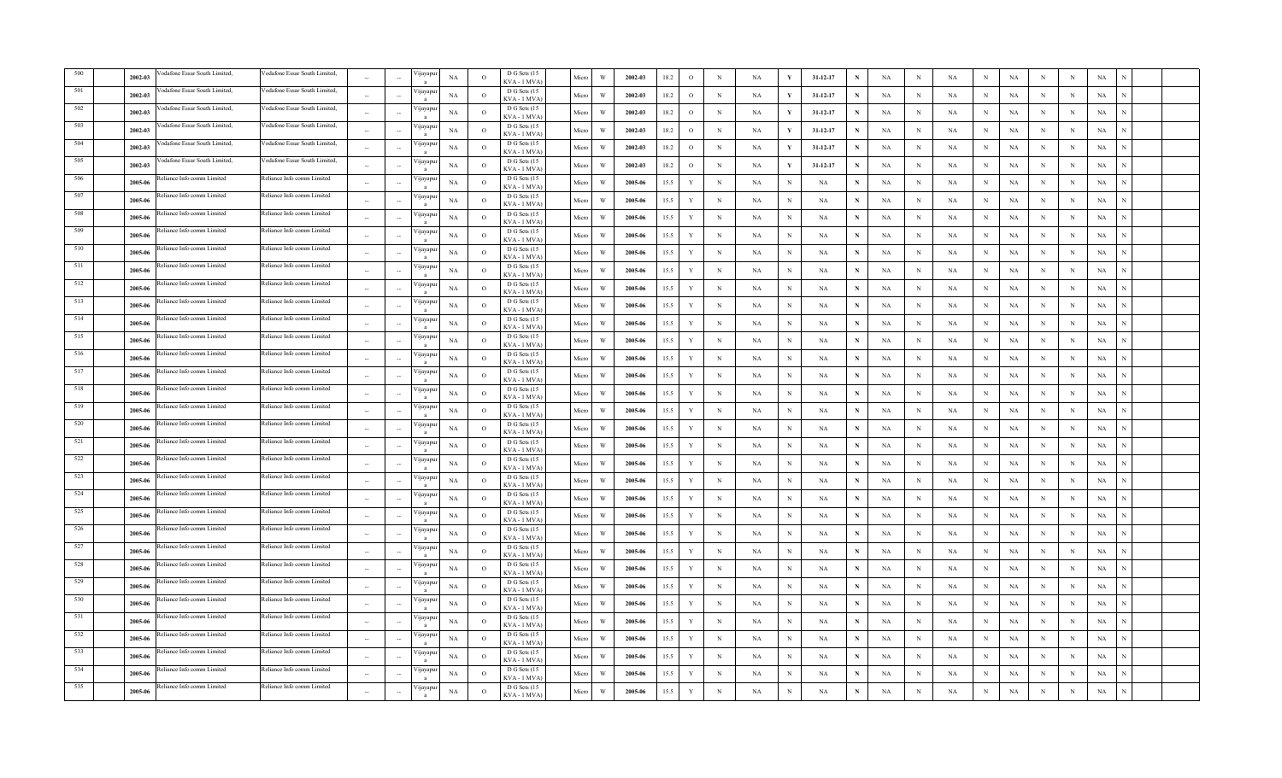|     | 2002-03 | odafone Essar South Limited.      | /odafone Essar South Limited, |                          |        | ijayapı                  | $_{\rm NA}$ | $\overline{O}$ | D G Sets (15<br>KVA - 1 MVA       | Micro | $\ensuremath{\text{W}}$ | 2002-03 | 18.2 | $\rm{O}$    | $\mathbf N$ | NA          |            | 31-12-17       | N            | NA          | $\, {\rm N}$ | $_{\rm NA}$ | N            | $_{\rm NA}$ | N           | $_{\rm N}$ | $_{\rm NA}$ |  |
|-----|---------|-----------------------------------|-------------------------------|--------------------------|--------|--------------------------|-------------|----------------|-----------------------------------|-------|-------------------------|---------|------|-------------|-------------|-------------|------------|----------------|--------------|-------------|--------------|-------------|--------------|-------------|-------------|------------|-------------|--|
|     | 2002-03 | odafone Essar South Limited,      | Vodafone Essar South Limited, |                          |        | <i>y</i> apu             | NA          | $\overline{O}$ | D G Sets (15<br>KVA-1 MVA         | Micro | W                       | 2002-03 | 18.2 | $\circ$     | $_{\rm N}$  | NA          |            | $31 - 12 - 17$ | N            | NA          | N            | NA          | N            | NA          | N           | N          | NA          |  |
|     | 2002-03 | odafone Essar South Limited,      | Vodafone Essar South Limited, | $\sim$                   |        | /ijayapı                 | NA          | $\circ$        | D G Sets (15<br>KVA - 1 MVA       | Micro | W                       | 2002-03 | 18.2 | $\circ$     | $_{\rm N}$  | NA          |            | $31 - 12 - 17$ |              | NA          | N            | NA          | N            | NA          | N           | N          | NA          |  |
|     | 2002-03 | odafone Essar South Limited,      | /odafone Essar South Limited, |                          |        | ijayap                   | NA          | $\Omega$       | D G Sets (15<br>KVA - 1 MVA       | Micro | W                       | 2002-03 | 18.2 | $\circ$     | $_{\rm N}$  | <b>NA</b>   | Y          | $31 - 12 - 17$ | N            | <b>NA</b>   | $\mathbf N$  | NA          | $\mathbf{N}$ | $_{\rm NA}$ | N           | N          | $_{\rm NA}$ |  |
| 504 | 2002-03 | odafone Essar South Limited.      | Vodafone Essar South Limited. |                          |        | 'ijayap                  | NA          | $\circ$        | D G Sets (15<br>KVA-1 MVA         | Micro | W                       | 2002-03 | 18.2 | $\circ$     | $_{\rm N}$  | NA          |            | 31-12-17       | N            | NA          | $_{\rm N}$   | NA          | N            | NA          | N           | N          | NA          |  |
| 505 | 2002-03 | /odafone Essar South Limited,     | Vodafone Essar South Limited, |                          |        | /ijayapu                 | NA          | $\circ$        | D G Sets (15<br>KVA - 1 MVA)      | Micro | W                       | 2002-03 | 18.2 | $\circ$     | $_{\rm N}$  | NA          |            | 31-12-17       | N            | NA          | $_{\rm N}$   | NA          | N            | NA          | N           | N          | NA          |  |
| 506 | 2005-06 | Reliance Info comm Limited        | Reliance Info comm Limited    | $\sim$                   |        | /ijayapı                 | $_{\rm NA}$ | $\circ$        | D G Sets (15<br>KVA - 1 MVA       | Micro | W                       | 2005-06 | 15.5 | $\mathbf Y$ | $\mathbf N$ | NA          | N          | NA             |              | NA          | $_{\rm N}$   | NA          | N            | $_{\rm NA}$ | N           | N          | $_{\rm NA}$ |  |
| 507 | 2005-06 | Reliance Info comm Limited        | Reliance Info comm Limited    | $\sim$                   |        | Vijayapu<br>$\mathbf{a}$ | NA          | $\overline{O}$ | D G Sets (15<br>KVA-1 MVA         | Micro | W                       | 2005-06 | 15.5 | Y           | N           | NA          | N          | NA             | N            | $_{\rm NA}$ | $_{\rm N}$   | $_{\rm NA}$ | N            | $_{\rm NA}$ | N           | N          | $_{\rm NA}$ |  |
| 508 | 2005-06 | eliance Info comm Limited         | Reliance Info comm Limited    | $\sim$                   |        | 'ijayapu                 | NA          | $\circ$        | D G Sets (15<br>KVA - 1 MVA       | Micro | W                       | 2005-06 | 15.5 | $\mathbf Y$ | $\mathbb N$ | NA          | N          | NA             | N            | NA          | N            | NA          | N            | NA          | N           | N          | NA          |  |
| 509 | 2005-06 | eliance Info comm Limited         | Reliance Info comm Limited    | $\sim$                   |        | /ijayapu                 | NA          | $\circ$        | D G Sets (15<br>KVA - 1 MVA       | Micro | W                       | 2005-06 | 15.5 | $\mathbf Y$ | $\mathbb N$ | NA          | N          | NA             | $\mathbf N$  | NA          | $\mathbf N$  | NA          | $_{\rm N}$   | NA          | N           | N          | NA          |  |
| 510 | 2005-06 | eliance Info comm Limited         | Reliance Info comm Limited    | <b>1999</b>              |        | /ijayapı<br>$\mathbf{a}$ | $_{\rm NA}$ | $\Omega$       | D G Sets (15<br>KVA - 1 MVA)      | Micro | W                       | 2005-06 | 15.5 | $\mathbf Y$ | N           | $_{\rm NA}$ | N          | NA             | $\mathbf{N}$ | NA          | $\mathbf N$  | $_{\rm NA}$ | N            | $_{\rm NA}$ | N           | N          | $_{\rm NA}$ |  |
| 511 | 2005-06 | eliance Info comm Limited         | Reliance Info comm Limited    | $\sim$                   |        | 'ijayapı<br>$\mathbf{a}$ | NA          | $\Omega$       | D G Sets (15<br><b>KVA-1 MVA)</b> | Micro | W                       | 2005-06 | 15.5 | $\mathbf Y$ | $_{\rm N}$  | NA          | N          | NA             | $\mathbf N$  | NA          | $_{\rm N}$   | NA          | N            | $_{\rm NA}$ | N           | N          | NA          |  |
| 512 | 2005-06 | eliance Info comm Limited         | Reliance Info comm Limited    |                          |        | /ijayapu                 | NA          | $\circ$        | D G Sets (15<br>KVA - 1 MVA)      | Micro | W                       | 2005-06 | 15.5 | $\mathbf Y$ | $\mathbb N$ | NA          | N          | NA             | N            | NA          | N            | NA          | N            | NA          | N           | N          | NA          |  |
| 513 | 2005-06 | Reliance Info comm Limited        | Reliance Info comm Limited    |                          |        | /ijayapu                 | NA          | $\Omega$       | D G Sets (15<br>KVA-1 MVA)        | Micro | W                       | 2005-06 | 15.5 | $\mathbf Y$ | $\,$ N      | NA          | N          | NA             | N            | NA          | $\mathbf N$  | NA          | N            | NA          | N           | N          | $_{\rm NA}$ |  |
| 514 | 2005-06 | eliance Info comm Limited         | Reliance Info comm Limited    | $\sim$                   |        | /ijayapı<br>$\mathbf{a}$ | NA          | $\overline{O}$ | D G Sets (15<br>KVA-1 MVA)        | Micro | W                       | 2005-06 | 15.5 | $\mathbf Y$ | $\,$ N      | NA          | N          | NA             | N            | NA          | $\mathbf N$  | $_{\rm NA}$ | N            | $_{\rm NA}$ | N           | $_{\rm N}$ | $_{\rm NA}$ |  |
| 515 | 2005-00 | eliance Info comm Limited         | Reliance Info comm Limited    | $\sim$                   |        | ijayapı                  | NA          | $\overline{O}$ | D G Sets (15<br>KVA - 1 MVA       | Micro | W                       | 2005-06 | 15.5 | $\mathbf Y$ | $\mathbb N$ | NA          | N          | NA             | N            | NA          | N            | NA          | N            | NA          | N           | N          | NA          |  |
| 516 | 2005-06 | Reliance Info comm Limited        | Reliance Info comm Limited    | $\overline{\phantom{a}}$ |        | ijayapı                  | NA          | $\circ$        | D G Sets (15<br>KVA - 1 MVA       | Micro | W                       | 2005-06 | 15.5 | $\mathbf Y$ | $\mathbb N$ | NA          | N          | NA             | N            | NA          | $\mathbf N$  | $_{\rm NA}$ | N            | NA          | N           | N          | NA          |  |
| 517 | 2005-06 | Reliance Info comm Limited        | Reliance Info comm Limited    | $\sim$                   |        | ijayap                   | NA          | $\circ$        | D G Sets (15<br>KVA - 1 MVA       | Micro | W                       | 2005-06 | 15.5 | Y           | $_{\rm N}$  | NA          | N          | NA             | N            | NA          | $_{\rm N}$   | NA          | N            | NA          | $\mathbf N$ | $_{\rm N}$ | NA          |  |
| 518 | 2005-06 | Reliance Info comm Limited        | Reliance Info comm Limited    | $\sim$                   |        | /ijayap                  | $_{\rm NA}$ | $\circ$        | D G Sets (15<br>KVA - 1 MVA       | Micro | W                       | 2005-06 | 15.5 | $\mathbf Y$ | $_{\rm N}$  | NA          | N          | NA             | N            | NA          | $_{\rm N}$   | NA          | N            | $_{\rm NA}$ | $_{\rm N}$  | $_{\rm N}$ | NA          |  |
| 519 | 2005-06 | Reliance Info comm Limited        | Reliance Info comm Limited    |                          |        | /ijayapı                 | NA          | $\circ$        | D G Sets (15<br>KVA - 1 MVA`      | Micro | W                       | 2005-06 | 15.5 | $\mathbf Y$ | $_{\rm N}$  | NA          | N          | NA             | N            | NA          | N            | NA          | N            | NA          | N           | N          | NA          |  |
| 520 | 2005-06 | Reliance Info comm Limited        | Reliance Info comm Limited    | $\sim$                   |        | /ijayapı                 | $_{\rm NA}$ | $\Omega$       | D G Sets (15<br>KVA-1 MVA)        | Micro | W                       | 2005-06 | 15.5 | Y           | $\mathbf N$ | NA          | N          | NA             |              | NA          | $\mathbf N$  | NA          | N            | $_{\rm NA}$ | N           | N          | $_{\rm NA}$ |  |
| 521 | 2005-06 | eliance Info comm Limited         | Reliance Info comm Limited    | $\sim$                   |        | Vijayapu                 | NA          | $\circ$        | D G Sets (15<br>KVA - 1 MVA       | Micro | W                       | 2005-06 | 15.5 | $\mathbf Y$ | $_{\rm N}$  | NA          | $_{\rm N}$ | NA             | N            | NA          | $_{\rm N}$   | NA          | N            | NA          | N           | N          | NA          |  |
| 522 | 2005-06 | eliance Info comm Limited         | Reliance Info comm Limited    | $\sim$                   |        | Vijayapu                 | NA          | $\overline{O}$ | D G Sets (15<br>KVA - 1 MVA       | Micro | W                       | 2005-06 | 15.5 | $\mathbf Y$ | $_{\rm N}$  | NA          | N          | NA             | N            | NA          | N            | NA          | N            | NA          | N           | N          | NA          |  |
| 523 | 2005-06 | eliance Info comm Limited         | Reliance Info comm Limited    | $\sim$                   |        | ijayapı                  | NA          | $\circ$        | D G Sets (15<br>KVA - 1 MVA       | Micro | W                       | 2005-06 | 15.5 | $\mathbf Y$ | $\mathbb N$ | NA          | $\,$ N     | NA             | ${\bf N}$    | NA          | $\mathbf N$  | NA          | $_{\rm N}$   | NA          | N           | N          | NA          |  |
| 524 | 2005-06 | eliance Info comm Limited         | Reliance Info comm Limited    | $\sim$                   |        | / 1jayapt                | NA          | $\circ$        | D G Sets (15<br>KVA - 1 MVA       | Micro | W                       | 2005-06 | 15.5 | Y           | $_{\rm N}$  | NA          | N          | NA             | $\mathbf N$  | NA          | $_{\rm N}$   | NA          | N            | NA          | $\mathbf N$ | N          | NA          |  |
| 525 | 2005-06 | eliance Info comm Limited         | Reliance Info comm Limited    | $\sim$                   |        | /ijayapı<br>$\mathbf{a}$ | NA          | $\Omega$       | D G Sets (15<br>KVA-1 MVA)        | Micro | W                       | 2005-06 | 15.5 | $\mathbf Y$ | $_{\rm N}$  | NA          | N          | NA             | $\mathbf N$  | NA          | $_{\rm N}$   | NA          | N            | $_{\rm NA}$ | N           | N          | NA          |  |
| 526 | 2005-06 | eliance Info comm Limited         | Reliance Info comm Limited    | -                        |        | /ijayapu                 | $_{\rm NA}$ | $\Omega$       | D G Sets (15<br>KVA-1 MVA)        | Micro | W                       | 2005-06 | 15.5 | $\mathbf Y$ | $\,$ N      | NA          | N          | NA             | N            | NA          | $\mathbf N$  | $_{\rm NA}$ | N            | $_{\rm NA}$ | N           | N          | NA          |  |
| 527 | 2005-06 | <b>Reliance Info comm Limited</b> | Reliance Info comm Limited    |                          |        | / 1jayapt                | NA          | $\circ$        | D G Sets (15<br>KVA-1 MVA)        | Micro | W                       | 2005-06 | 15.5 | Y           | $_{\rm N}$  | NA          | N          | NA             | N            | NA          | $_{\rm N}$   | NA          | N            | NA          | N           | N          | NA          |  |
| 528 | 2005-06 | eliance Info comm Limited         | Reliance Info comm Limited    |                          |        | /ijayapı                 | NA          | $\overline{O}$ | D G Sets (15<br>KVA - 1 MVA       | Micro | W                       | 2005-06 | 15.5 | $\mathbf Y$ | $_{\rm N}$  | NA          | N          | NA             | N            | NA          | $_{\rm N}$   | NA          | N            | NA          | N           | N          | NA          |  |
| 529 | 2005-06 | eliance Info comm Limited         | Reliance Info comm Limited    | $\sim$                   |        | /ijayapı                 | NA          | $\overline{O}$ | D G Sets (15<br>KVA - 1 MVA)      | Micro | W                       | 2005-06 | 15.5 | $\mathbf Y$ | $\,$ N      | NA          | N          | NA             | N            | NA          | $\mathbb N$  | NA          | N            | NA          | N           | N          | NA          |  |
| 530 | 2005-06 | Reliance Info comm Limited        | Reliance Info comm Limited    |                          |        | ijayap                   | NA          | $\circ$        | D G Sets (15<br>KVA-1 MVA         | Micro | W                       | 2005-06 | 15.5 | $\mathbf Y$ | $_{\rm N}$  | NA          | N          | NA             | N            | NA          | $\mathbf N$  | NA          | N            | NA          | N           | $_{\rm N}$ | NA          |  |
| 531 | 2005-06 | eliance Info comm Limited         | Reliance Info comm Limited    | $\sim$                   |        | ijayap                   | NA          | $\circ$        | D G Sets (15<br>KVA - 1 MVA       | Micro | W                       | 2005-06 | 15.5 | Y           | $\mathbb N$ | NA          | N          | NA             | N            | NA          | $_{\rm N}$   | NA          | N            | NA          | N           | N          | NA          |  |
| 532 | 2005-06 | eliance Info comm Limited         | Reliance Info comm Limited    | $\sim$                   |        | /ijayap                  | NA          | $\circ$        | D G Sets (15<br>KVA - 1 MVA       | Micro | W                       | 2005-06 | 15.5 | Y           | $_{\rm N}$  | NA          | N          | NA             | N            | NA          | $_{\rm N}$   | NA          | N            | NA          | N           | N          | NA          |  |
|     | 2005-06 | Reliance Info comm Limited        | Reliance Info comm Limited    |                          |        | /ijayap                  | NA          | $\Omega$       | D G Sets (15<br>KVA - 1 MVA       | Micro | W                       | 2005-06 | 15.5 | Y           | $\mathbf N$ | NA          | N          | NA             | N            | NA          | $\mathbf N$  | $_{\rm NA}$ | N            | $_{\rm NA}$ | $\mathbf N$ | N          | $_{\rm NA}$ |  |
| 534 | 2005-06 | Reliance Info comm Limited        | Reliance Info comm Limited    |                          |        | /ijayapu                 | NA          | $\circ$        | D G Sets (15<br>KVA - 1 MVA       | Micro | W                       | 2005-06 | 15.5 | Y           | $_{\rm N}$  | NA          | $_{\rm N}$ | NA             |              | NA          | $_{\rm N}$   | NA          | N            | NA          | $\mathbf N$ | N          | NA          |  |
| 535 | 2005-06 | Reliance Info comm Limited        | Reliance Info comm Limited    |                          | $\sim$ | Vijayapu<br>a            | NA          | $\circ$        | D G Sets (15<br>KVA - 1 MVA)      | Micro | $\ensuremath{\text{W}}$ | 2005-06 | 15.5 | $\mathbf Y$ | $_{\rm N}$  | NA          | $_{\rm N}$ | NA             |              | NA          | $\mathbf N$  | $_{\rm NA}$ | N            | $_{\rm NA}$ | N           | N          | $_{\rm NA}$ |  |
|     |         |                                   |                               |                          |        |                          |             |                |                                   |       |                         |         |      |             |             |             |            |                |              |             |              |             |              |             |             |            |             |  |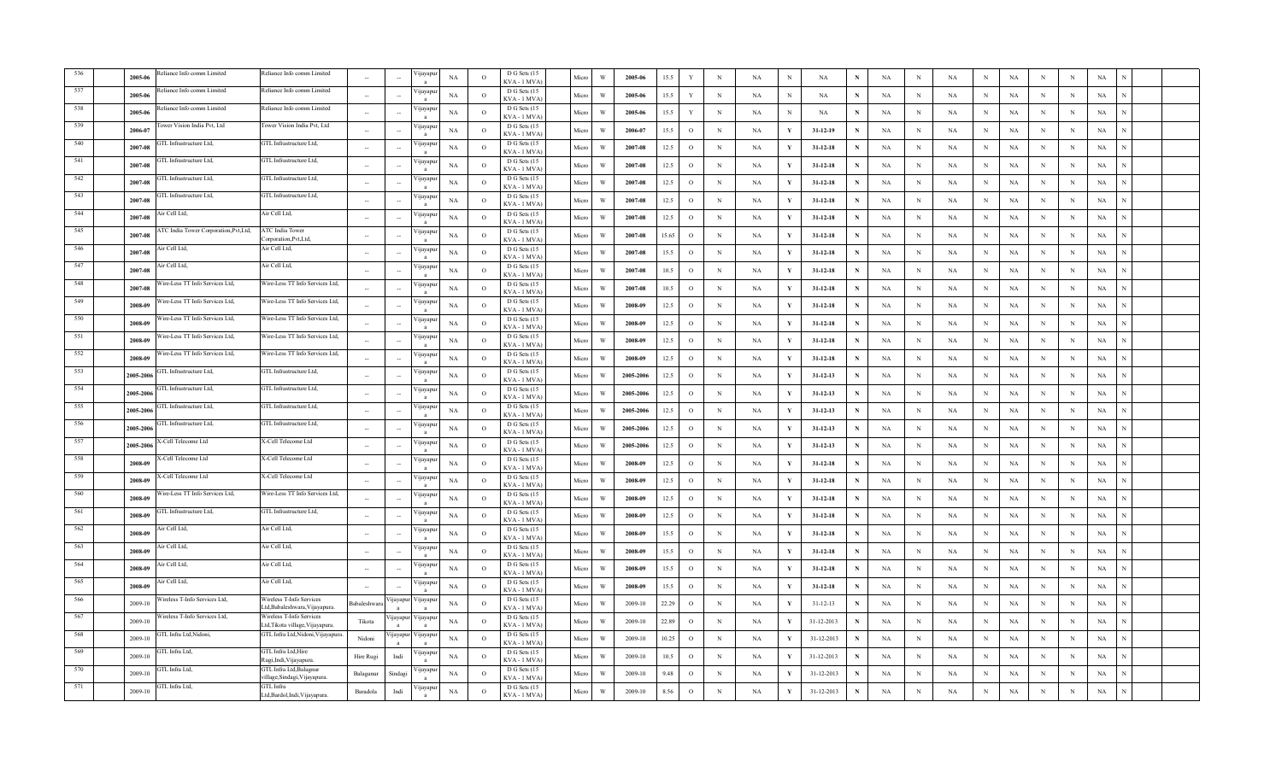|     | 2005-06   | eliance Info comm Limited             | Reliance Info comm Limited                                 | $\sim$      |          | ∕ijayapı           | NA          | $\circ$        | D G Sets (15<br>KVA-1 MVA    | Micro | W                       | 2005-06   | 15.5  | Y             | $_{\rm N}$  | NA        | $\,$ N       | $_{\rm NA}$    |   | NA          | $\mathbf N$ | NA          | $_{\rm N}$   | $_{\rm NA}$ | $_{\rm N}$  | $\,$ N      | $_{\rm NA}$ |  |
|-----|-----------|---------------------------------------|------------------------------------------------------------|-------------|----------|--------------------|-------------|----------------|------------------------------|-------|-------------------------|-----------|-------|---------------|-------------|-----------|--------------|----------------|---|-------------|-------------|-------------|--------------|-------------|-------------|-------------|-------------|--|
|     | 2005-06   | eliance Info comm Limited             | Reliance Info comm Limited                                 | ÷.          |          | цауар              | NA          | $\overline{O}$ | D G Sets (15<br>KVA-1 MVA    | Micro | W                       | 2005-06   | 15.5  | Y             | $\mathbb N$ | NA        | N            | NA             |   | NA          | N           | NA          | N            | NA          | N           | N           | NA          |  |
|     | 2005-06   | eliance Info comm Limited             | Reliance Info comm Limited                                 | $\sim$      |          | ∕ijayapı           | NA          | $\circ$        | D G Sets (15<br>KVA - 1 MVA  | Micro | W                       | 2005-06   | 15.5  | Y             | $_{\rm N}$  | NA        | N            | NA             | N | NA          | N           | NA          | N            | NA          | N           | $\,$ N      | NA          |  |
|     | 2006-07   | ower Vision India Pvt, Ltd            | Tower Vision India Pvt, Ltd                                |             |          | 'ijayapı           | NA          | $\circ$        | D G Sets (15<br>KVA - 1 MVA  | Micro | W                       | 2006-07   | 15.5  | $\circ$       | $\,$ N      | <b>NA</b> | Y            | $31 - 12 - 19$ | N | $_{\rm NA}$ | N           | <b>NA</b>   | $_{\rm N}$   | $_{\rm NA}$ | N           | N           | $_{\rm NA}$ |  |
|     | 2007-08   | <b>GTL</b> Infrastructure Ltd.        | GTL Infrastructure Ltd,                                    | $\sim$      |          | 'ijayap            | NA          | $\Omega$       | D G Sets (15<br>KVA - 1 MVA  | Micro | W                       | 2007-08   | 12.5  | $\circ$       | $\,$ N      | NA        | Y            | $31 - 12 - 18$ | N | NA          | N           | NA          | $\, {\rm N}$ | <b>NA</b>   | N           | $\,$ N      | $_{\rm NA}$ |  |
| 541 | 2007-08   | GTL Infrastructure Ltd,               | GTL Infrastructure Ltd,                                    |             |          | ∕ijayapı           | NA          | $\circ$        | D G Sets (15<br>KVA - 1 MVA  | Micro | W                       | 2007-08   | 12.5  | $\circ$       | $_{\rm N}$  | NA        | Y            | $31 - 12 - 18$ |   | NA          | N           | <b>NA</b>   | $_{\rm N}$   | NA          | N           | N           | NA          |  |
| 542 | 2007-08   | GTL Infrastructure Ltd,               | GTL Infrastructure Ltd,                                    |             |          | ∕ijayapı           | NA          | $\circ$        | D G Sets (15<br>KVA - 1 MVA  | Micro | W                       | 2007-08   | 12.5  | $\circ$       | $_{\rm N}$  | NA        | Y            | $31 - 12 - 18$ |   | NA          | N           | NA          | N            | NA          | N           | $_{\rm N}$  | NA          |  |
| 543 | 2007-08   | <b>GTL</b> Infrastructure Ltd,        | GTL Infrastructure Ltd,                                    | $\sim$      |          | ∕ijayapı           | $_{\rm NA}$ | $\circ$        | D G Sets (15<br>KVA-1 MVA    | Micro | $\ensuremath{\text{W}}$ | 2007-08   | 12.5  | $\circ$       | $\,$ N      | NA        | Y            | $31 - 12 - 18$ | N | $_{\rm NA}$ | N           | NA          | $\,$ N       | $_{\rm NA}$ | N           | $\,$ N      | $_{\rm NA}$ |  |
| 544 | 2007-08   | Air Cell Ltd,                         | Air Cell Ltd,                                              | $\sim$      |          | 'ijayapı           | NA          | $\overline{O}$ | D G Sets (15<br>KVA-1 MVA    | Micro | W                       | 2007-08   | 12.5  | $\circ$       | $\mathbb N$ | NA        | Y            | $31 - 12 - 18$ | N | NA          | N           | NA          | N            | NA          | N           | $\;$ N      | $_{\rm NA}$ |  |
| 545 | 2007-08   | TC India Tower Corporation, Pvt, Ltd, | ATC India Tower<br>'orporation.Pvt.Ltd.                    | $\sim$      |          | 'ijayapu           | NA          | $\circ$        | D G Sets (15<br>KVA - 1 MVA  | Micro | W                       | 2007-08   | 15.65 | $\circ$       | $_{\rm N}$  | NA        | Y            | $31 - 12 - 18$ | N | NA          | N           | NA          | $_{\rm N}$   | NA          | $_{\rm N}$  | $_{\rm N}$  | NA          |  |
| 546 | 2007-08   | ir Cell Ltd,                          | Air Cell Ltd,                                              | $\sim$      |          | 'ijayapı           | NA          | $\circ$        | D G Sets (15<br>KVA-1 MVA    | Micro | W                       | 2007-08   | 15.5  | $\circ$       | $_{\rm N}$  | NA        | Y            | $31-12-18$     | N | NA          | N           | NA          | $_{\rm N}$   | $_{\rm NA}$ | N           | $_{\rm N}$  | NA          |  |
| 547 | 2007-08   | Air Cell Ltd,                         | Air Cell Ltd,                                              | $\sim$      |          | ∕ijayapı           | NA          | $\circ$        | D G Sets (15<br>KVA - 1 MVA) | Micro | W                       | 2007-08   | 10.5  | $\circ$       | N           | NA        | Y            | $31 - 12 - 18$ | N | NA          | N           | <b>NA</b>   | $\mathbf N$  | $_{\rm NA}$ | N           | $\,$ N      | $_{\rm NA}$ |  |
| 548 | 2007-08   | Vire-Less TT Info Services Ltd,       | Wire-Less TT Info Services Ltd.                            |             |          | 'ijayapı           | NA          | $\Omega$       | D G Sets (15<br>KVA - 1 MVA) | Micro | W                       | 2007-08   | 10.5  | $\circ$       | $\,$ N      | NA        | Y            | $31 - 12 - 18$ | N | NA          | N           | NA          | $_{\rm N}$   | <b>NA</b>   | N           | $\,$ N      | NA          |  |
| 549 | 2008-09   | Vire-Less TT Info Services Ltd,       | Wire-Less TT Info Services Ltd,                            |             |          | 'ijayapı           | NA          | $\circ$        | D G Sets (15<br>KVA - 1 MVA  | Micro | W                       | 2008-09   | 12.5  | $\circ$       | $_{\rm N}$  | NA        | Y            | $31 - 12 - 18$ | N | NA          | $_{\rm N}$  | NA          | $_{\rm N}$   | NA          | N           | N           | NA          |  |
| 550 | 2008-09   | /ire-Less TT Info Services Ltd,       | Wire-Less TT Info Services Ltd,                            |             |          | 'ijayapı           | NA          | $\overline{O}$ | D G Sets (15<br>KVA - 1 MVA) | Micro | $\ensuremath{\text{W}}$ | 2008-09   | 12.5  | $\circ$       | $\,$ N      | NA        | Y            | $31 - 12 - 18$ | N | $_{\rm NA}$ | N           | NA          | $\,$ N       | NA          | N           | $\,$ N      | $_{\rm NA}$ |  |
| 551 | 2008-09   | Vire-Less TT Info Services Ltd,       | Wire-Less TT Info Services Ltd,                            |             |          | 'ijayapı           | NA          | $\circ$        | D G Sets (15<br>KVA - 1 MVA  | Micro | W                       | 2008-09   | 12.5  | $\mathbf{o}$  | $\,$ N      | NA        | Y            | $31-12-18$     | N | NA          | N           | NA          | $_{\rm N}$   | $_{\rm NA}$ | $_{\rm N}$  | $\,$ N      | NA          |  |
| 552 | 2008-09   | Vire-Less TT Info Services Ltd,       | Wire-Less TT Info Services Ltd,                            |             |          | 'ijayapı           | NA          | $\circ$        | D G Sets (15<br>KVA - 1 MVA  | Micro | W                       | 2008-09   | 12.5  | $\circ$       | N           | NA        | Y            | $31 - 12 - 18$ | N | NA          | N           | NA          | N            | NA          | N           | N           | NA          |  |
| 553 | 2005-2006 | <b>GTL</b> Infrastructure Ltd,        | GTL Infrastructure Ltd,                                    | $\sim$      |          | 'ijayapı           | NA          | $\circ$        | D G Sets (15<br>KVA - 1 MVA  | Micro | W                       | 2005-2006 | 12.5  | $\circ$       | $\mathbb N$ | NA        | Y            | $31 - 12 - 13$ | N | NA          | N           | NA          | N            | NA          | N           | N           | NA          |  |
|     | 2005-2006 | <b>GTL</b> Infrastructure Ltd,        | GTL Infrastructure Ltd,                                    | $\sim$      |          | 'ijayap            | NA          | $\Omega$       | D G Sets (15<br>KVA - 1 MVA  | Micro | W                       | 2005-2006 | 12.5  | $\circ$       | N           | NA        | Y            | $31 - 12 - 13$ | N | NA          | N           | NA          | $_{\rm N}$   | $_{\rm NA}$ | N           | $\,$ N      | $_{\rm NA}$ |  |
| 555 | 2005-2006 | GTL Infrastructure Ltd.               | GTL Infrastructure Ltd,                                    |             |          | 'ijayapı           | NA          | $\Omega$       | D G Sets (15<br>KVA - 1 MVA  | Micro | W                       | 2005-2006 | 12.5  | $\circ$       | $\mathbf N$ | NA        | $\mathbf{v}$ | $31 - 12 - 13$ | N | NA          | N           | NA          | $\,$ N       | <b>NA</b>   | N           | N           | $_{\rm NA}$ |  |
| 556 | 2005-2006 | GTL Infrastructure Ltd,               | GTL Infrastructure Ltd,                                    |             |          | 'ijayapı           | NA          | $\circ$        | D G Sets (15<br>KVA - 1 MVA  | Micro | W                       | 2005-2006 | 12.5  | $\circ$       | $_{\rm N}$  | NA        | Y            | $31 - 12 - 13$ |   | NA          | N           | NA          | $\mathbf N$  | NA          | N           | N           | NA          |  |
| 557 | 2005-2006 | <b>Cell Telecome Ltd</b>              | X-Cell Telecome Ltd                                        | $\sim$      |          | 'ijayapı           | $_{\rm NA}$ | $\circ$        | D G Sets (15<br>KVA - 1 MVA  | Micro | $\ensuremath{\text{W}}$ | 2005-2006 | 12.5  | $\circ$       | $\mathbf N$ | NA        | Y            | $31 - 12 - 13$ |   | $_{\rm NA}$ | N           | $_{\rm NA}$ | $\,$ N       | NA          | N           | $\,$ N      | $_{\rm NA}$ |  |
| 558 | 2008-09   | -Cell Telecome Ltd                    | X-Cell Telecome Ltd                                        | $\sim$      |          | 'ijayapı           | NA          | $\circ$        | D G Sets (15<br>KVA-1 MVA    | Micro | W                       | 2008-09   | 12.5  | $\circ$       | N           | NA        | Y            | $31 - 12 - 18$ | N | $_{\rm NA}$ | N           | NA          | N            | $_{\rm NA}$ | $\mathbf N$ | $\,$ N      | $_{\rm NA}$ |  |
| 559 | 2008-09   | -Cell Telecome Ltd                    | X-Cell Telecome Ltd                                        | $\sim$      |          | 'ijayapı           | NA          | $\overline{O}$ | D G Sets (15<br>KVA-1 MVA    | Micro | W                       | 2008-09   | 12.5  | $\circ$       | $\mathbb N$ | NA        | Y            | $31 - 12 - 18$ | N | NA          | N           | NA          | $\mathbf N$  | NA          | N           | $\,$ N      | NA          |  |
| 560 | 2008-09   | 'ire-Less TT Info Services Ltd,       | Wire-Less TT Info Services Ltd,                            | $\sim$      |          | <i>y</i> ayapt     | NA          | $\circ$        | D G Sets (15<br>KVA - 1 MVA  | Micro | W                       | 2008-09   | 12.5  | $\circ$       | $_{\rm N}$  | NA        | Y            | $31 - 12 - 18$ | N | NA          | N           | NA          | N            | NA          | N           | $\,$ N      | NA          |  |
| 561 | 2008-09   | FTL Infrastructure Ltd,               | GTL Infrastructure Ltd,                                    | $\sim$      |          | 'ijayapı           | NA          | $\circ$        | D G Sets (15<br>KVA - 1 MVA  | Micro | W                       | 2008-09   | 12.5  | $\circ$       | $\,$ N      | NA        | Y            | $31 - 12 - 18$ | N | NA          | N           | <b>NA</b>   | $_{\rm N}$   | $_{\rm NA}$ | N           | N           | $_{\rm NA}$ |  |
| 562 | 2008-09   | ir Cell Ltd,                          | Air Cell Ltd,                                              | $\sim$      |          | 'ijayapı           | NA          | $\circ$        | D G Sets (15<br>KVA - 1 MVA) | Micro | W                       | 2008-09   | 15.5  | $\circ$       | N           | NA        | Y            | $31 - 12 - 18$ | N | NA          | N           | <b>NA</b>   | $_{\rm N}$   | $_{\rm NA}$ | N           | $_{\rm N}$  | NA          |  |
| 563 | 2008-09   | \ir Cell Ltd,                         | Air Cell Ltd,                                              |             |          | 'ijayapı           | NA          | $\Omega$       | D G Sets (15<br>KVA - 1 MVA) | Micro | W                       | 2008-09   | 15.5  | $\circ$       | $\mathbb N$ | NA        | Y            | $31 - 12 - 18$ | N | NA          | N           | NA          | $_{\rm N}$   | <b>NA</b>   | N           | N           | NA          |  |
| 564 | 2008-09   | Air Cell Ltd,                         | Air Cell Ltd,                                              |             |          | 'ijayapı           | NA          | $\circ$        | D G Sets (15<br>KVA - 1 MVA  | Micro | $\ensuremath{\text{W}}$ | 2008-09   | 15.5  | $\mathcal{O}$ | $\mathbf N$ | NA        |              | $31 - 12 - 18$ | N | $_{\rm NA}$ | N           | $_{\rm NA}$ | $\,$ N       | $_{\rm NA}$ | N           | N           | $_{\rm NA}$ |  |
| 565 | 2008-09   | ir Cell Ltd,                          | Air Cell Ltd,                                              |             |          | ∕ijayapı           | $_{\rm NA}$ | $\circ$        | D G Sets (15<br>KVA-1 MVA)   | Micro | W                       | 2008-09   | 15.5  | $\circ$       | $\,$ N      | NA        | Y            | $31 - 12 - 18$ | N | $_{\rm NA}$ | N           | NA          | $\,$ N       | $_{\rm NA}$ | N           | $\,$ N      | $_{\rm NA}$ |  |
|     | 2009-10   | 'ireless T-Info Services Ltd,         | Wireless T-Info Services<br>Ltd.Babaleshwara.Viiavapura.   | Babaleshwar | ijayapur | ∕ ijayapu          | NA          | $\circ$        | D G Sets (15<br>KVA-1 MVA    | Micro | W                       | 2009-10   | 22.29 | $\circ$       | $\mathbb N$ | NA        | Y            | $31 - 12 - 13$ | N | NA          | N           | NA          | N            | NA          | N           | $\mathbf N$ | NA          |  |
|     | 2009-10   | Vireless T-Info Services Ltd,         | Wireless T-Info Services<br>Ltd,Tikota village,Vijayapura. | Tikota      | ijayapur | Vijayapu           | NA          | $\circ$        | D G Sets (15<br>KVA - 1 MVA  | Micro | W                       | 2009-10   | 22.89 | $\circ$       | N           | NA        | Y            | 31-12-2013     |   | NA          | N           | NA          | N            | NA          | N           | $\mathbf N$ | NA          |  |
|     | 2009-10   | iTL Infra Ltd, Nidoni,                | GTL Infra Ltd, Nidoni, Vijayapura.                         | Nidoni      |          | 'ijayapur Vijayapı | $_{\rm NA}$ | $\Omega$       | D G Sets (15<br>KVA - 1 MVA  | Micro | $\ensuremath{\text{W}}$ | 2009-10   | 10.25 | $\mathcal{O}$ | $\,$ N      | NA        | Y            | 31-12-2013     | N | $_{\rm NA}$ | N           | NA          | $_{\rm N}$   | NA          | N           | N           | $_{\rm NA}$ |  |
|     | 2009-10   | <b>GTL</b> Infra Ltd,                 | GTL Infra Ltd, Hire<br>Rugi,Indi, Vijayapura.              | Hire Rugi   | Indi     | 'ijayapı           | NA          | $\Omega$       | D G Sets (15<br>KVA - 1 MVA  | Micro | W                       | 2009-10   | 10.5  | $\circ$       | N           | NA        | $\mathbf{v}$ | 31-12-2013     | N | NA          | N           | NA          | $_{\rm N}$   | $_{\rm NA}$ | N           | $\,$ N      | NA          |  |
|     | 2009-10   | GTL Infra Ltd,                        | GTL Infra Ltd, Balagnur<br>village,Sindagi,Vijayapura.     | Balaganur   | Sindagi  | 'ijayap            | NA          | $\circ$        | D G Sets (15<br>KVA - 1 MVA  | Micro | W                       | 2009-10   | 9.48  | $\circ$       | $_{\rm N}$  | NA        | Y            | 31-12-2013     |   | NA          | N           | NA          | N            | <b>NA</b>   | N           | N           | NA          |  |
| 571 | 2009-10   | GTL Infra Ltd,                        | GTL Infra<br>Ltd,Bardol,Indi,Vijayapura.                   | Baradola    | Indi     | 'ijayapu           | NA          | $\circ$        | D G Sets (15<br>KVA - 1 MVA  | Micro | W                       | 2009-10   | 8.56  | $\circ$       | N           | NA        | $\mathbf{Y}$ | 31-12-2013     |   | NA          | N           | NA          | N            | <b>NA</b>   | N           | N           | $_{\rm NA}$ |  |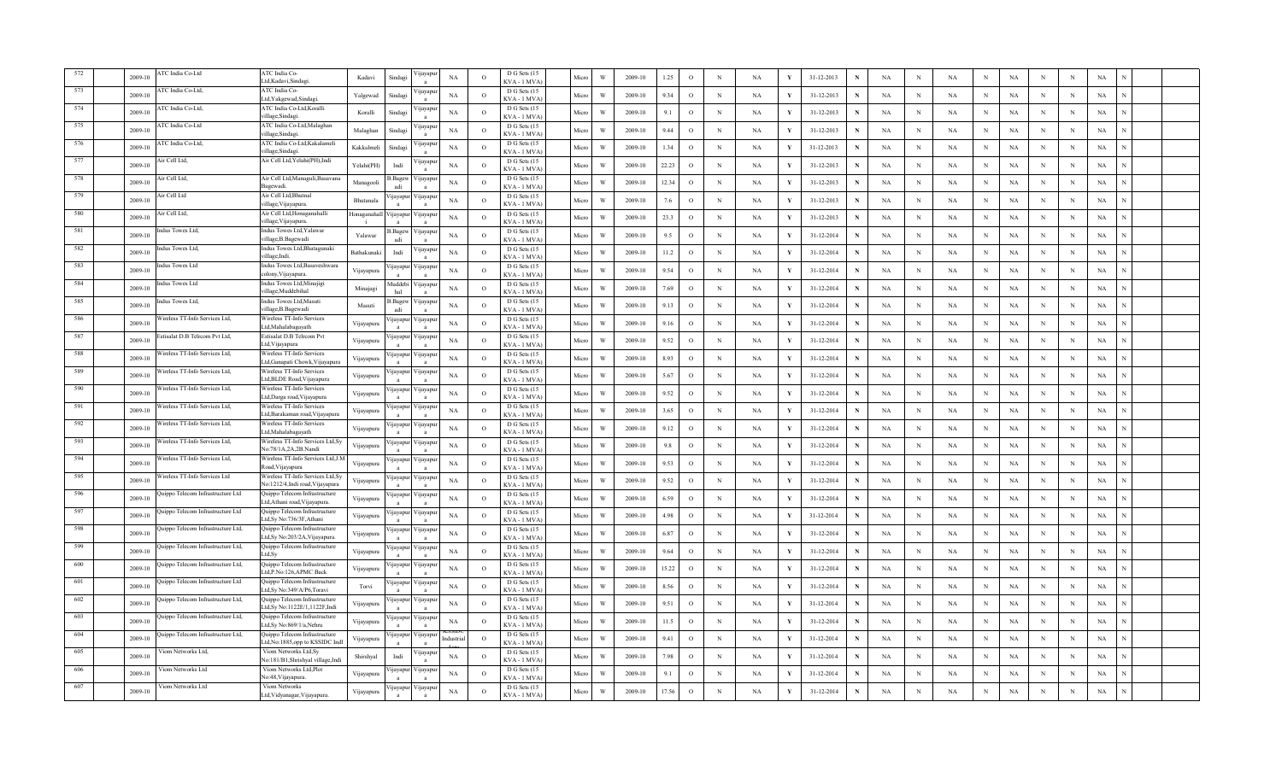|      | 2009-10     | TC India Co-Ltd                   | ATC India Co-<br>.td,Kadavi,Sindagi                                   | Kadavi     | Sindagi                  | ijayapı            | $_{\rm NA}$ | $\Omega$       | D G Sets (15<br>KVA - 1 MVA | Micro | W                       | 2009-10 | 1.25  | $\circ$       | $_{\rm N}$  | $_{\rm NA}$ | Y            | 31-12-2013 |   | $_{\rm NA}$ | $\mathbf N$ | $_{\rm NA}$ | N           | NA          | $\mathbf N$ | $\mathbf N$ | $_{\rm NA}$ |  |
|------|-------------|-----------------------------------|-----------------------------------------------------------------------|------------|--------------------------|--------------------|-------------|----------------|-----------------------------|-------|-------------------------|---------|-------|---------------|-------------|-------------|--------------|------------|---|-------------|-------------|-------------|-------------|-------------|-------------|-------------|-------------|--|
|      | 2009-10     | TC India Co-Ltd,                  | ATC India Co-<br>.td, Yakgewad, Sindagi.                              | Yalgewad   | Sindagi                  | 'цауар             | NA          | $\circ$        | D G Sets (15<br>KVA - 1 MVA | Micro | W                       | 2009-10 | 9.34  | $\circ$       | $_{\rm N}$  | NA          | Y            | 31-12-2013 | N | NA          | N           | NA          | N           | NA          | N           | N           | NA          |  |
|      | 2009-10     | TC India Co-Ltd,                  | ATC India Co-Ltd, Koralli<br>village,Sindag                           | Koralli    | Sindag                   | ∕ ijayapı          | NA          | $\circ$        | D G Sets (15<br>KVA - 1 MVA | Micro | W                       | 2009-10 | 9.1   | $\circ$       | $_{\rm N}$  | NA          |              | 31-12-2013 | N | NA          | N           | NA          | N           | NA          | N           | N           | NA          |  |
| 575  | 2009-10     | TC India Co-Ltd                   | ATC India Co-Ltd, Malaghan<br>illage,Sindagi.                         | Malaghan   | Sindag                   | 'ijayap            | NA          | $\circ$        | D G Sets (15<br>KVA - 1 MVA | Micro | W                       | 2009-10 | 9.44  | $\circ$       | $\mathbf N$ | <b>NA</b>   | V            | 31-12-2013 | N | NA          | N           | NA          | $_{\rm N}$  | NA          | N           | $\mathbf N$ | NA          |  |
|      | $2009 - 10$ | <b>ATC</b> India Co-Ltd.          | ATC India Co-Ltd.Kakalameli<br>village,Sindagi.                       | Kakkalmeli | Sindag                   | 'ijayapı           | NA          | $\Omega$       | D G Sets (15<br>KVA - 1 MVA | Micro | W                       | 2009-10 | 1.34  | $\circ$       | $\mathbf N$ | NA          | Y            | 31-12-2013 | N | NA          | N           | NA          | $\,$ N      | <b>NA</b>   | N           | N           | $_{\rm NA}$ |  |
| 577  | 2009-10     | Air Cell Ltd,                     | Air Cell Ltd, Yelahi(PH), Indi                                        | Yelahi(PH) | Indi                     | 'ijayapı           | NA          | $\circ$        | D G Sets (15<br>KVA-1 MVA   | Micro | W                       | 2009-10 | 22.23 | $\circ$       | $_{\rm N}$  | <b>NA</b>   | Y            | 31-12-2013 |   | NA          | N           | <b>NA</b>   | N           | <b>NA</b>   | N           | N           | NA          |  |
| 578  | 2009-10     | Air Cell Ltd,                     | Air Cell Ltd, Managuli, Basavana<br>Bagewadi                          | Managooli  | 3. Bagew                 | 'ijayapı           | NA          | $\circ$        | D G Sets (15<br>KVA - 1 MVA | Micro | W                       | 2009-10 | 12.34 | $\circ$       | $_{\rm N}$  | NA          |              | 31-12-2013 |   | NA          | N           | NA          | $_{\rm N}$  | NA          | N           | N           | NA          |  |
| 579  | 2009-10     | <b>Air Cell Ltd</b>               | Air Cell Ltd, Bhutnal<br>village, Vijayapura.                         | Bhutanala  | ijayapu                  | ∕ijayapı           | NA          | $\circ$        | D G Sets (15<br>KVA-1 MVA   | Micro | W                       | 2009-10 | 7.6   | $\circ$       | $\mathbf N$ | NA          | Y            | 31-12-2013 | N | $_{\rm NA}$ | N           | NA          | $\,$ N      | $_{\rm NA}$ | N           | $\mathbf N$ | $_{\rm NA}$ |  |
| 580  | 2009-10     | ir Cell Ltd,                      | Air Cell Ltd, Honaganahalli<br>village, Vijayapura.                   | Honaganaha | ijayapu                  | 'ijayapı           | NA          | $\circ$        | D G Sets (15<br>KVA-1 MVA   | Micro | W                       | 2009-10 | 23.3  | $\circ$       | $_{\rm N}$  | NA          | Y            | 31-12-2013 | N | NA          | N           | NA          | $_{\rm N}$  | <b>NA</b>   | N           | $\,$ N      | NA          |  |
| 581  | 2009-10     | ndus Towes Ltd,                   | Indus Towes Ltd, Yalawar<br>village, B. Bagewadi                      | Yalawa     | .Bagew<br>adi            | ijayapu            | NA          | $\circ$        | D G Sets (15<br>KVA - 1 MVA | Micro | W                       | 2009-10 | 9.5   | $\circ$       | $_{\rm N}$  | NA          | Y            | 31-12-2014 | N | NA          | N           | NA          | $_{\rm N}$  | NA          | N           | N           | NA          |  |
| 582  | 2009-10     | dus Towes Ltd,                    | Indus Towes Ltd, Bhatagunaki<br>village,Indi.                         | Bathakunak | Indi                     | 'ijayapı           | NA          | $\circ$        | D G Sets (15<br>KVA - 1 MVA | Micro | W                       | 2009-10 | 11.2  | $\circ$       | $_{\rm N}$  | NA          | Y            | 31-12-2014 | N | NA          | N           | <b>NA</b>   | $_{\rm N}$  | $_{\rm NA}$ | N           | N           | NA          |  |
| 583  | 2009-10     | ndus Towes Ltd                    | Indus Towes Ltd, Basaveshwara<br>colony, Vijayapura.                  | Vijayapura | ijayapu                  | ∕ijayapı           | NA          | $\circ$        | D G Sets (15<br>KVA - 1 MVA | Micro | W                       | 2009-10 | 9.54  | $\circ$       | $\mathbf N$ | NA          | Y            | 31-12-2014 | N | NA          | $\mathbf N$ | <b>NA</b>   | $_{\rm N}$  | $_{\rm NA}$ | N           | N           | NA          |  |
| 584  | $2009 - 10$ | ndus Towes Ltd                    | Indus Towes Ltd, Minajigi<br>village,Muddebihal                       | Minajagi   | Auddebi<br>hal           | ∕ijayapı           | NA          | $\Omega$       | D G Sets (15<br>KVA - 1 MVA | Micro | W                       | 2009-10 | 7.69  | $\circ$       | $\mathbf N$ | NA          | Y            | 31-12-2014 | N | <b>NA</b>   | N           | NA          | $_{\rm N}$  | <b>NA</b>   | N           | N           | NA          |  |
| 585  | 2009-10     | ndus Towes Ltd,                   | Indus Towes Ltd, Masuti<br>village, B. Bagewadi                       | Masuti     | .Bagew<br>adi            | ∕ijayapı           | NA          | $\circ$        | D G Sets (15<br>KVA - 1 MVA | Micro | W                       | 2009-10 | 9.13  | $\circ$       | $_{\rm N}$  | <b>NA</b>   | Y            | 31-12-2014 | N | NA          | N           | <b>NA</b>   | $_{\rm N}$  | NA          | N           | N           | NA          |  |
|      | 2009-10     | /ireless TT-Info Services Ltd,    | Wireless TT-Info Services<br>Ltd,Mahalabagayath                       | Vijayapura | ijayapur                 | 'ijayapı           | NA          | $\overline{O}$ | D G Sets (15<br>KVA - 1 MVA | Micro | $\ensuremath{\text{W}}$ | 2009-10 | 9.16  | $\circ$       | $_{\rm N}$  | NA          | Y            | 31-12-2014 | N | NA          | N           | NA          | $\,$ N      | NA          | N           | $\mathbf N$ | $_{\rm NA}$ |  |
|      | $2009 - 10$ | stisalat D.B Telrcom Pvt Ltd.     | Estisalat D.B Telrcom Pvt<br>Ltd, Vijayapura                          | Vijayapura | ijayapu                  | √ijayapı           | NA          | $\circ$        | D G Sets (15<br>KVA - 1 MVA | Micro | W                       | 2009-10 | 9.52  | $\mathbf{o}$  | $\,$ N      | NA          | Y            | 31-12-2014 | N | NA          | N           | NA          | $_{\rm N}$  | NA          | N           | N           | NA          |  |
| 588  | 2009-10     | Vireless TT-Info Services Ltd,    | Wireless TT-Info Services<br>Ltd,Ganapati Chowk,Vijayapura            | Vijayapura | ijayapur                 | ∕ ijayapı          | NA          | $\circ$        | D G Sets (15<br>KVA - 1 MVA | Micro | W                       | 2009-10 | 8.93  | $\circ$       | N           | NA          | Y            | 31-12-2014 | N | NA          | N           | NA          | N           | <b>NA</b>   | N           | N           | NA          |  |
|      | 2009-10     | Vireless TT-Info Services Ltd,    | Wireless TT-Info Services<br>td, BLDE Road, Vijayapura.               | Vijayapura |                          | 'ijayapur Vijayapı | NA          | $\circ$        | D G Sets (15<br>KVA - 1 MVA | Micro | W                       | 2009-10 | 5.67  | $\circ$       | $_{\rm N}$  | NA          | Y            | 31-12-2014 | N | NA          | N           | NA          | N           | NA          | N           | N           | NA          |  |
|      | 2009-10     | /ireless TT-Info Services Ltd,    | Vireless TT-Info Services<br>.td,Darga road, Vijayapura               | Vijayapura | ijayapur                 | ∕ijayapı           | NA          | $\Omega$       | D G Sets (15<br>KVA - 1 MVA | Micro | W                       | 2009-10 | 9.52  | $\mathcal{O}$ | $\mathbf N$ | NA          | Y            | 31-12-2014 | N | NA          | N           | NA          | $_{\rm N}$  | <b>NA</b>   | N           | N           | $_{\rm NA}$ |  |
| 591  | 2009-10     | Wireless TT-Info Services Ltd.    | Wireless TT-Info Services<br>.td,Barakaman road,Vijayapura            | Vijayapura | ijayapu                  | ∕ijayapı           | NA          | $\Omega$       | D G Sets (15<br>KVA - 1 MVA | Micro | W                       | 2009-10 | 3.65  | $\circ$       | $\mathbf N$ | NA          | $\mathbf{v}$ | 31-12-2014 | N | NA          | N           | NA          | $\mathbf N$ | <b>NA</b>   | N           | N           | $_{\rm NA}$ |  |
| 592  | 2009-10     | Vireless TT-Info Services Ltd,    | Wireless TT-Info Services<br>.td,Mahalabagayath                       | Vijayapura | ijayapur                 | 'ijayapı           | NA          | $\circ$        | D G Sets (15<br>KVA - 1 MVA | Micro | W                       | 2009-10 | 9.12  | $\circ$       | $_{\rm N}$  | NA          | Y            | 31-12-2014 | N | NA          | N           | NA          | N           | <b>NA</b>   | N           | N           | NA          |  |
| 593  | 2009-10     | /ireless TT-Info Services Ltd,    | Wireless TT-Info Services Ltd, Sy<br>No:78/1A,2A,2B.Nandi             | Vijayapura | ijayapur                 | √ijayapı           | NA          | $\circ$        | D G Sets (15<br>KVA - 1 MVA | Micro | $\ensuremath{\text{W}}$ | 2009-10 | 9.8   | $\circ$       | $\mathbf N$ | NA          | Y            | 31-12-2014 |   | $_{\rm NA}$ | N           | $_{\rm NA}$ | $\,$ N      | NA          | N           | N           | $_{\rm NA}$ |  |
| 594  | 2009-10     | ireless TT-Info Services Ltd,     | Wireless TT-Info Services Ltd, J.M<br>Road, Vijayapura                | Vijayapura | ijayapu                  | √ijayapı           | NA          | $\Omega$       | D G Sets (15<br>KVA-1 MVA   | Micro | W                       | 2009-10 | 9.53  | $\circ$       | N           | NA          | Y            | 31-12-2014 | N | $_{\rm NA}$ | N           | NA          | N           | $_{\rm NA}$ | N           | $\,$ N      | $_{\rm NA}$ |  |
| 595  | 2009-10     | /ireless TT-Info Services Ltd     | Wireless TT-Info Services Ltd, Sy<br>No:1212/4, Indi road, Vijayapura | Vijayapura | ijayapu                  | 'ijayapı           | NA          | $\circ$        | D G Sets (15<br>KVA-1 MVA   | Micro | W                       | 2009-10 | 9.52  | $\circ$       | $_{\rm N}$  | NA          | Y            | 31-12-2014 | N | NA          | N           | NA          | $\mathbf N$ | <b>NA</b>   | N           | ${\bf N}$   | NA          |  |
| 596  | 2009-10     | uippo Telecom Infrastructure Ltd  | Quippo Telecom Infrastructure<br>Ltd,Athani road,Vijayapura.          | Vijayapura | <i>u</i> ayapur          | / navapt           | NA          | $\circ$        | D G Sets (15<br>KVA - 1 MVA | Micro | W                       | 2009-10 | 6.59  | $\circ$       | $_{\rm N}$  | NA          | Y            | 31-12-2014 | N | NA          | N           | NA          | N           | NA          | N           | N           | NA          |  |
| 597  | 2009-10     | uippo Telecom Infrastructure Ltd  | Quippo Telecom Infrastructure<br>.td,Sy No:736/3F,Athani              | Vijayapura | ijayapur<br>$\mathbf{a}$ | ∕ijayapı           | NA          | $\circ$        | D G Sets (15<br>KVA-1 MVA   | Micro | W                       | 2009-10 | 4.98  | $\circ$       | $\mathbf N$ | NA          | Y            | 31-12-2014 | N | NA          | N           | NA          | $_{\rm N}$  | $_{\rm NA}$ | N           | N           | NA          |  |
| 598  | 2009-10     | uippo Telecom Infrastructure Ltd, | Quippo Telecom Infrastructure<br>Ltd, Sy No: 203/2A, Vijayapura.      | Vijayapura | ijayapu                  | ∕ijayapı           | NA          | $\circ$        | D G Sets (15<br>KVA - 1 MVA | Micro | W                       | 2009-10 | 6.87  | $\circ$       | N           | NA          | Y            | 31-12-2014 | N | NA          | N           | <b>NA</b>   | $_{\rm N}$  | $_{\rm NA}$ | N           | N           | NA          |  |
| -599 | 2009-10     | uippo Telecom Infrastructure Ltd, | Quippo Telecom Infrastructure<br>td,Sy                                | Vijayapura | ijayapur                 | 'ijayapı           | NA          | $\Omega$       | D G Sets (15<br>KVA - 1 MVA | Micro | W                       | 2009-10 | 9.64  | $\circ$       | $_{\rm N}$  | NA          | Y            | 31-12-2014 | N | NA          | N           | NA          | $_{\rm N}$  | <b>NA</b>   | N           | N           | NA          |  |
| -600 | 2009-10     | uippo Telecom Infrastructure Ltd, | Quippo Telecom Infrastructure<br>Ltd,P.No:126,APMC Back               | Vijayapura | ijayapur                 | цауар              | NA          | $\circ$        | D G Sets (15<br>KVA - 1 MVA | Micro | $\ensuremath{\text{W}}$ | 2009-10 | 15.22 | $\mathcal{O}$ | N           | NA          |              | 31-12-2014 | N | <b>NA</b>   | N           | $_{\rm NA}$ | $_{\rm N}$  | NA          | N           | N           | NA          |  |
|      | 2009-10     | uippo Telecom Infrastructure Ltd  | Quippo Telecom Infrastructure<br>Ltd, Sy No:349/A/P6, Toravi          | Torvi      | ijayapur                 | ∕ijayapı           | NA          | $\circ$        | D G Sets (15<br>KVA - 1 MVA | Micro | W                       | 2009-10 | 8.56  | $\circ$       | $\mathbf N$ | NA          | Y            | 31-12-2014 | N | NA          | N           | NA          | $\mathbf N$ | $_{\rm NA}$ | N           | N           | NA          |  |
|      | 2009-10     | uippo Telecom Infrastructure Ltd, | Quippo Telecom Infrastructure<br>Ltd, Sy No:1122E/1, 1122F, Indi      | Vijayapura | ijayapu                  | 'ijayapı           | NA          | $\circ$        | D G Sets (15<br>KVA-1 MVA   | Micro | W                       | 2009-10 | 9.51  | $\circ$       | $\mathbb N$ | NA          | Y            | 31-12-2014 | N | NA          | N           | NA          | N           | <b>NA</b>   | N           | N           | NA          |  |
|      | 2009-10     | uippo Telecom Infrastructure Ltd, | Quippo Telecom Infrastructure<br>td,Sy No:869/1/a,Nehru.              | Vijayapura | ijayapur                 | ∕ ijayapı          | NA          | $\circ$        | D G Sets (15<br>KVA - 1 MVA | Micro | W                       | 2009-10 | 11.5  | $\circ$       | N           | NA          |              | 31-12-2014 | N | NA          | N           | NA          | N           | <b>NA</b>   | N           | N           | NA          |  |
|      | $2009 - 10$ | uippo Telecom Infrastructure Ltd, | Quippo Telecom Infrastructure<br>.td,No:1885,opp to KSSIDC Indl       | Vijayapura |                          | 'ijayapur Vijayap  | dustri:     | $\Omega$       | D G Sets (15<br>CVA - 1 MVA | Micro | W                       | 2009-10 | 9.41  | $\Omega$      | $\mathbf N$ | NA          | Y            | 31-12-2014 | N | NA          | N           | NA          | N           | NA          | N           | $_{\rm N}$  | $_{\rm NA}$ |  |
|      | 2009-10     | /iom Networks Ltd.                | Viom Networks Ltd.Sv<br>lo:181/B1, Shrishyal village, Indi            | Shirshyal  | Indi                     | 'ijayap            | <b>NA</b>   | $\Omega$       | D G Sets (15<br>KVA - 1 MVA | Micro | W                       | 2009-10 | 7.98  | $\circ$       | $\mathbf N$ | <b>NA</b>   | $\mathbf{v}$ | 31-12-2014 | N | NA          | N           | NA          | $_{\rm N}$  | $_{\rm NA}$ | N           | N           | NA          |  |
|      | 2009-10     | Viom Networks Ltd                 | Viom Networks Ltd.Plot<br>No:48, Vijayapura.                          | Vijayapura | ijayapu                  | 'ijayapı           | <b>NA</b>   | $\Omega$       | D G Sets (15<br>KVA - 1 MVA | Micro | W                       | 2009-10 | 9.1   | $\circ$       | N           | NA          | Y            | 31-12-2014 | N | NA          | N           | NA          | N           | <b>NA</b>   | N           | N           | NA          |  |
|      | 2009-10     | Viom Networks Ltd                 | Viom Networks<br>Ltd, Vidyanagar, Vijayapura.                         | Vijayapura | ijayapur                 | √ijayapu           | NA          | $\circ$        | D G Sets (15<br>KVA - 1 MVA | Micro | W                       | 2009-10 | 17.56 | $\circ$       | N           | <b>NA</b>   | $\mathbf Y$  | 31-12-2014 |   | NA          | N           | <b>NA</b>   | N           | <b>NA</b>   | N           | N           | $_{\rm NA}$ |  |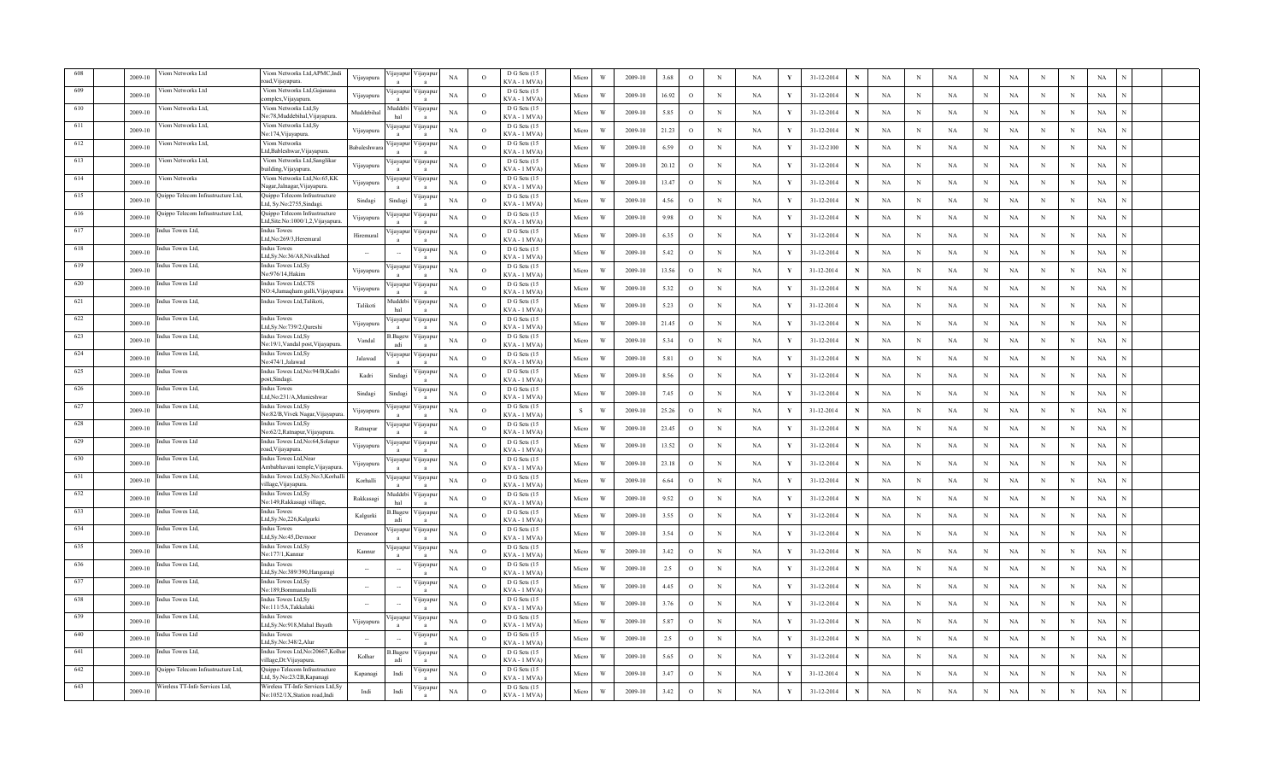|     | 2009-10 | /iom Networks Ltd                  | Viom Networks Ltd, APMC, Indi<br>oad, Vijayapura.                                       | Vijayapura | jayapu                   | 'ijayapu                    | $_{\rm NA}$ | $\Omega$       | D G Sets (15<br>KVA - 1 MVA                | Micro | W | 2009-10 | 3.68  | $\rm _O$     | $\,$ N      | $_{\rm NA}$ |   | 31-12-2014<br>$\mathbf N$ | $_{\rm NA}$ | $\, {\rm N}$ | NA          | N           | $_{\rm NA}$<br>N          | $\, {\rm N}$ | $_{\rm NA}$ |  |  |
|-----|---------|------------------------------------|-----------------------------------------------------------------------------------------|------------|--------------------------|-----------------------------|-------------|----------------|--------------------------------------------|-------|---|---------|-------|--------------|-------------|-------------|---|---------------------------|-------------|--------------|-------------|-------------|---------------------------|--------------|-------------|--|--|
| 609 | 2009-10 | /iom Networks Ltd                  | Viom Networks Ltd, Gajanana<br>omplex, Vijayapura                                       | Vijayapur  | <b>I</b> ayapu           | 'ijayapu                    | NA          | $\circ$        | D G Sets (15<br>KVA - 1 MVA                | Micro | W | 2009-10 | 16.92 | $\circ$      | $_{\rm N}$  | NA          |   | 31-12-2014<br>$\mathbf N$ | NA          | N            | NA          | N           | NA<br>N                   | $\,$ N       | NA          |  |  |
| 610 | 2009-10 | /iom Networks Ltd,                 | Viom Networks Ltd, Sy<br>No:78,Muddebihal,Vijayapura.                                   | Muddebiha  | Auddebi                  | ∕ijayapu                    | <b>NA</b>   | $\circ$        | D G Sets (15<br>KVA - 1 MVA                | Micro | W | 2009-10 | 5.85  | $\circ$      | $_{\rm N}$  | NA          |   | 31-12-2014<br>N           | NA          | $_{\rm N}$   | $_{\rm NA}$ | N           | NA<br>N                   | $_{\rm N}$   | NA          |  |  |
| 611 | 2009-10 | /iom Networks Ltd,                 | Viom Networks Ltd,Sy<br>lo:174, Vijayapura                                              | Vijayapura | nayapı                   | 'ijayapu                    | NA          | $\circ$        | D G Sets (15<br>KVA - 1 MVA                | Micro |   | 2009-10 | 21.23 | $\circ$      | $\mathbf N$ | NA          | v | 31-12-2014<br>N           | NA          | N            | $_{\rm NA}$ | N           | $_{\rm NA}$<br>N          | N            | NA          |  |  |
| 612 | 2009-10 | Viom Networks Ltd.                 | Viom Networks<br>td,Bableshwar,Vijayapura.                                              | Babaleshwa | ijayapu                  | ∕ijayap                     | NA          | $\Omega$       | D G Sets (15<br>KVA - 1 MVA                | Micro | W | 2009-10 | 6.59  | $\rm _O$     | $\mathbf N$ | NA          |   | 31-12-2100<br>$\mathbf N$ | NA          | N            | NA          | $\mathbf N$ | $_{\rm NA}$<br>N          | N            | $_{\rm NA}$ |  |  |
| 613 | 2009-10 | Viom Networks Ltd,                 | Viom Networks Ltd, Sanglikar                                                            | Vijayapura | ijayapu                  | /ijayapu                    | <b>NA</b>   | $\circ$        | D G Sets (15                               | Micro | W | 2009-10 | 20.12 | $\circ$      | $_{\rm N}$  | NA          |   | 31-12-2014<br>$\mathbf N$ | NA          | $_{\rm N}$   | NA          | $_{\rm N}$  | <b>NA</b><br>N            | $_{\rm N}$   | $_{\rm NA}$ |  |  |
| 614 | 2009-10 | /iom Networks                      | uilding, Vijayapura.<br>Viom Networks Ltd, No:65, KK                                    | Vijayapura | ijayapu                  | 'ijayapuı                   | NA          | $\circ$        | KVA - 1 MVA)<br>D G Sets (15               | Micro | W | 2009-10 | 13.47 | $\circ$      | $_{\rm N}$  | NA          |   | 31-12-2014<br>N           | NA          | N            | $_{\rm NA}$ | N           | NA<br>N                   | $_{\rm N}$   | NA          |  |  |
| 615 | 2009-10 | uippo Telecom Infrastructure Ltd,  | lagar, Jalnagar, Vijayapura<br>Quippo Telecom Infrastructure<br>td, Sy.No:2755, Sindagi | Sindagi    | Sindagi                  | 'ijayapu                    | NA          | $\circ$        | KVA - 1 MVA<br>D G Sets (15<br>KVA - 1 MVA | Micro | W | 2009-10 | 4.56  | $\,$ O       | $_{\rm N}$  | $_{\rm NA}$ |   | 31-12-2014<br>$\mathbf N$ | $_{\rm NA}$ | N            | $_{\rm NA}$ | $\mathbf N$ | $_{\rm NA}$<br>N          | $\, {\rm N}$ | $_{\rm NA}$ |  |  |
| 616 | 2009-10 | uippo Telecom Infrastructure Ltd,  | Quippo Telecom Infrastructure<br>.td,Site.No:1000/1,2,Vijayapura                        | Vijayapura | jayapı                   | 'ijayapu<br>$\mathbf{a}$    | $_{\rm NA}$ | $\circ$        | D G Sets (15<br>KVA - 1 MVA                | Micro | W | 2009-10 | 9.98  | $\,$ O       | $\,$ N      | NA          |   | 31-12-2014<br>$\mathbf N$ | NA          | N            | NA          | $\mathbf N$ | NA<br>N                   | ${\bf N}$    | NA          |  |  |
| 617 | 2009-10 | ndus Towes Ltd,                    | <b>Indus Towes</b><br>.td.No:269/3.Heremural                                            | Hiremural  | ijayapu                  | /ijayapu                    | NA          | $\circ$        | D G Sets (15<br>KVA - 1 MVA                | Micro | W | 2009-10 | 6.35  | $\circ$      | $_{\rm N}$  | NA          |   | 31-12-2014<br>$\mathbf N$ | NA          | N            | $_{\rm NA}$ | N           | NA<br>$_{\rm N}$          | N            | NA          |  |  |
| 618 | 2009-10 | dus Towes Ltd,                     | ndus Towes<br>.td,Sy.No:36/A8,Nivalkhed                                                 |            | $\overline{\phantom{a}}$ | ijayapı                     | NA          | $\circ$        | D G Sets (15<br>KVA - 1 MVA                | Micro | W | 2009-10 | 5.42  | $\circ$      | $_{\rm N}$  | NA          |   | 31-12-2014<br>$\mathbf N$ | NA          | N            | NA          | N           | NA<br>N                   | N            | NA          |  |  |
| 619 | 2009-10 | adus Towes Ltd.                    | Indus Towes Ltd.Sv<br>Vo:976/14, Hakim                                                  | Vijayapura | ijayapu<br>$\mathbf{a}$  | ∕ ijayapu<br>$\overline{a}$ | NA          | $\circ$        | D G Sets (15<br>KVA - 1 MVA)               | Micro | W | 2009-10 | 13.56 | $\circ$      | N           | NA          |   | 31-12-2014<br>$\mathbf N$ | NA          | N            | $_{\rm NA}$ | $_{\rm N}$  | $_{\rm NA}$<br>N          | N            | NA          |  |  |
| 620 | 2009-10 | adus Towes Ltd                     | <b>Indus Towes Ltd,CTS</b><br>NO:4,Jamaqham galli,Vijayapura                            | Vijayapura | <b>1jayapu</b>           | /ijayapu                    | $_{\rm NA}$ | $\Omega$       | D G Sets (15<br>KVA - 1 MVA)               | Micro | W | 2009-10 | 5.32  | $\rm _O$     | $\mathbf N$ | NA          |   | 31-12-2014<br>$\mathbf N$ | NA          | N            | <b>NA</b>   | $\mathbf N$ | NA<br>N                   | N            | NA          |  |  |
| 621 | 2009-10 | dus Towes Ltd,                     | Indus Towes Ltd, Talikoti,                                                              | Talikoti   | Auddebi<br>hal           | /ijayapu                    | NA          | $\circ$        | D G Sets (15<br>KVA - 1 MVA)               | Micro | W | 2009-10 | 5.23  | $\circ$      | $_{\rm N}$  | NA          |   | 31-12-2014<br>$\mathbf N$ | NA          | $_{\rm N}$   | $_{\rm NA}$ | $\mathbf N$ | NA<br>N                   | N            | NA          |  |  |
| 622 | 2009-10 | dus Towes Ltd,                     | <b>Indus Towes</b><br>Ltd,Sy.No:739/2,Qureshi                                           | Vijayapura | jayapu<br>$\mathbf{a}$   | 'ijayapu<br>$\mathbf{a}$    | $_{\rm NA}$ | $\overline{O}$ | D G Sets (15<br>KVA - 1 MVA)               | Micro | W | 2009-10 | 21.45 | $\rm _O$     | $_{\rm N}$  | NA          |   | 31-12-2014<br>N           | NA          | N            | $_{\rm NA}$ | N           | $_{\rm NA}$<br>N          | N            | $_{\rm NA}$ |  |  |
| 623 | 2009-10 | dus Towes Ltd.                     | Indus Towes Ltd,Sy<br>No:19/1, Vandal post, Vijayapura.                                 | Vandal     | B.Bagew<br>adi           | 'ijayapı                    | NA          | $\circ$        | D G Sets (15<br>KVA - 1 MVA)               | Micro | W | 2009-10 | 5.34  | $\,$ O       | $\mathbf N$ | NA          |   | 31-12-2014<br>$\mathbf N$ | NA          | $\mathbf N$  | NA          | $\mathbf N$ | $_{\rm NA}$<br>$_{\rm N}$ | $_{\rm N}$   | $_{\rm NA}$ |  |  |
| 624 | 2009-10 | ndus Towes Ltd,                    | Indus Towes Ltd, Sy<br>Vo:474/1.Jalawad                                                 | Jalawad    | ijayapu                  | /ijayapu                    | NA          | $\circ$        | D G Sets (15<br>KVA - 1 MVA                | Micro | W | 2009-10 | 5.81  | $\circ$      | $_{\rm N}$  | NA          |   | 31-12-2014<br>N           | NA          | N            | NA          | N           | NA<br>N                   | $\,$ N       | NA          |  |  |
| 625 | 2009-10 | dus Towes                          | Indus Towes Ltd, No: 94/B, Kadri<br>ost.Sindagi                                         | Kadri      | Sindagi                  | 'ijayapu                    | NA          | $\circ$        | D G Sets (15<br><b>CVA - 1 MVA</b>         | Micro | W | 2009-10 | 8.56  | $\circ$      | $_{\rm N}$  | NA          |   | 31-12-2014<br>N           | NA          | $_{\rm N}$   | <b>NA</b>   | N           | NA<br>N                   | N            | NA          |  |  |
| 626 | 2009-10 | dus Towes Ltd,                     | ndus Towes<br>.td,No:231/A,Munieshwar                                                   | Sindagi    | Sindagi                  | ijayapu                     | NA          | $\Omega$       | D G Sets (15<br>KVA - 1 MVA                | Micro | W | 2009-10 | 7.45  | $\rm _O$     | N           | $_{\rm NA}$ | Y | 31-12-2014<br>$\mathbf N$ | NA          | N            | NA          | N           | $_{\rm NA}$<br>N          | N            | NA          |  |  |
| 627 | 2009-10 | adus Towes Ltd.                    | ndus Towes Ltd, Sy<br>Vo:82/B, Vivek Nagar, Vijayapura                                  | Vijayapura | yayapu                   | ∕ijayapı                    | <b>NA</b>   | $\Omega$       | D G Sets (15<br>KVA - 1 MVA                | S     | W | 2009-10 | 25.26 | $\circ$      | $_{\rm N}$  | NA          | Y | 31-12-2014<br>$\mathbf N$ | NA          | N            | <b>NA</b>   | $\mathbf N$ | NA<br>N                   | N            | $_{\rm NA}$ |  |  |
| 628 | 2009-10 | Indus Towes Ltd                    | ndus Towes Ltd, Sy<br>Vo:62/2, Ratnapur, Vijayapura                                     | Ratnapur   | ijayapu                  | ∕ ijayapuı                  | <b>NA</b>   | $\circ$        | D G Sets (15<br>KVA - 1 MVA)               | Micro | W | 2009-10 | 23.45 | $\circ$      | $_{\rm N}$  | NA          | Y | 31-12-2014<br>$\mathbf N$ | NA          | $_{\rm N}$   | $_{\rm NA}$ | $_{\rm N}$  | NA<br>N                   | $_{\rm N}$   | $_{\rm NA}$ |  |  |
| 629 | 2009-10 | dus Towes Ltd                      | ndus Towes Ltd, No:64, Solapur<br>oad, Vijayapura.                                      | Vijayapura | jayapu                   | 'ijayapur                   | $_{\rm NA}$ | $\circ$        | D G Sets (15<br>KVA - 1 MVA                | Micro | W | 2009-10 | 13.52 | $\rm _O$     | $_{\rm N}$  | $_{\rm NA}$ | Y | 31-12-2014<br>$\mathbf N$ | $_{\rm NA}$ | N            | $_{\rm NA}$ | N           | $_{\rm NA}$<br>$_{\rm N}$ | $\, {\rm N}$ | NA          |  |  |
| 630 | 2009-10 | dus Towes Ltd.                     | Indus Towes Ltd, Near<br>Ambabhavani temple, Vijayapura                                 | Vijayapura | ijayapu<br>$\mathbf{a}$  | √ijayapuı<br>$\overline{a}$ | NA          | $\circ$        | D G Sets (15<br>KVA - 1 MVA)               | Micro | W | 2009-10 | 23.18 | $\,$ O       | $_{\rm N}$  | $_{\rm NA}$ | Y | 31-12-2014<br>$\mathbf N$ | $_{\rm NA}$ | N            | $_{\rm NA}$ | $_{\rm N}$  | $_{\rm NA}$<br>N          | $\,$ N       | $_{\rm NA}$ |  |  |
| 631 | 2009-10 | dus Towes Ltd,                     | Indus Towes Ltd, Sy. No: 3, Korhal<br>village, Vijayapura.                              | Korhalli   | jayapu<br>$\mathbf{a}$   | 'ijayapu                    | $_{\rm NA}$ | $\overline{O}$ | D G Sets (15<br>KVA-1 MVA                  | Micro | W | 2009-10 | 6.64  | $\rm _O$     | $\,$ N      | NA          |   | 31-12-2014<br>$\mathbf N$ | NA          | $_{\rm N}$   | NA          | $\mathbf N$ | NA<br>$_{\rm N}$          | ${\bf N}$    | NA          |  |  |
| 632 | 2009-10 | dus Towes Ltd                      | Indus Towes Ltd, Sy<br>No:149,Rakkasagi village,                                        | Rakkasagi  | Muddebi<br>hal           | /ijayapu                    | NA          | $\circ$        | D G Sets (15<br>KVA - 1 MVA                | Micro | W | 2009-10 | 9.52  | $\circ$      | $_{\rm N}$  | NA          |   | 31-12-2014<br>$\mathbf N$ | NA          | N            | $_{\rm NA}$ | N           | NA<br>N                   | N            | NA          |  |  |
| 633 | 2009-10 | dus Towes Ltd,                     | ndus Towes<br>Ltd,Sy.No,226,Kalgurki                                                    | Kalgurki   | Bagev<br>adi             | 'ijayapu<br>a               | NA          | $\Omega$       | D G Sets (15<br>KVA - 1 MVA                | Micro | W | 2009-10 | 3.55  | $\rm _O$     | $_{\rm N}$  | $_{\rm NA}$ |   | 31-12-2014<br>$\mathbf N$ | NA          | N            | $_{\rm NA}$ | N           | $_{\rm NA}$<br>N          | N            | NA          |  |  |
| 634 | 2009-10 | ndus Towes Ltd,                    | Indus Towes<br>.td,Sy.No:45,Devnoor                                                     | Devanoor   | ijayapu<br>$\mathbf{a}$  | ∕ijayapı<br>$\overline{a}$  | NA          | $\Omega$       | D G Sets (15<br>KVA - 1 MVA)               | Micro | W | 2009-10 | 3.54  | $\circ$      | N           | NA          |   | 31-12-2014<br>$\mathbf N$ | NA          | N            | $_{\rm NA}$ | $_{\rm N}$  | $_{\rm NA}$<br>N          | $\,$ N       | NA          |  |  |
| 635 | 2009-10 | dus Towes Ltd.                     | Indus Towes Ltd, Sy<br>Vo:177/1, Kannur                                                 | Kannur     | ijayapu                  | ijayapt                     | $_{\rm NA}$ | $\Omega$       | D G Sets (15<br>KVA - 1 MVA)               | Micro | W | 2009-10 | 3.42  | $\circ$      | $\mathbf N$ | NA          |   | 31-12-2014<br>$\mathbf N$ | NA          | N            | NA          | $\mathbf N$ | NA<br>N                   | $\,$ N       | NA          |  |  |
| 636 | 2009-10 | dus Towes Ltd,                     | Indus Towes<br>Ltd,Sy.No:389/390,Hangaragi                                              |            |                          | 'ijayapı                    | $_{\rm NA}$ | $\circ$        | D G Sets (15<br>KVA - 1 MVA                | Micro | W | 2009-10 | 2.5   | $\rm _O$     | $_{\rm N}$  | $_{\rm NA}$ |   | 31-12-2014<br>N           | $_{\rm NA}$ | N            | $_{\rm NA}$ | N           | $_{\rm NA}$<br>N          | N            | $_{\rm NA}$ |  |  |
| 637 | 2009-10 | dus Towes Ltd,                     | Indus Towes Ltd, Sy<br>No:189, Bommanahalli                                             |            |                          | ijayapu<br>$\mathbf{a}$     | $_{\rm NA}$ | $\Omega$       | D G Sets (15<br>KVA - 1 MVA)               | Micro | W | 2009-10 | 4.45  | $\rm _O$     | N           | $_{\rm NA}$ |   | 31-12-2014<br>N           | $_{\rm NA}$ | N            | $_{\rm NA}$ | $\mathbf N$ | NA<br>N                   | N            | $_{\rm NA}$ |  |  |
| 638 | 2009-10 | dus Towes Ltd,                     | Indus Towes Ltd, Sy<br>No:111/5A,Takkalaki                                              | $\sim$     |                          | ijayapı                     | NA          | $\overline{O}$ | D G Sets (15<br>KVA - 1 MVA)               | Micro | W | 2009-10 | 3.76  | $\circ$      | $\,$ N      | NA          |   | 31-12-2014<br>$\mathbf N$ | NA          | $\mathbf N$  | NA          | N           | NA<br>N                   | N            | NA          |  |  |
| 639 | 2009-10 | ndus Towes Ltd,                    | <b>Indus Towes</b><br>Ltd.Sv.No:918.Mahal Bavath                                        | Vijayapura | ijayapu                  | /ijayapu                    | NA          | $\circ$        | D G Sets (15<br>KVA - 1 MVA                | Micro | W | 2009-10 | 5.87  | $\circ$      | $_{\rm N}$  | NA          |   | 31-12-2014<br>N           | NA          | N            | NA          | N           | NA<br>N                   | $_{\rm N}$   | NA          |  |  |
| 640 | 2009-10 | dus Towes Ltd                      | <b>Indus Towes</b><br>Ltd.Sv.No:348/2.Alu                                               |            |                          | 'ijayapuı                   | <b>NA</b>   | $\Omega$       | D G Sets (15<br><b>CVA - 1 MVA</b>         | Micro | W | 2009-10 | 2.5   | $\mathbf{o}$ | $\,$ N      | NA          |   | 31-12-2014<br>N           | $_{\rm NA}$ | N            | $_{\rm NA}$ | $\mathbf N$ | $_{\rm NA}$<br>N          | N            | $_{\rm NA}$ |  |  |
| 641 | 2009-10 | adus Towes Ltd.                    | ndus Towes Ltd, No: 20667, Kolha<br>illage,Dt:Vijayapura.                               | Kolhar     | 3. Bage<br>adi           | 'ijayapu                    | NA          | $\Omega$       | D G Sets (15<br>KVA - 1 MVA                | Micro | W | 2009-10 | 5.65  | $\circ$      | N           | NA          | Y | 31-12-2014<br>$\mathbf N$ | NA          | N            | $_{\rm NA}$ | $_{\rm N}$  | $_{\rm NA}$<br>N          | N            | NA          |  |  |
| 642 | 2009-10 | luippo Telecom Infrastructure Ltd, | Quippo Telecom Infrastructure<br>.td, Sy.No:23/2B, Kapanagi                             | Kapanagi   | Indi                     | 'ijayapı                    | <b>NA</b>   | $\Omega$       | D G Sets (15<br>KVA - 1 MVA                | Micro | W | 2009-10 | 3.47  | $\mathbf{o}$ | $_{\rm N}$  | NA          | Y | 31-12-2014<br>$\mathbf N$ | NA          | N            | NA          | N           | <b>NA</b><br>N            | N            | $_{\rm NA}$ |  |  |
| 643 | 2009-10 | Wireless TT-Info Services Ltd,     | Wireless TT-Info Services Ltd, Sy<br>No:1052/1X, Station road, Indi                     | Indi       | Indi                     | 'ijayapu                    | NA          | $\circ$        | D G Sets (15<br>KVA - 1 MVA)               | Micro | W | 2009-10 | 3.42  | $\mathbf{o}$ | $_{\rm N}$  | NA          | Y | 31-12-2014<br>$\mathbf N$ | NA          | N            | <b>NA</b>   | N           | <b>NA</b>                 | N            | $_{\rm NA}$ |  |  |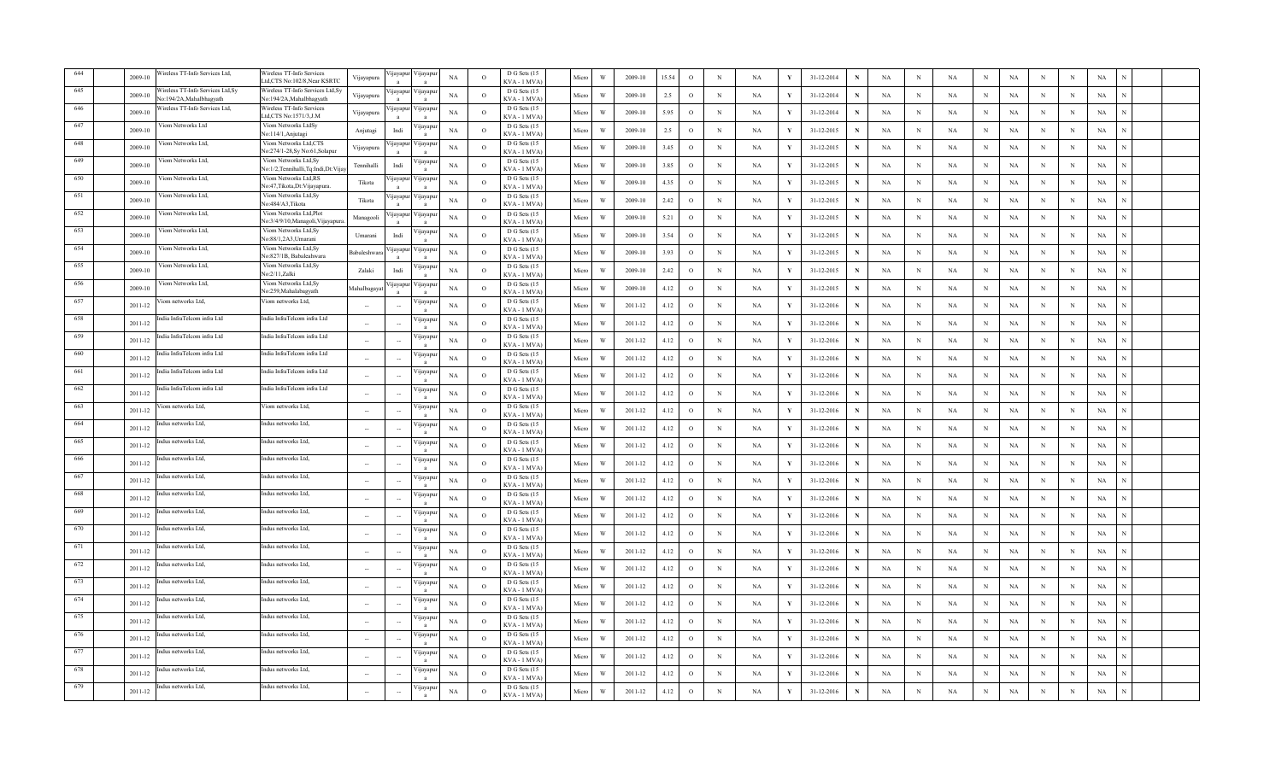|      | 2009-10     | /ireless TT-Info Services Ltd,                             | Wireless TT-Info Services<br>.td,CTS No:102/8,Near KSRTC     | Vijayapura               | ijayapur        | √ijayapı           | $_{\rm NA}$ | $\overline{O}$ | D G Sets (15<br>KVA - 1 MVA        | Micro | W                       | 2009-10     | 15.54 | $\circ$      | $_{\rm N}$  | NA        | Y            | 31-12-2014 |   | NA          | $\mathbf N$ | NA          | $_{\rm N}$   | NA          | N          | $\,$ N      | $_{\rm NA}$ |  |
|------|-------------|------------------------------------------------------------|--------------------------------------------------------------|--------------------------|-----------------|--------------------|-------------|----------------|------------------------------------|-------|-------------------------|-------------|-------|--------------|-------------|-----------|--------------|------------|---|-------------|-------------|-------------|--------------|-------------|------------|-------------|-------------|--|
|      | 2009-10     | /ireless TT-Info Services Ltd,Sy<br>o:194/2A.Mahalbhagyath | Wireless TT-Info Services Ltd, Sy<br>No:194/2A.Mahalbhagyath | Vijayapura               | <i>u</i> ayapur | ∕ijayapı           | NA          | $\circ$        | D G Sets (15<br>KVA - 1 MVA        | Micro | W                       | 2009-10     | 2.5   | $\circ$      | $_{\rm N}$  | NA        | Y            | 31-12-2014 |   | NA          | N           | NA          | N            | NA          | N          | N           | NA          |  |
|      | 2009-10     | /ireless TT-Info Services Ltd,                             | Wireless TT-Info Services<br>.td,CTS No:1571/3,J.M           | Vijayapura               |                 | 'ijayapur Vijayapı | NA          | $\circ$        | D G Sets (15<br>KVA - 1 MVA        | Micro | W                       | 2009-10     | 5.95  | $\circ$      | $_{\rm N}$  | NA        | Y            | 31-12-2014 |   | NA          | N           | NA          | N            | NA          | N          | N           | NA          |  |
|      | 2009-10     | Viom Networks Ltd                                          | Viom Networks LtdSy<br>Vo:114/1, Anjutagi                    | Anjutagi                 | Indi            | 'ijayapı           | NA          | $\Omega$       | D G Sets (15<br>KVA - 1 MVA        | Micro | W                       | 2009-10     | 2.5   | $\circ$      | $\mathbf N$ | <b>NA</b> | $\mathbf{v}$ | 31-12-2015 | N | NA          | N           | <b>NA</b>   | $_{\rm N}$   | $_{\rm NA}$ | N          | N           | $_{\rm NA}$ |  |
| 648  | 2009-10     | Viom Networks Ltd.                                         | Viom Networks Ltd,CTS<br>Vo:274/1-28, Sy No:61, Solapur      | Vijayapura               | ijayapu         | ∕ijayapı           | NA          | $\Omega$       | D G Sets (15<br>KVA - 1 MVA        | Micro | W                       | 2009-10     | 3.45  | $\circ$      | $\mathbf N$ | <b>NA</b> | Y            | 31-12-2015 | N | NA          | N           | NA          | $\,$ N       | <b>NA</b>   | N          | N           | $_{\rm NA}$ |  |
| 649  | 2009-10     | Viom Networks Ltd,                                         | Viom Networks Ltd,Sy<br>No:1/2,Tennihalli,Tq:Indi,Dt:Vija    | Tennihalli               | Indi            | 'ijayapı           | NA          | $\circ$        | D G Sets (15<br>KVA - 1 MVA        | Micro | W                       | 2009-10     | 3.85  | $\circ$      | $_{\rm N}$  | NA        | Y            | 31-12-2015 |   | NA          | N           | <b>NA</b>   | $_{\rm N}$   | NA          | N          | N           | NA          |  |
| 650  | 2009-10     | /iom Networks Ltd,                                         | Viom Networks Ltd,RS<br>No:47, Tikota, Dt: Vijayapura.       | Tikota                   | ijayapur        | 'ijayapı           | NA          | $\circ$        | D G Sets (15<br>KVA - 1 MVA        | Micro | $\ensuremath{\text{W}}$ | 2009-10     | 4.35  | $\circ$      | $\mathbf N$ | NA        | Y            | 31-12-2015 |   | $_{\rm NA}$ | N           | $_{\rm NA}$ | $\,$ N       | $_{\rm NA}$ | N          | N           | $_{\rm NA}$ |  |
| 651  | 2009-10     | /iom Networks Ltd.                                         | Viom Networks Ltd,Sy<br>No:484/A3,Tikota                     | Tikota                   | ijayapu         | √ijayapu           | NA          | $\circ$        | D G Sets (15<br>KVA-1 MVA          | Micro | W                       | 2009-10     | 2.42  | $\circ$      | N           | NA        | Y            | 31-12-2015 | N | $_{\rm NA}$ | N           | NA          | $\,$ N       | $_{\rm NA}$ | N          | $\,$ N      | $_{\rm NA}$ |  |
| 652  | 2009-10     | /iom Networks Ltd,                                         | Viom Networks Ltd,Plot<br>No:3/4/9/10, Managoli, Vijayapura  | Managooli                | ijayapur        | 'ijayapı           | NA          | $\overline{O}$ | D G Sets (15<br>KVA-1 MVA          | Micro | W                       | 2009-10     | 5.21  | $\circ$      | $_{\rm N}$  | NA        | Y            | 31-12-2015 | N | NA          | N           | NA          | N            | <b>NA</b>   | N          | $\,$ N      | NA          |  |
| 653  | 2009-10     | /iom Networks Ltd,                                         | Viom Networks Ltd,Sy<br>No:88/1.2A3.Umaran                   | Umarani                  | Indi            | <i>y</i> ayapt     | NA          | $\circ$        | D G Sets (15<br>KVA - 1 MVA        | Micro | W                       | 2009-10     | 3.54  | $\circ$      | $_{\rm N}$  | NA        | Y            | 31-12-2015 | N | NA          | N           | NA          | $_{\rm N}$   | NA          | N          | N           | NA          |  |
| 654  | 2009-10     | /iom Networks Ltd.                                         | Viom Networks Ltd,Sy<br>No:827/1B, Babaleahwara              | Babaleshwar              | <i>u</i> ayapur | ∕ijayapı           | NA          | $\circ$        | D G Sets (15<br>KVA-1 MVA          | Micro | W                       | 2009-10     | 3.93  | $\circ$      | $\mathbf N$ | NA        | Y            | 31-12-2015 | N | NA          | N           | NA          | $\,$ N       | $_{\rm NA}$ | N          | N           | $_{\rm NA}$ |  |
| 655  | 2009-10     | Viom Networks Ltd.                                         | Viom Networks Ltd,Sy<br>No:2/11,Zalki                        | Zalaki                   | Indi            | 'ijayapı           | NA          | $\circ$        | D G Sets (15<br>KVA - 1 MVA        | Micro | W                       | 2009-10     | 2.42  | $\circ$      | N           | NA        | Y            | 31-12-2015 | N | NA          | $_{\rm N}$  | NA          | $\,$ N       | $_{\rm NA}$ | N          | N           | $_{\rm NA}$ |  |
| -656 | 2009-10     | /iom Networks Ltd,                                         | Viom Networks Ltd,Sy<br>No:259, Mahalabagyath                | Mahalbagaya              | <i>u</i> ayapur | 'ijayapı           | NA          | $\Omega$       | D G Sets (15<br>KVA - 1 MVA        | Micro | W                       | 2009-10     | 4.12  | $\circ$      | $_{\rm N}$  | NA        | Y            | 31-12-2015 | N | NA          | N           | NA          | $_{\rm N}$   | <b>NA</b>   | N          | N           | NA          |  |
| 657  | 2011-12     | iom networks Ltd,                                          | Viom networks Ltd,                                           |                          |                 | <b>yayap</b>       | $_{\rm NA}$ | $\circ$        | D G Sets (15<br>KVA - 1 MVA        | Micro | $\ensuremath{\text{W}}$ | 2011-12     | 4.12  | $\circ$      | $_{\rm N}$  | NA        | Y            | 31-12-2016 | N | NA          | N           | $_{\rm NA}$ | $\,$ N       | NA          | N          | N           | $_{\rm NA}$ |  |
| 658  | 2011-12     | dia InfraTelcom infra Ltd                                  | India InfraTelcom infra Ltd                                  |                          |                 | 'ijayapı           | NA          | $\circ$        | D G Sets (15<br>KVA - 1 MVA        | Micro | W                       | 2011-12     | 4.12  | $\circ$      | $_{\rm N}$  | NA        | Y            | 31-12-2016 | N | NA          | N           | NA          | $_{\rm N}$   | $_{\rm NA}$ | N          | N           | $_{\rm NA}$ |  |
| 659  | 2011-12     | idia InfraTelcom infra Ltd                                 | India InfraTelcom infra Ltd                                  | $\ddot{\phantom{a}}$     |                 | 'ijayapı           | NA          | $\overline{O}$ | D G Sets (15<br>KVA-1 MVA          | Micro | W                       | 2011-12     | 4.12  | $\circ$      | $\mathbb N$ | NA        | Y            | 31-12-2016 | N | NA          | N           | NA          | $_{\rm N}$   | NA          | N          | $\,$ N      | NA          |  |
| 660  | 2011-12     | dia InfraTelcom infra Ltd                                  | India InfraTelcom infra Ltd                                  | $\overline{\phantom{a}}$ |                 | цауар              | NA          | $\circ$        | D G Sets (15<br>KVA - 1 MVA        | Micro | W                       | 2011-12     | 4.12  | $\circ$      | $\mathbb N$ | NA        | Y            | 31-12-2016 | N | NA          | $_{\rm N}$  | NA          | $_{\rm N}$   | $_{\rm NA}$ | $_{\rm N}$ | $\,$ N      | NA          |  |
|      | 2011-12     | dia InfraTelcom infra Ltd                                  | India InfraTelcom infra Ltd                                  | $\overline{\phantom{a}}$ |                 | ∕ijayapı           | NA          | $\circ$        | D G Sets (15<br><b>CVA - 1 MVA</b> | Micro | W                       | 2011-12     | 4.12  | $\circ$      | $_{\rm N}$  | NA        | Y            | 31-12-2016 | N | NA          | N           | <b>NA</b>   | $_{\rm N}$   | NA          | $_{\rm N}$ | N           | NA          |  |
| 662  | $2011 - 12$ | ndia InfraTelcom infra Ltd                                 | India InfraTelcom infra Ltd                                  |                          |                 | √ijayap            | NA          | $\Omega$       | D G Sets (15<br>KVA - 1 MVA        | Micro | W                       | $2011 - 12$ | 4.12  | $\circ$      | $\mathbf N$ | NA        | $\mathbf{v}$ | 31-12-2016 | N | NA          | N           | <b>NA</b>   | $_{\rm N}$   | $_{\rm NA}$ | N          | N           | $_{\rm NA}$ |  |
| 663  | 2011-12     | iom networks Ltd,                                          | Viom networks Ltd,                                           |                          |                 | 'ijayapı           | NA          | $\circ$        | D G Sets (15<br>KVA - 1 MVA        | Micro | W                       | 2011-12     | 4.12  | $\circ$      | $_{\rm N}$  | NA        | Y            | 31-12-2016 | N | NA          | N           | NA          | $_{\rm N}$   | <b>NA</b>   | N          | N           | NA          |  |
| 664  | 2011-12     | ndus networks Ltd.                                         | Indus networks Ltd,                                          |                          |                 | 'ijayapı           | NA          | $\Omega$       | D G Sets (15<br>KVA-1 MVA          | Micro | W                       | 2011-12     | 4.12  | $\circ$      | $\mathbf N$ | NA        | Y            | 31-12-2016 | N | $_{\rm NA}$ | N           | NA          | $\,$ N       | NA          | N          | N           | $_{\rm NA}$ |  |
| 665  | 2011-12     | ndus networks Ltd.                                         | Indus networks Ltd.                                          |                          |                 | ∕ijayapı           | NA          | $\circ$        | D G Sets (15<br>KVA - 1 MVA        | Micro | W                       | 2011-12     | 4.12  | $\circ$      | $\mathbf N$ | NA        | Y            | 31-12-2016 | N | NA          | N           | <b>NA</b>   | $\mathbf N$  | NA          | N          | N           | $_{\rm NA}$ |  |
| 666  | 2011-12     | ndus networks Ltd.                                         | Indus networks Ltd.                                          | $\sim$                   |                 | 'ijayapı           | $_{\rm NA}$ | $\overline{O}$ | D G Sets (15<br>KVA-1 MVA          | Micro | W                       | 2011-12     | 4.12  | $\circ$      | $_{\rm N}$  | NA        | Y            | 31-12-2016 | N | NA          | N           | NA          | $\,$ N       | <b>NA</b>   | N          | $\,$ N      | $_{\rm NA}$ |  |
| 667  | 2011-12     | adus networks Ltd,                                         | Indus networks Ltd,                                          | $\bar{a}$                |                 | 'ijayapu           | NA          | $\circ$        | D G Sets (15<br>KVA - 1 MVA        | Micro | W                       | 2011-12     | 4.12  | $\circ$      | $_{\rm N}$  | NA        | $\mathbf Y$  | 31-12-2016 | N | NA          | N           | NA          | N            | $_{\rm NA}$ | $_{\rm N}$ | $\,$ N      | NA          |  |
| 668  | $2011 - 12$ | dus networks Ltd,                                          | Indus networks Ltd,                                          |                          |                 | 'ijayapi           | NA          | $\circ$        | D G Sets (15<br>KVA - 1 MVA        | Micro | W                       | 2011-12     | 4.12  | $\circ$      | $_{\rm N}$  | NA        | Y            | 31-12-2016 | N | NA          | N           | <b>NA</b>   | $_{\rm N}$   | NA          | N          | N           | NA          |  |
| 669  | 2011-12     | dus networks Ltd.                                          | Indus networks Ltd.                                          | $\sim$                   |                 | ∕ijayapı           | NA          | $\Omega$       | D G Sets (15<br>KVA-1 MVA          | Micro | W                       | 2011-12     | 4.12  | $\circ$      | $\mathbf N$ | NA        | Y            | 31-12-2016 | N | NA          | $_{\rm N}$  | NA          | $\,$ N       | $_{\rm NA}$ | N          | $_{\rm N}$  | $_{\rm NA}$ |  |
| 670  | 2011-12     | ndus networks Ltd,                                         | Indus networks Ltd,                                          | $\sim$                   |                 | 'ijayapı           | $_{\rm NA}$ | $\Omega$       | D G Sets (15<br>KVA - 1 MVA        | Micro | W                       | 2011-12     | 4.12  | $\circ$      | $\,$ N      | NA        | Y            | 31-12-2016 | N | NA          | $_{\rm N}$  | NA          | $\,$ N       | $_{\rm NA}$ | N          | $\,$ N      | $_{\rm NA}$ |  |
| 671  | 2011-12     | dus networks Ltd,                                          | Indus networks Ltd,                                          |                          |                 | 'ijayapi           | NA          | $\Omega$       | D G Sets (15<br>KVA - 1 MVA        | Micro | W                       | 2011-12     | 4.12  | $\circ$      | $_{\rm N}$  | <b>NA</b> | Y            | 31-12-2016 | N | NA          | $_{\rm N}$  | <b>NA</b>   | N            | NA          | N          | N           | NA          |  |
| 672  | 2011-12     | dus networks Ltd,                                          | Indus networks Ltd,                                          |                          |                 | 'ijayapı           | NA          | $\Omega$       | D G Sets (15<br>KVA - 1 MVA        | Micro | W                       | 2011-12     | 4.12  | $\circ$      | $_{\rm N}$  | NA        | Y            | 31-12-2016 | N | NA          | N           | <b>NA</b>   | $_{\rm N}$   | NA          | N          | N           | NA          |  |
| 673  | 2011-12     | ıdus networks Ltd.                                         | Indus networks Ltd,                                          | $\sim$                   |                 | 'ijayapı           | NA          | $\circ$        | D G Sets (15<br>KVA-1 MVA          | Micro | W                       | 2011-12     | 4.12  | $\mathbf{o}$ | $\,$ N      | NA        | Y            | 31-12-2016 | N | NA          | N           | NA          | $\, {\rm N}$ | NA          | N          | $\mathbb N$ | NA          |  |
| 674  | 2011-12     | ndus networks Ltd,                                         | Indus networks Ltd,                                          |                          |                 | 'ijayap            | NA          | $\circ$        | D G Sets (15<br>KVA - 1 MVA        | Micro | W                       | 2011-12     | 4.12  | $\circ$      | $_{\rm N}$  | NA        |              | 31-12-2016 |   | NA          | N           | NA          | N            | $_{\rm NA}$ | $_{\rm N}$ | N           | NA          |  |
| 675  | 2011-12     | dus networks Ltd,                                          | Indus networks Ltd,                                          | $\bar{a}$                |                 | 'ijayap            | NA          | $\circ$        | D G Sets (15<br>KVA - 1 MVA        | Micro | W                       | 2011-12     | 4.12  | $\circ$      | $_{\rm N}$  | NA        | Y            | 31-12-2016 | N | NA          | N           | NA          | $_{\rm N}$   | NA          | N          | $\,$ N      | NA          |  |
|      | 2011-12     | dus networks Ltd,                                          | Indus networks Ltd,                                          | $\overline{\phantom{a}}$ |                 | 'ijayap            | NA          | $\circ$        | D G Sets (15<br>KVA - 1 MVA        | Micro | W                       | 2011-12     | 4.12  | $\circ$      | $_{\rm N}$  | <b>NA</b> | Y            | 31-12-2016 | N | NA          | N           | <b>NA</b>   | $_{\rm N}$   | NA          | N          | N           | NA          |  |
| -677 | 2011-12     | ndus networks Ltd.                                         | Indus networks Ltd.                                          |                          |                 | 'ijayap            | $_{\rm NA}$ | $\Omega$       | D G Sets (15<br>KVA - 1 MVA        | Micro | W                       | 2011-12     | 4.12  | $\circ$      | $\mathbf N$ | NA        | Y            | 31-12-2016 | N | NA          | N           | NA          | $\,$ N       | <b>NA</b>   | N          | N           | $_{\rm NA}$ |  |
| 678  | 2011-12     | Indus networks Ltd,                                        | Indus networks Ltd,                                          |                          |                 | 'ijayapı           | NA          | $\circ$        | D G Sets (15<br>KVA-1 MVA          | Micro | W                       | 2011-12     | 4.12  | $\circ$      | N           | <b>NA</b> | $\mathbf Y$  | 31-12-2016 |   | NA          | N           | <b>NA</b>   | N            | <b>NA</b>   | N          | N           | NA          |  |
| 679  | 2011-12     | ndus networks Ltd,                                         | Indus networks Ltd,                                          |                          |                 | 'ijayapı           | NA          | $\circ$        | D G Sets (15<br>KVA - 1 MVA)       | Micro | $\ensuremath{\text{W}}$ | 2011-12     | 4.12  | $\circ$      | N           | NA        | $\mathbf Y$  | 31-12-2016 |   | NA          | N           | NA          | $_{\rm N}$   | <b>NA</b>   | N          | N           | $_{\rm NA}$ |  |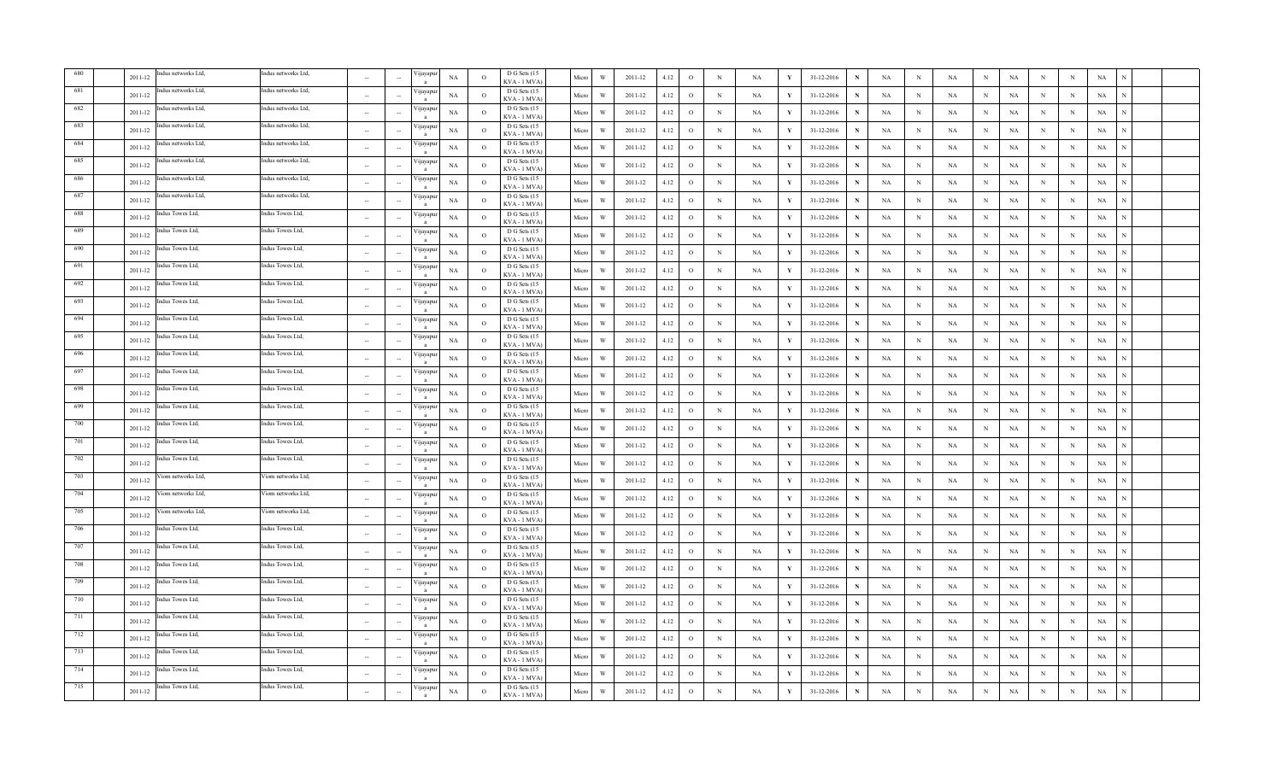|     | 2011-12 | dus networks Ltd,   | ndus networks Ltd,  | $\sim$      |                          | ijayapu                   | NA          | $\overline{O}$ | D G Sets (15<br>KVA - 1 MVA        | Micro | W | 2011-12     | 4.12 | $\,$ O       | $\, {\bf N}$ | <b>NA</b>   | Y            | 31-12-2016 |              | NA          | $\,$ N      | NA          | N            | $_{\rm NA}$ | N           | $_{\rm N}$ | $_{\rm NA}$ |  |
|-----|---------|---------------------|---------------------|-------------|--------------------------|---------------------------|-------------|----------------|------------------------------------|-------|---|-------------|------|--------------|--------------|-------------|--------------|------------|--------------|-------------|-------------|-------------|--------------|-------------|-------------|------------|-------------|--|
| 681 | 2011-12 | dus networks Ltd,   | Indus networks Ltd, | $\sim$      |                          | yayapu                    | NA          | $\circ$        | D G Sets (15<br>KVA - 1 MVA        | Micro | W | 2011-12     | 4.12 | $\circ$      | $_{\rm N}$   | NA          | Y            | 31-12-2016 |              | NA          | N           | NA          | N            | NA          | N           | N          | NA          |  |
| 682 | 2011-12 | dus networks Ltd,   | Indus networks Ltd, | $\sim$      |                          | ijayapu                   | NA          | $\circ$        | D G Sets (15<br>KVA - 1 MVA        | Micro | W | 2011-12     | 4.12 | $\circ$      | $\mathbb N$  | NA          |              | 31-12-2016 |              | NA          | N           | NA          | N            | NA          | N           | N          | NA          |  |
| 683 | 2011-12 | dus networks Ltd,   | Indus networks Ltd, | <b>100</b>  |                          | ijayapu<br>$\mathbf{a}$   | <b>NA</b>   | $\Omega$       | D G Sets (15<br>KVA - 1 MVA        | Micro | W | $2011 - 12$ | 4.12 | $\circ$      | $_{\rm N}$   | <b>NA</b>   | Y            | 31-12-2016 | N            | NA          | $\mathbf N$ | $_{\rm NA}$ | $\mathbf{N}$ | $_{\rm NA}$ | N           | N          | $_{\rm NA}$ |  |
| 684 | 2011-12 | ndus networks Ltd,  | ndus networks Ltd,  |             |                          | ijayapı                   | NA          | $\circ$        | D G Sets (15<br>KVA - 1 MVA        | Micro | W | 2011-12     | 4.12 | $\circ$      | $_{\rm N}$   | NA          | V            | 31-12-2016 | N            | NA          | $_{\rm N}$  | NA          | N            | $_{\rm NA}$ | N           | N          | NA          |  |
| 685 | 2011-12 | Indus networks Ltd, | Indus networks Ltd, |             |                          | 'ijayapu                  | <b>NA</b>   | $\circ$        | D G Sets (15<br>KVA - 1 MVA)       | Micro | W | 2011-12     | 4.12 | $\circ$      | $_{\rm N}$   | <b>NA</b>   |              | 31-12-2016 | N            | NA          | $_{\rm N}$  | NA          | N            | NA          | N           | N          | NA          |  |
| 686 | 2011-12 | ndus networks Ltd,  | Indus networks Ltd, | $\sim$      |                          | 'ijayapuı                 | NA          | $\circ$        | D G Sets (15<br>KVA - 1 MVA        | Micro | W | 2011-12     | 4.12 | $\circ$      | $_{\rm N}$   | NA          |              | 31-12-2016 |              | NA          | $_{\rm N}$  | $_{\rm NA}$ | N            | $_{\rm NA}$ | N           | N          | $_{\rm NA}$ |  |
| 687 | 2011-12 | ndus networks Ltd.  | Indus networks Ltd, | $\sim$      |                          | 'ijayapu<br>$\mathbf{a}$  | NA          | $\overline{O}$ | D G Sets (15<br>KVA - 1 MVA        | Micro | W | 2011-12     | 4.12 | $\circ$      | $_{\rm N}$   | $_{\rm NA}$ | $\mathbf{v}$ | 31-12-2016 | $\mathbf{N}$ | $_{\rm NA}$ | $_{\rm N}$  | $_{\rm NA}$ | N            | $_{\rm NA}$ | N           | N          | $_{\rm NA}$ |  |
| 688 | 2011-12 | dus Towes Ltd,      | Indus Towes Ltd,    | $\sim$      |                          | ijayapu                   | NA          | $\overline{O}$ | D G Sets (15<br>KVA - 1 MVA        | Micro | W | 2011-12     | 4.12 | $\circ$      | $\mathbb N$  | NA          |              | 31-12-2016 | N            | NA          | N           | NA          | N            | NA          | N           | N          | NA          |  |
| 689 | 2011-12 | dus Towes Ltd,      | Indus Towes Ltd,    | $\sim$      |                          | ijayapur                  | NA          | $\circ$        | D G Sets (15<br>KVA - 1 MVA        | Micro | W | 2011-12     | 4.12 | $\circ$      | $\mathbb N$  | NA          | Y            | 31-12-2016 | N            | NA          | $_{\rm N}$  | NA          | $_{\rm N}$   | NA          | N           | N          | NA          |  |
| 690 | 2011-12 | dus Towes Ltd.      | ndus Towes Ltd,     | $\sim$      |                          | ijayapur<br>a             | NA          | $\Omega$       | D G Sets (15<br>KVA - 1 MVA        | Micro | W | 2011-12     | 4.12 | $\circ$      | N            | NA          | $\mathbf{v}$ | 31-12-2016 | N            | NA          | $\mathbf N$ | $_{\rm NA}$ | N            | $_{\rm NA}$ | N           | N          | $_{\rm NA}$ |  |
| 691 | 2011-12 | dus Towes Ltd,      | ndus Towes Ltd,     | $\sim$      | $\sim$                   | ijayapu<br>$\overline{a}$ | NA          | $\Omega$       | D G Sets (15<br>KVA - 1 MVA        | Micro | W | 2011-12     | 4.12 | $\circ$      | $_{\rm N}$   | NA          | Y            | 31-12-2016 | N            | NA          | $_{\rm N}$  | NA          | N            | $_{\rm NA}$ | $\mathbf N$ | N          | NA          |  |
| 692 | 2011-12 | dus Towes Ltd,      | ndus Towes Ltd,     |             |                          | 'ijayapu                  | NA          | $\circ$        | D G Sets (15<br>KVA - 1 MVA)       | Micro | W | 2011-12     | 4.12 | $\circ$      | $\mathbb N$  | NA          | Y            | 31-12-2016 | $\mathbf N$  | NA          | N           | NA          | N            | NA          | N           | N          | NA          |  |
| 693 | 2011-12 | ndus Towes Ltd,     | Indus Towes Ltd,    |             |                          | 'ijayapu                  | $_{\rm NA}$ | $\Omega$       | D G Sets (15<br>KVA - 1 MVA)       | Micro | W | 2011-12     | 4.12 | $\mathbf{o}$ | $\,$ N       | NA          | Y            | 31-12-2016 | N            | NA          | $\mathbf N$ | NA          | N            | NA          | N           | N          | $_{\rm NA}$ |  |
| 694 | 2011-12 | dus Towes Ltd.      | Indus Towes Ltd,    | $\sim$      |                          | 'ijayapu<br>$\mathbf{a}$  | NA          | $\overline{O}$ | D G Sets (15<br>KVA - 1 MVA)       | Micro | W | 2011-12     | 4.12 | $\,$ O       | $\,$ N       | NA          | $\mathbf{Y}$ | 31-12-2016 | N            | NA          | $\mathbf N$ | NA          | N            | $_{\rm NA}$ | N           | $_{\rm N}$ | $_{\rm NA}$ |  |
| 695 | 2011-12 | dus Towes Ltd,      | Indus Towes Ltd,    | $\sim$      |                          | ijayapuı                  | NA          | $\overline{O}$ | D G Sets (15<br>KVA - 1 MVA)       | Micro | W | 2011-12     | 4.12 | $\circ$      | $\mathbb N$  | NA          | Y            | 31-12-2016 | N            | NA          | N           | NA          | N            | NA          | N           | N          | NA          |  |
| 696 | 2011-12 | dus Towes Ltd,      | Indus Towes Ltd,    | $\sim$      |                          | ijayapu                   | NA          | $\circ$        | D G Sets (15<br>KVA - 1 MVA        | Micro | W | 2011-12     | 4.12 | $\circ$      | $\mathbb N$  | <b>NA</b>   |              | 31-12-2016 | N            | NA          | $\mathbf N$ | $_{\rm NA}$ | N            | NA          | N           | N          | NA          |  |
| 697 | 2011-12 | dus Towes Ltd,      | Indus Towes Ltd,    | $\sim$      |                          | ijayapu                   | NA          | $\circ$        | D G Sets (15<br><b>CVA - 1 MVA</b> | Micro | W | 2011-12     | 4.12 | $\circ$      | $_{\rm N}$   | <b>NA</b>   | Y            | 31-12-2016 | N            | NA          | N           | <b>NA</b>   | N            | NA          | $\mathbf N$ | $_{\rm N}$ | NA          |  |
| 698 | 2011-12 | ndus Towes Ltd.     | ndus Towes Ltd,     | $\sim$      | $\sim$                   | 'ijayapu<br>$\mathbf{a}$  | NA          | $\circ$        | D G Sets (15<br>KVA - 1 MVA        | Micro | W | 2011-12     | 4.12 | $\circ$      | $_{\rm N}$   | NA          | $\mathbf{v}$ | 31-12-2016 | N            | NA          | $_{\rm N}$  | NA          | N            | $_{\rm NA}$ | $_{\rm N}$  | N          | $_{\rm NA}$ |  |
| 699 | 2011-12 | ndus Towes Ltd,     | ndus Towes Ltd,     |             |                          | 'ijayapı<br>$\mathbf{a}$  | NA          | $\circ$        | D G Sets (15<br>KVA - 1 MVA        | Micro | W | 2011-12     | 4.12 | $\circ$      | $_{\rm N}$   | NA          | Y            | 31-12-2016 | N            | NA          | N           | NA          | N            | NA          | N           | N          | NA          |  |
| 700 | 2011-12 | ndus Towes Ltd,     | Indus Towes Ltd,    | $\sim$      |                          | 'ijayapu                  | NA          | $\circ$        | D G Sets (15<br>KVA - 1 MVA        | Micro | W | 2011-12     | 4.12 | $\mathbf{o}$ | N            | NA          | Y            | 31-12-2016 | N            | NA          | $\mathbf N$ | NA          | N            | $_{\rm NA}$ | N           | N          | $_{\rm NA}$ |  |
| 701 | 2011-12 | idus Towes Ltd.     | ndus Towes Ltd,     | $\sim$      |                          | 'ijayapu                  | NA          | $\circ$        | D G Sets (15<br>KVA - 1 MVA        | Micro | W | 2011-12     | 4.12 | $\circ$      | $_{\rm N}$   | NA          | $\mathbf{v}$ | 31-12-2016 | N            | NA          | $_{\rm N}$  | NA          | N            | $_{\rm NA}$ | N           | N          | $_{\rm NA}$ |  |
| 702 | 2011-12 | idus Towes Ltd,     | Indus Towes Ltd,    | $\sim$      |                          | 'ijayapur<br>$\mathbf{a}$ | $_{\rm NA}$ | $\overline{O}$ | D G Sets (15<br>KVA - 1 MVA        | Micro | W | 2011-12     | 4.12 | $\,$ O       | $\,$ N       | NA          | Y            | 31-12-2016 | N            | NA          | N           | NA          | N            | $_{\rm NA}$ | N           | N          | NA          |  |
| 703 | 2011-12 | iom networks Ltd,   | Viom networks Ltd,  | $\sim$      |                          | ijayapur<br>$\mathbf{a}$  | NA          | $\overline{O}$ | D G Sets (15<br>KVA - 1 MVA        | Micro | W | 2011-12     | 4.12 | $\mathbf{o}$ | $\mathbb N$  | NA          | Y            | 31-12-2016 | N            | NA          | $\mathbf N$ | NA          | $_{\rm N}$   | $_{\rm NA}$ | N           | $_{\rm N}$ | NA          |  |
| 704 | 2011-12 | iom networks Ltd,   | liom networks Ltd,  | $\sim$      |                          | ijayapur                  | NA          | $\circ$        | D G Sets (15<br>KVA - 1 MVA        | Micro | W | 2011-12     | 4.12 | $\circ$      | $_{\rm N}$   | NA          | Y            | 31-12-2016 | N            | NA          | $_{\rm N}$  | NA          | N            | NA          | $\mathbf N$ | N          | NA          |  |
| 705 | 2011-12 | iom networks Ltd.   | Viom networks Ltd.  | $\sim$      |                          | ijayapu<br>a              | NA          | $\Omega$       | D G Sets (15<br>KVA - 1 MVA)       | Micro | W | 2011-12     | 4.12 | $\circ$      | $_{\rm N}$   | NA          | Y            | 31-12-2016 | N            | NA          | $_{\rm N}$  | NA          | N            | $_{\rm NA}$ | N           | N          | NA          |  |
| 706 | 2011-12 | idus Towes Ltd,     | Indus Towes Ltd,    | <b>1999</b> |                          | 'ijayapu<br>$\mathbf{a}$  | $_{\rm NA}$ | $\Omega$       | D G Sets (15<br>KVA - 1 MVA)       | Micro | W | 2011-12     | 4.12 | $\mathbf{o}$ | $\,$ N       | <b>NA</b>   | Y            | 31-12-2016 | N            | NA          | $\mathbf N$ | $_{\rm NA}$ | N            | $_{\rm NA}$ | N           | N          | NA          |  |
| 707 | 2011-12 | dus Towes Ltd,      | Indus Towes Ltd.    |             |                          | 'ijayapuı                 | NA          | $\circ$        | D G Sets (15<br>KVA - 1 MVA)       | Micro | W | 2011-12     | 4.12 | $\circ$      | $_{\rm N}$   | <b>NA</b>   | Y            | 31-12-2016 | N            | NA          | $_{\rm N}$  | NA          | N            | NA          | N           | N          | NA          |  |
| 708 | 2011-12 | dus Towes Ltd,      | Indus Towes Ltd,    | $\sim$      |                          | 'ijayapuı                 | NA          | $\overline{O}$ | D G Sets (15<br>KVA - 1 MVA        | Micro | W | 2011-12     | 4.12 | $\circ$      | $_{\rm N}$   | <b>NA</b>   | Y            | 31-12-2016 | N            | NA          | $_{\rm N}$  | NA          | N            | NA          | N           | N          | NA          |  |
| 709 | 2011-12 | dus Towes Ltd,      | Indus Towes Ltd,    | $\sim$      |                          | ijayapı<br>$\mathbf{a}$   | NA          | $\overline{O}$ | D G Sets (15<br>KVA - 1 MVA)       | Micro | W | 2011-12     | 4.12 | $\,$ O       | $\,$ N       | NA          | Y            | 31-12-2016 | N            | NA          | $\mathbb N$ | NA          | N            | NA          | N           | N          | NA          |  |
| 710 | 2011-12 | idus Towes Ltd,     | Indus Towes Ltd,    |             |                          | ijayapuı                  | NA          | $\circ$        | D G Sets (15<br>KVA - 1 MVA        | Micro | W | 2011-12     | 4.12 | $\circ$      | $_{\rm N}$   | NA          |              | 31-12-2016 |              | NA          | $\mathbf N$ | NA          | N            | NA          | N           | $_{\rm N}$ | NA          |  |
| 711 | 2011-12 | dus Towes Ltd,      | Indus Towes Ltd,    | $\sim$      |                          | ijayapu                   | <b>NA</b>   | $\circ$        | D G Sets (15<br>KVA - 1 MVA        | Micro | W | 2011-12     | 4.12 | $\circ$      | $_{\rm N}$   | <b>NA</b>   |              | 31-12-2016 | N            | NA          | $_{\rm N}$  | NA          | N            | NA          | N           | N          | NA          |  |
| 712 | 2011-12 | dus Towes Ltd,      | ndus Towes Ltd,     | $\sim$      | $\overline{\phantom{a}}$ | ijayapı                   | NA          | $\circ$        | D G Sets (15<br>$(VA - 1 MVA)$     | Micro | W | 2011-12     | 4.12 | $\circ$      | $_{\rm N}$   | NA          | Y            | 31-12-2016 | N            | NA          | $_{\rm N}$  | NA          | N            | NA          | N           | N          | NA          |  |
| 713 | 2011-12 | ndus Towes Ltd.     | indus Towes Ltd,    |             |                          | 'ijayapı<br>$\mathbf{a}$  | NA          | $\Omega$       | D G Sets (15<br>KVA - 1 MVA        | Micro | W | 2011-12     | 4.12 | $\mathbf{o}$ | N            | <b>NA</b>   | $\mathbf{v}$ | 31-12-2016 | N            | NA          | $\mathbf N$ | $_{\rm NA}$ | N            | $_{\rm NA}$ | N           | N          | $_{\rm NA}$ |  |
| 714 | 2011-12 | ndus Towes Ltd,     | Indus Towes Ltd,    |             |                          | 'ijayapu                  | <b>NA</b>   | $\circ$        | D G Sets (15<br>KVA - 1 MVA        | Micro | W | 2011-12     | 4.12 | $\circ$      | $_{\rm N}$   | <b>NA</b>   | Y            | 31-12-2016 | N            | NA          | $_{\rm N}$  | <b>NA</b>   | N            | NA          | N           | N          | $_{\rm NA}$ |  |
| 715 | 2011-12 | dus Towes Ltd,      | Indus Towes Ltd,    |             |                          | 'ijayapur                 | NA          | $\circ$        | D G Sets (15<br>KVA - 1 MVA)       | Micro | W | 2011-12     | 4.12 | $\circ$      | $_{\rm N}$   | NA          | $\mathbf{Y}$ | 31-12-2016 | N            | NA          | $\mathbf N$ | $_{\rm NA}$ | N            | $_{\rm NA}$ | N           | N          | $_{\rm NA}$ |  |
|     |         |                     |                     |             |                          |                           |             |                |                                    |       |   |             |      |              |              |             |              |            |              |             |             |             |              |             |             |            |             |  |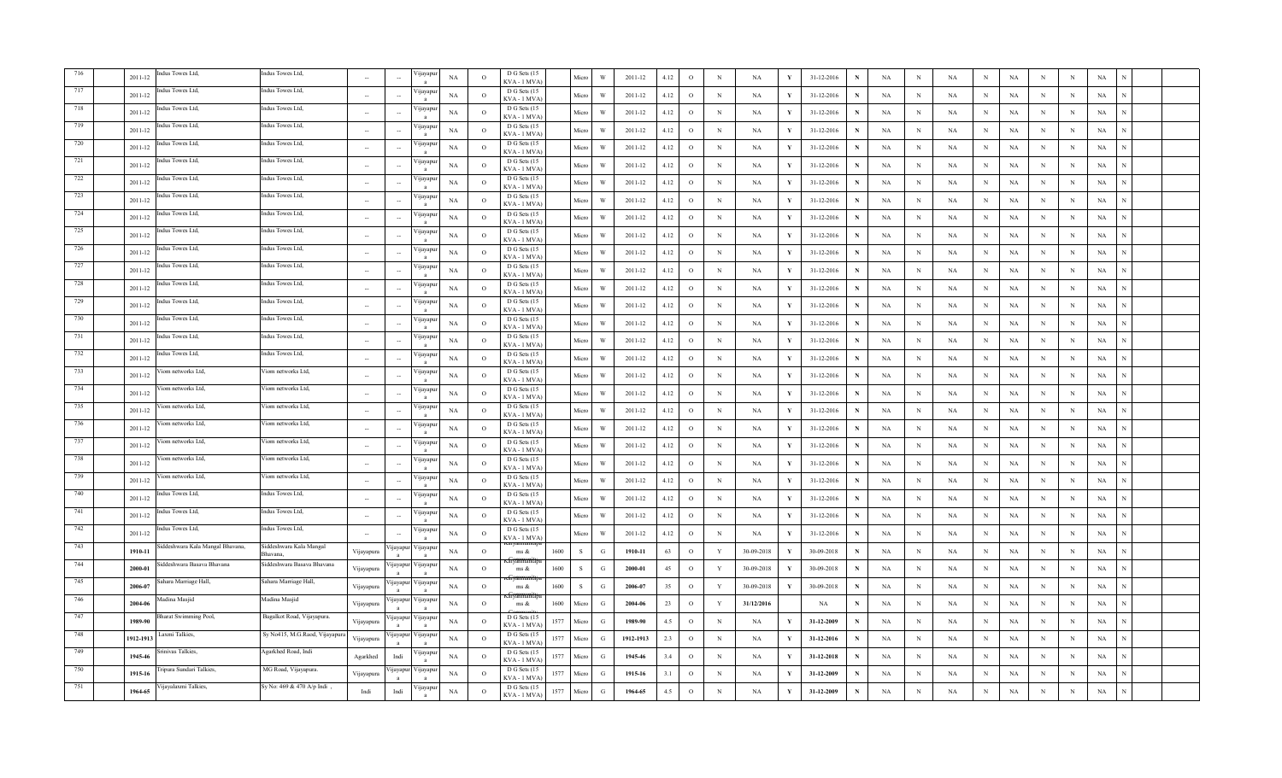|     | dus Towes Ltd.<br>$2011 - 12$              | ndus Towes Ltd,                     |                          |           | 'ijayap            | NA          | $\Omega$ | D G Sets (15<br>KVA - 1 MVA   | Micro          | W             | 2011-12     | 4.12 | $\circ$      | $\mathbf N$ | NA          | Y            | 31-12-2016 |             | NA          | N            | <b>NA</b>   | NA<br>N                   | N          | N            | NA          |   |  |
|-----|--------------------------------------------|-------------------------------------|--------------------------|-----------|--------------------|-------------|----------|-------------------------------|----------------|---------------|-------------|------|--------------|-------------|-------------|--------------|------------|-------------|-------------|--------------|-------------|---------------------------|------------|--------------|-------------|---|--|
| 717 | dus Towes Ltd.<br>2011-12                  | Indus Towes Ltd.                    | $\sim$                   |           | √ijayap            | NA          | $\circ$  | D G Sets (15<br>KVA - 1 MVA   | Micro          | W             | 2011-12     | 4.12 | $\circ$      | $_{\rm N}$  | NA          | $\mathbf{Y}$ | 31-12-2016 | N           | NA          | $_{\rm N}$   | NA          | $_{\rm N}$<br>NA          | N          | $_{\rm N}$   | NA          |   |  |
| 718 | dus Towes Ltd.<br>2011-12                  | Indus Towes Ltd,                    | $\sim$                   |           | 'ijayapu           | NA          | $\circ$  | D G Sets (15<br>KVA - 1 MVA   | Micro          | W             | 2011-12     | 4.12 | $\mathbf{o}$ | $\,$ N      | NA          | Y            | 31-12-2016 | N           | NA          | N            | NA          | $_{\rm N}$<br>NA          | $_{\rm N}$ | $_{\rm N}$   | NA          |   |  |
| 719 | ndus Towes Ltd,<br>2011-12                 | Indus Towes Ltd,                    |                          |           | 'ijayap            | NA          | $\circ$  | D G Sets (15<br>KVA - 1 MVA   | Micro          | W             | 2011-12     | 4.12 | $\circ$      | $_{\rm N}$  | NA          | Y            | 31-12-2016 |             | NA          | N            | NA          | $_{\rm N}$<br>NA          | $_{\rm N}$ | $_{\rm N}$   | NA          |   |  |
| 720 | dus Towes Ltd,<br>2011-12                  | ndus Towes Ltd,                     | $\sim$                   |           | 'ijayap            | NA          | $\circ$  | D G Sets (15<br>KVA-1 MVA     | Micro          | W             | 2011-12     | 4.12 | $\circ$      | $_{\rm N}$  | NA          | Y            | 31-12-2016 | N           | NA          | $_{\rm N}$   | <b>NA</b>   | $_{\rm N}$<br>NA          | $_{\rm N}$ | $_{\rm N}$   | NA          |   |  |
| 721 | ndus Towes Ltd.<br>$2011 - 12$             | Indus Towes Ltd.                    |                          |           | √ijayap            | NA          | $\Omega$ | D G Sets (15<br>KVA - 1 MVA   | Micro          | W             | 2011-12     | 4.12 | $\circ$      | $_{\rm N}$  | NA          | - V          | 31-12-2016 | N           | NA          | N            | $_{\rm NA}$ | $_{\rm NA}$<br>N          | N          | N            | $_{\rm NA}$ |   |  |
| 722 | Indus Towes Ltd,<br>2011-12                | Indus Towes Ltd,                    |                          |           | 'ijayapı           | NA          | $\Omega$ | D G Sets (15<br>KVA-1 MVA     | Micro          | W             | 2011-12     | 4.12 | $\circ$      | $_{\rm N}$  | NA          | $\mathbf{v}$ | 31-12-2016 | N           | NA          | N            | NA          | NA<br>N                   | N          | $_{\rm N}$   | NA          |   |  |
| 723 | Indus Towes Ltd,<br>2011-12                | Indus Towes Ltd,                    |                          |           | ∕ijayapı           | NA          | $\circ$  | D G Sets (15<br>KVA-1 MVA     | Micro          | W             | 2011-12     | 4.12 | $\circ$      | $_{\rm N}$  | NA          | Y            | 31-12-2016 | N           | NA          | N            | NA          | $_{\rm N}$<br>NA          | N          | $_{\rm N}$   | NA          |   |  |
| 724 | dus Towes Ltd.<br>$2011 - 12$              | Indus Towes Ltd,                    | $\sim$                   |           | √ijayap            | $_{\rm NA}$ | $\circ$  | D G Sets (15<br>KVA - 1 MVA   | Micro          | W             | 2011-12     | 4.12 | $\circ$      | $_{\rm N}$  | $_{\rm NA}$ | Y            | 31-12-2016 | N           | $_{\rm NA}$ | N            | $_{\rm NA}$ | $_{\rm N}$<br>NA          | N          | N            | $_{\rm NA}$ |   |  |
| 725 | ndus Towes Ltd.<br>$2011 - 12$             | Indus Towes Ltd.                    | $\sim$                   |           | 'ijayapı           | $_{\rm NA}$ | $\circ$  | D G Sets (15<br>KVA-1 MVA     | Micro          | W             | 2011-12     | 4.12 | $\mathbf{o}$ | ${\bf N}$   | NA          | $\mathbf{v}$ | 31-12-2016 | N           | NA          | $\,$ N       | NA          | NA<br>$_{\rm N}$          | $_{\rm N}$ | $_{\rm N}$   | NA          | N |  |
| 726 | ndus Towes Ltd,<br>2011-12                 | Indus Towes Ltd,                    |                          |           | 'ijayapu           | NA          | $\circ$  | D G Sets (15<br>KVA - 1 MVA   | Micro          | W             | 2011-12     | 4.12 | $\circ$      | $_{\rm N}$  | NA          | Y            | 31-12-2016 | N           | NA          | $\mathbf N$  | NA          | $_{\rm N}$<br>NA          | $_{\rm N}$ | $_{\rm N}$   | NA          | N |  |
| 727 | dus Towes Ltd,<br>2011-12                  | ndus Towes Ltd,                     |                          |           | 'ijayapı           | $_{\rm NA}$ | $\circ$  | D G Sets (15<br>KVA - 1 MVA   | Micro          | W             | 2011-12     | 4.12 | $\circ$      | $\,$ N      | NA          | Y            | 31-12-2016 | $\mathbf N$ | NA          | N            | NA          | $_{\rm NA}$<br>N          | N          | N            | NA          | N |  |
| 728 | dus Towes Ltd.<br>$2011 - 12$              | Indus Towes Ltd,                    | $\sim$                   |           | 'ijayapı           | NA          | $\Omega$ | D G Sets (15<br>KVA-1 MVA     | Micro          | W             | 2011-12     | 4.12 | $\circ$      | $_{\rm N}$  | NA          | Y            | 31-12-2016 | $\mathbf N$ | NA          | $_{\rm N}$   | $_{\rm NA}$ | NA<br>$_{\rm N}$          | $_{\rm N}$ | N            | NA          |   |  |
| 729 | idus Towes Ltd.<br>2011-12                 | Indus Towes Ltd.                    |                          |           | 'ijayapı           | NA          | $\Omega$ | D G Sets (15<br>KVA-1 MVA)    | Micro          | W             | 2011-12     | 4.12 | $\circ$      | $\,$ N      | NA          | - Y          | 31-12-2016 | $\mathbf N$ | NA          | N            | NA          | $_{\rm NA}$<br>N          | N          | N            | NA          |   |  |
| 730 | ndus Towes Ltd,<br>2011-12                 | Indus Towes Ltd,                    |                          |           | 'ijayapı           | $_{\rm NA}$ | $\circ$  | D G Sets (15<br>KVA - 1 MVA   | Micro          | W             | $2011 - 12$ | 4.12 | $\mathbf{o}$ | $\,$ N      | NA          | Y            | 31-12-2016 | N           | NA          | $\mathbf N$  | $_{\rm NA}$ | $_{\rm NA}$<br>N          | N          | N            | $_{\rm NA}$ |   |  |
| 731 | dus Towes Ltd.<br>2011-12                  | Indus Towes Ltd,                    | $\sim$                   |           | 'ijayapı           | NA          | $\circ$  | D G Sets (15<br>KVA-1 MVA)    | Micro          | W             | 2011-12     | 4.12 | $\mathbf{o}$ | ${\bf N}$   | NA          | $\mathbf{v}$ | 31-12-2016 | N           | NA          | $\,$ N       | NA          | $_{\rm N}$<br>$_{\rm NA}$ | $_{\rm N}$ | N            | $_{\rm NA}$ |   |  |
| 732 | ndus Towes Ltd,<br>2011-12                 | Indus Towes Ltd,                    | $\sim$                   |           | 'ijayapı           | NA          | $\circ$  | D G Sets (15<br>KVA-1 MVA     | Micro          | W             | 2011-12     | 4.12 | $\mathbf{o}$ | $\,$ N      | NA          | Y            | 31-12-2016 | N           | NA          | $\mathbb{N}$ | NA          | $_{\rm N}$<br>NA          | $_{\rm N}$ | N            | NA          |   |  |
| 733 | 'iom networks Ltd,<br>2011-12              | Viom networks Ltd,                  | $\overline{\phantom{a}}$ |           | <i>y</i> ayap      | NA          | $\circ$  | D G Sets (15<br>KVA - 1 MVA   | Micro          | W             | 2011-12     | 4.12 | $\circ$      | N           | NA          |              | 31-12-2016 | N           | NA          | N            | NA          | N<br>NA                   | N          | N            | NA          |   |  |
| 734 | 'iom networks Ltd,<br>2011-12              | iom networks Ltd,                   | $\sim$                   |           | 'yayap             | NA          | $\circ$  | D G Sets (15<br>KVA - 1 MVA   | Micro          | W             | 2011-12     | 4.12 | $\circ$      | $_{\rm N}$  | NA          | Y            | 31-12-2016 | N           | NA          | N            | <b>NA</b>   | N<br>NA                   | $_{\rm N}$ | $_{\rm N}$   | NA          |   |  |
| 735 | iom networks Ltd.<br>2011-12               | Viom networks Ltd.                  | $\sim$                   |           | √ijayap            | NA          | $\Omega$ | D G Sets (15<br>KVA-1 MVA     | Micro          | W             | 2011-12     | 4.12 | $\circ$      | $_{\rm N}$  | NA          | Y            | 31-12-2016 | N           | NA          | N            | NA          | NA<br>$_{\rm N}$          | $_{\rm N}$ | N            | NA          |   |  |
| 736 | Viom networks Ltd,<br>2011-12              | Viom networks Ltd,                  |                          |           | 'ijayap            | NA          | $\circ$  | D G Sets (15<br>KVA-1 MVA     | Micro          | W             | 2011-12     | 4.12 | $\circ$      | $_{\rm N}$  | NA          | $\mathbf{v}$ | 31-12-2016 | N           | NA          | N            | NA          | NA<br>N                   | N          | N            | NA          | N |  |
| 737 | iom networks Ltd,<br>2011-12               | Viom networks Ltd,                  |                          |           | 'ijayapı           | NA          | $\circ$  | D G Sets (15<br>KVA - 1 MVA   | Micro          | W             | 2011-12     | 4.12 | $\circ$      | $_{\rm N}$  | NA          | Y            | 31-12-2016 | $\mathbf N$ | NA          | $_{\rm N}$   | NA          | NA<br>$_{\rm N}$          | N          | $_{\rm N}$   | NA          | N |  |
| 738 | iom networks Ltd,<br>$2011 - 12$           | Viom networks Ltd,                  |                          |           | ∕ijayapı           | NA          | $\circ$  | D G Sets (15<br>KVA - 1 MVA   | Micro          | W             | 2011-12     | 4.12 | $\circ$      | $_{\rm N}$  | NA          | $\mathbf{v}$ | 31-12-2016 | N           | NA          | N            | NA          | $_{\rm N}$<br>NA          | N          | N            | NA          | N |  |
| 739 | /iom networks Ltd,<br>2011-12              | Viom networks Ltd,                  | $\sim$                   |           | ∕ijayapı           | NA          | $\circ$  | D G Sets (15<br>KVA - 1 MVA   | Micro          | W             | 2011-12     | 4.12 | $\circ$      | $_{\rm N}$  | NA          | Y            | 31-12-2016 | N           | NA          | N            | <b>NA</b>   | $_{\rm N}$<br>NA          | N          | N            | NA          | N |  |
| 740 | idus Towes Ltd,<br>2011-12                 | Indus Towes Ltd,                    | $\sim$                   |           | ijayapı            | NA          | $\circ$  | D G Sets (15<br>KVA-1 MVA     | Micro          | W             | 2011-12     | 4.12 | $\circ$      | $_{\rm N}$  | NA          | Y            | 31-12-2016 | N           | NA          | N            | NA          | $_{\rm N}$<br>NA          | $_{\rm N}$ | $_{\rm N}$   | NA          |   |  |
| 741 | dus Towes Ltd,<br>2011-12                  | Indus Towes Ltd,                    | $\sim$                   |           | 'ijayap            | NA          | $\circ$  | D G Sets (15<br>KVA - 1 MVA   | Micro          | W             | 2011-12     | 4.12 | $\circ$      | $_{\rm N}$  | NA          | Y            | 31-12-2016 | $\mathbf N$ | NA          | $_{\rm N}$   | NA          | $_{\rm N}$<br>NA          | $_{\rm N}$ | $_{\rm N}$   | NA          |   |  |
| 742 | dus Towes Ltd,<br>$2011 - 12$              | Indus Towes Ltd.                    | $\sim$                   | $\sim$    | ∕ijayapı           | NA          | $\circ$  | D G Sets (15<br>KVA - 1 MVA   | Micro          | W             | 2011-12     | 4.12 | $\circ$      | $_{\rm N}$  | NA          | Y            | 31-12-2016 | N           | NA          | N            | $_{\rm NA}$ | NA<br>N                   | N          | N            | NA          |   |  |
| 743 | iddeshwara Kala Mangal Bhavana,<br>1910-11 | Siddeshwara Kala Mangal<br>3havana. | Vijayapura               | 'ijayapur | √ijayapu           | NA          | $\Omega$ | ms $\&$                       | $\,$ S<br>1600 | G             | 1910-11     | 63   | $\mathbf{o}$ | Y           | 30-09-2018  |              | 30-09-2018 | N           | NA          | $\,$ N       | $_{\rm NA}$ | $_{\rm NA}$<br>N          | N          | N            | NA          |   |  |
| 744 | iddeshwara Basava Bhavana<br>2000-01       | Siddeshwara Basava Bhavana          | Vijayapura               | ijayapur  | √ijayapu           | NA          | $\circ$  | ms &                          | 1600<br>S      | G             | 2000-01     | 45   | $\circ$      | Y           | 30-09-2018  |              | 30-09-2018 | N           | NA          | $_{\rm N}$   | NA          | $_{\rm N}$<br>NA          | N          | N            | NA          |   |  |
| 745 | hara Marriage Hall,<br>2006-07             | Sahara Marriage Hall,               | Vijayapura               | ijayapur  | √ijayap            | NA          | $\circ$  | ms &                          | 1600<br>S      | G             | 2006-07     | 35   | $\circ$      | Y           | 30-09-2018  | Y            | 30-09-2018 | N           | NA          | $\,$ N       | NA          | $_{\rm N}$<br>NA          | N          | N            | NA          |   |  |
| 746 | fadina Masjid<br>2004-06                   | Madina Masjid                       | Vijayapura               | ijayapur  | ∕ijayapı           | NA          | $\circ$  | ms $\&$                       | 1600<br>Micro  | $\mathcal{G}$ | 2004-06     | 23   | $\mathbf{o}$ | $\mathbf Y$ | 31/12/2016  |              | NA         | N           | NA          | $\mathbb{N}$ | NA          | $_{\rm N}$<br>NA          | $\,$ N     | N            | NA          |   |  |
| 747 | Bharat Swimming Pool,<br>1989-90           | Bagalkot Road, Vijayapura.          | Vijayapura               | ijayapur  | ∕ ijayapu          | NA          | $\circ$  | D G Sets (15<br>KVA - 1 MV.   | 1577<br>Micro  | G             | 1989-90     | 4.5  | $\circ$      | $_{\rm N}$  | NA          |              | 31-12-2009 | N           | NA          | N            | NA          | N<br>NA                   | N          | N            | NA          |   |  |
| 748 | axmi Talkies,<br>1912-1913                 | Sy No415, M.G.Raod, Vijayapura      | Vijayapura               |           | 'ijayapur Vijayapu | NA          | $\circ$  | D G Sets (15<br>KVA - 1 MV    | 1577<br>Micro  | G             | 1912-1913   | 2.3  | $\circ$      | $_{\rm N}$  | NA          |              | 31-12-2016 | N           | NA          | N            | NA          | NA<br>N                   | N          | N            | $_{\rm NA}$ |   |  |
| 749 | inivas Talkies.<br>1945-46                 | Agarkhed Road, Indi                 | Agarkhed                 | Indi      | 'ijayap            | NA          | $\Omega$ | D G Sets (15<br>KVA - 1 MVA   | 1577<br>Micro  | G             | 1945-46     | 3.4  | $\circ$      | N           | NA          | Y            | 31-12-2018 | N           | NA          | $\,$ N       | $_{\rm NA}$ | $_{\rm NA}$<br>N          | N          | $\mathbb{N}$ | $_{\rm NA}$ |   |  |
|     | ripura Sundari Talkies,<br>1915-16         | MG Road, Vijayapura.                | Vijayapura               | ijayapu   | 'ijayap            | NA          | $\Omega$ | D G Sets (15<br>$KVA - 1 MVA$ | 1577<br>Micro  | G             | 1915-16     | 3.1  | $\mathbf{o}$ | $_{\rm N}$  | NA          |              | 31-12-2009 | N           | NA          | N            | NA          | $_{\rm NA}$<br>N          | N          | N            | NA          |   |  |
| 751 | Vijayalaxmi Talkies,<br>1964-65            | Sy No: 469 & 470 A/p Indi           | Indi                     | Indi      | 'ijayapu           | NA          | $\circ$  | D G Sets (15<br>KVA - 1 MVA   | 1577<br>Micro  | G             | 1964-65     | 4.5  | $\mathbf{o}$ | $_{\rm N}$  | NA          | Y            | 31-12-2009 | N           | <b>NA</b>   | N            | NA          | $_{\rm N}$<br>NA          | N          | N            | $_{\rm NA}$ |   |  |
|     |                                            |                                     |                          |           |                    |             |          |                               |                |               |             |      |              |             |             |              |            |             |             |              |             |                           |            |              |             |   |  |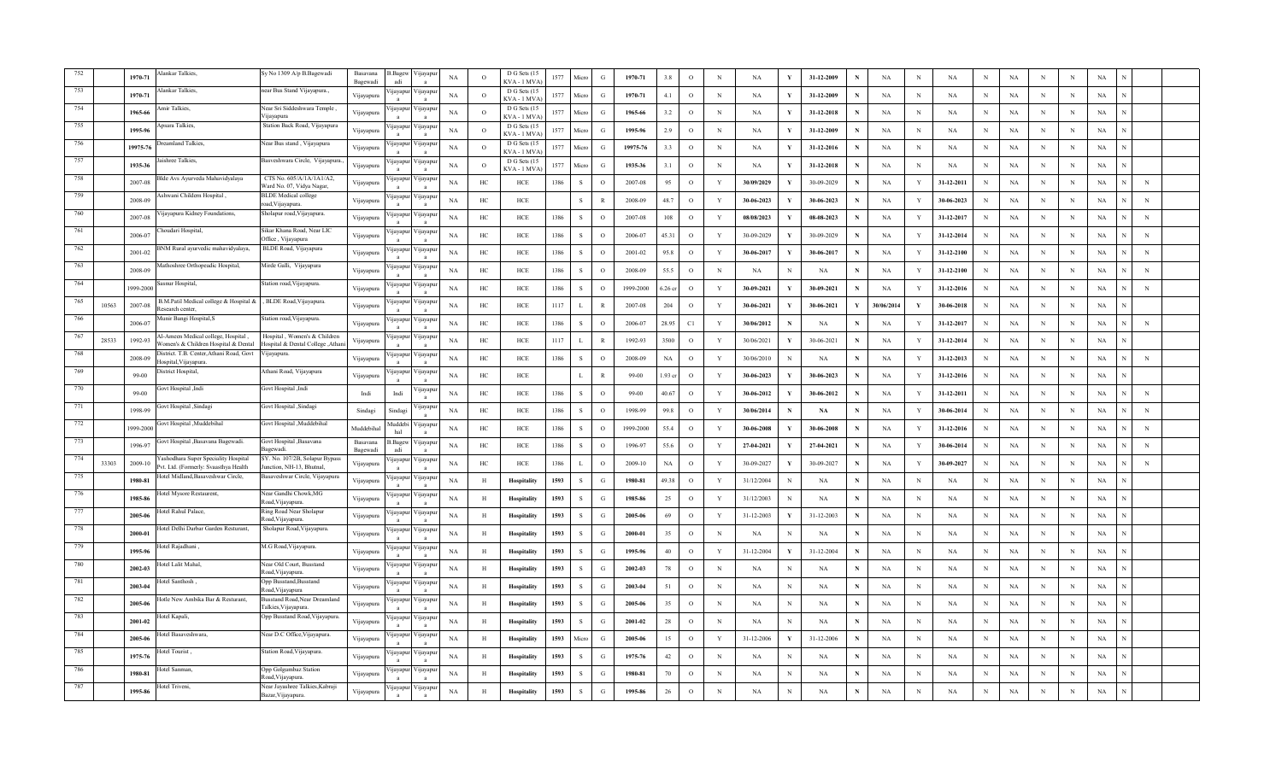|     |       | 1970-71   | lankar Talkies,                                                              | Sy No 1309 A/p B.Bagewadi                                        | <b>Basayana</b><br>Bagewadi | 3.Bagew<br>adi           | Vijayapu<br>$\overline{a}$ | NA          | $\circ$        | D G Sets (15<br>KVA - 1 MVA       | 1577 | Micro         | G             | 1970-71   | 3.8               | $\circ$      | N              | NA         | v            | 31-12-2009 |   | $_{\rm NA}$ | N            | NA          | $\mathbf N$ | NA          |             | N           | $_{\rm NA}$ |             |  |
|-----|-------|-----------|------------------------------------------------------------------------------|------------------------------------------------------------------|-----------------------------|--------------------------|----------------------------|-------------|----------------|-----------------------------------|------|---------------|---------------|-----------|-------------------|--------------|----------------|------------|--------------|------------|---|-------------|--------------|-------------|-------------|-------------|-------------|-------------|-------------|-------------|--|
|     |       | 1970-71   | lankar Talkies,                                                              | near Bus Stand Vijayapura.,                                      | Vijayapura                  | ijayapı                  | 'ijayapı                   | NA          | $\Omega$       | D G Sets (15<br>$KVA - 1 MVA$     | 1577 | Micro         | $\mathcal{G}$ | 1970-71   | 4.1               | $\circ$      | N              | NA         | Y            | 31-12-2009 | N | NA          | N            | NA          | $_{\rm N}$  | NA          | N           | $\,$ N      | NA          |             |  |
|     |       | 1965-66   | mir Talkies,                                                                 | Near Sri Siddeshwara Temple,<br>ijayapura                        | Vijayapura                  | цауарш                   | /11ayapu                   | NA          | $\overline{O}$ | D G Sets (15<br>$KVA - 1$ $MVA$   | 1577 | Micre         | G             | 1965-66   | 3.2               | $\circ$      | N              | NA         |              | 31-12-2018 |   | NA          | N            | NA          | N           | NA          | N           | N           | NA          |             |  |
|     |       | 1995-96   | psara Talkies,                                                               | Station Back Road, Vijayapura                                    | Vijayapura                  | '1jayapur                | /11ayapu                   | $_{\rm NA}$ | $\circ$        | D G Sets (15<br><b>KVA - 1 MV</b> | 1577 | Micro         | G             | 1995-96   | 2.9               | $\mathbf{o}$ | $\,$ N         | NA         | Y            | 31-12-2009 |   | $_{\rm NA}$ | N            | NA          | N           | NA          | N           | N           | $_{\rm NA}$ |             |  |
|     |       | 19975-76  | reamland Talkies,                                                            | Near Bus stand, Vijayapura                                       | Vijayapura                  | 'ijayapuı                | /ijayap                    | NA          | $\Omega$       | D G Sets (1)<br>KVA - 1 MV        | 1577 | Micro         | G             | 19975-76  | 3.3               | $\circ$      | N              | <b>NA</b>  | Y            | 31-12-2016 |   | $_{\rm NA}$ | N            | <b>NA</b>   | N           | $_{\rm NA}$ | N           | N           | $_{\rm NA}$ |             |  |
|     |       | 1935-36   | ushree Talkies.                                                              | Basveshwara Circle, Vijayapur                                    | Vijayapura                  | ijayapu                  | 'ijayapı                   | NA          | $\Omega$       | D G Sets (15<br>KVA - 1 MVA       | 1577 | Micro         | G             | 1935-36   | 3.1               | $\circ$      | $_{\rm N}$     | <b>NA</b>  | Y            | 31-12-2018 |   | NA          | N            | NA          | $_{\rm N}$  | NA          | N           | N           | NA          |             |  |
|     |       | 2007-08   | 3Ide Avs Ayurveda Mahavidyalaya                                              | CTS No. 605/A/1A/1A1/A2,<br>Vard No. 07, Vidya Nagar,            | Vijayapura                  | ijayapur                 | Vijayapu                   | NA          | HC             | HCE                               | 1386 | S             | $\circ$       | 2007-08   | 95                | $\circ$      | Y              | 30/09/2029 | Y            | 30-09-2029 |   | NA          | Y            | 31-12-2011  | N           | NA          | N           | N           | NA          | $\,$ N      |  |
|     |       | 2008-09   | , Ashwani Childern Hospital                                                  | <b>BLDE</b> Medical college<br>bad, Vijayapura.                  | Vijayapura                  | ijayapur                 | Vijayapu                   | $_{\rm NA}$ | HC             | ${\rm HCE}$                       |      | S             |               | 2008-09   | 48.7              | $\circ$      | Y              | 30-06-2023 |              | 30-06-2023 |   | NA          | Y            | 30-06-2023  | N           | NA          | N           | N           | $_{\rm NA}$ | N           |  |
| 760 |       | 2007-08   | 'ijayapura Kidney Foundations,                                               | sholapur road, Vijayapura.                                       | Vijayapura                  | yayapur                  | /ijayapı<br>$\overline{a}$ | NA          | HC             | HCE                               | 1386 | S             | $\circ$       | 2007-08   | 108               | $\circ$      | Y              | 08/08/2023 | Y            | 08-08-2023 | N | <b>NA</b>   | Y            | 31-12-2017  | N           | $_{\rm NA}$ | N           | $\,$ N      | $_{\rm NA}$ | ${\bf N}$   |  |
| 761 |       | 2006-07   | houdari Hospital.                                                            | Sikar Khana Road, Near LIC<br>Office, Vijayapura                 | Vijayapura                  | ijayapu                  | ijayapı                    | NA          | HC             | HCE                               | 1386 | -S            | $\Omega$      | 2006-07   | 45.31             | $\circ$      | Y              | 30-09-2029 |              | 30-09-2029 | N | NA          | Y            | 31-12-2014  | $_{\rm N}$  | NA          | N           | $\;$ N      | NA          | $\,$ N      |  |
| 762 |       | 2001-02   | NM Rural ayurvedic mahavidyalaya,                                            | BLDE Road, Vijayapura                                            | Vijayapura                  | <b>1</b> ayapur          | ijayapu                    | NA          | HC             | HCE                               | 1386 | S             | $\circ$       | 2001-02   | 95.8              | $\circ$      | Y              | 30-06-2017 | Y            | 30-06-2017 |   | <b>NA</b>   | Y            | 31-12-2100  | N           | NA          | N           | N           | NA          | $_{\rm N}$  |  |
| 763 |       | 2008-09   | athoshree Orthopeadic Hospital,                                              | Mirde Galli, Vijayapura                                          | Vijayapura                  | <b>1</b> ayapur          | / yayap                    | $_{\rm NA}$ | HC             | HCE                               | 1386 | <sup>S</sup>  | $\Omega$      | 2008-09   | 55.5              | $\circ$      | N              | NA         |              | NA         |   | NA          | Y            | 31-12-2100  | $_{\rm N}$  | NA          | N           | N           | $_{\rm NA}$ | $\,$ N      |  |
| 764 |       | 999-2000  | asnur Hospital.                                                              | tation road, Vijayapura.                                         | Vijayapura                  | 'ijayapuı                | Vijayapı<br>$\mathbf{a}$   | NA          | HC             | HCE                               | 1386 | S             | $\Omega$      | 1999-2000 | .26 <sub>cr</sub> | $\circ$      | Y              | 30-09-2021 | Y            | 30-09-2021 | N | <b>NA</b>   | Y            | 31-12-2016  | $_{\rm N}$  | $_{\rm NA}$ | N           | N           | NA          | $_{\rm N}$  |  |
| 765 | 10563 | 2007-08   | B.M.Patil Medical college & Hospital &<br>Research center.                   | , BLDE Road, Vijayapura.                                         | Vijayapura                  | ijayapuı                 | 'ijayapı<br>$\mathbf{a}$   | NA          | HC             | HCE                               | 1117 | $\mathbf{L}$  | $\mathbb{R}$  | 2007-08   | 204               | $\circ$      | Y              | 30-06-2021 | Y            | 30-06-2021 | Y | 30/06/2014  | $\mathbf Y$  | 30-06-2018  | N           | NA          | $\mathbf N$ | N           | NA          |             |  |
| 766 |       | 2006-07   | Aunir Bangi Hospital, S                                                      | Station road, Vijayapura                                         | Vijayapura                  | <i>u</i> ayapu           | /ijayap                    | NA          | HC             | HCE                               | 1386 | S             | $\circ$       | 2006-07   | 28.95             | C1           | Y              | 30/06/2012 |              | NA         | N | NA          | Y            | 31-12-2017  | N           | NA          | N           | N           | NA          | $_{\rm N}$  |  |
|     | 28533 | 1992-93   | Al-Ameen Medical college, Hospital,<br>Vomen's & Children Hospital & Dental  | Hospital, Women's & Children<br>Hospital & Dental College ,Athar | Vijayapura                  | ijayapu                  | ijayapı                    | $_{\rm NA}$ | HC             | HCE                               | 1117 |               | $\mathbb{R}$  | 1992-93   | 3500              | $\circ$      | Y              | 30/06/2021 |              | 30-06-2021 |   | NA          | $\mathbf Y$  | 31-12-2014  | N           | $_{\rm NA}$ | N           | $\mathbf N$ | $_{\rm NA}$ |             |  |
|     |       | 2008-09   | District. T.B. Center, Athani Road, Govt<br>Hospital, Vija vapura            | Vijayapura.                                                      | Vijayapura                  | ijayapu                  | /ijayapı                   | $_{\rm NA}$ | HC             | HCE                               | 1386 | S             | $\circ$       | 2008-09   | NA                | $\mathbf{o}$ | Y              | 30/06/2010 | N            | NA         | N | <b>NA</b>   | Y            | 31-12-2013  | $_{\rm N}$  | NA          | $\mathbf N$ | $\,$ N      | NA          | $\mathbf N$ |  |
|     |       | $99-00$   | District Hospital,                                                           | Athani Road, Vijayapura                                          | Vijayapura                  | nayapu                   | <b>Hayapu</b>              | NA          | HC             | HCE                               |      | $\mathbf{L}$  | $\mathbb{R}$  | 99-00     | .93 cr            | $\circ$      | Y              | 30-06-2023 |              | 30-06-2023 |   | NA          | $\mathbf Y$  | 31-12-2016  | $_{\rm N}$  | NA          | N           | $\,$ N      | NA          |             |  |
|     |       | 99-00     | ovt Hospital ,Indi                                                           | Govt Hospital ,Indi                                              | Indi                        | Indi                     | <i>y</i> apu               | NA          | HC             | HCE                               | 1386 | S             | $\circ$       | $99-00$   | 40.67             | $\circ$      | Y              | 30-06-2012 |              | 30-06-2012 |   | NA          | Y            | 31-12-2011  | N           | NA          | N           | N           | NA          | $_{\rm N}$  |  |
|     |       | 1998-99   | Govt Hospital , Sindagi                                                      | Govt Hospital ,Sindagi                                           | Sindagi                     | Sindag                   | yayap                      | NA          | HC             | ${\rm HCE}$                       | 1386 | $\mathcal{S}$ | $\circ$       | 1998-99   | 99.8              | $\circ$      | Y              | 30/06/2014 | N            | <b>NA</b>  |   | <b>NA</b>   | v            | 30-06-2014  | N           | NA          | N           | N           | $_{\rm NA}$ | $_{\rm N}$  |  |
| 772 |       | 1999-2000 | Govt Hospital .Muddebihal                                                    | Jovt Hospital ,Muddebihal                                        | Muddebiha                   | Auddebi<br>hal           | /ijayap                    | $_{\rm NA}$ | HC             | HCE                               | 1386 | S             | $\Omega$      | 1999-2000 | 55.4              | $\circ$      | Y              | 30-06-2008 | Y            | 30-06-2008 | N | <b>NA</b>   | Y            | 31-12-2016  | $_{\rm N}$  | NA          | N           | N           | $_{\rm NA}$ | $_{\rm N}$  |  |
| 773 |       | 1996-97   | Govt Hospital , Basavana Bagewadi.                                           | Govt Hospital , Basavana<br>agewadi.                             | Basavana<br>Bagewadi        | .Bagew<br>adi            | ijayapı                    | NA          | HC             | HCE                               | 1386 | S             | $\circ$       | 1996-97   | 55.6              | $\circ$      | Y              | 27-04-2021 | Y            | 27-04-2021 | N | NA          | Y            | 30-06-2014  | N           | NA          | $\mathbf N$ | N           | NA          | $_{\rm N}$  |  |
| 774 | 33303 | 2009-10   | ashodhara Super Speciality Hospital<br>Pvt. Ltd. (Formerly: Svaasthya Health | SY. No. 107/2B, Solapur Bypas:<br>unction. NH-13. Bhutnal.       | Vijayapura                  | ijayapur                 | /ijayapu                   | NA          | HC             | HCE                               | 1386 |               | $\circ$       | 2009-10   | NA                | $\circ$      | Y              | 30-09-2027 | Y            | 30-09-2027 |   | <b>NA</b>   | Y            | 30-09-2027  | N           | NA          | N           | N           | $_{\rm NA}$ | $_{\rm N}$  |  |
| 775 |       | 1980-81   | otel Midland, Basaveshwar Circle,                                            | Basaveshwar Circle, Vijayapura                                   | Vijayapura                  | ijayapu                  | /ijayapı<br>$\mathbf{a}$   | $_{\rm NA}$ | H              | Hospitality                       | 1593 | $\mathbf{s}$  | G             | 1980-81   | 49.38             | $\circ$      | Y              | 31/12/2004 |              | NA         |   | $_{\rm NA}$ | $\mathbf N$  | NA          | N           | $_{\rm NA}$ | N           | $\mathbf N$ | $_{\rm NA}$ |             |  |
| 776 |       | 1985-86   | otel Mysore Restaurent.                                                      | Near Gandhi Chowk, MG<br><b>coad. Viiavapura</b>                 | Vijayapura                  | yayapı                   | ijayapı                    | NA          | H              | Hospitality                       | 1593 | S             | G             | 1985-86   | 25                | $\mathbf{o}$ | Y              | 31/12/2003 |              | NA         |   | $_{\rm NA}$ | N            | NA          | $\,$ N      | $_{\rm NA}$ | $_{\rm N}$  | ${\bf N}$   | $_{\rm NA}$ |             |  |
| 777 |       | 2005-06   | otel Rahul Palace,                                                           | Ring Road Near Sholapur<br>Road, Vijayapura                      | Vijayapura                  | <i>u</i> ayapu           | ijayapu                    | NA          | H              | Hospitality                       | 1593 | <sub>S</sub>  | G             | 2005-06   | 69                | $\circ$      | Y              | 31-12-2003 |              | 31-12-2003 |   | NA          | N            | NA          | $_{\rm N}$  | NA          | N           | $_{\rm N}$  | NA          |             |  |
| 778 |       | 2000-01   | otel Delhi Darbar Garden Resturant,                                          | Sholapur Road, Vijayapura.                                       | Vijayapura                  | ijayapu                  | /ijayap                    | NA          | H              | Hospitality                       | 1593 | <sub>S</sub>  | G             | 2000-01   | 35                | $\circ$      | N              | NA         |              | NA         |   | NA          | N            | NA          | N           | NA          | N           | N           | NA          |             |  |
| 779 |       | 1995-96   | otel Rajadhani                                                               | M.G Road, Vijayapura.                                            | Vijayapura                  | ijayapu                  | /ijayap<br>$\mathbf{a}$    | NA          | H              | Hospitality                       | 1593 | S             | G             | 1995-96   | 40                | $\circ$      | $\mathbf{Y}$   | 31-12-2004 | Y            | 31-12-2004 | N | $_{\rm NA}$ | N            | NA          | $_{\rm N}$  | $_{\rm NA}$ | N           | N           | $_{\rm NA}$ |             |  |
| 780 |       | 2002-03   | otel Lalit Mahal,                                                            | Vear Old Court, Busstand<br>load, Vijayapura.                    | Vijayapura                  | <b>1jayapu</b>           | ijayap                     | NA          | H              | Hospitality                       | 1593 | S             | G             | 2002-03   | 78                | $\circ$      | $_{\rm N}$     | <b>NA</b>  | N            | NA         | N | <b>NA</b>   | N            | $_{\rm NA}$ | $_{\rm N}$  | <b>NA</b>   | N           | N           | $_{\rm NA}$ |             |  |
| 781 |       | 2003-04   | otel Santhosh,                                                               | Opp Busstand, Busstand<br>Road, Vijayapura                       | Vijayapura                  | ijayapui                 | /ijayapı                   | NA          | H              | Hospitality                       | 1593 | S             | G             | 2003-04   | 51                | $\circ$      | N              | NA         | $_{\rm N}$   | NA         |   | NA          | N            | NA          | N           | NA          | N           | N           | NA          |             |  |
| 782 |       | 2005-06   | otle New Ambika Bar & Resturant,                                             | Jusstand Road, Near Dreamland<br>Talkies, Vijayapura             | Vijayapura                  | ijayapu                  | /ijayap                    | NA          | H              | Hospitality                       | 1593 | S             | G             | 2005-06   | 35                | $\circ$      | $_{\rm N}$     | NA         | $_{\rm N}$   | NA         | N | NA          | N            | <b>NA</b>   | $_{\rm N}$  | NA          | N           | $\,$ N      | NA          |             |  |
|     |       | 2001-02   | otel Kapali,                                                                 | Opp Busstand Road, Vijayapura.                                   | Vijayapura                  | ijayapu                  | /ijayapı                   | $_{\rm NA}$ | H              | Hospitality                       | 1593 | S             | G             | 2001-02   | 28                | $\circ$      | $\,$ N         | NA         | N            | NA         | N | NA          | $\mathbf N$  | NA          | $\,$ N      | $_{\rm NA}$ | N           | $\,$ N      | $_{\rm NA}$ |             |  |
|     |       | 2005-06   | lotel Basaveshwara.                                                          | Near D.C Office, Vijayapura.                                     | Vijayapura                  | 1 jayapu                 | /1jayapt                   | NA          | H              | Hospitality                       | 1593 | Micro         | G             | 2005-06   | 15                | $\circ$      | Y              | 31-12-2006 | Y            | 31-12-2006 | N | NA          | N            | NA          | $_{\rm N}$  | NA          | N           | $\,$ N      | NA          |             |  |
|     |       | 1975-76   | lotel Tourist,                                                               | Station Road, Vijayapura.                                        | Vijayapura                  | ijayapui                 | ijayapı                    | NA          | H              | Hospitality                       | 1593 | <sub>S</sub>  | G             | 1975-76   | 42                | $\circ$      | $_{\rm N}$     | NA         | N            | NA         |   | NA          | N            | $_{\rm NA}$ | $_{\rm N}$  | NA          | N           | N           | NA          |             |  |
|     |       | 1980-81   | otel Sanman,                                                                 | <b>Opp Golgumbaz Station</b><br>oad, Vijayapura.                 | Vijayapura                  | <i>u</i> ayapu           | <b>Hayap</b>               | NA          | H              | Hospitality                       | 1593 | S             | G             | 1980-81   | 70                | $\circ$      | $_{\rm N}$     | <b>NA</b>  | N            | NA         |   | NA          | N            | <b>NA</b>   | N           | <b>NA</b>   | N           | N           | NA          |             |  |
|     |       | 1995-86   | Hotel Triveni.                                                               | Jear Javashree Talkies Kabraii<br>Bazar, Vijayapura.             | Vijayapura                  | /ijayapu<br>$\mathbf{a}$ | /ijayapı<br>$\overline{a}$ | $_{\rm NA}$ | $\,$ H         | Hospitality                       | 1593 | $\mathbf{s}$  | G             | 1995-86   | 26                | $\circ$      | $\overline{N}$ | NA         | $\mathbf{N}$ | NA         |   | $_{\rm NA}$ | $\mathbf{N}$ | $_{\rm NA}$ | $_{\rm N}$  | NA          | N           | N           | $_{\rm NA}$ |             |  |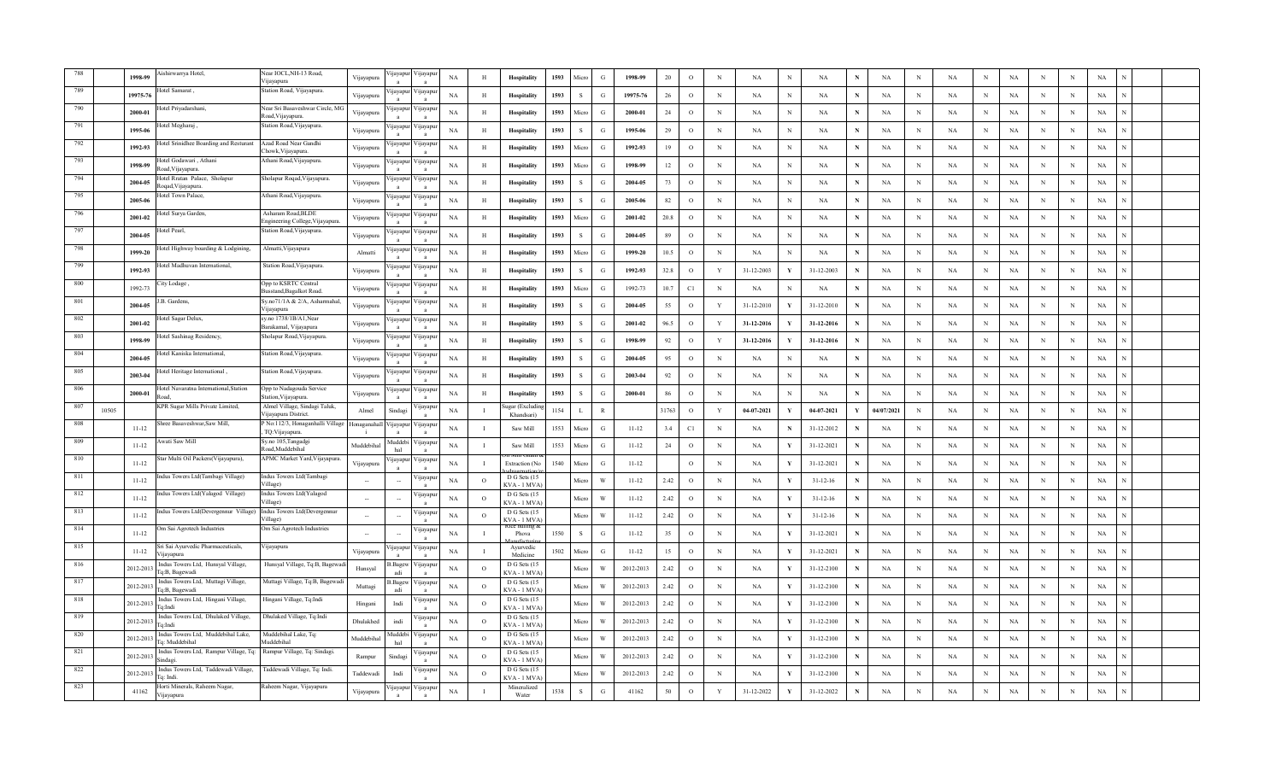|     |       | 1998-99   | ishirwarrya Hotel,                                   | Vear IOCL, NH-13 Road,<br>Viiavapura                          | Vijayapura | jayapı                  | ijayapu                  | $_{\rm NA}$ | H              | Hospitality                        | 1593 | Micro        | $\mathbf G$   | 1998-99   | $20\,$   | $\,$ O       | $\,$ N       | NA         | $_{\rm N}$   | $_{\rm NA}$    | N           | NA          | $\, {\rm N}$ | $_{\rm NA}$ | N           | $_{\rm NA}$ | N           | $_{\rm N}$ | $_{\rm NA}$ |  |
|-----|-------|-----------|------------------------------------------------------|---------------------------------------------------------------|------------|-------------------------|--------------------------|-------------|----------------|------------------------------------|------|--------------|---------------|-----------|----------|--------------|--------------|------------|--------------|----------------|-------------|-------------|--------------|-------------|-------------|-------------|-------------|------------|-------------|--|
|     |       | 19975-76  | otel Samarat,                                        | Station Road, Vijayapura.                                     | Vijayapura | yayapı                  | ijayapu                  | NA          | H              | Hospitality                        | 1593 | S            | G             | 19975-76  | 26       | $\circ$      | $_{\rm N}$   | NA         | N            | NA             | N           | NA          | N            | NA          | N           | NA          | N           | N          | NA          |  |
|     |       | 2000-01   | otel Priyadarshani                                   | Near Sri Basaveshwar Circle, MC<br>₹oad,Vijayapura.           | Vijayapura | ijayapu                 | √ijayapu                 | NA          | H              | Hospitality                        | 1593 | Micro        | G             | 2000-01   | 24       | $\circ$      | $_{\rm N}$   | NA         | N            | NA             | N           | NA          | N            | NA          | $_{\rm N}$  | NA          | N           | N          | NA          |  |
|     |       | 1995-06   | otel Megharaj,                                       | tation Road, Vijayapura.                                      | Vijayapura | ijayapu                 | 'ijayapı                 | NA          | H              | Hospitality                        | 1593 | <sub>S</sub> | G             | 1995-06   | 29       | $\circ$      | $_{\rm N}$   | <b>NA</b>  | N            | NA             | N           | <b>NA</b>   | $_{\rm N}$   | <b>NA</b>   | N           | NA          | N           | N          | NA          |  |
| 792 |       | 1992-93   | Hotel Srinidhee Boarding and Resturant               | Azad Road Near Gandhi<br>howk. Viiavapura                     | Vijayapura | ijayapu                 | 'ijayapı                 | $_{\rm NA}$ | H              | Hospitality                        | 1593 | Micro        | $\mathcal{G}$ | 1992-93   | 19       | $\,$ O       | $_{\rm N}$   | NA         | N            | NA             | N           | NA          | $\mathbf N$  | NA          | N           | $_{\rm NA}$ | N           | N          | $_{\rm NA}$ |  |
| 793 |       | 1998-99   | Hotel Godawari, Athani<br>load, Vijayapura           | Athani Road, Vijayapura                                       | Vijayapura | yayapu                  | 'ijayapu                 | <b>NA</b>   | H              | Hospitality                        | 1593 | Micro        | G             | 1998-99   | 12       | $\circ$      | $_{\rm N}$   | <b>NA</b>  | N            | NA             |             | <b>NA</b>   | $_{\rm N}$   | <b>NA</b>   | N           | NA          | N           | N          | NA          |  |
| 794 |       | 2004-05   | Iotel Rratan Palace, Sholapur<br>toqad, Vijayapura   | Sholapur Roqad, Vijayapura.                                   | Vijayapura | ijayapu                 | ∕ijayapuı                | <b>NA</b>   | H              | Hospitality                        | 1593 | <sub>S</sub> | G             | 2004-05   | 73       | $\circ$      | $_{\rm N}$   | NA         | N            | NA             |             | NA          | $_{\rm N}$   | NA          | N           | NA          | N           | N          | NA          |  |
| 795 |       | 2005-06   | Iotel Town Palace,                                   | Athani Road, Vijayapura.                                      | Vijayapura | jayap                   | ijayapı                  | NA          | H              | Hospitality                        | 1593 | $\mathbf S$  | G             | 2005-06   | 82       | $\mathbf{o}$ | $\mathbf N$  | <b>NA</b>  | N            | NA             |             | NA          | $_{\rm N}$   | $_{\rm NA}$ | $\mathbf N$ | $_{\rm NA}$ | $\mathbf N$ | N          | $_{\rm NA}$ |  |
| 796 |       | 2001-02   | lotel Surya Garden                                   | Asharam Road, BLDE<br>Ingineering College, Vijayapura         | Vijayapura | jayapı                  | ijayapı                  | NA          | H              | Hospitality                        | 1593 | Micro        | G             | 2001-02   | $20.8\,$ | $\,$ O       | $\,$ N       | <b>NA</b>  | N            | NA             | N           | NA          | $\,$ N       | NA          | $_{\rm N}$  | $_{\rm NA}$ | N           | N          | $_{\rm NA}$ |  |
| 797 |       | 2004-05   | lotel Pearl,                                         | Station Road, Vijayapura.                                     | Vijayapura | jayapu                  | ijayapu                  | NA          | H              | Hospitality                        | 1593 | <sub>S</sub> | G             | 2004-05   | 89       | $\circ$      | $_{\rm N}$   | <b>NA</b>  | N            | NA             | $\mathbf N$ | NA          | $_{\rm N}$   | NA          | $_{\rm N}$  | NA          | N           | N          | NA          |  |
| 798 |       | 1999-20   | otel Highway boarding & Lodgining,                   | Almatti, Vijayapura                                           | Almatti    | ijayapı                 | ∕ijayapu                 | <b>NA</b>   | H              | Hospitality                        | 1593 | Micro        | G             | 1999-20   | 10.5     | $\circ$      | $_{\rm N}$   | <b>NA</b>  |              | NA             | $\mathbf N$ | NA          | $_{\rm N}$   | <b>NA</b>   | N           | NA          | $\mathbf N$ | N          | NA          |  |
| 799 |       | 1992-93   | lotel Madhuvan International,                        | Station Road, Vijayapura.                                     | Vijayapura | ijayapu<br>$\mathbf{a}$ | ∕ijayapı<br>$\mathbf{a}$ | NA          | H              | Hospitality                        | 1593 | s            | G             | 1992-93   | 32.8     | $\circ$      | $\mathbf Y$  | 31-12-2003 | - V          | 31-12-2003     | ${\bf N}$   | NA          | $_{\rm N}$   | $_{\rm NA}$ | N           | $_{\rm NA}$ | N           | N          | $_{\rm NA}$ |  |
| 800 |       | 1992-73   | ity Lodage ,                                         | Opp to KSRTC Central<br>Busstand, Bagalkot Road.              | Vijayapura | ijayapuı                | 'ijayapu<br>$\mathbf{a}$ | $_{\rm NA}$ | $\, {\rm H}$   | Hospitality                        | 1593 | Micro        | G             | 1992-73   | 10.7     | C1           | $\,$ N       | NA         | $\,$ N       | NA             | N           | NA          | $\mathbf N$  | $_{\rm NA}$ | N           | $_{\rm NA}$ | $\mathbf N$ | N          | NA          |  |
| 801 |       | 2004-05   | B. Gardens,                                          | Sy.no71/1A & 2/A, Asharmahal,<br>Vijayapura                   | Vijayapura | ijayapu                 | 'ijayapu                 | NA          | H              | Hospitality                        | 1593 | <sub>S</sub> | G             | 2004-05   | 55       | $\circ$      | $\mathbf Y$  | 31-12-2010 |              | 31-12-2010     | N           | NA          | $_{\rm N}$   | <b>NA</b>   | N           | NA          | N           | N          | NA          |  |
| 802 |       | 2001-02   | otel Sagar Delux,                                    | sy.no 1738/1B/A1, Near<br>Barakamal, Vijayapura               | Vijayapura | ijayapı                 | 'ijayapu                 | NA          | H              | Hospitality                        | 1593 | S            | G             | 2001-02   | 96.5     | $\circ$      | Y            | 31-12-2016 | Y            | 31-12-2016     | N           | NA          | $\mathbf N$  | <b>NA</b>   | N           | NA          | $\mathbf N$ | N          | NA          |  |
| 803 |       | 1998-99   | lotel Sashinag Residency,                            | Sholapur Road, Vijayapura.                                    | Vijayapura | ijayap                  | 'ijayapı<br>$\mathbf{a}$ | NA          | H              | Hospitality                        | 1593 | S            | G             | 1998-99   | $\rm 92$ | $\circ$      | Y            | 31-12-2016 | Y            | 31-12-2016     | N           | NA          | $\mathbb N$  | NA          | N           | NA          | N           | N          | NA          |  |
| 804 |       | 2004-05   | Iotel Kaniska International,                         | Station Road, Vijayapura.                                     | Vijayapura | ijayapı                 | ijayapu                  | <b>NA</b>   | $\, {\rm H}$   | Hospitality                        | 1593 | <sub>S</sub> | G             | 2004-05   | 95       | $\circ$      | $\,$ N       | NA         | N            | NA             |             | NA          | $\,$ N       | NA          | N           | NA          | N           | $_{\rm N}$ | NA          |  |
|     |       | 2003-04   | Iotel Heritage International,                        | Station Road, Vijayapura.                                     | Vijayapura | <b>q</b> ayapt          | цауари                   | <b>NA</b>   | H              | Hospitality                        | 1593 | <sub>S</sub> | G             | 2003-04   | 92       | $\circ$      | $_{\rm N}$   | <b>NA</b>  | N            | NA             | N           | <b>NA</b>   | N            | <b>NA</b>   | N           | NA          | N           | $_{\rm N}$ | NA          |  |
|     |       | 2000-01   | Iotel Navaratna International, Station               | Opp to Nadagouda Service<br>tation, Vijayapura.               | Vijayapura | yayap                   | 'ijayapu                 | NA          | H              | Hospitality                        | 1593 | <sub>S</sub> | G             | 2000-01   | 86       | $\circ$      | $_{\rm N}$   | <b>NA</b>  | N            | NA             | N           | <b>NA</b>   | $_{\rm N}$   | NA          | N           | NA          | N           | N          | NA          |  |
| 807 | 10505 |           | KPR Sugar Mills Private Limited,                     | Almel Village, Sindagi Taluk,<br>Vijayapura District.         | Almel      | Sindag                  | 'ijayapı<br>$\mathbf{a}$ | NA          | $\mathbf{I}$   | ıgar (Excludi<br>Khandsari         | 1154 | - L          | $\mathbb{R}$  |           | 31763    | $\mathbf{o}$ | $\mathbf{v}$ | 04-07-2021 | Y            | 04-07-2021     | Y           | 04/07/2021  | $_{\rm N}$   | $_{\rm NA}$ | N           | $_{\rm NA}$ | N           | N          | $_{\rm NA}$ |  |
| 808 |       | $11 - 12$ | Shree Basaveshwar.Saw Mill.                          | No:112/3, Honaganhalli Village Honaganahal<br>TQ: Vijayapura. |            | ijayapu                 | 'ijayapu                 | NA          | $\mathbf{I}$   | Saw Mill                           | 1553 | Micro        | G             | $11 - 12$ | 3.4      | C1           | $_{\rm N}$   | NA         | N            | 31-12-2012     | N           | NA          | $\mathbf N$  | NA          | N           | NA          | N           | N          | $_{\rm NA}$ |  |
| 809 |       | $11 - 12$ | Awati Saw Mill                                       | Sy.no 105, Tangadgi                                           | Muddebiha  | Auddeb                  | 'ijayapu                 |             |                |                                    |      | Micro        | G             | $11 - 12$ |          | $\circ$      | $_{\rm N}$   | NA         | Y            | 31-12-2021     | N           | NA          | $_{\rm N}$   | NA          |             |             |             |            | NA          |  |
| 810 |       |           |                                                      | ≷oad.Muddebihal                                               |            | hal                     |                          | NA          | $\mathbf I$    | Saw Mill                           | 1553 |              |               |           | 24       |              |              |            |              |                |             |             |              |             | $_{\rm N}$  | NA          | N           | N          |             |  |
| 811 |       | $11 - 12$ | tar Multi Oil Packers(Vijayapura),                   | APMC Market Yard, Vijayapura.                                 | Vijayapura | ijayap                  | 'ijayapu<br>$\mathbf{a}$ | NA          | $\blacksquare$ | Extraction (N                      | 1540 | Micro        | G             | $11 - 12$ |          | $\circ$      | $_{\rm N}$   | NA         | $\mathbf{v}$ | 31-12-2021     | N           | NA          | $_{\rm N}$   | NA          | N           | NA          | $\mathbf N$ | N          | NA          |  |
|     |       | $11 - 12$ | dus Towers Ltd(Tambagi Village)                      | Indus Towers Ltd(Tambagi<br>Village)                          | $\sim$     |                         | 'ijayapı<br>$\mathbf{a}$ | $_{\rm NA}$ | $\circ$        | D G Sets (15<br>KVA - 1 MVA        |      | Micro        | W             | $11 - 12$ | 2.42     | $\,$ O       | $_{\rm N}$   | NA         | - V          | $31 - 12 - 16$ | N           | $_{\rm NA}$ | $\,$ N       | $_{\rm NA}$ | $_{\rm N}$  | $_{\rm NA}$ | N           | N          | $_{\rm NA}$ |  |
| 812 |       | $11 - 12$ | dus Towers Ltd(Yalagod Village)                      | Indus Towers Ltd(Yalagod<br>Village)                          | $\sim$     |                         | ijayapur                 | NA          | $\circ$        | D G Sets (15<br>KVA - 1 MVA        |      | Micro        | W             | $11 - 12$ | 2.42     | $\circ$      | $_{\rm N}$   | NA         | Y            | $31 - 12 - 16$ | $\mathbf N$ | NA          | $\mathbf N$  | NA          | $_{\rm N}$  | NA          | N           | N          | NA          |  |
| 813 |       | $11 - 12$ | dus Towers Ltd(Devergennur Village)                  | Indus Towers Ltd(Devergennur<br>/illage                       | $\sim$     |                         | ijayapu                  | NA          | $\circ$        | D G Sets (15<br>KVA - 1 MVA        |      | Micro        | W             | $11 - 12$ | 2.42     | $\circ$      | $_{\rm N}$   | <b>NA</b>  | Y            | $31 - 12 - 16$ | $\mathbf N$ | NA          | $_{\rm N}$   | <b>NA</b>   | N           | NA          | $\mathbf N$ | N          | NA          |  |
| 814 |       | $11 - 12$ | m Sai Agrotech Industries                            | Om Sai Agrotech Industries                                    | $\sim$     | $\sim$                  | ijayapu<br>$\mathbf{a}$  | NA          | $\mathbf{I}$   | Phova                              | 1550 | S            | G             | $11 - 12$ | 35       | $\circ$      | $_{\rm N}$   | <b>NA</b>  | Y            | 31-12-2021     | $\mathbf N$ | NA          | $_{\rm N}$   | NA          | N           | NA          | N           | N          | NA          |  |
| 815 |       | $11 - 12$ | Sri Sai Ayurvedic Pharmaceuticals,<br>Vijavapura     | ijayapura                                                     | Vijayapura | ijayapuı                | 'ijayapu<br>$\mathbf{a}$ | NA          | $\blacksquare$ | Ayurvedic<br>Medicine              | 1502 | Micro        | G             | $11 - 12$ | 15       | $\mathbf{o}$ | $\mathbf N$  | NA         | - V          | 31-12-2021     | N           | NA          | $\,$ N       | NA          | N           | $_{\rm NA}$ | N           | N          | $_{\rm NA}$ |  |
| 816 |       | 2012-201  | Indus Towers Ltd, Hunsyal Village,<br>Fq:B, Bagewadi | Hunsyal Village, Tq:B, Bagewac                                | Hunsyal    | .Bagev<br>adi           | 'ijayapu                 | NA          | $\circ$        | D G Sets (15<br>KVA - 1 MVA        |      | Micro        | W             | 2012-2013 | 2.42     | $\circ$      | $_{\rm N}$   | NA         | Y            | 31-12-2100     | N           | NA          | $\mathbf N$  | NA          | N           | NA          | N           | N          | NA          |  |
| 817 |       | 2012-2013 | Indus Towers Ltd, Muttagi Village,<br>Tq:B, Bagewadi | Muttagi Village, Tq:B, Bagewadi                               | Muttagi    | .Bagev<br>adi           | 'ijayapu                 | NA          | $\circ$        | D G Sets (15<br>KVA - 1 MVA        |      | Micro        | W             | 2012-2013 | 2.42     | $\circ$      | $_{\rm N}$   | <b>NA</b>  | Y            | 31-12-2100     |             | NA          | $_{\rm N}$   | <b>NA</b>   | N           | NA          | N           | N          | NA          |  |
| 818 |       | 2012-2013 | Indus Towers Ltd, Hingani Village,<br>Ta:Indi        | Hingani Village, Tq:Indi                                      | Hingani    | Indi                    | ijayapı<br>$\mathbf{a}$  | NA          | $\circ$        | D G Sets (15<br>KVA - 1 MVA)       |      | Micro        | W             | 2012-2013 | 2.42     | $\mathbf{o}$ | $\mathbf N$  | NA         | $\mathbf{v}$ | 31-12-2100     | N           | NA          | $\mathbf N$  | NA          | N           | NA          | N           | $_{\rm N}$ | NA          |  |
| 819 |       | 2012-2013 | Indus Towers Ltd, Dhulaked Village,<br>la:Indi       | Dhulaked Village, Tq:Indi                                     | Dhulakhed  | indi                    | ijayapu                  | NA          | $\overline{O}$ | D G Sets (15<br>KVA - 1 MVA        |      | Micro        | W             | 2012-2013 | 2.42     | $\,$ O       | $\,$ N       | <b>NA</b>  | Y            | 31-12-2100     | N           | NA          | $\,$ N       | $_{\rm NA}$ | $_{\rm N}$  | NA          | N           | $_{\rm N}$ | NA          |  |
| 820 |       | 2012-2013 | Indus Towers Ltd, Muddebihal Lake,<br>'a: Muddebihal | Muddebihal Lake, Tq:<br>Muddebihal                            | Muddebiha  | <b>fuddebi</b><br>hal   | <b>1</b> ayapu           | <b>NA</b>   | $\circ$        | D G Sets (15<br>KVA - 1 MVA        |      | Micro        | W             | 2012-2013 | 2.42     | $\circ$      | $_{\rm N}$   | <b>NA</b>  |              | 31-12-2100     | N           | NA          | N            | <b>NA</b>   | N           | NA          | N           | N          | NA          |  |
| 821 |       | 2012-2013 | Indus Towers Ltd, Rampur Village, Tq:<br>indagi      | Rampur Village, Tq: Sindagi.                                  | Rampur     | Sindagi                 | ijayapu                  | NA          | $\circ$        | D G Sets (15<br>KVA - 1 MVA        |      | Micro        |               | 2012-2013 | 2.42     | $\circ$      | $_{\rm N}$   | <b>NA</b>  |              | 31-12-2100     | N           | NA          | N            | <b>NA</b>   |             | NA          | N           | N          | NA          |  |
| 822 |       | 2012-2013 | Indus Towers Ltd, Taddewadi Village,<br>lq: Indi.    | Taddewadi Village, Tq: Indi.                                  | Taddewadi  | Indi                    | ijayapı<br>$\mathbf{a}$  | NA          | $\circ$        | D G Sets (15<br><b>CVA - 1 MVA</b> |      | Micro        | W             | 2012-2013 | 2.42     | $\circ$      | $\mathbf N$  | NA         | Y            | 31-12-2100     | N           | NA          | $_{\rm N}$   | NA          | N           | $_{\rm NA}$ | N           | N          | NA          |  |
|     |       | 41162     | Horti Minerals, Raheem Nagar,<br>Vijayapura          | Raheem Nagar, Vijayapura                                      | Vijayapura | yayapu                  | 'ijayapu                 | NA          |                | Mineralized<br>Water               | 1538 | ${\bf S}$    | $\mathbf G$   | 41162     | 50       | $\circ$      | Y            | 31-12-2022 | Y            | 31-12-2022     | N           | $_{\rm NA}$ | N            | NA          | N           | $_{\rm NA}$ | N           | N          | $_{\rm NA}$ |  |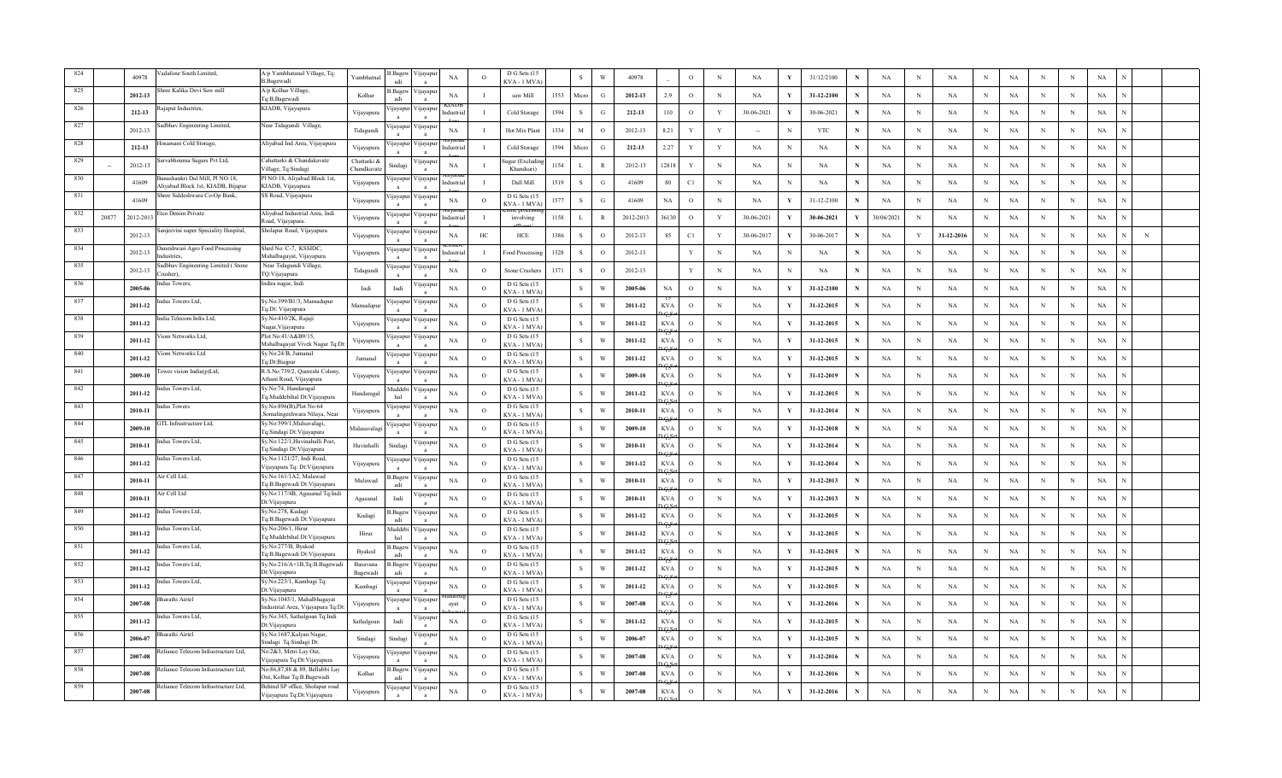|      |       | 40978     | adafone South Limited,                                                       | A/p Yambhatanal Village, Tq:<br><b>B.Bagewadi</b>                      | Yambhatnal                | 3.Bagew<br>adi  | √ijayapı         | $_{\rm NA}$ | $\circ$        | D G Sets (15<br>KVA - 1 MVA   |      | $\mathbf{s}$   | W            | 40978     |             | $\circ$       | N           | NA          | Y            | 31/12/2100 |   | $_{\rm NA}$ | $\mathbf N$  | $_{\rm NA}$ | $_{\rm N}$ | NA          | $\mathbf N$ | $\mathbf N$ | $_{\rm NA}$ |   |  |
|------|-------|-----------|------------------------------------------------------------------------------|------------------------------------------------------------------------|---------------------------|-----------------|------------------|-------------|----------------|-------------------------------|------|----------------|--------------|-----------|-------------|---------------|-------------|-------------|--------------|------------|---|-------------|--------------|-------------|------------|-------------|-------------|-------------|-------------|---|--|
| 825  |       | 2012-13   | ree Kalika Devi Saw mill                                                     | A/p Kolhar Village,<br>Tq:B,Bagewadi                                   | Kolhar                    | B.Bagew<br>adi  | 'ijayapı         | NA          |                | saw Mill                      | 1553 | Micn           | G            | 2012-13   | 2.9         | $\circ$       | $_{\rm N}$  | NA          |              | 31-12-2100 | N | NA          | N            | NA          | $_{\rm N}$ | NA          | N           | $\,$ N      | NA          |   |  |
|      |       | 212-13    | ajaput Industries,                                                           | KIADB, Vijayapura                                                      | Vijayapura                |                 | ijayapur Vijayap |             |                | Cold Storage                  | 1594 | -S             | G            | 212-13    | 110         | $\circ$       | Y           | 30-06-2021  |              | 30-06-2021 | N | NA          | N            | NA          | $_{\rm N}$ | NA          | N           | N           | NA          |   |  |
| 827  |       | 2012-13   | dbhav Engineering Limited,                                                   | Near Tidagundi Village,                                                | Tidagundi                 | ijayapur        | √ijayap          | NA          |                | Hot Mix Plant                 | 1334 | $\mathbf{M}$   | $\circ$      | 2012-13   | 8.21        | Y             | Y           |             |              | <b>YTC</b> | N | NA          | N            | <b>NA</b>   | $_{\rm N}$ | <b>NA</b>   | N           | N           | NA          |   |  |
| -828 |       | 212-13    | osamani Cold Storage,                                                        | Aliyabad Ind Area, Vijayapura                                          | Vijayapura                | ijayapu         | √ijayap          | ıdustris    |                | Cold Storage                  | 1594 | Micro          | G            | 212-13    | 2.27        | v             | Y           | NA          | N            | NA         | N | NA          | N            | NA          | $\,$ N     | <b>NA</b>   | N           | N           | $_{\rm NA}$ |   |  |
| 829  |       | 2012-13   | Sarvabhouma Sugars Pvt Ltd,                                                  | Cahattarki & Chandakavate<br>Village, Tq:Sindagi                       | Chattarki &<br>Chandkavat | indagi          | 'ijayapı         | NA          |                | ıgar (Exclud<br>Khandsari     | 1154 | $\mathbf{I}$ . | $\mathbb{R}$ | 2012-13   | 12818       | Y             | $_{\rm N}$  | NA          | N            | NA         |   | NA          | N            | <b>NA</b>   | $_{\rm N}$ | <b>NA</b>   | N           | N           | NA          |   |  |
| 830  |       | 41609     | Banashankri Dal Mill, Pl NO:18,<br><b>Aliyabad Block 1st, KIADB, Bijapur</b> | Pl NO:18, Aliyabad Block 1st,<br>KIADB, Vijayapura                     | Vijayapura                | ijayapur        | √ijayapı         | dustria     |                | Dall Mill                     | 1519 | <sub>S</sub>   | G            | 41609     | 80          | C1            | $_{\rm N}$  | <b>NA</b>   | $_{\rm N}$   | NA         |   | NA          | N            | <b>NA</b>   | $_{\rm N}$ | NA          | N           | N           | NA          |   |  |
| 831  |       | 41609     | hree Siddeshwara Co-Op Bank,                                                 | SS Road, Vijayapura                                                    | Vijayapura                | ijayapur        | 'ijayapı         | NA          | $\circ$        | D G Sets (1:<br>KVA - 1 MVA   | 1577 | s              | $\mathbf G$  | 41609     | $_{\rm NA}$ | $\circ$       | $\mathbf N$ | NA          | Y            | 31-12-2100 | N | $_{\rm NA}$ | N            | NA          | $\,$ N     | $_{\rm NA}$ | N           | N           | $_{\rm NA}$ |   |  |
| 832  | 20877 | 2012-2013 | tco Denim Private                                                            | Aliyabad Industrial Area, Indi<br>Road, Viiavapura                     | Vijayapura                | ijayapu         | ∕ijayapı         | ndustri:    |                | involving                     | 1158 | $\mathbf{L}$   | $\mathbb{R}$ | 2012-2013 | 36130       | $\circ$       | Y           | 30-06-2021  | V            | 30-06-2021 | V | 30/06/2021  | N            | NA          | $\,$ N     | $_{\rm NA}$ | $_{\rm N}$  | $\,$ N      | $_{\rm NA}$ |   |  |
| 833  |       | 2012-13   | njeevini super Speciality Hospital,                                          | Sholapur Road, Vijayapura                                              | Vijayapura                | ijayapur        | /цауар           | NA          | HC             | HCE                           | 1386 | $\mathbf{s}$   | $\circ$      | 2012-13   | 85          | C1            | Y           | 30-06-2017  |              | 30-06-2017 | N | NA          | Y            | 31-12-2016  | N          | NA          | $_{\rm N}$  | N           | NA          | N |  |
| 834  |       | 2012-13   | uneshwari Agro Food Processing<br>dustries                                   | Shed No: C-7, KSSIDC,<br>Mahalbagayat, Vijayapura                      | Vijayapura                | ijayapur        | ∕ijayap          | ndustria    | - 1            | Food Processi                 | 1328 | -S             | $\Omega$     | 2012-13   |             | Y             | $_{\rm N}$  | NA          | N            | NA         | N | NA          | N            | <b>NA</b>   | $_{\rm N}$ | NA          | N           | N           | NA          |   |  |
| 835  |       | 2012-13   | adbhav Engineering Limited (Stone<br>rusher).                                | Near Tidagundi Village,<br>TQ:Vijayapura                               | $\rm Tidagundi$           | ijayapur        | ∕ijayapı         | NA          | $\circ$        | <b>Stone Crusher</b>          | 1371 | s              | $\circ$      | 2012-13   |             | Y             | $\mathbf N$ | NA          | N            | NA         | N | $_{\rm NA}$ | $_{\rm N}$   | NA          | $\,$ N     | $_{\rm NA}$ | N           | N           | $_{\rm NA}$ |   |  |
| 836  |       | 2005-06   | adus Towers,                                                                 | Indira nagar, Indi                                                     | Indi                      | Indi            | 'ijayap          | $_{\rm NA}$ | $\Omega$       | D G Sets (15<br>KVA - 1 MVA   |      | $\mathbf{s}$   | W            | 2005-06   | <b>NA</b>   | $\circ$       | $\mathbf N$ | NA          | Y            | 31-12-2100 | N | NA          | N            | NA          | $\,$ N     | NA          | N           | N           | $_{\rm NA}$ |   |  |
| 837  |       | 2011-12   | dus Towers Ltd,                                                              | Sy.No:399/B1/3, Mamadapur<br>lq:Dt: Vijayapura                         | Mamadapur                 | ijayapur        | 'ijayapı         | NA          | $\circ$        | D G Sets (15<br>KVA - 1 MVA   |      | S              | W            | 2011-12   | <b>KVA</b>  | $\circ$       | N           | NA          | Y            | 31-12-2015 | N | NA          | N            | <b>NA</b>   | $_{\rm N}$ | NA          | N           | N           | NA          |   |  |
| 838  |       | 2011-12   | dia Telecom Infra Ltd,                                                       | Sy.No:410/2K, Rajaji<br>Nagar, Vijayapura                              | Vijayapura                | ijayapur        | 'ijayapı         | NA          | $\circ$        | D G Sets (15<br>KVA - 1 MVA   |      | -S             | W            | 2011-12   | <b>KVA</b>  | $\circ$       | $_{\rm N}$  | NA          | Y            | 31-12-2015 | N | NA          | N            | <b>NA</b>   | $_{\rm N}$ | <b>NA</b>   | N           | N           | NA          |   |  |
| 839  |       | 2011-12   | iom Networks Ltd.                                                            | Plot No:41/A&B9/15,<br>Mahalbagayat Vivek Nagar Tq:Dt:                 | Vijayapura                | ijayapur        | ∕ijayapı         | NA          | $\circ$        | D G Sets (15<br>KVA-1 MVA     |      | S              | W            | 2011-12   | <b>KVA</b>  | $\circ$       | $_{\rm N}$  | NA          | Y            | 31-12-2015 | N | NA          | N            | NA          | $_{\rm N}$ | NA          | N           | N           | NA          |   |  |
| -840 |       | 2011-12   | iom Networks Ltd                                                             | Sy.No:24/B, Jumanal<br>Ta:Dt:Biaipur                                   | Jumanal                   | ijayapur        | ∕ µayapt         | NA          | $\overline{O}$ | D G Sets (15<br>KVA - 1 MVA   |      | S              | W            | 2011-12   | <b>KVA</b>  | $\circ$       | $\,$ N      | NA          | Y            | 31-12-2015 | N | NA          | $\mathbb{N}$ | NA          | $\,$ N     | $_{\rm NA}$ | $_{\rm N}$  | $\,$ N      | NA          |   |  |
| 841  |       | 2009-10   | ower vision India(p)Ltd,                                                     | R.S.No:739/2, Quereshi Colony,<br>Athani Road, Vijayapura              | Vijayapura                | <i>u</i> ayapur | Vijayapi         | NA          | $\circ$        | D G Sets (15<br>KVA - 1 MVA   |      | s              | W            | 2009-10   | <b>KVA</b>  | $\circ$       | $_{\rm N}$  | NA          |              | 31-12-2019 | N | NA          | N            | NA          | N          | NA          | N           | N           | NA          |   |  |
| 842  |       | 2011-12   | dus Towers Ltd,                                                              | Sy.No:74, Handaragal<br>q:Muddebihal Dt:Vijayapura                     | Handaragal                | Auddebi<br>hal  | ∕ ijayapı        | NA          | $\circ$        | D G Sets (15<br>KVA - 1 MVA   |      | -S             | W            | 2011-12   | <b>KVA</b>  | $\circ$       | $_{\rm N}$  | NA          | Y            | 31-12-2015 | N | NA          | N            | <b>NA</b>   | N          | <b>NA</b>   | N           | N           | NA          |   |  |
| -843 |       | 2010-11   | ndus Towers                                                                  | Sv.No:896(B),Plot No:64<br>Somalingeshwara Nilaya, Near                | Vijayapura                | ijayapur        | ∕ijayapı         | $_{\rm NA}$ | $\circ$        | D G Sets (15<br>KVA - 1 MVA   |      | S              | W            | 2010-11   | <b>KVA</b>  | $\mathcal{O}$ | $_{\rm N}$  | NA          | Y            | 31-12-2014 | N | $_{\rm NA}$ | N            | NA          | $_{\rm N}$ | NA          | N           | $\mathbf N$ | $_{\rm NA}$ |   |  |
| 844  |       | 2009-10   | <b>FTL Infrastructure Ltd.</b>                                               | šy.No:599/1,Mulsavalagi,<br>'q:Sindagi Dt:Vijayapura                   | Mulasavalag               | ijayapur        | 'ijayapı         | NA          | $\Omega$       | D G Sets (15<br>KVA-1 MVA     |      | S              | W            | 2009-10   | <b>KVA</b>  | $\circ$       | $\mathbf N$ | NA          | $\mathbf{v}$ | 31-12-2018 | N | NA          | N            | NA          | $\,$ N     | <b>NA</b>   | N           | N           | NA          |   |  |
| 845  |       | 2010-11   | ndus Towers Ltd,                                                             | Sy.No:122/1, Huvinahalli Post,<br><sup>r</sup> q:Sindagi Dt:Vijayapura | Huvinhalli                | Sindagi         | 'ijayapı         | NA          | $\circ$        | D G Sets (15<br>KVA-1 MVA     |      | S              | W            | 2010-11   | <b>KVA</b>  | $\circ$       | $_{\rm N}$  | NA          | $\mathbf{v}$ | 31-12-2014 | N | NA          | N            | <b>NA</b>   | $_{\rm N}$ | NA          | $_{\rm N}$  | N           | NA          |   |  |
| 846  |       | 2011-12   | dus Towers Ltd,                                                              | Sy.No:1121/27, Indi Road,<br>/ijayapura Tq: Dt:Vijayapura              | Vijayapura                | ijayapur        | 'ijayap          | NA          | $\circ$        | D G Sets (15<br>KVA-1 MVA     |      | S              | W            | 2011-12   | <b>KVA</b>  | $\circ$       | N           | NA          | $\mathbf{v}$ | 31-12-2014 |   | NA          | N            | <b>NA</b>   | $_{\rm N}$ | NA          | N           | N           | NA          |   |  |
| 847  |       | 2010-11   | ir Cell Ltd,                                                                 | Sy.No:161/1A2, Mulawad<br>Tq:B.Bagewadi Dt:Vijayapura                  | Mulawad                   | .Bagew<br>adi   | 'ijayapı         | $_{\rm NA}$ | $\circ$        | D G Sets (15<br>KVA-1 MVA     |      | ${\bf S}$      | W            | 2010-11   | <b>KVA</b>  | $\circ$       | $\,$ N      | NA          | V            | 31-12-2013 | N | NA          | N            | NA          | $\,$ N     | $_{\rm NA}$ | N           | $\,$ N      | $_{\rm NA}$ |   |  |
| 848  |       | 2010-11   | ir Cell Ltd                                                                  | Sy.No:117/4B, Agasanal Tq:Indi<br>Dt: Vijayapura                       | Agasanal                  | Indi            | 'ijayapı         | NA          | $\circ$        | D G Sets (15<br>$KVA - 1 MV/$ |      | ${\bf S}$      | W            | 2010-11   | <b>KVA</b>  | $\circ$       | $_{\rm N}$  | NA          | Y            | 31-12-2013 |   | NA          | N            | NA          | $_{\rm N}$ | $_{\rm NA}$ | N           | N           | $_{\rm NA}$ |   |  |
| 849  |       | 2011-12   | dus Towers Ltd,                                                              | Sy.No:278, Kudagi<br>Tq:B.Bagewadi Dt:Vijayapura                       | Kudagi                    | .Bagew<br>adi   | /ijayapı         | NA          | $\circ$        | D G Sets (15<br>KVA - 1 MVA   |      | s              | W            | 2011-12   | <b>KVA</b>  | $\circ$       | $_{\rm N}$  | NA          | Y            | 31-12-2015 | N | NA          | N            | <b>NA</b>   | $_{\rm N}$ | NA          | N           | N           | NA          |   |  |
| 850  |       | 2011-12   | dus Towers Ltd,                                                              | Sy.No:206/1, Hirur<br>Tq:Muddebihal Dt:Vijayapura                      | Hirur                     | Auddebi<br>hal  | ∕ijayapı         | NA          | $\circ$        | D G Sets (15<br>KVA-1 MVA     |      | s              | W            | 2011-12   | <b>KVA</b>  | $\circ$       | $_{\rm N}$  | NA          | Y            | 31-12-2015 | N | NA          | N            | <b>NA</b>   | $_{\rm N}$ | NA          | N           | N           | NA          |   |  |
| 851  |       | 2011-12   | dus Towers Ltd,                                                              | Sy.No:277/B, Byakod<br>Tq:B.Bagewadi Dt:Vijayapura                     | Byakod                    | B.Bagew<br>adi  | Vijayapı         | NA          | $\Omega$       | D G Sets (15<br>KVA - 1 MVA   |      | s              | W            | 2011-12   | <b>KVA</b>  | $\circ$       | $\mathbf N$ | $_{\rm NA}$ | V            | 31-12-2015 | N | NA          | N            | NA          | $\,$ N     | NA          | N           | N           | $_{\rm NA}$ |   |  |
| 852  |       | 2011-12   | ndus Towers Ltd,                                                             | Sy.No:216/A+1B,Tq:B.Bagewadi<br>Dt: Vijayapura                         | Basayana<br>Bagewadi      | Bagew<br>adi    | 'ijayapı         | NA          | $\Omega$       | D G Sets (15<br>KVA - 1 MVA   |      | $\,$ S $\,$    | W            | 2011-12   | <b>KVA</b>  | $\circ$       | $_{\rm N}$  | NA          | $\mathbf{v}$ | 31-12-2015 | N | NA          | $_{\rm N}$   | NA          | $_{\rm N}$ | NA          | N           | N           | NA          |   |  |
| 853  |       | 2011-12   | dus Towers Ltd,                                                              | Sy.No:223/1, Kambagi Tq:<br>Dt: Vijayapura                             | Kambagi                   | iiavapur        | 'ijayap          | NA          | $\Omega$       | D G Sets (15<br>KVA - 1 MVA   |      | -S             | W            | 2011-12   | <b>KVA</b>  | $\circ$       | $_{\rm N}$  | NA          |              | 31-12-2015 | N | NA          | N            | <b>NA</b>   | $_{\rm N}$ | NA          | N           | N           | NA          |   |  |
| 854  |       | 2007-08   | harathi Airtel                                                               | Sy.No:1045/1, Mahalbhagayat<br>Industrial Area, Vijayapura Tq:Dt       | Vijayapura                | ijayapur        | ∕ijayapı         | ayat        | $\circ$        | D G Sets (15<br>KVA - 1 MVA   |      | $\mathbf{s}$   | W            | 2007-08   | <b>KVA</b>  | $\circ$       | $\,$ N      | NA          | Y            | 31-12-2016 | N | NA          | $\mathbf N$  | NA          | N          | $_{\rm NA}$ | N           | N           | NA          |   |  |
| -855 |       | 2011-12   | dus Towers Ltd,                                                              | Sy.No:345, Sathalgoan Tq:Indi<br>Dt: Viiavapura                        | Sathalgoan                | Indi            | 'ijayapı         | NA          | $\circ$        | D G Sets (15<br>KVA - 1 MVA   |      | s              | W            | 2011-12   | <b>KVA</b>  | $\circ$       | $\,$ N      | NA          | V            | 31-12-2015 | N | NA          | N            | NA          | $\,$ N     | $_{\rm NA}$ | $_{\rm N}$  | $\,$ N      | NA          |   |  |
|      |       | 2006-07   | harathi Airtel                                                               | Sy.No:1687, Kalyan Nagar,<br>sindagi Tq:Sindagi Dt:                    | Sindagi                   | Sindagi         | цауар            | NA          | $\circ$        | D G Sets (15<br>KVA - 1 MVA   |      | $\mathbf{s}$   | W            | 2006-07   | <b>KVA</b>  | $\circ$       | $_{\rm N}$  | NA          |              | 31-12-2015 |   | NA          | N            | <b>NA</b>   | N          | $_{\rm NA}$ | $_{\rm N}$  | N           | NA          |   |  |
|      |       | 2007-08   | eliance Telecom Infrastructure Ltd,                                          | No:2&3, Metri Lay Out,<br>'ijayapura Tq:Dt:Vijayapura                  | Vijayapura                | ijavapur        | ∕ijayap          | NA          | $\circ$        | D G Sets (15<br>KVA - 1 MVA   |      | -S             | W            | 2007-08   | <b>KVA</b>  | $\circ$       | $_{\rm N}$  | NA          |              | 31-12-2016 | N | NA          | N            | <b>NA</b>   | N          | <b>NA</b>   | N           | N           | NA          |   |  |
|      |       | 2007-08   | Reliance Telecom Infrastructure Ltd.                                         | No:86,87,88 & 89, Bellubbi Lay<br>Out, Kolhar Tq:B.Bagewadi            | Kolhar                    | 3. Bagew<br>adi | ∕ijayapı         | NA          | $\Omega$       | D G Sets (15<br>KVA - 1 MVA   |      | $\mathbf{s}$   | W            | 2007-08   | <b>KVA</b>  | $\circ$       | $\mathbf N$ | <b>NA</b>   | Y            | 31-12-2016 | N | NA          | N            | NA          | $_{\rm N}$ | <b>NA</b>   | N           | N           | $_{\rm NA}$ |   |  |
|      |       | 2007-08   | Reliance Telecom Infrastructure Ltd,                                         | Behind SP office, Sholapur road<br>Vijayapura Tq:Dt:Vijayapura         | Vijayapura                | ijayapur        | 'ijayapı         | $_{\rm NA}$ | $\circ$        | D G Sets (15<br>KVA-1 MVA     |      | ${\bf S}$      | W            | 2007-08   | <b>KVA</b>  | $\circ$       | N           | NA          | Y            | 31-12-2016 |   | NA          | N            | <b>NA</b>   | N          | <b>NA</b>   | N           | N           | $_{\rm NA}$ |   |  |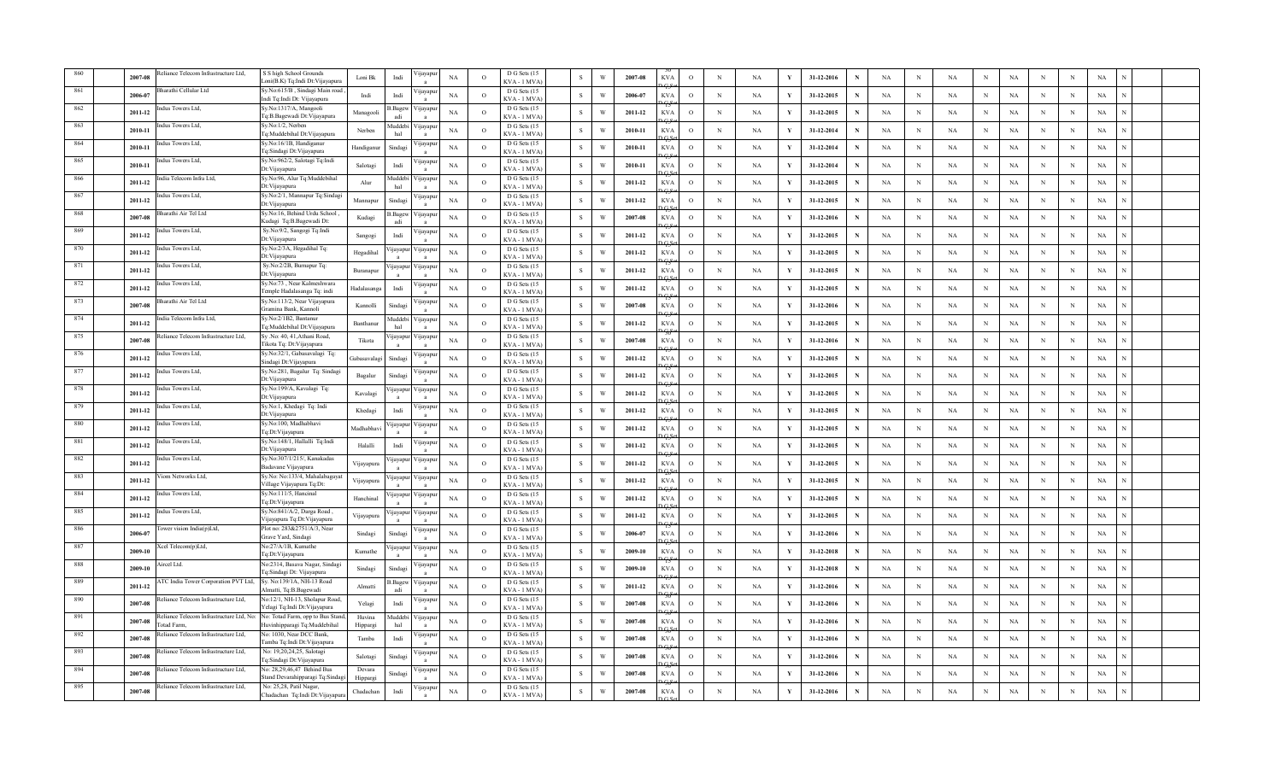|      | 2007-08 | eliance Telecom Infrastructure Ltd,                                                    | S S high School Grounds<br>.oni(B.K) Tq:Indi Dt:Vijayapura     | Loni Bk           | Indi            | 'ijayapı       | $_{\rm NA}$ | $\Omega$       | D G Sets (15<br>KVA - 1 MVA   | $\mathbf{s}$ | W | 2007-08 | <b>KVA</b> | $\mathcal{O}$ | $_{\rm N}$  | $_{\rm NA}$ |              | 31-12-2016 |             | $_{\rm NA}$ | $\mathbf N$  | $_{\rm NA}$ | N           | NA          | $\mathbf N$ | $\mathbf N$ | $_{\rm NA}$ |  |
|------|---------|----------------------------------------------------------------------------------------|----------------------------------------------------------------|-------------------|-----------------|----------------|-------------|----------------|-------------------------------|--------------|---|---------|------------|---------------|-------------|-------------|--------------|------------|-------------|-------------|--------------|-------------|-------------|-------------|-------------|-------------|-------------|--|
|      | 2006-07 | harathi Cellular Ltd                                                                   | Sy.No:615/B, Sindagi Main road<br>lndi Tq:Indi Dt: Vijayapura  | Indi              | Indi            | 'ijayap        | NA          | $\circ$        | D G Sets (15<br>KVA - 1 MVA   | $\mathbf{s}$ | W | 2006-07 | <b>KVA</b> | $\circ$       | $_{\rm N}$  | NA          |              | 31-12-2015 | N           | NA          | N            | NA          | $_{\rm N}$  | NA          | N           | $\,$ N      | NA          |  |
|      | 2011-12 | dus Towers Ltd,                                                                        | Sy.No:1317/A, Mangooli<br>Fq:B.Bagewadi Dt:Vijayapura          | Managooli         | s.Bagew         | ∕ ijayapı      | NA          | $\circ$        | D G Sets (15<br>KVA - 1 MVA   | <sub>S</sub> | W | 2011-12 | <b>KVA</b> | $\circ$       | $_{\rm N}$  | NA          |              | 31-12-2015 | N           | NA          | N            | NA          | $_{\rm N}$  | NA          | N           | N           | NA          |  |
|      | 2010-11 | dus Towers Ltd,                                                                        | Sv.No:1/2. Nerben<br>[q:Muddebihal Dt:Vijayapura               | Nerben            | Auddeb<br>hal   | ∕ijayapı       | NA          | $\circ$        | D G Sets (15<br>KVA - 1 MVA   | -S           | W | 2010-11 | <b>KVA</b> | $\circ$       | $_{\rm N}$  | <b>NA</b>   | Y            | 31-12-2014 | N           | NA          | N            | <b>NA</b>   | $_{\rm N}$  | <b>NA</b>   | N           | N           | NA          |  |
|      | 2010-11 | ndus Towers Ltd.                                                                       | Sy.No:16/1B, Handiganur<br>Fq:Sindagi Dt:Vijayapura            | Handiganu         | Sindag          | 'ijayar        | $_{\rm NA}$ | $\Omega$       | D G Sets (15<br>KVA - 1 MVA   | $\mathbf{s}$ | W | 2010-11 | <b>KVA</b> | $\circ$       | $\mathbf N$ | NA          | V            | 31-12-2014 | $\mathbf N$ | NA          | N            | NA          | $\,$ N      | <b>NA</b>   | N           | N           | $_{\rm NA}$ |  |
|      | 2010-11 | Indus Towers Ltd.                                                                      | Sy.No:962/2, Salotagi Tq:Indi<br>Dt: Vijayapura                | Salotagi          | Indi            | 'ijayapi       | NA          | $\circ$        | D G Sets (15<br>KVA-1 MVA     | S            | W | 2010-11 | <b>KVA</b> | $\circ$       | $_{\rm N}$  | NA          | Y            | 31-12-2014 | N           | NA          | N            | <b>NA</b>   | $_{\rm N}$  | <b>NA</b>   | N           | N           | NA          |  |
|      | 2011-12 | dia Telecom Infra Ltd,                                                                 | Sy.No:96, Alur Tq:Muddebihal<br>Dt: Vijayapura                 | Alur              | Muddebi<br>hal  | 'ijayap        | NA          | $\circ$        | D G Sets (15<br>KVA-1 MVA     | S            | W | 2011-12 | <b>KVA</b> | $\circ$       | $_{\rm N}$  | <b>NA</b>   | Y            | 31-12-2015 | N           | NA          | N            | <b>NA</b>   | $_{\rm N}$  | NA          | N           | N           | NA          |  |
|      | 2011-12 | dus Towers Ltd,                                                                        | Sy.No:2/1, Mannapur Tq:Sindagi<br>Dt: Vijayapura               | Mannapur          | Sindagi         | 'ijayapı       | NA          | $\circ$        | D G Sets (15<br>KVA-1 MVA     | S            | W | 2011-12 | <b>KVA</b> | $\circ$       | $\mathbf N$ | NA          | Y            | 31-12-2015 | N           | $_{\rm NA}$ | N            | NA          | $\,$ N      | $_{\rm NA}$ | N           | N           | $_{\rm NA}$ |  |
| 868  | 2007-08 | harathi Air Tel Ltd                                                                    | Sy.No:16, Behind Urdu School<br>Kudagi Tq:B.Bagewadi Dt:       | Kudagi            | 3. Bagew<br>adi | ijayap         | $_{\rm NA}$ | $\circ$        | D G Sets (15<br>KVA-1 MVA     | S            | W | 2007-08 | <b>KVA</b> | $\circ$       | $\,$ N      | NA          | V            | 31-12-2016 | N           | NA          | N            | NA          | $\,$ N      | <b>NA</b>   | $_{\rm N}$  | $\,$ N      | $_{\rm NA}$ |  |
| 869  | 2011-12 | dus Towers Ltd,                                                                        | Sy.No:9/2, Sangogi Tq:Indi<br>Dt: Vijayapura                   | Sangogi           | Indi            | 'ijayapu       | NA          | $\circ$        | D G Sets (15<br>$KVA - 1 MV$  | S            | W | 2011-12 | <b>KVA</b> | $\circ$       | $_{\rm N}$  | NA          | Y            | 31-12-2015 | N           | NA          | N            | <b>NA</b>   | N           | NA          | $_{\rm N}$  | N           | NA          |  |
| 870  | 2011-12 | dus Towers Ltd,                                                                        | Sy.No:2/3A, Hegadihal Tq:<br>Dt: Vijayapura                    | Hegadihal         | ijayapur        | ∕ ijayapı      | NA          | $\circ$        | D G Sets (15<br>KVA - 1 MVA   | <sub>S</sub> | W | 2011-12 | <b>KVA</b> | $\circ$       | $_{\rm N}$  | NA          | Y            | 31-12-2015 | N           | NA          | N            | <b>NA</b>   | $_{\rm N}$  | NA          | N           | N           | NA          |  |
| 871  | 2011-12 | dus Towers Ltd,                                                                        | Sy.No:2/2B, Burnapur Tq:<br>Dt: Vijayapura                     | Buranapur         | ijayapur        | ∕ijayapı       | NA          | $\circ$        | D G Sets (15<br>KVA-1 MVA     | S            | W | 2011-12 | <b>KVA</b> | $\circ$       | $\,$ N      | NA          | V            | 31-12-2015 | N           | $_{\rm NA}$ | $_{\rm N}$   | NA          | $\,$ N      | $_{\rm NA}$ | N           | N           | $_{\rm NA}$ |  |
| 872  | 2011-12 | ndus Towers Ltd.                                                                       | Sv.No:73 . Near Kalmeshwara<br>Temple Hadalasanga Tq: indi     | Hadalasanga       | Indi            | <b>yayap</b>   | NA          | $\Omega$       | D G Sets (15<br>KVA-1 MVA     | $\mathbf{s}$ | W | 2011-12 | <b>KVA</b> | $\circ$       | $\mathbf N$ | NA          | V            | 31-12-2015 | N           | NA          | N            | NA          | $\,$ N      | NA          | N           | N           | $_{\rm NA}$ |  |
| 873  | 2007-08 | harathi Air Tel Ltd                                                                    | Sy.No:113/2, Near Vijayapura<br>Gramina Bank, Kannoli          | Kannolli          | Sindag          | 'ijayapı       | NA          | $\circ$        | D G Sets (15<br>KVA - 1 MVA   | S            | W | 2007-08 | <b>KVA</b> | $\circ$       | $_{\rm N}$  | NA          | Y            | 31-12-2016 | N           | NA          | N            | <b>NA</b>   | $_{\rm N}$  | NA          | N           | N           | NA          |  |
| 874  | 2011-12 | dia Telecom Infra Ltd,                                                                 | Sy.No:2/1B2, Bantanur<br>lq:Muddebihal Dt:Vijayapura           | Banthanu          | Auddebi<br>hal  | 'ijayapı       | NA          | $\Omega$       | D G Sets (15<br>KVA - 1 MVA   | -S           | W | 2011-12 | <b>KVA</b> | $\circ$       | $_{\rm N}$  | NA          |              | 31-12-2015 | N           | NA          | N            | NA          | $_{\rm N}$  | <b>NA</b>   | N           | N           | NA          |  |
| 875  | 2007-08 | eliance Telecom Infrastructure Ltd,                                                    | Sy .No: 40, 41, Athani Road,<br>Tikota Tq: Dt: Vijayapura      | Tikota            | ijayapu         | ∕ijayapı       | NA          | $\circ$        | D G Sets (15<br>KVA-1 MVA     | S            | W | 2007-08 | <b>KVA</b> | $\circ$       | $_{\rm N}$  | NA          | Y            | 31-12-2016 | N           | NA          | N            | NA          | N           | NA          | N           | N           | NA          |  |
| -876 | 2011-12 | dus Towers Ltd,                                                                        | Sy.No:32/1, Gabasavalagi Tq:<br>Sindagi Dt:Vijayapura          | Gabasavalag       | Sindagi         | <i>y</i> ayapt | NA          | $\overline{O}$ | D G Sets (15<br>KVA - 1 MVA   | $\,$ S $\,$  | W | 2011-12 | <b>KVA</b> | $\circ$       | $\,$ N      | NA          | Y            | 31-12-2015 | N           | NA          | $\mathbb{N}$ | NA          | $\,$ N      | $_{\rm NA}$ | $_{\rm N}$  | $\,$ N      | NA          |  |
|      | 2011-12 | dus Towers Ltd,                                                                        | Sy.No:281, Bagalur Tq: Sindagi<br>Dt: Vijayapura               | Bagalur           | Sindagi         | 'yayapı        | NA          | $\circ$        | D G Sets (15<br>KVA - 1 MVA   | s            | W | 2011-12 | <b>KVA</b> | $\circ$       | $_{\rm N}$  | NA          |              | 31-12-2015 | N           | NA          | N            | <b>NA</b>   | N           | NA          | N           | N           | NA          |  |
| 878  | 2011-12 | dus Towers Ltd,                                                                        | Sy.No:199/A, Kavalagi Tq:<br>Dt: Vijayapura                    | Kavalagi          | 'ijayapur       | ∕ijayap        | NA          | $\circ$        | D G Sets (15<br>KVA - 1 MVA   | -S           | W | 2011-12 | <b>KVA</b> | $\circ$       | $_{\rm N}$  | NA          | Y            | 31-12-2015 | N           | NA          | N            | <b>NA</b>   | N           | <b>NA</b>   | N           | N           | NA          |  |
|      | 2011-12 | ndus Towers Ltd,                                                                       | Sy.No:1, Khedagi Tq: Indi<br>Dt: Vijayapura                    | Khedagi           | Indi            | ∕ijayapı       | NA          | $\circ$        | D G Sets (15<br>KVA - 1 MVA   | S            | W | 2011-12 | <b>KVA</b> | $\mathcal{O}$ | $_{\rm N}$  | NA          | Y            | 31-12-2015 | N           | $_{\rm NA}$ | N            | NA          | $_{\rm N}$  | NA          | $\,$ N      | $\mathbf N$ | $_{\rm NA}$ |  |
| -880 | 2011-12 | ndus Towers Ltd.                                                                       | Sv.No:100, Madhabhavi<br>Tq:Dt: Vijayapura                     | Madhabhay         | <b>1jayapu</b>  | 'ijayapı       | NA          | $\Omega$       | D G Sets (15<br>KVA-1 MVA     | ${\bf S}$    | W | 2011-12 | <b>KVA</b> | $\circ$       | $\mathbf N$ | NA          | $\mathbf{v}$ | 31-12-2015 | N           | NA          | N            | NA          | $\mathbf N$ | <b>NA</b>   | N           | N           | NA          |  |
| 881  | 2011-12 | dus Towers Ltd,                                                                        | Sy.No:148/1, Hallalli Tq:Indi<br>Dt: Vijayapura                | Halalli           | Indi            | 'ijayapı       | NA          | $\circ$        | D G Sets (15<br>KVA-1 MVA     | S            | W | 2011-12 | <b>KVA</b> | $\circ$       | $_{\rm N}$  | NA          | $\mathbf{v}$ | 31-12-2015 | N           | NA          | N            | <b>NA</b>   | $_{\rm N}$  | NA          | $_{\rm N}$  | N           | NA          |  |
| 882  | 2011-12 | dus Towers Ltd,                                                                        | Sy.No:307/1/215/, Kanakadas<br>Badavane Vijayapura             | Vijayapura        | ijayapur        | 'ijayapı       | NA          | $\circ$        | D G Sets (15<br>KVA - 1 MVA   | S            | W | 2011-12 | <b>KVA</b> | $\circ$       | N           | NA          | $\mathbf{v}$ | 31-12-2015 |             | NA          | N            | <b>NA</b>   | $_{\rm N}$  | <b>NA</b>   | N           | N           | NA          |  |
| 883  | 2011-12 | iom Networks Ltd.                                                                      | Sy.No: No:133/4, Mahalabagaya<br>Village Vijayapura Tq:Dt:     | Vijayapura        | ijayapu         | 'ijayapı       | $_{\rm NA}$ | $\circ$        | D G Sets (15<br>KVA-1 MVA     | ${\bf S}$    | W | 2011-12 | <b>KVA</b> | $\circ$       | $\,$ N      | NA          | V            | 31-12-2015 | N           | NA          | N            | NA          | $\,$ N      | $_{\rm NA}$ | N           | $\,$ N      | $_{\rm NA}$ |  |
| 884  | 2011-12 | dus Towers Ltd,                                                                        | Sy.No:111/5, Hancinal<br>Tq:Dt:Vijayapura                      | Hanchina          | ijayapu         | 'ijayapı       | NA          | $\circ$        | D G Sets (15<br>$KVA - 1 MV/$ | ${\bf S}$    | W | 2011-12 | <b>KVA</b> | $\circ$       | $_{\rm N}$  | NA          | Y            | 31-12-2015 |             | NA          | N            | NA          | N           | $_{\rm NA}$ | N           | N           | NA          |  |
| 885  | 2011-12 | dus Towers Ltd,                                                                        | Sy.No:841/A/2, Darga Road,<br>Vijayapura Tq:Dt:Vijayapura      | Vijayapura        | ijayapur        | ∕ ijayapı      | NA          | $\circ$        | D G Sets (15<br>KVA - 1 MVA   | $\mathbf{s}$ | W | 2011-12 | <b>KVA</b> | $\circ$       | $_{\rm N}$  | NA          | Y            | 31-12-2015 | N           | NA          | N            | <b>NA</b>   | $_{\rm N}$  | NA          | N           | N           | NA          |  |
|      | 2006-07 | ower vision India(p)Ltd,                                                               | Plot no: 283&2751/A/3, Near<br>Grave Yard, Sindagi             | Sindagi           | Sindagi         | 'ijayar        | NA          | $\circ$        | D G Sets (15<br>KVA-1 MVA     | s            | W | 2006-07 | <b>KVA</b> | $\circ$       | $_{\rm N}$  | NA          | Y            | 31-12-2016 | N           | NA          | N            | <b>NA</b>   | $_{\rm N}$  | NA          | N           | N           | NA          |  |
| 887  | 2009-10 | cel Telecom(p)Ltd,                                                                     | No:27/A/1B, Kumathe<br>Tq:Dt:Vijayapura                        | Kumathe           | ijayapu         | ∕ijayapı       | NA          | $\Omega$       | D G Sets (15<br>KVA - 1 MVA   | s            | W | 2009-10 | <b>KVA</b> | $\circ$       | $\mathbf N$ | $_{\rm NA}$ | V            | 31-12-2018 | N           | NA          | N            | NA          | $\,$ N      | NA          | N           | N           | $_{\rm NA}$ |  |
| 888  | 2009-10 | ircel Ltd.                                                                             | No:2314, Basava Nagar, Sindagi<br>Fq:Sindagi Dt: Vijayapura    | Sindagi           | Sindagi         | 'ijayapi       | NA          | $\Omega$       | D G Sets (15<br>KVA - 1 MVA   | $\,$ S $\,$  | W | 2009-10 | <b>KVA</b> | $\circ$       | $_{\rm N}$  | NA          | $\mathbf{v}$ | 31-12-2018 | N           | NA          | $_{\rm N}$   | NA          | $_{\rm N}$  | NA          | N           | N           | NA          |  |
|      | 2011-12 | TC India Tower Corporation PVT Ltd, Sy. No:139/1A, NH-13 Road                          | Almatti, Tq:B.Bagewadi                                         | Almatti           | 3. Bagew<br>adi | 'ijayap        | NA          | $\Omega$       | D G Sets (15<br>KVA - 1 MVA   | -S           | W | 2011-12 | <b>KVA</b> | $\circ$       | $_{\rm N}$  | NA          |              | 31-12-2016 | N           | NA          | N            | <b>NA</b>   | $_{\rm N}$  | NA          | N           | N           | NA          |  |
|      | 2007-08 | eliance Telecom Infrastructure Ltd.                                                    | No:12/1, NH-13, Sholapur Road,<br>Yelagi Tq:Indi Dt:Vijayapura | Yelagi            | Indi            | 'ijayapı       | NA          | $\circ$        | D G Sets (15<br>KVA - 1 MVA   | $\mathbf{s}$ | W | 2007-08 | <b>KVA</b> | $\circ$       | $\,$ N      | NA          | Y            | 31-12-2016 | N           | NA          | $\mathbf N$  | NA          | N           | $_{\rm NA}$ | N           | N           | NA          |  |
|      | 2007-08 | eliance Telecom Infrastructure Ltd, No: No: Totad Farm, opp to Bus Stand<br>stad Farm. | Huvinhipparagi Tq:Muddebihal                                   | Huvina<br>Hipparg | Muddebi<br>hal  | 'ijayapı       | NA          | $\overline{O}$ | D G Sets (15<br>KVA - 1 MVA   | s            | W | 2007-08 | <b>KVA</b> | $\circ$       | $\mathbb N$ | NA          | V            | 31-12-2016 | N           | NA          | N            | NA          | $\,$ N      | $_{\rm NA}$ | $_{\rm N}$  | $\,$ N      | NA          |  |
|      | 2007-08 | eliance Telecom Infrastructure Ltd,                                                    | No: 1030, Near DCC Bank,<br>Famba Tq:Indi Dt:Vijayapura        | Tamba             | Indi            | цауар          | NA          | $\circ$        | D G Sets (15<br>KVA - 1 MVA   | $\mathbf{s}$ | W | 2007-08 | <b>KVA</b> | $\circ$       | $_{\rm N}$  | NA          |              | 31-12-2016 | N           | NA          | N            | <b>NA</b>   | N           | $_{\rm NA}$ | $_{\rm N}$  | N           | NA          |  |
|      | 2007-08 | eliance Telecom Infrastructure Ltd,                                                    | No: 19,20,24,25, Salotagi<br>q:Sindagi Dt:Vijayapura           | Salotagi          | Sindag          | ijayap         | NA          | $\circ$        | D G Sets (15<br>KVA - 1 MVA   | -S           | W | 2007-08 | <b>KVA</b> | $\circ$       | $_{\rm N}$  | NA          |              | 31-12-2016 | N           | NA          | N            | <b>NA</b>   | N           | <b>NA</b>   | N           | N           | NA          |  |
|      | 2007-08 | Reliance Telecom Infrastructure Ltd.                                                   | No: 28,29,46,47 Behind Bus<br>stand Devarahipparagi Tq:Sindag  | Devara<br>Hipparg | Sindas          | ∕ijayar        | NA          | $\Omega$       | D G Sets (15<br>KVA - 1 MVA   | -S           | W | 2007-08 | <b>KVA</b> | $\circ$       | $\mathbf N$ | <b>NA</b>   | Y            | 31-12-2016 | N           | NA          | N            | NA          | $_{\rm N}$  | <b>NA</b>   | N           | N           | $_{\rm NA}$ |  |
|      | 2007-08 | Reliance Telecom Infrastructure Ltd,                                                   | No: 25,28, Patil Nagar,<br>Chadachan Tq:Indi Dt:Vijayapur      | Chadachan         | Indi            | 'ijayapı       | $_{\rm NA}$ | $\circ$        | D G Sets (15<br>KVA - 1 MVA   | ${\bf S}$    | W | 2007-08 | <b>KVA</b> | $\circ$       | N           | NA          | Y            | 31-12-2016 |             | NA          | N            | NA          | N           | <b>NA</b>   | N           | N           | $_{\rm NA}$ |  |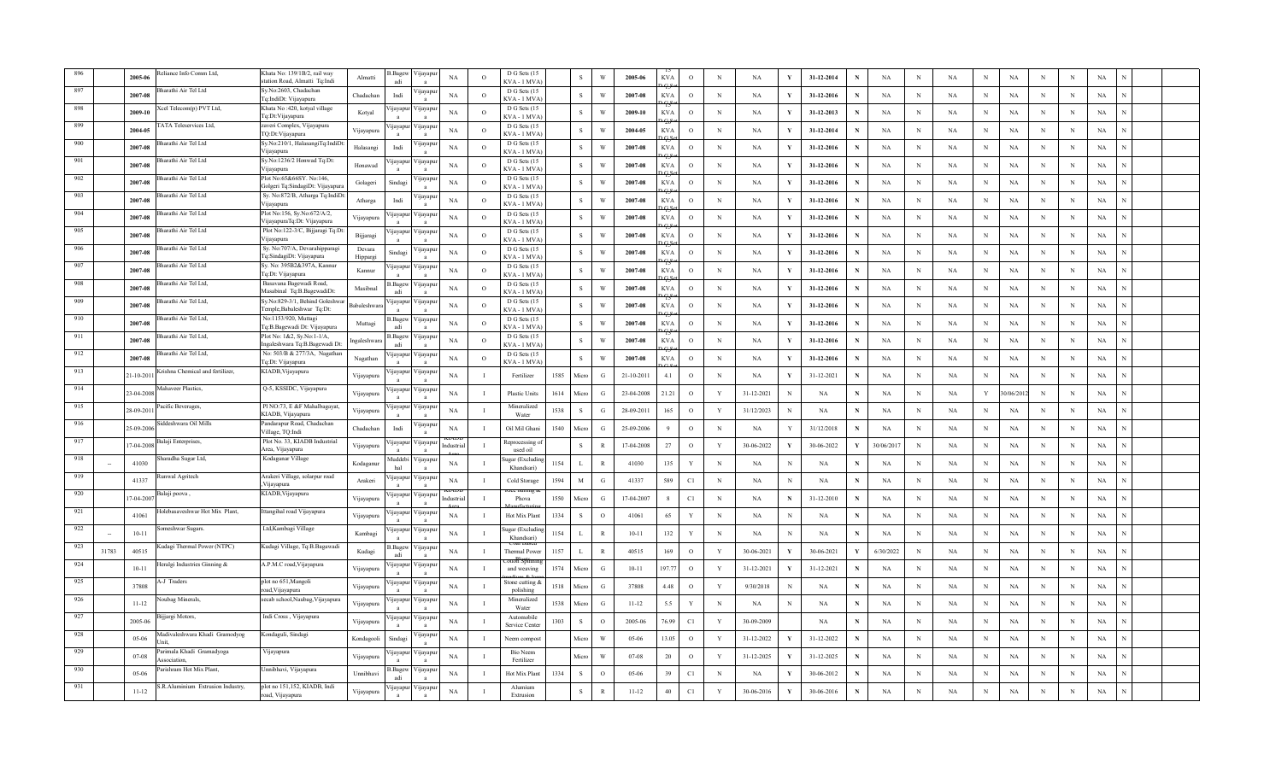|     |       | eliance Info Comm Ltd,<br>2005-06                 | Khata No: 139/1B/2, rail way<br>station Road, Almatti Tq:Indi | Almatti             | .Bage<br>adi             | 'ijayapu                     | $_{\rm NA}$ | $\Omega$       | D G Sets (15<br><b>KVA - 1 MVA</b> |      | $\,$ s       | $\ensuremath{\text{W}}$ | 2005-06    | <b>KVA</b>   | $\mathbf{o}$ | $\,$ N $\,$  | $_{\rm NA}$ |              | 31-12-2014  | N           | $_{\rm NA}$ | $\mathbf N$ | $_{\rm NA}$ | N           | $_{\rm NA}$ | N          | $\,$ N      | $_{\rm NA}$ |  |  |
|-----|-------|---------------------------------------------------|---------------------------------------------------------------|---------------------|--------------------------|------------------------------|-------------|----------------|------------------------------------|------|--------------|-------------------------|------------|--------------|--------------|--------------|-------------|--------------|-------------|-------------|-------------|-------------|-------------|-------------|-------------|------------|-------------|-------------|--|--|
|     |       | arathi Air Tel Ltd<br>2007-08                     | Sy.No:2603, Chadachan<br>Tq:IndiDt: Vijayapura                | Chadachar           | Indi                     | ijayapu                      | NA          | $\overline{O}$ | D G Sets (15<br>KVA - 1 MVA        |      | <sub>S</sub> | W                       | 2007-08    | <b>KVA</b>   | $\circ$      | $_{\rm N}$   | NA          |              | 31-12-2016  | N           | NA          | N           | NA          | N           | NA          | N          | $\,$ N      | NA          |  |  |
|     |       | cel Telecom(p) PVT Ltd,<br>2009-10                | Khata No:420, kotyal village<br>Tq:Dt:Vijayapura              | Kotyal              | ijayapu                  | √ijayapu                     | <b>NA</b>   | $\circ$        | D G Sets (15<br>KVA - 1 MVA        |      | S            | W                       | 2009-10    | KVA          | $\circ$      | N            | NA          |              | 31-12-2013  | N           | NA          | $_{\rm N}$  | NA          | N           | NA          | $_{\rm N}$ | $\,$ N      | NA          |  |  |
|     |       | ATA Teleservices Ltd,<br>2004-05                  | zaveri Complex, Vijayapura<br>TQ:Dt:Vijayapura                | Vijayapura          | ijayapı                  | √ijayapu                     | NA          | $\circ$        | D G Sets (15<br>KVA - 1 MVA        |      | s            | W                       | 2004-05    | KVA          | $\circ$      | $_{\rm N}$   | NA          | Y            | 31-12-2014  | N           | NA          | $_{\rm N}$  | NA          | $_{\rm N}$  | $_{\rm NA}$ | N          | N           | NA          |  |  |
| 900 |       | harathi Air Tel Ltd<br>2007-08                    | Sy.No:210/1, HalasangiTq:IndiDt<br>Viiavapura                 | Halasangi           | Indi                     | ijayapı                      | NA          | $\Omega$       | D G Sets (15<br><b>CVA - 1 MVA</b> |      | <sub>S</sub> | W                       | 2007-08    | <b>KVA</b>   | $\mathbf{o}$ | N            | NA          | Y            | 31-12-2016  | N           | NA          | N           | $_{\rm NA}$ | $\,$ N      | $_{\rm NA}$ | N          | $\,$ N      | $_{\rm NA}$ |  |  |
| 901 |       | 3harathi Air Tel Ltd<br>2007-08                   | Sy.No:1236/2 Honwad Tq:Dt:<br>Vijayapura                      | Honawad             | ijayapu                  | ∕ijayapur                    | <b>NA</b>   | $\circ$        | D G Sets (15<br>KVA - 1 MVA        |      | <sub>S</sub> | W                       | 2007-08    | <b>KVA</b>   | $\circ$      | N            | NA          | Y            | 31-12-2016  | N           | NA          | $_{\rm N}$  | <b>NA</b>   | $_{\rm N}$  | NA          | N          | N           | NA          |  |  |
| 902 |       | harathi Air Tel Ltd<br>2007-08                    | Plot No:65&66SY. No:146,<br>Golgeri Tq:SindagiDt: Vijayapur   | Golageri            | Sindagi                  | 'ijayapuı                    | <b>NA</b>   | $\circ$        | D G Sets (15<br><b>KVA - 1 MVA</b> |      | S            | W                       | 2007-08    | <b>KVA</b>   | $\circ$      | N            | NA          | Y            | 31-12-2016  | N           | NA          | N           | NA          | $\mathbf N$ | NA          | N          | $_{\rm N}$  | NA          |  |  |
| 903 |       | harathi Air Tel Ltd<br>2007-08                    | Sy. No:872/B, Atharga Tq:IndiD<br>Vijayapura                  | $_\mathrm{Atharga}$ | Indi                     | 'ijayapu<br>$\mathbf{a}$     | $_{\rm NA}$ | $\circ$        | D G Sets (15<br><b>KVA - 1 MVA</b> |      | $\,$ s       | W                       | 2007-08    | <b>KVA</b>   | $\mathbf{o}$ | N            | NA          | Y            | 31-12-2016  | N           | $_{\rm NA}$ | N           | NA          | $\mathbf N$ | $_{\rm NA}$ | N          | $\,$ N      | $_{\rm NA}$ |  |  |
| 904 |       | harathi Air Tel Ltd<br>2007-08                    | Plot No:156, Sy.No:672/A/2,<br>VijayapuraTq:Dt: Vijayapura    | Vijayapura          | ijayapu                  | 'ijayapu<br>$\mathbf{a}$     | NA          | $\overline{O}$ | D G Sets (15<br>KVA - 1 MVA        |      | $\,$ S       | W                       | 2007-08    | <b>KVA</b>   | $\circ$      | N            | NA          | Y            | 31-12-2016  | $\mathbf N$ | NA          | N           | NA          | $\,$ N      | NA          | $_{\rm N}$ | $\,$ N      | NA          |  |  |
| 905 |       | harathi Air Tel Ltd<br>2007-08                    | Plot No:122-3/C, Bijjaragi Tq:D<br>Vijayapura                 | Bijjaragi           | ijayapur                 | /ijayapur                    | <b>NA</b>   | $\circ$        | D G Sets (15<br>KVA - 1 MVA        |      | <sub>S</sub> | W                       | 2007-08    | <b>KVA</b>   | $\circ$      | $_{\rm N}$   | NA          |              | 31-12-2016  | N           | NA          | N           | NA          | $\mathbf N$ | NA          | $_{\rm N}$ | N           | NA          |  |  |
| 906 |       | harathi Air Tel Ltd<br>2007-08                    | Sy. No:707/A, Devarahipparagi<br>Tq:SindagiDt: Vijayapura     | Devara<br>Hippargi  | Sindagi                  | ijayapu                      | NA          | $\circ$        | D G Sets (15<br>KVA - 1 MVA        |      | <sub>S</sub> | W                       | 2007-08    | KVA          | $\circ$      | N            | NA          | Y            | 31-12-2016  | N           | NA          | N           | NA          | N           | NA          | N          | N           | NA          |  |  |
| 907 |       | harathi Air Tel Ltd<br>2007-08                    | Sy. No: 395B2&397A, Kannur<br>Tq:Dt: Vijayapura               | Kannur              | 'ijayapu<br>$\mathbf{a}$ | ∕ ijayapuı<br>$\overline{a}$ | NA          | $\circ$        | D G Sets (15<br>KVA - 1 MVA)       |      | S            | W                       | 2007-08    | <b>KVA</b>   | $\circ$      | N            | NA          | Y            | 31-12-2016  | N           | NA          | N           | $_{\rm NA}$ | $_{\rm N}$  | $_{\rm NA}$ | N          | N           | NA          |  |  |
| 908 |       | harathi Air Tel Ltd.<br>2007-08                   | Basavana Bagewadi Road,<br>Masabinal Tq:B.BagewadiDt:         | Masibnal            | 3. Bagew<br>adi          | /ijayapu<br>a                | NA          | $\Omega$       | D G Sets (15<br>KVA - 1 MVA        |      | S            | W                       | 2007-08    | <b>KVA</b>   | $\circ$      | N            | NA          | Y            | 31-12-2016  | N           | NA          | $_{\rm N}$  | NA          | $\mathbf N$ | NA          | N          | $\,$ N      | NA          |  |  |
| 909 |       | arathi Air Tel Ltd,<br>2007-08                    | Sy.No:829-3/1, Behind Goleshwa<br>Temple,Babaleshwar Tq:Dt:   | <b>Babaleshwar</b>  | ijayapu                  | ∕ ijayapuı                   | NA          | $\circ$        | D G Sets (15<br>KVA - 1 MVA)       |      | S            | W                       | 2007-08    | <b>KVA</b>   | $\circ$      | N            | NA          | Y            | 31-12-2016  | N           | NA          | $_{\rm N}$  | NA          | $\mathbf N$ | NA          | N          | N           | NA          |  |  |
| 910 |       | harathi Air Tel Ltd,<br>2007-08                   | No:1153/920, Muttagi<br>Tq:B.Bagewadi Dt: Vijayapura          | Muttagi             | .Bagev<br>adi            | 'ijayapuı<br>$\mathbf{a}$    | $_{\rm NA}$ | $\overline{O}$ | D G Sets (15<br>KVA - 1 MVA)       |      | S            | W                       | 2007-08    | <b>KVA</b>   | $\mathbf{o}$ | N            | NA          | - V          | 31-12-2016  | N           | $_{\rm NA}$ | N           | $_{\rm NA}$ | N           | $_{\rm NA}$ | N          | N           | $_{\rm NA}$ |  |  |
| 911 |       | harathi Air Tel Ltd.<br>2007-08                   | Plot No: 1&2, Sy.No:1-1/A,<br>Ingaleshwara Tq:B.Bagewadi Dt:  | ngaleshwar          | 3.Bage<br>adi            | ∕ijayapu                     | NA          | $\overline{O}$ | D G Sets (15<br><b>CVA - 1 MVA</b> |      | $\,$ S       | W                       | 2007-08    | <b>KVA</b>   | $\circ$      | $\,$ N $\,$  | NA          |              | 31-12-2016  | N           | NA          | $\mathbf N$ | $_{\rm NA}$ | $\mathbf N$ | $_{\rm NA}$ | N          | $\,$ N      | $_{\rm NA}$ |  |  |
| 912 |       | harathi Air Tel Ltd,<br>2007-08                   | No: 503/B & 277/3A, Nagathar<br>Tq:Dt: Vijayapura             | Nagathan            | 'ijayapu                 | /ijayapu                     | NA          | $\overline{O}$ | D G Sets (15<br>KVA - 1 MVA        |      | $\,$ s       | W                       | 2007-08    | <b>KVA</b>   | $\circ$      | N            | NA          |              | 31-12-2016  | N           | NA          | N           | NA          | N           | NA          | N          | $\,$ N      | NA          |  |  |
| 913 |       | rishna Chemical and fertilizer,<br>$1 - 10 - 201$ | KIADB, Vijayapura                                             | Vijayapura          | ijayapu                  | √ijayapu                     | <b>NA</b>   |                | Fertilizer                         | 1585 | Micro        | G                       | 21-10-2011 | 4.1          | $\circ$      | N            | <b>NA</b>   |              | 31-12-2021  | N           | NA          | $_{\rm N}$  | NA          | N           | NA          | N          | N           | NA          |  |  |
| 914 |       | fahaveer Plastics,<br>23-04-2008                  | Q-5, KSSIDC, Vijayapura                                       | Vijayapura          | ijayapı                  | √ijayapu<br>$\mathbf{a}$     | NA          | $\mathbf{I}$   | <b>Plastic Units</b>               | 1614 | Micro        | G                       | 23-04-2008 | 21.21        | $\circ$      | Y            | 31-12-2021  | N            | NA          | N           | NA          | N           | $_{\rm NA}$ | Y           | 30/06/201   | N          | N           | NA          |  |  |
| 915 |       | acific Beverages<br>28-09-201                     | PI NO:73, E &F Mahalbagayat,<br>KIADB, Vijayapura             | Vijayapura          | ijayapu                  | ∕ ijayapu                    | NA          | $\mathbf{I}$   | Mineralized<br>Water               | 1538 | S            | G                       | 28-09-2011 | 165          | $\circ$      | Y            | 31/12/2023  | N            | NA          | N           | NA          | N           | NA          | $\mathbf N$ | NA          | N          | $_{\rm N}$  | $_{\rm NA}$ |  |  |
| 916 |       | Siddeshwara Oil Mills<br>25-09-2006               | Pandarapur Road, Chadachan<br>Village, TQ:Indi                | Chadachar           | Indi                     | ∕ijayapur                    | <b>NA</b>   | $\mathbf{I}$   | Oil Mil Ghan                       | 1540 | Micro        | G                       | 25-09-2006 | $\mathbf{Q}$ | $\circ$      | $_{\rm N}$   | <b>NA</b>   | Y            | 31/12/2018  | N           | NA          | $_{\rm N}$  | NA          | $_{\rm N}$  | NA          | N          | N           | NA          |  |  |
| 917 |       | alaji Enterprises,<br>7-04-2008                   | Plot No. 33, KIADB Industrial<br>Area, Vijayapura             | Vijayapura          | ijayapu                  | √ijayapur                    | Industria   | $\mathbf I$    | leprocessing o<br>used oil         |      | $\,$ s       | $\mathbb{R}$            | 17-04-2008 | 27           | $\circ$      | Y            | 30-06-2022  | Y            | 30-06-2022  | Y           | 30/06/2017  | $_{\rm N}$  | NA          | $\,$ N      | NA          | $_{\rm N}$ | $\,$ N      | NA          |  |  |
| 918 |       | haradha Sugar Ltd,<br>41030                       | Kodaganar Village                                             | Kodaganu            | Auddeb<br>hal            | 'ijayapu<br>$\overline{a}$   | $_{\rm NA}$ | $\mathbf{I}$   | ıgar (Excludiı<br>Khandsari        | 1154 | $\mathbf L$  | $\mathbb{R}$            | 41030      | 135          | $\mathbf Y$  | $\,$ N       | NA          | $_{\rm N}$   | $_{\rm NA}$ | N           | NA          | N           | $_{\rm NA}$ | $\mathbf N$ | $_{\rm NA}$ | N          | $\,$ N      | $_{\rm NA}$ |  |  |
| 919 |       | unwal Agritech<br>41337                           | Arakeri Village, solarpur road<br>Vijayapura                  | Arakeri             | jayapu                   | 'ijayapu<br>$\mathbf{a}$     | NA          | $\mathbf{I}$   | Cold Storage                       | 1594 | $\mathbf M$  | G                       | 41337      | 589          | C1           | N            | NA          | N            | NA          | $\mathbf N$ | NA          | $_{\rm N}$  | NA          | $\mathbf N$ | NA          | $_{\rm N}$ | $\,$ N      | NA          |  |  |
| 920 |       | alaji poova ,<br>$7 - 04 - 200$                   | KIADB, Vijayapura                                             | Vijayapura          | ijayapu                  | ∕ijayapur                    | adustria    |                | Phova                              | 1550 | Micro        | G                       | 17-04-2007 | 8            | C1           | N            | NA          | $\mathbf N$  | 31-12-2010  | N           | NA          | N           | NA          | N           | NA          | N          | N           | NA          |  |  |
| 921 |       | olebasaveshwar Hot Mix Plant,<br>41061            | Ittangihal road Vijayapura                                    | Vijayapura          | ijayapu<br>$\mathbf{a}$  | 'ijayapu<br>$\mathbf{a}$     | NA          | $\mathbf{I}$   | Hot Mix Plant                      | 1334 | S            | $\Omega$                | 41061      | 65           | $\mathbf Y$  | N            | <b>NA</b>   | N            | NA          | N           | NA          | N           | $_{\rm NA}$ | N           | NA          | N          | N           | NA          |  |  |
| 922 |       | omeshwar Sugars<br>$10 - 11$                      | Ltd, Kambagi Village                                          | Kambagi             | ijayapu<br>$\mathbf{a}$  | ∕ijayapu<br>$\overline{a}$   | NA          | $\mathbf{I}$   | ıgar (Excludi<br>Khandsari)        | 1154 | $\mathbf L$  | $\mathbb{R}$            | $10 - 11$  | 132          | $\mathbf Y$  | N            | <b>NA</b>   | N            | NA          | N           | NA          | N           | $_{\rm NA}$ | $_{\rm N}$  | NA          | N          | $\,$ N      | NA          |  |  |
| 923 | 31783 | udagi Thermal Power (NTPC)<br>40515               | Kudagi Village, Tq:B.Bagawadi                                 | Kudagi              | Bagev<br>adi             | 'ijayapur                    | NA          | $\mathbf{I}$   | Thermal Powe                       | 1157 | L            | $\mathbb{R}$            | 40515      | 169          | $\circ$      | Y            | 30-06-2021  | Y            | 30-06-2021  | Y           | 6/30/2022   | $\mathbf N$ | NA          | $\mathbf N$ | NA          | N          | $\,$ N      | NA          |  |  |
| 924 |       | eralgi Industries Ginning &<br>$10 - 11$          | A.P.M.C road, Vijayapura                                      | Vijayapura          | <b>1jayap</b>            | 'ijayapu                     | $_{\rm NA}$ | $\mathbf I$    | and weaving                        | 1574 | Micro        | G                       | $10 - 11$  | 97.77        | $\circ$      | Y            | 31-12-2021  | Y            | 31-12-2021  | N           | NA          | N           | NA          | N           | NA          | N          | N           | $_{\rm NA}$ |  |  |
| 925 |       | -J Traders<br>37808                               | plot no 651, Mangoli<br>road, Vijayapura                      | Vijayapura          | ijayapı                  | 'ijayapuı<br>$\mathbf{a}$    | $_{\rm NA}$ | $\mathbf{I}$   | stone cutting<br>polishing         | 1518 | Micro        | $\mathcal{G}$           | 37808      | 4.48         | $\circ$      | Y            | 9/30/2018   | N            | NA          | N           | NA          | $\mathbf N$ | NA          | $\mathbf N$ | NA          | N          | N           | $_{\rm NA}$ |  |  |
| 926 |       | oubag Minerals,<br>$11 - 12$                      | secab school, Naubag, Vijayapura                              | Vijayapura          | jayapı                   | 'ijayapu                     | NA          | $\mathbf I$    | Mineralized<br>Water               | 1538 | Micro        | G                       | $11 - 12$  | 5.5          | Y            | N            | NA          | N            | NA          | N           | NA          | $\mathbf N$ | NA          | $\mathbf N$ | NA          | N          | N           | NA          |  |  |
| 927 |       | ijjargi Motors,<br>2005-06                        | Indi Cross, Vijayapura                                        | Vijayapura          | ijayapı                  | ∕ijayapur                    | NA          | -1             | Automobile<br>Service Cente        | 1303 | S            | $\circ$                 | 2005-06    | 76.99        | C1           | Y            | 30-09-2009  |              | NA          | N           | NA          | N           | NA          | N           | NA          | N          | $\,$ N      | NA          |  |  |
| 928 |       | Iadivaleshwara Khadi Gramodyog<br>05-06           | Kondaguli, Sindagi                                            | Kondagooli          | Sindagi                  | 'ijayapur                    | NA          | л.             | Neem compos                        |      | Micro        | W                       | $05-06$    | 13.05        | $\mathbf{o}$ | Y            | 31-12-2022  |              | 31-12-2022  | N           | NA          | N           | NA          | $\mathbf N$ | NA          | N          | $\mathbf N$ | NA          |  |  |
| 929 |       | arimala Khadi Gramadvoga<br>07-08<br>ssociation   | Vijayapura                                                    | Vijayapura          | yayapı                   | ∕ ijayapu<br>$\mathbf{a}$    | <b>NA</b>   | $\mathbf{I}$   | <b>Bio Neem</b><br>Fertilizer      |      | Miere        | W                       | $07 - 08$  | 20           | $\circ$      | $\mathbf{Y}$ | 31-12-2025  | $\mathbf{v}$ | 31-12-2025  | N           | NA          | N           | NA          | $_{\rm N}$  | NA          | N          | N           | NA          |  |  |
| 930 |       | arishram Hot Mix Plant.<br>05-06                  | Jnnibhavi, Vijayapura                                         | Unnibhavi           | .Bage<br>adi             | 'ijayapı                     | <b>NA</b>   |                | Hot Mix Plan                       | 1334 | S            | $\circ$                 | 05-06      | 39           | C1           | N            | NA          | Y            | 30-06-2012  | N           | NA          | N           | <b>NA</b>   | $\mathbf N$ | NA          | N          | N           | NA          |  |  |
| 931 |       | S.R.Aluminium Extrusion Industry,<br>$11 - 12$    | plot no 151,152, KIADB, Indi<br>oad, Vijayapura               | Vijayapura          | 'ijayapu                 | ∕ijayapur                    | NA          |                | Alumium<br>Extrusion               |      | <sub>S</sub> | $\mathbb{R}$            | $11 - 12$  | 40           | C1           | Y            | 30-06-2016  | $\mathbf Y$  | 30-06-2016  |             | NA          | N           | NA          | N           | NA          | N          | N           | $_{\rm NA}$ |  |  |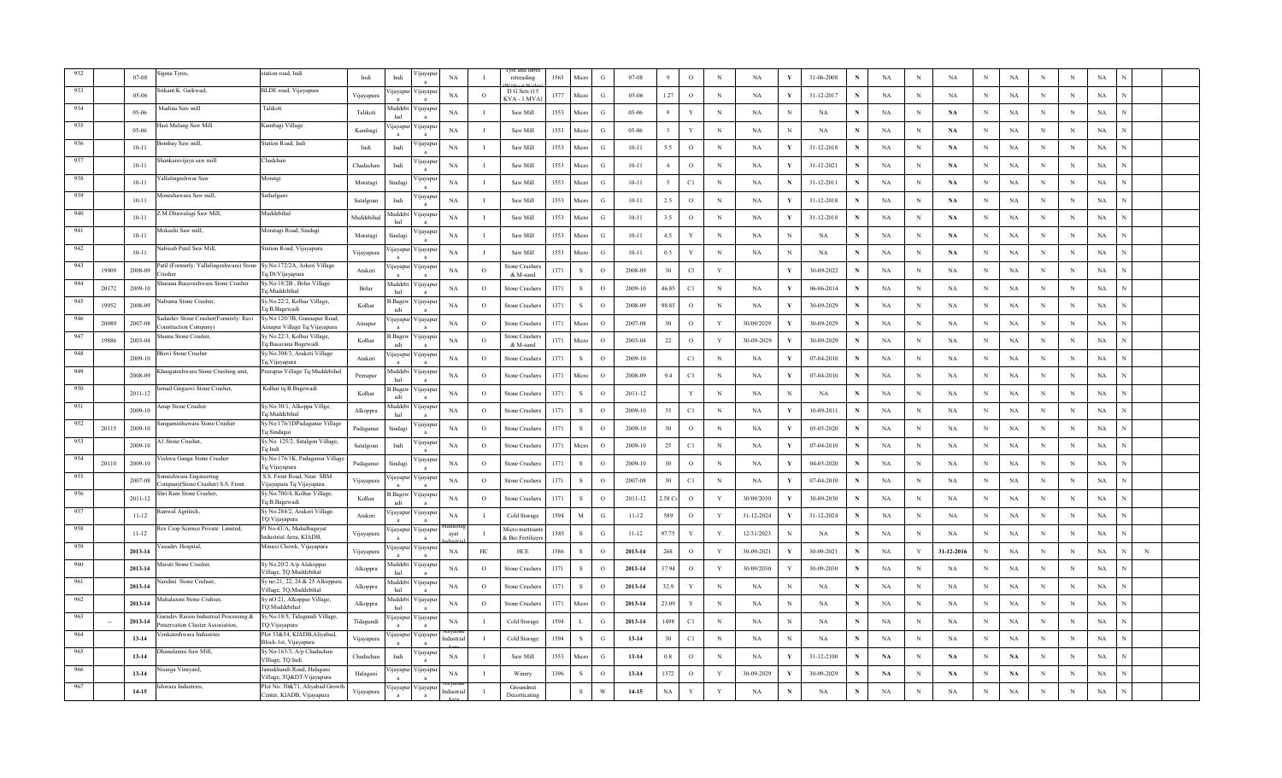|     |       | $07-08$   | gma Tyres,                                                                      | station road. Indi                                            | Indi       | Indi                     | ijayapı                  | NA          |          | retreading                      | 1563 | Micro        | G             | 07-08     |              | $\circ$      | $_{\rm N}$   | NA          | Y            | 31-06-2008  |             | NA          | N           | NA            | $_{\rm N}$ | NA            | N           | N           | $_{\rm NA}$ |            |  |
|-----|-------|-----------|---------------------------------------------------------------------------------|---------------------------------------------------------------|------------|--------------------------|--------------------------|-------------|----------|---------------------------------|------|--------------|---------------|-----------|--------------|--------------|--------------|-------------|--------------|-------------|-------------|-------------|-------------|---------------|------------|---------------|-------------|-------------|-------------|------------|--|
|     |       | $05-06$   | rikant.K. Gaikwad                                                               | BLDE road, Vijayapura                                         | Vijayapur  | <i>u</i> ayapur          | цауар                    | NA          | $\circ$  | D G Sets (1)<br>CVA - 1 MV      | 1577 | Micn         | G             | $05-06$   | 1.27         | $\circ$      | N            | NA          | Y            | 31-12-2017  | N           | NA          | N           | NA            | N          | NA            | N           | N           | NA          |            |  |
|     |       | 05-06     | Aadina Saw mill                                                                 | Talikoti                                                      | Talikoti   | Auddebi                  | ∕ ijayapı                | NA          |          | Saw Mill                        | 1553 | Micro        | G             | 05-06     | 9            | Y            | $_{\rm N}$   | NA          | N            | NA          |             | NA          | N           | NA            | N          | NA            | N           | N           | NA          |            |  |
|     |       | 05-06     | Jazi Malang Saw Mill                                                            | Kambagi Village                                               | Kambagi    | ijayapur                 | ∕ijayapı                 | NA          |          | Saw Mill                        | 1553 | Micro        | G             | 05-06     |              | Y            | $_{\rm N}$   | <b>NA</b>   | N            | <b>NA</b>   | N           | <b>NA</b>   | N           | <b>NA</b>     | N          | <b>NA</b>     | N           | N           | NA          |            |  |
|     |       | $10 - 11$ | ombay Saw mill,                                                                 | Station Road, Indi                                            | Indi       | Indi                     | 'ijayar                  | $_{\rm NA}$ |          | Saw Mill                        | 1553 | Micro        | G             | $10-11$   | 5.5          | $\circ$      | $\mathbf N$  | NA          | V.           | 31-12-2018  | N           | NA          | N           | NA            | $\,$ N     | NA            | N           | N           | $_{\rm NA}$ |            |  |
| 937 |       | $10 - 11$ | Shankaravijaya saw mill                                                         | Chadchan                                                      | Chadachar  | Indi                     | <b>yayap</b>             | NA          |          | Saw Mill                        | 1553 | Micro        | G             | $10 - 11$ | $\mathbf{A}$ | $\circ$      | N            | NA          | $\mathbf{v}$ | 31-12-2021  |             | NA          | N           | $\mathbf{NA}$ | $_{\rm N}$ | <b>NA</b>     | N           | N           | NA          |            |  |
| 938 |       | $10 - 11$ | allalingeshwar Saw                                                              | Moratgi                                                       | Moratagi   | Sindag                   | 'ijayapı                 | NA          |          | Saw Mill                        | 1553 | Micro        | G             | $10 - 11$ |              | C1           | $_{\rm N}$   | <b>NA</b>   | N            | 31-12-2011  | N           | NA          | N           | <b>NA</b>     | N          | NA            | N           | N           | NA          |            |  |
| 939 |       | $10 - 11$ | Aoneshawara Saw mill,                                                           | Sathalganv                                                    | Satalgoan  | Indi                     | 'ijayap                  | NA          |          | Saw Mill                        | 1553 | Micro        | G             | $10 - 11$ | 2.5          | $\circ$      | N            | <b>NA</b>   | Y            | 31-12-2018  | N           | NA          | N           | NA            | N          | <b>NA</b>     | N           | N           | NA          |            |  |
| 940 |       | $10 - 11$ | .M.Dhawalagi Saw Mill,                                                          | Muddebihal                                                    | Muddebihal | <b>fuddeb</b><br>hal     | 'ijayap                  | $_{\rm NA}$ |          | Saw Mill                        | 1553 | Micro        | G             | $10-11$   | 3.5          | $\circ$      | N            | NA          | V            | 31-12-2018  | N           | NA          | N           | NA            | $\,$ N     | NA            | N           | N           | $_{\rm NA}$ |            |  |
| 941 |       | $10 - 11$ | Mokashi Saw mill,                                                               | Moratagi Road, Sindagi                                        | Moratagi   | Sindagi                  | цауар                    | NA          |          | Saw Mill                        | 1553 | Micro        | G             | $10 - 11$ | 4.5          | Y            | $_{\rm N}$   | NA          | N            | NA          | N           | NA          | N           | $\mathbf{NA}$ | N          | $_{\rm NA}$   | N           | N           | NA          |            |  |
| 942 |       | $10 - 11$ | Vabisab Patel Saw Mill,                                                         | Station Road, Vijayapura                                      | Vijayapura | <b>11avapur</b>          | /цауар                   | NA          |          | Saw Mill                        | 1553 | Micro        | G             | $10 - 11$ | 0.5          | Y            | $_{\rm N}$   | NA          | N            | NA          | N           | NA          | N           | <b>NA</b>     | $_{\rm N}$ | NA            | N           | N           | NA          |            |  |
| 943 | 19909 | 2008-09   | Patil (Formerly: Yallalingeshwara) Stone Sy.No:172/2A, Arkeri Village<br>rusher | Fq:Dt:Vijayapura                                              | Arakeri    | ijayapur                 | ∕ijayapı                 | NA          | $\circ$  | Stone Crushe<br>& M-sand        | 1371 | -S           | $\circ$       | 2008-09   | 30           | Cl           | Y            |             | Y            | 30-09-2022  | N           | NA          | $_{\rm N}$  | <b>NA</b>     | $_{\rm N}$ | NA            | N           | N           | NA          |            |  |
| 944 | 20172 | 2009-10   | harana Basaveshwara Stone Crusher                                               | Sy.No:18/2B, Belur Village<br>Tq:Muddebihal                   | Belur      | Auddebi<br>hal           | ∕ijayapı                 | NA          | $\Omega$ | Stone Crusher                   | 1371 | -S           | $\Omega$      | 2009-10   | 46.85        | C1           | $\mathbf N$  | NA          | Y            | 06-06-2014  | N           | NA          | N           | NA            | $_{\rm N}$ | <b>NA</b>     | N           | N           | NA          |            |  |
| 945 | 19952 | 2008-09   | Nabuma Stone Crusher,                                                           | Sy.No:22/2, Kolhar Village,<br>lg:B.Bagewadi                  | Kolhar     | 3. Bagew<br>adi          | 'ijayap                  | NA          | $\circ$  | Stone Crusher.                  | 1371 | $\,$ S $\,$  | $\circ$       | 2008-09   | 98.85        | $\circ$      | $_{\rm N}$   | NA          | $\mathbf{v}$ | 30-09-2029  | $\mathbf N$ | NA          | $\mathbf N$ | NA            | $_{\rm N}$ | $_{\rm NA}$   | N           | N           | NA          |            |  |
| 946 | 20089 | 2007-08   | adashiv Stone Crusher(Formerly: Ravi<br>onstruction Company)                    | Sy.No:120/3B, Gunnapur Road,<br>Ainapur Village Tq:Vijayapura | Ainapur    | <b>11avapur</b>          | <b>yayap</b>             | NA          | $\circ$  | Stone Crusher                   | 1371 | Micro        | $\circ$       | 2007-08   | 30           | $\circ$      | Y            | 30/09/2029  |              | 30-09-2029  | N           | NA          | N           | NA            | $_{\rm N}$ | NA            | N           | N           | NA          |            |  |
| 947 | 19886 | 2003-04   | hama Stone Crusher.                                                             | Sy No:22/3, Kolhar Village,<br>Tq:Basavana Bagewadi           | Kolhar     | 3. Bagew<br>adi          | ∕ijayapı                 | NA          | $\Omega$ | <b>Stone Crushe</b><br>& M-sand | 1371 | Micro        | $\Omega$      | 2003-04   | $22\,$       | $\circ$      | Y            | 30-09-2029  | V            | 30-09-2029  | N           | NA          | N           | NA            | N          | NA            | N           | N           | NA          |            |  |
| 948 |       | 2009-10   | hovi Stone Crusher                                                              | Sy.No:308/3, Arakeri Village<br>Tq:Vijayapura                 | Arakeri    | ijayapu                  | 'ijayapı                 | NA          | $\circ$  | Stone Crusher                   | 1371 | -S           | $\Omega$      | 2009-10   |              | C1           | N            | NA          | Y            | 07-04-2010  | N           | NA          | N           | NA            | $_{\rm N}$ | NA            | N           | $_{\rm N}$  | NA          |            |  |
| 949 |       | 2008-09   | hasgateshwara Stone Crushing unit,                                              | Peerapur Village Tq:Muddebihal                                | Peerapur   | Auddebi<br>hal           | цауар                    | NA          | $\circ$  | Stone Crusher                   | 1371 | Micro        | $\circ$       | 2008-09   | 9.4          | C1           | $_{\rm N}$   | NA          | Y            | 07-04-2010  | N           | NA          | N           | NA            | $_{\rm N}$ | $_{\rm NA}$   | $_{\rm N}$  | N           | NA          |            |  |
|     |       | 2011-12   | mail Girgaovi Stone Crusher,                                                    | Kolhar tq:B.Bagewadi                                          | Kolhar     | 3.Bagew<br>adi           | ∕ ijayap                 | NA          | $\circ$  | stone Crusher                   | 1371 | -S           | $\Omega$      | 2011-12   |              | Y            | N            | NA          | N            | $_{\rm NA}$ | N           | NA          | N           | $_{\rm NA}$   | N          | <b>NA</b>     | N           | N           | NA          |            |  |
|     |       | 2009-10   | Anup Stone Crusher                                                              | Sy.No:30/1, Alkoppa Villge,<br>Tq:Muddebihal                  | Alkoppra   | Auddebi<br>hal           | √ijayap                  | NA          | $\Omega$ | Stone Crusher                   | 1371 | $\mathbf{s}$ | $\Omega$      | 2009-10   | 35           | C1           | $\mathbf N$  | <b>NA</b>   | $\mathbf{v}$ | 10-09-2011  | N           | NA          | N           | <b>NA</b>     | $_{\rm N}$ | NA            | N           | N           | NA          |            |  |
| 952 | 20115 | 2009-10   | angameshawara Stone Crusher                                                     | Sy.No:176/1DPadaganur Village<br>Ta:Sindagai                  | Padaganur  | Sindagi                  | ijayap                   | NA          | $\circ$  | Stone Crusher                   | 1371 | -S           | $\Omega$      | 2009-10   | 30           | $\circ$      | N            | NA          | Y            | 05-05-2020  | N           | NA          | N           | NA            | N          | <b>NA</b>     | N           | N           | NA          |            |  |
| 953 |       | 2009-10   | A1.Stone Crusher,                                                               | Sy.No. 125/2, Satalgon Village,<br>Ta:Indi                    | Satalgoan  | Indi                     | 'ijayapi                 | NA          | $\circ$  | Stone Crusher                   | 1371 | Micro        | $\circ$       | 2009-10   | 25           | C1           | N            | NA          | Y            | 07-04-2010  | N           | NA          | N           | NA            | N          | <b>NA</b>     | N           | N           | NA          |            |  |
| 954 | 20110 | 2009-10   | 'ishwa Ganga Stone Crusher                                                      | Sy.No:176/1K, Padaganur Village<br>Tq: Vijayapura             | Padaganur  | Sindagi                  | 'ijayapı                 | $_{\rm NA}$ | $\Omega$ | Stone Crusher                   | 1371 | -S           | $\Omega$      | 2009-10   | 30           | $\circ$      | N            | NA          | $\mathbf{v}$ | 04-05-2020  | N           | NA          |             | NA            | N          | <b>NA</b>     | N           | N           | $_{\rm NA}$ |            |  |
| 955 |       | 2007-08   | omeshwara Engineering<br>'ompany(Stone Crusher) S.S. Front                      | S.S. Front Road, Near SBM<br>Vijayapura Tq:Vijayapura         | Vijayapura | 11ayapu                  | 'ijayapı                 | $_{\rm NA}$ | $\circ$  | Stone Crusher                   | 1371 | S            | $\circ$       | 2007-08   | 30           | C1           | N            | NA          | $\mathbf Y$  | 07-04-2010  | N           | NA          | N           | NA            | N          | $_{\rm NA}$   | $\mathbf N$ | $\,$ N      | $_{\rm NA}$ |            |  |
| 956 |       | 2011-12   | nri Ram Stone Crusher                                                           | Sy.No:700/4, Kolhar Village,<br>To:B.Bagewadi                 | Kolhar     | .Bagev<br>adi            | 'ijayapı                 | NA          | $\circ$  | Stone Crusher                   | 1371 | S            | $\circ$       | 2011-12   | .58 C        | $\circ$      | Y            | 30/09/2030  | Y            | 30-09-2030  | N           | NA          | N           | NA            | N          | <b>NA</b>     | N           | N           | NA          |            |  |
| 957 |       | $11 - 12$ | unwal Agritech,                                                                 | Sy No:284/2, Arakeri Village.<br>TQ:Vijayapura                | Arakeri    | <i>u</i> ayapur          | ∕ µayapt                 | NA          |          | Cold Storage                    | 1594 | M            | G             | $11 - 12$ | 589          | $\circ$      | Y            | 31-12-2024  | Y            | 31-12-2024  | N           | NA          | N           | NA            | N          | NA            | N           | N           | NA          |            |  |
| 958 |       | $11 - 12$ | ex Crop Science Private Limited,                                                | Pl No:43/A, Mahalbagayat<br>ndustrial Area, KIADB,            | Vijayapura | ijayapur                 | √ijayap                  | ayat        | T        | Micro nuetria<br>Bio Fertilizer | 1585 | -S           | $\mathcal{G}$ | $11 - 12$ | 97.75        | Y            | Y            | 12/31/2023  |              | NA          | N           | NA          | N           | NA            | $_{\rm N}$ | NA            | N           | N           | $_{\rm NA}$ |            |  |
| 959 |       | 2013-14   | asudev Hospital.                                                                | Minaxi Chowk, Vijayapura                                      | Vijayapura | ijayapu                  | √ijayap                  | NA          | HC       | <b>HCE</b>                      | 1386 | -S           | $\Omega$      | 2013-14   | 268          | $\circ$      | Y            | 30-09-2021  | Y            | 30-09-2021  | N           | NA          | Y           | 31-12-2016    | N          | $_{\rm NA}$   | N           | N           | NA          | $_{\rm N}$ |  |
|     |       | 2013-14   | aruti Stone Crusher.                                                            | Sy No.20/2 A/p Alakoppar<br>Village, TQ:Muddebihal            | Alkoppra   | Auddebi<br>hal           | ∕ijayapı                 | NA          | $\circ$  | Stone Crusher                   | 1371 | -S           | $\Omega$      | 2013-14   | 37.94        | $\circ$      | Y            | 30/09/2030  | Y            | 30-09-2030  | N           | NA          | N           | NA            | N          | <b>NA</b>     | $\mathbf N$ | N           | NA          |            |  |
|     |       | 2013-14   | andini Stone Cruhser,                                                           | Sy no:21, 22, 24 & 25 Alkoppara<br>Village, TQ;Muddebihal     | Alkoppra   | <b>fuddebi</b><br>hal    | 'ijayapı                 | NA          | $\circ$  | Stone Crushers                  | 1371 | <sub>S</sub> | $\circ$       | 2013-14   | 32.9         | Y            | N            | NA          | N            | NA          | N           | NA          | N           | <b>NA</b>     | N          | NA            | N           | N           | NA          |            |  |
|     |       | 2013-14   | ahalaxmi Stone Cruhser,                                                         | SynO:21, Alkoppar Village,<br>TO:Muddebihal                   | Alkoppra   | Auddebi<br>hal           | 'ijayapı                 | <b>NA</b>   | $\circ$  | Stone Crusher                   | 1371 | Micro        | $\circ$       | 2013-14   | 23.09        | Y            | $\mathbf N$  | NA          | N            | NA          | N           | NA          | N           | NA            | N          | NA            | N           | $\mathbf N$ | $_{\rm NA}$ |            |  |
|     |       | 2013-14   | iurudev Raisin Industrial Processing &<br>reservation Cluster Association.      | Sy.No:18/5, Tidagundi Village,<br>TQ:Vijayapura               | Tidagundi  | ijayapu                  | ∕ijayapı                 | NA          | T        | Cold Storage                    | 1594 | $\mathbf{L}$ | G             | 2013-14   | 1498         | C1           | $_{\rm N}$   | $_{\rm NA}$ | N            | NA          | N           | NA          | N           | NA            | N          | $_{\rm NA}$   | N           | N           | NA          |            |  |
|     |       | $13 - 14$ | enkateshwara Industries                                                         | Plot 53&54, KIADB, Aliyabad,<br>Block-1st, Vijayapura         | Vijayapura | ijayapur                 | ∕ijayapı                 | ıdııstri:   |          | Cold Storage                    | 1594 | -S           | G             | $13 - 14$ | 30           | C1           | N            | NA          | N            | NA          |             | NA          | N           | NA            | N          | <b>NA</b>     | N           | N           | NA          |            |  |
|     |       | $13 - 14$ | hanalaxmi Saw Mill,                                                             | Sy No:163/3, A/p Chadachan<br>VIllage, TQ:Indi                | Chadachar  | Indi                     | цауар                    | NA          |          | Saw Mill                        | 1553 | Micro        | G             | $13 - 14$ | $0.8\,$      | $\circ$      | $_{\rm N}$   | NA          |              | 31-12-2100  | N           | NA          | N           | NA            | N          | $\mathbf{NA}$ | N           | N           | NA          |            |  |
|     |       | $13 - 14$ | isarga Vineyard,                                                                | Jamakhandi Road, Halagani<br>Village, TQ&DT: Vijayapura       | Halagani   | ijayapur                 | ∕ijayapı                 | NA          |          | Winery                          | 1396 | -S           | $\circ$       | $13 - 14$ | 1372         | $\circ$      | Y            | 30-09-2029  | Y            | 30-09-2029  | N           | <b>NA</b>   | N           | NA            | N          | NA            | N           | N           | NA          |            |  |
|     |       | $14-15$   | Ishwara Industries                                                              | Plot No: 50&71, Aliyabad Growth<br>Center, KIADB, Vijayapura  | Vijayapura | ijayapur<br>$\mathbf{a}$ | Vijayapı<br>$\mathbf{a}$ | ndustria    | - T      | Groundnut<br>Decorticating      |      | ${\bf S}$    | W             | 14-15     | $_{\rm NA}$  | $\mathbf{v}$ | $\mathbf{V}$ | NA          |              | NA          |             | $_{\rm NA}$ | N           | $_{\rm NA}$   | $_{\rm N}$ | NA            | N           | $\mathbf N$ | $_{\rm NA}$ |            |  |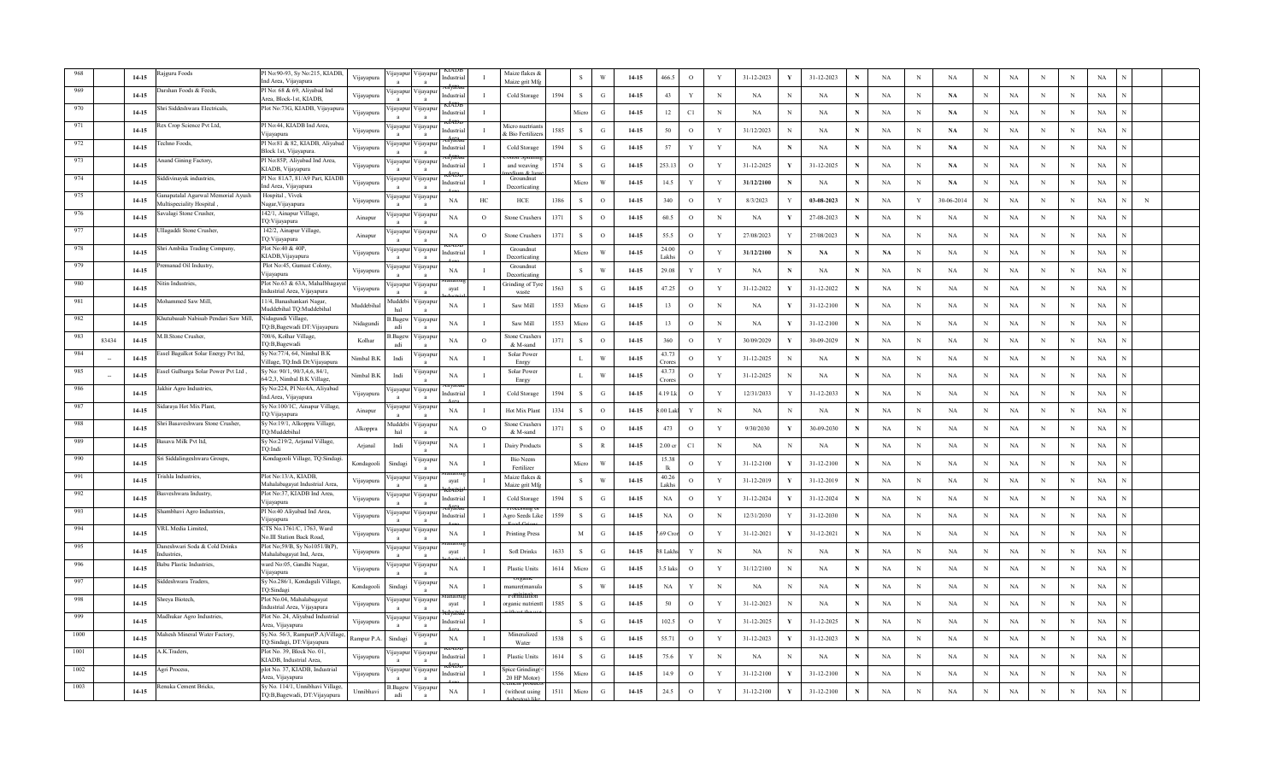|      |       | $14 - 15$ | ajguru Foods                                                  | Pl No:90-93, Sy No:215, KIADB<br>Ind Area, Vijayapura            | Vijayapura | ijayapu                 | 'ijayapu                   | Industria       | $\blacksquare$   | Maize flakes &<br>Maize grit Mfg       |      | $\,$ S       | W             | $14 - 15$ | 466.5                   | $\mathbf{o}$ | $\mathbf{Y}$ | 31-12-2023 | 31-12-2023       | N           | NA          | $\, {\rm N}$ | $_{\rm NA}$   | N           | $_{\rm NA}$ | N           | $_{\rm N}$ | $_{\rm NA}$ |   |  |
|------|-------|-----------|---------------------------------------------------------------|------------------------------------------------------------------|------------|-------------------------|----------------------------|-----------------|------------------|----------------------------------------|------|--------------|---------------|-----------|-------------------------|--------------|--------------|------------|------------------|-------------|-------------|--------------|---------------|-------------|-------------|-------------|------------|-------------|---|--|
|      |       | $14 - 15$ | arshan Foods & Feeds,                                         | Pl No: 68 & 69, Alivabad Ind<br>Area, Block-1st, KIADB.          | Vijayapura | <b>1jayapu</b>          | 'ijayapu                   | Industria       | $\mathbf{I}$     | Cold Storage                           | 1594 | <sub>S</sub> | G             | $14 - 15$ | 43                      | Y            | $_{\rm N}$   | NA         | N<br>NA          | N           | NA          | N            | NA            | N           | NA          | N           | N          | NA          |   |  |
|      |       | $14 - 15$ | hri Siddeshwara Electricals,                                  | Plot No:73G, KIADB, Vijayapura                                   | Vijayapura | ijayapu                 | Vijayapuı                  | dustria         |                  |                                        |      | Micro        | G             | 14-15     | 12                      | C1           | $_{\rm N}$   | NA         | NA<br>N          | N           | NA          | $_{\rm N}$   | NA            | N           | NA          | N           | N          | NA          |   |  |
|      |       | 14-15     | Rex Crop Science Pvt Ltd,                                     | Pl No:44, KIADB Ind Area,<br>Vijayapura                          | Vijayapura | yayapı                  | ∕ijayapu                   | <b>ndustria</b> | $\mathbf{I}$     | Aicro nuetrian<br><b>Bio Fertilize</b> | 1585 | <sub>S</sub> | $\mathcal{G}$ | 14-15     | 50                      | $\circ$      | Y            | 31/12/2023 | NA<br>N          |             | <b>NA</b>   | $_{\rm N}$   | <b>NA</b>     | N           | NA          | N           | N          | NA          |   |  |
| 972  |       | $14 - 15$ | `echno Foods,                                                 | Pl No:81 & 82, KIADB, Aliyaba<br>Block 1st, Vijayapura.          | Vijayapura | ijayapu                 | ∕ ijayapuı                 | ndustria        | - 1              | Cold Storage                           | 1594 | $\,$ S       | $\mathbf{G}$  | 14-15     | 57                      | $\mathbf Y$  | $\mathbf{Y}$ | NA         | $_{\rm NA}$<br>N | N           | NA          | $_{\rm N}$   | $\mathbf{NA}$ | N           | $_{\rm NA}$ | N           | N          | $_{\rm NA}$ |   |  |
| 973  |       | $14 - 15$ | Anand Gining Factory,                                         | Pl No:85P, Aliyabad Ind Area,<br>KIADB, Vijayapura               | Vijayapura | yayapu                  | /ijayapu                   | ndustri         |                  | and weaving                            | 1574 | S            | G             | 14-15     | 253.13                  | $\circ$      | Y            | 31-12-2025 | 31-12-2025       | N           | NA          | $_{\rm N}$   | <b>NA</b>     | N           | NA          | N           | N          | NA          |   |  |
| 974  |       | $14 - 15$ | iddivinayak industries,                                       | Pl No: 81A7, 81/A9 Part, KIADE<br>nd Area, Vijayapura            | Vijayapura | ijayapu                 | ∕ijayapur                  | ndustria        |                  | Groundnut<br>Decorticating             |      | Micro        | W             | 14-15     | 14.5                    | Y            | Y            | 31/12/2100 | NA               |             | NA          | $_{\rm N}$   | $\mathbf{NA}$ | N           | NA          | N           | N          | NA          |   |  |
| 975  |       | $14 - 15$ | anapatalal Agarwal Memorial Ayush<br>Multispeciality Hospital | Hospital, Vivek<br>Vagar, Vijayapura                             | Vijayapura | jayap                   | ijayapı                    | NA              | $_{\mathrm{HC}}$ | HCE                                    | 1386 | $\mathbf S$  | $\circ$       | $14-15$   | 340                     | $\circ$      | Y            | 8/3/2023   | 03-08-2023       |             | NA          | $\mathbf Y$  | 30-06-2014    | $\mathbf N$ | $_{\rm NA}$ | $\mathbf N$ | N          | $_{\rm NA}$ | N |  |
| 976  |       | $14 - 15$ | avalagi Stone Crusher,                                        | 142/1, Ainapur Village,<br>TQ:Vijayapura                         | Ainapur    | jayapu                  | ijayapı                    | $_{\rm NA}$     | $\circ$          | Stone Crusher                          | 1371 | S            | $\circ$       | $14-15$   | 60.5                    | $\mathbf{o}$ | $\,$ N       | NA         | 27-08-2023       | N           | NA          | $_{\rm N}$   | NA            | N           | $_{\rm NA}$ | $\mathbf N$ | N          | $_{\rm NA}$ |   |  |
| 977  |       | $14 - 15$ | llagaddi Stone Crusher,                                       | 142/2, Ainapur Village,<br>TQ:Vijayapura                         | Ainapur    | <b>q</b> ayapu          | ijayapu                    | <b>NA</b>       | $\circ$          | Stone Crushers                         | 1371 | <sub>S</sub> | $\circ$       | 14-15     | 55.5                    | $\circ$      | Y            | 27/08/2023 | 27/08/2023       | N           | NA          | $_{\rm N}$   | NA            | $_{\rm N}$  | NA          | N           | N          | NA          |   |  |
| 978  |       | $14 - 15$ | hri Ambika Trading Company,                                   | Plot No:40 & 40P,<br>KIADB, Vijayapura                           | Vijayapura | ijayapı                 | √ijayapu                   | ndustria        | - T              | Groundnut<br>Decorticating             |      | Micro        | W             | 14-15     | 24.00<br>Lakhs          | $\circ$      | Y            | 31/12/2100 | NA               | N           | <b>NA</b>   | $_{\rm N}$   | NA            | N           | NA          | $\mathbf N$ | N          | NA          |   |  |
| 979  |       | $14-15$   | remanad Oil Industry,                                         | Plot No:45, Gumast Colony,<br>Viiavapura                         | Vijayapura | ijayapu<br>$\mathbf{a}$ | √ijayapu<br>$\mathbf{a}$   | <b>NA</b>       | $\mathbf{I}$     | Groundnut<br>Decorticating             |      | s            | W             | $14 - 15$ | 29.08                   | $\mathbf Y$  | $\mathbf Y$  | NA         | NA<br>N          | ${\bf N}$   | NA          | $_{\rm N}$   | $_{\rm NA}$   | N           | $_{\rm NA}$ | N           | N          | $_{\rm NA}$ |   |  |
| 980  |       | $14 - 15$ | itin Industries,                                              | Plot No.63 & 63A, Mahalbhaga<br>ndustrial Area, Vijayapura       | Vijayapura | ijayapuı                | ∕ ijayapuı<br>$\mathbf{a}$ | avat            | $\mathbf{I}$     | irinding of Tyr<br>waste               | 1563 | <sub>S</sub> | $\mathbf{G}$  | $14 - 15$ | 47.25                   | $\mathbf{o}$ | $\mathbf{Y}$ | 31-12-2022 | 31-12-2022       | $\mathbf N$ | NA          | $_{\rm N}$   | NA            | N           | $_{\rm NA}$ | $\mathbf N$ | N          | NA          |   |  |
| 981  |       | $14 - 15$ | fohammed Saw Mill,                                            | 11/4, Banashankari Nagar<br>Muddebihal TQ:Muddebihal             | Muddebiha  | Auddeb<br>hal           | 'ijayapu                   | <b>NA</b>       | $\mathbf{I}$     | Saw Mill                               | 1553 | Micro        | G             | $14 - 15$ | 13                      | $\circ$      | N            | <b>NA</b>  | 31-12-2100<br>Y  | N           | NA          | $_{\rm N}$   | <b>NA</b>     | N           | NA          | $\mathbf N$ | N          | NA          |   |  |
| 982  |       | 14-15     | Chutubasab Nabisab Pendari Saw Mill,                          | Nidagundi Village,<br>TQ:B,Bagewadi DT:Vijayapura                | Nidagundi  | Bagey<br>adi            | 'ijayapuı                  | NA              | $\mathbf{I}$     | Saw Mill                               | 1553 | Micro        | G             | 14-15     | 13                      | $\circ$      | $_{\rm N}$   | <b>NA</b>  | 31-12-2100<br>Y  | N           | NA          | $_{\rm N}$   | NA            | N           | NA          | $\mathbf N$ | N          | NA          |   |  |
|      | 83434 | 14-15     | M.B.Stone Crusher.                                            | 700/6, Kolhar Village,<br>TQ:B,Bagewadi                          | Kolhar     | .Bage<br>adi            | 'ijayapı<br>$\mathbf{a}$   | NA              | $\circ$          | Stone Crushe<br>& M-sand               | 1371 | S            | $\circ$       | $14-15$   | 360                     | $\circ$      | Y            | 30/09/2029 | 30-09-2029<br>Y  | N           | NA          | $\mathbb N$  | NA            | N           | NA          | N           | N          | NA          |   |  |
|      |       | $14 - 15$ | Essel Bagalkot Solar Energy Pvt ltd,                          | Sy No: 77/4, 64, Nimbal B.K<br>Village, TQ:Indi Dt: Vijayapura   | Nimbal B.K | Indi                    | ijayapuı                   | NA              | $\mathbf{I}$     | Solar Power<br>Enrgy                   |      | $\mathbf{L}$ | W             | 14-15     | 43.73<br>`rore          | $\circ$      | Y            | 31-12-2025 | NA               |             | NA          | $\mathbb N$  | NA            | N           | NA          | N           | $_{\rm N}$ | NA          |   |  |
|      |       | $14 - 15$ | , issel Gulbarga Solar Power Pvt Ltd                          | Sy No: 90/1, 90/3,4,6, 84/1,<br>64/2,3, Nimbal B.K Village,      | Nimbal B.K | Indi                    | <b>Ilayapul</b>            | <b>NA</b>       | $\mathbf I$      | Solar Power<br>Enrgy                   |      | L            | W             | 14-15     | 43.73<br>Crore          | $\circ$      | Y            | 31-12-2025 | NA               |             | NA          | N            | NA            | N           | NA          | N           | N          | NA          |   |  |
|      |       | $14 - 15$ | akhir Agro Industries,                                        | Sy No:224, Pl No:4A, Aliyabad<br>nd. Area, Vijayapura            | Vijayapura | yayapu                  | ∕ijayapu                   | Industria       | - 1              | Cold Storage                           | 1594 | s            | G             | 14-15     | 4.19 Lk                 | $\circ$      | Y            | 12/31/2033 | 31-12-2033       | $\mathbf N$ | NA          | $_{\rm N}$   | NA            | N           | NA          | N           | N          | NA          |   |  |
| 987  |       | $14-15$   | Sidaraya Hot Mix Plant,                                       | Sy No:100/1C, Ainapur Village,<br>TQ:Vijayapura                  | Ainapur    | ijayapu                 | ∕ijayapı<br>$\mathbf{a}$   | NA              | $\mathbf{I}$     | Hot Mix Pla                            | 1334 | S            | $\Omega$      | $14-15$   | .00 Lak                 | Y            | $\mathbf N$  | NA         | NA<br>N          | N           | $_{\rm NA}$ | $_{\rm N}$   | $_{\rm NA}$   | N           | NA          | N           | N          | $_{\rm NA}$ |   |  |
| 988  |       | $14 - 15$ | Shri Basaveshwara Stone Crusher,                              | Sy No:19/1, Alkoppra Village,<br>TO:Muddebihal                   | Alkoppra   | Auddeb<br>hal           | 'ijayapu                   | NA              | $\circ$          | Stone Crushe<br>& M-sand               | 1371 | <sub>S</sub> | $\Omega$      | 14-15     | 473                     | $\mathbf{o}$ | Y            | 9/30/2030  | 30-09-2030<br>Y  | N           | NA          | $\mathbf N$  | NA            | N           | NA          | N           | N          | $_{\rm NA}$ |   |  |
| 989  |       | $14 - 15$ | asava Milk Pvt ltd,                                           | Sy No:219/2, Arjanal Village,<br>TO:Indi                         | Arjanal    | Indi                    | 'ıjayapur                  | NA              | $\mathbf I$      | Dairy Products                         |      | <sub>S</sub> | $\mathbb{R}$  | 14-15     | 2.00 <sub>cr</sub>      | C1           | $_{\rm N}$   | NA         | NA<br>N          | N           | NA          | $_{\rm N}$   | NA            | $_{\rm N}$  | NA          | N           | N          | NA          |   |  |
| 990  |       | $14 - 15$ | ri Siddalingeshwara Groups,                                   | Kondagooli Village, TQ:Sindagi                                   | Kondagooli | Sindagi                 | 'ijayapu                   | NA              | $\mathbf{I}$     | <b>Bio Neem</b><br>Fertilizer          |      | Micro        | W             | 14-15     | 15.38<br><sup>1</sup> k | $\circ$      | Y            | 31-12-2100 | 31-12-2100       |             | NA          | $_{\rm N}$   | NA            | N           | NA          | $\mathbf N$ | N          | NA          |   |  |
| 991  |       | 14-15     | rishla Industries.                                            | Plot No:13/A, KIADB,<br>Mahalabagayat Industrial Area,           | Vijayapura | ijayapu<br>$\mathbf{a}$ | 'ijayapu<br>$\mathbf{a}$   | ayat            | $\mathbf{I}$     | Maize flakes &<br>Maize grit Mfg       |      | ${\bf S}$    | W             | $14 - 15$ | 40.26<br>Lakhs          | $\,$ O       | $\mathbf Y$  | 31-12-2019 | 31-12-2019       | $\mathbf N$ | NA          | $\,$ N       | $_{\rm NA}$   | $\mathbf N$ | $_{\rm NA}$ | N           | N          | $_{\rm NA}$ |   |  |
| 992  |       | $14 - 15$ | sveshwara Industry,                                           | Plot No:37, KIADB Ind Area,<br>Viiavapura                        | Vijayapura | ijayapu                 | 'ijayapu                   | Industria       |                  | Cold Storage                           | 1594 | <sub>S</sub> | G             | 14-15     | $_{\rm NA}$             | $\circ$      | Y            | 31-12-2024 | 31-12-2024       | $\mathbf N$ | NA          | $\mathbf N$  | NA            | $_{\rm N}$  | $_{\rm NA}$ | $\mathbf N$ | N          | NA          |   |  |
| 993  |       | $14 - 15$ | ambhavi Agro Industries,                                      | Pl No:40 Aliyabad Ind Area,<br>√ijayapura                        | Vijayapura | ijayapu                 | ijayapur/                  | ndustria        | $\mathbf{I}$     | Agro Seeds Like                        | 1559 | <sub>S</sub> | G             | $14 - 15$ | NA                      | $\circ$      | $_{\rm N}$   | 12/31/2030 | 31-12-2030       | $\mathbf N$ | NA          | $_{\rm N}$   | <b>NA</b>     | N           | NA          | $\mathbf N$ | N          | NA          |   |  |
| 994  |       | $14 - 15$ | RL Media Limited.                                             | CTS No.1761/C, 1763, Ward<br>Vo.III Station Back Road,           | Vijayapura | ijayapı<br>$\mathbf{a}$ | √ijayapu<br>$\mathbf{a}$   | <b>NA</b>       | -1               | <b>Printing Press</b>                  |      | M            | G             | $14 - 15$ | 69 Cro                  | $\circ$      | Y            | 31-12-2021 | 31-12-2021       | $\mathbf N$ | NA          | $_{\rm N}$   | NA            | N           | NA          | $\mathbf N$ | N          | NA          |   |  |
| 995  |       | 14-15     | aneshwari Soda & Cold Drinks<br>dustries.                     | Plot No;59/B, Sy No1051/B(P),<br>Mahalabagayat Ind, Area,        | Vijayapura | ijayapu                 | ∕ijayapı<br>$\mathbf{a}$   | ayat            | $\mathbf{I}$     | <b>Soft Drinks</b>                     | 1633 | S            | <sup>G</sup>  | $14-15$   | ¦ Lakh                  | Y            | $\mathbf N$  | NA         | NA<br>N          | N           | $_{\rm NA}$ | $\,$ N       | $_{\rm NA}$   | N           | NA          | N           | N          | $_{\rm NA}$ |   |  |
| 996  |       | $14 - 15$ | abu Plastic Industries.                                       | ward No:05, Gandhi Nagar,<br>Vijayapura                          | Vijayapura | yayapu                  | 'ijayapu                   | NA              | $\mathbf I$      | <b>Plastic Units</b>                   | 1614 | Micro        | G             | 14-15     | 5 laks                  | $\circ$      | Y            | 31/12/2100 | NA<br>N          | N           | NA          | $\mathbf N$  | NA            | N           | NA          | $\mathbf N$ | N          | NA          |   |  |
|      |       | 14-15     | ddeshwara Traders,                                            | Sy No.286/1, Kondaguli Village,<br>TQ:Sindagi                    | Kondagooli | Sindagi                 | ijayapu                    | NA              | $\mathbf{I}$     | nanure(manu                            |      | <sub>S</sub> | W             | $14 - 15$ | NA                      | Y            | $_{\rm N}$   | <b>NA</b>  | NA<br>N          |             | NA          | $_{\rm N}$   | NA            | N           | NA          | $\mathbf N$ | N          | NA          |   |  |
|      |       | $14 - 15$ | hreya Biotech,                                                | Plot No.04, Mahalabagayat<br>Industrial Area, Vijayapura         | Vijayapura | ijayap                  | 'ijayapu<br>$\mathbf{a}$   | ayat            | $\mathbf{I}$     | organic nutrien                        | 1585 | $\mathbf S$  | G             | 14-15     | 50                      | $\mathbf{o}$ | Y            | 31-12-2023 | NA<br>N          | N           | NA          | $\mathbf N$  | NA            | N           | NA          | N           | N          | NA          |   |  |
|      |       | 14-15     | Aadhukar Agro Industries,                                     | Plot No. 24, Aliyabad Industrial<br>Area, Vijayapura             | Vijayapura | yayapu                  | 'ijayapu                   | Industria       | $\mathbf{I}$     |                                        |      | $\,$ S       | $\mathbf G$   | 14-15     | 102.5                   | $\,$ O       | $\mathbf Y$  | 31-12-2025 | 31-12-2025       | N           | NA          | $\,$ N       | NA            | N           | NA          | N           | $_{\rm N}$ | NA          |   |  |
| 1000 |       | $14 - 15$ | Aahesh Mineral Water Factory,                                 | Sy.No. 56/3, Rampur(P.A)Village<br>TQ:Sindagi, DT:Vijayapura     | Rampur P.A | Sindagi                 | <b>1</b> ayapu             | NA              |                  | Mineralized<br>Water                   | 1538 | <sub>S</sub> | G             | $14 - 15$ | 55.71                   | $\circ$      | Y            | 31-12-2023 | 31-12-2023       | N           | <b>NA</b>   | N            | <b>NA</b>     | N           | NA          | N           | N          | NA          |   |  |
|      |       | 14-15     | .K.Traders,                                                   | Plot No. 39, Block No. 01,<br>KIADB, Industrial Area,            | Vijayapura | ŋayapu                  | ∕ijayapu                   | dustria         |                  | <b>Plastic Units</b>                   | 1614 | s            | $\mathcal{G}$ | $14-15$   | 75.6                    | Y            | $_{\rm N}$   | <b>NA</b>  | NA               |             | <b>NA</b>   | N            | <b>NA</b>     |             | NA          | $\mathbf N$ | N          | NA          |   |  |
|      |       | $14 - 15$ | Agri Process,                                                 | plot No. 37, KIADB, Industrial<br>Area, Vijayapura               | Vijayapura | ijayapı                 | ∕ ijayapuı<br>$\mathbf{a}$ | ndustria        | л.               | vice Grindins<br>20 HP Motor           | 1556 | Micro        | G             | $14 - 15$ | 14.9                    | $\circ$      | $\mathbf{Y}$ | 31-12-2100 | 31-12-2100<br>Y  | N           | <b>NA</b>   | $_{\rm N}$   | NA            | N           | NA          | $\mathbf N$ | N          | NA          |   |  |
|      |       | $14-15$   | tenuka Cement Bricks,                                         | Sy No. 114/1, Unnibhavi Village,<br>TQ:B,Bagewadi, DT:Vijayapura | Unnibhavi  | 3.Bagev<br>adi          | 'ijayapu                   | NA              |                  | (without using                         | 1511 | Micro        | $\mathbf G$   | 14-15     | 24.5                    | $\circ$      | Y            | 31-12-2100 | 31-12-2100<br>Y  | N           | $_{\rm NA}$ | N            | NA            | N           | $_{\rm NA}$ | N           | N          | $_{\rm NA}$ |   |  |
|      |       |           |                                                               |                                                                  |            |                         |                            |                 |                  |                                        |      |              |               |           |                         |              |              |            |                  |             |             |              |               |             |             |             |            |             |   |  |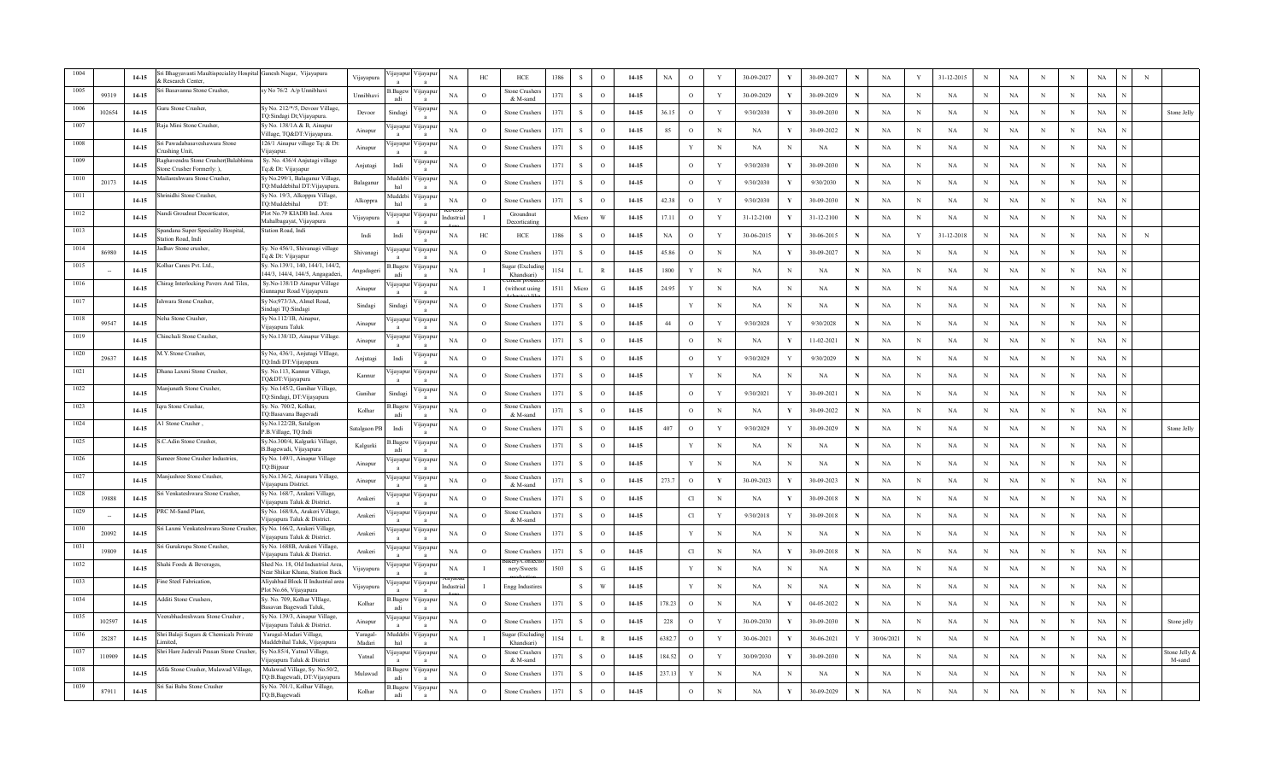|      |        | $14 - 15$ | ri Bhagyavanti Maultispeciality Hospital Ganesh Nagar, Vijayapura<br>Research Center. |                                                                     | Vijayapura         | ijayapu                 | /ijayap                  | $_{\rm NA}$ | HC             | ${\rm HCE}$                 | 1386 |               | $\mathcal{O}$ | 14-15   | NA          | $\Omega$     |              | 30-09-2027 |   | 30-09-2027 |             | NA          | $\mathbf Y$  | 31-12-2015 | N           | $_{\rm NA}$ | N            | N          | $_{\rm NA}$ | N |                         |
|------|--------|-----------|---------------------------------------------------------------------------------------|---------------------------------------------------------------------|--------------------|-------------------------|--------------------------|-------------|----------------|-----------------------------|------|---------------|---------------|---------|-------------|--------------|--------------|------------|---|------------|-------------|-------------|--------------|------------|-------------|-------------|--------------|------------|-------------|---|-------------------------|
| 1005 | 99319  | $14 - 15$ | ri Basavanna Stone Crusher,                                                           | y No 76/2 A/p Unnibhavi                                             | Unnibhay           | Bag<br>adi              | /ijayap                  | NA          | $\circ$        | Stone Crushers<br>& M-sand  | 1371 | $\mathbf{s}$  | $\circ$       | 14-15   |             | $\circ$      | Y            | 30-09-2029 |   | 30-09-2029 |             | NA          | N            | NA         | N           | <b>NA</b>   | N            | N          | NA          |   |                         |
| 1006 | 102654 | $14-15$   | uru Stone Crusher,                                                                    | ly No. 212/*/5, Devoor Village,<br>lQ:Sindagi Dt;Vijayapura         | Devoor             | Sindag                  | /ijayap                  | NA          | $\circ$        | Stone Crushers              | 1371 |               | $\circ$       | 14-15   | 36.15       | $\circ$      | Y            | 9/30/2030  |   | 30-09-2030 |             | NA          | N            | NA         | N           | NA          | N            | N          | NA          |   | Stone Jelly             |
| 1007 |        | $14 - 15$ | aja Mini Stone Crusher,                                                               | y No. 138/1A & B, Ainapur<br>illage, TQ&DT: Vijayapura              | Ainapur            | <b>1</b> jayap          | /ijayap                  | NA          | $\circ$        | Stone Crusher               | 1371 |               | $\circ$       | 14-15   | 85          | $\circ$      | N            | <b>NA</b>  |   | 30-09-2022 | N           | <b>NA</b>   | N            | NA         | $\mathbf N$ | NA          | N            | N          | $_{\rm NA}$ |   |                         |
| 1008 |        | $14-15$   | ri Pawadabasaveshawara Stone<br>rushing Unit.                                         | 126/1 Ainapur village Tq: & Dt:<br>/iiavapur.                       | Ainapur            | ijayap                  | /ijayap                  | $_{\rm NA}$ | $\overline{O}$ | Stone Crusher               | 1371 | -S            | $\circ$       | 14-15   |             | V            | N            | <b>NA</b>  |   | NA         | N           | NA          | N            | <b>NA</b>  | N           | $_{\rm NA}$ | N            | N          | NA          |   |                         |
| 1009 |        | $14-15$   | aghavendra Stone Crusher(Balabhim<br>tone Crusher Formerly: ).                        | Sy. No. 436/4 Anjutagi village<br>îq: & Dt: Vijayapur               | Anjutagi           | Indi                    | /ijayap                  | NA          | $\circ$        | Stone Crusher:              | 1371 | -S            | $\circ$       | 14-15   |             | $\circ$      | Y            | 9/30/2030  |   | 30-09-2030 | N           | NA          | N            | <b>NA</b>  | N           | NA          | N            | N          | NA          |   |                         |
| 1010 | 20173  | $14-15$   | ailareshwara Stone Crusher,                                                           | Sy No.299/1, Balaganur Village<br>Q:Muddebihal DT:Vijayapura.       | Balaganur          | Muddebi<br>hal          | /ijayapı                 | NA          | $\circ$        | Stone Crusher:              | 1371 | <sub>S</sub>  | $\circ$       | 14-15   |             | $\circ$      | Y            | 9/30/2030  |   | 9/30/2030  |             | NA          | N            | NA         | $_{\rm N}$  | NA          | N            | N          | NA          |   |                         |
| 1011 |        | $14 - 15$ | nrinidhi Stone Crusher,                                                               | Sy No. 19/3, Alkoppra Village,<br>TQ:Muddebihal<br>DT:              | Alkoppra           | Muddebi<br>hal          | ijayapı<br>$\mathbf{a}$  | $_{\rm NA}$ | $\circ$        | <b>Stone Crushers</b>       | 1371 | S             | $\circ$       | $14-15$ | 42.38       | $\circ$      | Y            | 9/30/2030  |   | 30-09-2030 | $\mathbf N$ | NA          | $\mathbf{N}$ | NA         | $\,$ N      | $_{\rm NA}$ | <sup>N</sup> | N          | $_{\rm NA}$ |   |                         |
| 1012 |        | $14 - 15$ | andi Groudnut Decorticator,                                                           | Plot No.79 KIADB Ind. Area<br>Mahalbagayat, Vijayapura              | Vijayapura         | yayap                   | /ijayapı                 |             |                | Groundnut<br>Decorticatin   |      | Micro         | W             | 14-15   | 17.11       | $\circ$      | Y            | 31-12-2100 |   | 31-12-2100 |             | NA          | N            | NA         | $\mathbf N$ | NA          | N            | N          | NA          |   |                         |
| 1013 |        | $14-15$   | andana Super Speciality Hospital,<br>tation Road. Indi                                | Station Road, Indi                                                  | Indi               | Indi                    | <b>y</b> ayap            | NA          | HC             | HCE                         | 1386 | -S            | $\circ$       | $14-15$ | $_{\rm NA}$ | $\circ$      | Y            | 30-06-2015 |   | 30-06-2015 | N           | NA          | Y            | 31-12-2018 | $_{\rm N}$  | NA          | N            | N          | NA          | N |                         |
| 1014 | 86980  | $14 - 15$ | dhav Stone crusher,                                                                   | Sy. No 456/1, Shivanagi village<br>q & Dt: Vijayapur                | Shivanagi          |                         | /ijayap                  | NA          | $\circ$        | Stone Crusher.              | 1371 | -S            | $\circ$       | $14-15$ | 45.86       | $\circ$      | N            | NA         |   | 30-09-2027 | N           | NA          | N            | <b>NA</b>  | N           | $_{\rm NA}$ | N            | N          | NA          |   |                         |
| 1015 |        | $14 - 15$ | olhar Canes Pvt. Ltd                                                                  | Sy. No.139/1, 140, 144/1, 144/2,<br>44/3, 144/4, 144/5, Angagaderi, | Angadageri         | 3.Bagev<br>adi          | /ijayap<br>$\mathbf{a}$  | NA          |                | ugar (Excludi<br>Khandsari) | 1154 |               | $\mathbb{R}$  | $14-15$ | 1800        | Y            | N            | NA         |   | <b>NA</b>  | N           | NA          | $\mathbf N$  | <b>NA</b>  | N           | $_{\rm NA}$ | N            | N          | NA          |   |                         |
| 1016 |        | $14-15$   | hirag Interlocking Pavers And Tiles,                                                  | Sy.No-138/1D Ainapur Village<br>Gunnapur Road Vijayapura            | Ainapur            | <b>1jayapu</b>          | /ijayapı                 | NA          |                | (without using              | 1511 | Micro         | G             | 14-15   | 24.95       | Y            | N            | NA         | N | NA         | N           | NA          | N            | NA         | $_{\rm N}$  | NA          | N            | N          | NA          |   |                         |
| 1017 |        | $14 - 15$ | shwara Stone Crusher,                                                                 | Sy No;973/3A, Almel Road,<br>Sindagi TQ:Sindagi                     | Sindagi            | Sindag                  | /ijayapı                 | NA          | $\circ$        | <b>Stone Crushers</b>       | 1371 | <sub>S</sub>  | $\circ$       | 14-15   |             | Y            | N            | NA         |   | NA         | N           | NA          | N            | NA         | $_{\rm N}$  | NA          | N            | N          | NA          |   |                         |
| 1018 | 99547  | $14 - 15$ | eha Stone Crusher,                                                                    | Sy No.112/1B, Ainapur,<br>/ijayapura Taluk                          | Ainapur            | yayapı                  | /ijayapı                 | NA          | $\circ$        | Stone Crushers              | 1371 | $\mathcal{S}$ | $\circ$       | $14-15$ | 44          | $\mathbf{o}$ | Y            | 9/30/2028  |   | 9/30/2028  | N           | NA          | N            | NA         | $\,$ N      | NA          | N            | N          | NA          |   |                         |
| 1019 |        | $14 - 15$ | hinchali Stone Crusher.                                                               | Sy No.138/1D, Ainapur Village.                                      | Ainapur            | ijayap                  | /ijayap                  | NA          | $\circ$        | Stone Crusher               | 1371 | $\mathbf{s}$  | $\circ$       | 14-15   |             | $\circ$      | $\mathbf N$  | NA         |   | 11-02-2021 | N           | NA          | N            | <b>NA</b>  | N           | NA          | N            | N          | NA          |   |                         |
| 1020 | 29637  | 14-15     | A.Y.Stone Crusher,                                                                    | Sy No, 436/1, Anjutagi VIllage,<br>IQ:Indi DT:Vijayapura            | Anjutagi           | Indi                    | /ijayap                  | NA          | $\circ$        | Stone Crusher               | 1371 |               | $\circ$       | 14-15   |             | $\circ$      | Y            | 9/30/2029  |   | 9/30/2029  | N           | NA          | N            | NA         | N           | <b>NA</b>   | N            | N          | NA          |   |                         |
| 1021 |        | $14-15$   | Jhana Laxmi Stone Crusher,                                                            | ly. No.113, Kannur Village,<br>TQ&DT:Vijayapura                     | Kannur             | <b>1</b> ayapu          | Vijayap                  | NA          | $\circ$        | Stone Crushers              | 1371 |               | $\circ$       | 14-15   |             | Y            | N            | NA         |   | NA         | N           | NA          | N            | NA         | N           | <b>NA</b>   | N            | N          | NA          |   |                         |
| 1022 |        | $14 - 15$ | aniunath Stone Crusher.                                                               | y. No.145/2, Ganihar Village,<br>Q:Sindagi, DT:Vijayapura           | Ganihar            | Sindagi                 | <b>yaya</b>              | NA          | $\overline{O}$ | Stone Crusher               | 1371 | -S            | $\Omega$      | 14-15   |             | $\circ$      | Y            | 9/30/2021  | Y | 30-09-2021 | N           | NA          | N            | NA         | N           | $_{\rm NA}$ | N            | N          | $_{\rm NA}$ |   |                         |
| 1023 |        | $14 - 15$ | ara Stone Crushar.                                                                    | sy. No. 700/2, Kolhar,<br>Q:Basavana Bagevadi                       | Kolhar             | 3.Bage<br>adi           | /ijayap                  | NA          | $\overline{O}$ | Stone Crusher<br>& M-sand   | 1371 | -S            | $\circ$       | 14-15   |             | $\circ$      | N            | NA         |   | 30-09-2022 | N           | NA          | N            | NA         | $\mathbf N$ | NA          | N            | N          | NA          |   |                         |
| 1024 |        | $14 - 15$ | 1 Stone Crusher,                                                                      | y.No.122/2B, Satalgon<br>B.Village, TQ:Indi                         | Satalgaon PE       | Indi                    | /ijayap                  | NA          | $\circ$        | Stone Crushers              | 1371 | <sub>S</sub>  | $\circ$       | $14-15$ | 407         | $\circ$      | Y            | 9/30/2029  | Y | 30-09-2029 | N           | NA          | N            | NA         | N           | NA          | N            | N          | NA          |   | Stone Jelly             |
| 1025 |        | $14 - 15$ | .C.Adin Stone Crusher,                                                                | sy.No.300/4, Kalgurki Village,<br>B.Bagewadi, Vijayapura            | Kalgurki           | 3. Bagev                | /ijayapı                 | NA          | $\circ$        | <b>Stone Crushers</b>       | 1371 | s             | $\mathbf O$   | 14-15   |             | Y            | N            | NA         |   | NA         |             | NA          | N            | NA         | $\,$ N      | NA          | N            | N          | $_{\rm NA}$ |   |                         |
| 1026 |        | $14-15$   | meer Stone Crusher Industries,                                                        | Sy No. 149/1, Ainapur Village<br>TQ:Bijpaur                         | Ainapur            | ijayap                  | /ijayapı<br>$\mathbf{a}$ | $_{\rm NA}$ | $\circ$        | Stone Crusher               | 1371 | -S            | $\circ$       | 14-15   |             | v            | N            | NA         |   | <b>NA</b>  |             | NA          | N            | NA         | $_{\rm N}$  | <b>NA</b>   | N            | N          | $_{\rm NA}$ |   |                         |
| 1027 |        | 14-15     | anjushree Stone Crusher,                                                              | Sy.No.136/2, Ainapura Village,<br>/iiavapura District               | Ainapur            | ijayapu                 | /ijayapı                 | $_{\rm NA}$ | $\circ$        | Stone Crusher:<br>& M-sand  | 1371 | -S            | $\circ$       | 14-15   | 273.7       | $\circ$      | $\mathbf{Y}$ | 30-09-2023 | V | 30-09-2023 |             | NA          | N            | NA         | $\mathbf N$ | NA          | N            | $\,$ N     | NA          |   |                         |
| 1028 | 19888  | 14-15     | i Venkateshwara Stone Crusher,                                                        | y No. 168/7, Arakeri Village,<br>'ijayapura Taluk & District        | Arakeri            | <i>u</i> ayapu          | / yayap                  | NA          | $\circ$        | Stone Crushers              | 1371 |               | $\circ$       | 14-15   |             | Cl           | N            | NA         |   | 30-09-2018 | N           | NA          | N            | NA         | N           | NA          | N            | N          | NA          |   |                         |
| 1029 |        | $14 - 15$ | RC M-Sand Plant,                                                                      | ly No. 168/8A, Arakeri Village,<br>'ijayapura Taluk & District.     | Arakeri            | yayap<br>$\mathbf{a}$   | /ijayap                  | NA          | $\circ$        | Stone Crusher<br>& M-sand   | 1371 |               | $\Omega$      | 14-15   |             | Cl           | Y            | 9/30/2018  |   | 30-09-2018 | N           | $_{\rm NA}$ | N            | NA         | $\mathbf N$ | $_{\rm NA}$ | N            | N          | NA          |   |                         |
| 1030 | 20092  | $14 - 15$ | ri Laxmi Venkateshwara Stone Crusher, Sy No. 166/2, Arakeri Village,                  | iiavapura Taluk & District.                                         | Arakeri            | ijayapı                 | /ijayap<br>$\mathbf{a}$  | NA          | $\circ$        | <b>Stone Crushers</b>       | 1371 | -8            | $\Omega$      | 14-15   |             | Y            | $\mathbf N$  | NA         |   | <b>NA</b>  | N           | NA          | N            | <b>NA</b>  | $_{\rm N}$  | $_{\rm NA}$ | N            | N          | NA          |   |                         |
| 1031 | 19809  | 14-15     | ri Gurukrupa Stone Crusher.                                                           | Sy No. 1688B, Arakeri Village,<br>/ijayapura Taluk & District.      | Arakeri            | <b>1jayapu</b>          | /ijayap                  | NA          | $\circ$        | Stone Crusher:              | 1371 | <sub>S</sub>  | $\circ$       | 14-15   |             | Cl           | N            | NA         |   | 30-09-2018 | N           | NA          | N            | NA         | $\mathbf N$ | <b>NA</b>   | N            | N          | NA          |   |                         |
| 1032 |        | $14-15$   | ahi Foods & Beverages,                                                                | Shed No. 18, Old Industrial Area<br>Near Shikar Khana, Station Back | Vijayapura         | <b>1</b> jayapu         | /ijayap                  | NA          |                | nery/Sweets                 | 1503 | <sub>S</sub>  | G             | $14-15$ |             | Y            | N            | NA         |   | NA         | N           | NA          | N            | NA         | $_{\rm N}$  | <b>NA</b>   | N            | N          | NA          |   |                         |
| 1033 |        | $14 - 15$ | ine Steel Fabrication                                                                 | Aliyahbad Block II Industrial area<br>Plot No.66, Vijayapura        | Vijayapura         | ijayapu<br>$\mathbf{a}$ | /ijayapı<br>$\mathbf{a}$ | ndustria    |                | Engg Industires             |      | $\mathbf{s}$  | W             | $14-15$ |             | $\mathbf{v}$ | N            | NA         |   | NA         | N           | NA          | N            | NA         | $\,$ N      | $_{\rm NA}$ | N            | N          | NA          |   |                         |
| 1034 |        | $14-15$   | dditi Stone Crushers.                                                                 | Sy. No. 709, Kolhar VIllage,<br>asavan Bagewadi Taluk.              | Kolhar             | 3. Bagey<br>adi         | /ijayap                  | NA          | $\circ$        | Stone Crusher:              | 1371 |               | $\circ$       | 14-15   | 78.23       | $\circ$      | N            | NA         |   | 04-05-2022 | N           | NA          | N            | NA         | N           | <b>NA</b>   | N            | N          | NA          |   |                         |
| 1035 | 102597 | 14-15     | eerabhadreshwara Stone Crusher,                                                       | Sy No. 139/3, Ainapur Village,<br>ijayapura Taluk & District.       | Ainapur            | <b>1</b> avapu          | /ijayap                  | NA          | $\overline{O}$ | Stone Crusher:              | 1371 |               | $\circ$       | 14-15   | 228         | $\circ$      | Y            | 30-09-2030 |   | 30-09-2030 |             | NA          | N            | NA         | N           | NA          | N            | N          | NA          |   | Stone jelly             |
| 1036 | 28287  | $14 - 15$ | hri Balaji Sugars & Chemicals Private<br>mited                                        | Yaragal-Madari Village,<br>Auddebihal Taluk, Vijayapura             | Yaragal-<br>Madari | Muddebi<br>hal          | /ijayar                  | NA          |                | ugar (Excludi<br>Khandsari' | 1154 |               | $\mathbb{R}$  | 14-15   | 382.        | $\Omega$     | Y            | 30-06-2021 |   | 30-06-2021 |             | 30/06/2021  | N            | <b>NA</b>  | N           | NA          | $_{\rm N}$   | $_{\rm N}$ | NA          |   |                         |
| 1037 | 110909 | $14 - 15$ | Shri Hare Jadevali Prasan Stone Crusher                                               | ly No.85/4, Yatnal Village,<br>'ijayapura Taluk & District          | Yatnal             | yayap                   | /ijayap                  | NA          | $\circ$        | Stone Crusher<br>& M-sand   | 1371 | -8            | $\Omega$      | 14-15   | 84.52       | $\circ$      | Y            | 30/09/2030 | v | 30-09-2030 | N           | NA          | N            | <b>NA</b>  | $\mathbf N$ | $_{\rm NA}$ | $_{\rm N}$   | N          | NA          |   | Stone Jelly &<br>M-sand |
| 1038 |        | $14-15$   | Afifa Stone Crusher, Mulawad Village                                                  | Mulawad Village, Sy. No.50/2,<br>TQ:B.Bagewadi, DT:Vijayapura       | Mulawad            | 3.Bage<br>adi           | ijayap                   | NA          | $\circ$        | Stone Crusher               | 1371 | -S            | $\circ$       | 14-15   | 237.13      | Y            | N            | <b>NA</b>  |   | NA         |             | NA          | N            | NA         | N           | NA          | N            | N          | NA          |   |                         |
| 1039 | 87911  | $14 - 15$ | Sri Sai Baba Stone Crusher                                                            | Sy No. 701/1, Kolhar Village,<br>TQ:B,Bagewadi                      | Kolhar             | <b>B.</b> Bagev<br>adi  | /ijayapu                 | NA          | $\circ$        | Stone Crushers              | 1371 | <sub>S</sub>  | $\circ$       | 14-15   |             | $\Omega$     | N            | NA         |   | 30-09-2029 |             | NA          |              | <b>NA</b>  | N           | <b>NA</b>   | N            | N          | NA          |   |                         |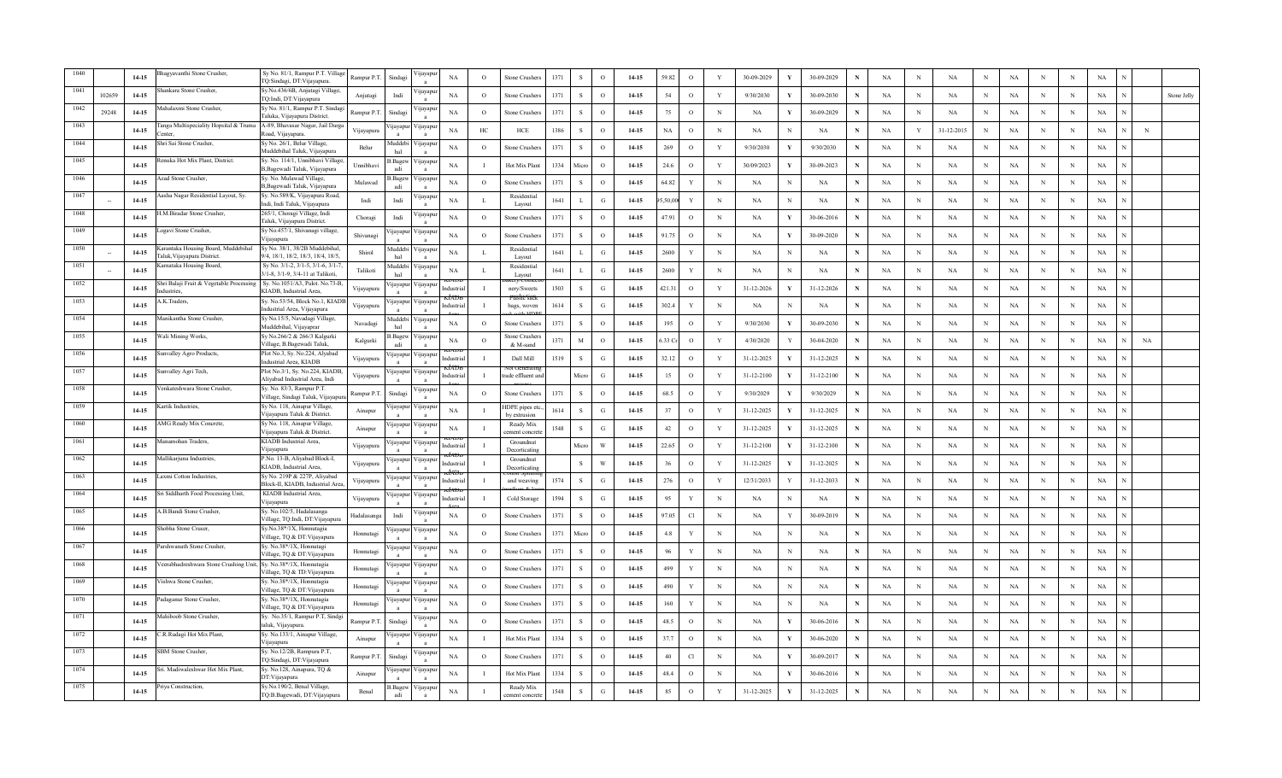|      |        | 14-15     | hagyavanthi Stone Crusher,                                        | Sy No. 81/1, Rampur P.T. Village<br>TQ:Sindagi, DT:Vijayapura.         | Rampur P.T.            | Sindagi         | 'ijayapı           | NA          | $\circ$      | Stone Crusher.                | 1371 | S            | $\Omega$                | 14-15     | 59.82       | $\circ$     | Y           | 30-09-2029 |              | 30-09-2029       |   | NA          | N | NA         | $_{\rm N}$  | NA          | N | N           | $_{\rm NA}$ |           |             |
|------|--------|-----------|-------------------------------------------------------------------|------------------------------------------------------------------------|------------------------|-----------------|--------------------|-------------|--------------|-------------------------------|------|--------------|-------------------------|-----------|-------------|-------------|-------------|------------|--------------|------------------|---|-------------|---|------------|-------------|-------------|---|-------------|-------------|-----------|-------------|
|      | 102659 | $14 - 15$ | ankara Stone Crusher,                                             | Sy.No.436/6B, Anjutagi Village,<br>TQ:Indi, DT:Vijayapura              | Anjutagi               | Indi            | 'цауар             | NA          | $\circ$      | Stone Crusher                 | 1371 | -S           | $\Omega$                | 14-15     | 54          | $\circ$     | Y           | 9/30/2030  |              | 30-09-2030       | N | NA          | N | NA         | N           | NA          | N | N           | NA          |           | Stone Jelly |
| 1042 | 29248  | $14-15$   | Iahalaxmi Stone Crusher,                                          | Sy No. 81/1, Rampur P.T. Sindagi<br>Faluka, Vijayapura District        | Rampur P. <sub>T</sub> | Sindagi         | 'ijayapı           | NA          | $\circ$      | stone Crusher                 | 1371 | -S           | $\circ$                 | 14-15     | 75          | $\circ$     | N           | <b>NA</b>  |              | 30-09-2029       | N | NA          | N | NA         | N           | NA          | N | N           | NA          |           |             |
| 1043 |        | $14 - 15$ | anga Multispeciality Hopsital & Truma<br>enter                    | A-89, Bhavasar Nagar, Jail Darga<br>load, Vijayapura.                  | Vijayapura             | <i>u</i> ayapur | √ijayap            | NA          | HC           | HCE                           | 1386 | $\mathbf{S}$ | $\circ$                 | 14-15     | $_{\rm NA}$ | $\circ$     | N           | <b>NA</b>  | N            | <b>NA</b>        | N | $_{\rm NA}$ | Y | 31-12-2015 | $_{\rm N}$  | $_{\rm NA}$ | N | N           | NA          | N         |             |
| 1044 |        | $14 - 15$ | hri Sai Stone Crusher                                             | Sy No. 26/1, Belur Village,<br>Auddebihal Taluk, Vijayapura            | Belur                  | Muddebi<br>hal  | ∕ijayap            | NA          | $\circ$      | Stone Crusher                 | 1371 | -S           | $\Omega$                | $14 - 15$ | 269         | $\circ$     | Y           | 9/30/2030  | Y            | 9/30/2030        | N | NA          | N | NA         | $_{\rm N}$  | <b>NA</b>   | N | N           | NA          |           |             |
| 1045 |        | $14-15$   | Renuka Hot Mix Plant, District.                                   | Sy. No. 114/1, Unnibhavi Village<br>B,Bagewadi Taluk, Vijayapura       | Unnibhavi              | Bagew<br>adi    | 'ijayapı           | NA          |              | Hot Mix Plan                  | 1334 | Micro        | $\circ$                 | 14-15     | 24.6        | $\circ$     | Y           | 30/09/2023 |              | 30-09-2023       | N | NA          | N | <b>NA</b>  | N           | <b>NA</b>   | N | N           | NA          |           |             |
|      |        | $14 - 15$ | <b>Azad Stone Crusher,</b>                                        | Sy. No. Mulawad Village,<br>B, Bagewadi Taluk, Vijayapura              | Mulawad                | Bagew           | 'ijayapı           | NA          | $\circ$      | Stone Crusher                 | 1371 | <sub>S</sub> | $\circ$                 | 14-15     | 64.82       | Y           | N           | NA         | N            | NA               |   | NA          | N | NA         | $_{\rm N}$  | NA          | N | N           | NA          |           |             |
| 1047 |        | $14 - 15$ | asha Nagar Residential Layout, Sy.                                | Sy. No.589/K, Vijayapura Road,<br>ndi, Indi Taluk, Vijayapura          | Indi                   | Indi            | 'ijayapı           | NA          | <b>I</b> .   | Residentia<br>Layout          | 1641 | $\mathbf{L}$ | G                       | $14 - 15$ | ,50,00      | $\mathbf Y$ | $\mathbf N$ | NA         | N            | NA               | N | $_{\rm NA}$ | N | NA         | $\,$ N      | $_{\rm NA}$ | N | $\mathbf N$ | $_{\rm NA}$ |           |             |
| 1048 |        | 14-15     | .M.Biradar Stone Crusher,                                         | 265/1, Choragi Village, Indi<br>Taluk, Vijayapura District.            | Choragi                | Indi            | yayap              | NA          | $\circ$      | Stone Crusher                 | 1371 | -S           | $\Omega$                | 14-15     | 47.91       | $\circ$     | $_{\rm N}$  | NA         | Y            | 30-06-2016       | N | NA          | N | NA         | $_{\rm N}$  | <b>NA</b>   | N | $\,$ N      | NA          |           |             |
| 1049 |        | $14 - 15$ | ogavi Stone Crusher,                                              | Sy No.457/1, Shivanagi village,<br>Vijayapura                          | Shivanagi              | ijayapur        | ∕ µayapt           | NA          | $\circ$      | Stone Crusher                 | 1371 | -S           | $\circ$                 | 14-15     | 91.75       | $\circ$     | $_{\rm N}$  | NA         | Y            | 30-09-2020       | N | NA          | N | NA         | $_{\rm N}$  | NA          | N | N           | NA          |           |             |
| 1050 |        | $14 - 15$ | arantaka Housing Board, Muddebihal<br>Taluk, Vijayapura District. | Sy No. 38/1, 38/2B Muddebihal,<br>9/4, 18/1, 18/2, 18/3, 18/4, 18/5    | Shirol                 | Auddebi<br>hal  | ∕ijayapı           | NA          | л.           | Residentia<br>Layout          | 1641 | -L           | G                       | 14-15     | 2600        | Y           | $_{\rm N}$  | <b>NA</b>  | N            | NA               | N | NA          | N | NA         | $_{\rm N}$  | $_{\rm NA}$ | N | N           | NA          |           |             |
| 1051 |        | $14 - 15$ | arnataka Housing Board.                                           | Sv No. 3/1-2, 3/1-5, 3/1-6, 3/1-7<br>3/1-8, 3/1-9, 3/4-11 at Talikoti, | Talikoti               | Auddebi<br>hal  | ∕ijayapı           | NA          | $\mathbf{I}$ | Residentia<br>Lavout          | 1641 | $\mathbf{L}$ | G                       | 14-15     | 2600        | Y           | N           | NA         | N            | NA               | N | NA          | N | NA         | $_{\rm N}$  | $_{\rm NA}$ | N | N           | NA          |           |             |
| 1052 |        | $14-15$   | hri Balaji Fruit & Vegetable Processing<br>dustries.              | Sy. No.1051/A3, Palot. No.73-B,<br>KIADB, Industrial Area,             | Vijayapura             | <i>u</i> ayapur | 'ijayapı           | ndustria    |              | nery/Sweets                   | 1503 | -S           | G                       | $14-15$   | 421.31      | $\circ$     | Y           | 31-12-2026 | Y            | 31-12-2026       | N | NA          | N | <b>NA</b>  | N           | NA          | N | N           | NA          |           |             |
| 1053 |        | $14-15$   | .K.Traders,                                                       | Sy. No.53/54, Block No.1, KIAD<br>Industrial Area, Vijayapura          | Vijayapura             | ijayapur        | ∕ ijayapı          | dustria     |              | bags, woven                   | 1614 | <sub>S</sub> | G                       | 14-15     | 302.4       | Y           | $_{\rm N}$  | <b>NA</b>  | N            | NA               | N | <b>NA</b>   | N | NA         | $_{\rm N}$  | NA          | N | N           | NA          |           |             |
| 1054 |        | $14-15$   | anikantha Stone Crusher,                                          | Sy No.15/5, Navadagi Village,<br>Muddebihal, Vijayaprar                | Navadagi               | Muddebi<br>hal  | <b>yayap</b>       | NA          | $\circ$      | Stone Crusher                 | 1371 | s            | $\circ$                 | 14-15     | 195         | $\circ$     | Y           | 9/30/2030  |              | 30-09-2030       | N | NA          | N | NA         | N           | NA          | N | N           | NA          |           |             |
| 1055 |        | $14 - 15$ | /ali Mining Works,                                                | Sy No.266/2 & 266/3 Kalgurki<br>Village, B.Bagewadi Taluk,             | Kalgurki               | Bagew<br>adi    | ∕ijayapı           | NA          | $\circ$      | Stone Crushe<br>& M-sand      | 1371 | $\mathbf M$  | $\Omega$                | 14-15     | .33 C       | $\circ$     | Y           | 4/30/2020  |              | 30-04-2020       | N | NA          | N | <b>NA</b>  | $_{\rm N}$  | NA          | N | N           | $_{\rm NA}$ | <b>NA</b> |             |
| 1056 |        | 14-15     | invalley Agro Products,                                           | Plot No.3, Sy. No.224, Alyabad<br>Industrial Area, KIADB               | Vijayapura             | ijayapur        | ∕ ijayapı          | ıdustri:    |              | Dall Mill                     | 1519 | -S           | G                       | 14-15     | 32.12       | $\circ$     | Y           | 31-12-2025 |              | 31-12-2025       |   | NA          | N | NA         | N           | NA          | N | N           | NA          |           |             |
|      |        | $14 - 15$ | nvalley Agri Tech,                                                | Plot No.3/1, Sy. No.224, KIADB,<br>Alivabad Industrial Area, Indi      | Vijayapura             |                 | 'ijayapur Vijayapı | ıdustria    |              | rade effluent ar              |      | Micro        | G                       | $14 - 15$ | 15          | $\circ$     | Y           | 31-12-2100 |              | 31-12-2100       | N | NA          | N | <b>NA</b>  | N           | NA          | N | N           | NA          |           |             |
|      |        | $14 - 15$ | enkateshwara Stone Crusher.                                       | y. No. 83/3, Rampur P.T.<br>/illage, Sindagi Taluk, Vijayapuı          | Rampur P.T             | Sindagi         | 'ijayap            | <b>NA</b>   | $\Omega$     | <b>Stone Crusher</b>          | 1371 | $\mathbf{s}$ | $\Omega$                | $14-15$   | 68.5        | $\circ$     | Y           | 9/30/2029  | - V          | 9/30/2029        | N | NA          | N | NA         | $_{\rm N}$  | $_{\rm NA}$ | N | N           | $_{\rm NA}$ |           |             |
|      |        | $14 - 15$ | Kartik Industries                                                 | Sy No. 118, Ainapur Village,<br>iiavapura Taluk & District             | Ainapur                | ijayapu         | 'ijayapı           | NA          |              | HDPE pipes et<br>by extrusion | 1614 | -S           | G                       | 14-15     | 37          | $\circ$     | Y           | 31-12-2025 | V            | 31-12-2025       | N | NA          | N | NA         | $\mathbf N$ | <b>NA</b>   | N | N           | NA          |           |             |
|      |        | $14 - 15$ | MG Ready Mix Concrete,                                            | Sy No. 118, Ainapur Village,<br>ijayapura Taluk & District.            | Ainapur                | ijayapur        | 'ijayapı           | NA          |              | Ready Mix<br>ement concre     | 1548 | <sub>S</sub> | G                       | 14-15     | 42          | $\circ$     | Y           | 31-12-2025 |              | 31-12-2025       | N | NA          | N | NA         | N           | <b>NA</b>   | N | N           | NA          |           |             |
| 1061 |        | $14 - 15$ | anamohan Traders,                                                 | KIADB Industrial Area,<br>/ijayapura                                   | Vijayapura             | ijayapur        | ∕ijayapı           | dustria     |              | Groundnut<br>Decorticating    |      | Micro        | $\ensuremath{\text{W}}$ | 14-15     | 22.65       | $\circ$     | Y           | 31-12-2100 |              | 31-12-2100       |   | $_{\rm NA}$ | N | NA         | N           | NA          | N | N           | $_{\rm NA}$ |           |             |
| 1062 |        | $14 - 15$ | fallikarjuna Industries,                                          | P.No. 13-B, Aliyabad Block-I,<br>KIADB, Industrial Area,               | Vijayapura             | ijayapu         | 'ijayapı           |             |              | Groundnut<br>Decorticating    |      | $\mathbf{s}$ | W                       | 14-15     | 36          | $\circ$     | Y           | 31-12-2025 |              | $31 - 12 - 2025$ | N | NA          | N | NA         | $_{\rm N}$  | $_{\rm NA}$ | N | $\mathbf N$ | $_{\rm NA}$ |           |             |
| 1063 |        | 14-15     | axmi Cotton Industries                                            | Sy No. 219P & 227P, Aliyabad<br>Block-II, KIADB, Industrial Area       | Vijayapura             | ijayapu         | 'ijayapı           |             |              | and weaving                   | 1574 | S            | G                       | 14-15     | 276         | $\circ$     | Y           | 12/31/2033 | Y            | 31-12-2033       | N | NA          | N | NA         | $_{\rm N}$  | NA          | N | ${\bf N}$   | NA          |           |             |
| 1064 |        | $14 - 15$ | i Siddharth Food Processing Unit,                                 | KIADB Industrial Area,<br>/ijayapura                                   | Vijayapura             | <i>u</i> ayapur | / цауар            |             |              | Cold Storage                  | 1594 | <sub>S</sub> | G                       | $14 - 15$ | 95          | Y           | $_{\rm N}$  | NA         |              | NA               | N | NA          | N | NA         | N           | NA          | N | N           | NA          |           |             |
| 1065 |        | $14-15$   | B.Bandi Stone Crusher,                                            | Sy. No.102/5, Hadalasanga<br>Village, TQ:Indi, DT:Vijayapura           | Hadalasang             | Indi            | yayap              | NA          | $\Omega$     | Stone Crusher                 | 1371 | $\mathbf{s}$ | $\Omega$                | 14-15     | 97.05       | Cl          | $\,$ N      | <b>NA</b>  | Y            | 30-09-2019       | N | NA          | N | <b>NA</b>  | $_{\rm N}$  | $_{\rm NA}$ | N | N           | NA          |           |             |
| 1066 |        | $14 - 15$ | iobha Stone Cruser,                                               | Sy.No.38*/1X, Honnutagia<br>Village, TQ & DT: Vijayapura               | Honnutagi              | ijayapu         | ∕ijayapı           | NA          | $\Omega$     | Stone Crusher                 | 1371 | Micro        | $\Omega$                | $14-15$   | 4.8         | Y           | N           | <b>NA</b>  | N            | NA               | N | NA          | N | NA         | $_{\rm N}$  | NA          | N | N           | NA          |           |             |
| 1067 |        | $14-15$   | arshwanath Stone Crusher.                                         | Sy. No.38*/1X, Honnutagi<br>Village, TQ & DT:Vijayapura                | Honnutag               | ijayapur        | 'ijayapı           | NA          | $\circ$      | Stone Crusher                 | 1371 | S.           | $\circ$                 | 14-15     | 96          | Y           | $_{\rm N}$  | NA         | N            | NA               | N | NA          | N | NA         | $_{\rm N}$  | NA          | N | N           | NA          |           |             |
| 1068 |        | 14-15     | eerabhadreshwara Stone Crushing Unit, Sy. No.38*/1X, Honnutagia   | Village, TQ & TD: Vijayapura                                           | Honnutag               | ijayapur        | / цауар            | NA          | $\circ$      | <b>Stone Crushers</b>         | 1371 | -S           | $\circ$                 | 14-15     | 499         | Y           | N           | <b>NA</b>  | N            | NA               |   | <b>NA</b>   | N | NA         | N           | NA          | N | N           | NA          |           |             |
| 1069 |        | 14-15     | ishwa Stone Crusher.                                              | Sy. No.38*/1X, Honnutagia<br>Village, TQ & DT: Vijayapura              | Honnutag               | ijayapur        | ∕ijayapı           | NA          | $\circ$      | Stone Crusher                 | 1371 | $\mathbf{s}$ | $\Omega$                | $14 - 15$ | 490         | Y           | $\mathbf N$ | <b>NA</b>  | N            | $_{\rm NA}$      | N | NA          | N | NA         | $\mathbf N$ | NA          | N | N           | NA          |           |             |
|      |        | $14-15$   | adaganur Stone Crusher,                                           | Sy. No.38*/1X, Honnutagia<br>Village, TQ & DT: Vijayapura              | Honnutagi              | ijayapu         | 'ijayapı           | NA          | $\circ$      | Stone Crusher                 | 1371 | -S           | $\Omega$                | $14 - 15$ | 160         | Y           | N           | NA         | N            | NA               |   | NA          | N | NA         | N           | NA          | N | N           | NA          |           |             |
|      |        | 14-15     | Iahiboob Stone Crusher,                                           | Sy. No.35/1, Rampur P.T, Sindgi<br>aluk, Vijayapura.                   | Rampur P.T             | Sindagi         | цауар              | NA          | $\circ$      | Stone Crusher                 | 1371 | <sub>S</sub> | $\circ$                 | 14-15     | 48.5        | $\circ$     | N           | NA         | Y            | 30-06-2016       |   | NA          | N | NA         | N           | NA          | N | N           | NA          |           |             |
|      |        | $14 - 15$ | .R.Rudagi Hot Mix Plant,                                          | sy. No.133/1, Ainapur Village,<br>'ijayapura                           | Ainapur                | <b>1jayapur</b> | Vijayap            | $_{\rm NA}$ |              | Hot Mix Plan                  | 1334 |              | $\Omega$                | 14-15     | 37.7        | $\circ$     | N           | NA         | Y            | 30-06-2020       | N | NA          | N | NA         | N           | NA          | N | $_{\rm N}$  | NA          |           |             |
|      |        | $14 - 15$ | <b>BM</b> Stone Crusher.                                          | Sy. No.12/2B, Rampura P.T,<br>Q:Sindagi, DT:Vijayapura                 | Rampur P.T.            | Sindagi         | 'ijayap            | NA          | $\Omega$     | Stone Crusher                 | 1371 | -S           | $\Omega$                | $14 - 15$ | 40          | Cl          | $\mathbf N$ | NA         | $\mathbf{v}$ | 30-09-2017       | N | NA          | N | <b>NA</b>  | $_{\rm N}$  | $_{\rm NA}$ | N | N           | NA          |           |             |
|      |        | $14-15$   | ri. Madiwaleshwar Hot Mix Plant.                                  | Sy. No.128, Ainapura, TQ &<br>DT:Vijavapura                            | Ainapur                | ijayapu         | 'ijayapı           | NA          |              | Hot Mix Plar                  | 1334 | $\mathbf{S}$ | $\Omega$                | 14-15     | 48.4        | $\circ$     | N           | NA         | Y            | 30-06-2016       | N | NA          | N | <b>NA</b>  | N           | NA          | N | N           | NA          |           |             |
|      |        | 14-15     | Priya Construction,                                               | Sy.No.190/2, Benal Village,<br>TQ:B.Bagewadi, DT:Vijayapura            | Benal                  | 3.Bagew<br>adi  | 'ijayapu           | NA          |              | Ready Mix<br>ement concret    | 1548 | <sub>S</sub> | G                       | 14-15     | 85          | $\circ$     | Y           | 31-12-2025 | $\mathbf{Y}$ | 31-12-2025       |   | NA          | N | NA         | N           | $_{\rm NA}$ | N | N           | $_{\rm NA}$ |           |             |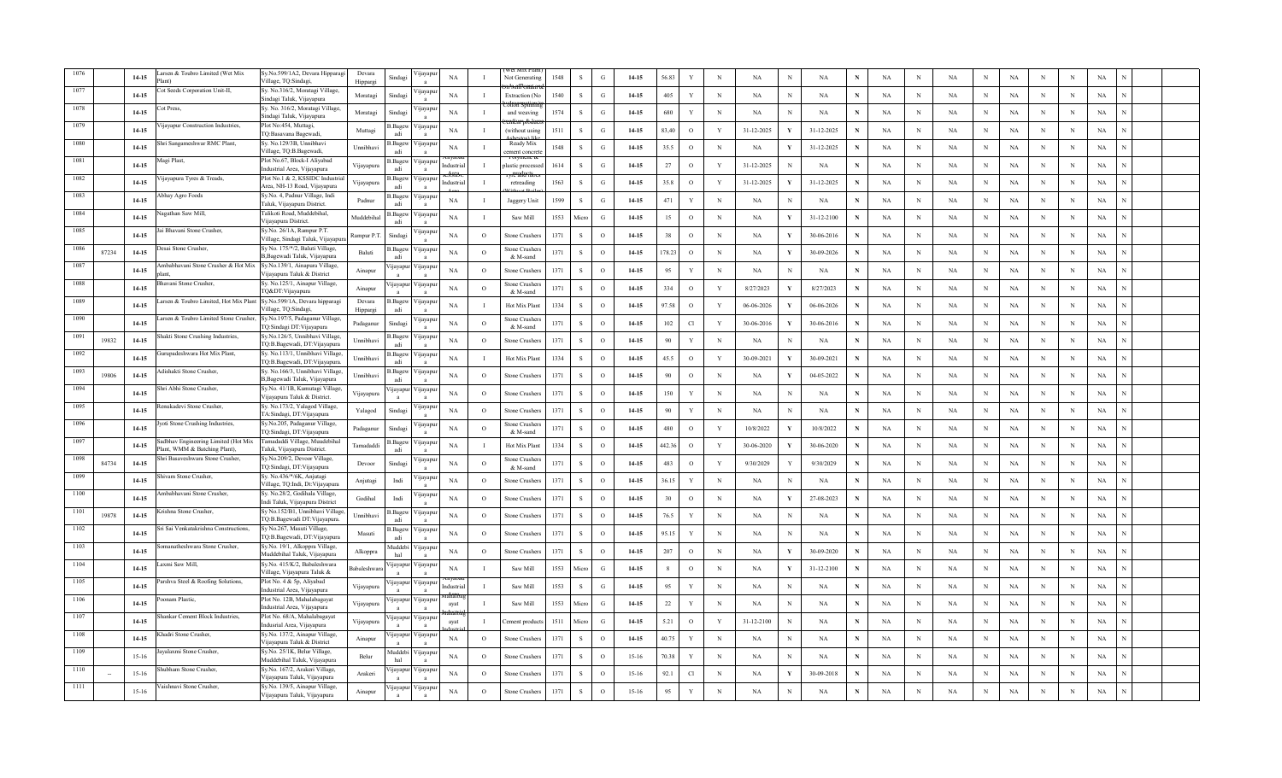|      |       | $14 - 15$ | rsen & Toubro Limited (Wet Mix<br>anť                                | Sy.No.599/1A2, Devara Hipparagi<br>Village, TO:Sindagi            | Devara<br>Hippargi | Sindag          | 'ijayapu                 | NA          |              | Not Generatii              | 1548 | $\mathbf{S}$ | G             | 14-15     | 56.83  | Y             | N           | <b>NA</b>  | N            | NA         |   | NA        | N           | NA          | N          | NA          | N           | N          | $_{\rm NA}$ |  |
|------|-------|-----------|----------------------------------------------------------------------|-------------------------------------------------------------------|--------------------|-----------------|--------------------------|-------------|--------------|----------------------------|------|--------------|---------------|-----------|--------|---------------|-------------|------------|--------------|------------|---|-----------|-------------|-------------|------------|-------------|-------------|------------|-------------|--|
|      |       | $14 - 15$ | ot Seeds Corporation Unit-II,                                        | sy. No.316/2, Moratagi Village,<br>indagi Taluk, Vijayapura       | Moratagi           | Sindagi         | цауар                    | NA          | $\mathbf I$  | Extraction (N              | 1540 | -S           | G             | 14-15     | 405    | Y             | $_{\rm N}$  | NA         | $_{\rm N}$   | NA         |   | NA        | N           | <b>NA</b>   | N          | <b>NA</b>   | N           | N          | NA          |  |
|      |       | $14-15$   | ot Press,                                                            | y. No. 316/2, Moratagi Village,<br>indagi Taluk, Vijayapura       | Moratagi           | Sindagi         | ∕ijayar                  | NA          |              | and weaving                | 1574 | -S           | $\mathcal{G}$ | 14-15     | 680    | Y             | $_{\rm N}$  | NA         | N            | NA         | N | NA        | N           | NA          | $_{\rm N}$ | <b>NA</b>   | $_{\rm N}$  | N          | NA          |  |
|      |       | 14-15     | 'ijayapur Construction Industries,                                   | Plot No:454, Muttagi,<br>TQ:Basavana Bagewadi,                    | Muttagi            | 3. Bagew        | ∕ijayar                  | NA          | $\mathbf I$  | (without using             | 1511 | -S           | G             | 14-15     | 83,40  | $\circ$       | Y           | 31-12-2025 | Y            | 31-12-2025 | N | <b>NA</b> | N           | NA          | $_{\rm N}$ | NA          | N           | N          | NA          |  |
|      |       | 14-15     | Shri Sangameshwar RMC Plant,                                         | Sy. No.129/3B, Unnibhavi<br>Village, TQ:B.Bagewadi,               | Unnibhav           | 3. Bagew<br>adi | 'ijayapı                 | <b>NA</b>   |              | Ready Mix<br>ement concre  | 1548 | <sub>S</sub> | G             | 14-15     | 35.5   | $\circ$       | $\mathbf N$ | NA         | Y            | 31-12-2025 | N | NA        | N           | NA          | $\,$ N     | NA          | N           | N          | NA          |  |
|      |       | $14 - 15$ | Aagi Plast,                                                          | Plot No.67, Block-I Aliyabad<br>ndustrial Area, Vijayapura        | Vijayapura         | Bagew           | <b>yayap</b>             | dustri:     |              | plastic process            | 1614 | -S           | G             | 14-15     | 27     | $\circ$       | Y           | 31-12-2025 |              | NA         |   | NA        | N           | NA          | $_{\rm N}$ | <b>NA</b>   | N           | N          | NA          |  |
| 1082 |       | $14 - 15$ | ijayapura Tyres & Treads,                                            | Plot No.1 & 2, KSSIDC Industria<br>Area, NH-13 Road, Vijayapura   | Vijayapura         | 3.Bagew<br>adi  | ∕ijayapı                 | ıdustri:    |              | retreading                 | 1563 | -S           | G             | 14-15     | 35.8   | $\circ$       | Y           | 31-12-2025 |              | 31-12-2025 | N | NA        | N           | NA          | $_{\rm N}$ | NA          | N           | N          | NA          |  |
| 1083 |       | 14-15     | bhay Agro Foods                                                      | Sy.No. 4, Padnur Village, Indi<br>Taluk, Vijayapura District.     | Padnur             | 3. Bagew<br>adi | 'ijayapı                 | NA          | л            | Jaggery Unit               | 1599 | -S           | G             | 14-15     | 471    | $\mathbf{Y}$  | $_{\rm N}$  | NA         | N            | NA         | N | NA        | N           | NA          | N          | NA          | N           | $\,$ N     | NA          |  |
| 1084 |       | $14 - 15$ | lagathan Saw Mill,                                                   | Talikoti Road, Muddebihal,<br>Vijayapura District                 | Muddebihal         | 3. Bagew<br>adi | 'ijayapı                 | NA          |              | Saw Mill                   | 1553 | Micro        | G             | 14-15     | 15     | $\circ$       | $_{\rm N}$  | NA         | $\mathbf{v}$ | 31-12-2100 | N | NA        | $\mathbf N$ | NA          | N          | NA          | $\mathbf N$ | N          | NA          |  |
| 1085 |       | $14 - 15$ | ui Bhavani Stone Crusher,                                            | Sy.No. 26/1A, Rampur P.T.<br>Village, Sindagi Taluk, Vijayapı     | Rampur P.T         | Sindagi         | цауар                    | NA          | $\Omega$     | stone Crusher              | 1371 | -S           | $\Omega$      | 14-15     | 38     | $\circ$       | N           | NA         | Y            | 30-06-2016 | N | NA        | N           | NA          | $_{\rm N}$ | <b>NA</b>   | N           | N          | NA          |  |
| 1086 | 87234 | $14 - 15$ | Jesai Stone Crusher.                                                 | Sy No. 175/*/2, Baluti Village,<br>B, Bagewadi Taluk, Vijayapura  | <b>Baluti</b>      | 3.Bagew<br>adi  | ∕ijayapı<br>$\mathbf{a}$ | NA          | $\Omega$     | Stone Crusher<br>& M-sand  | 1371 | -S           | $\Omega$      | 14-15     | 178.23 | $\circ$       | $\mathbf N$ | NA         | Y            | 30-09-2026 | N | NA        | N           | NA          | $_{\rm N}$ | $_{\rm NA}$ | N           | N          | NA          |  |
| 1087 |       | $14 - 15$ | mbabhavani Stone Crusher & Hot Mix<br>ant                            | Sy.No.139/1, Ainapura Village,<br>Viiavanura Taluk & District     | Ainapur            | ijayapu         | 'ijayap                  | NA          | $\Omega$     | Stone Crusher              | 1371 | -S           | $\Omega$      | 14-15     | 95     | Y             | $\mathbf N$ | <b>NA</b>  | N            | NA         | N | NA        | N           | <b>NA</b>   | $_{\rm N}$ | NA          | N           | N          | NA          |  |
| 1088 |       | $14-15$   | havani Stone Crusher                                                 | Sy. No.125/1, Ainapur Village,<br>fQ&DT:Vijayapura                | Ainapu             | <i>u</i> ayapur | 'ijayapi                 | NA          | $\circ$      | Stone Crusher:<br>& M-sand | 1371 | S            | $\circ$       | 14-15     | 334    | $\circ$       | Y           | 8/27/2023  |              | 8/27/2023  | N | NA        | $_{\rm N}$  | NA          | $_{\rm N}$ | NA          | N           | N          | NA          |  |
|      |       | $14 - 15$ | arsen & Toubro Limited, Hot Mix Plant Sy.No.599/1A, Devara hipparagi | Village, TQ:Sindagi,                                              | Devara<br>Hippargi | Bagew<br>adi    | ∕ ijayap                 | <b>NA</b>   |              | Hot Mix Plant              | 1334 | -S           | $\Omega$      | 14-15     | 97.58  | $\circ$       | Y           | 06-06-2026 |              | 06-06-2026 | N | NA        | N           | <b>NA</b>   | N          | <b>NA</b>   | N           | N          | NA          |  |
|      |       | $14 - 15$ | arsen & Toubro Limited Stone Crusher.                                | Sy.No.197/5, Padaganur Village,<br>TQ:Sindagi DT:Vijayapura       | Padaganur          | Sindagi         | 'ijayap                  | NA          | $\circ$      | Stone Crusher<br>& M-sand  | 1371 | $\mathbf{s}$ | $\Omega$      | 14-15     | 102    | Cl            | Y           | 30-06-2016 | Y            | 30-06-2016 | N | NA        | N           | NA          | $_{\rm N}$ | NA          | N           | N          | NA          |  |
|      | 19832 | 14-15     | hakti Stone Crushing Industries,                                     | Sy.No.126/5, Unnibhavi Village,<br>TQ:B.Bagewadi, DT:Vijayapura   | Unnibhavi          | 3.Bagew<br>adi  | 'ijayapı                 | NA          | $\circ$      | Stone Crusher              | 1371 | <sub>S</sub> | $\circ$       | 14-15     | 90     | Y             | N           | NA         | N            | NA         |   | NA        | N           | NA          | N          | NA          | N           | N          | NA          |  |
| 1092 |       | $14 - 15$ | urupadeshwara Hot Mix Plant,                                         | Sy. No.113/1, Unnibhavi Village,<br>TQ:B.Bagewadi, DT:Vijayapura. | Unnibhavi          | Bagew<br>adi    | / цауар                  | NA          |              | Hot Mix Plan               | 1334 | -S           | $\Omega$      | $14 - 15$ | 45.5   | $\circ$       | Y           | 30-09-2021 |              | 30-09-2021 |   | NA        | N           | NA          | N          | NA          | N           | N          | NA          |  |
| 1093 | 19806 | $14 - 15$ | dishakti Stone Crusher,                                              | Sy. No.166/3, Unnibhavi Village,<br>B, Bagewadi Taluk, Vijayapura | Unnibhavi          | 3.Bagew         | √ijayap                  | NA          | $\circ$      | Stone Crusher              | 1371 | -S           | $\Omega$      | 14-15     | 90     | $\circ$       | N           | NA         | Y            | 04-05-2022 | N | NA        | N           | <b>NA</b>   | N          | <b>NA</b>   | N           | N          | NA          |  |
|      |       | $14-15$   | hri Abhi Stone Crusher.                                              | Sy.No. 41/1B, Kumutagi Village,<br>/ijayapura Taluk & District.   | Vijayapura         | ijayapur        | ∕ijayapı                 | NA          | $\Omega$     | Stone Crusher              | 1371 | -S           | $\Omega$      | 14-15     | 150    | Y             | $\mathbf N$ | <b>NA</b>  | N            | NA         | N | NA        | N           | NA          | $_{\rm N}$ | NA          | $_{\rm N}$  | $_{\rm N}$ | NA          |  |
|      |       | 14-15     | Renukadevi Stone Crusher,                                            | Sy. No.173/2, Yalagod Village,<br>TA:Sindagi, DT:Vijayapura       | Yalagod            | Sindag          | 'ijayap                  | <b>NA</b>   | $\circ$      | Stone Crusher              | 1371 | <sub>S</sub> | $\circ$       | 14-15     | 90     | Y             | N           | NA         | N            | NA         |   | NA        | N           | <b>NA</b>   | $_{\rm N}$ | NA          | N           | N          | NA          |  |
|      |       | $14-15$   | yoti Stone Crushing Industries,                                      | Sy.No.205, Padaganur Village,<br>TQ:Sindagi, DT:Vijayapura        | Padaganur          | Sindag          | 'ijayapi                 | NA          | $\Omega$     | Stone Crusher<br>& M-sand  | 1371 | -S           | $\circ$       | 14-15     | 480    | $\circ$       | Y           | 10/8/2022  |              | 10/8/2022  |   | <b>NA</b> | N           | NA          | $\,$ N     | NA          | N           | N          | $_{\rm NA}$ |  |
| 109  |       | $14 - 15$ | adbhav Engineering Limited (Hot Mix<br>lant, WMM & Batching Plant),  | Tamadaddi Village, Muudebiha<br>Taluk, Vijayapura District.       | Tamadaddi          | 3.Bagev         | <b>yayap</b>             | NA          |              | Hot Mix Plant              | 1334 | -S           | $\Omega$      | 14-15     | 442.36 | $\circ$       | Y           | 30-06-2020 |              | 30-06-2020 | N | NA        | N           | NA          | $_{\rm N}$ | NA          | N           | N          | NA          |  |
| 1098 | 84734 | $14 - 15$ | Shri Basaveshwara Stone Crusher,                                     | Sy.No.209/2, Devoor Village,<br>TQ:Sindagi, DT:Vijayapura         | Devoor             | Sindagi         | 'ijayapı                 | NA          | $\circ$      | Stone Crusher<br>& M-sand  | 1371 | -S           | $\Omega$      | 14-15     | 483    | $\circ$       | Y           | 9/30/2029  |              | 9/30/2029  | N | NA        | N           | NA          | N          | NA          | N           | $\,$ N     | NA          |  |
| 1099 |       | 14-15     | hivam Stone Crusher,                                                 | Sy. No.436/*/6K, Anjutagi<br>Village, TQ:Indi, Dt:Vijayapura      | Anjutagi           | Indi            | yayap                    | NA          | $\circ$      | Stone Crusher              | 1371 | S            | $\circ$       | 14-15     | 36.15  | Y             | N           | NA         | N            | NA         |   | NA        | N           | NA          | N          | NA          | N           | $\,$ N     | NA          |  |
| 1100 |       | $14 - 15$ | mbabhavani Stone Crusher,                                            | Sy. No.28/2, Godihala Village,<br>Indi Taluk, Vijayapura District | Godihal            | Indi            | <b>y</b> ayapı           | $_{\rm NA}$ | $\mathcal O$ | Stone Crusher              | 1371 | -S           | $\Omega$      | 14-15     | 30     | $\circ$       | N           | NA         | $\mathbf{v}$ | 27-08-2023 | N | NA        | N           | NA          | $_{\rm N}$ | NA          | N           | N          | NA          |  |
| 1101 | 19878 | $14 - 15$ | rishna Stone Crusher                                                 | Sy No.152/B1, Unnibhavi Village<br>TQ:B.Bagewadi DT:Vijayapura.   | Unnibhavi          | Bagew<br>adi    | ∕ijayapı<br>$\mathbf{a}$ | NA          | $\Omega$     | Stone Crusher              | 1371 | -S           | $\Omega$      | 14-15     | 76.5   | Y             | N           | <b>NA</b>  | N            | NA         | N | <b>NA</b> | N           | NA          | N          | NA          | N           | N          | NA          |  |
| 1102 |       | $14-15$   | ri Sai Venkatakrishna Constructions,                                 | Sy No.267, Masuti Village,<br>TQ:B.Bagewadi, DT:Vijayapura        | Masuti             | Bagew<br>adi    | ∕ijayapı                 | NA          | $\Omega$     | Stone Crusher              | 1371 | -S           | $\Omega$      | 14-15     | 95.15  | Y             | N           | <b>NA</b>  | N            | NA         | N | <b>NA</b> | N           | NA          | $_{\rm N}$ | NA          | N           | N          | NA          |  |
| 1103 |       | 14-15     | manatheshwara Stone Crusher,                                         | Sy.No. 19/1, Alkoppra Village,<br>Muddebihal Taluk, Vijayapura    | Alkoppra           | Auddebi<br>hal  | 'ijayap                  | NA          | $\circ$      | Stone Crusher              | 1371 | S            | $\circ$       | 14-15     | 207    | $\circ$       | N           | NA         | Y            | 30-09-2020 | N | NA        | N           | <b>NA</b>   | $_{\rm N}$ | NA          | N           | N          | NA          |  |
|      |       | $14-15$   | axmi Saw Mill,                                                       | Sy.No. 415/K/2, Babaleshwara<br>Village, Vijayapura Taluk &       | Babaleshwar        | <i>u</i> ayapur | <b>yayap</b>             | NA          |              | Saw Mill                   | 1553 | Micro        | G             | 14-15     |        | $\mathcal{O}$ | N           | NA         |              | 31-12-2100 | N | NA        | N           | $_{\rm NA}$ | $_{\rm N}$ | NA          | N           | N          | NA          |  |
| 1105 |       | $14 - 15$ | arshva Steel & Roofing Solutions,                                    | Plot No. 4 & 5p, Aliyabad<br>Industrial Area, Vijayapura          | Vijayapura         | ijayapur        | ∕ijayapı<br>$\mathbf{a}$ | dustri:     |              | Saw Mill                   | 1553 | $\mathbf{s}$ | G             | $14 - 15$ | 95     | $\mathbf{Y}$  | $\mathbf N$ | NA         | N            | <b>NA</b>  | N | NA        | N           | <b>NA</b>   | N          | NA          | N           | N          | NA          |  |
|      |       | $14-15$   | oonam Plastic,                                                       | Plot No. 12B, Mahalabagayat<br>Industrial Area, Vijayapura        | Vijayapura         | ijayapur        | ∕ijayap                  | ayat        |              | Saw Mill                   | 1553 | Micro        | G             | 14-15     | 22     | Y             | N           | NA         | N            | NA         |   | NA        | N           | NA          | N          | NA          | N           | N          | NA          |  |
|      |       | 14-15     | hankar Cement Block Industries,                                      | Plot No. 68/A, Mahalabagayat<br>ndusrial Area, Vijayapura         | Vijayapura         | ijayapur        | ∕ ijayap                 | ayat        | -1           | ement produ                | 1511 | Micro        | G             | 14-15     | 5.21   | $\circ$       | Y           | 31-12-2100 | N            | NA         |   | NA        | N           | NA          | N          | NA          | N           | N          | NA          |  |
|      |       | $14 - 15$ | hadri Stone Crusher.                                                 | Sy.No. 137/2, Ainapur Village,<br>'ijayapura Taluk & District     | Ainapur            |                 | 'ijayapur Vijayap        | <b>NA</b>   | $\Omega$     | stone Crusher              | 1371 |              | $\Omega$      | 14-15     | 40.75  | Y             | $\mathbf N$ | NA         | N            | NA         | N | NA        | N           | NA          | N          | NA          | N           | N          | NA          |  |
|      |       | $15 - 16$ | avalaxmi Stone Crusher.                                              | Sv.No. 25/1K. Belur Village.<br>fuddebihal Taluk, Vijayapura      | Belur              | Muddebi<br>hal  | √ijayap                  | NA          | $\Omega$     | Stone Crusher              | 1371 | $\mathbf{s}$ | $\Omega$      | $15-16$   | 70.38  | $\mathbf{Y}$  | $\mathbf N$ | <b>NA</b>  | N            | NA         | N | NA        | N           | <b>NA</b>   | $_{\rm N}$ | $_{\rm NA}$ | N           | N          | NA          |  |
|      |       | $15-16$   | hubham Stone Crusher                                                 | Sy.No. 167/2, Arakeri Village,<br>/ijayapura Taluk, Vijayapura    | Arakeri            | ijayapur        | 'ijayapı                 | <b>NA</b>   | $\circ$      | Stone Crusher:             | 1371 | -S           | $\Omega$      | $15-16$   | 92.1   | Cl            | N           | NA         | Y            | 30-09-2018 | N | NA        | N           | NA          | N          | <b>NA</b>   | N           | N          | NA          |  |
| 1111 |       | $15 - 16$ | Vaishnavi Stone Crusher,                                             | Sy.No. 139/5, Ainapur Village,<br>Vijayapura Taluk, Vijayapura    | Ainapur            | ijayapur        | ∕ ijayapuı               | NA          | $\circ$      | Stone Crusher:             | 1371 | <sub>S</sub> | $\circ$       | $15 - 16$ | 95     | Y             | N           | <b>NA</b>  | N            | <b>NA</b>  |   | NA        | N           | NA          | N          | <b>NA</b>   | N           | N          | NA          |  |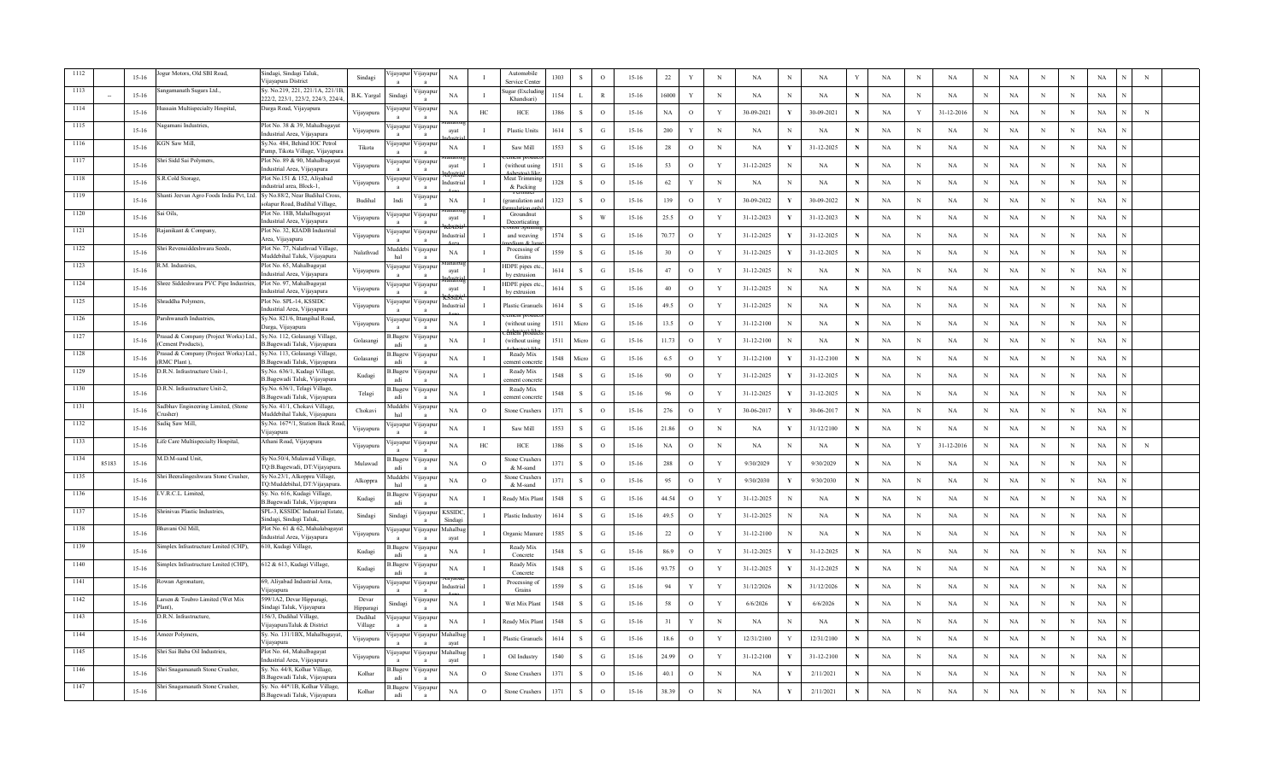| ogur Motors, Old SBI Road,<br>Sindagi, Sindagi Taluk,<br>Automobile<br>ijayapı<br>ijayapu<br>$_{\rm NA}$<br>1303<br>$\,$ S<br>$\mathbf{o}$<br>$15 - 16$<br>$22\,$<br>$_{\rm N}$<br>$_{\rm NA}$<br>NA<br>$_{\rm NA}$<br>$_{\rm NA}$<br>$15-16$<br>Y<br>NA<br>$\,$ N<br>$_{\rm N}$<br>Sindagi<br>N<br>N<br>N<br>Vijayapura District<br>Service Cente<br>ngamanath Sugars Ltd.,<br>Sy. No.219, 221, 221/1A, 221/1B<br>igar (Excludi<br><b>Ilayapul</b><br>NA<br>1154<br>$15 - 16$<br>16000<br>Y<br>$_{\rm N}$<br>$15-16$<br>B.K. Yargal<br>Sindag<br>$\mathbf{I}$<br>$\mathbf{L}$<br>$\mathbb{R}$<br>NA<br>N<br>NA<br>N<br>NA<br>N<br>NA<br>N<br>NA<br>N<br>N<br>222/2, 223/1, 223/2, 224/3, 224/4<br>Khandsari<br>assain Multispecialty Hospital,<br>Darga Road, Vijayapura<br>ijayapu<br>Vijayapur<br><b>NA</b><br>HC<br>HCE<br>1386<br><sub>S</sub><br>$\circ$<br>NA<br>$\circ$<br>Y<br>30-09-2021<br>30-09-2021<br>NA<br>31-12-2016<br>NA<br>$15 - 16$<br>Vijayapura<br>$15 - 16$<br>N<br>Y<br>N<br>N<br>N<br>Jagamani Industries,<br>Plot No. 38 & 39, Mahalbagayat<br>'ijayapı<br>yayapı<br>$15 - 16$<br><b>Plastic Units</b><br>1614<br>s<br>G<br>$15 - 16$<br>200<br>$\mathbf Y$<br>$\mathbf N$<br><b>NA</b><br>NA<br>NA<br><b>NA</b><br><b>NA</b><br>$\mathbf N$<br>$_{\rm N}$<br>N<br>N<br>N<br>Vijayapura<br>$\mathbf{I}$<br>N<br>avat<br>ndustrial Area, Vijayapura<br>Sv.No. 484. Behind IOC Petrol<br>KGN Saw Mill.<br>ijayapu<br>'ijayapı<br>1553<br>28<br>$\circ$<br>$\mathbf N$<br>$_{\rm NA}$<br>$15-16$<br>Tikota<br>NA<br>Saw Mill<br><sub>S</sub><br>$\mathcal{G}$<br>$15 - 16$<br>31-12-2025<br>N<br>NA<br>$\mathbf N$<br>$_{\rm NA}$<br>$\mathbf{I}$<br>NA<br>V<br>N<br>$\mathbf N$<br>N<br>Pump, Tikota Village, Vijayapura<br>Shri Sidd Sai Polymers,<br>Plot No. 89 & 90, Mahalbagayat<br>1117<br>∕ ijayapuı<br>ijayapu<br>53<br>$15 - 16$<br>(without usin<br>1511<br><sub>S</sub><br>G<br>$15 - 16$<br>$\circ$<br>Y<br>31-12-2025<br>NA<br><b>NA</b><br>$_{\rm N}$<br>NA<br>N<br>NA<br>Vijayapura<br>avat<br>N<br>N<br>N<br>N<br>ndustrial Area, Vijayapura<br>Plot No.151 & 152, Aliyabad<br>1118<br>S.R.Cold Storage,<br>Meat Trimmi<br>∕ijayapur<br>ijayapu<br>$15 - 16$<br>1328<br><sub>S</sub><br>$\circ$<br>$15 - 16$<br>62<br>Y<br>$_{\rm N}$<br><b>NA</b><br>$_{\rm N}$<br>NA<br>NA<br>Vijayapura<br>ndustria<br>$\mathbf I$<br>NA<br>NA<br>N<br>N<br>N<br>N<br>ndustrial area, Block-1,<br>& Packing<br>1119<br>hanti Jeevan Agro Foods India Pvt, Ltd. Sy No.88/2, Near Budihal Cross,<br>'ijayapuı<br>1323<br>139<br>$15 - 16$<br>Budihal<br>NA<br>$\mathbf S$<br>$\circ$<br>$15 - 16$<br>$\circ$<br>$\mathbf Y$<br>30-09-2022<br>30-09-2022<br>$\mathbf{N}$<br>NA<br>$\,$ N<br>$_{\rm NA}$<br>$\mathbf N$<br>$_{\rm NA}$<br>Indi<br>$\mathbf{I}$<br>pranulation ar<br>N<br>N<br>- V<br>olapur Road, Budihal Village,<br>$\mathbf{a}$<br>Plot No. 18B, Mahalbagayat<br>1120<br>Sai Oils,<br>Groundnut<br>ijayapu<br>jayapu<br>W<br>25.5<br>$_{\rm NA}$<br>$15-16$<br><sub>S</sub><br>$15 - 16$<br>$\circ$<br>Y<br>31-12-2023<br>31-12-2023<br>NA<br>$\mathbf N$<br>NA<br>$_{\rm N}$<br>Vijayapura<br>$\mathbf{I}$<br>N<br>N<br>N<br>ayat<br>ndustrial Area, Vijavapura<br>Decorticating<br>Plot No. 32, KIADB Industrial<br>1121<br>ajanikant & Company,<br>'ijayapur<br>ijayapuı<br>$15 - 16$<br>1574<br>S<br>G<br>$15 - 16$<br>70.77<br>$\circ$<br>Y<br>31-12-2025<br>31-12-2025<br>$\mathbf N$<br>NA<br>$_{\rm N}$<br>NA<br>$_{\rm N}$<br>NA<br>Vijayapura<br>ndustria<br>$\bf{I}$<br>and weaving<br>N<br>N<br>Area, Vijayapura<br>1122<br>hri Revensiddeshwara Seeds,<br>Plot No. 77, Nalathvad Village,<br><b>Iuddebi</b><br>Processing of<br>'ijayapu<br>$15 - 16$<br>Nalathvad<br>NA<br>1559<br>S<br>G<br>$15 - 16$<br>30<br>$\circ$<br>Y<br>31-12-2025<br>31-12-2025<br>$\mathbf N$<br>NA<br>$_{\rm N}$<br>NA<br>N<br>NA<br>N<br>N<br>л.<br>Y<br>Muddebihal Taluk, Vijayapura<br>hal<br>Grains<br>$\mathbf{a}$<br>Plot No. 65, Mahalbagayat<br>1123<br>.M. Industries.<br>∕ ijayapu<br>IDPE pipes etc<br>ijayapuı<br>$15 - 16$<br>1614<br>$\mathbf S$<br>$15 - 16$<br>47<br>$\circ$<br>Y<br>31-12-2025<br>$\mathbf N$<br>NA<br>NA<br>$_{\rm NA}$<br>Vijayapura<br>$\mathbf{G}$<br>NA<br>$_{\rm N}$<br>N<br>N<br>N<br>$\mathbf{I}$<br>avat<br>N<br>ndustrial Area, Vijayapura<br>$\mathbf{a}$<br>$\overline{a}$<br>by extrusion<br>hree Siddeshwara PVC Pipe Industries,<br>Plot No. 97, Mahalbagayat<br>1124<br><b>IDPE</b> pipes et<br>/ijayapu<br>ijayapur<br>$15 - 16$<br>40<br>$\circ$<br>$\mathbf{Y}$<br>NA<br>1614<br><sub>S</sub><br>$15 - 16$<br>31-12-2025<br>$\mathbf N$<br><b>NA</b><br>$\mathbf N$<br>NA<br>Vijayapura<br>G<br>NA<br>N<br>$\mathbf N$<br>N<br>ayat<br>ndustrial Area, Vijayapura<br>by extrusion<br>1125<br>Shraddha Polymers,<br>Plot No. SPL-14, KSSIDC<br>∕ijayapur<br>ijayapur<br>$15 - 16$<br>Plastic Granue<br>1614<br><sub>S</sub><br>G<br>$15 - 16$<br>49.5<br>$\circ$<br>Y<br>31-12-2025<br>NA<br>$\mathbf N$<br><b>NA</b><br>$\mathbf N$<br>NA<br>N<br>NA<br>Vijayapura<br>Industria<br>-1<br>N<br>N<br>N<br>ndustrial Area, Vijayapura<br>Sy.No. 821/6, Ittangihal Road,<br>1126<br>Parshwanath Industries,<br>'ijayapuı<br>yayapı<br>$_{\rm NA}$<br>1511<br>G<br>13.5<br>$\mathbf{o}$<br>$\mathbf Y$<br>31-12-2100<br>$\mathbf N$<br>$15-16$<br>$\mathbf{I}$<br>(without using<br>Micro<br>$15 - 16$<br>NA<br>NA<br>$\mathbb N$<br>NA<br>NA<br>N<br>N<br>Vijayapura<br>N<br>Darga, Vijayapura<br>1127<br>Prasad & Company (Project Works) Ltd.,<br>Sy.No. 112, Golasangi Village,<br>.Bagev<br>'ijayapu<br>11.73<br>$\mathbf Y$<br>1511<br>$\,$ O<br>$15-16$<br>NA<br>$\mathbf{I}$<br>G<br>$15 - 16$<br>31-12-2100<br>NA<br>$\,$ N<br>$_{\rm NA}$<br>N<br>NA<br>Golasangi<br>(without using<br>Micro<br>NA<br>N<br>N<br>N<br>Cement Products).<br>B.Bagewadi Taluk, Vijayapura<br>adi<br>$\overline{a}$<br>rasad & Company (Project Works) Ltd.,<br>Sy.No. 113, Golasangi Village,<br>1128<br>.Bagev<br>Ready Mix<br>ijayapu<br>6.5<br>$\circ$<br>Y<br>31-12-2100<br>31-12-2100<br>$15 - 16$<br>Golasangi<br>NA<br>$\mathbf I$<br>1548<br>Micro<br>G<br>$15-16$<br>NA<br>N<br>NA<br>N<br>NA<br>N<br>N<br>N<br>(RMC Plant).<br>B.Bagewadi Taluk, Vijayapura<br>adi<br>ment concre<br>D.R.N. Infrastructure Unit-1,<br>Sy.No. 636/1, Kudagi Village,<br>1129<br>Ready Mix<br>.Bagev<br>'ijayapu<br>NA<br>1548<br><sub>S</sub><br>90<br>$\circ$<br>Y<br>31-12-2025<br>31-12-2025<br>NA<br>$15 - 16$<br>Kudagi<br>G<br>$15 - 16$<br>N<br>NA<br>N<br>NA<br>N<br>N<br>N<br>-1<br>B.Bagewadi Taluk, Vijayapura<br>ement concre<br>O.R.N. Infrastructure Unit-2,<br>Sy.No. 636/1, Telagi Village,<br>Ready Mix<br>.Bagev<br>'ijayapuı<br>$_{\rm NA}$<br>1548<br>$\mathbf{s}$<br>$\mathcal{G}$<br>96<br>$\mathbf{Y}$<br>31-12-2025<br>31-12-2025<br>$_{\rm NA}$<br>$15 - 16$<br>Telagi<br>$15-16$<br>$\circ$<br>N<br>NA<br>$\mathbf N$<br>$_{\rm NA}$<br>N<br>N<br>$_{\rm N}$<br>л.<br>B.Bagewadi Taluk, Vijayapura<br>adi<br>ement concre<br>$\mathbf{a}$<br>Sy.No. 41/1, Chokavi Village,<br>Sadbhav Engineering Limited, (Stone<br>1131<br><b>Iuddeb</b><br>'ijayapı<br>276<br>$15 - 16$<br><b>NA</b><br>1371<br>s<br>$\circ$<br>$\mathbf{Y}$<br>NA<br>$\circ$<br>Stone Crusher<br>$\Omega$<br>$15 - 16$<br>30-06-2017<br>30-06-2017<br>N<br><b>NA</b><br>$_{\rm N}$<br>NA<br>N<br>Chokavi<br>$\mathbf{v}$<br>N<br>N<br>rusher)<br>Muddebihal Taluk, Vijayapura<br>hal<br>$\mathbf{a}$<br>Sadiq Saw Mill,<br>Sy.No. 167*/1, Station Back Road<br>1132<br>'ijayapu<br>ijayapuı<br>$15 - 16$<br><b>NA</b><br>Saw Mill<br>1553<br><sub>S</sub><br>G<br>$15 - 16$<br>21.86<br>$\circ$<br>$_{\rm N}$<br>31/12/2100<br>$\mathbf N$<br><b>NA</b><br>$_{\rm N}$<br>NA<br>NA<br>Vijayapura<br>$\mathbf I$<br>NA<br>N<br>N<br>N<br>Vijayapura<br>1133<br>Life Care Multispecialty Hospital,<br>Athani Road, Vijayapura<br>ijayapu<br>'ijayapur<br>$15 - 16$<br>NA<br>$\rm{HC}$<br>1386<br>$\,$ S<br>$\circ$<br>$_{\rm NA}$<br>$\mathbf{o}$<br>$\mathbf N$<br>NA<br>31-12-2016<br>$_{\rm NA}$<br>Vijayapura<br>HCE<br>$15 - 16$<br>NA<br>$\mathbf N$<br>NA<br>$\mathbf N$<br>Y<br>N<br>N<br>N<br>1134<br>M.D.M-sand Unit,<br>Sy No.50/4, Mulawad Village,<br>.Bagev<br>'ijayapu<br>Stone Crusher<br>85183<br>$15 - 16$<br>$_{\rm NA}$<br>$\circ$<br>1371<br><sub>S</sub><br>$\circ$<br>$15 - 16$<br>$288\,$<br>$\circ$<br>Y<br>9/30/2029<br>9/30/2029<br>$_{\rm NA}$<br>Mulawad<br>N<br>NA<br>$_{\rm N}$<br>NA<br>N<br>N<br>N<br>TQ:B.Bagewadi, DT:Vijayapura.<br>adi<br>& M-sand<br>$\overline{a}$<br>1135<br>Sy No.23/1, Alkoppra Village,<br>Shri Beeralingeshwara Stone Crusher,<br>Auddeb<br>ijayapu<br>Stone Crusher<br>1371<br>$\,$ S<br>$15 - 16$<br>95<br>$\mathbf Y$<br>$_{\rm NA}$<br>$15-16$<br>NA<br>$\circ$<br>$\circ$<br>$\circ$<br>9/30/2030<br>9/30/2030<br>$\mathbf N$<br>$\mathbf N$<br>NA<br>$_{\rm N}$<br>Alkoppra<br>NA<br>N<br>N<br>TQ:Muddebihal, DT:Vijayapura.<br>hal<br>& M-sand<br>$\mathbf{a}$<br>1136<br>V.R.C.L. Limited,<br>Sy. No. 616, Kudagi Village,<br>.Bagew<br>ijayapur<br>$15-16$<br>Kudagi<br>NA<br>eady Mix Plar<br>1548<br><sub>S</sub><br>$15 - 16$<br>44.54<br>$\circ$<br>31-12-2025<br>NA<br>NA<br>$_{\rm N}$<br>NA<br>$_{\rm N}$<br>NA<br>$\bf{I}$<br>G<br>Y<br>N<br>N<br>N<br>B.Bagewadi Taluk, Vijayapura<br>adi<br>1137<br>hrinivas Plastic Industries,<br>SPL-3, KSSIDC Industrial Estate<br><b>KSSIDC</b><br>ijayapur<br>$15 - 16$<br>1614<br>S<br>$15 - 16$<br>49.5<br>$\circ$<br>$\mathbf Y$<br>31-12-2025<br>$_{\rm NA}$<br>${\bf N}$<br>NA<br>NA<br>NA<br>$\operatorname{Sindagi}$<br>Sindagi<br><b>Plastic Industr</b><br>$\mathcal{G}$<br>$\mathbf N$<br>N<br>N<br>$\mathbf{I}$<br>N<br>Sindagi, Sindagi Taluk,<br>Sindagi<br>$\mathbf{a}$<br>Plot No. 61 & 62, Mahalabagaya<br>1138<br>havani Oil Mill,<br>Mahalba<br>∕ijayapur<br>ijayapu<br>$15 - 16$<br>1585<br>22<br>$\circ$<br>Y<br>31-12-2100<br>NA<br>NA<br>-S<br>$\mathbf{G}$<br>$15-16$<br>N<br><b>NA</b><br>$_{\rm N}$<br>NA<br>N<br>Vijayapura<br>Organic Manu<br>N<br>N<br>$\mathbf{I}$<br>ndustrial Area, Vijayapura<br>$\overline{a}$<br>avat<br>$\mathbf{a}$<br>implex Infrastructure Lmited (CHP),<br>610, Kudagi Village,<br>1139<br>.Bagev<br>Ready Mix<br>∕ ijayapuı<br>$15 - 16$<br>NA<br>1548<br>86.9<br>$\circ$<br>Y<br>31-12-2025<br>31-12-2025<br>NA<br>Kudagi<br><sub>S</sub><br>G<br>$15-16$<br>N<br>NA<br>N<br>NA<br>N<br>N<br>N<br>adi<br>Concrete<br>implex Infrastructure Lmited (CHP),<br>612 & 613, Kudagi Village,<br>1140<br>.Bagey<br>Ready Mix<br>∕ ijayapuı<br>$15 - 16$<br>NA<br>1548<br>s<br>G<br>93.75<br>$\mathbf{o}$<br>Y<br>31-12-2025<br>31-12-2025<br>NA<br>$\,$ N<br>NA<br>Kudagi<br>$15 - 16$<br>N<br>NA<br>N<br>N<br>N<br>adi<br>Concrete<br>1141<br>69, Aliyabad Industrial Area,<br>owan Agronature.<br>ijayapı<br>√ijayapu<br>Processing o<br>1559<br><sub>S</sub><br>$\mathcal{G}$<br>$15 - 16$<br>94<br>Y<br>$\mathbf{Y}$<br>31/12/2026<br>31/12/2026<br>NA<br>$\,$ N<br>$15-16$<br>$\mathbf{I}$<br>NA<br>N<br>NA<br>N<br>N<br>Vijayapura<br>Industria<br>Vijayapura<br>Grains<br>$\mathbf{a}$<br>$\mathbf{a}$<br>1142<br>arsen & Toubro Limited (Wet Mix<br>599/1A2, Devar Hipparagi,<br>Devar<br>ijayapı<br>58<br>NA<br>1548<br><sub>S</sub><br>G<br>$15 - 16$<br>$\circ$<br>Y<br>$15 - 16$<br>Sindag<br>$\mathbf I$<br>Wet Mix Plan<br>6/6/2026<br>6/6/2026<br>N<br>NA<br>N<br>NA<br>N<br>NA<br>N<br>N<br>Sindagi Taluk, Vijayapura<br>lant)<br>Hipparag<br>0.R.N. Infrastructure,<br>156/3, Dudihal Village,<br>Dudihal<br>ijayapu<br><b>1</b> ayapu<br>1548<br>S<br>31<br>$15 - 16$<br>NA<br>П.<br><b>Ready Mix Pla</b><br>G<br>$15-16$<br>Y<br>N<br>NA<br>NA<br>NA<br>N<br>NA<br>N<br>NA<br>N<br>N<br>VijayapuraTaluk & District<br>Village<br>Sy. No. 131/1BX, Mahalbagayat<br>meer Polymers,<br>Mahalba<br>ijayapuı<br>ijayapur<br>1614<br>18.6<br>$\circ$<br>$\mathbf{Y}$<br>12/31/2100<br>$15-16$<br>lastic Granu<br>s<br>$\mathcal{G}$<br>$15 - 16$<br>12/31/2100<br>N<br>NA<br>$_{\rm N}$<br>NA<br>N<br>NA<br>N<br>$_{\rm N}$<br>Vijayapura<br>Vijayapura<br>avat<br>Plot No. 64, Mahalbagayat<br>Shri Sai Baba Oil Industries.<br>Mahalba<br>∕ ijayapuı<br>yayapı<br>1540<br>S<br>$\mathcal{G}$<br>$15 - 16$<br>24.99<br>$\circ$<br>$\mathbf{Y}$<br>31-12-2100<br>31-12-2100<br>NA<br>NA<br>NA<br>$15-16$<br>Oil Industry<br>N<br>$_{\rm N}$<br>N<br>N<br>N<br>Vijayapura<br>$\mathbf{v}$<br>$\mathbf{I}$<br>ndustrial Area, Vijayapura<br>avat<br>$\mathbf{a}$<br>Sy. No. 44/8, Kolhar Village,<br>Shri Snagamanath Stone Crusher,<br>.Bagev<br>ijayapı<br>1371<br>$15 - 16$<br>NA<br>40.1<br>$\circ$<br>2/11/2021<br>NA<br>NA<br>Kolhar<br>$\circ$<br>Stone Crusher<br><sub>S</sub><br>$\Omega$<br>$15 - 16$<br>N<br>NA<br>N<br>$_{\rm N}$<br>NA<br>N<br>N<br>N<br>B.Bagewadi Taluk, Vijavapura<br>adi<br>Shri Snagamanath Stone Crusher,<br>Sy. No. 44*/1B, Kolhar Village,<br>1147<br>3. Bagev<br>∕ijayapur<br>1371<br>38.39<br>$\circ$<br>$15 - 16$<br>Kolhar<br>NA<br><sub>S</sub><br>$\circ$<br>$15 - 16$<br>N<br>NA<br>Y<br>2/11/2021<br>N<br><b>NA</b><br>N<br>NA<br>NA<br>$\circ$<br>Stone Crushers<br>N<br>N<br>N<br>B.Bagewadi Taluk, Vijayapura<br>adi |  |  |  |  |  |  |  |  |  |  |  |  |  |  |             |             |  |
|---------------------------------------------------------------------------------------------------------------------------------------------------------------------------------------------------------------------------------------------------------------------------------------------------------------------------------------------------------------------------------------------------------------------------------------------------------------------------------------------------------------------------------------------------------------------------------------------------------------------------------------------------------------------------------------------------------------------------------------------------------------------------------------------------------------------------------------------------------------------------------------------------------------------------------------------------------------------------------------------------------------------------------------------------------------------------------------------------------------------------------------------------------------------------------------------------------------------------------------------------------------------------------------------------------------------------------------------------------------------------------------------------------------------------------------------------------------------------------------------------------------------------------------------------------------------------------------------------------------------------------------------------------------------------------------------------------------------------------------------------------------------------------------------------------------------------------------------------------------------------------------------------------------------------------------------------------------------------------------------------------------------------------------------------------------------------------------------------------------------------------------------------------------------------------------------------------------------------------------------------------------------------------------------------------------------------------------------------------------------------------------------------------------------------------------------------------------------------------------------------------------------------------------------------------------------------------------------------------------------------------------------------------------------------------------------------------------------------------------------------------------------------------------------------------------------------------------------------------------------------------------------------------------------------------------------------------------------------------------------------------------------------------------------------------------------------------------------------------------------------------------------------------------------------------------------------------------------------------------------------------------------------------------------------------------------------------------------------------------------------------------------------------------------------------------------------------------------------------------------------------------------------------------------------------------------------------------------------------------------------------------------------------------------------------------------------------------------------------------------------------------------------------------------------------------------------------------------------------------------------------------------------------------------------------------------------------------------------------------------------------------------------------------------------------------------------------------------------------------------------------------------------------------------------------------------------------------------------------------------------------------------------------------------------------------------------------------------------------------------------------------------------------------------------------------------------------------------------------------------------------------------------------------------------------------------------------------------------------------------------------------------------------------------------------------------------------------------------------------------------------------------------------------------------------------------------------------------------------------------------------------------------------------------------------------------------------------------------------------------------------------------------------------------------------------------------------------------------------------------------------------------------------------------------------------------------------------------------------------------------------------------------------------------------------------------------------------------------------------------------------------------------------------------------------------------------------------------------------------------------------------------------------------------------------------------------------------------------------------------------------------------------------------------------------------------------------------------------------------------------------------------------------------------------------------------------------------------------------------------------------------------------------------------------------------------------------------------------------------------------------------------------------------------------------------------------------------------------------------------------------------------------------------------------------------------------------------------------------------------------------------------------------------------------------------------------------------------------------------------------------------------------------------------------------------------------------------------------------------------------------------------------------------------------------------------------------------------------------------------------------------------------------------------------------------------------------------------------------------------------------------------------------------------------------------------------------------------------------------------------------------------------------------------------------------------------------------------------------------------------------------------------------------------------------------------------------------------------------------------------------------------------------------------------------------------------------------------------------------------------------------------------------------------------------------------------------------------------------------------------------------------------------------------------------------------------------------------------------------------------------------------------------------------------------------------------------------------------------------------------------------------------------------------------------------------------------------------------------------------------------------------------------------------------------------------------------------------------------------------------------------------------------------------------------------------------------------------------------------------------------------------------------------------------------------------------------------------------------------------------------------------------------------------------------------------------------------------------------------------------------------------------------------------------------------------------------------------------------------------------------------------------------------------------------------------------------------------------------------------------------------------------------------------------------------------------------------------------------------------------------------------------------------------------------------------------------------------------------------------------------------------------------------------------------------------------------------------------------------------------------------------------------------------------------------------------------------------------------------------------------------------------------------------------------------------------------------------------------------------------------------------------------------------------------------------------------------------------------------------------------------------------------------------------------------------------------------------------------------------------------------------------------------------------------------------------------------------------------------------------------------------------------------------------------------------------------------------------------------------------------------------------------------------------------------------------------------------------------------------------------------------------------------------------------------------------------------------------------------------------------------------------------------------------------------------------------------------------------------------------------------------------------------------------------------------------------------------------------------------------------------------------------------------------------------------------------------------------------------------------------------------------------------------------------------------------------------------------------------------------------------------------------------------------------------------------------------------------------------------------------------------------------------------------------------------------------------------------------------------------------------------------------------------------------------------------------------------------------------------------------------------------------------------------------------------------------------------------------------------------------------------------------------------------------------------------------------------------------------------------------------------------------------------------------------------------------------------------------------------------------------------------------------------------------------------------------------------------------------------------------------------------------------------------------------------------------------------------------------------------------------------------------------------------------------------------------------------------------------------------------------------------------------------------------------------------------------------------------------------------------------------------------------------------------------------------------------------------------------------------------------------------------------------------------------------------------------------------------------------------------------------------------------------------------------------------------------------------------------------------------------------------------------------------------------------------------------------------------------------------------------------------------------------------------------------------------------------------------------------------------------------------------------------------------------------------------------------------------------------------------------------------------------------------------------------------------------------------------------------------------------------------------------------------------------------------------------------------------------------------------------------------------------------------------------------------------------------------------------------------------------------------------------------------------------------------------------------------------------------------------------------------------------------------------------------------------------------------------------------------------------------------------------------------------------------------------------------------------------------------------------------------------------------------------------------------------------------|--|--|--|--|--|--|--|--|--|--|--|--|--|--|-------------|-------------|--|
|                                                                                                                                                                                                                                                                                                                                                                                                                                                                                                                                                                                                                                                                                                                                                                                                                                                                                                                                                                                                                                                                                                                                                                                                                                                                                                                                                                                                                                                                                                                                                                                                                                                                                                                                                                                                                                                                                                                                                                                                                                                                                                                                                                                                                                                                                                                                                                                                                                                                                                                                                                                                                                                                                                                                                                                                                                                                                                                                                                                                                                                                                                                                                                                                                                                                                                                                                                                                                                                                                                                                                                                                                                                                                                                                                                                                                                                                                                                                                                                                                                                                                                                                                                                                                                                                                                                                                                                                                                                                                                                                                                                                                                                                                                                                                                                                                                                                                                                                                                                                                                                                                                                                                                                                                                                                                                                                                                                                                                                                                                                                                                                                                                                                                                                                                                                                                                                                                                                                                                                                                                                                                                                                                                                                                                                                                                                                                                                                                                                                                                                                                                                                                                                                                                                                                                                                                                                                                                                                                                                                                                                                                                                                                                                                                                                                                                                                                                                                                                                                                                                                                                                                                                                                                                                                                                                                                                                                                                                                                                                                                                                                                                                                                                                                                                                                                                                                                                                                                                                                                                                                                                                                                                                                                                                                                                                                                                                                                                                                                                                                                                                                                                                                                                                                                                                                                                                                                                                                                                                                                                                                                                                                                                                                                                                                                                                                                                                                                                                                                                                                                                                                                                                                                                                                                                                                                                                                                                                                                                                                                                                                                                                                                                                                                                                                                                                                                                                                                                                                                                                                                                                                                                                                                                                                                                                                                                                                                                                                                                                                                                                                                                                                                                                                                                                                                                                                                                                                                                                                                                                                                                                                                                                                                                                                                                                                                                                                                                                                                                                                                                                                                                                                                                                                                                                                                                                                                                                                                                                                                                                                                                                                                                                                                                                                                     |  |  |  |  |  |  |  |  |  |  |  |  |  |  | $_{\rm NA}$ | ${\bf N}$   |  |
|                                                                                                                                                                                                                                                                                                                                                                                                                                                                                                                                                                                                                                                                                                                                                                                                                                                                                                                                                                                                                                                                                                                                                                                                                                                                                                                                                                                                                                                                                                                                                                                                                                                                                                                                                                                                                                                                                                                                                                                                                                                                                                                                                                                                                                                                                                                                                                                                                                                                                                                                                                                                                                                                                                                                                                                                                                                                                                                                                                                                                                                                                                                                                                                                                                                                                                                                                                                                                                                                                                                                                                                                                                                                                                                                                                                                                                                                                                                                                                                                                                                                                                                                                                                                                                                                                                                                                                                                                                                                                                                                                                                                                                                                                                                                                                                                                                                                                                                                                                                                                                                                                                                                                                                                                                                                                                                                                                                                                                                                                                                                                                                                                                                                                                                                                                                                                                                                                                                                                                                                                                                                                                                                                                                                                                                                                                                                                                                                                                                                                                                                                                                                                                                                                                                                                                                                                                                                                                                                                                                                                                                                                                                                                                                                                                                                                                                                                                                                                                                                                                                                                                                                                                                                                                                                                                                                                                                                                                                                                                                                                                                                                                                                                                                                                                                                                                                                                                                                                                                                                                                                                                                                                                                                                                                                                                                                                                                                                                                                                                                                                                                                                                                                                                                                                                                                                                                                                                                                                                                                                                                                                                                                                                                                                                                                                                                                                                                                                                                                                                                                                                                                                                                                                                                                                                                                                                                                                                                                                                                                                                                                                                                                                                                                                                                                                                                                                                                                                                                                                                                                                                                                                                                                                                                                                                                                                                                                                                                                                                                                                                                                                                                                                                                                                                                                                                                                                                                                                                                                                                                                                                                                                                                                                                                                                                                                                                                                                                                                                                                                                                                                                                                                                                                                                                                                                                                                                                                                                                                                                                                                                                                                                                                                                                                                                     |  |  |  |  |  |  |  |  |  |  |  |  |  |  | NA          |             |  |
|                                                                                                                                                                                                                                                                                                                                                                                                                                                                                                                                                                                                                                                                                                                                                                                                                                                                                                                                                                                                                                                                                                                                                                                                                                                                                                                                                                                                                                                                                                                                                                                                                                                                                                                                                                                                                                                                                                                                                                                                                                                                                                                                                                                                                                                                                                                                                                                                                                                                                                                                                                                                                                                                                                                                                                                                                                                                                                                                                                                                                                                                                                                                                                                                                                                                                                                                                                                                                                                                                                                                                                                                                                                                                                                                                                                                                                                                                                                                                                                                                                                                                                                                                                                                                                                                                                                                                                                                                                                                                                                                                                                                                                                                                                                                                                                                                                                                                                                                                                                                                                                                                                                                                                                                                                                                                                                                                                                                                                                                                                                                                                                                                                                                                                                                                                                                                                                                                                                                                                                                                                                                                                                                                                                                                                                                                                                                                                                                                                                                                                                                                                                                                                                                                                                                                                                                                                                                                                                                                                                                                                                                                                                                                                                                                                                                                                                                                                                                                                                                                                                                                                                                                                                                                                                                                                                                                                                                                                                                                                                                                                                                                                                                                                                                                                                                                                                                                                                                                                                                                                                                                                                                                                                                                                                                                                                                                                                                                                                                                                                                                                                                                                                                                                                                                                                                                                                                                                                                                                                                                                                                                                                                                                                                                                                                                                                                                                                                                                                                                                                                                                                                                                                                                                                                                                                                                                                                                                                                                                                                                                                                                                                                                                                                                                                                                                                                                                                                                                                                                                                                                                                                                                                                                                                                                                                                                                                                                                                                                                                                                                                                                                                                                                                                                                                                                                                                                                                                                                                                                                                                                                                                                                                                                                                                                                                                                                                                                                                                                                                                                                                                                                                                                                                                                                                                                                                                                                                                                                                                                                                                                                                                                                                                                                                                                     |  |  |  |  |  |  |  |  |  |  |  |  |  |  | NA          | $_{\rm N}$  |  |
|                                                                                                                                                                                                                                                                                                                                                                                                                                                                                                                                                                                                                                                                                                                                                                                                                                                                                                                                                                                                                                                                                                                                                                                                                                                                                                                                                                                                                                                                                                                                                                                                                                                                                                                                                                                                                                                                                                                                                                                                                                                                                                                                                                                                                                                                                                                                                                                                                                                                                                                                                                                                                                                                                                                                                                                                                                                                                                                                                                                                                                                                                                                                                                                                                                                                                                                                                                                                                                                                                                                                                                                                                                                                                                                                                                                                                                                                                                                                                                                                                                                                                                                                                                                                                                                                                                                                                                                                                                                                                                                                                                                                                                                                                                                                                                                                                                                                                                                                                                                                                                                                                                                                                                                                                                                                                                                                                                                                                                                                                                                                                                                                                                                                                                                                                                                                                                                                                                                                                                                                                                                                                                                                                                                                                                                                                                                                                                                                                                                                                                                                                                                                                                                                                                                                                                                                                                                                                                                                                                                                                                                                                                                                                                                                                                                                                                                                                                                                                                                                                                                                                                                                                                                                                                                                                                                                                                                                                                                                                                                                                                                                                                                                                                                                                                                                                                                                                                                                                                                                                                                                                                                                                                                                                                                                                                                                                                                                                                                                                                                                                                                                                                                                                                                                                                                                                                                                                                                                                                                                                                                                                                                                                                                                                                                                                                                                                                                                                                                                                                                                                                                                                                                                                                                                                                                                                                                                                                                                                                                                                                                                                                                                                                                                                                                                                                                                                                                                                                                                                                                                                                                                                                                                                                                                                                                                                                                                                                                                                                                                                                                                                                                                                                                                                                                                                                                                                                                                                                                                                                                                                                                                                                                                                                                                                                                                                                                                                                                                                                                                                                                                                                                                                                                                                                                                                                                                                                                                                                                                                                                                                                                                                                                                                                                                                     |  |  |  |  |  |  |  |  |  |  |  |  |  |  | NA          |             |  |
|                                                                                                                                                                                                                                                                                                                                                                                                                                                                                                                                                                                                                                                                                                                                                                                                                                                                                                                                                                                                                                                                                                                                                                                                                                                                                                                                                                                                                                                                                                                                                                                                                                                                                                                                                                                                                                                                                                                                                                                                                                                                                                                                                                                                                                                                                                                                                                                                                                                                                                                                                                                                                                                                                                                                                                                                                                                                                                                                                                                                                                                                                                                                                                                                                                                                                                                                                                                                                                                                                                                                                                                                                                                                                                                                                                                                                                                                                                                                                                                                                                                                                                                                                                                                                                                                                                                                                                                                                                                                                                                                                                                                                                                                                                                                                                                                                                                                                                                                                                                                                                                                                                                                                                                                                                                                                                                                                                                                                                                                                                                                                                                                                                                                                                                                                                                                                                                                                                                                                                                                                                                                                                                                                                                                                                                                                                                                                                                                                                                                                                                                                                                                                                                                                                                                                                                                                                                                                                                                                                                                                                                                                                                                                                                                                                                                                                                                                                                                                                                                                                                                                                                                                                                                                                                                                                                                                                                                                                                                                                                                                                                                                                                                                                                                                                                                                                                                                                                                                                                                                                                                                                                                                                                                                                                                                                                                                                                                                                                                                                                                                                                                                                                                                                                                                                                                                                                                                                                                                                                                                                                                                                                                                                                                                                                                                                                                                                                                                                                                                                                                                                                                                                                                                                                                                                                                                                                                                                                                                                                                                                                                                                                                                                                                                                                                                                                                                                                                                                                                                                                                                                                                                                                                                                                                                                                                                                                                                                                                                                                                                                                                                                                                                                                                                                                                                                                                                                                                                                                                                                                                                                                                                                                                                                                                                                                                                                                                                                                                                                                                                                                                                                                                                                                                                                                                                                                                                                                                                                                                                                                                                                                                                                                                                                                                                     |  |  |  |  |  |  |  |  |  |  |  |  |  |  | $_{\rm NA}$ |             |  |
|                                                                                                                                                                                                                                                                                                                                                                                                                                                                                                                                                                                                                                                                                                                                                                                                                                                                                                                                                                                                                                                                                                                                                                                                                                                                                                                                                                                                                                                                                                                                                                                                                                                                                                                                                                                                                                                                                                                                                                                                                                                                                                                                                                                                                                                                                                                                                                                                                                                                                                                                                                                                                                                                                                                                                                                                                                                                                                                                                                                                                                                                                                                                                                                                                                                                                                                                                                                                                                                                                                                                                                                                                                                                                                                                                                                                                                                                                                                                                                                                                                                                                                                                                                                                                                                                                                                                                                                                                                                                                                                                                                                                                                                                                                                                                                                                                                                                                                                                                                                                                                                                                                                                                                                                                                                                                                                                                                                                                                                                                                                                                                                                                                                                                                                                                                                                                                                                                                                                                                                                                                                                                                                                                                                                                                                                                                                                                                                                                                                                                                                                                                                                                                                                                                                                                                                                                                                                                                                                                                                                                                                                                                                                                                                                                                                                                                                                                                                                                                                                                                                                                                                                                                                                                                                                                                                                                                                                                                                                                                                                                                                                                                                                                                                                                                                                                                                                                                                                                                                                                                                                                                                                                                                                                                                                                                                                                                                                                                                                                                                                                                                                                                                                                                                                                                                                                                                                                                                                                                                                                                                                                                                                                                                                                                                                                                                                                                                                                                                                                                                                                                                                                                                                                                                                                                                                                                                                                                                                                                                                                                                                                                                                                                                                                                                                                                                                                                                                                                                                                                                                                                                                                                                                                                                                                                                                                                                                                                                                                                                                                                                                                                                                                                                                                                                                                                                                                                                                                                                                                                                                                                                                                                                                                                                                                                                                                                                                                                                                                                                                                                                                                                                                                                                                                                                                                                                                                                                                                                                                                                                                                                                                                                                                                                                                                     |  |  |  |  |  |  |  |  |  |  |  |  |  |  | NA          |             |  |
|                                                                                                                                                                                                                                                                                                                                                                                                                                                                                                                                                                                                                                                                                                                                                                                                                                                                                                                                                                                                                                                                                                                                                                                                                                                                                                                                                                                                                                                                                                                                                                                                                                                                                                                                                                                                                                                                                                                                                                                                                                                                                                                                                                                                                                                                                                                                                                                                                                                                                                                                                                                                                                                                                                                                                                                                                                                                                                                                                                                                                                                                                                                                                                                                                                                                                                                                                                                                                                                                                                                                                                                                                                                                                                                                                                                                                                                                                                                                                                                                                                                                                                                                                                                                                                                                                                                                                                                                                                                                                                                                                                                                                                                                                                                                                                                                                                                                                                                                                                                                                                                                                                                                                                                                                                                                                                                                                                                                                                                                                                                                                                                                                                                                                                                                                                                                                                                                                                                                                                                                                                                                                                                                                                                                                                                                                                                                                                                                                                                                                                                                                                                                                                                                                                                                                                                                                                                                                                                                                                                                                                                                                                                                                                                                                                                                                                                                                                                                                                                                                                                                                                                                                                                                                                                                                                                                                                                                                                                                                                                                                                                                                                                                                                                                                                                                                                                                                                                                                                                                                                                                                                                                                                                                                                                                                                                                                                                                                                                                                                                                                                                                                                                                                                                                                                                                                                                                                                                                                                                                                                                                                                                                                                                                                                                                                                                                                                                                                                                                                                                                                                                                                                                                                                                                                                                                                                                                                                                                                                                                                                                                                                                                                                                                                                                                                                                                                                                                                                                                                                                                                                                                                                                                                                                                                                                                                                                                                                                                                                                                                                                                                                                                                                                                                                                                                                                                                                                                                                                                                                                                                                                                                                                                                                                                                                                                                                                                                                                                                                                                                                                                                                                                                                                                                                                                                                                                                                                                                                                                                                                                                                                                                                                                                                                                                     |  |  |  |  |  |  |  |  |  |  |  |  |  |  | NA          |             |  |
|                                                                                                                                                                                                                                                                                                                                                                                                                                                                                                                                                                                                                                                                                                                                                                                                                                                                                                                                                                                                                                                                                                                                                                                                                                                                                                                                                                                                                                                                                                                                                                                                                                                                                                                                                                                                                                                                                                                                                                                                                                                                                                                                                                                                                                                                                                                                                                                                                                                                                                                                                                                                                                                                                                                                                                                                                                                                                                                                                                                                                                                                                                                                                                                                                                                                                                                                                                                                                                                                                                                                                                                                                                                                                                                                                                                                                                                                                                                                                                                                                                                                                                                                                                                                                                                                                                                                                                                                                                                                                                                                                                                                                                                                                                                                                                                                                                                                                                                                                                                                                                                                                                                                                                                                                                                                                                                                                                                                                                                                                                                                                                                                                                                                                                                                                                                                                                                                                                                                                                                                                                                                                                                                                                                                                                                                                                                                                                                                                                                                                                                                                                                                                                                                                                                                                                                                                                                                                                                                                                                                                                                                                                                                                                                                                                                                                                                                                                                                                                                                                                                                                                                                                                                                                                                                                                                                                                                                                                                                                                                                                                                                                                                                                                                                                                                                                                                                                                                                                                                                                                                                                                                                                                                                                                                                                                                                                                                                                                                                                                                                                                                                                                                                                                                                                                                                                                                                                                                                                                                                                                                                                                                                                                                                                                                                                                                                                                                                                                                                                                                                                                                                                                                                                                                                                                                                                                                                                                                                                                                                                                                                                                                                                                                                                                                                                                                                                                                                                                                                                                                                                                                                                                                                                                                                                                                                                                                                                                                                                                                                                                                                                                                                                                                                                                                                                                                                                                                                                                                                                                                                                                                                                                                                                                                                                                                                                                                                                                                                                                                                                                                                                                                                                                                                                                                                                                                                                                                                                                                                                                                                                                                                                                                                                                                                                     |  |  |  |  |  |  |  |  |  |  |  |  |  |  | $_{\rm NA}$ |             |  |
|                                                                                                                                                                                                                                                                                                                                                                                                                                                                                                                                                                                                                                                                                                                                                                                                                                                                                                                                                                                                                                                                                                                                                                                                                                                                                                                                                                                                                                                                                                                                                                                                                                                                                                                                                                                                                                                                                                                                                                                                                                                                                                                                                                                                                                                                                                                                                                                                                                                                                                                                                                                                                                                                                                                                                                                                                                                                                                                                                                                                                                                                                                                                                                                                                                                                                                                                                                                                                                                                                                                                                                                                                                                                                                                                                                                                                                                                                                                                                                                                                                                                                                                                                                                                                                                                                                                                                                                                                                                                                                                                                                                                                                                                                                                                                                                                                                                                                                                                                                                                                                                                                                                                                                                                                                                                                                                                                                                                                                                                                                                                                                                                                                                                                                                                                                                                                                                                                                                                                                                                                                                                                                                                                                                                                                                                                                                                                                                                                                                                                                                                                                                                                                                                                                                                                                                                                                                                                                                                                                                                                                                                                                                                                                                                                                                                                                                                                                                                                                                                                                                                                                                                                                                                                                                                                                                                                                                                                                                                                                                                                                                                                                                                                                                                                                                                                                                                                                                                                                                                                                                                                                                                                                                                                                                                                                                                                                                                                                                                                                                                                                                                                                                                                                                                                                                                                                                                                                                                                                                                                                                                                                                                                                                                                                                                                                                                                                                                                                                                                                                                                                                                                                                                                                                                                                                                                                                                                                                                                                                                                                                                                                                                                                                                                                                                                                                                                                                                                                                                                                                                                                                                                                                                                                                                                                                                                                                                                                                                                                                                                                                                                                                                                                                                                                                                                                                                                                                                                                                                                                                                                                                                                                                                                                                                                                                                                                                                                                                                                                                                                                                                                                                                                                                                                                                                                                                                                                                                                                                                                                                                                                                                                                                                                                                                                     |  |  |  |  |  |  |  |  |  |  |  |  |  |  | NA          |             |  |
|                                                                                                                                                                                                                                                                                                                                                                                                                                                                                                                                                                                                                                                                                                                                                                                                                                                                                                                                                                                                                                                                                                                                                                                                                                                                                                                                                                                                                                                                                                                                                                                                                                                                                                                                                                                                                                                                                                                                                                                                                                                                                                                                                                                                                                                                                                                                                                                                                                                                                                                                                                                                                                                                                                                                                                                                                                                                                                                                                                                                                                                                                                                                                                                                                                                                                                                                                                                                                                                                                                                                                                                                                                                                                                                                                                                                                                                                                                                                                                                                                                                                                                                                                                                                                                                                                                                                                                                                                                                                                                                                                                                                                                                                                                                                                                                                                                                                                                                                                                                                                                                                                                                                                                                                                                                                                                                                                                                                                                                                                                                                                                                                                                                                                                                                                                                                                                                                                                                                                                                                                                                                                                                                                                                                                                                                                                                                                                                                                                                                                                                                                                                                                                                                                                                                                                                                                                                                                                                                                                                                                                                                                                                                                                                                                                                                                                                                                                                                                                                                                                                                                                                                                                                                                                                                                                                                                                                                                                                                                                                                                                                                                                                                                                                                                                                                                                                                                                                                                                                                                                                                                                                                                                                                                                                                                                                                                                                                                                                                                                                                                                                                                                                                                                                                                                                                                                                                                                                                                                                                                                                                                                                                                                                                                                                                                                                                                                                                                                                                                                                                                                                                                                                                                                                                                                                                                                                                                                                                                                                                                                                                                                                                                                                                                                                                                                                                                                                                                                                                                                                                                                                                                                                                                                                                                                                                                                                                                                                                                                                                                                                                                                                                                                                                                                                                                                                                                                                                                                                                                                                                                                                                                                                                                                                                                                                                                                                                                                                                                                                                                                                                                                                                                                                                                                                                                                                                                                                                                                                                                                                                                                                                                                                                                                                                                     |  |  |  |  |  |  |  |  |  |  |  |  |  |  | NA          |             |  |
|                                                                                                                                                                                                                                                                                                                                                                                                                                                                                                                                                                                                                                                                                                                                                                                                                                                                                                                                                                                                                                                                                                                                                                                                                                                                                                                                                                                                                                                                                                                                                                                                                                                                                                                                                                                                                                                                                                                                                                                                                                                                                                                                                                                                                                                                                                                                                                                                                                                                                                                                                                                                                                                                                                                                                                                                                                                                                                                                                                                                                                                                                                                                                                                                                                                                                                                                                                                                                                                                                                                                                                                                                                                                                                                                                                                                                                                                                                                                                                                                                                                                                                                                                                                                                                                                                                                                                                                                                                                                                                                                                                                                                                                                                                                                                                                                                                                                                                                                                                                                                                                                                                                                                                                                                                                                                                                                                                                                                                                                                                                                                                                                                                                                                                                                                                                                                                                                                                                                                                                                                                                                                                                                                                                                                                                                                                                                                                                                                                                                                                                                                                                                                                                                                                                                                                                                                                                                                                                                                                                                                                                                                                                                                                                                                                                                                                                                                                                                                                                                                                                                                                                                                                                                                                                                                                                                                                                                                                                                                                                                                                                                                                                                                                                                                                                                                                                                                                                                                                                                                                                                                                                                                                                                                                                                                                                                                                                                                                                                                                                                                                                                                                                                                                                                                                                                                                                                                                                                                                                                                                                                                                                                                                                                                                                                                                                                                                                                                                                                                                                                                                                                                                                                                                                                                                                                                                                                                                                                                                                                                                                                                                                                                                                                                                                                                                                                                                                                                                                                                                                                                                                                                                                                                                                                                                                                                                                                                                                                                                                                                                                                                                                                                                                                                                                                                                                                                                                                                                                                                                                                                                                                                                                                                                                                                                                                                                                                                                                                                                                                                                                                                                                                                                                                                                                                                                                                                                                                                                                                                                                                                                                                                                                                                                                                                     |  |  |  |  |  |  |  |  |  |  |  |  |  |  | NA          |             |  |
|                                                                                                                                                                                                                                                                                                                                                                                                                                                                                                                                                                                                                                                                                                                                                                                                                                                                                                                                                                                                                                                                                                                                                                                                                                                                                                                                                                                                                                                                                                                                                                                                                                                                                                                                                                                                                                                                                                                                                                                                                                                                                                                                                                                                                                                                                                                                                                                                                                                                                                                                                                                                                                                                                                                                                                                                                                                                                                                                                                                                                                                                                                                                                                                                                                                                                                                                                                                                                                                                                                                                                                                                                                                                                                                                                                                                                                                                                                                                                                                                                                                                                                                                                                                                                                                                                                                                                                                                                                                                                                                                                                                                                                                                                                                                                                                                                                                                                                                                                                                                                                                                                                                                                                                                                                                                                                                                                                                                                                                                                                                                                                                                                                                                                                                                                                                                                                                                                                                                                                                                                                                                                                                                                                                                                                                                                                                                                                                                                                                                                                                                                                                                                                                                                                                                                                                                                                                                                                                                                                                                                                                                                                                                                                                                                                                                                                                                                                                                                                                                                                                                                                                                                                                                                                                                                                                                                                                                                                                                                                                                                                                                                                                                                                                                                                                                                                                                                                                                                                                                                                                                                                                                                                                                                                                                                                                                                                                                                                                                                                                                                                                                                                                                                                                                                                                                                                                                                                                                                                                                                                                                                                                                                                                                                                                                                                                                                                                                                                                                                                                                                                                                                                                                                                                                                                                                                                                                                                                                                                                                                                                                                                                                                                                                                                                                                                                                                                                                                                                                                                                                                                                                                                                                                                                                                                                                                                                                                                                                                                                                                                                                                                                                                                                                                                                                                                                                                                                                                                                                                                                                                                                                                                                                                                                                                                                                                                                                                                                                                                                                                                                                                                                                                                                                                                                                                                                                                                                                                                                                                                                                                                                                                                                                                                                                                     |  |  |  |  |  |  |  |  |  |  |  |  |  |  | NA          |             |  |
|                                                                                                                                                                                                                                                                                                                                                                                                                                                                                                                                                                                                                                                                                                                                                                                                                                                                                                                                                                                                                                                                                                                                                                                                                                                                                                                                                                                                                                                                                                                                                                                                                                                                                                                                                                                                                                                                                                                                                                                                                                                                                                                                                                                                                                                                                                                                                                                                                                                                                                                                                                                                                                                                                                                                                                                                                                                                                                                                                                                                                                                                                                                                                                                                                                                                                                                                                                                                                                                                                                                                                                                                                                                                                                                                                                                                                                                                                                                                                                                                                                                                                                                                                                                                                                                                                                                                                                                                                                                                                                                                                                                                                                                                                                                                                                                                                                                                                                                                                                                                                                                                                                                                                                                                                                                                                                                                                                                                                                                                                                                                                                                                                                                                                                                                                                                                                                                                                                                                                                                                                                                                                                                                                                                                                                                                                                                                                                                                                                                                                                                                                                                                                                                                                                                                                                                                                                                                                                                                                                                                                                                                                                                                                                                                                                                                                                                                                                                                                                                                                                                                                                                                                                                                                                                                                                                                                                                                                                                                                                                                                                                                                                                                                                                                                                                                                                                                                                                                                                                                                                                                                                                                                                                                                                                                                                                                                                                                                                                                                                                                                                                                                                                                                                                                                                                                                                                                                                                                                                                                                                                                                                                                                                                                                                                                                                                                                                                                                                                                                                                                                                                                                                                                                                                                                                                                                                                                                                                                                                                                                                                                                                                                                                                                                                                                                                                                                                                                                                                                                                                                                                                                                                                                                                                                                                                                                                                                                                                                                                                                                                                                                                                                                                                                                                                                                                                                                                                                                                                                                                                                                                                                                                                                                                                                                                                                                                                                                                                                                                                                                                                                                                                                                                                                                                                                                                                                                                                                                                                                                                                                                                                                                                                                                                                                                     |  |  |  |  |  |  |  |  |  |  |  |  |  |  | NA          |             |  |
|                                                                                                                                                                                                                                                                                                                                                                                                                                                                                                                                                                                                                                                                                                                                                                                                                                                                                                                                                                                                                                                                                                                                                                                                                                                                                                                                                                                                                                                                                                                                                                                                                                                                                                                                                                                                                                                                                                                                                                                                                                                                                                                                                                                                                                                                                                                                                                                                                                                                                                                                                                                                                                                                                                                                                                                                                                                                                                                                                                                                                                                                                                                                                                                                                                                                                                                                                                                                                                                                                                                                                                                                                                                                                                                                                                                                                                                                                                                                                                                                                                                                                                                                                                                                                                                                                                                                                                                                                                                                                                                                                                                                                                                                                                                                                                                                                                                                                                                                                                                                                                                                                                                                                                                                                                                                                                                                                                                                                                                                                                                                                                                                                                                                                                                                                                                                                                                                                                                                                                                                                                                                                                                                                                                                                                                                                                                                                                                                                                                                                                                                                                                                                                                                                                                                                                                                                                                                                                                                                                                                                                                                                                                                                                                                                                                                                                                                                                                                                                                                                                                                                                                                                                                                                                                                                                                                                                                                                                                                                                                                                                                                                                                                                                                                                                                                                                                                                                                                                                                                                                                                                                                                                                                                                                                                                                                                                                                                                                                                                                                                                                                                                                                                                                                                                                                                                                                                                                                                                                                                                                                                                                                                                                                                                                                                                                                                                                                                                                                                                                                                                                                                                                                                                                                                                                                                                                                                                                                                                                                                                                                                                                                                                                                                                                                                                                                                                                                                                                                                                                                                                                                                                                                                                                                                                                                                                                                                                                                                                                                                                                                                                                                                                                                                                                                                                                                                                                                                                                                                                                                                                                                                                                                                                                                                                                                                                                                                                                                                                                                                                                                                                                                                                                                                                                                                                                                                                                                                                                                                                                                                                                                                                                                                                                                                                     |  |  |  |  |  |  |  |  |  |  |  |  |  |  | NA          |             |  |
|                                                                                                                                                                                                                                                                                                                                                                                                                                                                                                                                                                                                                                                                                                                                                                                                                                                                                                                                                                                                                                                                                                                                                                                                                                                                                                                                                                                                                                                                                                                                                                                                                                                                                                                                                                                                                                                                                                                                                                                                                                                                                                                                                                                                                                                                                                                                                                                                                                                                                                                                                                                                                                                                                                                                                                                                                                                                                                                                                                                                                                                                                                                                                                                                                                                                                                                                                                                                                                                                                                                                                                                                                                                                                                                                                                                                                                                                                                                                                                                                                                                                                                                                                                                                                                                                                                                                                                                                                                                                                                                                                                                                                                                                                                                                                                                                                                                                                                                                                                                                                                                                                                                                                                                                                                                                                                                                                                                                                                                                                                                                                                                                                                                                                                                                                                                                                                                                                                                                                                                                                                                                                                                                                                                                                                                                                                                                                                                                                                                                                                                                                                                                                                                                                                                                                                                                                                                                                                                                                                                                                                                                                                                                                                                                                                                                                                                                                                                                                                                                                                                                                                                                                                                                                                                                                                                                                                                                                                                                                                                                                                                                                                                                                                                                                                                                                                                                                                                                                                                                                                                                                                                                                                                                                                                                                                                                                                                                                                                                                                                                                                                                                                                                                                                                                                                                                                                                                                                                                                                                                                                                                                                                                                                                                                                                                                                                                                                                                                                                                                                                                                                                                                                                                                                                                                                                                                                                                                                                                                                                                                                                                                                                                                                                                                                                                                                                                                                                                                                                                                                                                                                                                                                                                                                                                                                                                                                                                                                                                                                                                                                                                                                                                                                                                                                                                                                                                                                                                                                                                                                                                                                                                                                                                                                                                                                                                                                                                                                                                                                                                                                                                                                                                                                                                                                                                                                                                                                                                                                                                                                                                                                                                                                                                                                                                     |  |  |  |  |  |  |  |  |  |  |  |  |  |  | NA          |             |  |
|                                                                                                                                                                                                                                                                                                                                                                                                                                                                                                                                                                                                                                                                                                                                                                                                                                                                                                                                                                                                                                                                                                                                                                                                                                                                                                                                                                                                                                                                                                                                                                                                                                                                                                                                                                                                                                                                                                                                                                                                                                                                                                                                                                                                                                                                                                                                                                                                                                                                                                                                                                                                                                                                                                                                                                                                                                                                                                                                                                                                                                                                                                                                                                                                                                                                                                                                                                                                                                                                                                                                                                                                                                                                                                                                                                                                                                                                                                                                                                                                                                                                                                                                                                                                                                                                                                                                                                                                                                                                                                                                                                                                                                                                                                                                                                                                                                                                                                                                                                                                                                                                                                                                                                                                                                                                                                                                                                                                                                                                                                                                                                                                                                                                                                                                                                                                                                                                                                                                                                                                                                                                                                                                                                                                                                                                                                                                                                                                                                                                                                                                                                                                                                                                                                                                                                                                                                                                                                                                                                                                                                                                                                                                                                                                                                                                                                                                                                                                                                                                                                                                                                                                                                                                                                                                                                                                                                                                                                                                                                                                                                                                                                                                                                                                                                                                                                                                                                                                                                                                                                                                                                                                                                                                                                                                                                                                                                                                                                                                                                                                                                                                                                                                                                                                                                                                                                                                                                                                                                                                                                                                                                                                                                                                                                                                                                                                                                                                                                                                                                                                                                                                                                                                                                                                                                                                                                                                                                                                                                                                                                                                                                                                                                                                                                                                                                                                                                                                                                                                                                                                                                                                                                                                                                                                                                                                                                                                                                                                                                                                                                                                                                                                                                                                                                                                                                                                                                                                                                                                                                                                                                                                                                                                                                                                                                                                                                                                                                                                                                                                                                                                                                                                                                                                                                                                                                                                                                                                                                                                                                                                                                                                                                                                                                                                                     |  |  |  |  |  |  |  |  |  |  |  |  |  |  | NA          |             |  |
|                                                                                                                                                                                                                                                                                                                                                                                                                                                                                                                                                                                                                                                                                                                                                                                                                                                                                                                                                                                                                                                                                                                                                                                                                                                                                                                                                                                                                                                                                                                                                                                                                                                                                                                                                                                                                                                                                                                                                                                                                                                                                                                                                                                                                                                                                                                                                                                                                                                                                                                                                                                                                                                                                                                                                                                                                                                                                                                                                                                                                                                                                                                                                                                                                                                                                                                                                                                                                                                                                                                                                                                                                                                                                                                                                                                                                                                                                                                                                                                                                                                                                                                                                                                                                                                                                                                                                                                                                                                                                                                                                                                                                                                                                                                                                                                                                                                                                                                                                                                                                                                                                                                                                                                                                                                                                                                                                                                                                                                                                                                                                                                                                                                                                                                                                                                                                                                                                                                                                                                                                                                                                                                                                                                                                                                                                                                                                                                                                                                                                                                                                                                                                                                                                                                                                                                                                                                                                                                                                                                                                                                                                                                                                                                                                                                                                                                                                                                                                                                                                                                                                                                                                                                                                                                                                                                                                                                                                                                                                                                                                                                                                                                                                                                                                                                                                                                                                                                                                                                                                                                                                                                                                                                                                                                                                                                                                                                                                                                                                                                                                                                                                                                                                                                                                                                                                                                                                                                                                                                                                                                                                                                                                                                                                                                                                                                                                                                                                                                                                                                                                                                                                                                                                                                                                                                                                                                                                                                                                                                                                                                                                                                                                                                                                                                                                                                                                                                                                                                                                                                                                                                                                                                                                                                                                                                                                                                                                                                                                                                                                                                                                                                                                                                                                                                                                                                                                                                                                                                                                                                                                                                                                                                                                                                                                                                                                                                                                                                                                                                                                                                                                                                                                                                                                                                                                                                                                                                                                                                                                                                                                                                                                                                                                                                                                     |  |  |  |  |  |  |  |  |  |  |  |  |  |  | NA          |             |  |
|                                                                                                                                                                                                                                                                                                                                                                                                                                                                                                                                                                                                                                                                                                                                                                                                                                                                                                                                                                                                                                                                                                                                                                                                                                                                                                                                                                                                                                                                                                                                                                                                                                                                                                                                                                                                                                                                                                                                                                                                                                                                                                                                                                                                                                                                                                                                                                                                                                                                                                                                                                                                                                                                                                                                                                                                                                                                                                                                                                                                                                                                                                                                                                                                                                                                                                                                                                                                                                                                                                                                                                                                                                                                                                                                                                                                                                                                                                                                                                                                                                                                                                                                                                                                                                                                                                                                                                                                                                                                                                                                                                                                                                                                                                                                                                                                                                                                                                                                                                                                                                                                                                                                                                                                                                                                                                                                                                                                                                                                                                                                                                                                                                                                                                                                                                                                                                                                                                                                                                                                                                                                                                                                                                                                                                                                                                                                                                                                                                                                                                                                                                                                                                                                                                                                                                                                                                                                                                                                                                                                                                                                                                                                                                                                                                                                                                                                                                                                                                                                                                                                                                                                                                                                                                                                                                                                                                                                                                                                                                                                                                                                                                                                                                                                                                                                                                                                                                                                                                                                                                                                                                                                                                                                                                                                                                                                                                                                                                                                                                                                                                                                                                                                                                                                                                                                                                                                                                                                                                                                                                                                                                                                                                                                                                                                                                                                                                                                                                                                                                                                                                                                                                                                                                                                                                                                                                                                                                                                                                                                                                                                                                                                                                                                                                                                                                                                                                                                                                                                                                                                                                                                                                                                                                                                                                                                                                                                                                                                                                                                                                                                                                                                                                                                                                                                                                                                                                                                                                                                                                                                                                                                                                                                                                                                                                                                                                                                                                                                                                                                                                                                                                                                                                                                                                                                                                                                                                                                                                                                                                                                                                                                                                                                                                                                                     |  |  |  |  |  |  |  |  |  |  |  |  |  |  | NA          |             |  |
|                                                                                                                                                                                                                                                                                                                                                                                                                                                                                                                                                                                                                                                                                                                                                                                                                                                                                                                                                                                                                                                                                                                                                                                                                                                                                                                                                                                                                                                                                                                                                                                                                                                                                                                                                                                                                                                                                                                                                                                                                                                                                                                                                                                                                                                                                                                                                                                                                                                                                                                                                                                                                                                                                                                                                                                                                                                                                                                                                                                                                                                                                                                                                                                                                                                                                                                                                                                                                                                                                                                                                                                                                                                                                                                                                                                                                                                                                                                                                                                                                                                                                                                                                                                                                                                                                                                                                                                                                                                                                                                                                                                                                                                                                                                                                                                                                                                                                                                                                                                                                                                                                                                                                                                                                                                                                                                                                                                                                                                                                                                                                                                                                                                                                                                                                                                                                                                                                                                                                                                                                                                                                                                                                                                                                                                                                                                                                                                                                                                                                                                                                                                                                                                                                                                                                                                                                                                                                                                                                                                                                                                                                                                                                                                                                                                                                                                                                                                                                                                                                                                                                                                                                                                                                                                                                                                                                                                                                                                                                                                                                                                                                                                                                                                                                                                                                                                                                                                                                                                                                                                                                                                                                                                                                                                                                                                                                                                                                                                                                                                                                                                                                                                                                                                                                                                                                                                                                                                                                                                                                                                                                                                                                                                                                                                                                                                                                                                                                                                                                                                                                                                                                                                                                                                                                                                                                                                                                                                                                                                                                                                                                                                                                                                                                                                                                                                                                                                                                                                                                                                                                                                                                                                                                                                                                                                                                                                                                                                                                                                                                                                                                                                                                                                                                                                                                                                                                                                                                                                                                                                                                                                                                                                                                                                                                                                                                                                                                                                                                                                                                                                                                                                                                                                                                                                                                                                                                                                                                                                                                                                                                                                                                                                                                                                                                     |  |  |  |  |  |  |  |  |  |  |  |  |  |  | $_{\rm NA}$ |             |  |
|                                                                                                                                                                                                                                                                                                                                                                                                                                                                                                                                                                                                                                                                                                                                                                                                                                                                                                                                                                                                                                                                                                                                                                                                                                                                                                                                                                                                                                                                                                                                                                                                                                                                                                                                                                                                                                                                                                                                                                                                                                                                                                                                                                                                                                                                                                                                                                                                                                                                                                                                                                                                                                                                                                                                                                                                                                                                                                                                                                                                                                                                                                                                                                                                                                                                                                                                                                                                                                                                                                                                                                                                                                                                                                                                                                                                                                                                                                                                                                                                                                                                                                                                                                                                                                                                                                                                                                                                                                                                                                                                                                                                                                                                                                                                                                                                                                                                                                                                                                                                                                                                                                                                                                                                                                                                                                                                                                                                                                                                                                                                                                                                                                                                                                                                                                                                                                                                                                                                                                                                                                                                                                                                                                                                                                                                                                                                                                                                                                                                                                                                                                                                                                                                                                                                                                                                                                                                                                                                                                                                                                                                                                                                                                                                                                                                                                                                                                                                                                                                                                                                                                                                                                                                                                                                                                                                                                                                                                                                                                                                                                                                                                                                                                                                                                                                                                                                                                                                                                                                                                                                                                                                                                                                                                                                                                                                                                                                                                                                                                                                                                                                                                                                                                                                                                                                                                                                                                                                                                                                                                                                                                                                                                                                                                                                                                                                                                                                                                                                                                                                                                                                                                                                                                                                                                                                                                                                                                                                                                                                                                                                                                                                                                                                                                                                                                                                                                                                                                                                                                                                                                                                                                                                                                                                                                                                                                                                                                                                                                                                                                                                                                                                                                                                                                                                                                                                                                                                                                                                                                                                                                                                                                                                                                                                                                                                                                                                                                                                                                                                                                                                                                                                                                                                                                                                                                                                                                                                                                                                                                                                                                                                                                                                                                                                                     |  |  |  |  |  |  |  |  |  |  |  |  |  |  | NA          |             |  |
|                                                                                                                                                                                                                                                                                                                                                                                                                                                                                                                                                                                                                                                                                                                                                                                                                                                                                                                                                                                                                                                                                                                                                                                                                                                                                                                                                                                                                                                                                                                                                                                                                                                                                                                                                                                                                                                                                                                                                                                                                                                                                                                                                                                                                                                                                                                                                                                                                                                                                                                                                                                                                                                                                                                                                                                                                                                                                                                                                                                                                                                                                                                                                                                                                                                                                                                                                                                                                                                                                                                                                                                                                                                                                                                                                                                                                                                                                                                                                                                                                                                                                                                                                                                                                                                                                                                                                                                                                                                                                                                                                                                                                                                                                                                                                                                                                                                                                                                                                                                                                                                                                                                                                                                                                                                                                                                                                                                                                                                                                                                                                                                                                                                                                                                                                                                                                                                                                                                                                                                                                                                                                                                                                                                                                                                                                                                                                                                                                                                                                                                                                                                                                                                                                                                                                                                                                                                                                                                                                                                                                                                                                                                                                                                                                                                                                                                                                                                                                                                                                                                                                                                                                                                                                                                                                                                                                                                                                                                                                                                                                                                                                                                                                                                                                                                                                                                                                                                                                                                                                                                                                                                                                                                                                                                                                                                                                                                                                                                                                                                                                                                                                                                                                                                                                                                                                                                                                                                                                                                                                                                                                                                                                                                                                                                                                                                                                                                                                                                                                                                                                                                                                                                                                                                                                                                                                                                                                                                                                                                                                                                                                                                                                                                                                                                                                                                                                                                                                                                                                                                                                                                                                                                                                                                                                                                                                                                                                                                                                                                                                                                                                                                                                                                                                                                                                                                                                                                                                                                                                                                                                                                                                                                                                                                                                                                                                                                                                                                                                                                                                                                                                                                                                                                                                                                                                                                                                                                                                                                                                                                                                                                                                                                                                                                                                     |  |  |  |  |  |  |  |  |  |  |  |  |  |  | NA          |             |  |
|                                                                                                                                                                                                                                                                                                                                                                                                                                                                                                                                                                                                                                                                                                                                                                                                                                                                                                                                                                                                                                                                                                                                                                                                                                                                                                                                                                                                                                                                                                                                                                                                                                                                                                                                                                                                                                                                                                                                                                                                                                                                                                                                                                                                                                                                                                                                                                                                                                                                                                                                                                                                                                                                                                                                                                                                                                                                                                                                                                                                                                                                                                                                                                                                                                                                                                                                                                                                                                                                                                                                                                                                                                                                                                                                                                                                                                                                                                                                                                                                                                                                                                                                                                                                                                                                                                                                                                                                                                                                                                                                                                                                                                                                                                                                                                                                                                                                                                                                                                                                                                                                                                                                                                                                                                                                                                                                                                                                                                                                                                                                                                                                                                                                                                                                                                                                                                                                                                                                                                                                                                                                                                                                                                                                                                                                                                                                                                                                                                                                                                                                                                                                                                                                                                                                                                                                                                                                                                                                                                                                                                                                                                                                                                                                                                                                                                                                                                                                                                                                                                                                                                                                                                                                                                                                                                                                                                                                                                                                                                                                                                                                                                                                                                                                                                                                                                                                                                                                                                                                                                                                                                                                                                                                                                                                                                                                                                                                                                                                                                                                                                                                                                                                                                                                                                                                                                                                                                                                                                                                                                                                                                                                                                                                                                                                                                                                                                                                                                                                                                                                                                                                                                                                                                                                                                                                                                                                                                                                                                                                                                                                                                                                                                                                                                                                                                                                                                                                                                                                                                                                                                                                                                                                                                                                                                                                                                                                                                                                                                                                                                                                                                                                                                                                                                                                                                                                                                                                                                                                                                                                                                                                                                                                                                                                                                                                                                                                                                                                                                                                                                                                                                                                                                                                                                                                                                                                                                                                                                                                                                                                                                                                                                                                                                                                                     |  |  |  |  |  |  |  |  |  |  |  |  |  |  | $_{\rm NA}$ | $\mathbf N$ |  |
|                                                                                                                                                                                                                                                                                                                                                                                                                                                                                                                                                                                                                                                                                                                                                                                                                                                                                                                                                                                                                                                                                                                                                                                                                                                                                                                                                                                                                                                                                                                                                                                                                                                                                                                                                                                                                                                                                                                                                                                                                                                                                                                                                                                                                                                                                                                                                                                                                                                                                                                                                                                                                                                                                                                                                                                                                                                                                                                                                                                                                                                                                                                                                                                                                                                                                                                                                                                                                                                                                                                                                                                                                                                                                                                                                                                                                                                                                                                                                                                                                                                                                                                                                                                                                                                                                                                                                                                                                                                                                                                                                                                                                                                                                                                                                                                                                                                                                                                                                                                                                                                                                                                                                                                                                                                                                                                                                                                                                                                                                                                                                                                                                                                                                                                                                                                                                                                                                                                                                                                                                                                                                                                                                                                                                                                                                                                                                                                                                                                                                                                                                                                                                                                                                                                                                                                                                                                                                                                                                                                                                                                                                                                                                                                                                                                                                                                                                                                                                                                                                                                                                                                                                                                                                                                                                                                                                                                                                                                                                                                                                                                                                                                                                                                                                                                                                                                                                                                                                                                                                                                                                                                                                                                                                                                                                                                                                                                                                                                                                                                                                                                                                                                                                                                                                                                                                                                                                                                                                                                                                                                                                                                                                                                                                                                                                                                                                                                                                                                                                                                                                                                                                                                                                                                                                                                                                                                                                                                                                                                                                                                                                                                                                                                                                                                                                                                                                                                                                                                                                                                                                                                                                                                                                                                                                                                                                                                                                                                                                                                                                                                                                                                                                                                                                                                                                                                                                                                                                                                                                                                                                                                                                                                                                                                                                                                                                                                                                                                                                                                                                                                                                                                                                                                                                                                                                                                                                                                                                                                                                                                                                                                                                                                                                                                                                     |  |  |  |  |  |  |  |  |  |  |  |  |  |  | $_{\rm NA}$ |             |  |
|                                                                                                                                                                                                                                                                                                                                                                                                                                                                                                                                                                                                                                                                                                                                                                                                                                                                                                                                                                                                                                                                                                                                                                                                                                                                                                                                                                                                                                                                                                                                                                                                                                                                                                                                                                                                                                                                                                                                                                                                                                                                                                                                                                                                                                                                                                                                                                                                                                                                                                                                                                                                                                                                                                                                                                                                                                                                                                                                                                                                                                                                                                                                                                                                                                                                                                                                                                                                                                                                                                                                                                                                                                                                                                                                                                                                                                                                                                                                                                                                                                                                                                                                                                                                                                                                                                                                                                                                                                                                                                                                                                                                                                                                                                                                                                                                                                                                                                                                                                                                                                                                                                                                                                                                                                                                                                                                                                                                                                                                                                                                                                                                                                                                                                                                                                                                                                                                                                                                                                                                                                                                                                                                                                                                                                                                                                                                                                                                                                                                                                                                                                                                                                                                                                                                                                                                                                                                                                                                                                                                                                                                                                                                                                                                                                                                                                                                                                                                                                                                                                                                                                                                                                                                                                                                                                                                                                                                                                                                                                                                                                                                                                                                                                                                                                                                                                                                                                                                                                                                                                                                                                                                                                                                                                                                                                                                                                                                                                                                                                                                                                                                                                                                                                                                                                                                                                                                                                                                                                                                                                                                                                                                                                                                                                                                                                                                                                                                                                                                                                                                                                                                                                                                                                                                                                                                                                                                                                                                                                                                                                                                                                                                                                                                                                                                                                                                                                                                                                                                                                                                                                                                                                                                                                                                                                                                                                                                                                                                                                                                                                                                                                                                                                                                                                                                                                                                                                                                                                                                                                                                                                                                                                                                                                                                                                                                                                                                                                                                                                                                                                                                                                                                                                                                                                                                                                                                                                                                                                                                                                                                                                                                                                                                                                                                                     |  |  |  |  |  |  |  |  |  |  |  |  |  |  | NA          |             |  |
|                                                                                                                                                                                                                                                                                                                                                                                                                                                                                                                                                                                                                                                                                                                                                                                                                                                                                                                                                                                                                                                                                                                                                                                                                                                                                                                                                                                                                                                                                                                                                                                                                                                                                                                                                                                                                                                                                                                                                                                                                                                                                                                                                                                                                                                                                                                                                                                                                                                                                                                                                                                                                                                                                                                                                                                                                                                                                                                                                                                                                                                                                                                                                                                                                                                                                                                                                                                                                                                                                                                                                                                                                                                                                                                                                                                                                                                                                                                                                                                                                                                                                                                                                                                                                                                                                                                                                                                                                                                                                                                                                                                                                                                                                                                                                                                                                                                                                                                                                                                                                                                                                                                                                                                                                                                                                                                                                                                                                                                                                                                                                                                                                                                                                                                                                                                                                                                                                                                                                                                                                                                                                                                                                                                                                                                                                                                                                                                                                                                                                                                                                                                                                                                                                                                                                                                                                                                                                                                                                                                                                                                                                                                                                                                                                                                                                                                                                                                                                                                                                                                                                                                                                                                                                                                                                                                                                                                                                                                                                                                                                                                                                                                                                                                                                                                                                                                                                                                                                                                                                                                                                                                                                                                                                                                                                                                                                                                                                                                                                                                                                                                                                                                                                                                                                                                                                                                                                                                                                                                                                                                                                                                                                                                                                                                                                                                                                                                                                                                                                                                                                                                                                                                                                                                                                                                                                                                                                                                                                                                                                                                                                                                                                                                                                                                                                                                                                                                                                                                                                                                                                                                                                                                                                                                                                                                                                                                                                                                                                                                                                                                                                                                                                                                                                                                                                                                                                                                                                                                                                                                                                                                                                                                                                                                                                                                                                                                                                                                                                                                                                                                                                                                                                                                                                                                                                                                                                                                                                                                                                                                                                                                                                                                                                                                                                     |  |  |  |  |  |  |  |  |  |  |  |  |  |  | NA          |             |  |
|                                                                                                                                                                                                                                                                                                                                                                                                                                                                                                                                                                                                                                                                                                                                                                                                                                                                                                                                                                                                                                                                                                                                                                                                                                                                                                                                                                                                                                                                                                                                                                                                                                                                                                                                                                                                                                                                                                                                                                                                                                                                                                                                                                                                                                                                                                                                                                                                                                                                                                                                                                                                                                                                                                                                                                                                                                                                                                                                                                                                                                                                                                                                                                                                                                                                                                                                                                                                                                                                                                                                                                                                                                                                                                                                                                                                                                                                                                                                                                                                                                                                                                                                                                                                                                                                                                                                                                                                                                                                                                                                                                                                                                                                                                                                                                                                                                                                                                                                                                                                                                                                                                                                                                                                                                                                                                                                                                                                                                                                                                                                                                                                                                                                                                                                                                                                                                                                                                                                                                                                                                                                                                                                                                                                                                                                                                                                                                                                                                                                                                                                                                                                                                                                                                                                                                                                                                                                                                                                                                                                                                                                                                                                                                                                                                                                                                                                                                                                                                                                                                                                                                                                                                                                                                                                                                                                                                                                                                                                                                                                                                                                                                                                                                                                                                                                                                                                                                                                                                                                                                                                                                                                                                                                                                                                                                                                                                                                                                                                                                                                                                                                                                                                                                                                                                                                                                                                                                                                                                                                                                                                                                                                                                                                                                                                                                                                                                                                                                                                                                                                                                                                                                                                                                                                                                                                                                                                                                                                                                                                                                                                                                                                                                                                                                                                                                                                                                                                                                                                                                                                                                                                                                                                                                                                                                                                                                                                                                                                                                                                                                                                                                                                                                                                                                                                                                                                                                                                                                                                                                                                                                                                                                                                                                                                                                                                                                                                                                                                                                                                                                                                                                                                                                                                                                                                                                                                                                                                                                                                                                                                                                                                                                                                                                                                                     |  |  |  |  |  |  |  |  |  |  |  |  |  |  | NA          |             |  |
|                                                                                                                                                                                                                                                                                                                                                                                                                                                                                                                                                                                                                                                                                                                                                                                                                                                                                                                                                                                                                                                                                                                                                                                                                                                                                                                                                                                                                                                                                                                                                                                                                                                                                                                                                                                                                                                                                                                                                                                                                                                                                                                                                                                                                                                                                                                                                                                                                                                                                                                                                                                                                                                                                                                                                                                                                                                                                                                                                                                                                                                                                                                                                                                                                                                                                                                                                                                                                                                                                                                                                                                                                                                                                                                                                                                                                                                                                                                                                                                                                                                                                                                                                                                                                                                                                                                                                                                                                                                                                                                                                                                                                                                                                                                                                                                                                                                                                                                                                                                                                                                                                                                                                                                                                                                                                                                                                                                                                                                                                                                                                                                                                                                                                                                                                                                                                                                                                                                                                                                                                                                                                                                                                                                                                                                                                                                                                                                                                                                                                                                                                                                                                                                                                                                                                                                                                                                                                                                                                                                                                                                                                                                                                                                                                                                                                                                                                                                                                                                                                                                                                                                                                                                                                                                                                                                                                                                                                                                                                                                                                                                                                                                                                                                                                                                                                                                                                                                                                                                                                                                                                                                                                                                                                                                                                                                                                                                                                                                                                                                                                                                                                                                                                                                                                                                                                                                                                                                                                                                                                                                                                                                                                                                                                                                                                                                                                                                                                                                                                                                                                                                                                                                                                                                                                                                                                                                                                                                                                                                                                                                                                                                                                                                                                                                                                                                                                                                                                                                                                                                                                                                                                                                                                                                                                                                                                                                                                                                                                                                                                                                                                                                                                                                                                                                                                                                                                                                                                                                                                                                                                                                                                                                                                                                                                                                                                                                                                                                                                                                                                                                                                                                                                                                                                                                                                                                                                                                                                                                                                                                                                                                                                                                                                                                                                     |  |  |  |  |  |  |  |  |  |  |  |  |  |  | NA          |             |  |
|                                                                                                                                                                                                                                                                                                                                                                                                                                                                                                                                                                                                                                                                                                                                                                                                                                                                                                                                                                                                                                                                                                                                                                                                                                                                                                                                                                                                                                                                                                                                                                                                                                                                                                                                                                                                                                                                                                                                                                                                                                                                                                                                                                                                                                                                                                                                                                                                                                                                                                                                                                                                                                                                                                                                                                                                                                                                                                                                                                                                                                                                                                                                                                                                                                                                                                                                                                                                                                                                                                                                                                                                                                                                                                                                                                                                                                                                                                                                                                                                                                                                                                                                                                                                                                                                                                                                                                                                                                                                                                                                                                                                                                                                                                                                                                                                                                                                                                                                                                                                                                                                                                                                                                                                                                                                                                                                                                                                                                                                                                                                                                                                                                                                                                                                                                                                                                                                                                                                                                                                                                                                                                                                                                                                                                                                                                                                                                                                                                                                                                                                                                                                                                                                                                                                                                                                                                                                                                                                                                                                                                                                                                                                                                                                                                                                                                                                                                                                                                                                                                                                                                                                                                                                                                                                                                                                                                                                                                                                                                                                                                                                                                                                                                                                                                                                                                                                                                                                                                                                                                                                                                                                                                                                                                                                                                                                                                                                                                                                                                                                                                                                                                                                                                                                                                                                                                                                                                                                                                                                                                                                                                                                                                                                                                                                                                                                                                                                                                                                                                                                                                                                                                                                                                                                                                                                                                                                                                                                                                                                                                                                                                                                                                                                                                                                                                                                                                                                                                                                                                                                                                                                                                                                                                                                                                                                                                                                                                                                                                                                                                                                                                                                                                                                                                                                                                                                                                                                                                                                                                                                                                                                                                                                                                                                                                                                                                                                                                                                                                                                                                                                                                                                                                                                                                                                                                                                                                                                                                                                                                                                                                                                                                                                                                                                                     |  |  |  |  |  |  |  |  |  |  |  |  |  |  | NA          |             |  |
|                                                                                                                                                                                                                                                                                                                                                                                                                                                                                                                                                                                                                                                                                                                                                                                                                                                                                                                                                                                                                                                                                                                                                                                                                                                                                                                                                                                                                                                                                                                                                                                                                                                                                                                                                                                                                                                                                                                                                                                                                                                                                                                                                                                                                                                                                                                                                                                                                                                                                                                                                                                                                                                                                                                                                                                                                                                                                                                                                                                                                                                                                                                                                                                                                                                                                                                                                                                                                                                                                                                                                                                                                                                                                                                                                                                                                                                                                                                                                                                                                                                                                                                                                                                                                                                                                                                                                                                                                                                                                                                                                                                                                                                                                                                                                                                                                                                                                                                                                                                                                                                                                                                                                                                                                                                                                                                                                                                                                                                                                                                                                                                                                                                                                                                                                                                                                                                                                                                                                                                                                                                                                                                                                                                                                                                                                                                                                                                                                                                                                                                                                                                                                                                                                                                                                                                                                                                                                                                                                                                                                                                                                                                                                                                                                                                                                                                                                                                                                                                                                                                                                                                                                                                                                                                                                                                                                                                                                                                                                                                                                                                                                                                                                                                                                                                                                                                                                                                                                                                                                                                                                                                                                                                                                                                                                                                                                                                                                                                                                                                                                                                                                                                                                                                                                                                                                                                                                                                                                                                                                                                                                                                                                                                                                                                                                                                                                                                                                                                                                                                                                                                                                                                                                                                                                                                                                                                                                                                                                                                                                                                                                                                                                                                                                                                                                                                                                                                                                                                                                                                                                                                                                                                                                                                                                                                                                                                                                                                                                                                                                                                                                                                                                                                                                                                                                                                                                                                                                                                                                                                                                                                                                                                                                                                                                                                                                                                                                                                                                                                                                                                                                                                                                                                                                                                                                                                                                                                                                                                                                                                                                                                                                                                                                                                                                     |  |  |  |  |  |  |  |  |  |  |  |  |  |  | NA          |             |  |
|                                                                                                                                                                                                                                                                                                                                                                                                                                                                                                                                                                                                                                                                                                                                                                                                                                                                                                                                                                                                                                                                                                                                                                                                                                                                                                                                                                                                                                                                                                                                                                                                                                                                                                                                                                                                                                                                                                                                                                                                                                                                                                                                                                                                                                                                                                                                                                                                                                                                                                                                                                                                                                                                                                                                                                                                                                                                                                                                                                                                                                                                                                                                                                                                                                                                                                                                                                                                                                                                                                                                                                                                                                                                                                                                                                                                                                                                                                                                                                                                                                                                                                                                                                                                                                                                                                                                                                                                                                                                                                                                                                                                                                                                                                                                                                                                                                                                                                                                                                                                                                                                                                                                                                                                                                                                                                                                                                                                                                                                                                                                                                                                                                                                                                                                                                                                                                                                                                                                                                                                                                                                                                                                                                                                                                                                                                                                                                                                                                                                                                                                                                                                                                                                                                                                                                                                                                                                                                                                                                                                                                                                                                                                                                                                                                                                                                                                                                                                                                                                                                                                                                                                                                                                                                                                                                                                                                                                                                                                                                                                                                                                                                                                                                                                                                                                                                                                                                                                                                                                                                                                                                                                                                                                                                                                                                                                                                                                                                                                                                                                                                                                                                                                                                                                                                                                                                                                                                                                                                                                                                                                                                                                                                                                                                                                                                                                                                                                                                                                                                                                                                                                                                                                                                                                                                                                                                                                                                                                                                                                                                                                                                                                                                                                                                                                                                                                                                                                                                                                                                                                                                                                                                                                                                                                                                                                                                                                                                                                                                                                                                                                                                                                                                                                                                                                                                                                                                                                                                                                                                                                                                                                                                                                                                                                                                                                                                                                                                                                                                                                                                                                                                                                                                                                                                                                                                                                                                                                                                                                                                                                                                                                                                                                                                                                                     |  |  |  |  |  |  |  |  |  |  |  |  |  |  | NA          |             |  |
|                                                                                                                                                                                                                                                                                                                                                                                                                                                                                                                                                                                                                                                                                                                                                                                                                                                                                                                                                                                                                                                                                                                                                                                                                                                                                                                                                                                                                                                                                                                                                                                                                                                                                                                                                                                                                                                                                                                                                                                                                                                                                                                                                                                                                                                                                                                                                                                                                                                                                                                                                                                                                                                                                                                                                                                                                                                                                                                                                                                                                                                                                                                                                                                                                                                                                                                                                                                                                                                                                                                                                                                                                                                                                                                                                                                                                                                                                                                                                                                                                                                                                                                                                                                                                                                                                                                                                                                                                                                                                                                                                                                                                                                                                                                                                                                                                                                                                                                                                                                                                                                                                                                                                                                                                                                                                                                                                                                                                                                                                                                                                                                                                                                                                                                                                                                                                                                                                                                                                                                                                                                                                                                                                                                                                                                                                                                                                                                                                                                                                                                                                                                                                                                                                                                                                                                                                                                                                                                                                                                                                                                                                                                                                                                                                                                                                                                                                                                                                                                                                                                                                                                                                                                                                                                                                                                                                                                                                                                                                                                                                                                                                                                                                                                                                                                                                                                                                                                                                                                                                                                                                                                                                                                                                                                                                                                                                                                                                                                                                                                                                                                                                                                                                                                                                                                                                                                                                                                                                                                                                                                                                                                                                                                                                                                                                                                                                                                                                                                                                                                                                                                                                                                                                                                                                                                                                                                                                                                                                                                                                                                                                                                                                                                                                                                                                                                                                                                                                                                                                                                                                                                                                                                                                                                                                                                                                                                                                                                                                                                                                                                                                                                                                                                                                                                                                                                                                                                                                                                                                                                                                                                                                                                                                                                                                                                                                                                                                                                                                                                                                                                                                                                                                                                                                                                                                                                                                                                                                                                                                                                                                                                                                                                                                                                                                     |  |  |  |  |  |  |  |  |  |  |  |  |  |  | NA          |             |  |
|                                                                                                                                                                                                                                                                                                                                                                                                                                                                                                                                                                                                                                                                                                                                                                                                                                                                                                                                                                                                                                                                                                                                                                                                                                                                                                                                                                                                                                                                                                                                                                                                                                                                                                                                                                                                                                                                                                                                                                                                                                                                                                                                                                                                                                                                                                                                                                                                                                                                                                                                                                                                                                                                                                                                                                                                                                                                                                                                                                                                                                                                                                                                                                                                                                                                                                                                                                                                                                                                                                                                                                                                                                                                                                                                                                                                                                                                                                                                                                                                                                                                                                                                                                                                                                                                                                                                                                                                                                                                                                                                                                                                                                                                                                                                                                                                                                                                                                                                                                                                                                                                                                                                                                                                                                                                                                                                                                                                                                                                                                                                                                                                                                                                                                                                                                                                                                                                                                                                                                                                                                                                                                                                                                                                                                                                                                                                                                                                                                                                                                                                                                                                                                                                                                                                                                                                                                                                                                                                                                                                                                                                                                                                                                                                                                                                                                                                                                                                                                                                                                                                                                                                                                                                                                                                                                                                                                                                                                                                                                                                                                                                                                                                                                                                                                                                                                                                                                                                                                                                                                                                                                                                                                                                                                                                                                                                                                                                                                                                                                                                                                                                                                                                                                                                                                                                                                                                                                                                                                                                                                                                                                                                                                                                                                                                                                                                                                                                                                                                                                                                                                                                                                                                                                                                                                                                                                                                                                                                                                                                                                                                                                                                                                                                                                                                                                                                                                                                                                                                                                                                                                                                                                                                                                                                                                                                                                                                                                                                                                                                                                                                                                                                                                                                                                                                                                                                                                                                                                                                                                                                                                                                                                                                                                                                                                                                                                                                                                                                                                                                                                                                                                                                                                                                                                                                                                                                                                                                                                                                                                                                                                                                                                                                                                                                                     |  |  |  |  |  |  |  |  |  |  |  |  |  |  | NA          |             |  |
|                                                                                                                                                                                                                                                                                                                                                                                                                                                                                                                                                                                                                                                                                                                                                                                                                                                                                                                                                                                                                                                                                                                                                                                                                                                                                                                                                                                                                                                                                                                                                                                                                                                                                                                                                                                                                                                                                                                                                                                                                                                                                                                                                                                                                                                                                                                                                                                                                                                                                                                                                                                                                                                                                                                                                                                                                                                                                                                                                                                                                                                                                                                                                                                                                                                                                                                                                                                                                                                                                                                                                                                                                                                                                                                                                                                                                                                                                                                                                                                                                                                                                                                                                                                                                                                                                                                                                                                                                                                                                                                                                                                                                                                                                                                                                                                                                                                                                                                                                                                                                                                                                                                                                                                                                                                                                                                                                                                                                                                                                                                                                                                                                                                                                                                                                                                                                                                                                                                                                                                                                                                                                                                                                                                                                                                                                                                                                                                                                                                                                                                                                                                                                                                                                                                                                                                                                                                                                                                                                                                                                                                                                                                                                                                                                                                                                                                                                                                                                                                                                                                                                                                                                                                                                                                                                                                                                                                                                                                                                                                                                                                                                                                                                                                                                                                                                                                                                                                                                                                                                                                                                                                                                                                                                                                                                                                                                                                                                                                                                                                                                                                                                                                                                                                                                                                                                                                                                                                                                                                                                                                                                                                                                                                                                                                                                                                                                                                                                                                                                                                                                                                                                                                                                                                                                                                                                                                                                                                                                                                                                                                                                                                                                                                                                                                                                                                                                                                                                                                                                                                                                                                                                                                                                                                                                                                                                                                                                                                                                                                                                                                                                                                                                                                                                                                                                                                                                                                                                                                                                                                                                                                                                                                                                                                                                                                                                                                                                                                                                                                                                                                                                                                                                                                                                                                                                                                                                                                                                                                                                                                                                                                                                                                                                                                                                     |  |  |  |  |  |  |  |  |  |  |  |  |  |  | NA          |             |  |
|                                                                                                                                                                                                                                                                                                                                                                                                                                                                                                                                                                                                                                                                                                                                                                                                                                                                                                                                                                                                                                                                                                                                                                                                                                                                                                                                                                                                                                                                                                                                                                                                                                                                                                                                                                                                                                                                                                                                                                                                                                                                                                                                                                                                                                                                                                                                                                                                                                                                                                                                                                                                                                                                                                                                                                                                                                                                                                                                                                                                                                                                                                                                                                                                                                                                                                                                                                                                                                                                                                                                                                                                                                                                                                                                                                                                                                                                                                                                                                                                                                                                                                                                                                                                                                                                                                                                                                                                                                                                                                                                                                                                                                                                                                                                                                                                                                                                                                                                                                                                                                                                                                                                                                                                                                                                                                                                                                                                                                                                                                                                                                                                                                                                                                                                                                                                                                                                                                                                                                                                                                                                                                                                                                                                                                                                                                                                                                                                                                                                                                                                                                                                                                                                                                                                                                                                                                                                                                                                                                                                                                                                                                                                                                                                                                                                                                                                                                                                                                                                                                                                                                                                                                                                                                                                                                                                                                                                                                                                                                                                                                                                                                                                                                                                                                                                                                                                                                                                                                                                                                                                                                                                                                                                                                                                                                                                                                                                                                                                                                                                                                                                                                                                                                                                                                                                                                                                                                                                                                                                                                                                                                                                                                                                                                                                                                                                                                                                                                                                                                                                                                                                                                                                                                                                                                                                                                                                                                                                                                                                                                                                                                                                                                                                                                                                                                                                                                                                                                                                                                                                                                                                                                                                                                                                                                                                                                                                                                                                                                                                                                                                                                                                                                                                                                                                                                                                                                                                                                                                                                                                                                                                                                                                                                                                                                                                                                                                                                                                                                                                                                                                                                                                                                                                                                                                                                                                                                                                                                                                                                                                                                                                                                                                                                                                                     |  |  |  |  |  |  |  |  |  |  |  |  |  |  | NA          |             |  |
|                                                                                                                                                                                                                                                                                                                                                                                                                                                                                                                                                                                                                                                                                                                                                                                                                                                                                                                                                                                                                                                                                                                                                                                                                                                                                                                                                                                                                                                                                                                                                                                                                                                                                                                                                                                                                                                                                                                                                                                                                                                                                                                                                                                                                                                                                                                                                                                                                                                                                                                                                                                                                                                                                                                                                                                                                                                                                                                                                                                                                                                                                                                                                                                                                                                                                                                                                                                                                                                                                                                                                                                                                                                                                                                                                                                                                                                                                                                                                                                                                                                                                                                                                                                                                                                                                                                                                                                                                                                                                                                                                                                                                                                                                                                                                                                                                                                                                                                                                                                                                                                                                                                                                                                                                                                                                                                                                                                                                                                                                                                                                                                                                                                                                                                                                                                                                                                                                                                                                                                                                                                                                                                                                                                                                                                                                                                                                                                                                                                                                                                                                                                                                                                                                                                                                                                                                                                                                                                                                                                                                                                                                                                                                                                                                                                                                                                                                                                                                                                                                                                                                                                                                                                                                                                                                                                                                                                                                                                                                                                                                                                                                                                                                                                                                                                                                                                                                                                                                                                                                                                                                                                                                                                                                                                                                                                                                                                                                                                                                                                                                                                                                                                                                                                                                                                                                                                                                                                                                                                                                                                                                                                                                                                                                                                                                                                                                                                                                                                                                                                                                                                                                                                                                                                                                                                                                                                                                                                                                                                                                                                                                                                                                                                                                                                                                                                                                                                                                                                                                                                                                                                                                                                                                                                                                                                                                                                                                                                                                                                                                                                                                                                                                                                                                                                                                                                                                                                                                                                                                                                                                                                                                                                                                                                                                                                                                                                                                                                                                                                                                                                                                                                                                                                                                                                                                                                                                                                                                                                                                                                                                                                                                                                                                                                                                     |  |  |  |  |  |  |  |  |  |  |  |  |  |  | NA          |             |  |
|                                                                                                                                                                                                                                                                                                                                                                                                                                                                                                                                                                                                                                                                                                                                                                                                                                                                                                                                                                                                                                                                                                                                                                                                                                                                                                                                                                                                                                                                                                                                                                                                                                                                                                                                                                                                                                                                                                                                                                                                                                                                                                                                                                                                                                                                                                                                                                                                                                                                                                                                                                                                                                                                                                                                                                                                                                                                                                                                                                                                                                                                                                                                                                                                                                                                                                                                                                                                                                                                                                                                                                                                                                                                                                                                                                                                                                                                                                                                                                                                                                                                                                                                                                                                                                                                                                                                                                                                                                                                                                                                                                                                                                                                                                                                                                                                                                                                                                                                                                                                                                                                                                                                                                                                                                                                                                                                                                                                                                                                                                                                                                                                                                                                                                                                                                                                                                                                                                                                                                                                                                                                                                                                                                                                                                                                                                                                                                                                                                                                                                                                                                                                                                                                                                                                                                                                                                                                                                                                                                                                                                                                                                                                                                                                                                                                                                                                                                                                                                                                                                                                                                                                                                                                                                                                                                                                                                                                                                                                                                                                                                                                                                                                                                                                                                                                                                                                                                                                                                                                                                                                                                                                                                                                                                                                                                                                                                                                                                                                                                                                                                                                                                                                                                                                                                                                                                                                                                                                                                                                                                                                                                                                                                                                                                                                                                                                                                                                                                                                                                                                                                                                                                                                                                                                                                                                                                                                                                                                                                                                                                                                                                                                                                                                                                                                                                                                                                                                                                                                                                                                                                                                                                                                                                                                                                                                                                                                                                                                                                                                                                                                                                                                                                                                                                                                                                                                                                                                                                                                                                                                                                                                                                                                                                                                                                                                                                                                                                                                                                                                                                                                                                                                                                                                                                                                                                                                                                                                                                                                                                                                                                                                                                                                                                                                                     |  |  |  |  |  |  |  |  |  |  |  |  |  |  | NA          |             |  |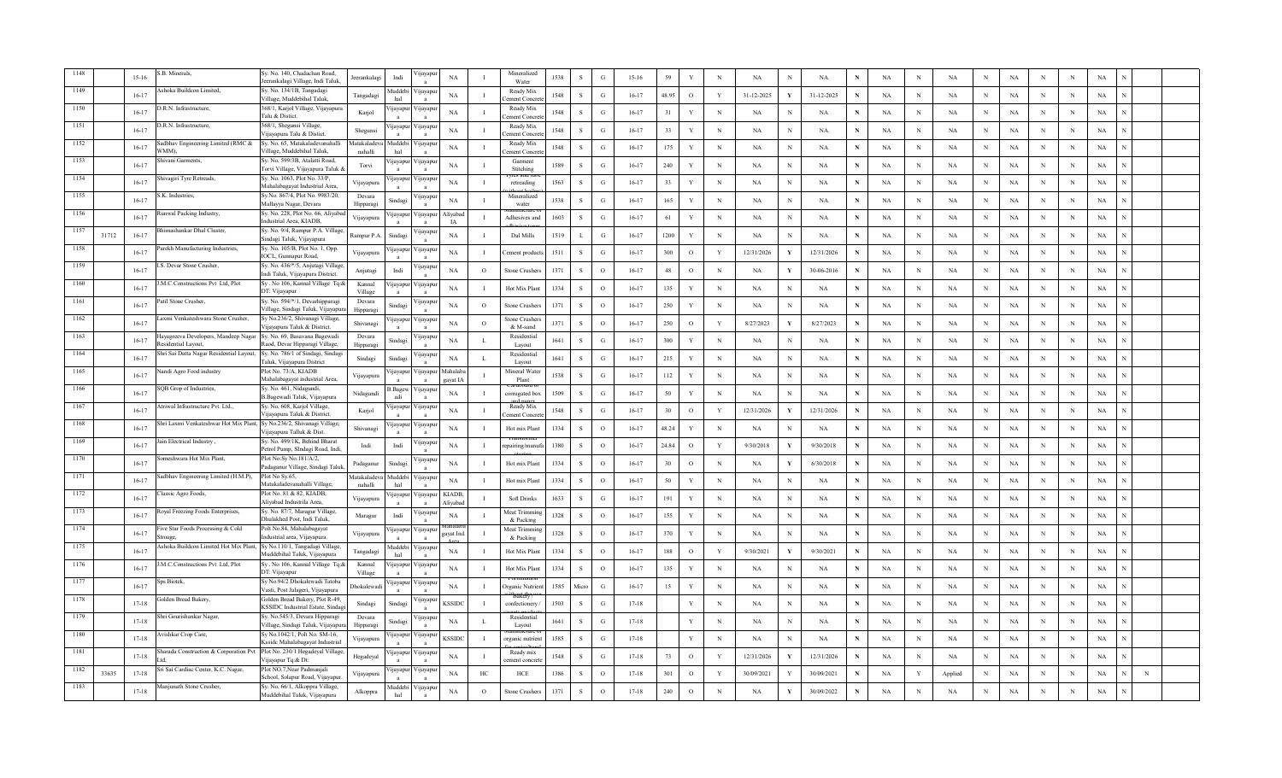|      |       | $15 - 16$ | .B. Minerals,                                                          | Sy. No. 140, Chadachan Road,<br>eerankalagi Village, Indi Taluk                      | eerankalagi            | Indi                    | ijayapı                     | $_{\rm NA}$           | $\mathbf{I}$   | Mineralized<br>Water             | 1538 | $\,$ S       | ${\bf G}$     | $15 - 16$ | 59    | Y            | $\,$ N       | NA         | N            | $_{\rm NA}$ | N           | <b>NA</b> | $\, {\rm N}$ | $_{\rm NA}$ | N            | NA          | N           | $_{\rm N}$ | $_{\rm NA}$ |   |  |
|------|-------|-----------|------------------------------------------------------------------------|--------------------------------------------------------------------------------------|------------------------|-------------------------|-----------------------------|-----------------------|----------------|----------------------------------|------|--------------|---------------|-----------|-------|--------------|--------------|------------|--------------|-------------|-------------|-----------|--------------|-------------|--------------|-------------|-------------|------------|-------------|---|--|
| 1149 |       | $16-17$   | Ashoka Buildcon Limited,                                               | Sy. No. 134/1B, Tangadagi<br>Village, Muddebihal Taluk                               | Tangadagi              | <b>Iuddeb</b><br>hal    | yayapu                      | NA                    | $\mathbf{I}$   | Ready Mix<br>ment Conc           | 1548 | <sub>S</sub> | G             | $16-17$   | 48.95 | $\circ$      | Y            | 31-12-2025 |              | 31-12-2025  | N           | NA        | N            | NA          | N            | NA          | N           | N          | NA          |   |  |
|      |       | $16-17$   | .R.N. Infrastructure,                                                  | 368/1, Karjol Village, Vijayapura<br>Talu & Distict                                  | Karjol                 | ijayapu                 | √ijayapu                    | NA                    |                | Ready Mix<br>ement Concr         | 1548 | S            | G             | $16 - 17$ | 31    | Y            | $_{\rm N}$   | NA         | N            | NA          | N           | NA        | $_{\rm N}$   | NA          | N            | NA          | N           | N          | NA          |   |  |
| 1151 |       | $16 - 17$ | D.R.N. Infrastructure,                                                 | 368/1, Shegunsi Village,<br>Vijayapura Talu & Distict.                               | Shegunsi               | yayap                   | 'ijayapu                    | NA                    | $\mathbf{I}$   | Ready Mix<br>ement Concr         | 1548 | s            | $\mathcal{G}$ | $16 - 17$ | 33    | Y            | $\mathbf N$  | <b>NA</b>  | N            | <b>NA</b>   | $\mathbf N$ | NA        | $_{\rm N}$   | NA          | N            | NA          | N           | N          | $_{\rm NA}$ |   |  |
| 1152 |       | $16 - 17$ | Sadbhav Engineering Limited (RMC &<br>VMM),                            | Sv. No. 65. Matakaladevanahalli<br>Village, Muddebihal Taluk,                        | Matakaladey<br>nahalli | <b>Iuddeb</b><br>hal    | 'ijayapu                    | NA                    |                | Ready Mix<br>ement Concr         | 1548 | <sup>S</sup> | $\mathcal{G}$ | $16 - 17$ | 175   | Y            | $\mathbf N$  | NA         | $\mathbf N$  | NA          | $\mathbf N$ | NA        | $_{\rm N}$   | <b>NA</b>   | N            | $_{\rm NA}$ | $\mathbf N$ | N          | NA          |   |  |
| 1153 |       | $16 - 17$ | Shivani Garments,                                                      | Sy. No. 599/3B, Atalatti Road<br>forvi Village, Vijayapura Taluk                     | Torvi                  | ijayapu                 | ijayapu                     | <b>NA</b>             |                | Garment<br>Stitching<br>х ятн    | 1589 | <sub>S</sub> | G             | $16 - 17$ | 240   | Y            | $_{\rm N}$   | <b>NA</b>  | N            | NA          |             | NA        | $_{\rm N}$   | NA          | N            | NA          | N           | N          | NA          |   |  |
| 1154 |       | $16 - 17$ | hivagiri Tyre Retreads,                                                | Sy. No. 1063, Plot No. 33/P,<br>Mahalabagayat Industrial Area,                       | Vijayapura             | ijayapu                 | 'ijayapuı                   | <b>NA</b>             |                | retreading                       | 1563 | <sub>S</sub> | G             | $16-17$   | 33    | Y            | $_{\rm N}$   | NA         | N            | NA          |             | NA        | $_{\rm N}$   | NA          | N            | NA          | N           | N          | NA          |   |  |
| 1155 |       | $16 - 17$ | .K. Industries,                                                        | Sy.No. 867/4, Plot No. 9983/20,<br>Mallayya Nagar, Devara                            | Devara<br>Hipparag     | Sindag                  | ijayapı                     | NA                    | $\mathbf{I}$   | Mineralize<br>water              | 1538 | $\mathbf S$  | G             | $16 - 17$ | 165   | $\mathbf Y$  | $_{\rm N}$   | NA         | N            | NA          |             | NA        | $\,$ N       | $_{\rm NA}$ | $\mathbf N$  | $_{\rm NA}$ | N           | N          | $_{\rm NA}$ |   |  |
| 1156 |       | $16-17$   | unwal Packing Industry,                                                | Sy. No. 228, Plot No. 66, Aliyaba<br>ndustrial Area, KIADB                           | Vijayapura             | yayapu                  | ijayapu<br>$\mathbf{a}$     | Aliyabao<br><b>IA</b> | л.             | Adhesives an                     | 1603 | <sub>S</sub> | G             | $16-17$   | 61    | Y            | $_{\rm N}$   | NA         | N            | NA          | N           | NA        | $_{\rm N}$   | NA          | N            | NA          | N           | N          | NA          |   |  |
| 1157 | 31712 | $16 - 17$ | himashankar Dhal Cluster,                                              | Sy. No. 9/4, Rampur P.A. Village<br>Sindagi Taluk, Vijayapura                        | <b>Rampur P.A</b>      | Sindagi                 | ijayapu                     | NA                    | $\mathbf I$    | Dal Mills                        | 1519 | L            | G             | $16-17$   | 1200  | Y            | $_{\rm N}$   | NA         | N            | NA          | $\mathbf N$ | NA        | $_{\rm N}$   | NA          | $_{\rm N}$   | NA          | N           | N          | NA          |   |  |
| 1158 |       | $16-17$   | arekh Manufacturing Industries,                                        | Sy. No. 105/B, Plot No. 1, Opp.<br><b>IOCL, Gunnapur Road,</b>                       | Vijayapura             | jayapı                  | 'ijayapu<br>$\mathbf{a}$    | NA                    | Ι.             | 'ement produc                    | 1511 | <sub>S</sub> | G             | $16 - 17$ | 300   | $\circ$      | Y            | 12/31/2026 | Y            | 12/31/2026  | $\mathbf N$ | NA        | $_{\rm N}$   | NA          | N            | NA          | N           | N          | NA          |   |  |
| 1159 |       | $16-17$   | S. Devar Stone Crusher.                                                | Sy. No. 436/*/5, Anjutagi Village<br>Indi Taluk, Vijayapura District.                | Anjutagi               | Indi                    | ijayapı<br>$\mathbf{a}$     | NA                    | $\Omega$       | <b>Stone Crusher</b>             | 1371 | $\mathbf S$  | $\Omega$      | $16 - 17$ | 48    | $\circ$      | N            | NA         | - Y          | 30-06-2016  | $\mathbf N$ | NA        | $_{\rm N}$   | NA          | N            | $_{\rm NA}$ | N           | N          | $_{\rm NA}$ |   |  |
| 1160 |       | $16-17$   | .M.C.Constructions Pvt Ltd, Plot                                       | Sy. No 106, Kannal Village Tq:&<br>DT: Vijayapur                                     | Kannal<br>Village      | nayapu                  | /ijayapu                    | NA                    | $\mathbf{I}$   | Hot Mix Plan                     | 1334 | S            | $\Omega$      | $16 - 17$ | 135   | $\mathbf Y$  | $\mathbf N$  | NA         | N            | NA          | $\mathbf N$ | NA        | $\mathbf N$  | NA          | N            | NA          | N           | N          | NA          |   |  |
| 1161 |       | $16 - 17$ | Patil Stone Crusher,                                                   | Sy. No. 594/*/1, Devarhipparagi<br>Village, Sindagi Taluk, Vijayapuı                 | Devara<br>Hipparagi    | indagi                  | 'ijayapu                    | NA                    | $\circ$        | Stone Crushers                   | 1371 | <sub>S</sub> | $\circ$       | $16 - 17$ | 250   | Y            | $_{\rm N}$   | <b>NA</b>  | N            | <b>NA</b>   | N           | NA        | $\mathbf N$  | NA          | N            | NA          | N           | N          | NA          |   |  |
| 1162 |       | $16-17$   | Laxmi Venkateshwara Stone Crusher,                                     | Sy No.236/2, Shivanagi Village,<br>Vijayapura Taluk & District.                      | Shivanagi              | jayap                   | 'ijayapuı                   | $_{\rm NA}$           | $\circ$        | Stone Crusher<br>& M-sand        | 1371 | $\mathbf S$  | $\circ$       | $16-17$   | 250   | $\mathbf{o}$ | $\mathbf Y$  | 8/27/2023  |              | 8/27/2023   | N           | NA        | $\mathbb N$  | NA          | $\mathbf N$  | NA          | N           | N          | NA          |   |  |
| 1163 |       | $16-17$   | Hayagreeva Developers, Mandeep Nagar<br>tesidential Lavout.            | Sy. No. 69, Basavana Bagewadi<br>Raod, Devar Hipparagi Village,                      | Devara<br>Hipparagi    | Sindag                  | ijayapı<br>$\mathbf{a}$     | NA                    | L              | Residential<br>Layout            | 1641 | s            | $\mathbf G$   | $16-17$   | 300   | $\mathbf Y$  | $\mathbf N$  | NA         | N            | NA          | N           | NA        | $\,$ N       | NA          | N            | NA          | N           | N          | NA          |   |  |
|      |       | $16-17$   | hri Sai Datta Nagar Residential Layout,                                | Sy. No. 786/1 of Sindagi, Sindag                                                     | Sindagi                | Sindagi                 | ijayapu                     | NA                    | L              | Residential                      | 1641 | S            | G             | $16 - 17$ | 215   | $\mathbf Y$  | $_{\rm N}$   | NA         | N            | NA          | N           | NA        | N            | NA          | N            | NA          | N           | N          | NA          |   |  |
|      |       | $16-17$   | Jandi Agro Food industry                                               | Faluk, Vijayapura District<br>Plot No. 73/A, KIADB<br>Mahalabagayat industrial Area, | Vijayapura             | <b>1</b> ayapu          | ijayapur                    | Mahalaba<br>gayat IA  | Ι.             | Layout<br>Mineral Water<br>Plant | 1538 | <sub>S</sub> | G             | $16 - 17$ | 112   | Y            | $_{\rm N}$   | NA         | N            | NA          | N           | NA        | N            | NA          | N            | NA          | N           | N          | NA          |   |  |
|      |       | $16 - 17$ | GP Grop of Industries,                                                 | Sy. No. 461, Nidagundi,<br>B.Bagewadi Taluk, Vijayapura                              | Nidagundi              | .Bagev<br>adi           | 'ijayapu                    | NA                    | л.             | corrugated bo:                   | 1509 | S            | $\mathcal{G}$ | $16 - 17$ | 50    | Y            | N            | <b>NA</b>  | N            | NA          | N           | NA        | $\mathbf N$  | $_{\rm NA}$ | N            | NA          | N           | $_{\rm N}$ | $_{\rm NA}$ |   |  |
| 1167 |       | $16-17$   | Atriwal Infrastructure Pvt. Ltd.,                                      | Sy. No. 608, Karjol Village,<br>Vijavapura Taluk & District                          | Karjol                 | ijayapu                 | 'ijayapı<br>$\mathbf{a}$    | NA                    | $\mathbf{I}$   | Ready Mix<br>ement Concre        | 1548 | S            | $\mathcal{G}$ | $16 - 17$ | 30    | $\mathbf{o}$ | $\mathbf{Y}$ | 12/31/2026 | V            | 12/31/2026  | N           | NA        | $_{\rm N}$   | NA          | N            | NA          | $\mathbf N$ | N          | NA          |   |  |
| 1168 |       | $16-17$   | Shri Laxmi Venkateshwar Hot Mix Plant, Sy No.236/2, Shivanagi Village, | Vijayapura Talluk & Dist.                                                            | Shivanagi              | ijayapu                 | 'ijayapu                    | NA                    |                | Hot mix Plant                    | 1334 | <sub>S</sub> | $\circ$       | $16 - 17$ | 48.24 | Y            | $_{\rm N}$   | NA         |              | NA          | N           | NA        | $_{\rm N}$   | NA          | N            | NA          | N           | N          | NA          |   |  |
| 1169 |       | $16 - 17$ | ain Electrical Industry                                                | Sy. No. 499/1K, Behind Bharat<br>Petrol Pump, SIndagi Road, Indi,                    | Indi                   | Indi                    | 'ijayapuı                   | NA                    | $\mathbf{I}$   | epairing/mar                     | 1380 | $\,$ S       | $\circ$       | $16 - 17$ | 24.84 | $\mathbf{o}$ | $\mathbf Y$  | 9/30/2018  |              | 9/30/2018   | N           | NA        | N            | NA          | N            | NA          | N           | N          | $_{\rm NA}$ |   |  |
| 1170 |       | $16-17$   | omeshwara Hot Mix Plant,                                               | Plot No:Sy No.181/A/2,<br>Padaganur Village, Sindagi Taluk                           | Padaganur              | Sindagi                 | ijayapu<br>$\mathbf{a}$     | $_{\rm NA}$           | $\blacksquare$ | Hot mix Plant                    | 1334 | S            | $\circ$       | $16-17$   | 30    | $\,$ O       | $\mathbf N$  | <b>NA</b>  | - V          | 6/30/2018   | N           | NA        | $_{\rm N}$   | $_{\rm NA}$ | N            | $_{\rm NA}$ | $\mathbf N$ | N          | $_{\rm NA}$ |   |  |
| 1171 |       | $16 - 17$ | adbhav Engineering Limited (H.M.P),                                    | Plot No Sy.65,<br>Matakaladevanahalli Village,                                       | Matakaladev<br>nahalli | <b>Iuddeb</b><br>hal    | ijayapu                     | NA                    | $\mathbf I$    | Hot mix Plant                    | 1334 | S            | $\circ$       | $16-17$   | 50    | $\mathbf Y$  | $_{\rm N}$   | NA         | N            | NA          | N           | NA        | $\mathbf N$  | NA          | N            | NA          | N           | N          | NA          |   |  |
| 1172 |       | $16 - 17$ | assic Agro Foods,                                                      | Plot No. 81 & 82, KIADB,<br>Alivabad Industrila Area                                 | Vijayapura             | <b>1</b> avapu          | ijayapur                    | KIADB,<br>Aliyaba     |                | <b>Soft Drinks</b>               | 1633 | S            | G             | $16 - 17$ | 191   | Y            | $_{\rm N}$   | NA         | N            | NA          | $\mathbf N$ | NA        | $_{\rm N}$   | NA          | N            | NA          | N           | N          | NA          |   |  |
| 1173 |       | $16 - 17$ | oyal Freezing Foods Enterprises,                                       | Sy. No. 87/7, Maragur Village,<br>Dhulakhed Post, Indi Taluk,                        | $\rm Maragur$          | Indi                    | ijayapuı<br>$\mathbf{a}$    | NA                    |                | Meat Trimmi<br>& Packing         | 1328 | S            | $\Omega$      | $16 - 17$ | 155   | $\mathbf Y$  | $_{\rm N}$   | <b>NA</b>  | N            | NA          | ${\bf N}$   | NA        | $\mathbf N$  | $_{\rm NA}$ | $\mathbf{N}$ | $_{\rm NA}$ | N           | N          | $_{\rm NA}$ |   |  |
| 1174 |       | $16-17$   | ive Star Foods Processing & Cold<br>Stroage                            | Polt No.84, Mahalabagayat<br>ndustrial area, Viiavapura                              | Vijayapura             | ijayapu<br>$\mathbf{a}$ | ∕ ijayapu<br>$\overline{a}$ | gayat Ind             | $\blacksquare$ | Meat Trimmi<br>& Packing         | 1328 | -S           | $\Omega$      | $16 - 17$ | 370   | Y            | N            | <b>NA</b>  | N            | NA          | $\mathbf N$ | NA        | $_{\rm N}$   | NA          | N            | NA          | $\mathbf N$ | N          | NA          |   |  |
| 1175 |       | $16-17$   | Ashoka Buildcon Limited Hot Mix Plant,                                 | Sy No.110/1, Tangadagi Village,<br>Muddebihal Taluk, Vijayapura                      | Tangadagi              | <b>Iuddeb</b><br>hal    | ijayapu                     | NA                    | $\blacksquare$ | Hot Mix Plan                     | 1334 | <sub>S</sub> | $\circ$       | $16-17$   | 188   | $\circ$      | Y            | 9/30/2021  |              | 9/30/2021   | N           | NA        | N            | NA          | N            | NA          | N           | N          | NA          |   |  |
| 1176 |       | $16-17$   | M.C.Constructions Pvt Ltd, Plot                                        | Sy. No 106, Kannal Village Tq:&<br>DT: Vijayapur                                     | Kannal<br>Village      | ijayapu                 | 'ijayapu                    | $_{\rm NA}$           | $\mathbf I$    | Hot Mix Plan                     | 1334 | S            | $\circ$       | $16-17$   | 135   | $\mathbf Y$  | $\mathbf N$  | NA         | N            | NA          | N           | NA        | $\,$ N       | NA          | N            | NA          |             | N          | NA          |   |  |
| 1177 |       | $16-17$   | Sps Biotek.                                                            | Sy No.94/2 Dhokalewadi Tatoba<br>Vasti, Post Jalageri, Vijayapura                    | Dhokalewad             | ijayapu                 | 'ijayapuı<br>$\mathbf{a}$   | NA                    | $\mathbf{I}$   | Irganic Nutri                    | 1585 | Micro        | G             | $16-17$   | 15    | Y            | $\mathbf N$  | NA         | $\mathbf N$  | NA          | N           | NA        | $\mathbf N$  | NA          | N            | NA          | N           | N          | NA          |   |  |
|      |       | $17 - 18$ | olden Bread Bakery,                                                    | Golden Bread Bakery, Plot R-49,<br>KSSIDC Industrial Estate, Sindag                  | Sindagi                | Sindagi                 | ijayapu                     | <b>KSSIDC</b>         | $\bf{I}$       | confectionery                    | 1503 | S            | G             | $17 - 18$ |       | Y            | $_{\rm N}$   | NA         | N            | NA          | N           | NA        | N            | NA          | N            | NA          | N           | N          | NA          |   |  |
|      |       | $17 - 18$ | hri Gourishankar Nagar,                                                | Sy. No.545/3, Devara Hipparagi<br>Village, Sindagi Taluk, Vijayapur                  | Devara<br>Hipparag     | Sindagi                 | ijayapu                     | NA                    | L              | Residentia<br>Layout             | 1641 | <sub>S</sub> | G             | $17 - 18$ |       | Y            | N            | NA         | N            | NA          | N           | NA        | N            | NA          | N            | NA          | N           | N          | NA          |   |  |
|      |       | $17-18$   | vishkar Crop Care,                                                     | Sy No.1042/1, Polt No. SM-16,<br><b>Ksside Mahalabagayat Industrial</b>              | Vijayapura             | yayapu                  | ∕ijayapu                    | KSSIDC                |                | rganic nutrie                    | 1585 | s            | $\mathcal{G}$ | $17 - 18$ |       | Y            | $_{\rm N}$   | NA         | N            | NA          |             | NA        | N            | NA          | N            | NA          | N           | $_{\rm N}$ | NA          |   |  |
|      |       | $17 - 18$ | Sharada Construction & Corporation Pvt                                 | Plot No. 230/1 Hegadeyal Village<br>ijayapur Tq:& Dt:                                | Hegadeyal              | yayapı                  | 'ijayapu                    | <b>NA</b>             | $\mathbf{I}$   | Ready mix<br>ement concre        | 1548 | S            | $\mathcal{G}$ | $17 - 18$ | 73    | $\circ$      | $\mathbf{Y}$ | 12/31/2026 | $\mathbf{v}$ | 12/31/2026  | N           | NA        | $_{\rm N}$   | NA          | N            | NA          | N           | $_{\rm N}$ | NA          |   |  |
| 1182 | 33635 | $17 - 18$ | Sri Sai Cardiac Center, K.C. Nagar.                                    | Plot NO.7. Near Padmanial<br>School, Solapur Road, Vijavapu                          | Vijayapura             | ijayapu                 | 'ijayapı                    | NA                    | HC             | HCE                              | 1386 | S            | $\Omega$      | $17 - 18$ | 301   | $\circ$      | Y            | 30/09/2021 | Y            | 30/09/2021  | N           | NA        | Y            | Applied     | N            | NA          | N           | N          | NA          | N |  |
| 1183 |       | $17 - 18$ | Manjunath Stone Crusher,                                               | Sy. No. 66/1, Alkoppra Village,<br>Muddebihal Taluk, Vijayapura                      | Alkoppra               | Muddeb<br>hal           | ∕ijayapur                   | NA                    | $\circ$        | Stone Crusher                    | 1371 | <sub>S</sub> | $\circ$       | $17 - 18$ | 240   | $\circ$      | N            | <b>NA</b>  | Y            | 30/09/2022  | N           | <b>NA</b> | N            | NA          | N            | NA          | N           | N          | NA          |   |  |
|      |       |           |                                                                        |                                                                                      |                        |                         |                             |                       |                |                                  |      |              |               |           |       |              |              |            |              |             |             |           |              |             |              |             |             |            |             |   |  |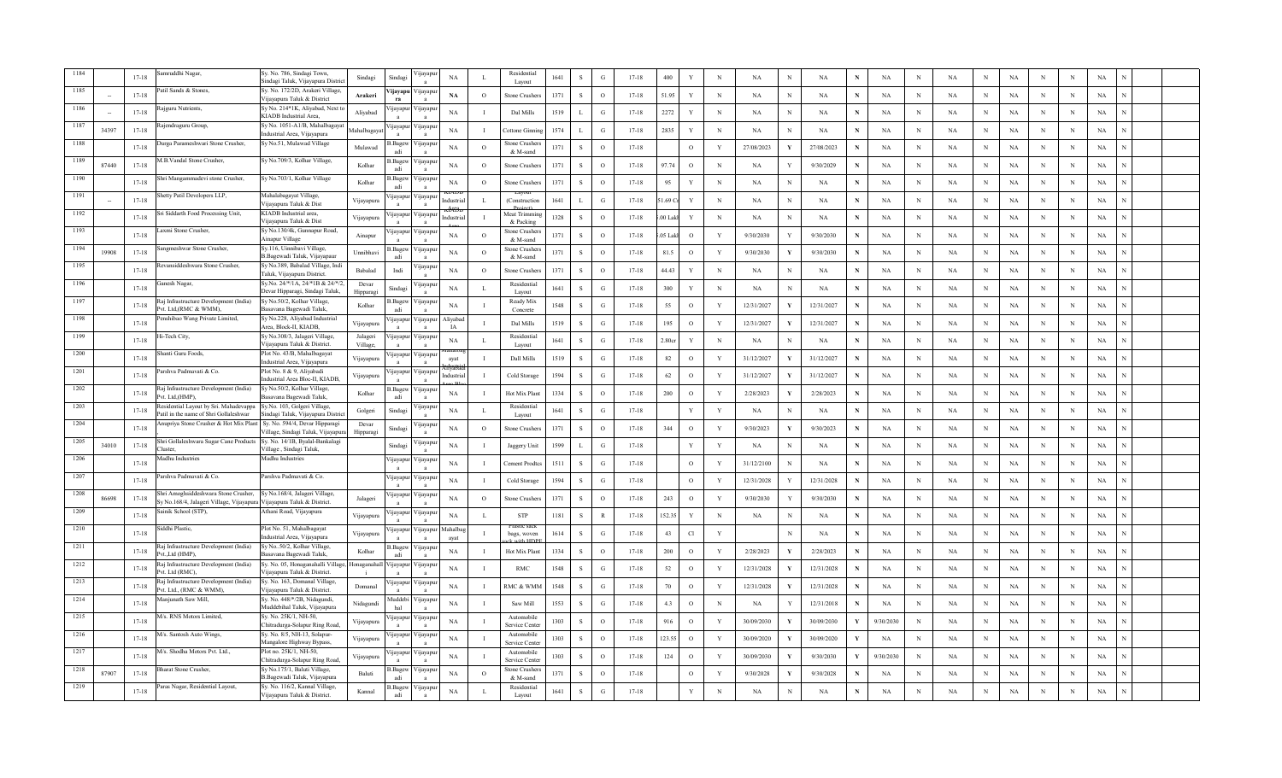|      |       | $17 - 18$ | mruddhi Nagar,                                                                    | Sy. No. 786, Sindagi Town,<br>Sindagi Taluk, Vijayapura District               | Sindagi              | Sindagi                  | ijayapı                     | <b>NA</b>        |                | Residentia<br>Lavout        | 1641 | ${\bf S}$    | ${\bf G}$     | $17 - 18$ | 400                | Y            | $_{\rm N}$   | NA         | $_{\rm N}$   | $_{\rm NA}$ | N            | NA        | $\,$ N       | $_{\rm NA}$ | N            | $_{\rm NA}$ | N           | $_{\rm N}$ | $_{\rm NA}$ |  |
|------|-------|-----------|-----------------------------------------------------------------------------------|--------------------------------------------------------------------------------|----------------------|--------------------------|-----------------------------|------------------|----------------|-----------------------------|------|--------------|---------------|-----------|--------------------|--------------|--------------|------------|--------------|-------------|--------------|-----------|--------------|-------------|--------------|-------------|-------------|------------|-------------|--|
|      |       | $17 - 18$ | atil Sands & Stones,                                                              | Sy. No. 172/2D, Arakeri Village,<br>Vijavapura Taluk & District                | Arakeri              | ijavapu<br>ra            | /ijayapu                    | NA               | $\circ$        | Stone Crusher               | 1371 | <sub>S</sub> | $\circ$       | $17 - 18$ | 51.95              | Y            | $_{\rm N}$   | NA         | N            | NA          | N            | NA        | N            | NA          | N            | NA          | N           | N          | NA          |  |
| 1186 |       | $17 - 18$ | ajguru Nutrients,                                                                 | Sy No. 214*1K, Aliyabad, Next to<br>KIADB Industrial Area                      | Aliyabad             | ijayapu                  | Vijayapuı                   | NA               |                | Dal Mills                   | 1519 |              | G             | $17 - 18$ | 2272               | Y            | $_{\rm N}$   | NA         | N            | NA          | N            | NA        | N            | NA          | $_{\rm N}$   | NA          | N           | N          | NA          |  |
| 1187 | 34397 | $17 - 18$ | ajendraguru Group.                                                                | Sy No. 1051-A1/B, Mahalbagaya<br>ndustrial Area, Vijayapura                    | Mahalbagay           | yayapı                   | 'ijayapu                    | NA               | - 1            | <b>Cottone Ginn</b>         | 1574 |              | G             | $17 - 18$ | 2835               | Y            | $_{\rm N}$   | <b>NA</b>  | N            | <b>NA</b>   | $\mathbf N$  | NA        | N            | NA          | N            | $_{\rm NA}$ | N           | N          | $_{\rm NA}$ |  |
| 1188 |       | $17 - 18$ | Durga Parameshwari Stone Crusher,                                                 | Sy No.51, Mulawad Village                                                      | Mulawad              | Bagev                    | ∕ijayapı                    | <b>NA</b>        | $\Omega$       | stone Crusher<br>& M-sand   | 1371 | <sup>S</sup> | $\circ$       | $17 - 18$ |                    | $\circ$      | $\mathbf Y$  | 27/08/2023 | V            | 27/08/2023  | N            | NA        | $\,$ N       | $_{\rm NA}$ | N            | $_{\rm NA}$ | N           | N          | $_{\rm NA}$ |  |
| 1189 | 87440 | $17 - 18$ | M.B.Vandal Stone Crusher,                                                         | Sy No.709/3, Kolhar Village,                                                   | Kolhar               | Bagew<br>adi             | ∕ ijayapuı                  | <b>NA</b>        | $\circ$        | Stone Crushers              | 1371 | <sub>S</sub> | $\circ$       | $17 - 18$ | 97.74              | $\circ$      | $_{\rm N}$   | <b>NA</b>  |              | 9/30/2029   | N            | NA        | N            | NA          | $_{\rm N}$   | NA          | N           | N          | NA          |  |
| 1190 |       | $17 - 18$ | Shri Mangammadevi stone Crusher,                                                  | Sy No.703/1, Kolhar Village                                                    | Kolhar               | Bagew                    | 'ijayapuı                   | <b>NA</b>        | $\circ$        | Stone Crusher               | 1371 | <sub>S</sub> | $\circ$       | $17 - 18$ | 95                 | Y            | $_{\rm N}$   | NA         | N            | NA          |              | NA        | N            | NA          | N            | NA          | N           | N          | NA          |  |
| 1191 |       | $17 - 18$ | hetty Patil Developers LLP,                                                       | Mahalabagayat Village,<br>iiavapura Taluk & Dist                               | Vijayapura           | jayapu<br>$\mathbf{a}$   | √ijayapu                    | ndustria         | $\mathbf{I}$ . | (Construction               | 1641 | $\mathbf{L}$ | G             | $17 - 18$ | 1.69 <sub>Cr</sub> | $\mathbf{Y}$ | $\,$ N       | NA         | - N          | NA          | $\mathbf{N}$ | NA        | $\,$ N       | $_{\rm NA}$ | $\mathbf N$  | $_{\rm NA}$ | N           | N          | $_{\rm NA}$ |  |
| 1192 |       | $17 - 18$ | ri Siddarth Food Processing Unit,                                                 | KIADB Industrial area,<br>Viiavapura Taluk & Dist                              | Vijayapura           | jayapu                   | 'ijayapı                    | ndustria         | $\blacksquare$ | Meat Trimm<br>& Packins     | 1328 | S            | $\circ$       | $17 - 18$ | 00 Lakh            | $\mathbf{Y}$ | $_{\rm N}$   | NA         | N            | NA          | N            | NA        | N            | NA          | $_{\rm N}$   | NA          | N           | N          | NA          |  |
| 1193 |       | $17 - 18$ | axmi Stone Crusher,                                                               | Sy No.130/4k, Gunnapur Road,<br>Ainapur Village                                | Ainapur              | ijayapu                  | /ijayapu                    | NA               | $\circ$        | stone Crushers<br>& M-sand  | 1371 | <sub>S</sub> | $\circ$       | $17 - 18$ | 05 Lak             | $\circ$      | Y            | 9/30/2030  |              | 9/30/2030   | $\mathbf N$  | NA        | $_{\rm N}$   | NA          | $_{\rm N}$   | NA          | N           | N          | NA          |  |
| 1194 | 19908 | $17 - 18$ | angmeshwar Stone Crusher,                                                         | Sy.116, Uinnibavi Village,<br>B.Bagewadi Taluk, Vijayapaur                     | Unnibhavi            | .Bagew<br>adi            | 'ijayapuı                   | NA               | $\circ$        | stone Crusher<br>& M-sand   | 1371 | S            | $\circ$       | $17 - 18$ | 81.5               | $\circ$      | Y            | 9/30/2030  | Y            | 9/30/2030   | N            | NA        | N            | NA          | $_{\rm N}$   | NA          | N           | N          | NA          |  |
| 1195 |       | $17 - 18$ | evansiddeshwara Stone Crusher,                                                    | Sy No.389, Babalad Village, Indi<br>Taluk, Vijayapura District.                | <b>Babalad</b>       | Indi                     | √ijayapı<br>$\mathbf{a}$    | NA               | $\Omega$       | Stone Crusher               | 1371 | $\mathbf S$  | $\circ$       | $17-18$   | 44.43              | $\mathbf{Y}$ | $\,$ N       | <b>NA</b>  | N            | NA          | N            | NA        | $_{\rm N}$   | NA          | N            | $_{\rm NA}$ | N           | N          | NA          |  |
| 1196 |       | $17 - 18$ | anesh Nagar,                                                                      | Sy.No. 24/*/1A, 24/*1B & 24/*/2<br>Devar Hipparagi, Sindagi Taluk,             | Devar<br>Hipparagi   | Sindagi                  | ∕ ijayapuı                  | <b>NA</b>        |                | Residential<br>Layout       | 1641 | <sub>S</sub> | G             | $17 - 18$ | 300                | Y            | $_{\rm N}$   | NA         | N            | NA          | N            | <b>NA</b> | $_{\rm N}$   | NA          | N            | $_{\rm NA}$ | $\mathbf N$ | N          | NA          |  |
| 1197 |       | $17 - 18$ | aj Infrastructure Development (India)<br>vt. Ltd.(RMC & WMM).                     | Sy No.50/2, Kolhar Village,<br>Basavana Bagewadi Taluk,                        | Kolhar               | Bagew<br>adi             | ∕ ijayapuı                  | NA               |                | Ready Mix<br>Concrete       | 1548 | S            | G             | $17 - 18$ | 55                 | $\circ$      | Y            | 12/31/2027 |              | 12/31/2027  | N            | NA        | $\,$ N       | NA          | N            | NA          | N           | N          | NA          |  |
| 1198 |       | $17 - 18$ | enshibao Wang Private Limited,                                                    | Sy No.228, Aliyabad Industrial<br>Area, Block-II, KIADB,                       | Vijayapura           | jayapı                   | √ijayapur                   | Aliyabac<br>IA   |                | Dal Mills                   | 1519 | $\mathbf S$  | ${\bf G}$     | $17 - 18$ | 195                | $\mathbf{o}$ | $\mathbf Y$  | 12/31/2027 | Y            | 12/31/2027  | N            | NA        | $\mathbb{N}$ | NA          | $_{\rm N}$   | NA          | N           | N          | NA          |  |
| 1199 |       | $17 - 18$ | li-Tech City,                                                                     | Sy No.308/3, Jalageri Village,<br>Vijavapura Taluk & District                  | Jalageri<br>Village, | ijayapu<br>$\mathbf{a}$  | √ijayapı                    | NA               |                | Residential<br>Layout       | 1641 | s            | G             | $17 - 18$ | 2.80 <sub>cr</sub> | Y            | $\, {\rm N}$ | NA         | N            | NA          |              | NA        | $\mathbb{N}$ | $_{\rm NA}$ | N            | $_{\rm NA}$ | N           | N          | NA          |  |
| 1200 |       | $17 - 18$ | hanti Guru Foods,                                                                 | Plot No. 43/B, Mahalbagayat<br>Industrial Area, Vijayapura                     | Vijayapura           | ijayapu                  | ∕ijayapur                   | ayat             |                | Dall Mills                  | 1519 | <sub>S</sub> | G             | $17 - 18$ | 82                 | $\circ$      | Y            | 31/12/2027 |              | 31/12/2027  | N            | NA        | N            | NA          | N            | NA          | N           | N          | NA          |  |
| 1201 |       | $17 - 18$ | arshva Padmavati & Co.                                                            | Plot No. 8 & 9, Aliyabadi<br>Industrial Area Bloc-II, KIADB,                   | Vijayapura           | ijayapur                 | Vijayapuı                   | dustria          |                | Cold Storage                | 1594 | <sub>S</sub> | G             | $17 - 18$ | 62                 | $\circ$      | Y            | 31/12/2027 |              | 31/12/2027  | N            | <b>NA</b> | N            | NA          | N            | NA          | N           | N          | NA          |  |
| 1202 |       | $17 - 18$ | ai Infrastructure Development (India)<br>vt. Ltd, (HMP),                          | Sy No.50/2, Kolhar Village,<br>Basavana Bagewadi Taluk,                        | Kolhar               | Bage<br>adi              | 'ijayapuı                   | NA               |                | Hot Mix Plan                | 1334 | $\mathbf{s}$ | $\circ$       | $17-18$   | 200                | $\circ$      | Y            | 2/28/2023  | Y            | 2/28/2023   | N            | NA        | N            | NA          | N            | $_{\rm NA}$ | N           | N          | $_{\rm NA}$ |  |
| 1203 |       |           | esidential Layout by Sri. Mahadevappa                                             | Sy.No. 103, Golgeri Village,                                                   |                      |                          | 'ijayapı                    |                  |                | Residential                 | 1641 | -S           |               |           |                    |              | $\mathbf{Y}$ | NA         | $_{\rm N}$   | NA          | N            | NA        | N            |             |              |             |             |            | NA          |  |
|      |       | $17 - 18$ | atil in the name of Shri Gollaleshwar                                             | Sindagi Taluk, Vijayapura Distric                                              | Golgeri              | Sindagi                  |                             | <b>NA</b>        | $\mathbf{I}$   | Lavout                      |      |              | G             | $17 - 18$ |                    | Y            |              |            |              |             |              |           |              | NA          | N            | $_{\rm NA}$ | $\mathbf N$ | N          |             |  |
| 1204 |       | $17 - 18$ | Anupriya Stone Crusher & Hot Mix Plant Sy. No. 594/4, Devar Hipparagi             | Village, Sindagi Taluk, Vijayapur                                              | Devar<br>Hipparagi   | Sindagi                  | 'ijayapu                    | <b>NA</b>        | $\circ$        | Stone Crusher               | 1371 | <sub>S</sub> | $\circ$       | $17 - 18$ | 344                | $\circ$      | Y            | 9/30/2023  |              | 9/30/2023   | N            | NA        | N            | NA          | $_{\rm N}$   | NA          | N           | N          | NA          |  |
| 1205 | 34010 | $17 - 18$ | hri Gollaleshwara Sugar Cane Products<br>luster                                   | Sy. No. 14/1B, Byalal-Bankalagi<br>Village, Sindagi Taluk,                     |                      | Sindagi                  | 'ijayapu                    | $_{\rm NA}$      |                | Jaggery Unit                | 1599 | L            | ${\bf G}$     | $17 - 18$ |                    | Y            | Y            | NA         | $\mathbf N$  | NA          |              | NA        | N            | NA          | N            | $_{\rm NA}$ | N           | N          | NA          |  |
| 1206 |       | $17 - 18$ | <b>fadhu</b> Industries                                                           | Madhu Industries                                                               |                      | 'ijayapu<br>$\mathbf{a}$ | 'ijayapu<br>$\overline{a}$  | NA               | $\mathbf{I}$   | Cement Prodtc               | 1511 | S            | $\mathcal{G}$ | $17 - 18$ |                    | $\circ$      | Y            | 31/12/2100 |              | NA          |              | NA        | $_{\rm N}$   | NA          | N            | $_{\rm NA}$ | N           | N          | $_{\rm NA}$ |  |
| 1207 |       | $17 - 18$ | arshva Padmavati & Co.                                                            | Parshva Padmavati & Co.                                                        |                      | 'ijayapu<br>$\mathbf{a}$ | √ijayapu                    | NA               | $\blacksquare$ | Cold Storage                | 1594 | S            | G             | $17 - 18$ |                    | $\circ$      | Y            | 12/31/2028 |              | 12/31/2028  | N            | NA        | N            | NA          | $_{\rm N}$   | NA          | N           | N          | NA          |  |
| 1208 | 86698 | $17 - 18$ | hri Amoghsiddeshwara Stone Crusher,<br>y No.168/4, Jalageri Village, Vijayapura " | Sy No.168/4, Jalageri Village,<br>Vijayapura Taluk & District                  | Jalageri             | ijayapur                 | ijayapur/                   | NA               | $\circ$        | Stone Crusher               | 1371 | S            | $\circ$       | $17 - 18$ | 243                | $\circ$      | Y            | 9/30/2030  |              | 9/30/2030   | N            | NA        | N            | NA          | $_{\rm N}$   | NA          | N           | N          | NA          |  |
| 1209 |       | $17 - 18$ | ainik School (STP),                                                               | Athani Road, Vijayapura                                                        | Vijayapura           | ijayapu<br>$\mathbf{a}$  | 'ijayapuı<br>$\mathbf{a}$   | NA               |                | <b>STP</b>                  | 1181 | $\mathbf{s}$ | $\mathbf{R}$  | $17 - 18$ | 152.35             | $\mathbf{Y}$ | $\,$ N       | <b>NA</b>  | N            | <b>NA</b>   | N            | <b>NA</b> | N            | NA          | $\mathbf{N}$ | NA          | $\mathbf N$ | N          | $_{\rm NA}$ |  |
| 1210 |       | $17 - 18$ | iddhi Plastic,                                                                    | Plot No. 51, Mahalbagayat<br>industrial Area, Vijayapura                       | Vijayapura           | ijayapu<br>$\mathbf{a}$  | ∕ ijayapu<br>$\overline{a}$ | Mahalbag<br>avat |                | bags, woven                 | 1614 | -S           | G             | $17-18$   | 43                 | Cl           | Y            |            | N            | NA          | N            | NA        | N            | NA          | N            | NA          | $\mathbf N$ | N          | NA          |  |
| 1211 |       | $17 - 18$ | aj Infrastructure Development (India)<br>vt.,Ltd (HMP),                           | Sy No50/2, Kolhar Village,<br>Basavana Bagewadi Taluk,                         | Kolhar               | Bagew<br>adi             | /ijayapu                    | NA               |                | Hot Mix Plant               | 1334 | S            | $\circ$       | $17 - 18$ | 200                | $\circ$      | Y            | 2/28/2023  | Y            | 2/28/2023   | N            | NA        | N            | NA          | N            | NA          | N           | N          | NA          |  |
| 1212 |       | $17 - 18$ | aj Infrastructure Development (India)<br>vt. Ltd (RMC),                           | Sy. No. 05, Honaganahalli Village, Honaganahal<br>Vijayapura Taluk & District. |                      | 'ijayapur                | ∕ ijayapuı                  | $_{\rm NA}$      |                | RMC                         | 1548 | S            | G             | $17 - 18$ | 52                 | $\mathbf{o}$ | Y            | 12/31/2028 |              | 12/31/2028  |              | <b>NA</b> | N            | NA          | N            | $_{\rm NA}$ | N           | N          | NA          |  |
| 1213 |       | $17-18$   | aj Infrastructure Development (India)<br>vt. Ltd., (RMC & WMM).                   | Sy. No. 163, Domanal Village,<br>Vijayapura Taluk & District.                  | Domana               | ijayapu<br>$\mathbf{a}$  | √ijayapu<br>$\mathbf{a}$    | $_{\rm NA}$      | $\mathbf{I}$   | <b>RMC &amp; WMM</b>        | 1548 | S            | ${\bf G}$     | $17 - 18$ | 70                 | $\mathbf{o}$ | Y            | 12/31/2028 | - V          | 12/31/2028  |              | NA        | $\,$ N       | NA          | N            | NA          | N           | N          | NA          |  |
| 1214 |       | $17 - 18$ | aniunath Saw Mill.                                                                | Sy. No. 448/*/2B, Nidagundi,<br>Muddebihal Taluk, Vijayapura                   | Nidagundi            | Muddeb<br>hal            | 'ijayapu                    | NA               |                | Saw Mill                    | 1553 | <sub>S</sub> | G             | $17 - 18$ | 4.3                | $\circ$      | $\,$ N       | NA         |              | 12/31/2018  | N            | NA        | N            | NA          | N            | NA          | N           | N          | NA          |  |
| 1215 |       | $17 - 18$ | A/s. RNS Motors Limited,                                                          | Sy. No. 25K/1, NH-50,<br>Chitradurga-Solapur Ring Road,                        | Vijayapura           | <b>1</b> ayapu           | √ijayapur                   | NA               |                | Automobile<br>Service Cent  | 1303 | <sub>S</sub> | $\circ$       | $17 - 18$ | 916                | $\circ$      | Y            | 30/09/2030 |              | 30/09/2030  | Y            | 9/30/2030 | N            | NA          | N            | NA          | N           | N          | NA          |  |
| 1216 |       | $17-18$   | M/s. Santosh Auto Wings,                                                          | Sy. No. 8/5, NH-13, Solapur-<br>Mangalore Highway Bypass,                      | Vijayapura           | ŋayapu                   | √ijayapuı                   | <b>NA</b>        |                | Automobile<br>Service Cente | 1303 | s            | $\Omega$      | $17 - 18$ | 123.55             | $\circ$      | Y            | 30/09/2020 |              | 30/09/2020  | Y            | NA        | $\mathbf N$  | NA          | N            | NA          | N           | N          | NA          |  |
| 1217 |       | $17 - 18$ | M/s. Shodha Motors Pvt. Ltd.,                                                     | Plot no. 25K/1, NH-50,<br>Chitradurga-Solapur Ring Road,                       | Vijayapura           | yayapı                   | ∕ ijayapu                   | NA               |                | Automobile<br>Service Cente | 1303 | $\mathbf{s}$ | $\circ$       | $17-18$   | 124                | $\circ$      | $\mathbf{Y}$ | 30/09/2030 | $\mathbf{v}$ | 9/30/2030   | Y            | 9/30/2030 | $_{\rm N}$   | NA          | N            | $_{\rm NA}$ | N           | N          | $_{\rm NA}$ |  |
| 1218 | 87907 | $17 - 18$ | 3harat Stone Crusher,                                                             | Sy No.175/1, Baluti Village,<br>B.Bagewadi Taluk, Vijayapura                   | Baluti               | Bage<br>adi              | 'ijayapı                    | <b>NA</b>        | $\Omega$       | stone Crusher<br>& M-sand   | 1371 | -S           | $\circ$       | $17 - 18$ |                    | $\circ$      | Y            | 9/30/2028  | Y            | 9/30/2028   | N            | NA        | N            | NA          | N            | NA          | N           | N          | NA          |  |
| 1219 |       | $17 - 18$ | Paras Nagar, Residential Layout,                                                  | Sy. No. 116/2, Kannal Village,<br>Vijayapura Taluk & District.                 | Kannal               | <b>B.Bagew</b><br>adi    | √ijayapur                   | NA               |                | Residential<br>Layout       | 1641 | <sub>S</sub> | G             | $17 - 18$ |                    | Y            | $_{\rm N}$   | <b>NA</b>  | N            | NA          | N            | NA        | N            | NA          | N            | NA          | N           | N          | NA          |  |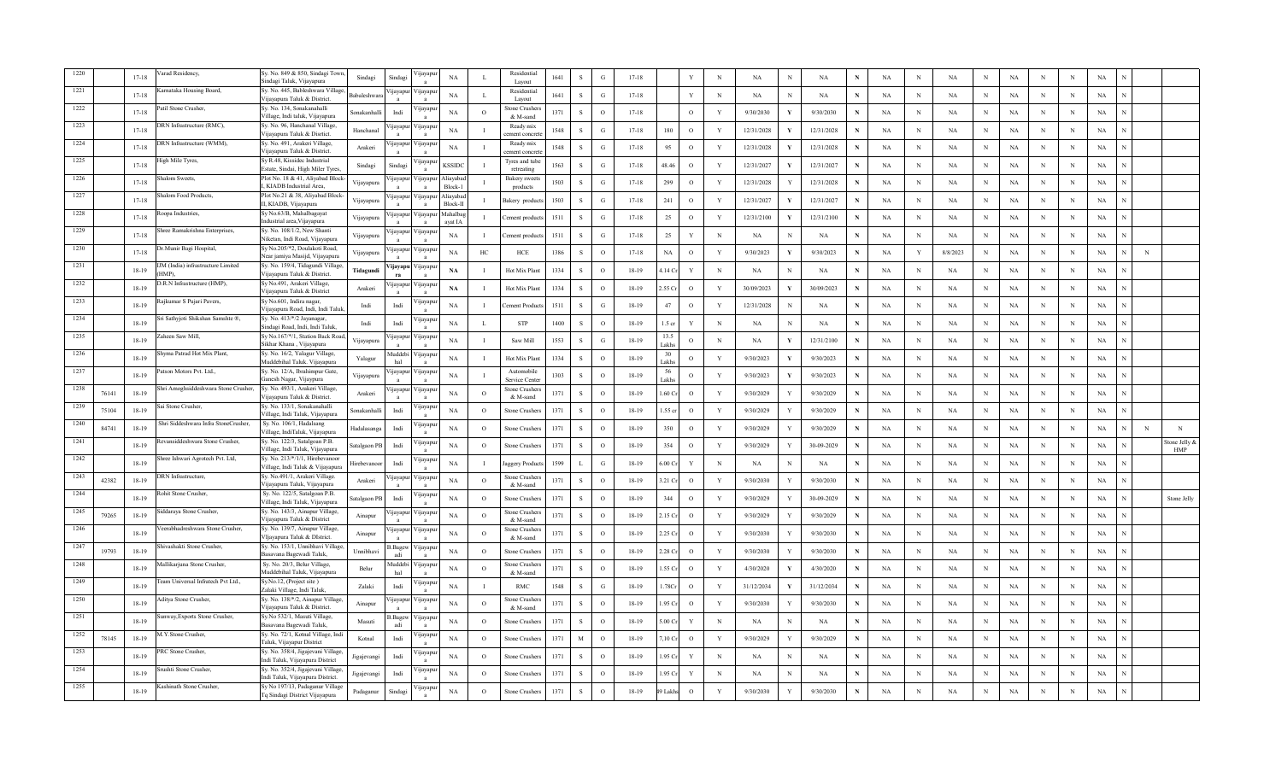|      |       | $17 - 18$ | arad Residency.                           | Sy. No. 849 & 850, Sindagi Town<br>indagi Taluk, Vijayapura           | Sindagi            | Sindag                          | ijayapı                    | $_{\rm NA}$          | л.             | Residentia<br>Layout             | 1641 | $\,$ s       | G        | $17 - 18$ |                    | Y            | $_{\rm N}$   | NA         | $\mathbf N$ | $_{\rm NA}$ | N            | NA        | $\, {\rm N}$ | NA          | N            | NA          | N            | $_{\rm N}$ | NA          |   |                             |
|------|-------|-----------|-------------------------------------------|-----------------------------------------------------------------------|--------------------|---------------------------------|----------------------------|----------------------|----------------|----------------------------------|------|--------------|----------|-----------|--------------------|--------------|--------------|------------|-------------|-------------|--------------|-----------|--------------|-------------|--------------|-------------|--------------|------------|-------------|---|-----------------------------|
| 1221 |       | $17 - 18$ | arnataka Housing Board,                   | Sy. No. 445, Bableshwara Village<br>Vijayapura Taluk & District.      | <b>Babaleshwar</b> | пауарш                          | <i>y</i> apu               | NA                   | L              | Residential<br>Layout            | 1641 | S            | G        | $17 - 18$ |                    | Y            | $_{\rm N}$   | NA         | N           | NA          | N            | NA        | N            | NA          | N            | NA          | N            | N          | NA          |   |                             |
| 1222 |       | $17 - 18$ | atil Stone Crusher.                       | Sy. No. 134, Sonakanahalli<br>Village, Indi taluk, Vijayapura         | Sonakanhalli       | Indi                            | /ijayapu                   | NA                   | $\circ$        | Stone Crusher<br>& M-sand        | 1371 | S            | $\circ$  | $17 - 18$ |                    | $\circ$      | Y            | 9/30/2030  |             | 9/30/2030   | N            | NA        | $_{\rm N}$   | NA          | N            | NA          | N            | N          | NA          |   |                             |
| 1223 |       | $17 - 18$ | ORN Infrastructure (RMC),                 | Sy. No. 96, Hanchanal Village,<br>Vijayapura Taluk & Disrtict.        | Hanchanal          | <i>u</i> ayapur                 | /ijayap                    | NA                   |                | Ready mix<br>ement concre        | 1548 | $\mathbf{s}$ | G.       | $17 - 18$ | 180                | $\circ$      | Y            | 12/31/2028 | Y           | 12/31/2028  | N            | NA        | $_{\rm N}$   | $_{\rm NA}$ | N            | NA          | N            | N          | $_{\rm NA}$ |   |                             |
| 1224 |       | $17 - 18$ | DRN Infrastructure (WMM),                 | Sy. No. 491, Arakeri Village,<br>/ijayapura Taluk & District.         | Arakeri            | ijayapu                         | /ijayap                    | NA                   |                | Ready mix<br>ement concre        | 1548 | S            | G        | $17 - 18$ | 95                 | $\circ$      | $\mathbf{Y}$ | 12/31/2028 | V           | 12/31/2028  | $\mathbf N$  | NA        | $\mathbf N$  | <b>NA</b>   | N            | $_{\rm NA}$ | $\mathbf N$  | $_{\rm N}$ | $_{\rm NA}$ |   |                             |
| 1225 |       | $17 - 18$ | ligh Mile Tyres,                          | Sy R.48, Kissidec Industrial<br>Estate, Sindai, High Miler Tyres      | Sindagi            | Sindagi                         | /ijayapu                   | <b>KSSIDC</b>        |                | Tyres and tub<br>retreating      | 1563 | S            | G        | $17 - 18$ | 48.46              | $\circ$      | Y            | 12/31/2027 | Y           | 12/31/2027  | $\mathbf N$  | NA        | $_{\rm N}$   | NA          | N            | NA          | $\mathbf N$  | N          | NA          |   |                             |
| 1226 |       | $17 - 18$ | halom Sweets,                             | Plot No. 18 & 41, Aliyabad Block<br>KIADB Industrial Area,            | Vijayapura         | ijayapur                        | Vijayapu                   | Aliavaba<br>Block-1  |                | Bakery sweet<br>products         | 1503 | S            | G        | $17 - 18$ | 299                | $\circ$      | Y            | 12/31/2028 |             | 12/31/2028  | $\mathbf N$  | NA        | $_{\rm N}$   | NA          | N            | NA          | N            | N          | NA          |   |                             |
| 1227 |       | $17 - 18$ | halom Food Products,                      | Plot No.21 & 38, Aliyabad Block<br>II, KIADB, Vijayapura              | Vijayapura         | ijayapur<br>$\mathbf{a}$        | Vijayapu<br>$\overline{a}$ | Aliayaba<br>Block-II |                | Bakery product                   | 1503 | S            | G        | $17 - 18$ | 241                | $\circ$      | $\mathbf Y$  | 12/31/2027 | V           | 12/31/2027  | ${\bf N}$    | NA        | $_{\rm N}$   | $_{\rm NA}$ | $\mathbf N$  | $_{\rm NA}$ | N            | N          | $_{\rm NA}$ |   |                             |
| 1228 |       | $17 - 18$ | oopa Industries,                          | Sy No.63/B, Mahalbagayat<br>Industrial area. Viiavapura               | Vijayapura         | ijayapu                         | /ijayapı                   | Mahalba<br>avat IA   |                | ement produc                     | 1511 | S            | G        | $17 - 18$ | 25                 | $\circ$      | Y            | 12/31/2100 |             | 12/31/2100  | $\mathbf N$  | NA        | $\mathbf N$  | NA          | N            | NA          | $\mathbf N$  | N          | NA          |   |                             |
| 1229 |       | $17 - 18$ | hree Ramakrishna Enterprises,             | Sy. No. 108/1/2, New Shanti<br>Niketan, Indi Road, Vijayapura         | Vijayapura         | ijayapur                        | ijayapu                    | NA                   | $\bf{I}$       | ement product                    | 1511 | S            | G        | $17 - 18$ | 25                 | Y            | $_{\rm N}$   | NA         | N           | NA          | $\mathbf N$  | NA        | $_{\rm N}$   | NA          | $_{\rm N}$   | NA          | N            | N          | NA          |   |                             |
| 1230 |       | $17 - 18$ | r.Munir Bagi Hospital,                    | Sy No.205/*2, Doulakoti Road,<br>Near jamiya Masijd, Vijayapura       | Vijayapura         | ijayapur                        | /ijayap                    | NA                   | HC             | HCE                              | 1386 | S            | $\circ$  | $17 - 18$ | NA                 | $\circ$      | Y            | 9/30/2023  | Y           | 9/30/2023   | $\mathbf N$  | NA        | Y            | 8/8/2023    | $_{\rm N}$   | NA          | N            | N          | NA          | N |                             |
| 1231 |       | 18-19     | IM (India) infrastructure Limited<br>HMP) | Sy. No. 159/4, Tidagundi Village<br>Vijayapura Taluk & District.      | Tidagundi          | 'ijayapu<br>ra                  | /ijayap<br>$\mathbf{a}$    | $\mathbf{NA}$        | $\blacksquare$ | Hot Mix Plant                    | 1334 | S            | $\Omega$ | $18 - 19$ | 4.14 <sub>cr</sub> | $\mathbf Y$  | N            | NA         | N           | NA          | $\mathbf{N}$ | NA        | $\mathbf N$  | $_{\rm NA}$ | N            | NA          | N            | N          | NA          |   |                             |
| 1232 |       | 18-19     | .R.N Infrastructure (HMP),                | Sy No.491, Arakeri Village,<br>Vijavapura Taluk & District            | Arakeri            | цауарш                          | / цауарь                   | NA                   |                | Hot Mix Plant                    | 1334 | S            | $\circ$  | $18-19$   | .55 Cr             | $\circ$      | $\mathbf{Y}$ | 30/09/2023 |             | 30/09/2023  | $\mathbf N$  | NA        | $_{\rm N}$   | NA          | N            | $_{\rm NA}$ | N            | N          | NA          |   |                             |
| 1233 |       | 18-19     | Rajkumar S Pujari Pavers,                 | Sy No.601, Indira nagar,<br>Vijayapura Road, Indi, Indi Talu          | Indi               | Indi                            | /ijayapı                   | NA                   | $\mathbf I$    | Cement Product                   | 1511 | S            | G        | 18-19     | 47                 | $\circ$      | Y            | 12/31/2028 | N           | NA          | $\mathbf N$  | NA        | $_{\rm N}$   | NA          | N            | NA          | N            | N          | NA          |   |                             |
| 1234 |       | 18-19     | i Sathyjoti Shikshan Samshte ®,           | Sy. No. 413/*/2 Jayanagar,<br>Sindagi Road, Indi, Indi Taluk,         | Indi               | Indi                            | <b>yayap</b>               | NA                   | L              | <b>STP</b>                       | 1400 | $\mathbf S$  | $\circ$  | $18-19$   | $1.5$ cr           | $\mathbf Y$  | $_{\rm N}$   | NA         | N           | NA          | N            | NA        | N            | NA          | $\mathbf N$  | NA          | N            | N          | NA          |   |                             |
| 1235 |       | 18-19     | aheen Saw Mill.                           | Sy No.167/*/1, Station Back Road<br>Sikhar Khana, Vijayapura          | Vijayapura         | ijayapuı                        | ijayapı                    | NA                   |                | Saw Mill                         | 1553 | S            | G        | 18-19     | 13.5<br>Lakhs      | $\circ$      | $_{\rm N}$   | <b>NA</b>  |             | 12/31/2100  | N            | NA        | $\,$ N       | <b>NA</b>   | N            | NA          | N            | N          | NA          |   |                             |
| 1236 |       | $18-19$   | hyma Patrad Hot Mix Plant,                | Sy. No. 16/2, Yalagur Village,<br>Muddebihal Taluk. Vijayapura        | Yalagur            | Muddebi<br>hal                  | ijayapu                    | NA                   |                | Hot Mix Plar                     | 1334 | S            | $\circ$  | $18-19$   | 30<br>Lakhs        | $\circ$      | Y            | 9/30/2023  |             | 9/30/2023   | N            | NA        | N            | NA          | N            | NA          | N            | N          | NA          |   |                             |
| 1237 |       | 18-19     | Patson Motors Pvt. Ltd.,                  | Sy. No. 12/A, Ibrahimpur Gate,<br>ianesh Nagar, Vijaypura             | Vijayapura         | ijayapur                        | /ijayapu                   | NA                   |                | Automobile<br>ervice Cente       | 1303 | <sub>S</sub> | $\circ$  | $18-19$   | 56<br>akhs         | $\circ$      | Y            | 9/30/2023  | Y           | 9/30/2023   | N            | NA        | $_{\rm N}$   | NA          | N            | NA          | N            | N          | NA          |   |                             |
| 1238 | 76141 | 18-19     | hri Amoghsiddeshwara Stone Crusher,       | Sy. No. 493/1, Arakeri Village,<br>/ijayapura Taluk & District.       | Arakeri            | <i>u</i> ayapu                  | / 11ayap                   | NA                   | $\Omega$       | štone Crusher<br>& M-sand        | 1371 | S            | $\Omega$ | $18-19$   | .60 $Cr$           | $\mathbf{o}$ | $\mathbf{Y}$ | 9/30/2029  | Y           | 9/30/2029   | N            | NA        | $\mathbf N$  | NA          | N            | $_{\rm NA}$ | N            | $_{\rm N}$ | $_{\rm NA}$ |   |                             |
| 1239 | 75104 | $18-19$   | Sai Stone Crusher.                        | Sv. No. 133/1. Sonakanahalli<br>Village, Indi Taluk, Vijayapura       | Sonakanhalli       | Indi                            | 'ijayapı                   | NA                   | $\Omega$       | Stone Crusher                    | 1371 | S            | $\Omega$ | $18 - 19$ | .55 cr             | $\circ$      | $\mathbf{Y}$ | 9/30/2029  | Y           | 9/30/2029   | $\mathbf N$  | <b>NA</b> | $_{\rm N}$   | <b>NA</b>   | N            | NA          | N            | N          | NA          |   |                             |
| 1240 | 84741 | 18-19     | Shri Siddeshwara Infra StoneCrusher,      | Sy. No. 106/1, Hadalsang<br>Village, IndiTaluk, Vijayapura            | Hadalasanga        | Indi                            | цауар                      | NA                   | $\circ$        | Stone Crusher                    | 1371 | S            | $\circ$  | $18 - 19$ | 350                | $\circ$      | Y            | 9/30/2029  | Y           | 9/30/2029   | $\mathbf N$  | <b>NA</b> | $_{\rm N}$   | NA          | N            | NA          | N            | N          | NA          | N | N                           |
| 1241 |       | $18 - 19$ | evansiddeshwara Stone Crusher,            | Sy. No. 122/3, Satalgoan P.B.<br>Village, Indi Taluk, Vijayapura      | Satalgaon PB       | Indi                            | ijayapı                    | $_{\rm NA}$          | $\circ$        | Stone Crusher                    | 1371 | $\,$ s       | $\circ$  | $18-19$   | 354                | $\circ$      | Y            | 9/30/2029  | Y           | 30-09-2029  | $\mathbf N$  | NA        | N            | NA          | N            | $_{\rm NA}$ | N            | N          | $_{\rm NA}$ |   | Stone Jelly &<br><b>HMP</b> |
| 1242 |       | 18-19     | ree Ishwari Agrotech Pvt. Ltd,            | Sy. No. 213/*/1/1, Hirebevanoor<br>Village, Indi Taluk & Vijayapura   | Hirebevanoo        | Indi                            | ijayapı                    | NA                   |                | Jaggery Produc                   | 1599 | $\mathbf{L}$ | G        | 18-19     | $5.00C$ r          | Y            | N            | NA         | N           | NA          | N            | NA        | $_{\rm N}$   | $_{\rm NA}$ | N            | $_{\rm NA}$ | $\mathbf N$  | N          | $_{\rm NA}$ |   |                             |
| 1243 | 42382 | $18-19$   | DRN Infrastructure,                       | Sy. No.491/1, Arakeri Village.<br>Vijayapura Taluk, Vijayapura        | Arakeri            | ijayapu                         | ijayapı                    | NA                   | $\circ$        | Stone Crusher:<br>& M-sand       | 1371 | S            | $\circ$  | $18 - 19$ | 3.21 Cr            | $\circ$      | $\mathbf Y$  | 9/30/2030  | Y           | 9/30/2030   | $\mathbf N$  | NA        | $\mathbf N$  | NA          | N            | $_{\rm NA}$ | N            | N          | $_{\rm NA}$ |   |                             |
| 1244 |       | $18 - 19$ | ohit Stone Crusher,                       | Sy. No. 122/5, Satalgoan P.B.<br>Village, Indi Taluk, Vijayapura      | atalgaon PB        | Indi                            | <b>Ilayapu</b>             | NA                   | $\circ$        | Stone Crushers                   | 1371 | S            | $\circ$  | $18 - 19$ | 344                | $\circ$      | Y            | 9/30/2029  |             | 30-09-2029  | N            | NA        | $_{\rm N}$   | NA          | N            | NA          | N            | N          | NA          |   | Stone Jelly                 |
| 1245 | 79265 | 18-19     | ddaraya Stone Crusher,                    | Sy. No. 143/3, Ainapur Village,<br>/ijayapura Taluk & District        | Ainapur            | <i>u</i> ayapur<br>$\mathbf{a}$ | /ijayap<br>$\mathbf{a}$    | NA                   | $\circ$        | Stone Crusher<br>& M-sand        | 1371 | S            | $\Omega$ | 18-19     | .15C               | $\circ$      | $\mathbf{Y}$ | 9/30/2029  |             | 9/30/2029   | N            | NA        | $_{\rm N}$   | $_{\rm NA}$ | $\mathbf{N}$ | $_{\rm NA}$ | $\mathbf N$  | N          | NA          |   |                             |
| 1246 |       | $18 - 19$ | eerabhadreshwara Stone Crusher,           | Sy. No. 139/7, Ainapur Village,<br>Vliavapura Taluk & DIstrict.       | Ainapur            | 'ijayapu                        | /ijayap<br>$\mathbf{a}$    | NA                   | $\Omega$       | <b>Stone Crusher</b><br>& M-sand | 1371 | S            | $\Omega$ | $18 - 19$ | .25 Cr             | $\circ$      | Y            | 9/30/2030  |             | 9/30/2030   | N            | NA        | $\mathbf N$  | $_{\rm NA}$ | N            | NA          | N            | N          | NA          |   |                             |
| 1247 | 19793 | 18-19     | hivashakti Stone Crusher,                 | Sy. No. 153/1, Unnibhavi Village<br>Basavana Bagewadi Taluk.          | Unnibhavi          | 3. Bagew<br>adi                 | /ijayapı                   | NA                   | $\circ$        | Stone Crusher                    | 1371 | S            | $\circ$  | $18-19$   | 2.28C              | $\circ$      | Y            | 9/30/2030  |             | 9/30/2030   | N            | NA        | N            | NA          | N            | NA          | N            | N          | NA          |   |                             |
| 1248 |       | 18-19     | Iallikarjuna Stone Crusher,               | Sy. No. 20/3, Belur Village,<br>Muddebihal Taluk, Vijayapura          | Belur              | Iuddebi<br>hal                  | /ijayapı                   | $_{\rm NA}$          | $\circ$        | Stone Crusher<br>& M-sand        | 1371 | S            | $\circ$  | $18-19$   | .55 Cr             | $\mathbf{o}$ | Y            | 4/30/2020  |             | 4/30/2020   | N            | <b>NA</b> | $_{\rm N}$   | NA          | N            | NA          | N            | N          | NA          |   |                             |
| 1249 |       | $18-19$   | eam Universal Infratech Pvt Ltd.,         | Sy.No.12, (Project site)<br>Zalaki Village, Indi Taluk,               | Zalaki             | Indi                            | /ijayap<br>$\mathbf{a}$    | NA                   |                | <b>RMC</b>                       | 1548 | S            | G        | $18 - 19$ | .78Cr              | $\circ$      | $\mathbf{Y}$ | 31/12/2034 |             | 31/12/2034  | N            | NA        | $\,$ N       | NA          | N            | NA          | N            | N          | NA          |   |                             |
| 1250 |       | $18-19$   | ditya Stone Crusher,                      | Sy. No. 138/*/2, Ainapur Village<br>Vijavapura Taluk & District.      | Ainapur            | ijayapuı                        | ijayap                     | NA                   | $\overline{O}$ | Stone Crusher<br>& M-sand        | 1371 | S            | $\circ$  | $18-19$   | .95 Cr             | $\circ$      | Y            | 9/30/2030  |             | 9/30/2030   | N            | NA        | $\mathbf N$  | NA          | N            | NA          | N            | N          | NA          |   |                             |
| 1251 |       | 18-19     | nway, Exports Stone Crusher,              | Sy.No 532/1, Masuti Village,<br>Basavana Bagewadi Taluk,              | Masuti             | .Bagew<br>adi                   | ijayapu                    | NA                   | $\circ$        | Stone Crusher                    | 1371 | S            | $\circ$  | $18-19$   | .00C               | Y            | N            | NA         | N           | NA          | N            | NA        | N            | NA          | N            | NA          | N            | N          | NA          |   |                             |
| 1252 | 78145 | $18-19$   | A.Y.Stone Crusher,                        | Sy. No. 72/1, Kotnal Village, Indi<br>Faluk, Vijayapur District       | Kotnal             | Indi                            | <b>yayap</b>               | NA                   | $\Omega$       | Stone Crusher                    | 1371 | $\mathbf M$  | $\Omega$ | $18 - 19$ | ,10 C              | $\circ$      | Y            | 9/30/2029  |             | 9/30/2029   | N            | NA        | N            | NA          | N            | NA          | N            | $_{\rm N}$ | NA          |   |                             |
| 1253 |       | $18 - 19$ | <b>RC</b> Stone Crusher.                  | Sy. No. 358/4, Jigajevani Village<br>Indi Taluk, Vijayapura District  | igajevangi         | Indi                            | <b>yayap</b>               | NA                   | $\Omega$       | Stone Crusher                    | 1371 | S            | $\Omega$ | $18 - 19$ | .95 Cr             | Y            | N            | NA         | N           | NA          | N            | <b>NA</b> | $\mathbf N$  | $_{\rm NA}$ | N            | NA          | N            | $_{\rm N}$ | NA          |   |                             |
|      |       | 18-19     | rushti Stone Crusher.                     | Sy. No. 352/4, Jigajevani Village<br>Indi Taluk, Vijayapura District. | ligajevangi        | Indi                            | ijayap                     | NA                   | $\circ$        | Stone Crusher                    | 1371 | S            | $\Omega$ | $18-19$   | .95 Cr             | Y            | $_{\rm N}$   | NA         | N           | NA          | N            | NA        | $_{\rm N}$   | NA          | N            | NA          | <sup>N</sup> | N          | NA          |   |                             |
| 1255 |       | $18-19$   | Kashinath Stone Crusher,                  | Sy No 197/13, Padaganur Village<br>Tq Sindagi District Vijayapura     | Padaganur          | Sindagi                         | /ijayapu                   | NA                   | $\circ$        | <b>Stone Crushers</b>            | 1371 | S            | $\circ$  | $18 - 19$ | Lakhs              | $\circ$      | Y            | 9/30/2030  | Y           | 9/30/2030   | N            | <b>NA</b> | $_{\rm N}$   | NA          |              | NA          | N            | N          | NA          |   |                             |
|      |       |           |                                           |                                                                       |                    |                                 |                            |                      |                |                                  |      |              |          |           |                    |              |              |            |             |             |              |           |              |             |              |             |              |            |             |   |                             |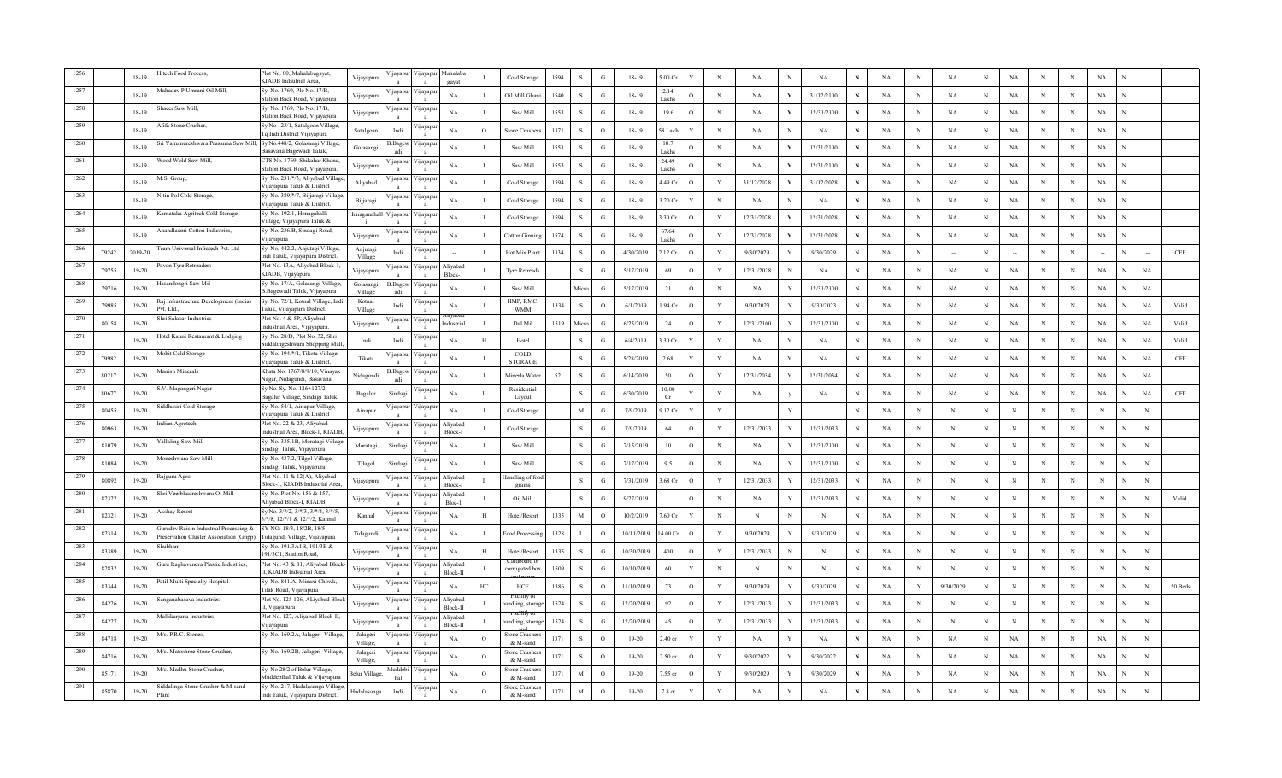|      |       | $18-19$   | itech Food Process.                                                                | Plot No. 80, Mahalabagayat,<br>KIADB Indsutrial Area,                 | Vijayapura           | ijayapu         | /ijayap                    | Mahalal<br>gaya      |              | Cold Storage              | 1594 | -S           | G             | $18 - 19$  | 00 <sub>Cr</sub>  | Y            | $\,$ N       | NA         |   | $_{\rm NA}$ |        | $_{\rm NA}$ | N           | $_{\rm NA}$ | $_{\rm N}$ | <b>NA</b>   | N | $\mathbf N$ | $_{\rm NA}$ |             |             |
|------|-------|-----------|------------------------------------------------------------------------------------|-----------------------------------------------------------------------|----------------------|-----------------|----------------------------|----------------------|--------------|---------------------------|------|--------------|---------------|------------|-------------------|--------------|--------------|------------|---|-------------|--------|-------------|-------------|-------------|------------|-------------|---|-------------|-------------|-------------|-------------|
|      |       | $18-19$   | fahadev P Umrani Oil Mill,                                                         | Sv. No. 1769, Plo No. 17/B.<br>Station Back Road, Vijayapura          | Vijayapura           | 11ayapu         | <i>y</i> apu               | NA                   |              | Oil Mill Ghan             | 1540 | $\mathbf{s}$ | G             | 18-19      | 2.14<br>akhs      | $\circ$      | $_{\rm N}$   | NA         |   | 31/12/2100  | $\,$ N | NA          | N           | NA          | N          | NA          | N | $\,$ N      | NA          |             |             |
|      |       | $18-19$   | aeer Saw Mill,                                                                     | šy. No. 1769, Plo No. 17/B,<br>station Back Road, Vijayapura          | Vijayapura           | ijayapur        | ijayapı                    | NA                   |              | Saw Mill                  | 1553 | S            | G             | 18-19      | 19.6              | $\circ$      | $_{\rm N}$   | <b>NA</b>  | Y | 12/31/2100  |        | NA          | N           | NA          | N          | NA          | N | N           | NA          |             |             |
|      |       | 18-19     | Afifa Stone Crusher,                                                               | y No 123/1, Satalgoan Village,<br>q Indi District Vijayapura          | Satalgoan            | Indi            | <b>y</b> ayap              | NA                   | $\circ$      | Stone Crusher             | 1371 | $\mathbf{s}$ | $\circ$       | 18-19      | 8 Lakh            | Y            | N            | <b>NA</b>  | N | NA          |        | $_{\rm NA}$ | N           | NA          | $_{\rm N}$ | NA          | N | N           | $_{\rm NA}$ |             |             |
|      |       | $18-19$   | Sri Yamanureshwara Prasanna Saw Mill,                                              | Sy No.448/2, Golasangi Village<br>asavana Bagewadi Taluk,             | Golasangi            | 3. Bagew<br>adi | /ijayap                    | NA                   |              | Saw Mill                  | 1553 | -S           | G             | $18 - 19$  | 18.7<br>akhs      | $\circ$      | $_{\rm N}$   | <b>NA</b>  | Y | 12/31/2100  | N      | NA          | $\mathbf N$ | $_{\rm NA}$ | $\,$ N     | <b>NA</b>   | N | N           | $_{\rm NA}$ |             |             |
| 1261 |       | $18-19$   | Vood Wold Saw Mill,                                                                | CTS No. 1769, Shikahar Khana,<br>tation Back Road, Vijayapura.        | Vijayapura           | ijayapui        | /ijayapı                   | NA                   |              | Saw Mill                  | 1553 | -S           | G             | 18-19      | 24.49<br>akhs     | $\circ$      | N            | NA         |   | 12/31/2100  |        | NA          | N           | NA          | N          | <b>NA</b>   | N | N           | NA          |             |             |
| 1262 |       | $18-19$   | A.S. Group,                                                                        | y. No. 231/*/3, Aliyabad Village<br>'ijayapura Taluk & District       | Aliyabad             | ijayapuı        | /ijayapı                   | NA                   |              | Cold Storage              | 1594 | <sub>S</sub> | G             | $18-19$    | .49 Cr            | $\circ$      | Y            | 31/12/2028 | Y | 31/12/2028  |        | NA          | N           | NA          | N          | NA          | N | N           | NA          |             |             |
| 1263 |       | $18-19$   | litin Pol Cold Storage.                                                            | Sy. No. 389/*/7, Bijjaragi Village<br>Vijayapura Taluk & District.    | Bijjaragi            | ijayapu         | /ijayap<br>$\mathbf{a}$    | NA                   |              | Cold Storage              | 1594 | $\mathbf{s}$ | G             | 18-19      | .20 Cr            | $\mathbf{Y}$ | N            | NA         |   | NA          | N      | $_{\rm NA}$ | N           | $_{\rm NA}$ | $\,$ N     | $_{\rm NA}$ | N | $\,$ N      | $_{\rm NA}$ |             |             |
| 1264 |       | 18-19     | arnataka Agritech Cold Storage,                                                    | Sy. No. 192/1, Honagahalli<br>Village, Vijayapura Taluk &             | Ionaganaha           | ijayapu         | 'ijayapı                   | NA                   |              | Cold Storage              | 1594 | -S           | G             | 18-19      | .30 Cr            | $\circ$      | Y            | 12/31/2028 |   | 12/31/2028  | N      | NA          | N           | NA          | $_{\rm N}$ | <b>NA</b>   | N | $\;$ N      | NA          |             |             |
| 1265 |       | $18-19$   | Anandlaxmi Cotton Industries,                                                      | Sy. No. 236/B, Sindagi Road,<br>/ijayapura                            | Vijayapura           | <i>u</i> ayapur | ijayapu                    | NA                   |              | Cotton Ginni              | 1574 | <sub>S</sub> | G             | $18-19$    | 57.64<br>akhs     | $\circ$      | Y            | 12/31/2028 |   | 12/31/2028  | N      | NA          | N           | NA          | $_{\rm N}$ | NA          | N | N           | NA          |             |             |
| 1266 | 79242 | 2019-20   | eam Universal Infratech Pvt. Ltd                                                   | Sy. No. 442/2, Anjutagi Village,<br>Indi Taluk, Vijayapura District.  | Anjutagi<br>Village  | Indi            | <b>yayap</b>               |                      |              | Hot Mix Plant             | 1334 | S            | $\circ$       | 4/30/2019  | .12 Cr            | $\circ$      | Y            | 9/30/2029  |   | 9/30/2029   | N      | NA          | N           |             | $_{\rm N}$ |             | N | N           |             |             | CFE         |
| 1267 | 79755 | $19-20$   | Pavan Tyre Retreaders                                                              | Plot No. 13A, Aliyabad Block-1,<br>KIADB, Vijayapura                  | Vijayapura           | ijayapu         | Vijayapı<br>$\overline{a}$ | Aliyabad<br>Block-1  |              | <b>Tyre Retreads</b>      |      | S            | $\mathcal{G}$ | 5/17/2019  | 69                | $\circ$      | Y            | 12/31/2028 | N | NA          | N      | <b>NA</b>   | $_{\rm N}$  | NA          | $_{\rm N}$ | NA          | N | N           | NA          | NA          |             |
| 1268 | 79716 | $19-20$   | Iasandongri Saw Mil                                                                | Sy. No. 17/A, Golasangi Village,<br>B.Bagewadi Taluk, Vijayapura      | Golasangi<br>Village | Bagew.<br>adi   | /ijayapı                   | NA                   |              | Saw Mill                  |      | Micro        | G             | 5/17/2019  | 21                | $\circ$      | N            | NA         |   | 12/31/2100  | N      | <b>NA</b>   | N           | NA          | $_{\rm N}$ | <b>NA</b>   | N | N           | NA          | NA          |             |
| 1269 | 79985 | $19 - 20$ | Raj Infrastructure Development (India)<br>ht I tv <sup>e</sup>                     | Sy. No. 72/1, Kotnal Village, Indi<br>Faluk, Vijayapura District.     | Kotnal<br>Village    | Indi            | /ijayapı                   | NA                   |              | HMP, RMC<br><b>WMM</b>    | 1334 | S            | $\circ$       | 6/1/2019   | .94 Cr            | $\circ$      | Y            | 9/30/2023  |   | 9/30/2023   | N      | <b>NA</b>   | $_{\rm N}$  | NA          | N          | NA          |   | N           | NA          | NA          | Valid       |
| 1270 | 80158 | $19-20$   | hri Salasar Industries                                                             | Plot No. 4 & 5P, Aliyabad<br>industrial Area, Vijayapura.             | Vijayapura           | yayapu          | ijayap                     | ndustri              | <b>I</b>     | Dal Mil                   | 1519 | Micro        | G             | 6/25/2019  | $24\,$            | $\mathbf{o}$ | $\mathbf Y$  | 12/31/2100 |   | 12/31/2100  |        | NA          | N           | NA          | N          | NA          |   | $_{\rm N}$  | NA          | $_{\rm NA}$ | Valid       |
| 1271 |       | $19-20$   | Hotel Kanni Restaurant & Lodging                                                   | Sy. No. 28/D, Plot No. 32, Shri<br>siddalingeshwara Shopping Mall.    | Indi                 | Indi            | ijayap                     | NA                   | H            | Hotel                     |      | S            | G             | 6/4/2019   | .30 Cr            | Y            | Y            | NA         |   | <b>NA</b>   | N      | <b>NA</b>   | N           | $_{\rm NA}$ | $_{\rm N}$ | NA          | N | $\mathbf N$ | NA          | NA          | Valid       |
| 1272 | 79982 | $19-20$   | Mohit Cold Storage                                                                 | Sy. No. 194/*/1, Tikota Village,<br>ijayapura Taluk & District        | Tikota               | цауарш          | <i>y</i> apu               | NA                   |              | COLD<br><b>STORAGE</b>    |      | S            | G             | 5/28/2019  | 2.68              | Y            | Y            | NA         |   | NA          |        | NA          | N           | <b>NA</b>   | N          | NA          | N | N           | NA          | NA          | ${\rm CFE}$ |
| 1273 | 80217 | $19 - 20$ | Manish Minerals                                                                    | Khata No. 1767/8/9/10, Vinayak<br>Vagar, Nidagundi, Basayana          | Nidagundi            | <b>B.Bagew</b>  | /ijayapı                   | NA                   |              | Minerla Water             | 52   | S            | G             | 6/14/2019  | 50                | $\circ$      | Y            | 12/31/2034 |   | 12/31/2034  |        | NA          | N           | <b>NA</b>   | N          | NA          | N | N           | NA          | NA          |             |
| 1274 | 80677 | $19-20$   | .V. Magangeri Nagar                                                                | ly.No. Sy. No. 126+127/2,<br>agalur Village, Sindagi Taluk,           | Bagalur              | Sindagi         | yayap                      | NA                   | Ι.           | Residential<br>Lavout     |      | $\mathbf{s}$ | G             | 6/30/2019  | 10.00<br>Cr       | Y            | Y            | NA         |   | NA          |        | NA          | N           | $_{\rm NA}$ | N          | $_{\rm NA}$ | N | N           | $_{\rm NA}$ | NA          | ${\rm CFE}$ |
| 1275 | 80455 | $19-20$   | Siddhasiri Cold Storage                                                            | ly. No. 54/1, Ainapur Village,<br>ijayapura Taluk & District          | Ainapur              | 'ıjayapu        | 'ijayapı                   | NA                   | $\mathbf{I}$ | Cold Storage              |      | $\mathbf M$  | $\mathcal{G}$ | 7/9/2019   | $0.12$ Cr         | $\mathbf{Y}$ | Y            |            | V |             |        | <b>NA</b>   | N           | N           | $_{\rm N}$ | N           | N | N           | N           | N           |             |
| 1276 | 80963 | $19 - 20$ | ndian Agrotech                                                                     | Plot No. 22 & 23, Aliyabad<br>ndustrial Area, Block-1, KIADB          | Vijayapura           | <i>u</i> ayapur | /ijayapu                   | Aliyabad<br>Block-I  |              | Cold Storage              |      | S            | G             | 7/9/2019   | 64                | $\circ$      | Y            | 12/31/2033 |   | 12/31/2033  |        | <b>NA</b>   | N           | N           | $_{\rm N}$ | N           | N | N           | N           | N           |             |
| 1277 | 81079 | $19-20$   | allaling Saw Mill                                                                  | y. No. 335/1B, Moratagi Village<br>indagi Taluk, Vijayapura           | Moratagi             | Sindagi         | ijayapı                    | $_{\rm NA}$          |              | Saw Mill                  |      | $\,$ S $\,$  | G             | 7/15/2019  | 10                | $\circ$      | N            | NA         |   | 12/31/2100  |        | NA          | N           | N           | $_{\rm N}$ | N           | N | N           | N           | N           |             |
| 1278 | 81084 | $19 - 20$ | Ioneshwara Saw Mill                                                                | Sy. No. 437/2, Tilgol Village,<br>Sindagi Taluk, Vijayapura           | Tilagol              | Sindagi         | ijayapı                    | NA                   | $\mathbf{I}$ | Saw Mill                  |      | S            | $\mathcal{G}$ | 7/17/2019  | 9.5               | $\circ$      | $_{\rm N}$   | NA         |   | 12/31/2100  |        | <b>NA</b>   | N           | N           | $_{\rm N}$ | N           |   | N           | N           | N           |             |
| 1279 | 80892 | 19-20     | ajguru Agro                                                                        | Plot No. 11 & 12(A), Aliyabad<br>Block-1, KIADB Industrial Area,      | Vijayapura           | ijayapu         | /ijayapı<br>$\mathbf{a}$   | Aliyaba<br>Block-    | $\mathbf I$  | Handling of foo<br>grains |      | ${\bf S}$    | G             | 7/31/2019  | .68 Cr            | $\circ$      | $\mathbf Y$  | 12/31/2033 |   | 12/31/2033  | N      | NA          | N           | N           | $_{\rm N}$ | N           | N | $\mathbf N$ | ${\bf N}$   | $\,$ N      |             |
| 1280 | 82322 | $19 - 20$ | hri Veerbhadreshwara Oi Mill                                                       | Sy. No. Plot No. 156 & 157,<br>Alivabad Block-L KIADB                 | Vijayapura           | <b>1</b> ayapur | /11ayapu                   | Aliyabad<br>Bloc-1   |              | Oil Mill                  |      | S            | G             | 9/27/2019  |                   | $\circ$      | N            | NA         |   | 12/31/2033  |        | <b>NA</b>   | N           | N           | N          | N           | N | N           | N           | $_{\rm N}$  | Valid       |
| 1281 | 82321 | 19-20     | kshay Resort                                                                       | Sy No. 3/*/2, 3/*/3, 3/*/4, 3/*/5,<br>/*/8, 12/*/1 & 12/*/2, Kannal   | Kannal               | ijayapu         | /ijayap<br>$\mathbf{a}$    | NA                   | H            | Hotel/Resort              | 1335 | $\mathbf M$  | $\Omega$      | 10/2/2019  | .60C              | Y            | $_{\rm N}$   | N          | N | N           | N      | <b>NA</b>   | $_{\rm N}$  | N           | N          | N           |   | N           | N           | N           |             |
| 1282 | 82314 | $19-20$   | Gurudev Raisin Industrial Processing &<br>Preservation Cluster Association (Gripp) | SY NO: 18/3, 18/2B, 18/5,<br>Tidagundi Village, Vijayapura            | Tidagundi            | ijayapu         | /ijayap<br>$\mathbf{a}$    | NA                   | $\mathbf{I}$ | Food Processi             | 1328 | $\mathbf{L}$ | $\Omega$      | 10/11/2019 | 4.00C             | $\circ$      | Y            | 9/30/2029  |   | 9/30/2029   | N      | <b>NA</b>   | $_{\rm N}$  | N           | N          | N           | N | N           | N           | $_{\rm N}$  |             |
| 1283 | 83389 | $19 - 20$ | Shubham                                                                            | Sy. No. 191/3A1B, 191/3B &<br>191/3C1, Station Road,                  | Vijayapura           | <i>u</i> ayapur | ijayapı                    | NA                   | H            | Hotel/Resort              | 1335 | S            | G             | 10/30/2019 | 400               | $\circ$      | Y            | 12/31/2033 | N | N           | N      | NA          | N           | N           | N          | N           | N | N           | N           | N           |             |
| 1284 | 82832 | $19 - 20$ | Guru Raghavendra Plastic Industries,                                               | Plot No. 43 & 81, Aliyabad Block<br>I, KIADB Indsutrial Area,         | Vijayapura           | <b>1</b> ayapur | /ijayap                    | Aliyabad<br>Block-II |              | corrugated box            | 1509 | S            | G             | 10/10/2019 | 60                | Y            | N            | N          | N | N           |        | <b>NA</b>   | N           | N           | N          | N           |   | N           | N           | N           |             |
| 1285 | 83344 | $19-20$   | Patil Multi Specialty Hospital                                                     | Sy. No. 841/A, Minaxi Chowk,<br>Filak Road, Vijayapura                | Vijayapura           | ijayapuı        | /ijayap<br>$\mathbf{a}$    | $_{\rm NA}$          | HC           | HCE                       | 1386 | S            | $\Omega$      | 11/10/2019 | 73                | $\circ$      | Y            | 9/30/2029  | Y | 9/30/2029   |        | NA          | Y           | 9/30/2029   | N          | N           |   | N           | N           | N           | 50 Beds     |
|      | 84226 | $19-20$   | anganabasava Industries                                                            | Plot No. 125 126, ALiyabad Block<br>I, Vijayapura                     | Vijayapura           | ijayapu         | ijayap                     | Aliyaba<br>Block-II  | <b>I</b>     | ndling, stora             | 1524 | S            | G             | 12/20/2019 | 92                | $\circ$      | Y            | 12/31/2033 |   | 12/31/2033  |        | NA          | N           | N           | N          | N           | N | N           | N           | $\,$ N      |             |
|      | 84227 | $19-20$   | Aallikarjuna Industries                                                            | Plot No. 127, Aliyabad Block-II,<br>/ijayapura                        | Vijayapura           | ijayapur        | /ijayap                    | Aliyabad<br>Block-II | <b>I</b>     | indling, stora            | 1524 | ${\bf S}$    | G             | 12/20/2019 | 45                | $\circ$      | Y            | 12/31/2033 |   | 12/31/2033  |        | NA          | N           | N           | N          | N           | N | N           | N           | N           |             |
|      | 84718 | 19-20     | M/s. P.R.C. Stones,                                                                | Sy. No. 169/2A, Jalageri Village,                                     | Jalageri<br>Village, | ijayapur        | / цауаг                    | $_{\rm NA}$          | $\Omega$     | Stone Crusher<br>& M-sand | 1371 | $\mathbf S$  | $\Omega$      | $19-20$    | .40 cr            | Y            | Y            | NA         |   | NA          |        | <b>NA</b>   | N           | $_{\rm NA}$ | N          | NA          | N | N           | $_{\rm NA}$ | $_{\rm N}$  |             |
|      | 84716 | $19-20$   | M/s. Matoshree Stone Crusher.                                                      | Sy. No. 169/2B, Jalageri Village,                                     | Jalageri<br>Village, | 'ijayapu        | / цауар                    | NA                   | $\Omega$     | Stone Crusher<br>& M-sand | 1371 | $\mathbf{s}$ | $\Omega$      | $19-20$    | .50 <sub>cr</sub> | $\circ$      | $\mathbf{Y}$ | 9/30/2022  | V | 9/30/2022   | N      | $_{\rm NA}$ | N           | <b>NA</b>   | $_{\rm N}$ | NA          | N | N           | NA          | $\,$ N      |             |
|      | 85171 | $19 - 20$ | M/s. Madhu Stone Crusher.                                                          | Sy. No 28/2 of Belur Village,<br>Auddebihal Taluk & Vijayapura        | Belur Village        | Muddeb<br>hal   | ijayap                     | <b>NA</b>            | $\Omega$     | Stone Crusher<br>& M-sand | 1371 | M            | $\Omega$      | $19-20$    | .55 cr            | $\circ$      | Y            | 9/30/2029  |   | 9/30/2029   |        | NA          | N           | NA          | N          | NA          | N | N           | NA          | N           |             |
| 1291 | 85870 | 19-20     | Siddalinga Stone Crusher & M-sand<br>Plant                                         | Sy. No. 217, Hadalasanga Village,<br>indi Taluk, Vijayapura District. | Hadalasanga          | Indi            | /ijayapu                   | NA                   | $\circ$      | Stone Crusher<br>& M-sand | 1371 | $_{\rm M}$   | $\circ$       | $19-20$    | 7.8 cr            | Y            | Y            | <b>NA</b>  |   | NA          |        | NA          | N           | $_{\rm NA}$ | N          | <b>NA</b>   |   | N           | $_{\rm NA}$ | $\mathbf N$ |             |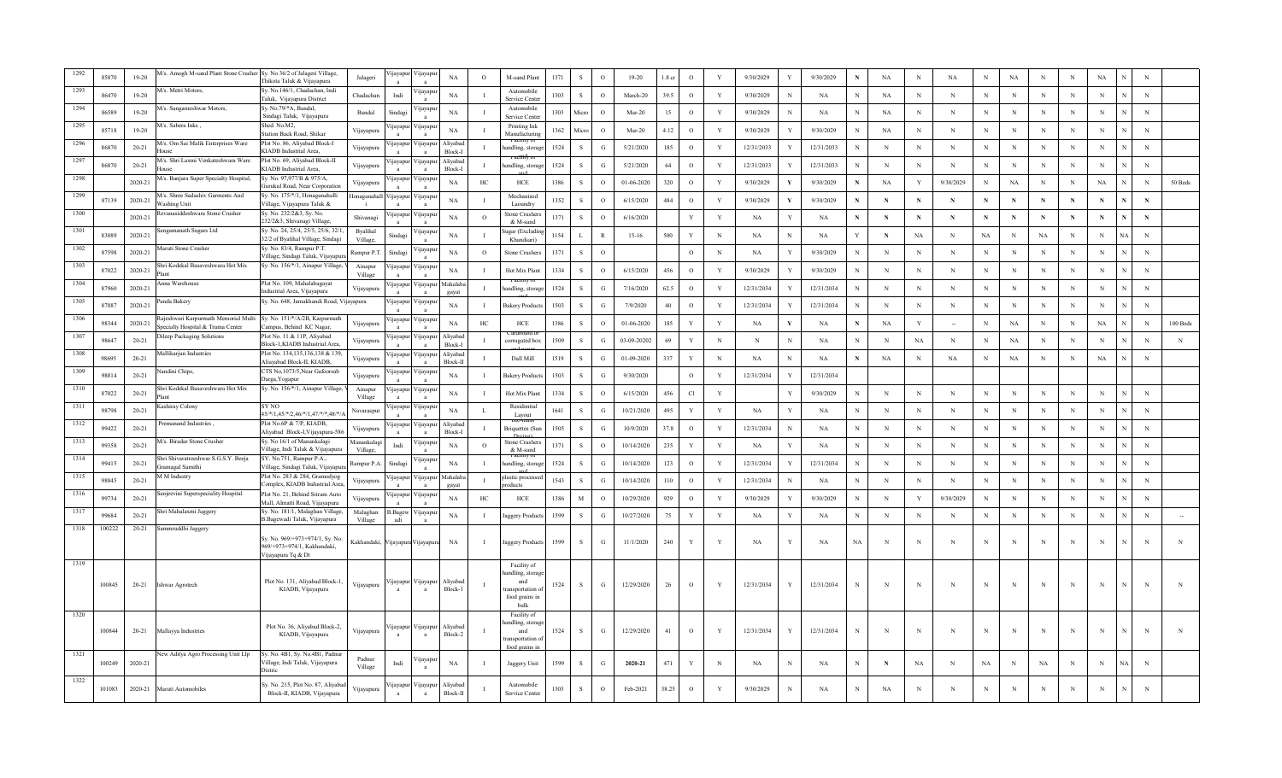| Sy. No.146/1, Chadachan, Indi<br>A/s. Metri Motors.<br>Automobile<br>1293<br><b>n</b> ayapı<br>1303<br>$_{\rm N}$<br>NA<br>$\mathbf{s}$<br>39.5<br>$\circ$<br>Y<br>$_{\rm N}$<br>$\,$ N<br>$\,$ N<br>86470<br>$19-20$<br>Chadachar<br>Indi<br>$\Omega$<br>March-20<br>9/30/2029<br>N<br>NA<br>NA<br>$_{\rm N}$<br>N<br>N<br>N<br>N<br>Faluk, Vijayapura District<br>Service Cente<br>1/s. Sangameshwar Motors,<br>Sy. No.79/*A, Bandal,<br>Automobile<br>'ijayapı<br>86589<br>$19 - 20$<br>Bandal<br>NA<br>1303<br>Micn<br>$\circ$<br>$Mar-20$<br>15<br>$\circ$<br>Y<br>9/30/2029<br>$_{\rm NA}$<br>NA<br>$_{\rm N}$<br>$_{\rm N}$<br>$_{\rm N}$<br>$\mathbf N$<br>N<br>$_{\rm N}$<br>Sindag<br>N<br>N<br>N<br>Sindagi Taluk, Vijayapura<br>service Cente<br>Shed. No.M2,<br>1/s. Sabera Inks,<br>1295<br>Printing Ink<br>∕ijayap<br><i>u</i> ayapur<br>85718<br>$19 - 20$<br>NA<br>1362<br>Micr<br>$\Omega$<br>$Mar-20$<br>4.12<br>$\circ$<br>Y<br>9/30/2029<br>9/30/2029<br>NA<br>$_{\rm N}$<br>N<br>N<br>$_{\rm N}$<br>N<br>N<br>N<br>N<br>Vijayapura<br>N<br>tation Back Road, Shikar<br>Manufacturing<br>M/s. Om Sai Malik Enterprises Ware<br>Plot No. 86, Alivabad Block-I<br>1296<br>√ijayap<br>Aliyabad<br>ijayapu<br>$_{\rm N}$<br>1524<br><sub>S</sub><br>5/21/2020<br>185<br>$\circ$<br>Y<br>12/31/2033<br>$_{\rm N}$<br>$\mathbf N$<br>N<br>86870<br>$20 - 21$<br>andling, storag<br>G<br>12/31/2033<br>N<br>N<br>N<br>Vijayapura<br>N<br>N<br>N<br>KIADB Industrial Area,<br>Block-I<br>QUSE<br>1297<br>M/s. Shri Laxmi Venkateshwara Ware<br>Plot No. 69, Aliyabad Block-II<br>Aliyabad<br>ijayapur<br>'ijayapı<br>1524<br>${\bf S}$<br>$\mathbf N$<br>86870<br>$20 - 21$<br>ndling, storag<br>G<br>5/21/2020<br>64<br>$\circ$<br>Y<br>12/31/2033<br>12/31/2033<br>$\mathbf N$<br>$_{\rm N}$<br>N<br>$_{\rm N}$<br>N<br>N<br>N<br>Vijayapura<br>N<br>N<br>KIADB Industrial Area.<br>Block-I<br><b>OUSE</b><br>Sy. No. 97,977/B & 975/A.<br>1298<br>A/s. Banjara Super Specialty Hospital,<br><b>11avapur</b><br><b>yayap</b><br>1386<br>50 Beds<br>2020-21<br>NA<br>HC<br>HCE<br>S<br>$\Omega$<br>01-06-2020<br>320<br>$\circ$<br>Y<br>9/30/2029<br>9/30/2029<br>NA<br>Y<br>9/30/2029<br>$_{\rm N}$<br><b>NA</b><br>N<br>N<br>NA<br>$_{\rm N}$<br>Y<br>N<br>Vijayapura<br>Gurukul Road, Near Corporation<br>A/s. Shree Sadashiv Garments And<br>Sy. No. 175/*/1, Honaganahalli<br>1299<br>Honaganahal<br>Mechanised<br>ijayapur<br>∕ijayapı<br>1352<br>484<br>87139<br>2020-21<br>NA<br>- S<br>$\Omega$<br>6/15/2020<br>$\circ$<br>Y<br>9/30/2029<br>9/30/2029<br>N<br>$\mathbf N$<br>$\mathbf N$<br>$\mathbf N$<br>$\mathbf N$<br>N<br>N<br>N<br>/ashing Unit<br>/illage, Vijayapura Taluk &<br>Laoundry<br>Sy. No. 232/2&3, Sy. No.<br>1300<br>evanasiddeshwara Stone Crusher<br>ijayapur<br>∕ijayapı<br>Stone Crushe<br>1371<br>$\mathbf{s}$<br>$\mathbf N$<br>2020-21<br>NA<br>$\circ$<br>$\Omega$<br>6/16/2020<br>Y<br>Y<br>$\mathbf N$<br>$\mathbf N$<br>$\mathbf N$<br>NA<br>NA<br>N<br>$\mathbf N$<br>N<br>$\mathbf N$<br>$\mathbf N$<br>Shivanagi<br>N<br>232/2&3, Shivanagi Village,<br>& M-sand<br>Sy. No. 24, 25/4, 25/5, 25/6, 32/1<br>1301<br>ingamanath Sugars Ltd<br><b>Byalihal</b><br>gar (Excludi<br>'ijayapı<br>1154<br>NA<br>$\,$ N<br>83089<br>2020-21<br>Sindagi<br>NA<br>$\mathbf{L}$<br>$\mathbb{R}$<br>$15-16$<br>500<br>Y<br>N<br>NA<br>N<br>NA<br>Y<br>N<br>NA<br>N<br>N<br>NA<br>N<br>N<br>32/2 of Byalihal Village, Sindagi<br>Village,<br>Khandsari<br>ly. No. 83/4, Rampur P.T.<br>1302<br><b>Iaruti Stone Crusher</b><br><b>Hayapı</b><br>2020-21<br>$_{\rm NA}$<br>1371<br>9/30/2029<br>N<br>$\,$ N<br>87598<br>Rampur P.T<br>Sindagi<br>$\mathbf O$<br>Stone Crusher<br>-S<br>$\Omega$<br>$\circ$<br>N<br>NA<br>N<br>N<br>N<br>N<br>$_{\rm N}$<br>N<br>N<br>N<br>Village, Sindagi Taluk, Vijayapı<br>iri Kodekal Basaveshwara Hot Mix<br>Sy. No. 156/*/1, Ainapur Village,<br>1303<br>Ainapur<br>ijayapur<br>∕ijayapı<br>NA<br>1334<br>456<br>9/30/2029<br>$_{\rm N}$<br>87022<br>2020-21<br>Hot Mix Plant<br>- S<br>$\Omega$<br>6/15/2020<br>$\circ$<br>Y<br>9/30/2029<br>N<br>$_{\rm N}$<br>N<br>$_{\rm N}$<br>N<br>N<br>N<br>N<br>Village<br>1304<br>nna Warehouse<br>Plot No. 109, Mahalabagayat<br>Mahalab<br>ijayapur<br>∕ijayapı<br>1524<br>7/16/2020<br>62.5<br>$\circ$<br>Y<br>12/31/2034<br>12/31/2034<br>N<br>$_{\rm N}$<br>87960<br>2020-21<br>andling, storag<br>N<br>N<br>N<br>$_{\rm N}$<br>N<br>N<br>$\mathbf{I}$<br>- S<br>N<br>N<br>Vijayapura<br>G<br>ndustrial Area, Vijayapura<br>gavat<br>$\mathbf{a}$<br>Sy. No. 648, Jamakhandi Road, Vijayapura<br>1305<br>anda Bakery<br>ijayapur<br>'ijayapı<br>1503<br>S<br>$\circ$<br>$_{\rm N}$<br>87887<br>2020-21<br>NA<br><b>Bakery Product</b><br>G<br>7/9/2020<br>40<br>Y<br>12/31/2034<br>12/31/2034<br>N<br>N<br>N<br>N<br>N<br>N<br>N<br>N<br>N<br>ajeshwari Karpurmath Memorial Multi<br>Sy. No. 151/*/A/2B, Karpurmath<br>130<br>ijayapur<br>'ijayapı<br>98344<br>2020-21<br>NA<br>${\rm HCE}$<br>1386<br><sub>S</sub><br>$\circ$<br>01-06-2020<br>185<br>Y<br>NA<br>$_{\rm N}$<br>NA<br>$_{\rm NA}$<br>$_{\rm N}$<br>$100$ Beds<br>HC<br>Y<br>NA<br>N<br>NA<br>Y<br>N<br>N<br>Vijayapura<br>pecialty Hospital & Truma Center<br>Campus, Behind KC Nagar,<br>ileep Packaging Solutions<br>Plot No. 11 & 11P, Aliyabad<br>130'<br>Aliyaba<br>ijayapur<br>∕ijayapı<br>98647<br>$20 - 21$<br>1509<br>$\mathbf{s}$<br>03-09-20202<br>69<br>Y<br>N<br>N<br>$\mathbf N$<br>$_{\rm NA}$<br>$_{\rm N}$<br>$_{\rm NA}$<br>$_{\rm N}$<br>$\mathbf N$<br>$\mathbf N$<br>$\mathbf N$<br>G<br>$_{\rm NA}$<br>N<br>N<br>N<br>corrugated bo<br>Vijayapura<br>Block-1, KIADB Industrial Area,<br>Block-I<br>$\mathbf{a}$<br>Plot No. 134,135,136,138 & 139,<br><b>Iallikarjun Industries</b><br>Aliyabad<br>ijayapu<br>∕ijayapı<br>98695<br>1519<br>$\mathbf{s}$<br>01-09-2020<br>337<br>Y<br>$_{\rm N}$<br>$\,$ N<br>$_{\rm NA}$<br>$\,$ N<br>$20 - 21$<br>Dall Mill<br>G<br>NA<br>N<br><b>NA</b><br>NA<br>N<br>NA<br>NA<br>N<br>N<br>N<br>Vijayapura<br>Aliayabad Block-II, KIADB,<br>Block-II<br>CTS No, 1073/5, Near Gafoorsab<br>andini Chips,<br>ijayapur<br>/ijayapı<br>1503<br>${\bf S}$<br>$\circ$<br>12/31/2034<br>98814<br>$20 - 21$<br>Vijayapura<br>NA<br><b>Bakery Produc</b><br>G<br>9/30/2020<br>Y<br>12/31/2034<br>Darga, Yogapur<br>hri Kodekal Basaveshwara Hot Mix<br>Sy. No. 156/*/1, Ainapur Village,<br>Ainapur<br>ijayapur<br>√ijayapı<br>87022<br>$20 - 21$<br>NA<br>Hot Mix Plan<br>1334<br>-S<br>6/15/2020<br>456<br>Cl<br>Y<br>9/30/2029<br>N<br>N<br>N<br>N<br>$_{\rm N}$<br>$\Omega$<br>N<br>N<br>N<br>N<br>N<br>Village<br>$_{\rm ant}$<br><b>SY NO</b><br>1311<br>ashiray Colony<br>ijayapur<br>√ijayap<br>Residentia<br>98798<br>$20 - 21$<br>NA<br>1641<br><sub>S</sub><br>10/21/2020<br>495<br>Y<br>Y<br>NA<br>$_{\rm NA}$<br>N<br>$_{\rm N}$<br>$\mathbf N$<br>N<br>N<br>$_{\rm N}$<br>G<br>Y<br>N<br>N<br>N<br>Ι.<br>N<br>Navaraspur<br>45/*/1,45/*/2,46/*/1,47/*/*,48/*/<br>Layout<br>Plot No.6P & 7/P, KIADB,<br>remanand Industries<br>1312<br>Aliyaba<br>ijayapu<br>∕ijayar<br>99422<br>1505<br>$\mathbf{s}$<br>37.8<br>$\circ$<br>Y<br>$_{\rm N}$<br>N<br>$_{\rm N}$<br>$20 - 21$<br>10/9/2020<br>12/31/2034<br>N<br>$_{\rm NA}$<br>N<br>N<br>N<br>N<br><b>Briquettes</b> (Su<br>G<br>N<br>N<br>N<br>Vijayapura<br>Aliyabad Block-I, Vijayapura-586<br>Block-I<br>M/s. Biradar Stone Crusher<br>Sy. No 16/1 of Manankalagi<br>Manankalag<br>1313<br>Stone Crushe<br>'ijayapı<br>1371<br>235<br>$_{\rm N}$<br>99358<br>$20 - 21$<br>NA<br>$\Omega$<br><sub>S</sub><br>$\Omega$<br>10/14/2020<br>Y<br>Y<br>$_{\rm NA}$<br>$_{\rm N}$<br>N<br>Indi<br>NA<br>Y<br>N<br>N<br>N<br>N<br>N<br>N<br>N<br>village, Indi Taluk & Vijayapura<br>Village,<br>& M-sand<br>Shri Shivaratreeshwar S.G.S.Y. Beeja<br>SY. No.751, Rampur P.A.,<br>1314<br>'ijayap<br>$_{\rm N}$<br>99415<br>$20 - 21$<br>Rampur P.A<br>NA<br>ndling, storag<br>1524<br>S<br>G<br>10/14/2020<br>123<br>$\circ$<br>Y<br>12/31/2034<br>12/31/2034<br>$_{\rm N}$<br>N<br>N<br>$_{\rm N}$<br>N<br>N<br>N<br>N<br>Sindag<br>Y<br>N<br>ramagal Samithi<br>Village, Sindagi Taluk, Vijayapu<br>Plot No. 283 & 284, Gramodyog<br>1315<br>A M Industry<br><b>fahalab</b><br>'ijayapı<br>astic proces:<br>navapu<br>1543<br>110<br>98845<br>$20 - 21$<br><sub>S</sub><br>G<br>10/14/2020<br>$\circ$<br>12/31/2034<br>NA<br>$_{\rm N}$<br>N<br>$_{\rm N}$<br>N<br>N<br>N<br>$\,$ N<br>Y<br>N<br>N<br>N<br>Vijayapura<br>'omplex, KIADB Industrial Area<br>gaya<br>oducts<br>1316<br>anjeevini Superspeciality Hospital<br>Plot No. 21, Behind Sriram Auto<br>ijayapu<br>'ijayap<br>99734<br>$\mathbf M$<br>9/30/2029<br>9/30/2029<br>$_{\rm N}$<br>$\,$ N<br>$20 - 21$<br>$_{\rm NA}$<br>$\rm{HC}$<br>${\rm HCE}$<br>1386<br>$\Omega$<br>10/29/2020<br>929<br>$\circ$<br>Y<br>9/30/2029<br>$\,$ N<br>Y<br>$\mathbf N$<br>$\mathbf N$<br>$\, {\rm N}$<br>N<br>Vijayapura<br>N<br>Mall, Almatti Road, Vijayapura<br>$\mathbf{a}$<br>ıri Mahalaxmi Jaggery<br>Sy. No. 181/1, Malaghan Village,<br>Malaghan<br>131'<br>3. Bagew<br>'ijayapu<br>$\,$ S $\,$<br>$\,$ N<br>99684<br>$20 - 21$<br>NA<br>aggery Produc<br>1599<br>G<br>10/27/2020<br>75<br>Y<br>Y<br>NA<br>$_{\rm NA}$<br>N<br>$_{\rm N}$<br>N<br>$_{\rm N}$<br>$\,$ N<br>N<br>N<br>N<br>N<br>B.Bagewadi Taluk, Vijayapura<br>Village<br>adi<br>1318<br>100222<br>$20 - 21$<br>immruddhi Jaggery<br>Sy. No. 969/+973+974/1, Sy. No<br>Kakhandaki,<br>1599<br>-S<br>11/1/2020<br>240<br>Y<br>NA<br>$_{\rm NA}$<br><b>NA</b><br>$_{\rm N}$<br>$_{\rm N}$<br>N<br>N<br>NA<br>Jaggery Product<br>G<br>Y<br>N<br>N<br>N<br>N<br>N<br>ijayapura Vijayapu<br>969/+973+974/1, Kakhandaki,<br>Vijayapura Tq & Dt<br>1319<br>Facility of<br>andling, storag<br>Plot No. 131, Aliyabad Block-1,<br>Aliyaba<br>'ijayapur Vijayapı<br>and<br>100845<br>12/29/2020<br>12/31/2034<br>$20 - 21$<br>1524<br>G<br>26<br>$\circ$<br>Y<br>12/31/2034<br>N<br>N<br>Ishwar Agrotech<br>- S<br>N<br>Vijayapura<br>KIADB, Vijayapura<br>Block-1<br>ransportation<br>food grains in<br>bulk<br>1320<br>Facility of<br>ndling, storag<br>Plot No. 36, Aliyabad Block-2,<br>Aliyabad<br>ijayapur<br>∕ijayapı<br>100844<br>1524<br>12/29/2020<br>41<br>$\circ$<br>12/31/2034<br>12/31/2034<br>$_{\rm N}$<br>$20 - 21$<br>Mallayya Industries<br>Vijayapura<br>and<br>G<br>Y<br>Y<br>N<br>N<br>N<br>N<br>N<br>N<br>N<br>$\mathcal{S}$<br>N<br>N<br>KIADB, Vijayapura<br>Block-2<br>ansportation<br>food grains<br>lew Aditya Agro Processing Unit Llp<br>Sy. No. 4B1, Sy. No.4B1, Padnu<br>1321<br>Padnur<br>'ijayap<br>100249<br>2020-21<br>Village, Indi Taluk, Vijayapura<br>NA<br>1599<br>2020-21<br>471<br>N<br><b>NA</b><br>NA<br>NA<br><b>NA</b><br>N<br>Indi<br>Jaggery Unit<br>-S<br>G<br>Y<br><b>NA</b><br>N<br>N<br>N<br>N<br>N<br>ŃА<br>Village<br>Distric<br>1322<br>Sy. No. 215, Plot No. 87, Aliyabao<br>Aliyabad<br>Automobile<br>'ijayapur<br>Vijayapu<br>1303<br>38.25<br>101083<br>2020-21<br>S<br>$\circ$<br>Feb-2021<br>$\circ$<br>Y<br>9/30/2029<br>NA<br>NA<br>Maruti Automobiles<br>N<br>N<br>N<br>N<br>N<br>Vijayapura<br>Block-II, KIADB, Vijayapura<br>Block-II<br>Service Center<br>a<br>a | 85870 | $19-20$ | A/s. Amogh M-sand Plant Stone Crusher Sy. No 36/2 of Jalageri Village, | Thikota Taluk & Vijayapura | Jalageri | ijayapur | ∕ijayapı | NA | $\circ$ | M-sand Plant | 1371 | $\mathbf{s}$ | $\Omega$ | $19-20$ | 1.8 cr | $\mathbf{o}$ | Y | 9/30/2029 | 9/30/2029 | $_{\rm NA}$ | $\mathbf N$ | $_{\rm NA}$ | $_{\rm N}$ | NA | N | N | $_{\rm NA}$ | $\mathbf N$ |  |
|---------------------------------------------------------------------------------------------------------------------------------------------------------------------------------------------------------------------------------------------------------------------------------------------------------------------------------------------------------------------------------------------------------------------------------------------------------------------------------------------------------------------------------------------------------------------------------------------------------------------------------------------------------------------------------------------------------------------------------------------------------------------------------------------------------------------------------------------------------------------------------------------------------------------------------------------------------------------------------------------------------------------------------------------------------------------------------------------------------------------------------------------------------------------------------------------------------------------------------------------------------------------------------------------------------------------------------------------------------------------------------------------------------------------------------------------------------------------------------------------------------------------------------------------------------------------------------------------------------------------------------------------------------------------------------------------------------------------------------------------------------------------------------------------------------------------------------------------------------------------------------------------------------------------------------------------------------------------------------------------------------------------------------------------------------------------------------------------------------------------------------------------------------------------------------------------------------------------------------------------------------------------------------------------------------------------------------------------------------------------------------------------------------------------------------------------------------------------------------------------------------------------------------------------------------------------------------------------------------------------------------------------------------------------------------------------------------------------------------------------------------------------------------------------------------------------------------------------------------------------------------------------------------------------------------------------------------------------------------------------------------------------------------------------------------------------------------------------------------------------------------------------------------------------------------------------------------------------------------------------------------------------------------------------------------------------------------------------------------------------------------------------------------------------------------------------------------------------------------------------------------------------------------------------------------------------------------------------------------------------------------------------------------------------------------------------------------------------------------------------------------------------------------------------------------------------------------------------------------------------------------------------------------------------------------------------------------------------------------------------------------------------------------------------------------------------------------------------------------------------------------------------------------------------------------------------------------------------------------------------------------------------------------------------------------------------------------------------------------------------------------------------------------------------------------------------------------------------------------------------------------------------------------------------------------------------------------------------------------------------------------------------------------------------------------------------------------------------------------------------------------------------------------------------------------------------------------------------------------------------------------------------------------------------------------------------------------------------------------------------------------------------------------------------------------------------------------------------------------------------------------------------------------------------------------------------------------------------------------------------------------------------------------------------------------------------------------------------------------------------------------------------------------------------------------------------------------------------------------------------------------------------------------------------------------------------------------------------------------------------------------------------------------------------------------------------------------------------------------------------------------------------------------------------------------------------------------------------------------------------------------------------------------------------------------------------------------------------------------------------------------------------------------------------------------------------------------------------------------------------------------------------------------------------------------------------------------------------------------------------------------------------------------------------------------------------------------------------------------------------------------------------------------------------------------------------------------------------------------------------------------------------------------------------------------------------------------------------------------------------------------------------------------------------------------------------------------------------------------------------------------------------------------------------------------------------------------------------------------------------------------------------------------------------------------------------------------------------------------------------------------------------------------------------------------------------------------------------------------------------------------------------------------------------------------------------------------------------------------------------------------------------------------------------------------------------------------------------------------------------------------------------------------------------------------------------------------------------------------------------------------------------------------------------------------------------------------------------------------------------------------------------------------------------------------------------------------------------------------------------------------------------------------------------------------------------------------------------------------------------------------------------------------------------------------------------------------------------------------------------------------------------------------------------------------------------------------------------------------------------------------------------------------------------------------------------------------------------------------------------------------------------------------------------------------------------------------------------------------------------------------------------------------------------------------------------------------------------------------------------------------------------------------------------------------------------------------------------------------------------------------------------------------------------------------------------------------------------------------------------------------------------------------------------------------------------------------------------------------------------------------------------------------------------------------------------------------------------------------------------------------------------------------------------------------------------------------------------------------------------------------------------------------------------------------------------------------------------------------------------------------------------------------------------------------------------------------------------------------------------------------------------------------------------------------------------------------------------------------------------------------------------------------------------------------------------------------------------------------------------------------------------------------------------------------------------------------------------------------------------------------------------------------------------------------------------------------------------------------------------------------------------------------------------------------------------------------------------------------------------------------------------------------------------------------------------------------------------------------------------------------------------------------------------------------------------------------------------------------------------------------------------------------------------------------------------------------------------------------------------------------------------------------------------------------------------------------------------------------------------------------------------------------------------------------------------------------------------------------------------------------------------------------------------------------------------------------------------------------------------------------------------------------------------------------------------------------------------------------------------------------------------------------------------------------------------------------------------------------------------------------------------------------------------------------------------------------------------------------------------------------------------------------------------------------------------------------------------------------------------------------|-------|---------|------------------------------------------------------------------------|----------------------------|----------|----------|----------|----|---------|--------------|------|--------------|----------|---------|--------|--------------|---|-----------|-----------|-------------|-------------|-------------|------------|----|---|---|-------------|-------------|--|
|                                                                                                                                                                                                                                                                                                                                                                                                                                                                                                                                                                                                                                                                                                                                                                                                                                                                                                                                                                                                                                                                                                                                                                                                                                                                                                                                                                                                                                                                                                                                                                                                                                                                                                                                                                                                                                                                                                                                                                                                                                                                                                                                                                                                                                                                                                                                                                                                                                                                                                                                                                                                                                                                                                                                                                                                                                                                                                                                                                                                                                                                                                                                                                                                                                                                                                                                                                                                                                                                                                                                                                                                                                                                                                                                                                                                                                                                                                                                                                                                                                                                                                                                                                                                                                                                                                                                                                                                                                                                                                                                                                                                                                                                                                                                                                                                                                                                                                                                                                                                                                                                                                                                                                                                                                                                                                                                                                                                                                                                                                                                                                                                                                                                                                                                                                                                                                                                                                                                                                                                                                                                                                                                                                                                                                                                                                                                                                                                                                                                                                                                                                                                                                                                                                                                                                                                                                                                                                                                                                                                                                                                                                                                                                                                                                                                                                                                                                                                                                                                                                                                                                                                                                                                                                                                                                                                                                                                                                                                                                                                                                                                                                                                                                                                                                                                                                                                                                                                                                                                                                                                                                                                                                                                                                                                                                                                                                                                                                                                                                                                                                                                                                                                                                                                                                                                                                                                                                                                                                                                                                                                                                                                                                                                                                                                                                                                                                                                                                                                                                                                                                                                                                                                                                                                                                                                                                                                                                                                                                                                                                                                                                                                                                                                                                                                                                                                                                                                                                                                                                                                                                                                                                                                                                                                                                                         |       |         |                                                                        |                            |          |          |          |    |         |              |      |              |          |         |        |              |   |           |           |             |             |             |            |    |   |   |             |             |  |
|                                                                                                                                                                                                                                                                                                                                                                                                                                                                                                                                                                                                                                                                                                                                                                                                                                                                                                                                                                                                                                                                                                                                                                                                                                                                                                                                                                                                                                                                                                                                                                                                                                                                                                                                                                                                                                                                                                                                                                                                                                                                                                                                                                                                                                                                                                                                                                                                                                                                                                                                                                                                                                                                                                                                                                                                                                                                                                                                                                                                                                                                                                                                                                                                                                                                                                                                                                                                                                                                                                                                                                                                                                                                                                                                                                                                                                                                                                                                                                                                                                                                                                                                                                                                                                                                                                                                                                                                                                                                                                                                                                                                                                                                                                                                                                                                                                                                                                                                                                                                                                                                                                                                                                                                                                                                                                                                                                                                                                                                                                                                                                                                                                                                                                                                                                                                                                                                                                                                                                                                                                                                                                                                                                                                                                                                                                                                                                                                                                                                                                                                                                                                                                                                                                                                                                                                                                                                                                                                                                                                                                                                                                                                                                                                                                                                                                                                                                                                                                                                                                                                                                                                                                                                                                                                                                                                                                                                                                                                                                                                                                                                                                                                                                                                                                                                                                                                                                                                                                                                                                                                                                                                                                                                                                                                                                                                                                                                                                                                                                                                                                                                                                                                                                                                                                                                                                                                                                                                                                                                                                                                                                                                                                                                                                                                                                                                                                                                                                                                                                                                                                                                                                                                                                                                                                                                                                                                                                                                                                                                                                                                                                                                                                                                                                                                                                                                                                                                                                                                                                                                                                                                                                                                                                                                                                                         |       |         |                                                                        |                            |          |          |          |    |         |              |      |              |          |         |        |              |   |           |           |             |             |             |            |    |   |   |             |             |  |
|                                                                                                                                                                                                                                                                                                                                                                                                                                                                                                                                                                                                                                                                                                                                                                                                                                                                                                                                                                                                                                                                                                                                                                                                                                                                                                                                                                                                                                                                                                                                                                                                                                                                                                                                                                                                                                                                                                                                                                                                                                                                                                                                                                                                                                                                                                                                                                                                                                                                                                                                                                                                                                                                                                                                                                                                                                                                                                                                                                                                                                                                                                                                                                                                                                                                                                                                                                                                                                                                                                                                                                                                                                                                                                                                                                                                                                                                                                                                                                                                                                                                                                                                                                                                                                                                                                                                                                                                                                                                                                                                                                                                                                                                                                                                                                                                                                                                                                                                                                                                                                                                                                                                                                                                                                                                                                                                                                                                                                                                                                                                                                                                                                                                                                                                                                                                                                                                                                                                                                                                                                                                                                                                                                                                                                                                                                                                                                                                                                                                                                                                                                                                                                                                                                                                                                                                                                                                                                                                                                                                                                                                                                                                                                                                                                                                                                                                                                                                                                                                                                                                                                                                                                                                                                                                                                                                                                                                                                                                                                                                                                                                                                                                                                                                                                                                                                                                                                                                                                                                                                                                                                                                                                                                                                                                                                                                                                                                                                                                                                                                                                                                                                                                                                                                                                                                                                                                                                                                                                                                                                                                                                                                                                                                                                                                                                                                                                                                                                                                                                                                                                                                                                                                                                                                                                                                                                                                                                                                                                                                                                                                                                                                                                                                                                                                                                                                                                                                                                                                                                                                                                                                                                                                                                                                                                                         |       |         |                                                                        |                            |          |          |          |    |         |              |      |              |          |         |        |              |   |           |           |             |             |             |            |    |   |   |             |             |  |
|                                                                                                                                                                                                                                                                                                                                                                                                                                                                                                                                                                                                                                                                                                                                                                                                                                                                                                                                                                                                                                                                                                                                                                                                                                                                                                                                                                                                                                                                                                                                                                                                                                                                                                                                                                                                                                                                                                                                                                                                                                                                                                                                                                                                                                                                                                                                                                                                                                                                                                                                                                                                                                                                                                                                                                                                                                                                                                                                                                                                                                                                                                                                                                                                                                                                                                                                                                                                                                                                                                                                                                                                                                                                                                                                                                                                                                                                                                                                                                                                                                                                                                                                                                                                                                                                                                                                                                                                                                                                                                                                                                                                                                                                                                                                                                                                                                                                                                                                                                                                                                                                                                                                                                                                                                                                                                                                                                                                                                                                                                                                                                                                                                                                                                                                                                                                                                                                                                                                                                                                                                                                                                                                                                                                                                                                                                                                                                                                                                                                                                                                                                                                                                                                                                                                                                                                                                                                                                                                                                                                                                                                                                                                                                                                                                                                                                                                                                                                                                                                                                                                                                                                                                                                                                                                                                                                                                                                                                                                                                                                                                                                                                                                                                                                                                                                                                                                                                                                                                                                                                                                                                                                                                                                                                                                                                                                                                                                                                                                                                                                                                                                                                                                                                                                                                                                                                                                                                                                                                                                                                                                                                                                                                                                                                                                                                                                                                                                                                                                                                                                                                                                                                                                                                                                                                                                                                                                                                                                                                                                                                                                                                                                                                                                                                                                                                                                                                                                                                                                                                                                                                                                                                                                                                                                                                                         |       |         |                                                                        |                            |          |          |          |    |         |              |      |              |          |         |        |              |   |           |           |             |             |             |            |    |   |   |             |             |  |
|                                                                                                                                                                                                                                                                                                                                                                                                                                                                                                                                                                                                                                                                                                                                                                                                                                                                                                                                                                                                                                                                                                                                                                                                                                                                                                                                                                                                                                                                                                                                                                                                                                                                                                                                                                                                                                                                                                                                                                                                                                                                                                                                                                                                                                                                                                                                                                                                                                                                                                                                                                                                                                                                                                                                                                                                                                                                                                                                                                                                                                                                                                                                                                                                                                                                                                                                                                                                                                                                                                                                                                                                                                                                                                                                                                                                                                                                                                                                                                                                                                                                                                                                                                                                                                                                                                                                                                                                                                                                                                                                                                                                                                                                                                                                                                                                                                                                                                                                                                                                                                                                                                                                                                                                                                                                                                                                                                                                                                                                                                                                                                                                                                                                                                                                                                                                                                                                                                                                                                                                                                                                                                                                                                                                                                                                                                                                                                                                                                                                                                                                                                                                                                                                                                                                                                                                                                                                                                                                                                                                                                                                                                                                                                                                                                                                                                                                                                                                                                                                                                                                                                                                                                                                                                                                                                                                                                                                                                                                                                                                                                                                                                                                                                                                                                                                                                                                                                                                                                                                                                                                                                                                                                                                                                                                                                                                                                                                                                                                                                                                                                                                                                                                                                                                                                                                                                                                                                                                                                                                                                                                                                                                                                                                                                                                                                                                                                                                                                                                                                                                                                                                                                                                                                                                                                                                                                                                                                                                                                                                                                                                                                                                                                                                                                                                                                                                                                                                                                                                                                                                                                                                                                                                                                                                                                                         |       |         |                                                                        |                            |          |          |          |    |         |              |      |              |          |         |        |              |   |           |           |             |             |             |            |    |   |   |             |             |  |
|                                                                                                                                                                                                                                                                                                                                                                                                                                                                                                                                                                                                                                                                                                                                                                                                                                                                                                                                                                                                                                                                                                                                                                                                                                                                                                                                                                                                                                                                                                                                                                                                                                                                                                                                                                                                                                                                                                                                                                                                                                                                                                                                                                                                                                                                                                                                                                                                                                                                                                                                                                                                                                                                                                                                                                                                                                                                                                                                                                                                                                                                                                                                                                                                                                                                                                                                                                                                                                                                                                                                                                                                                                                                                                                                                                                                                                                                                                                                                                                                                                                                                                                                                                                                                                                                                                                                                                                                                                                                                                                                                                                                                                                                                                                                                                                                                                                                                                                                                                                                                                                                                                                                                                                                                                                                                                                                                                                                                                                                                                                                                                                                                                                                                                                                                                                                                                                                                                                                                                                                                                                                                                                                                                                                                                                                                                                                                                                                                                                                                                                                                                                                                                                                                                                                                                                                                                                                                                                                                                                                                                                                                                                                                                                                                                                                                                                                                                                                                                                                                                                                                                                                                                                                                                                                                                                                                                                                                                                                                                                                                                                                                                                                                                                                                                                                                                                                                                                                                                                                                                                                                                                                                                                                                                                                                                                                                                                                                                                                                                                                                                                                                                                                                                                                                                                                                                                                                                                                                                                                                                                                                                                                                                                                                                                                                                                                                                                                                                                                                                                                                                                                                                                                                                                                                                                                                                                                                                                                                                                                                                                                                                                                                                                                                                                                                                                                                                                                                                                                                                                                                                                                                                                                                                                                                                                         |       |         |                                                                        |                            |          |          |          |    |         |              |      |              |          |         |        |              |   |           |           |             |             |             |            |    |   |   |             |             |  |
|                                                                                                                                                                                                                                                                                                                                                                                                                                                                                                                                                                                                                                                                                                                                                                                                                                                                                                                                                                                                                                                                                                                                                                                                                                                                                                                                                                                                                                                                                                                                                                                                                                                                                                                                                                                                                                                                                                                                                                                                                                                                                                                                                                                                                                                                                                                                                                                                                                                                                                                                                                                                                                                                                                                                                                                                                                                                                                                                                                                                                                                                                                                                                                                                                                                                                                                                                                                                                                                                                                                                                                                                                                                                                                                                                                                                                                                                                                                                                                                                                                                                                                                                                                                                                                                                                                                                                                                                                                                                                                                                                                                                                                                                                                                                                                                                                                                                                                                                                                                                                                                                                                                                                                                                                                                                                                                                                                                                                                                                                                                                                                                                                                                                                                                                                                                                                                                                                                                                                                                                                                                                                                                                                                                                                                                                                                                                                                                                                                                                                                                                                                                                                                                                                                                                                                                                                                                                                                                                                                                                                                                                                                                                                                                                                                                                                                                                                                                                                                                                                                                                                                                                                                                                                                                                                                                                                                                                                                                                                                                                                                                                                                                                                                                                                                                                                                                                                                                                                                                                                                                                                                                                                                                                                                                                                                                                                                                                                                                                                                                                                                                                                                                                                                                                                                                                                                                                                                                                                                                                                                                                                                                                                                                                                                                                                                                                                                                                                                                                                                                                                                                                                                                                                                                                                                                                                                                                                                                                                                                                                                                                                                                                                                                                                                                                                                                                                                                                                                                                                                                                                                                                                                                                                                                                                                                         |       |         |                                                                        |                            |          |          |          |    |         |              |      |              |          |         |        |              |   |           |           |             |             |             |            |    |   |   |             |             |  |
|                                                                                                                                                                                                                                                                                                                                                                                                                                                                                                                                                                                                                                                                                                                                                                                                                                                                                                                                                                                                                                                                                                                                                                                                                                                                                                                                                                                                                                                                                                                                                                                                                                                                                                                                                                                                                                                                                                                                                                                                                                                                                                                                                                                                                                                                                                                                                                                                                                                                                                                                                                                                                                                                                                                                                                                                                                                                                                                                                                                                                                                                                                                                                                                                                                                                                                                                                                                                                                                                                                                                                                                                                                                                                                                                                                                                                                                                                                                                                                                                                                                                                                                                                                                                                                                                                                                                                                                                                                                                                                                                                                                                                                                                                                                                                                                                                                                                                                                                                                                                                                                                                                                                                                                                                                                                                                                                                                                                                                                                                                                                                                                                                                                                                                                                                                                                                                                                                                                                                                                                                                                                                                                                                                                                                                                                                                                                                                                                                                                                                                                                                                                                                                                                                                                                                                                                                                                                                                                                                                                                                                                                                                                                                                                                                                                                                                                                                                                                                                                                                                                                                                                                                                                                                                                                                                                                                                                                                                                                                                                                                                                                                                                                                                                                                                                                                                                                                                                                                                                                                                                                                                                                                                                                                                                                                                                                                                                                                                                                                                                                                                                                                                                                                                                                                                                                                                                                                                                                                                                                                                                                                                                                                                                                                                                                                                                                                                                                                                                                                                                                                                                                                                                                                                                                                                                                                                                                                                                                                                                                                                                                                                                                                                                                                                                                                                                                                                                                                                                                                                                                                                                                                                                                                                                                                                                         |       |         |                                                                        |                            |          |          |          |    |         |              |      |              |          |         |        |              |   |           |           |             |             |             |            |    |   |   |             |             |  |
|                                                                                                                                                                                                                                                                                                                                                                                                                                                                                                                                                                                                                                                                                                                                                                                                                                                                                                                                                                                                                                                                                                                                                                                                                                                                                                                                                                                                                                                                                                                                                                                                                                                                                                                                                                                                                                                                                                                                                                                                                                                                                                                                                                                                                                                                                                                                                                                                                                                                                                                                                                                                                                                                                                                                                                                                                                                                                                                                                                                                                                                                                                                                                                                                                                                                                                                                                                                                                                                                                                                                                                                                                                                                                                                                                                                                                                                                                                                                                                                                                                                                                                                                                                                                                                                                                                                                                                                                                                                                                                                                                                                                                                                                                                                                                                                                                                                                                                                                                                                                                                                                                                                                                                                                                                                                                                                                                                                                                                                                                                                                                                                                                                                                                                                                                                                                                                                                                                                                                                                                                                                                                                                                                                                                                                                                                                                                                                                                                                                                                                                                                                                                                                                                                                                                                                                                                                                                                                                                                                                                                                                                                                                                                                                                                                                                                                                                                                                                                                                                                                                                                                                                                                                                                                                                                                                                                                                                                                                                                                                                                                                                                                                                                                                                                                                                                                                                                                                                                                                                                                                                                                                                                                                                                                                                                                                                                                                                                                                                                                                                                                                                                                                                                                                                                                                                                                                                                                                                                                                                                                                                                                                                                                                                                                                                                                                                                                                                                                                                                                                                                                                                                                                                                                                                                                                                                                                                                                                                                                                                                                                                                                                                                                                                                                                                                                                                                                                                                                                                                                                                                                                                                                                                                                                                                                                         |       |         |                                                                        |                            |          |          |          |    |         |              |      |              |          |         |        |              |   |           |           |             |             |             |            |    |   |   |             |             |  |
|                                                                                                                                                                                                                                                                                                                                                                                                                                                                                                                                                                                                                                                                                                                                                                                                                                                                                                                                                                                                                                                                                                                                                                                                                                                                                                                                                                                                                                                                                                                                                                                                                                                                                                                                                                                                                                                                                                                                                                                                                                                                                                                                                                                                                                                                                                                                                                                                                                                                                                                                                                                                                                                                                                                                                                                                                                                                                                                                                                                                                                                                                                                                                                                                                                                                                                                                                                                                                                                                                                                                                                                                                                                                                                                                                                                                                                                                                                                                                                                                                                                                                                                                                                                                                                                                                                                                                                                                                                                                                                                                                                                                                                                                                                                                                                                                                                                                                                                                                                                                                                                                                                                                                                                                                                                                                                                                                                                                                                                                                                                                                                                                                                                                                                                                                                                                                                                                                                                                                                                                                                                                                                                                                                                                                                                                                                                                                                                                                                                                                                                                                                                                                                                                                                                                                                                                                                                                                                                                                                                                                                                                                                                                                                                                                                                                                                                                                                                                                                                                                                                                                                                                                                                                                                                                                                                                                                                                                                                                                                                                                                                                                                                                                                                                                                                                                                                                                                                                                                                                                                                                                                                                                                                                                                                                                                                                                                                                                                                                                                                                                                                                                                                                                                                                                                                                                                                                                                                                                                                                                                                                                                                                                                                                                                                                                                                                                                                                                                                                                                                                                                                                                                                                                                                                                                                                                                                                                                                                                                                                                                                                                                                                                                                                                                                                                                                                                                                                                                                                                                                                                                                                                                                                                                                                                                                         |       |         |                                                                        |                            |          |          |          |    |         |              |      |              |          |         |        |              |   |           |           |             |             |             |            |    |   |   |             |             |  |
|                                                                                                                                                                                                                                                                                                                                                                                                                                                                                                                                                                                                                                                                                                                                                                                                                                                                                                                                                                                                                                                                                                                                                                                                                                                                                                                                                                                                                                                                                                                                                                                                                                                                                                                                                                                                                                                                                                                                                                                                                                                                                                                                                                                                                                                                                                                                                                                                                                                                                                                                                                                                                                                                                                                                                                                                                                                                                                                                                                                                                                                                                                                                                                                                                                                                                                                                                                                                                                                                                                                                                                                                                                                                                                                                                                                                                                                                                                                                                                                                                                                                                                                                                                                                                                                                                                                                                                                                                                                                                                                                                                                                                                                                                                                                                                                                                                                                                                                                                                                                                                                                                                                                                                                                                                                                                                                                                                                                                                                                                                                                                                                                                                                                                                                                                                                                                                                                                                                                                                                                                                                                                                                                                                                                                                                                                                                                                                                                                                                                                                                                                                                                                                                                                                                                                                                                                                                                                                                                                                                                                                                                                                                                                                                                                                                                                                                                                                                                                                                                                                                                                                                                                                                                                                                                                                                                                                                                                                                                                                                                                                                                                                                                                                                                                                                                                                                                                                                                                                                                                                                                                                                                                                                                                                                                                                                                                                                                                                                                                                                                                                                                                                                                                                                                                                                                                                                                                                                                                                                                                                                                                                                                                                                                                                                                                                                                                                                                                                                                                                                                                                                                                                                                                                                                                                                                                                                                                                                                                                                                                                                                                                                                                                                                                                                                                                                                                                                                                                                                                                                                                                                                                                                                                                                                                                                         |       |         |                                                                        |                            |          |          |          |    |         |              |      |              |          |         |        |              |   |           |           |             |             |             |            |    |   |   |             |             |  |
|                                                                                                                                                                                                                                                                                                                                                                                                                                                                                                                                                                                                                                                                                                                                                                                                                                                                                                                                                                                                                                                                                                                                                                                                                                                                                                                                                                                                                                                                                                                                                                                                                                                                                                                                                                                                                                                                                                                                                                                                                                                                                                                                                                                                                                                                                                                                                                                                                                                                                                                                                                                                                                                                                                                                                                                                                                                                                                                                                                                                                                                                                                                                                                                                                                                                                                                                                                                                                                                                                                                                                                                                                                                                                                                                                                                                                                                                                                                                                                                                                                                                                                                                                                                                                                                                                                                                                                                                                                                                                                                                                                                                                                                                                                                                                                                                                                                                                                                                                                                                                                                                                                                                                                                                                                                                                                                                                                                                                                                                                                                                                                                                                                                                                                                                                                                                                                                                                                                                                                                                                                                                                                                                                                                                                                                                                                                                                                                                                                                                                                                                                                                                                                                                                                                                                                                                                                                                                                                                                                                                                                                                                                                                                                                                                                                                                                                                                                                                                                                                                                                                                                                                                                                                                                                                                                                                                                                                                                                                                                                                                                                                                                                                                                                                                                                                                                                                                                                                                                                                                                                                                                                                                                                                                                                                                                                                                                                                                                                                                                                                                                                                                                                                                                                                                                                                                                                                                                                                                                                                                                                                                                                                                                                                                                                                                                                                                                                                                                                                                                                                                                                                                                                                                                                                                                                                                                                                                                                                                                                                                                                                                                                                                                                                                                                                                                                                                                                                                                                                                                                                                                                                                                                                                                                                                                                         |       |         |                                                                        |                            |          |          |          |    |         |              |      |              |          |         |        |              |   |           |           |             |             |             |            |    |   |   |             |             |  |
|                                                                                                                                                                                                                                                                                                                                                                                                                                                                                                                                                                                                                                                                                                                                                                                                                                                                                                                                                                                                                                                                                                                                                                                                                                                                                                                                                                                                                                                                                                                                                                                                                                                                                                                                                                                                                                                                                                                                                                                                                                                                                                                                                                                                                                                                                                                                                                                                                                                                                                                                                                                                                                                                                                                                                                                                                                                                                                                                                                                                                                                                                                                                                                                                                                                                                                                                                                                                                                                                                                                                                                                                                                                                                                                                                                                                                                                                                                                                                                                                                                                                                                                                                                                                                                                                                                                                                                                                                                                                                                                                                                                                                                                                                                                                                                                                                                                                                                                                                                                                                                                                                                                                                                                                                                                                                                                                                                                                                                                                                                                                                                                                                                                                                                                                                                                                                                                                                                                                                                                                                                                                                                                                                                                                                                                                                                                                                                                                                                                                                                                                                                                                                                                                                                                                                                                                                                                                                                                                                                                                                                                                                                                                                                                                                                                                                                                                                                                                                                                                                                                                                                                                                                                                                                                                                                                                                                                                                                                                                                                                                                                                                                                                                                                                                                                                                                                                                                                                                                                                                                                                                                                                                                                                                                                                                                                                                                                                                                                                                                                                                                                                                                                                                                                                                                                                                                                                                                                                                                                                                                                                                                                                                                                                                                                                                                                                                                                                                                                                                                                                                                                                                                                                                                                                                                                                                                                                                                                                                                                                                                                                                                                                                                                                                                                                                                                                                                                                                                                                                                                                                                                                                                                                                                                                                                                         |       |         |                                                                        |                            |          |          |          |    |         |              |      |              |          |         |        |              |   |           |           |             |             |             |            |    |   |   |             |             |  |
|                                                                                                                                                                                                                                                                                                                                                                                                                                                                                                                                                                                                                                                                                                                                                                                                                                                                                                                                                                                                                                                                                                                                                                                                                                                                                                                                                                                                                                                                                                                                                                                                                                                                                                                                                                                                                                                                                                                                                                                                                                                                                                                                                                                                                                                                                                                                                                                                                                                                                                                                                                                                                                                                                                                                                                                                                                                                                                                                                                                                                                                                                                                                                                                                                                                                                                                                                                                                                                                                                                                                                                                                                                                                                                                                                                                                                                                                                                                                                                                                                                                                                                                                                                                                                                                                                                                                                                                                                                                                                                                                                                                                                                                                                                                                                                                                                                                                                                                                                                                                                                                                                                                                                                                                                                                                                                                                                                                                                                                                                                                                                                                                                                                                                                                                                                                                                                                                                                                                                                                                                                                                                                                                                                                                                                                                                                                                                                                                                                                                                                                                                                                                                                                                                                                                                                                                                                                                                                                                                                                                                                                                                                                                                                                                                                                                                                                                                                                                                                                                                                                                                                                                                                                                                                                                                                                                                                                                                                                                                                                                                                                                                                                                                                                                                                                                                                                                                                                                                                                                                                                                                                                                                                                                                                                                                                                                                                                                                                                                                                                                                                                                                                                                                                                                                                                                                                                                                                                                                                                                                                                                                                                                                                                                                                                                                                                                                                                                                                                                                                                                                                                                                                                                                                                                                                                                                                                                                                                                                                                                                                                                                                                                                                                                                                                                                                                                                                                                                                                                                                                                                                                                                                                                                                                                                                                         |       |         |                                                                        |                            |          |          |          |    |         |              |      |              |          |         |        |              |   |           |           |             |             |             |            |    |   |   |             |             |  |
|                                                                                                                                                                                                                                                                                                                                                                                                                                                                                                                                                                                                                                                                                                                                                                                                                                                                                                                                                                                                                                                                                                                                                                                                                                                                                                                                                                                                                                                                                                                                                                                                                                                                                                                                                                                                                                                                                                                                                                                                                                                                                                                                                                                                                                                                                                                                                                                                                                                                                                                                                                                                                                                                                                                                                                                                                                                                                                                                                                                                                                                                                                                                                                                                                                                                                                                                                                                                                                                                                                                                                                                                                                                                                                                                                                                                                                                                                                                                                                                                                                                                                                                                                                                                                                                                                                                                                                                                                                                                                                                                                                                                                                                                                                                                                                                                                                                                                                                                                                                                                                                                                                                                                                                                                                                                                                                                                                                                                                                                                                                                                                                                                                                                                                                                                                                                                                                                                                                                                                                                                                                                                                                                                                                                                                                                                                                                                                                                                                                                                                                                                                                                                                                                                                                                                                                                                                                                                                                                                                                                                                                                                                                                                                                                                                                                                                                                                                                                                                                                                                                                                                                                                                                                                                                                                                                                                                                                                                                                                                                                                                                                                                                                                                                                                                                                                                                                                                                                                                                                                                                                                                                                                                                                                                                                                                                                                                                                                                                                                                                                                                                                                                                                                                                                                                                                                                                                                                                                                                                                                                                                                                                                                                                                                                                                                                                                                                                                                                                                                                                                                                                                                                                                                                                                                                                                                                                                                                                                                                                                                                                                                                                                                                                                                                                                                                                                                                                                                                                                                                                                                                                                                                                                                                                                                                                         |       |         |                                                                        |                            |          |          |          |    |         |              |      |              |          |         |        |              |   |           |           |             |             |             |            |    |   |   |             |             |  |
|                                                                                                                                                                                                                                                                                                                                                                                                                                                                                                                                                                                                                                                                                                                                                                                                                                                                                                                                                                                                                                                                                                                                                                                                                                                                                                                                                                                                                                                                                                                                                                                                                                                                                                                                                                                                                                                                                                                                                                                                                                                                                                                                                                                                                                                                                                                                                                                                                                                                                                                                                                                                                                                                                                                                                                                                                                                                                                                                                                                                                                                                                                                                                                                                                                                                                                                                                                                                                                                                                                                                                                                                                                                                                                                                                                                                                                                                                                                                                                                                                                                                                                                                                                                                                                                                                                                                                                                                                                                                                                                                                                                                                                                                                                                                                                                                                                                                                                                                                                                                                                                                                                                                                                                                                                                                                                                                                                                                                                                                                                                                                                                                                                                                                                                                                                                                                                                                                                                                                                                                                                                                                                                                                                                                                                                                                                                                                                                                                                                                                                                                                                                                                                                                                                                                                                                                                                                                                                                                                                                                                                                                                                                                                                                                                                                                                                                                                                                                                                                                                                                                                                                                                                                                                                                                                                                                                                                                                                                                                                                                                                                                                                                                                                                                                                                                                                                                                                                                                                                                                                                                                                                                                                                                                                                                                                                                                                                                                                                                                                                                                                                                                                                                                                                                                                                                                                                                                                                                                                                                                                                                                                                                                                                                                                                                                                                                                                                                                                                                                                                                                                                                                                                                                                                                                                                                                                                                                                                                                                                                                                                                                                                                                                                                                                                                                                                                                                                                                                                                                                                                                                                                                                                                                                                                                                                         |       |         |                                                                        |                            |          |          |          |    |         |              |      |              |          |         |        |              |   |           |           |             |             |             |            |    |   |   |             |             |  |
|                                                                                                                                                                                                                                                                                                                                                                                                                                                                                                                                                                                                                                                                                                                                                                                                                                                                                                                                                                                                                                                                                                                                                                                                                                                                                                                                                                                                                                                                                                                                                                                                                                                                                                                                                                                                                                                                                                                                                                                                                                                                                                                                                                                                                                                                                                                                                                                                                                                                                                                                                                                                                                                                                                                                                                                                                                                                                                                                                                                                                                                                                                                                                                                                                                                                                                                                                                                                                                                                                                                                                                                                                                                                                                                                                                                                                                                                                                                                                                                                                                                                                                                                                                                                                                                                                                                                                                                                                                                                                                                                                                                                                                                                                                                                                                                                                                                                                                                                                                                                                                                                                                                                                                                                                                                                                                                                                                                                                                                                                                                                                                                                                                                                                                                                                                                                                                                                                                                                                                                                                                                                                                                                                                                                                                                                                                                                                                                                                                                                                                                                                                                                                                                                                                                                                                                                                                                                                                                                                                                                                                                                                                                                                                                                                                                                                                                                                                                                                                                                                                                                                                                                                                                                                                                                                                                                                                                                                                                                                                                                                                                                                                                                                                                                                                                                                                                                                                                                                                                                                                                                                                                                                                                                                                                                                                                                                                                                                                                                                                                                                                                                                                                                                                                                                                                                                                                                                                                                                                                                                                                                                                                                                                                                                                                                                                                                                                                                                                                                                                                                                                                                                                                                                                                                                                                                                                                                                                                                                                                                                                                                                                                                                                                                                                                                                                                                                                                                                                                                                                                                                                                                                                                                                                                                                                                         |       |         |                                                                        |                            |          |          |          |    |         |              |      |              |          |         |        |              |   |           |           |             |             |             |            |    |   |   |             |             |  |
|                                                                                                                                                                                                                                                                                                                                                                                                                                                                                                                                                                                                                                                                                                                                                                                                                                                                                                                                                                                                                                                                                                                                                                                                                                                                                                                                                                                                                                                                                                                                                                                                                                                                                                                                                                                                                                                                                                                                                                                                                                                                                                                                                                                                                                                                                                                                                                                                                                                                                                                                                                                                                                                                                                                                                                                                                                                                                                                                                                                                                                                                                                                                                                                                                                                                                                                                                                                                                                                                                                                                                                                                                                                                                                                                                                                                                                                                                                                                                                                                                                                                                                                                                                                                                                                                                                                                                                                                                                                                                                                                                                                                                                                                                                                                                                                                                                                                                                                                                                                                                                                                                                                                                                                                                                                                                                                                                                                                                                                                                                                                                                                                                                                                                                                                                                                                                                                                                                                                                                                                                                                                                                                                                                                                                                                                                                                                                                                                                                                                                                                                                                                                                                                                                                                                                                                                                                                                                                                                                                                                                                                                                                                                                                                                                                                                                                                                                                                                                                                                                                                                                                                                                                                                                                                                                                                                                                                                                                                                                                                                                                                                                                                                                                                                                                                                                                                                                                                                                                                                                                                                                                                                                                                                                                                                                                                                                                                                                                                                                                                                                                                                                                                                                                                                                                                                                                                                                                                                                                                                                                                                                                                                                                                                                                                                                                                                                                                                                                                                                                                                                                                                                                                                                                                                                                                                                                                                                                                                                                                                                                                                                                                                                                                                                                                                                                                                                                                                                                                                                                                                                                                                                                                                                                                                                                                         |       |         |                                                                        |                            |          |          |          |    |         |              |      |              |          |         |        |              |   |           |           |             |             |             |            |    |   |   |             |             |  |
|                                                                                                                                                                                                                                                                                                                                                                                                                                                                                                                                                                                                                                                                                                                                                                                                                                                                                                                                                                                                                                                                                                                                                                                                                                                                                                                                                                                                                                                                                                                                                                                                                                                                                                                                                                                                                                                                                                                                                                                                                                                                                                                                                                                                                                                                                                                                                                                                                                                                                                                                                                                                                                                                                                                                                                                                                                                                                                                                                                                                                                                                                                                                                                                                                                                                                                                                                                                                                                                                                                                                                                                                                                                                                                                                                                                                                                                                                                                                                                                                                                                                                                                                                                                                                                                                                                                                                                                                                                                                                                                                                                                                                                                                                                                                                                                                                                                                                                                                                                                                                                                                                                                                                                                                                                                                                                                                                                                                                                                                                                                                                                                                                                                                                                                                                                                                                                                                                                                                                                                                                                                                                                                                                                                                                                                                                                                                                                                                                                                                                                                                                                                                                                                                                                                                                                                                                                                                                                                                                                                                                                                                                                                                                                                                                                                                                                                                                                                                                                                                                                                                                                                                                                                                                                                                                                                                                                                                                                                                                                                                                                                                                                                                                                                                                                                                                                                                                                                                                                                                                                                                                                                                                                                                                                                                                                                                                                                                                                                                                                                                                                                                                                                                                                                                                                                                                                                                                                                                                                                                                                                                                                                                                                                                                                                                                                                                                                                                                                                                                                                                                                                                                                                                                                                                                                                                                                                                                                                                                                                                                                                                                                                                                                                                                                                                                                                                                                                                                                                                                                                                                                                                                                                                                                                                                                                         |       |         |                                                                        |                            |          |          |          |    |         |              |      |              |          |         |        |              |   |           |           |             |             |             |            |    |   |   |             |             |  |
|                                                                                                                                                                                                                                                                                                                                                                                                                                                                                                                                                                                                                                                                                                                                                                                                                                                                                                                                                                                                                                                                                                                                                                                                                                                                                                                                                                                                                                                                                                                                                                                                                                                                                                                                                                                                                                                                                                                                                                                                                                                                                                                                                                                                                                                                                                                                                                                                                                                                                                                                                                                                                                                                                                                                                                                                                                                                                                                                                                                                                                                                                                                                                                                                                                                                                                                                                                                                                                                                                                                                                                                                                                                                                                                                                                                                                                                                                                                                                                                                                                                                                                                                                                                                                                                                                                                                                                                                                                                                                                                                                                                                                                                                                                                                                                                                                                                                                                                                                                                                                                                                                                                                                                                                                                                                                                                                                                                                                                                                                                                                                                                                                                                                                                                                                                                                                                                                                                                                                                                                                                                                                                                                                                                                                                                                                                                                                                                                                                                                                                                                                                                                                                                                                                                                                                                                                                                                                                                                                                                                                                                                                                                                                                                                                                                                                                                                                                                                                                                                                                                                                                                                                                                                                                                                                                                                                                                                                                                                                                                                                                                                                                                                                                                                                                                                                                                                                                                                                                                                                                                                                                                                                                                                                                                                                                                                                                                                                                                                                                                                                                                                                                                                                                                                                                                                                                                                                                                                                                                                                                                                                                                                                                                                                                                                                                                                                                                                                                                                                                                                                                                                                                                                                                                                                                                                                                                                                                                                                                                                                                                                                                                                                                                                                                                                                                                                                                                                                                                                                                                                                                                                                                                                                                                                                                                         |       |         |                                                                        |                            |          |          |          |    |         |              |      |              |          |         |        |              |   |           |           |             |             |             |            |    |   |   |             |             |  |
|                                                                                                                                                                                                                                                                                                                                                                                                                                                                                                                                                                                                                                                                                                                                                                                                                                                                                                                                                                                                                                                                                                                                                                                                                                                                                                                                                                                                                                                                                                                                                                                                                                                                                                                                                                                                                                                                                                                                                                                                                                                                                                                                                                                                                                                                                                                                                                                                                                                                                                                                                                                                                                                                                                                                                                                                                                                                                                                                                                                                                                                                                                                                                                                                                                                                                                                                                                                                                                                                                                                                                                                                                                                                                                                                                                                                                                                                                                                                                                                                                                                                                                                                                                                                                                                                                                                                                                                                                                                                                                                                                                                                                                                                                                                                                                                                                                                                                                                                                                                                                                                                                                                                                                                                                                                                                                                                                                                                                                                                                                                                                                                                                                                                                                                                                                                                                                                                                                                                                                                                                                                                                                                                                                                                                                                                                                                                                                                                                                                                                                                                                                                                                                                                                                                                                                                                                                                                                                                                                                                                                                                                                                                                                                                                                                                                                                                                                                                                                                                                                                                                                                                                                                                                                                                                                                                                                                                                                                                                                                                                                                                                                                                                                                                                                                                                                                                                                                                                                                                                                                                                                                                                                                                                                                                                                                                                                                                                                                                                                                                                                                                                                                                                                                                                                                                                                                                                                                                                                                                                                                                                                                                                                                                                                                                                                                                                                                                                                                                                                                                                                                                                                                                                                                                                                                                                                                                                                                                                                                                                                                                                                                                                                                                                                                                                                                                                                                                                                                                                                                                                                                                                                                                                                                                                                                                         |       |         |                                                                        |                            |          |          |          |    |         |              |      |              |          |         |        |              |   |           |           |             |             |             |            |    |   |   |             |             |  |
|                                                                                                                                                                                                                                                                                                                                                                                                                                                                                                                                                                                                                                                                                                                                                                                                                                                                                                                                                                                                                                                                                                                                                                                                                                                                                                                                                                                                                                                                                                                                                                                                                                                                                                                                                                                                                                                                                                                                                                                                                                                                                                                                                                                                                                                                                                                                                                                                                                                                                                                                                                                                                                                                                                                                                                                                                                                                                                                                                                                                                                                                                                                                                                                                                                                                                                                                                                                                                                                                                                                                                                                                                                                                                                                                                                                                                                                                                                                                                                                                                                                                                                                                                                                                                                                                                                                                                                                                                                                                                                                                                                                                                                                                                                                                                                                                                                                                                                                                                                                                                                                                                                                                                                                                                                                                                                                                                                                                                                                                                                                                                                                                                                                                                                                                                                                                                                                                                                                                                                                                                                                                                                                                                                                                                                                                                                                                                                                                                                                                                                                                                                                                                                                                                                                                                                                                                                                                                                                                                                                                                                                                                                                                                                                                                                                                                                                                                                                                                                                                                                                                                                                                                                                                                                                                                                                                                                                                                                                                                                                                                                                                                                                                                                                                                                                                                                                                                                                                                                                                                                                                                                                                                                                                                                                                                                                                                                                                                                                                                                                                                                                                                                                                                                                                                                                                                                                                                                                                                                                                                                                                                                                                                                                                                                                                                                                                                                                                                                                                                                                                                                                                                                                                                                                                                                                                                                                                                                                                                                                                                                                                                                                                                                                                                                                                                                                                                                                                                                                                                                                                                                                                                                                                                                                                                                                         |       |         |                                                                        |                            |          |          |          |    |         |              |      |              |          |         |        |              |   |           |           |             |             |             |            |    |   |   |             |             |  |
|                                                                                                                                                                                                                                                                                                                                                                                                                                                                                                                                                                                                                                                                                                                                                                                                                                                                                                                                                                                                                                                                                                                                                                                                                                                                                                                                                                                                                                                                                                                                                                                                                                                                                                                                                                                                                                                                                                                                                                                                                                                                                                                                                                                                                                                                                                                                                                                                                                                                                                                                                                                                                                                                                                                                                                                                                                                                                                                                                                                                                                                                                                                                                                                                                                                                                                                                                                                                                                                                                                                                                                                                                                                                                                                                                                                                                                                                                                                                                                                                                                                                                                                                                                                                                                                                                                                                                                                                                                                                                                                                                                                                                                                                                                                                                                                                                                                                                                                                                                                                                                                                                                                                                                                                                                                                                                                                                                                                                                                                                                                                                                                                                                                                                                                                                                                                                                                                                                                                                                                                                                                                                                                                                                                                                                                                                                                                                                                                                                                                                                                                                                                                                                                                                                                                                                                                                                                                                                                                                                                                                                                                                                                                                                                                                                                                                                                                                                                                                                                                                                                                                                                                                                                                                                                                                                                                                                                                                                                                                                                                                                                                                                                                                                                                                                                                                                                                                                                                                                                                                                                                                                                                                                                                                                                                                                                                                                                                                                                                                                                                                                                                                                                                                                                                                                                                                                                                                                                                                                                                                                                                                                                                                                                                                                                                                                                                                                                                                                                                                                                                                                                                                                                                                                                                                                                                                                                                                                                                                                                                                                                                                                                                                                                                                                                                                                                                                                                                                                                                                                                                                                                                                                                                                                                                                                                         |       |         |                                                                        |                            |          |          |          |    |         |              |      |              |          |         |        |              |   |           |           |             |             |             |            |    |   |   |             |             |  |
|                                                                                                                                                                                                                                                                                                                                                                                                                                                                                                                                                                                                                                                                                                                                                                                                                                                                                                                                                                                                                                                                                                                                                                                                                                                                                                                                                                                                                                                                                                                                                                                                                                                                                                                                                                                                                                                                                                                                                                                                                                                                                                                                                                                                                                                                                                                                                                                                                                                                                                                                                                                                                                                                                                                                                                                                                                                                                                                                                                                                                                                                                                                                                                                                                                                                                                                                                                                                                                                                                                                                                                                                                                                                                                                                                                                                                                                                                                                                                                                                                                                                                                                                                                                                                                                                                                                                                                                                                                                                                                                                                                                                                                                                                                                                                                                                                                                                                                                                                                                                                                                                                                                                                                                                                                                                                                                                                                                                                                                                                                                                                                                                                                                                                                                                                                                                                                                                                                                                                                                                                                                                                                                                                                                                                                                                                                                                                                                                                                                                                                                                                                                                                                                                                                                                                                                                                                                                                                                                                                                                                                                                                                                                                                                                                                                                                                                                                                                                                                                                                                                                                                                                                                                                                                                                                                                                                                                                                                                                                                                                                                                                                                                                                                                                                                                                                                                                                                                                                                                                                                                                                                                                                                                                                                                                                                                                                                                                                                                                                                                                                                                                                                                                                                                                                                                                                                                                                                                                                                                                                                                                                                                                                                                                                                                                                                                                                                                                                                                                                                                                                                                                                                                                                                                                                                                                                                                                                                                                                                                                                                                                                                                                                                                                                                                                                                                                                                                                                                                                                                                                                                                                                                                                                                                                                                                         |       |         |                                                                        |                            |          |          |          |    |         |              |      |              |          |         |        |              |   |           |           |             |             |             |            |    |   |   |             |             |  |
|                                                                                                                                                                                                                                                                                                                                                                                                                                                                                                                                                                                                                                                                                                                                                                                                                                                                                                                                                                                                                                                                                                                                                                                                                                                                                                                                                                                                                                                                                                                                                                                                                                                                                                                                                                                                                                                                                                                                                                                                                                                                                                                                                                                                                                                                                                                                                                                                                                                                                                                                                                                                                                                                                                                                                                                                                                                                                                                                                                                                                                                                                                                                                                                                                                                                                                                                                                                                                                                                                                                                                                                                                                                                                                                                                                                                                                                                                                                                                                                                                                                                                                                                                                                                                                                                                                                                                                                                                                                                                                                                                                                                                                                                                                                                                                                                                                                                                                                                                                                                                                                                                                                                                                                                                                                                                                                                                                                                                                                                                                                                                                                                                                                                                                                                                                                                                                                                                                                                                                                                                                                                                                                                                                                                                                                                                                                                                                                                                                                                                                                                                                                                                                                                                                                                                                                                                                                                                                                                                                                                                                                                                                                                                                                                                                                                                                                                                                                                                                                                                                                                                                                                                                                                                                                                                                                                                                                                                                                                                                                                                                                                                                                                                                                                                                                                                                                                                                                                                                                                                                                                                                                                                                                                                                                                                                                                                                                                                                                                                                                                                                                                                                                                                                                                                                                                                                                                                                                                                                                                                                                                                                                                                                                                                                                                                                                                                                                                                                                                                                                                                                                                                                                                                                                                                                                                                                                                                                                                                                                                                                                                                                                                                                                                                                                                                                                                                                                                                                                                                                                                                                                                                                                                                                                                                                                         |       |         |                                                                        |                            |          |          |          |    |         |              |      |              |          |         |        |              |   |           |           |             |             |             |            |    |   |   |             |             |  |
|                                                                                                                                                                                                                                                                                                                                                                                                                                                                                                                                                                                                                                                                                                                                                                                                                                                                                                                                                                                                                                                                                                                                                                                                                                                                                                                                                                                                                                                                                                                                                                                                                                                                                                                                                                                                                                                                                                                                                                                                                                                                                                                                                                                                                                                                                                                                                                                                                                                                                                                                                                                                                                                                                                                                                                                                                                                                                                                                                                                                                                                                                                                                                                                                                                                                                                                                                                                                                                                                                                                                                                                                                                                                                                                                                                                                                                                                                                                                                                                                                                                                                                                                                                                                                                                                                                                                                                                                                                                                                                                                                                                                                                                                                                                                                                                                                                                                                                                                                                                                                                                                                                                                                                                                                                                                                                                                                                                                                                                                                                                                                                                                                                                                                                                                                                                                                                                                                                                                                                                                                                                                                                                                                                                                                                                                                                                                                                                                                                                                                                                                                                                                                                                                                                                                                                                                                                                                                                                                                                                                                                                                                                                                                                                                                                                                                                                                                                                                                                                                                                                                                                                                                                                                                                                                                                                                                                                                                                                                                                                                                                                                                                                                                                                                                                                                                                                                                                                                                                                                                                                                                                                                                                                                                                                                                                                                                                                                                                                                                                                                                                                                                                                                                                                                                                                                                                                                                                                                                                                                                                                                                                                                                                                                                                                                                                                                                                                                                                                                                                                                                                                                                                                                                                                                                                                                                                                                                                                                                                                                                                                                                                                                                                                                                                                                                                                                                                                                                                                                                                                                                                                                                                                                                                                                                                                         |       |         |                                                                        |                            |          |          |          |    |         |              |      |              |          |         |        |              |   |           |           |             |             |             |            |    |   |   |             |             |  |
|                                                                                                                                                                                                                                                                                                                                                                                                                                                                                                                                                                                                                                                                                                                                                                                                                                                                                                                                                                                                                                                                                                                                                                                                                                                                                                                                                                                                                                                                                                                                                                                                                                                                                                                                                                                                                                                                                                                                                                                                                                                                                                                                                                                                                                                                                                                                                                                                                                                                                                                                                                                                                                                                                                                                                                                                                                                                                                                                                                                                                                                                                                                                                                                                                                                                                                                                                                                                                                                                                                                                                                                                                                                                                                                                                                                                                                                                                                                                                                                                                                                                                                                                                                                                                                                                                                                                                                                                                                                                                                                                                                                                                                                                                                                                                                                                                                                                                                                                                                                                                                                                                                                                                                                                                                                                                                                                                                                                                                                                                                                                                                                                                                                                                                                                                                                                                                                                                                                                                                                                                                                                                                                                                                                                                                                                                                                                                                                                                                                                                                                                                                                                                                                                                                                                                                                                                                                                                                                                                                                                                                                                                                                                                                                                                                                                                                                                                                                                                                                                                                                                                                                                                                                                                                                                                                                                                                                                                                                                                                                                                                                                                                                                                                                                                                                                                                                                                                                                                                                                                                                                                                                                                                                                                                                                                                                                                                                                                                                                                                                                                                                                                                                                                                                                                                                                                                                                                                                                                                                                                                                                                                                                                                                                                                                                                                                                                                                                                                                                                                                                                                                                                                                                                                                                                                                                                                                                                                                                                                                                                                                                                                                                                                                                                                                                                                                                                                                                                                                                                                                                                                                                                                                                                                                                                                                         |       |         |                                                                        |                            |          |          |          |    |         |              |      |              |          |         |        |              |   |           |           |             |             |             |            |    |   |   |             |             |  |
|                                                                                                                                                                                                                                                                                                                                                                                                                                                                                                                                                                                                                                                                                                                                                                                                                                                                                                                                                                                                                                                                                                                                                                                                                                                                                                                                                                                                                                                                                                                                                                                                                                                                                                                                                                                                                                                                                                                                                                                                                                                                                                                                                                                                                                                                                                                                                                                                                                                                                                                                                                                                                                                                                                                                                                                                                                                                                                                                                                                                                                                                                                                                                                                                                                                                                                                                                                                                                                                                                                                                                                                                                                                                                                                                                                                                                                                                                                                                                                                                                                                                                                                                                                                                                                                                                                                                                                                                                                                                                                                                                                                                                                                                                                                                                                                                                                                                                                                                                                                                                                                                                                                                                                                                                                                                                                                                                                                                                                                                                                                                                                                                                                                                                                                                                                                                                                                                                                                                                                                                                                                                                                                                                                                                                                                                                                                                                                                                                                                                                                                                                                                                                                                                                                                                                                                                                                                                                                                                                                                                                                                                                                                                                                                                                                                                                                                                                                                                                                                                                                                                                                                                                                                                                                                                                                                                                                                                                                                                                                                                                                                                                                                                                                                                                                                                                                                                                                                                                                                                                                                                                                                                                                                                                                                                                                                                                                                                                                                                                                                                                                                                                                                                                                                                                                                                                                                                                                                                                                                                                                                                                                                                                                                                                                                                                                                                                                                                                                                                                                                                                                                                                                                                                                                                                                                                                                                                                                                                                                                                                                                                                                                                                                                                                                                                                                                                                                                                                                                                                                                                                                                                                                                                                                                                                                                         |       |         |                                                                        |                            |          |          |          |    |         |              |      |              |          |         |        |              |   |           |           |             |             |             |            |    |   |   |             |             |  |
|                                                                                                                                                                                                                                                                                                                                                                                                                                                                                                                                                                                                                                                                                                                                                                                                                                                                                                                                                                                                                                                                                                                                                                                                                                                                                                                                                                                                                                                                                                                                                                                                                                                                                                                                                                                                                                                                                                                                                                                                                                                                                                                                                                                                                                                                                                                                                                                                                                                                                                                                                                                                                                                                                                                                                                                                                                                                                                                                                                                                                                                                                                                                                                                                                                                                                                                                                                                                                                                                                                                                                                                                                                                                                                                                                                                                                                                                                                                                                                                                                                                                                                                                                                                                                                                                                                                                                                                                                                                                                                                                                                                                                                                                                                                                                                                                                                                                                                                                                                                                                                                                                                                                                                                                                                                                                                                                                                                                                                                                                                                                                                                                                                                                                                                                                                                                                                                                                                                                                                                                                                                                                                                                                                                                                                                                                                                                                                                                                                                                                                                                                                                                                                                                                                                                                                                                                                                                                                                                                                                                                                                                                                                                                                                                                                                                                                                                                                                                                                                                                                                                                                                                                                                                                                                                                                                                                                                                                                                                                                                                                                                                                                                                                                                                                                                                                                                                                                                                                                                                                                                                                                                                                                                                                                                                                                                                                                                                                                                                                                                                                                                                                                                                                                                                                                                                                                                                                                                                                                                                                                                                                                                                                                                                                                                                                                                                                                                                                                                                                                                                                                                                                                                                                                                                                                                                                                                                                                                                                                                                                                                                                                                                                                                                                                                                                                                                                                                                                                                                                                                                                                                                                                                                                                                                                                                         |       |         |                                                                        |                            |          |          |          |    |         |              |      |              |          |         |        |              |   |           |           |             |             |             |            |    |   |   |             |             |  |
|                                                                                                                                                                                                                                                                                                                                                                                                                                                                                                                                                                                                                                                                                                                                                                                                                                                                                                                                                                                                                                                                                                                                                                                                                                                                                                                                                                                                                                                                                                                                                                                                                                                                                                                                                                                                                                                                                                                                                                                                                                                                                                                                                                                                                                                                                                                                                                                                                                                                                                                                                                                                                                                                                                                                                                                                                                                                                                                                                                                                                                                                                                                                                                                                                                                                                                                                                                                                                                                                                                                                                                                                                                                                                                                                                                                                                                                                                                                                                                                                                                                                                                                                                                                                                                                                                                                                                                                                                                                                                                                                                                                                                                                                                                                                                                                                                                                                                                                                                                                                                                                                                                                                                                                                                                                                                                                                                                                                                                                                                                                                                                                                                                                                                                                                                                                                                                                                                                                                                                                                                                                                                                                                                                                                                                                                                                                                                                                                                                                                                                                                                                                                                                                                                                                                                                                                                                                                                                                                                                                                                                                                                                                                                                                                                                                                                                                                                                                                                                                                                                                                                                                                                                                                                                                                                                                                                                                                                                                                                                                                                                                                                                                                                                                                                                                                                                                                                                                                                                                                                                                                                                                                                                                                                                                                                                                                                                                                                                                                                                                                                                                                                                                                                                                                                                                                                                                                                                                                                                                                                                                                                                                                                                                                                                                                                                                                                                                                                                                                                                                                                                                                                                                                                                                                                                                                                                                                                                                                                                                                                                                                                                                                                                                                                                                                                                                                                                                                                                                                                                                                                                                                                                                                                                                                                                                         |       |         |                                                                        |                            |          |          |          |    |         |              |      |              |          |         |        |              |   |           |           |             |             |             |            |    |   |   |             |             |  |
|                                                                                                                                                                                                                                                                                                                                                                                                                                                                                                                                                                                                                                                                                                                                                                                                                                                                                                                                                                                                                                                                                                                                                                                                                                                                                                                                                                                                                                                                                                                                                                                                                                                                                                                                                                                                                                                                                                                                                                                                                                                                                                                                                                                                                                                                                                                                                                                                                                                                                                                                                                                                                                                                                                                                                                                                                                                                                                                                                                                                                                                                                                                                                                                                                                                                                                                                                                                                                                                                                                                                                                                                                                                                                                                                                                                                                                                                                                                                                                                                                                                                                                                                                                                                                                                                                                                                                                                                                                                                                                                                                                                                                                                                                                                                                                                                                                                                                                                                                                                                                                                                                                                                                                                                                                                                                                                                                                                                                                                                                                                                                                                                                                                                                                                                                                                                                                                                                                                                                                                                                                                                                                                                                                                                                                                                                                                                                                                                                                                                                                                                                                                                                                                                                                                                                                                                                                                                                                                                                                                                                                                                                                                                                                                                                                                                                                                                                                                                                                                                                                                                                                                                                                                                                                                                                                                                                                                                                                                                                                                                                                                                                                                                                                                                                                                                                                                                                                                                                                                                                                                                                                                                                                                                                                                                                                                                                                                                                                                                                                                                                                                                                                                                                                                                                                                                                                                                                                                                                                                                                                                                                                                                                                                                                                                                                                                                                                                                                                                                                                                                                                                                                                                                                                                                                                                                                                                                                                                                                                                                                                                                                                                                                                                                                                                                                                                                                                                                                                                                                                                                                                                                                                                                                                                                                                                         |       |         |                                                                        |                            |          |          |          |    |         |              |      |              |          |         |        |              |   |           |           |             |             |             |            |    |   |   |             |             |  |
|                                                                                                                                                                                                                                                                                                                                                                                                                                                                                                                                                                                                                                                                                                                                                                                                                                                                                                                                                                                                                                                                                                                                                                                                                                                                                                                                                                                                                                                                                                                                                                                                                                                                                                                                                                                                                                                                                                                                                                                                                                                                                                                                                                                                                                                                                                                                                                                                                                                                                                                                                                                                                                                                                                                                                                                                                                                                                                                                                                                                                                                                                                                                                                                                                                                                                                                                                                                                                                                                                                                                                                                                                                                                                                                                                                                                                                                                                                                                                                                                                                                                                                                                                                                                                                                                                                                                                                                                                                                                                                                                                                                                                                                                                                                                                                                                                                                                                                                                                                                                                                                                                                                                                                                                                                                                                                                                                                                                                                                                                                                                                                                                                                                                                                                                                                                                                                                                                                                                                                                                                                                                                                                                                                                                                                                                                                                                                                                                                                                                                                                                                                                                                                                                                                                                                                                                                                                                                                                                                                                                                                                                                                                                                                                                                                                                                                                                                                                                                                                                                                                                                                                                                                                                                                                                                                                                                                                                                                                                                                                                                                                                                                                                                                                                                                                                                                                                                                                                                                                                                                                                                                                                                                                                                                                                                                                                                                                                                                                                                                                                                                                                                                                                                                                                                                                                                                                                                                                                                                                                                                                                                                                                                                                                                                                                                                                                                                                                                                                                                                                                                                                                                                                                                                                                                                                                                                                                                                                                                                                                                                                                                                                                                                                                                                                                                                                                                                                                                                                                                                                                                                                                                                                                                                                                                                                         |       |         |                                                                        |                            |          |          |          |    |         |              |      |              |          |         |        |              |   |           |           |             |             |             |            |    |   |   |             |             |  |
|                                                                                                                                                                                                                                                                                                                                                                                                                                                                                                                                                                                                                                                                                                                                                                                                                                                                                                                                                                                                                                                                                                                                                                                                                                                                                                                                                                                                                                                                                                                                                                                                                                                                                                                                                                                                                                                                                                                                                                                                                                                                                                                                                                                                                                                                                                                                                                                                                                                                                                                                                                                                                                                                                                                                                                                                                                                                                                                                                                                                                                                                                                                                                                                                                                                                                                                                                                                                                                                                                                                                                                                                                                                                                                                                                                                                                                                                                                                                                                                                                                                                                                                                                                                                                                                                                                                                                                                                                                                                                                                                                                                                                                                                                                                                                                                                                                                                                                                                                                                                                                                                                                                                                                                                                                                                                                                                                                                                                                                                                                                                                                                                                                                                                                                                                                                                                                                                                                                                                                                                                                                                                                                                                                                                                                                                                                                                                                                                                                                                                                                                                                                                                                                                                                                                                                                                                                                                                                                                                                                                                                                                                                                                                                                                                                                                                                                                                                                                                                                                                                                                                                                                                                                                                                                                                                                                                                                                                                                                                                                                                                                                                                                                                                                                                                                                                                                                                                                                                                                                                                                                                                                                                                                                                                                                                                                                                                                                                                                                                                                                                                                                                                                                                                                                                                                                                                                                                                                                                                                                                                                                                                                                                                                                                                                                                                                                                                                                                                                                                                                                                                                                                                                                                                                                                                                                                                                                                                                                                                                                                                                                                                                                                                                                                                                                                                                                                                                                                                                                                                                                                                                                                                                                                                                                                                                         |       |         |                                                                        |                            |          |          |          |    |         |              |      |              |          |         |        |              |   |           |           |             |             |             |            |    |   |   |             |             |  |
|                                                                                                                                                                                                                                                                                                                                                                                                                                                                                                                                                                                                                                                                                                                                                                                                                                                                                                                                                                                                                                                                                                                                                                                                                                                                                                                                                                                                                                                                                                                                                                                                                                                                                                                                                                                                                                                                                                                                                                                                                                                                                                                                                                                                                                                                                                                                                                                                                                                                                                                                                                                                                                                                                                                                                                                                                                                                                                                                                                                                                                                                                                                                                                                                                                                                                                                                                                                                                                                                                                                                                                                                                                                                                                                                                                                                                                                                                                                                                                                                                                                                                                                                                                                                                                                                                                                                                                                                                                                                                                                                                                                                                                                                                                                                                                                                                                                                                                                                                                                                                                                                                                                                                                                                                                                                                                                                                                                                                                                                                                                                                                                                                                                                                                                                                                                                                                                                                                                                                                                                                                                                                                                                                                                                                                                                                                                                                                                                                                                                                                                                                                                                                                                                                                                                                                                                                                                                                                                                                                                                                                                                                                                                                                                                                                                                                                                                                                                                                                                                                                                                                                                                                                                                                                                                                                                                                                                                                                                                                                                                                                                                                                                                                                                                                                                                                                                                                                                                                                                                                                                                                                                                                                                                                                                                                                                                                                                                                                                                                                                                                                                                                                                                                                                                                                                                                                                                                                                                                                                                                                                                                                                                                                                                                                                                                                                                                                                                                                                                                                                                                                                                                                                                                                                                                                                                                                                                                                                                                                                                                                                                                                                                                                                                                                                                                                                                                                                                                                                                                                                                                                                                                                                                                                                                                                                         |       |         |                                                                        |                            |          |          |          |    |         |              |      |              |          |         |        |              |   |           |           |             |             |             |            |    |   |   |             |             |  |
|                                                                                                                                                                                                                                                                                                                                                                                                                                                                                                                                                                                                                                                                                                                                                                                                                                                                                                                                                                                                                                                                                                                                                                                                                                                                                                                                                                                                                                                                                                                                                                                                                                                                                                                                                                                                                                                                                                                                                                                                                                                                                                                                                                                                                                                                                                                                                                                                                                                                                                                                                                                                                                                                                                                                                                                                                                                                                                                                                                                                                                                                                                                                                                                                                                                                                                                                                                                                                                                                                                                                                                                                                                                                                                                                                                                                                                                                                                                                                                                                                                                                                                                                                                                                                                                                                                                                                                                                                                                                                                                                                                                                                                                                                                                                                                                                                                                                                                                                                                                                                                                                                                                                                                                                                                                                                                                                                                                                                                                                                                                                                                                                                                                                                                                                                                                                                                                                                                                                                                                                                                                                                                                                                                                                                                                                                                                                                                                                                                                                                                                                                                                                                                                                                                                                                                                                                                                                                                                                                                                                                                                                                                                                                                                                                                                                                                                                                                                                                                                                                                                                                                                                                                                                                                                                                                                                                                                                                                                                                                                                                                                                                                                                                                                                                                                                                                                                                                                                                                                                                                                                                                                                                                                                                                                                                                                                                                                                                                                                                                                                                                                                                                                                                                                                                                                                                                                                                                                                                                                                                                                                                                                                                                                                                                                                                                                                                                                                                                                                                                                                                                                                                                                                                                                                                                                                                                                                                                                                                                                                                                                                                                                                                                                                                                                                                                                                                                                                                                                                                                                                                                                                                                                                                                                                                                                         |       |         |                                                                        |                            |          |          |          |    |         |              |      |              |          |         |        |              |   |           |           |             |             |             |            |    |   |   |             |             |  |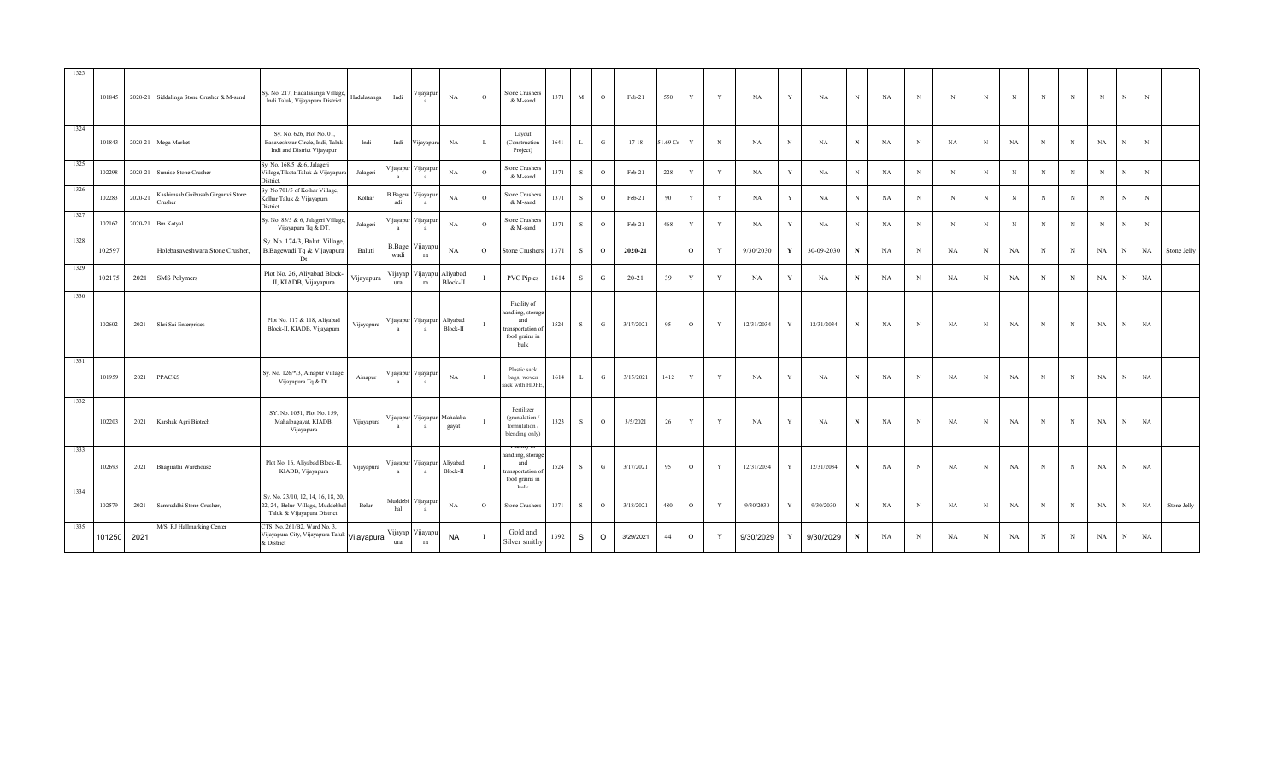| 1323 | 101845 |         | 2020-21 Siddalinga Stone Crusher & M-sand  | Sy. No. 217, Hadalasanga Village,<br>Indi Taluk, Vijayapura District                                    | Hadalasanga | Indi                     | ∕ijayapur                  | NA                             | $\circ$  | Stone Crushers<br>& M-sand                                                           | 1371 | M            | $\circ$     | Feb-21    | 550     | Y              | Y            | <b>NA</b>  | Y            | NA         | N           | <b>NA</b> | N          | N          | N           | N           | N           | N           | $_{\rm N}$  | N | $_{\rm N}$ |             |
|------|--------|---------|--------------------------------------------|---------------------------------------------------------------------------------------------------------|-------------|--------------------------|----------------------------|--------------------------------|----------|--------------------------------------------------------------------------------------|------|--------------|-------------|-----------|---------|----------------|--------------|------------|--------------|------------|-------------|-----------|------------|------------|-------------|-------------|-------------|-------------|-------------|---|------------|-------------|
| 1324 | 101843 |         | 2020-21 Mega Market                        | Sy. No. 626, Plot No. 01,<br>Basaveshwar Circle, Indi, Taluk<br>Indi and District Vijayapur             | Indi        | Indi                     | Vijayapura                 | NA                             |          | Layout<br>(Construction<br>Project)                                                  | 1641 | L            | G           | $17 - 18$ | 1.69 Cr | Y              | N            | <b>NA</b>  | N            | NA         | $\mathbf N$ | NA        | $_{\rm N}$ | NA         | $_{\rm N}$  | NA          | $\,$ N      | $\,$ N      | $_{\rm NA}$ |   | N          |             |
| 1325 | 102298 | 2020-21 | Sunrise Stone Crusher                      | Sy. No. 168/5 & 6, Jalageri<br>Village, Tikota Taluk & Vijayapur<br>District.                           | Jalageri    | ijayapur<br>$\mathbf{a}$ | Vijayapu<br>a              | NA                             | $\circ$  | Stone Crushers<br>& M-sand                                                           | 1371 | <sup>S</sup> | $\circ$     | Feb-21    | 228     | $\mathbf Y$    | $\mathbf{Y}$ | NA         |              | NA         | N           | NA        | $_{\rm N}$ | N          | N           | $_{\rm N}$  | N           | $\,$ N      | $_{\rm N}$  |   | $_{\rm N}$ |             |
| 1326 | 102283 | 2020-21 | ashimsab Gaibusab Girganvi Stone<br>rusher | Sy. No 701/5 of Kolhar Village,<br>Kolhar Taluk & Vijayapura<br>District                                | Kolhar      | s.Bagew<br>adi           | 'ijayapu<br>a              | NA                             | $\circ$  | <b>Stone Crushers</b><br>& M-sand                                                    | 1371 | S            | $\circ$     | Feb-21    | 90      | $\mathbf Y$    | $\mathbf{Y}$ | <b>NA</b>  | $\mathbf{v}$ | NA         | N           | NA        | $_{\rm N}$ | N          | N           | $_{\rm N}$  | N           | $\,$ N      | $_{\rm N}$  |   | $_{\rm N}$ |             |
| 1327 | 102162 | 2020-21 | <b>Bm Kotyal</b>                           | Sy. No. 83/5 & 6, Jalageri Village,<br>Vijayapura Tq & DT.                                              | Jalageri    | 'ijayapur<br>a           | ∕ ijayapuı<br>a            | NA                             | $\Omega$ | Stone Crushers<br>& M-sand                                                           | 1371 | $\mathbf{s}$ | $\circ$     | Feb-21    | 468     | Y              | $\mathbf{Y}$ | <b>NA</b>  |              | NA         | N           | NA        | $_{\rm N}$ | $_{\rm N}$ | N           | $\mathbf N$ | N           | N           | $\mathbf N$ |   | $_{\rm N}$ |             |
| 1328 | 102597 |         | Holebasaveshwara Stone Crusher.            | Sy. No. 174/3, Baluti Village,<br>B.Bagewadi Tq & Vijayapura<br>Dt                                      | Baluti      | B.Bage<br>wadi           | ∕ijayapı<br>ra             | NA                             | $\Omega$ | tone Crushers                                                                        | 1371 | S            | $\circ$     | 2020-21   |         | $\circ$        | $\bf{v}$     | 9/30/2030  | $\mathbf{v}$ | 30-09-2030 | N           | NA        | N          | NA         | N           | NA          | $\mathbf N$ | $_{\rm N}$  | NA          |   | NA         | Stone Jelly |
| 1329 | 102175 | 2021    | <b>SMS Polymers</b>                        | Plot No. 26, Aliyabad Block-<br>II, KIADB, Vijayapura                                                   | Vijayapura  | ura                      | Vijayap Vijayapı<br>ra     | Aliyabad<br>Block-II           |          | <b>PVC Pipies</b>                                                                    | 1614 | S            | $\mathbf G$ | $20 - 21$ | 39      | Y              | $\mathbf{Y}$ | NA         |              | NA         | $\mathbf N$ | NA        | $_{\rm N}$ | NA         | $\mathbf N$ | NA          | $\mathbf N$ | $_{\rm N}$  | NA          |   | NA         |             |
| 1330 | 102602 | 2021    | Shri Sai Enterprises                       | Plot No. 117 & 118, Aliyabad<br>Block-II, KIADB, Vijayapura                                             | Vijayapura  | ijayapur<br>$\mathbf{a}$ | Vijayapur Aliyabad<br>a    | Block-II                       |          | Facility of<br>andling, storage<br>and<br>transportation o<br>food grains in<br>bulk | 1524 | S            | G           | 3/17/2021 | 95      | $\circ$        | Y            | 12/31/2034 | Y            | 12/31/2034 | $\mathbf N$ | NA        | N          | NA         | N           | NA          | N           | N           | NA          |   | NA         |             |
| 1331 | 101959 | 2021    | PPACKS                                     | Sy. No. 126/*/3, Ainapur Village<br>Vijayapura Tq & Dt.                                                 | Ainapur     | ijayapur<br>$\mathbf{a}$ | Vijayapu<br>$\overline{a}$ | $_{\rm NA}$                    |          | Plastic sack<br>bags, woven<br>sack with HDPE                                        | 1614 | L            | G           | 3/15/2021 | 1412    | $\mathbf Y$    | $\mathbf{v}$ | <b>NA</b>  | Y            | NA         | N           | NA        | $_{\rm N}$ | NA         | N           | NA          | N           | N           | $_{\rm NA}$ |   | NA         |             |
| 1332 | 102203 | 2021    | Karshak Agri Biotech                       | SY. No. 1051, Plot No. 159,<br>Mahalbagayat, KIADB,<br>Vijayapura                                       | Vijayapura  | ijayapur<br>a            | Vijayapur Mahalab<br>a     | gayat                          |          | Fertilizer<br>(granulation<br>formulation /<br>blending only)                        | 1323 | S            | $\Omega$    | 3/5/2021  | 26      | Y              | $\mathbf{v}$ | <b>NA</b>  | $\mathbf{v}$ | NA         | N           | <b>NA</b> | N          | NA         | N           | NA          | N           | $\mathbf N$ | $_{\rm NA}$ |   | NA         |             |
| 1333 | 102693 | 2021    | Bhagirathi Warehouse                       | Plot No. 16, Aliyabad Block-II,<br>KIADB, Vijayapura                                                    | Vijayapura  | ijayapur<br>a            | a                          | Vijayapur Aliyabad<br>Block-II |          | andling, storage<br>and<br>transportation o<br>food grains in                        | 1524 | <sub>S</sub> | G           | 3/17/2021 | 95      | $\circ$        | V            | 12/31/2034 | Y            | 12/31/2034 | N           | NA        | N          | NA         | N           | NA          | N           | N           | NA          |   | NA         |             |
| 1334 | 102579 | 2021    | Samruddhi Stone Crusher,                   | Sy. No. 23/10, 12, 14, 16, 18, 20,<br>22, 24,, Belur Village, Muddebhal<br>Taluk & Vijayapura District. | Belur       | Auddebi<br>hal           | ∕ ijayapu<br>a             | NA                             | $\circ$  | <b>Stone Crushers</b>                                                                | 1371 | <sub>S</sub> | $\circ$     | 3/18/2021 | 480     | $\circ$        | Y            | 9/30/2030  | V            | 9/30/2030  | N           | NA        | $_{\rm N}$ | NA         | $\mathbf N$ | NA          | $\mathbf N$ | $\,$ N      | $_{\rm NA}$ |   | NA         | Stone Jelly |
| 1335 | 101250 | 2021    | M/S. RJ Hallmarking Center                 | CTS. No. 261/B2, Ward No. 3,<br>Vijayapura City, Vijayapura Taluk Vijayapura<br>& District              |             | Vijayap<br>ura           | Vijayapı<br>ra             | <b>NA</b>                      |          | Gold and<br>Silver smithy                                                            | 1392 | S            | $\circ$     | 3/29/2021 | 44      | $\overline{O}$ | Y            | 9/30/2029  | <sup>V</sup> | 9/30/2029  | N           | NA        | $_{\rm N}$ | NA         | $_{\rm N}$  | NA          | $_{\rm N}$  | $_{\rm N}$  | NA          |   | NA         |             |